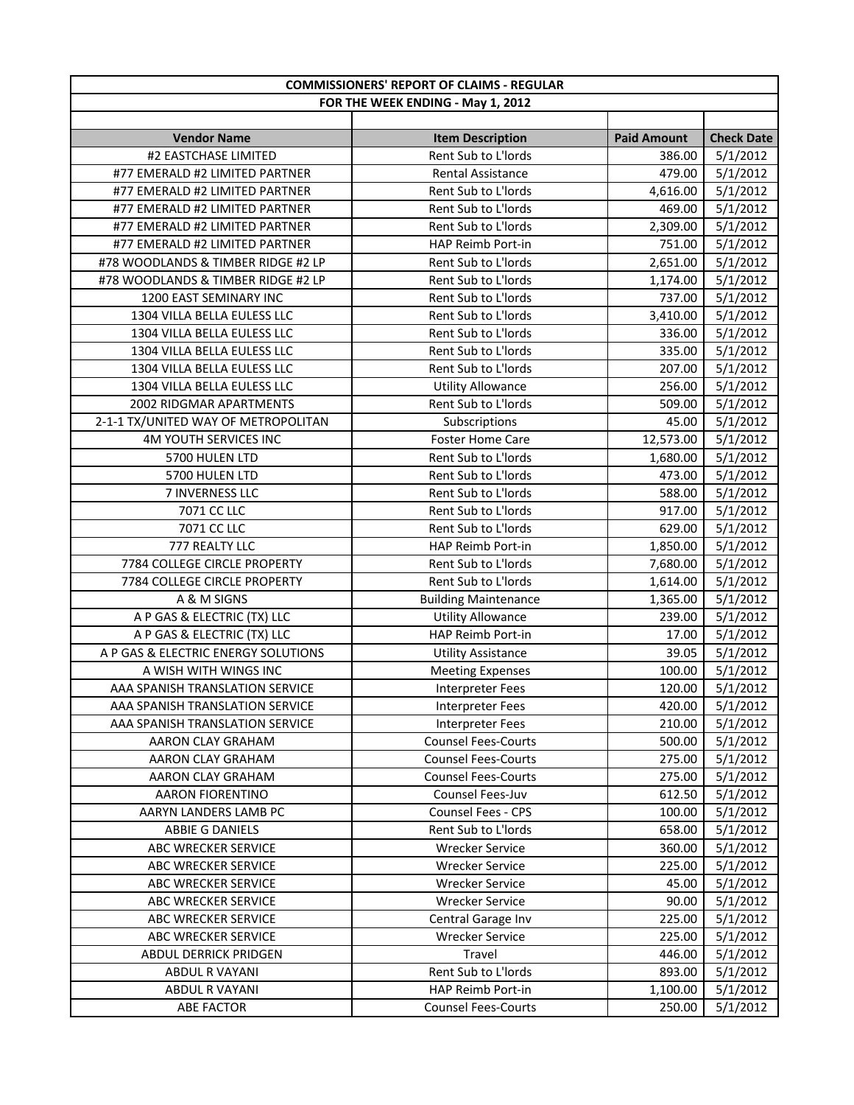|                                     | <b>COMMISSIONERS' REPORT OF CLAIMS - REGULAR</b> |                    |                   |
|-------------------------------------|--------------------------------------------------|--------------------|-------------------|
|                                     | FOR THE WEEK ENDING - May 1, 2012                |                    |                   |
|                                     |                                                  |                    |                   |
| <b>Vendor Name</b>                  | <b>Item Description</b>                          | <b>Paid Amount</b> | <b>Check Date</b> |
| #2 EASTCHASE LIMITED                | Rent Sub to L'Iords                              | 386.00             | 5/1/2012          |
| #77 EMERALD #2 LIMITED PARTNER      | Rental Assistance                                | 479.00             | 5/1/2012          |
| #77 EMERALD #2 LIMITED PARTNER      | Rent Sub to L'Iords                              | 4,616.00           | 5/1/2012          |
| #77 EMERALD #2 LIMITED PARTNER      | Rent Sub to L'Iords                              | 469.00             | 5/1/2012          |
| #77 EMERALD #2 LIMITED PARTNER      | Rent Sub to L'Iords                              | 2,309.00           | 5/1/2012          |
| #77 EMERALD #2 LIMITED PARTNER      | HAP Reimb Port-in                                | 751.00             | 5/1/2012          |
| #78 WOODLANDS & TIMBER RIDGE #2 LP  | Rent Sub to L'Iords                              | 2,651.00           | 5/1/2012          |
| #78 WOODLANDS & TIMBER RIDGE #2 LP  | Rent Sub to L'Iords                              | 1,174.00           | 5/1/2012          |
| 1200 EAST SEMINARY INC              | Rent Sub to L'Iords                              | 737.00             | 5/1/2012          |
| 1304 VILLA BELLA EULESS LLC         | Rent Sub to L'Iords                              | 3,410.00           | 5/1/2012          |
| 1304 VILLA BELLA EULESS LLC         | Rent Sub to L'Iords                              | 336.00             | 5/1/2012          |
| 1304 VILLA BELLA EULESS LLC         | Rent Sub to L'Iords                              | 335.00             | 5/1/2012          |
| 1304 VILLA BELLA EULESS LLC         | Rent Sub to L'Iords                              | 207.00             | 5/1/2012          |
| 1304 VILLA BELLA EULESS LLC         | <b>Utility Allowance</b>                         | 256.00             | 5/1/2012          |
| 2002 RIDGMAR APARTMENTS             | Rent Sub to L'Iords                              | 509.00             | 5/1/2012          |
| 2-1-1 TX/UNITED WAY OF METROPOLITAN | Subscriptions                                    | 45.00              | 5/1/2012          |
| <b>4M YOUTH SERVICES INC</b>        | <b>Foster Home Care</b>                          | 12,573.00          | 5/1/2012          |
| 5700 HULEN LTD                      | Rent Sub to L'Iords                              | 1,680.00           | 5/1/2012          |
| 5700 HULEN LTD                      | Rent Sub to L'Iords                              | 473.00             | 5/1/2012          |
| 7 INVERNESS LLC                     | Rent Sub to L'Iords                              | 588.00             | 5/1/2012          |
| 7071 CC LLC                         | Rent Sub to L'Iords                              | 917.00             | 5/1/2012          |
| 7071 CC LLC                         | Rent Sub to L'Iords                              | 629.00             | 5/1/2012          |
| 777 REALTY LLC                      | HAP Reimb Port-in                                | 1,850.00           | 5/1/2012          |
| 7784 COLLEGE CIRCLE PROPERTY        | Rent Sub to L'Iords                              | 7,680.00           | 5/1/2012          |
| 7784 COLLEGE CIRCLE PROPERTY        | Rent Sub to L'Iords                              | 1,614.00           | 5/1/2012          |
| A & M SIGNS                         | <b>Building Maintenance</b>                      | 1,365.00           | 5/1/2012          |
| A P GAS & ELECTRIC (TX) LLC         | <b>Utility Allowance</b>                         | 239.00             | 5/1/2012          |
| A P GAS & ELECTRIC (TX) LLC         | HAP Reimb Port-in                                | 17.00              | 5/1/2012          |
| A P GAS & ELECTRIC ENERGY SOLUTIONS | <b>Utility Assistance</b>                        | 39.05              | 5/1/2012          |
| A WISH WITH WINGS INC               | <b>Meeting Expenses</b>                          | 100.00             | 5/1/2012          |
| AAA SPANISH TRANSLATION SERVICE     | <b>Interpreter Fees</b>                          | 120.00             | 5/1/2012          |
| AAA SPANISH TRANSLATION SERVICE     | Interpreter Fees                                 | 420.00             | 5/1/2012          |
| AAA SPANISH TRANSLATION SERVICE     | Interpreter Fees                                 | 210.00             | 5/1/2012          |
| AARON CLAY GRAHAM                   | <b>Counsel Fees-Courts</b>                       | 500.00             | 5/1/2012          |
| AARON CLAY GRAHAM                   | <b>Counsel Fees-Courts</b>                       | 275.00             | 5/1/2012          |
| AARON CLAY GRAHAM                   | <b>Counsel Fees-Courts</b>                       | 275.00             | 5/1/2012          |
| <b>AARON FIORENTINO</b>             | <b>Counsel Fees-Juv</b>                          | 612.50             | 5/1/2012          |
| AARYN LANDERS LAMB PC               | <b>Counsel Fees - CPS</b>                        | 100.00             | 5/1/2012          |
| ABBIE G DANIELS                     | Rent Sub to L'Iords                              | 658.00             | 5/1/2012          |
| ABC WRECKER SERVICE                 | <b>Wrecker Service</b>                           | 360.00             | 5/1/2012          |
| ABC WRECKER SERVICE                 | <b>Wrecker Service</b>                           | 225.00             | 5/1/2012          |
| ABC WRECKER SERVICE                 | <b>Wrecker Service</b>                           | 45.00              | 5/1/2012          |
| ABC WRECKER SERVICE                 | <b>Wrecker Service</b>                           | 90.00              | 5/1/2012          |
| ABC WRECKER SERVICE                 | Central Garage Inv                               | 225.00             | 5/1/2012          |
| ABC WRECKER SERVICE                 | <b>Wrecker Service</b>                           | 225.00             | 5/1/2012          |
| ABDUL DERRICK PRIDGEN               | Travel                                           | 446.00             | 5/1/2012          |
| ABDUL R VAYANI                      | Rent Sub to L'Iords                              | 893.00             | 5/1/2012          |
| ABDUL R VAYANI                      | HAP Reimb Port-in                                | 1,100.00           | 5/1/2012          |
| ABE FACTOR                          | <b>Counsel Fees-Courts</b>                       | 250.00             | 5/1/2012          |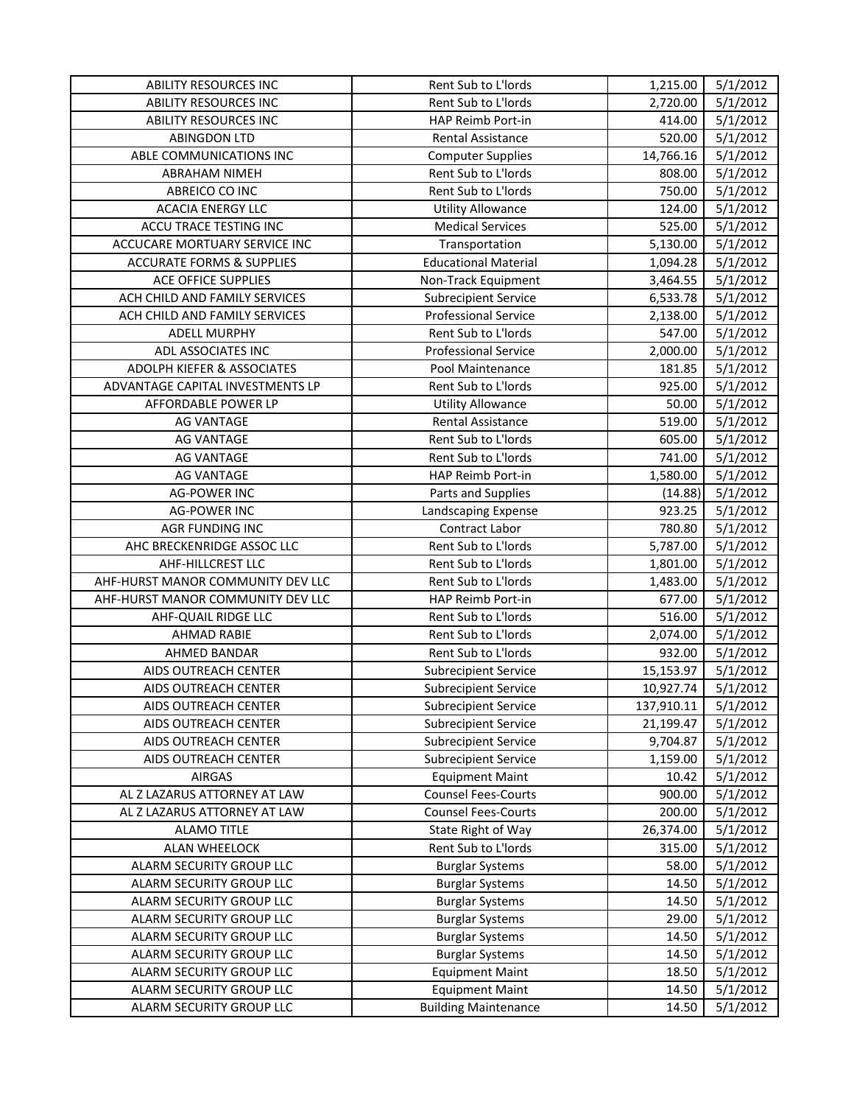| <b>ABILITY RESOURCES INC</b>         | Rent Sub to L'Iords         | 1,215.00   | 5/1/2012 |
|--------------------------------------|-----------------------------|------------|----------|
| <b>ABILITY RESOURCES INC</b>         | Rent Sub to L'Iords         | 2,720.00   | 5/1/2012 |
| <b>ABILITY RESOURCES INC</b>         | HAP Reimb Port-in           | 414.00     | 5/1/2012 |
| <b>ABINGDON LTD</b>                  | Rental Assistance           | 520.00     | 5/1/2012 |
| ABLE COMMUNICATIONS INC              | <b>Computer Supplies</b>    | 14,766.16  | 5/1/2012 |
| <b>ABRAHAM NIMEH</b>                 | Rent Sub to L'Iords         | 808.00     | 5/1/2012 |
| ABREICO CO INC                       | Rent Sub to L'Iords         | 750.00     | 5/1/2012 |
| <b>ACACIA ENERGY LLC</b>             | <b>Utility Allowance</b>    | 124.00     | 5/1/2012 |
| ACCU TRACE TESTING INC               | <b>Medical Services</b>     | 525.00     | 5/1/2012 |
| ACCUCARE MORTUARY SERVICE INC        | Transportation              | 5,130.00   | 5/1/2012 |
| <b>ACCURATE FORMS &amp; SUPPLIES</b> | <b>Educational Material</b> | 1,094.28   | 5/1/2012 |
| <b>ACE OFFICE SUPPLIES</b>           | Non-Track Equipment         | 3,464.55   | 5/1/2012 |
| ACH CHILD AND FAMILY SERVICES        | <b>Subrecipient Service</b> | 6,533.78   | 5/1/2012 |
| ACH CHILD AND FAMILY SERVICES        | <b>Professional Service</b> | 2,138.00   | 5/1/2012 |
| ADELL MURPHY                         | Rent Sub to L'Iords         | 547.00     | 5/1/2012 |
| ADL ASSOCIATES INC                   | <b>Professional Service</b> | 2,000.00   | 5/1/2012 |
| ADOLPH KIEFER & ASSOCIATES           | Pool Maintenance            | 181.85     | 5/1/2012 |
| ADVANTAGE CAPITAL INVESTMENTS LP     | Rent Sub to L'Iords         | 925.00     | 5/1/2012 |
| AFFORDABLE POWER LP                  | <b>Utility Allowance</b>    | 50.00      | 5/1/2012 |
| AG VANTAGE                           | Rental Assistance           | 519.00     | 5/1/2012 |
| AG VANTAGE                           | Rent Sub to L'Iords         | 605.00     | 5/1/2012 |
| <b>AG VANTAGE</b>                    | Rent Sub to L'Iords         | 741.00     | 5/1/2012 |
| <b>AG VANTAGE</b>                    | HAP Reimb Port-in           | 1,580.00   | 5/1/2012 |
| <b>AG-POWER INC</b>                  | Parts and Supplies          | (14.88)    | 5/1/2012 |
| <b>AG-POWER INC</b>                  | Landscaping Expense         | 923.25     | 5/1/2012 |
| <b>AGR FUNDING INC</b>               | Contract Labor              | 780.80     | 5/1/2012 |
| AHC BRECKENRIDGE ASSOC LLC           | Rent Sub to L'Iords         | 5,787.00   | 5/1/2012 |
| AHF-HILLCREST LLC                    | Rent Sub to L'Iords         | 1,801.00   | 5/1/2012 |
| AHF-HURST MANOR COMMUNITY DEV LLC    | Rent Sub to L'Iords         | 1,483.00   | 5/1/2012 |
| AHF-HURST MANOR COMMUNITY DEV LLC    | HAP Reimb Port-in           | 677.00     | 5/1/2012 |
| AHF-QUAIL RIDGE LLC                  | Rent Sub to L'Iords         | 516.00     | 5/1/2012 |
| <b>AHMAD RABIE</b>                   | Rent Sub to L'Iords         | 2,074.00   | 5/1/2012 |
| AHMED BANDAR                         | Rent Sub to L'Iords         | 932.00     | 5/1/2012 |
| AIDS OUTREACH CENTER                 | <b>Subrecipient Service</b> | 15,153.97  | 5/1/2012 |
| AIDS OUTREACH CENTER                 | <b>Subrecipient Service</b> | 10,927.74  | 5/1/2012 |
| AIDS OUTREACH CENTER                 | <b>Subrecipient Service</b> | 137,910.11 | 5/1/2012 |
| AIDS OUTREACH CENTER                 | <b>Subrecipient Service</b> | 21,199.47  | 5/1/2012 |
| AIDS OUTREACH CENTER                 | <b>Subrecipient Service</b> | 9,704.87   | 5/1/2012 |
| AIDS OUTREACH CENTER                 | <b>Subrecipient Service</b> | 1,159.00   | 5/1/2012 |
| <b>AIRGAS</b>                        | <b>Equipment Maint</b>      | 10.42      | 5/1/2012 |
| AL Z LAZARUS ATTORNEY AT LAW         | <b>Counsel Fees-Courts</b>  | 900.00     | 5/1/2012 |
| AL Z LAZARUS ATTORNEY AT LAW         | <b>Counsel Fees-Courts</b>  | 200.00     | 5/1/2012 |
| <b>ALAMO TITLE</b>                   | State Right of Way          | 26,374.00  | 5/1/2012 |
| ALAN WHEELOCK                        | Rent Sub to L'Iords         | 315.00     | 5/1/2012 |
| ALARM SECURITY GROUP LLC             | <b>Burglar Systems</b>      | 58.00      | 5/1/2012 |
| ALARM SECURITY GROUP LLC             | <b>Burglar Systems</b>      | 14.50      | 5/1/2012 |
| ALARM SECURITY GROUP LLC             | <b>Burglar Systems</b>      | 14.50      | 5/1/2012 |
| ALARM SECURITY GROUP LLC             | <b>Burglar Systems</b>      | 29.00      | 5/1/2012 |
| ALARM SECURITY GROUP LLC             | <b>Burglar Systems</b>      | 14.50      | 5/1/2012 |
| ALARM SECURITY GROUP LLC             | <b>Burglar Systems</b>      | 14.50      | 5/1/2012 |
| ALARM SECURITY GROUP LLC             | <b>Equipment Maint</b>      | 18.50      | 5/1/2012 |
| ALARM SECURITY GROUP LLC             | <b>Equipment Maint</b>      | 14.50      | 5/1/2012 |
| ALARM SECURITY GROUP LLC             | <b>Building Maintenance</b> | 14.50      | 5/1/2012 |
|                                      |                             |            |          |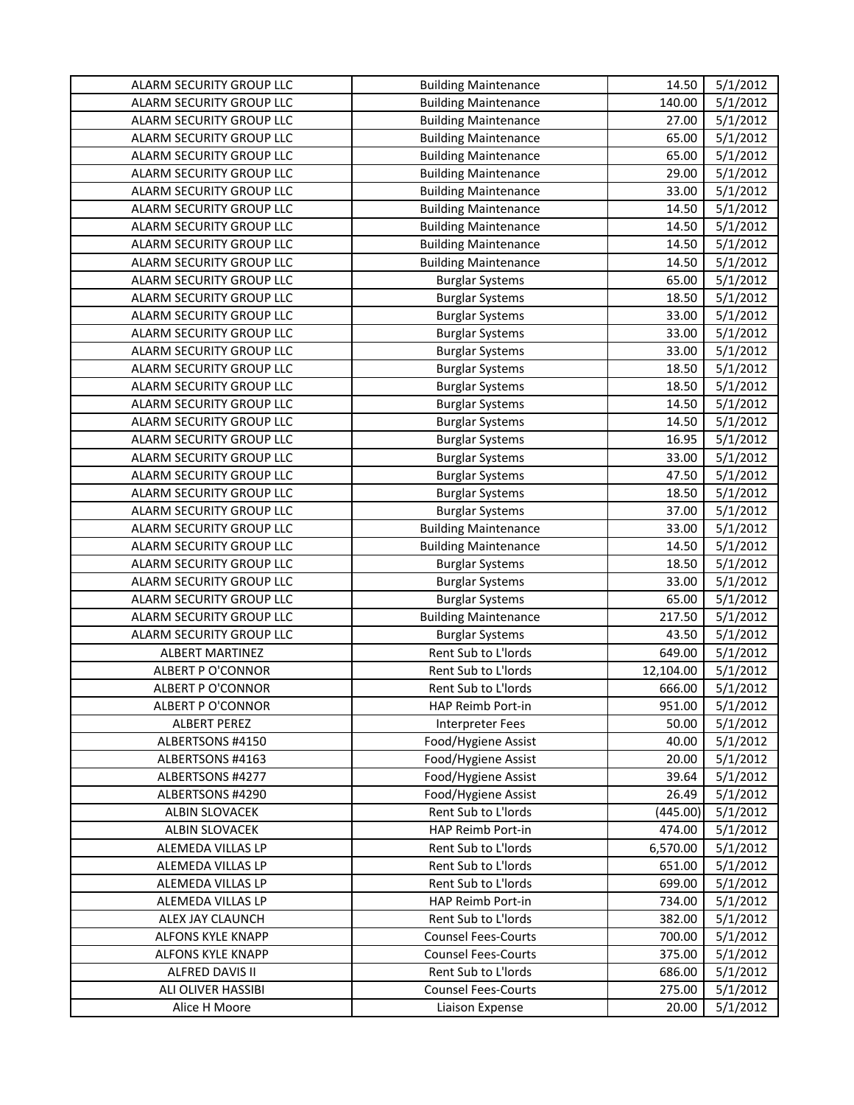| ALARM SECURITY GROUP LLC | <b>Building Maintenance</b> | 14.50     | 5/1/2012 |
|--------------------------|-----------------------------|-----------|----------|
| ALARM SECURITY GROUP LLC | <b>Building Maintenance</b> | 140.00    | 5/1/2012 |
| ALARM SECURITY GROUP LLC | <b>Building Maintenance</b> | 27.00     | 5/1/2012 |
| ALARM SECURITY GROUP LLC | <b>Building Maintenance</b> | 65.00     | 5/1/2012 |
| ALARM SECURITY GROUP LLC | <b>Building Maintenance</b> | 65.00     | 5/1/2012 |
| ALARM SECURITY GROUP LLC | <b>Building Maintenance</b> | 29.00     | 5/1/2012 |
| ALARM SECURITY GROUP LLC | <b>Building Maintenance</b> | 33.00     | 5/1/2012 |
| ALARM SECURITY GROUP LLC | <b>Building Maintenance</b> | 14.50     | 5/1/2012 |
| ALARM SECURITY GROUP LLC | <b>Building Maintenance</b> | 14.50     | 5/1/2012 |
| ALARM SECURITY GROUP LLC | <b>Building Maintenance</b> | 14.50     | 5/1/2012 |
| ALARM SECURITY GROUP LLC | <b>Building Maintenance</b> | 14.50     | 5/1/2012 |
| ALARM SECURITY GROUP LLC | <b>Burglar Systems</b>      | 65.00     | 5/1/2012 |
| ALARM SECURITY GROUP LLC | <b>Burglar Systems</b>      | 18.50     | 5/1/2012 |
| ALARM SECURITY GROUP LLC | <b>Burglar Systems</b>      | 33.00     | 5/1/2012 |
| ALARM SECURITY GROUP LLC | <b>Burglar Systems</b>      | 33.00     | 5/1/2012 |
| ALARM SECURITY GROUP LLC | <b>Burglar Systems</b>      | 33.00     | 5/1/2012 |
| ALARM SECURITY GROUP LLC | <b>Burglar Systems</b>      | 18.50     | 5/1/2012 |
| ALARM SECURITY GROUP LLC | <b>Burglar Systems</b>      | 18.50     | 5/1/2012 |
| ALARM SECURITY GROUP LLC | <b>Burglar Systems</b>      | 14.50     | 5/1/2012 |
| ALARM SECURITY GROUP LLC | <b>Burglar Systems</b>      | 14.50     | 5/1/2012 |
| ALARM SECURITY GROUP LLC | <b>Burglar Systems</b>      | 16.95     | 5/1/2012 |
| ALARM SECURITY GROUP LLC | <b>Burglar Systems</b>      | 33.00     | 5/1/2012 |
| ALARM SECURITY GROUP LLC | <b>Burglar Systems</b>      | 47.50     | 5/1/2012 |
| ALARM SECURITY GROUP LLC | <b>Burglar Systems</b>      | 18.50     | 5/1/2012 |
| ALARM SECURITY GROUP LLC | <b>Burglar Systems</b>      | 37.00     | 5/1/2012 |
| ALARM SECURITY GROUP LLC | <b>Building Maintenance</b> | 33.00     | 5/1/2012 |
| ALARM SECURITY GROUP LLC | <b>Building Maintenance</b> | 14.50     | 5/1/2012 |
| ALARM SECURITY GROUP LLC | <b>Burglar Systems</b>      | 18.50     | 5/1/2012 |
| ALARM SECURITY GROUP LLC | <b>Burglar Systems</b>      | 33.00     | 5/1/2012 |
| ALARM SECURITY GROUP LLC | <b>Burglar Systems</b>      | 65.00     | 5/1/2012 |
| ALARM SECURITY GROUP LLC | <b>Building Maintenance</b> | 217.50    | 5/1/2012 |
| ALARM SECURITY GROUP LLC | <b>Burglar Systems</b>      | 43.50     | 5/1/2012 |
| <b>ALBERT MARTINEZ</b>   | Rent Sub to L'Iords         | 649.00    | 5/1/2012 |
| <b>ALBERT P O'CONNOR</b> | Rent Sub to L'Iords         | 12,104.00 | 5/1/2012 |
| ALBERT P O'CONNOR        | Rent Sub to L'Iords         | 666.00    | 5/1/2012 |
| <b>ALBERT P O'CONNOR</b> | HAP Reimb Port-in           | 951.00    | 5/1/2012 |
| <b>ALBERT PEREZ</b>      | <b>Interpreter Fees</b>     | 50.00     | 5/1/2012 |
| ALBERTSONS #4150         | Food/Hygiene Assist         | 40.00     | 5/1/2012 |
| ALBERTSONS #4163         | Food/Hygiene Assist         | 20.00     | 5/1/2012 |
| ALBERTSONS #4277         | Food/Hygiene Assist         | 39.64     | 5/1/2012 |
| ALBERTSONS #4290         | Food/Hygiene Assist         | 26.49     | 5/1/2012 |
| <b>ALBIN SLOVACEK</b>    | Rent Sub to L'Iords         | (445.00)  | 5/1/2012 |
| ALBIN SLOVACEK           | HAP Reimb Port-in           | 474.00    | 5/1/2012 |
| ALEMEDA VILLAS LP        | Rent Sub to L'Iords         | 6,570.00  | 5/1/2012 |
| ALEMEDA VILLAS LP        | Rent Sub to L'Iords         | 651.00    | 5/1/2012 |
| ALEMEDA VILLAS LP        | Rent Sub to L'Iords         | 699.00    | 5/1/2012 |
| ALEMEDA VILLAS LP        | HAP Reimb Port-in           | 734.00    | 5/1/2012 |
| ALEX JAY CLAUNCH         | Rent Sub to L'Iords         | 382.00    | 5/1/2012 |
| ALFONS KYLE KNAPP        | <b>Counsel Fees-Courts</b>  | 700.00    | 5/1/2012 |
| ALFONS KYLE KNAPP        | <b>Counsel Fees-Courts</b>  | 375.00    | 5/1/2012 |
| ALFRED DAVIS II          | Rent Sub to L'Iords         | 686.00    | 5/1/2012 |
| ALI OLIVER HASSIBI       | <b>Counsel Fees-Courts</b>  | 275.00    | 5/1/2012 |
| Alice H Moore            | Liaison Expense             | 20.00     | 5/1/2012 |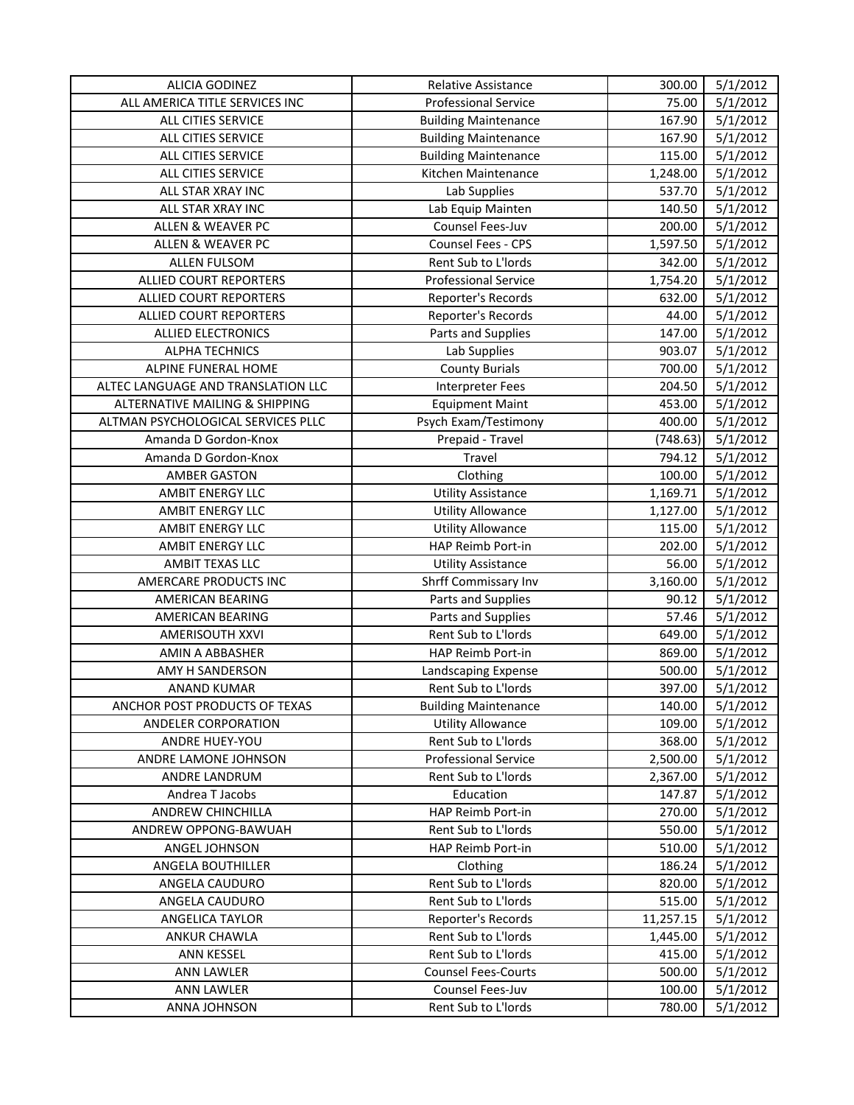| <b>ALICIA GODINEZ</b>              | Relative Assistance         | 300.00    | 5/1/2012 |
|------------------------------------|-----------------------------|-----------|----------|
| ALL AMERICA TITLE SERVICES INC     | <b>Professional Service</b> | 75.00     | 5/1/2012 |
| ALL CITIES SERVICE                 | <b>Building Maintenance</b> | 167.90    | 5/1/2012 |
| ALL CITIES SERVICE                 | <b>Building Maintenance</b> | 167.90    | 5/1/2012 |
| ALL CITIES SERVICE                 | <b>Building Maintenance</b> | 115.00    | 5/1/2012 |
| ALL CITIES SERVICE                 | Kitchen Maintenance         | 1,248.00  | 5/1/2012 |
| ALL STAR XRAY INC                  | Lab Supplies                | 537.70    | 5/1/2012 |
| ALL STAR XRAY INC                  | Lab Equip Mainten           | 140.50    | 5/1/2012 |
| ALLEN & WEAVER PC                  | Counsel Fees-Juv            | 200.00    | 5/1/2012 |
| <b>ALLEN &amp; WEAVER PC</b>       | Counsel Fees - CPS          | 1,597.50  | 5/1/2012 |
| <b>ALLEN FULSOM</b>                | Rent Sub to L'Iords         | 342.00    | 5/1/2012 |
| <b>ALLIED COURT REPORTERS</b>      | <b>Professional Service</b> | 1,754.20  | 5/1/2012 |
| ALLIED COURT REPORTERS             | Reporter's Records          | 632.00    | 5/1/2012 |
| ALLIED COURT REPORTERS             | Reporter's Records          | 44.00     | 5/1/2012 |
| <b>ALLIED ELECTRONICS</b>          | Parts and Supplies          | 147.00    | 5/1/2012 |
| <b>ALPHA TECHNICS</b>              | Lab Supplies                | 903.07    | 5/1/2012 |
| ALPINE FUNERAL HOME                | <b>County Burials</b>       | 700.00    | 5/1/2012 |
| ALTEC LANGUAGE AND TRANSLATION LLC | Interpreter Fees            | 204.50    | 5/1/2012 |
| ALTERNATIVE MAILING & SHIPPING     | <b>Equipment Maint</b>      | 453.00    | 5/1/2012 |
| ALTMAN PSYCHOLOGICAL SERVICES PLLC | Psych Exam/Testimony        | 400.00    | 5/1/2012 |
| Amanda D Gordon-Knox               | Prepaid - Travel            | (748.63)  | 5/1/2012 |
| Amanda D Gordon-Knox               | Travel                      | 794.12    | 5/1/2012 |
| <b>AMBER GASTON</b>                | Clothing                    | 100.00    | 5/1/2012 |
| AMBIT ENERGY LLC                   | <b>Utility Assistance</b>   | 1,169.71  | 5/1/2012 |
| AMBIT ENERGY LLC                   | <b>Utility Allowance</b>    | 1,127.00  | 5/1/2012 |
| AMBIT ENERGY LLC                   | <b>Utility Allowance</b>    | 115.00    | 5/1/2012 |
| AMBIT ENERGY LLC                   | HAP Reimb Port-in           | 202.00    | 5/1/2012 |
| AMBIT TEXAS LLC                    | <b>Utility Assistance</b>   | 56.00     | 5/1/2012 |
| AMERCARE PRODUCTS INC              | Shrff Commissary Inv        | 3,160.00  | 5/1/2012 |
| AMERICAN BEARING                   | Parts and Supplies          | 90.12     | 5/1/2012 |
| AMERICAN BEARING                   | Parts and Supplies          | 57.46     | 5/1/2012 |
| AMERISOUTH XXVI                    | Rent Sub to L'Iords         | 649.00    | 5/1/2012 |
| AMIN A ABBASHER                    | HAP Reimb Port-in           | 869.00    | 5/1/2012 |
| AMY H SANDERSON                    | Landscaping Expense         | 500.00    | 5/1/2012 |
| ANAND KUMAR                        | Rent Sub to L'Iords         | 397.00    | 5/1/2012 |
| ANCHOR POST PRODUCTS OF TEXAS      | <b>Building Maintenance</b> | 140.00    | 5/1/2012 |
| ANDELER CORPORATION                | <b>Utility Allowance</b>    | 109.00    | 5/1/2012 |
| <b>ANDRE HUEY-YOU</b>              | Rent Sub to L'Iords         | 368.00    | 5/1/2012 |
| ANDRE LAMONE JOHNSON               | <b>Professional Service</b> | 2,500.00  | 5/1/2012 |
| <b>ANDRE LANDRUM</b>               | Rent Sub to L'Iords         | 2,367.00  | 5/1/2012 |
| Andrea T Jacobs                    | Education                   | 147.87    | 5/1/2012 |
| ANDREW CHINCHILLA                  | HAP Reimb Port-in           | 270.00    | 5/1/2012 |
| ANDREW OPPONG-BAWUAH               | <b>Rent Sub to L'Iords</b>  | 550.00    | 5/1/2012 |
| ANGEL JOHNSON                      | HAP Reimb Port-in           | 510.00    | 5/1/2012 |
| ANGELA BOUTHILLER                  | Clothing                    | 186.24    | 5/1/2012 |
| ANGELA CAUDURO                     | Rent Sub to L'Iords         | 820.00    | 5/1/2012 |
| ANGELA CAUDURO                     | Rent Sub to L'Iords         | 515.00    | 5/1/2012 |
| ANGELICA TAYLOR                    | Reporter's Records          | 11,257.15 | 5/1/2012 |
| <b>ANKUR CHAWLA</b>                | Rent Sub to L'Iords         | 1,445.00  | 5/1/2012 |
| ANN KESSEL                         | Rent Sub to L'Iords         | 415.00    | 5/1/2012 |
| ANN LAWLER                         | <b>Counsel Fees-Courts</b>  | 500.00    | 5/1/2012 |
| ANN LAWLER                         | Counsel Fees-Juv            | 100.00    | 5/1/2012 |
| ANNA JOHNSON                       | Rent Sub to L'Iords         | 780.00    | 5/1/2012 |
|                                    |                             |           |          |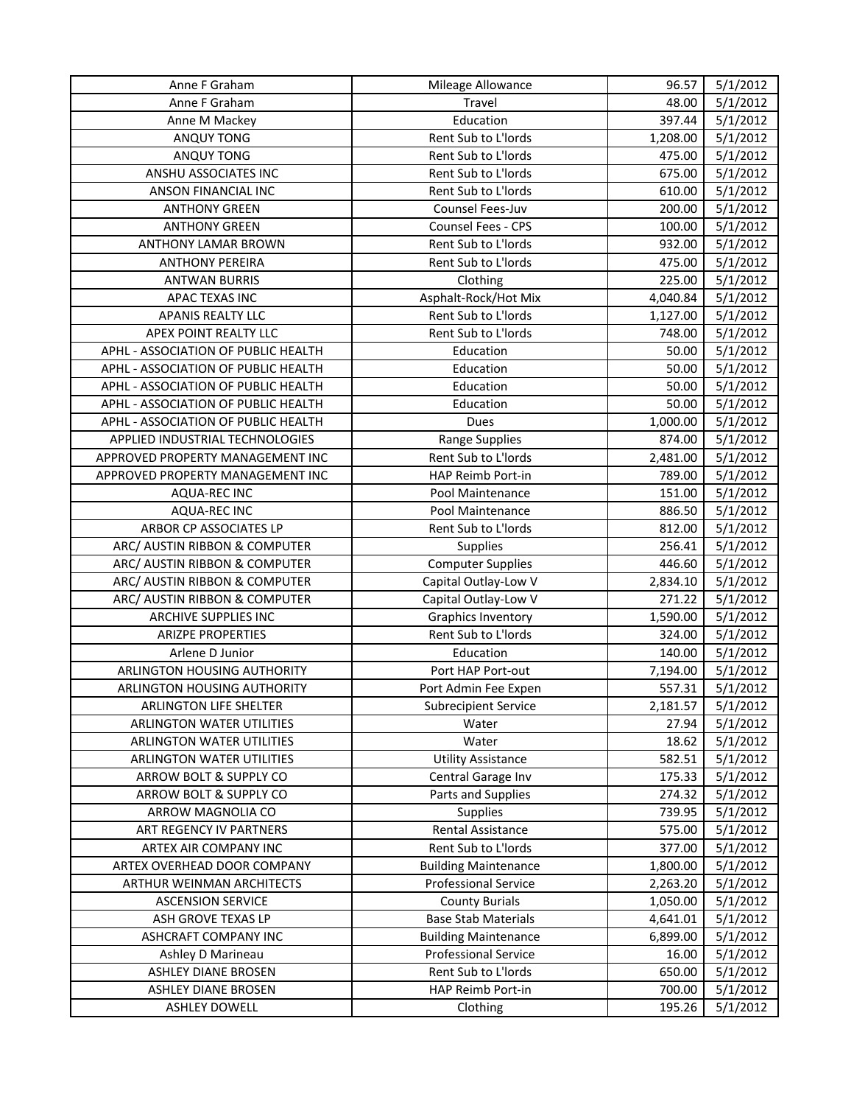| Anne F Graham                       | Mileage Allowance           | 96.57    | 5/1/2012 |
|-------------------------------------|-----------------------------|----------|----------|
| Anne F Graham                       | Travel                      | 48.00    | 5/1/2012 |
| Anne M Mackey                       | Education                   | 397.44   | 5/1/2012 |
| ANQUY TONG                          | Rent Sub to L'Iords         | 1,208.00 | 5/1/2012 |
| <b>ANQUY TONG</b>                   | Rent Sub to L'Iords         | 475.00   | 5/1/2012 |
| ANSHU ASSOCIATES INC                | Rent Sub to L'Iords         | 675.00   | 5/1/2012 |
| ANSON FINANCIAL INC                 | Rent Sub to L'Iords         | 610.00   | 5/1/2012 |
| <b>ANTHONY GREEN</b>                | Counsel Fees-Juv            | 200.00   | 5/1/2012 |
| <b>ANTHONY GREEN</b>                | Counsel Fees - CPS          | 100.00   | 5/1/2012 |
| ANTHONY LAMAR BROWN                 | Rent Sub to L'Iords         | 932.00   | 5/1/2012 |
| <b>ANTHONY PEREIRA</b>              | Rent Sub to L'Iords         | 475.00   | 5/1/2012 |
| <b>ANTWAN BURRIS</b>                | Clothing                    | 225.00   | 5/1/2012 |
| APAC TEXAS INC                      | Asphalt-Rock/Hot Mix        | 4,040.84 | 5/1/2012 |
| APANIS REALTY LLC                   | Rent Sub to L'Iords         | 1,127.00 | 5/1/2012 |
| APEX POINT REALTY LLC               | Rent Sub to L'Iords         | 748.00   | 5/1/2012 |
| APHL - ASSOCIATION OF PUBLIC HEALTH | Education                   | 50.00    | 5/1/2012 |
| APHL - ASSOCIATION OF PUBLIC HEALTH | Education                   | 50.00    | 5/1/2012 |
| APHL - ASSOCIATION OF PUBLIC HEALTH | Education                   | 50.00    | 5/1/2012 |
| APHL - ASSOCIATION OF PUBLIC HEALTH | Education                   | 50.00    | 5/1/2012 |
| APHL - ASSOCIATION OF PUBLIC HEALTH | Dues                        | 1,000.00 | 5/1/2012 |
| APPLIED INDUSTRIAL TECHNOLOGIES     | Range Supplies              | 874.00   | 5/1/2012 |
| APPROVED PROPERTY MANAGEMENT INC    | Rent Sub to L'Iords         | 2,481.00 | 5/1/2012 |
| APPROVED PROPERTY MANAGEMENT INC    | HAP Reimb Port-in           | 789.00   | 5/1/2012 |
| AQUA-REC INC                        | Pool Maintenance            | 151.00   | 5/1/2012 |
| <b>AQUA-REC INC</b>                 | Pool Maintenance            | 886.50   | 5/1/2012 |
| ARBOR CP ASSOCIATES LP              | Rent Sub to L'Iords         | 812.00   | 5/1/2012 |
| ARC/ AUSTIN RIBBON & COMPUTER       | <b>Supplies</b>             | 256.41   | 5/1/2012 |
| ARC/ AUSTIN RIBBON & COMPUTER       | <b>Computer Supplies</b>    | 446.60   | 5/1/2012 |
| ARC/ AUSTIN RIBBON & COMPUTER       | Capital Outlay-Low V        | 2,834.10 | 5/1/2012 |
| ARC/ AUSTIN RIBBON & COMPUTER       | Capital Outlay-Low V        | 271.22   | 5/1/2012 |
| ARCHIVE SUPPLIES INC                | Graphics Inventory          | 1,590.00 | 5/1/2012 |
| <b>ARIZPE PROPERTIES</b>            | Rent Sub to L'Iords         | 324.00   | 5/1/2012 |
| Arlene D Junior                     | Education                   | 140.00   | 5/1/2012 |
| ARLINGTON HOUSING AUTHORITY         | Port HAP Port-out           | 7,194.00 | 5/1/2012 |
| ARLINGTON HOUSING AUTHORITY         | Port Admin Fee Expen        | 557.31   | 5/1/2012 |
| ARLINGTON LIFE SHELTER              | <b>Subrecipient Service</b> | 2,181.57 | 5/1/2012 |
| ARLINGTON WATER UTILITIES           | Water                       | 27.94    | 5/1/2012 |
| ARLINGTON WATER UTILITIES           | Water                       | 18.62    | 5/1/2012 |
| ARLINGTON WATER UTILITIES           | <b>Utility Assistance</b>   | 582.51   | 5/1/2012 |
| ARROW BOLT & SUPPLY CO              | Central Garage Inv          | 175.33   | 5/1/2012 |
| ARROW BOLT & SUPPLY CO              | Parts and Supplies          | 274.32   | 5/1/2012 |
| ARROW MAGNOLIA CO                   | <b>Supplies</b>             | 739.95   | 5/1/2012 |
| ART REGENCY IV PARTNERS             | Rental Assistance           | 575.00   | 5/1/2012 |
| ARTEX AIR COMPANY INC               | Rent Sub to L'Iords         | 377.00   | 5/1/2012 |
| ARTEX OVERHEAD DOOR COMPANY         | <b>Building Maintenance</b> | 1,800.00 | 5/1/2012 |
| ARTHUR WEINMAN ARCHITECTS           | <b>Professional Service</b> | 2,263.20 | 5/1/2012 |
| <b>ASCENSION SERVICE</b>            | <b>County Burials</b>       | 1,050.00 | 5/1/2012 |
| ASH GROVE TEXAS LP                  | <b>Base Stab Materials</b>  | 4,641.01 | 5/1/2012 |
| <b>ASHCRAFT COMPANY INC</b>         | <b>Building Maintenance</b> | 6,899.00 | 5/1/2012 |
| Ashley D Marineau                   | <b>Professional Service</b> | 16.00    | 5/1/2012 |
| ASHLEY DIANE BROSEN                 | Rent Sub to L'Iords         | 650.00   | 5/1/2012 |
| ASHLEY DIANE BROSEN                 | HAP Reimb Port-in           | 700.00   | 5/1/2012 |
| <b>ASHLEY DOWELL</b>                | Clothing                    | 195.26   | 5/1/2012 |
|                                     |                             |          |          |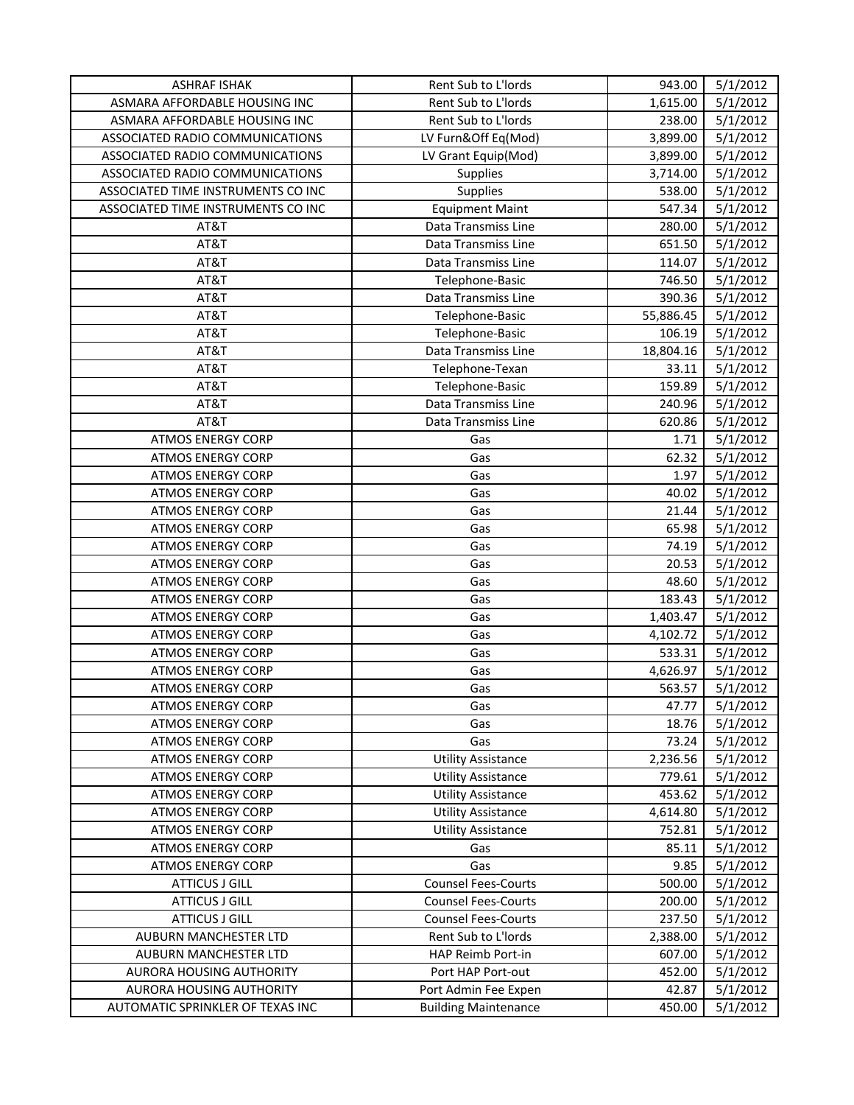| <b>ASHRAF ISHAK</b>                | Rent Sub to L'Iords         | 943.00    | 5/1/2012 |
|------------------------------------|-----------------------------|-----------|----------|
| ASMARA AFFORDABLE HOUSING INC      | Rent Sub to L'Iords         | 1,615.00  | 5/1/2012 |
| ASMARA AFFORDABLE HOUSING INC      | Rent Sub to L'Iords         | 238.00    | 5/1/2012 |
| ASSOCIATED RADIO COMMUNICATIONS    | LV Furn&Off Eq(Mod)         | 3,899.00  | 5/1/2012 |
| ASSOCIATED RADIO COMMUNICATIONS    | LV Grant Equip(Mod)         | 3,899.00  | 5/1/2012 |
| ASSOCIATED RADIO COMMUNICATIONS    | Supplies                    | 3,714.00  | 5/1/2012 |
| ASSOCIATED TIME INSTRUMENTS CO INC | Supplies                    | 538.00    | 5/1/2012 |
| ASSOCIATED TIME INSTRUMENTS CO INC | <b>Equipment Maint</b>      | 547.34    | 5/1/2012 |
| AT&T                               | Data Transmiss Line         | 280.00    | 5/1/2012 |
| AT&T                               | Data Transmiss Line         | 651.50    | 5/1/2012 |
| AT&T                               | Data Transmiss Line         | 114.07    | 5/1/2012 |
| AT&T                               | Telephone-Basic             | 746.50    | 5/1/2012 |
| AT&T                               | Data Transmiss Line         | 390.36    | 5/1/2012 |
| AT&T                               | Telephone-Basic             | 55,886.45 | 5/1/2012 |
| AT&T                               | Telephone-Basic             | 106.19    | 5/1/2012 |
| AT&T                               | Data Transmiss Line         | 18,804.16 | 5/1/2012 |
| AT&T                               | Telephone-Texan             | 33.11     | 5/1/2012 |
| AT&T                               | Telephone-Basic             | 159.89    | 5/1/2012 |
| AT&T                               | Data Transmiss Line         | 240.96    | 5/1/2012 |
| AT&T                               | Data Transmiss Line         | 620.86    | 5/1/2012 |
| <b>ATMOS ENERGY CORP</b>           | Gas                         | 1.71      | 5/1/2012 |
| <b>ATMOS ENERGY CORP</b>           | Gas                         | 62.32     | 5/1/2012 |
| <b>ATMOS ENERGY CORP</b>           | Gas                         | 1.97      | 5/1/2012 |
| <b>ATMOS ENERGY CORP</b>           | Gas                         | 40.02     | 5/1/2012 |
| <b>ATMOS ENERGY CORP</b>           | Gas                         | 21.44     | 5/1/2012 |
| <b>ATMOS ENERGY CORP</b>           | Gas                         | 65.98     | 5/1/2012 |
| <b>ATMOS ENERGY CORP</b>           | Gas                         | 74.19     | 5/1/2012 |
| <b>ATMOS ENERGY CORP</b>           | Gas                         | 20.53     | 5/1/2012 |
| <b>ATMOS ENERGY CORP</b>           | Gas                         | 48.60     | 5/1/2012 |
| <b>ATMOS ENERGY CORP</b>           | Gas                         | 183.43    | 5/1/2012 |
| <b>ATMOS ENERGY CORP</b>           | Gas                         | 1,403.47  | 5/1/2012 |
| <b>ATMOS ENERGY CORP</b>           | Gas                         | 4,102.72  | 5/1/2012 |
| <b>ATMOS ENERGY CORP</b>           | Gas                         | 533.31    | 5/1/2012 |
| <b>ATMOS ENERGY CORP</b>           | Gas                         | 4,626.97  | 5/1/2012 |
| <b>ATMOS ENERGY CORP</b>           | Gas                         | 563.57    | 5/1/2012 |
| <b>ATMOS ENERGY CORP</b>           | Gas                         | 47.77     | 5/1/2012 |
| <b>ATMOS ENERGY CORP</b>           | Gas                         | 18.76     | 5/1/2012 |
| <b>ATMOS ENERGY CORP</b>           | Gas                         | 73.24     | 5/1/2012 |
| <b>ATMOS ENERGY CORP</b>           | <b>Utility Assistance</b>   | 2,236.56  | 5/1/2012 |
| <b>ATMOS ENERGY CORP</b>           | <b>Utility Assistance</b>   | 779.61    | 5/1/2012 |
| <b>ATMOS ENERGY CORP</b>           | <b>Utility Assistance</b>   | 453.62    | 5/1/2012 |
| <b>ATMOS ENERGY CORP</b>           | <b>Utility Assistance</b>   | 4,614.80  | 5/1/2012 |
| <b>ATMOS ENERGY CORP</b>           | <b>Utility Assistance</b>   | 752.81    | 5/1/2012 |
| <b>ATMOS ENERGY CORP</b>           | Gas                         | 85.11     | 5/1/2012 |
| <b>ATMOS ENERGY CORP</b>           | Gas                         | 9.85      | 5/1/2012 |
| <b>ATTICUS J GILL</b>              | <b>Counsel Fees-Courts</b>  | 500.00    | 5/1/2012 |
| <b>ATTICUS J GILL</b>              | <b>Counsel Fees-Courts</b>  | 200.00    | 5/1/2012 |
| <b>ATTICUS J GILL</b>              | <b>Counsel Fees-Courts</b>  | 237.50    | 5/1/2012 |
| AUBURN MANCHESTER LTD              | Rent Sub to L'Iords         | 2,388.00  | 5/1/2012 |
| AUBURN MANCHESTER LTD              | HAP Reimb Port-in           | 607.00    | 5/1/2012 |
| AURORA HOUSING AUTHORITY           | Port HAP Port-out           | 452.00    | 5/1/2012 |
| AURORA HOUSING AUTHORITY           | Port Admin Fee Expen        | 42.87     | 5/1/2012 |
| AUTOMATIC SPRINKLER OF TEXAS INC   | <b>Building Maintenance</b> | 450.00    | 5/1/2012 |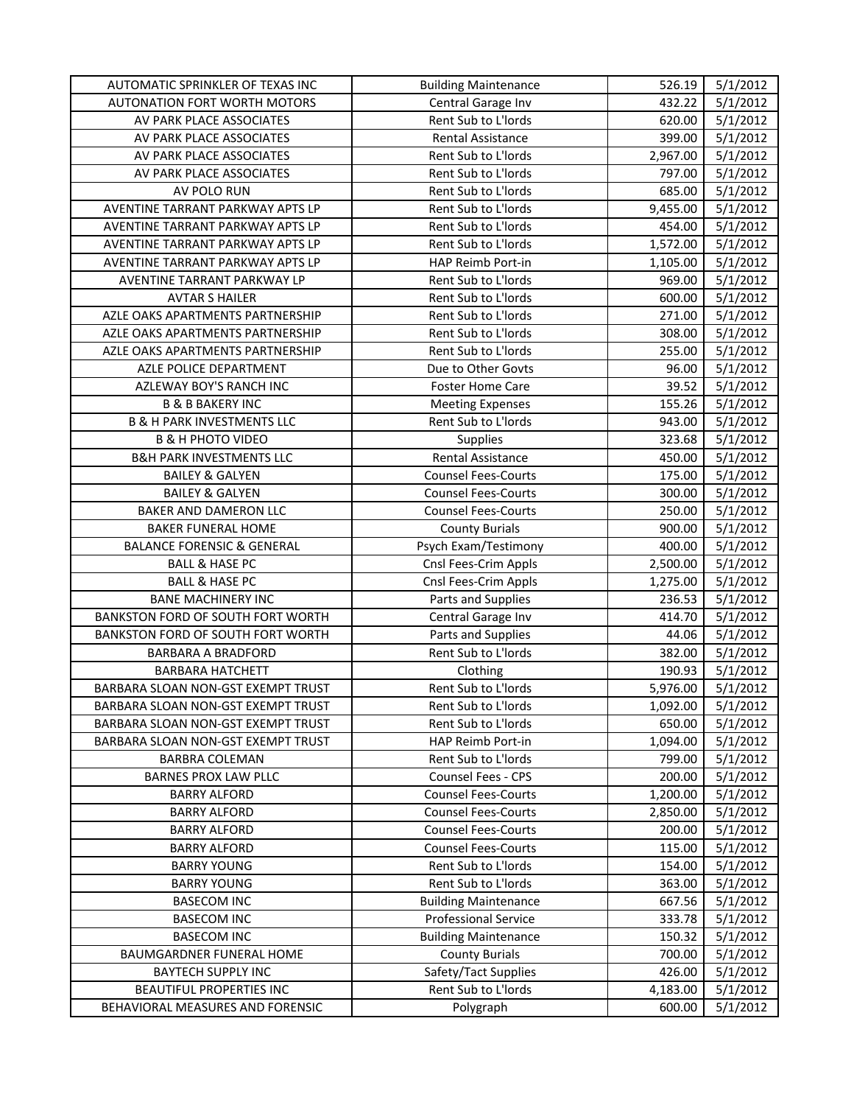| AUTOMATIC SPRINKLER OF TEXAS INC      | <b>Building Maintenance</b> | 526.19   | 5/1/2012 |
|---------------------------------------|-----------------------------|----------|----------|
| <b>AUTONATION FORT WORTH MOTORS</b>   | Central Garage Inv          | 432.22   | 5/1/2012 |
| AV PARK PLACE ASSOCIATES              | Rent Sub to L'Iords         | 620.00   | 5/1/2012 |
| AV PARK PLACE ASSOCIATES              | Rental Assistance           | 399.00   | 5/1/2012 |
| AV PARK PLACE ASSOCIATES              | Rent Sub to L'Iords         | 2,967.00 | 5/1/2012 |
| AV PARK PLACE ASSOCIATES              | Rent Sub to L'Iords         | 797.00   | 5/1/2012 |
| AV POLO RUN                           | Rent Sub to L'Iords         | 685.00   | 5/1/2012 |
| AVENTINE TARRANT PARKWAY APTS LP      | Rent Sub to L'Iords         | 9,455.00 | 5/1/2012 |
| AVENTINE TARRANT PARKWAY APTS LP      | Rent Sub to L'Iords         | 454.00   | 5/1/2012 |
| AVENTINE TARRANT PARKWAY APTS LP      | Rent Sub to L'Iords         | 1,572.00 | 5/1/2012 |
| AVENTINE TARRANT PARKWAY APTS LP      | HAP Reimb Port-in           | 1,105.00 | 5/1/2012 |
| AVENTINE TARRANT PARKWAY LP           | Rent Sub to L'Iords         | 969.00   | 5/1/2012 |
| <b>AVTAR S HAILER</b>                 | Rent Sub to L'Iords         | 600.00   | 5/1/2012 |
| AZLE OAKS APARTMENTS PARTNERSHIP      | Rent Sub to L'Iords         | 271.00   | 5/1/2012 |
| AZLE OAKS APARTMENTS PARTNERSHIP      | Rent Sub to L'Iords         | 308.00   | 5/1/2012 |
| AZLE OAKS APARTMENTS PARTNERSHIP      | Rent Sub to L'Iords         | 255.00   | 5/1/2012 |
| AZLE POLICE DEPARTMENT                | Due to Other Govts          | 96.00    | 5/1/2012 |
| AZLEWAY BOY'S RANCH INC               | <b>Foster Home Care</b>     | 39.52    | 5/1/2012 |
| <b>B &amp; B BAKERY INC</b>           | <b>Meeting Expenses</b>     | 155.26   | 5/1/2012 |
| <b>B &amp; H PARK INVESTMENTS LLC</b> | Rent Sub to L'Iords         | 943.00   | 5/1/2012 |
| <b>B &amp; H PHOTO VIDEO</b>          | Supplies                    | 323.68   | 5/1/2012 |
| <b>B&amp;H PARK INVESTMENTS LLC</b>   | Rental Assistance           | 450.00   | 5/1/2012 |
| <b>BAILEY &amp; GALYEN</b>            | <b>Counsel Fees-Courts</b>  | 175.00   | 5/1/2012 |
| <b>BAILEY &amp; GALYEN</b>            | <b>Counsel Fees-Courts</b>  | 300.00   | 5/1/2012 |
| BAKER AND DAMERON LLC                 | <b>Counsel Fees-Courts</b>  | 250.00   | 5/1/2012 |
| <b>BAKER FUNERAL HOME</b>             | <b>County Burials</b>       | 900.00   | 5/1/2012 |
| <b>BALANCE FORENSIC &amp; GENERAL</b> | Psych Exam/Testimony        | 400.00   | 5/1/2012 |
| <b>BALL &amp; HASE PC</b>             | Cnsl Fees-Crim Appls        | 2,500.00 | 5/1/2012 |
| <b>BALL &amp; HASE PC</b>             | Cnsl Fees-Crim Appls        | 1,275.00 | 5/1/2012 |
| <b>BANE MACHINERY INC</b>             | Parts and Supplies          | 236.53   | 5/1/2012 |
| BANKSTON FORD OF SOUTH FORT WORTH     | Central Garage Inv          | 414.70   | 5/1/2012 |
| BANKSTON FORD OF SOUTH FORT WORTH     | Parts and Supplies          | 44.06    | 5/1/2012 |
| <b>BARBARA A BRADFORD</b>             | Rent Sub to L'Iords         | 382.00   | 5/1/2012 |
| <b>BARBARA HATCHETT</b>               | Clothing                    | 190.93   | 5/1/2012 |
| BARBARA SLOAN NON-GST EXEMPT TRUST    | Rent Sub to L'Iords         | 5,976.00 | 5/1/2012 |
| BARBARA SLOAN NON-GST EXEMPT TRUST    | Rent Sub to L'Iords         | 1,092.00 | 5/1/2012 |
| BARBARA SLOAN NON-GST EXEMPT TRUST    | Rent Sub to L'Iords         | 650.00   | 5/1/2012 |
| BARBARA SLOAN NON-GST EXEMPT TRUST    | HAP Reimb Port-in           | 1,094.00 | 5/1/2012 |
| <b>BARBRA COLEMAN</b>                 | Rent Sub to L'Iords         | 799.00   | 5/1/2012 |
| BARNES PROX LAW PLLC                  | Counsel Fees - CPS          | 200.00   | 5/1/2012 |
| <b>BARRY ALFORD</b>                   | <b>Counsel Fees-Courts</b>  | 1,200.00 | 5/1/2012 |
| <b>BARRY ALFORD</b>                   | <b>Counsel Fees-Courts</b>  | 2,850.00 | 5/1/2012 |
| <b>BARRY ALFORD</b>                   | <b>Counsel Fees-Courts</b>  | 200.00   | 5/1/2012 |
| <b>BARRY ALFORD</b>                   | <b>Counsel Fees-Courts</b>  | 115.00   | 5/1/2012 |
| <b>BARRY YOUNG</b>                    | Rent Sub to L'Iords         | 154.00   | 5/1/2012 |
| <b>BARRY YOUNG</b>                    | Rent Sub to L'Iords         | 363.00   | 5/1/2012 |
| <b>BASECOM INC</b>                    | <b>Building Maintenance</b> | 667.56   | 5/1/2012 |
| <b>BASECOM INC</b>                    | <b>Professional Service</b> | 333.78   | 5/1/2012 |
| <b>BASECOM INC</b>                    | <b>Building Maintenance</b> | 150.32   | 5/1/2012 |
| BAUMGARDNER FUNERAL HOME              | <b>County Burials</b>       | 700.00   | 5/1/2012 |
| <b>BAYTECH SUPPLY INC</b>             | Safety/Tact Supplies        | 426.00   | 5/1/2012 |
| BEAUTIFUL PROPERTIES INC              | Rent Sub to L'Iords         | 4,183.00 | 5/1/2012 |
| BEHAVIORAL MEASURES AND FORENSIC      | Polygraph                   | 600.00   | 5/1/2012 |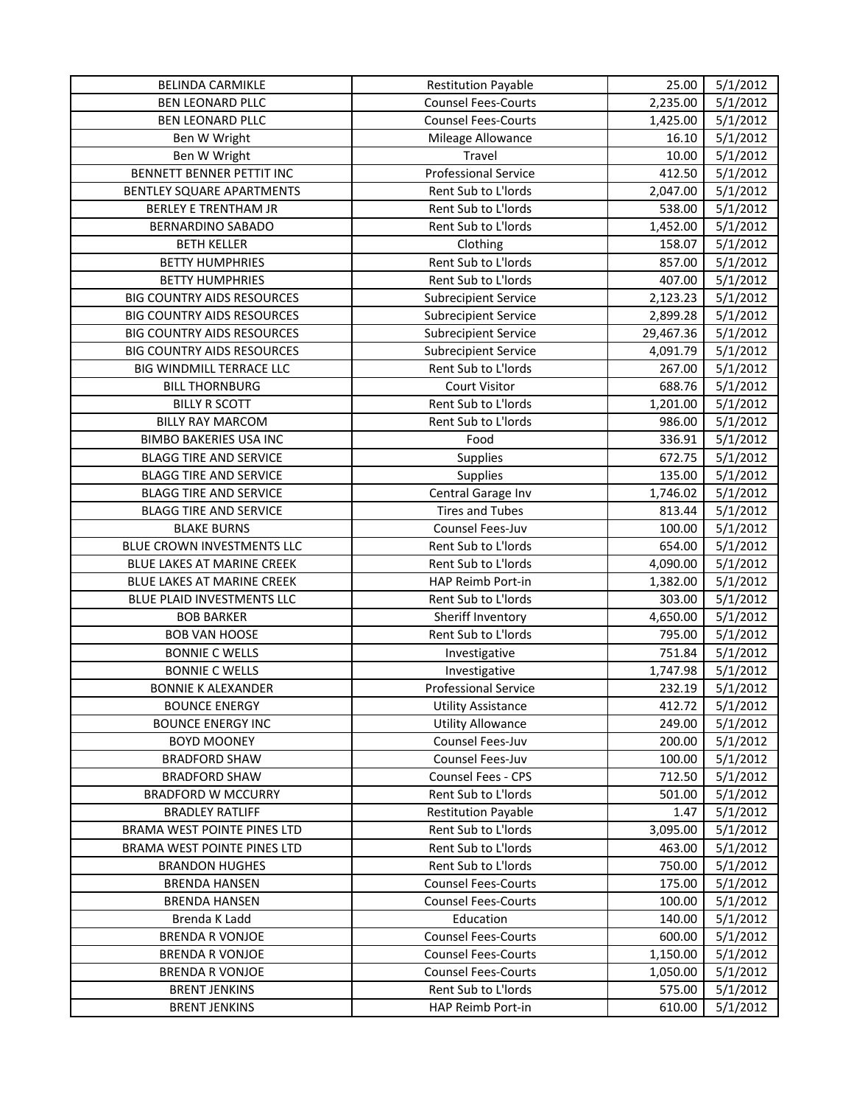| <b>BELINDA CARMIKLE</b>                          | <b>Restitution Payable</b>              | 25.00                | 5/1/2012             |
|--------------------------------------------------|-----------------------------------------|----------------------|----------------------|
| <b>BEN LEONARD PLLC</b>                          | <b>Counsel Fees-Courts</b>              | 2,235.00             | 5/1/2012             |
| <b>BEN LEONARD PLLC</b>                          | <b>Counsel Fees-Courts</b>              | 1,425.00             | 5/1/2012             |
| Ben W Wright                                     | Mileage Allowance                       | 16.10                | 5/1/2012             |
| Ben W Wright                                     | Travel                                  | 10.00                | 5/1/2012             |
| BENNETT BENNER PETTIT INC                        | <b>Professional Service</b>             | 412.50               | 5/1/2012             |
| BENTLEY SQUARE APARTMENTS                        | Rent Sub to L'Iords                     | 2,047.00             | 5/1/2012             |
| <b>BERLEY E TRENTHAM JR</b>                      | Rent Sub to L'Iords                     | 538.00               | 5/1/2012             |
| BERNARDINO SABADO                                | Rent Sub to L'Iords                     | 1,452.00             | 5/1/2012             |
| <b>BETH KELLER</b>                               | Clothing                                | 158.07               | 5/1/2012             |
| <b>BETTY HUMPHRIES</b>                           | Rent Sub to L'Iords                     | 857.00               | 5/1/2012             |
| <b>BETTY HUMPHRIES</b>                           | Rent Sub to L'Iords                     | 407.00               | 5/1/2012             |
| <b>BIG COUNTRY AIDS RESOURCES</b>                | <b>Subrecipient Service</b>             | 2,123.23             | 5/1/2012             |
| <b>BIG COUNTRY AIDS RESOURCES</b>                | <b>Subrecipient Service</b>             | 2,899.28             | 5/1/2012             |
| <b>BIG COUNTRY AIDS RESOURCES</b>                | <b>Subrecipient Service</b>             | 29,467.36            | 5/1/2012             |
| <b>BIG COUNTRY AIDS RESOURCES</b>                | <b>Subrecipient Service</b>             | 4,091.79             | 5/1/2012             |
| BIG WINDMILL TERRACE LLC                         | Rent Sub to L'Iords                     | 267.00               | 5/1/2012             |
| <b>BILL THORNBURG</b>                            | <b>Court Visitor</b>                    | 688.76               | 5/1/2012             |
| <b>BILLY R SCOTT</b>                             | Rent Sub to L'Iords                     | 1,201.00             | 5/1/2012             |
| <b>BILLY RAY MARCOM</b>                          | Rent Sub to L'Iords                     | 986.00               | 5/1/2012             |
| <b>BIMBO BAKERIES USA INC</b>                    | Food                                    | 336.91               | 5/1/2012             |
| <b>BLAGG TIRE AND SERVICE</b>                    | Supplies                                | 672.75               | 5/1/2012             |
| <b>BLAGG TIRE AND SERVICE</b>                    | <b>Supplies</b>                         | 135.00               | 5/1/2012             |
| <b>BLAGG TIRE AND SERVICE</b>                    | Central Garage Inv                      | 1,746.02             | 5/1/2012             |
| <b>BLAGG TIRE AND SERVICE</b>                    | <b>Tires and Tubes</b>                  | 813.44               | 5/1/2012             |
| <b>BLAKE BURNS</b>                               | Counsel Fees-Juv                        | 100.00               | 5/1/2012             |
| BLUE CROWN INVESTMENTS LLC                       | Rent Sub to L'Iords                     | 654.00               | 5/1/2012             |
| BLUE LAKES AT MARINE CREEK                       | Rent Sub to L'Iords                     | 4,090.00             | 5/1/2012             |
| BLUE LAKES AT MARINE CREEK                       | HAP Reimb Port-in                       | 1,382.00             | 5/1/2012             |
| BLUE PLAID INVESTMENTS LLC                       | Rent Sub to L'Iords                     | 303.00               | 5/1/2012             |
| <b>BOB BARKER</b>                                | Sheriff Inventory                       | 4,650.00             | 5/1/2012             |
| <b>BOB VAN HOOSE</b>                             | Rent Sub to L'Iords                     | 795.00               | 5/1/2012             |
| <b>BONNIE C WELLS</b>                            | Investigative                           | 751.84               | 5/1/2012             |
| <b>BONNIE C WELLS</b>                            | Investigative                           | 1,747.98             | 5/1/2012             |
| <b>BONNIE K ALEXANDER</b>                        | <b>Professional Service</b>             | 232.19               | 5/1/2012             |
| <b>BOUNCE ENERGY</b>                             | <b>Utility Assistance</b>               | 412.72               | 5/1/2012             |
| <b>BOUNCE ENERGY INC</b>                         | <b>Utility Allowance</b>                | 249.00               | 5/1/2012             |
| <b>BOYD MOONEY</b>                               | Counsel Fees-Juv                        | 200.00               | 5/1/2012             |
| <b>BRADFORD SHAW</b>                             | Counsel Fees-Juv                        | 100.00               | 5/1/2012             |
| <b>BRADFORD SHAW</b>                             | <b>Counsel Fees - CPS</b>               | 712.50               | 5/1/2012             |
| <b>BRADFORD W MCCURRY</b>                        | Rent Sub to L'Iords                     | 501.00               | 5/1/2012             |
| <b>BRADLEY RATLIFF</b>                           | <b>Restitution Payable</b>              | 1.47                 | 5/1/2012             |
| BRAMA WEST POINTE PINES LTD                      | Rent Sub to L'Iords                     | 3,095.00             | 5/1/2012             |
| <b>BRAMA WEST POINTE PINES LTD</b>               | Rent Sub to L'Iords                     | 463.00               |                      |
|                                                  |                                         |                      | 5/1/2012             |
| <b>BRANDON HUGHES</b>                            | Rent Sub to L'Iords                     | 750.00               | 5/1/2012             |
| <b>BRENDA HANSEN</b>                             | <b>Counsel Fees-Courts</b>              | 175.00               | 5/1/2012             |
| <b>BRENDA HANSEN</b>                             | <b>Counsel Fees-Courts</b>              | 100.00               | 5/1/2012             |
| Brenda K Ladd                                    | Education<br><b>Counsel Fees-Courts</b> | 140.00<br>600.00     | 5/1/2012             |
| <b>BRENDA R VONJOE</b>                           | <b>Counsel Fees-Courts</b>              |                      | 5/1/2012             |
| <b>BRENDA R VONJOE</b><br><b>BRENDA R VONJOE</b> | <b>Counsel Fees-Courts</b>              | 1,150.00<br>1,050.00 | 5/1/2012<br>5/1/2012 |
| <b>BRENT JENKINS</b>                             | Rent Sub to L'Iords                     | 575.00               | 5/1/2012             |
| <b>BRENT JENKINS</b>                             | HAP Reimb Port-in                       |                      |                      |
|                                                  |                                         | 610.00               | 5/1/2012             |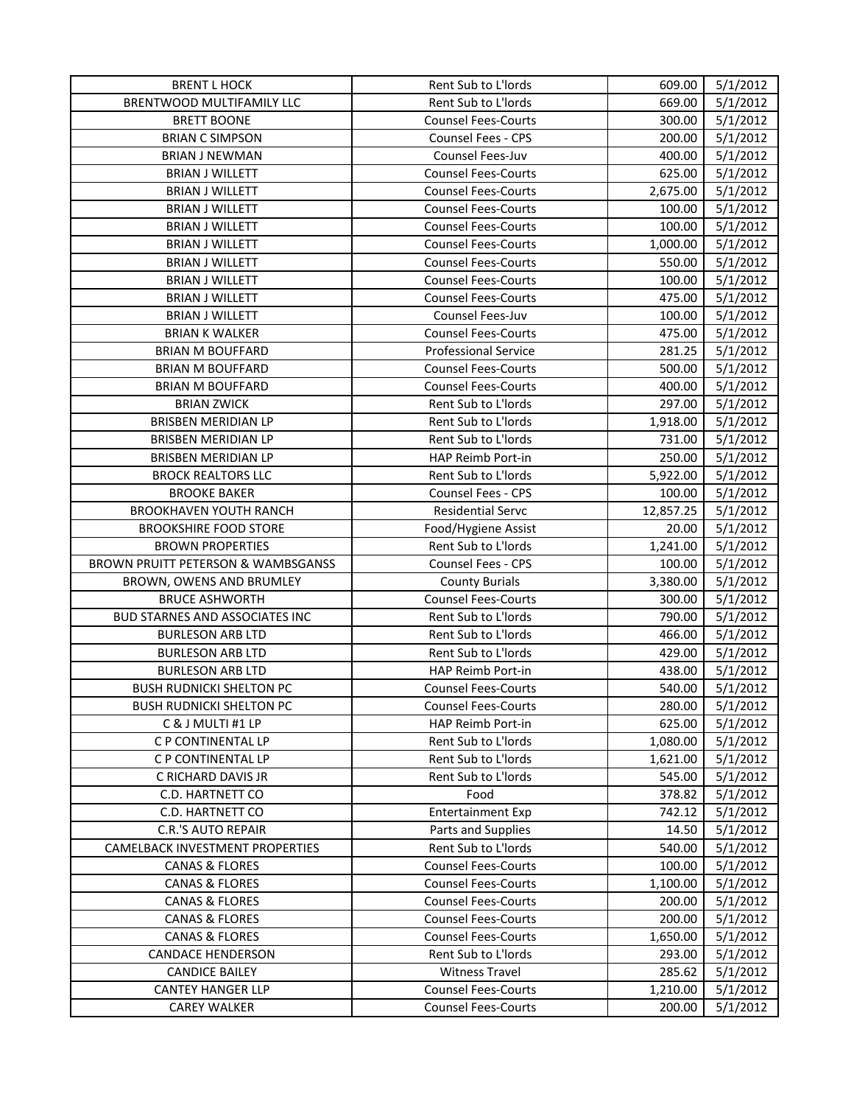| <b>BRENT L HOCK</b>                   | Rent Sub to L'Iords         | 609.00    | 5/1/2012 |
|---------------------------------------|-----------------------------|-----------|----------|
| BRENTWOOD MULTIFAMILY LLC             | Rent Sub to L'Iords         | 669.00    | 5/1/2012 |
| <b>BRETT BOONE</b>                    | <b>Counsel Fees-Courts</b>  | 300.00    | 5/1/2012 |
| <b>BRIAN C SIMPSON</b>                | <b>Counsel Fees - CPS</b>   | 200.00    | 5/1/2012 |
| <b>BRIAN J NEWMAN</b>                 | Counsel Fees-Juv            | 400.00    | 5/1/2012 |
| <b>BRIAN J WILLETT</b>                | <b>Counsel Fees-Courts</b>  | 625.00    | 5/1/2012 |
| <b>BRIAN J WILLETT</b>                | <b>Counsel Fees-Courts</b>  | 2,675.00  | 5/1/2012 |
| <b>BRIAN J WILLETT</b>                | <b>Counsel Fees-Courts</b>  | 100.00    | 5/1/2012 |
| <b>BRIAN J WILLETT</b>                | <b>Counsel Fees-Courts</b>  | 100.00    | 5/1/2012 |
| <b>BRIAN J WILLETT</b>                | <b>Counsel Fees-Courts</b>  | 1,000.00  | 5/1/2012 |
| <b>BRIAN J WILLETT</b>                | <b>Counsel Fees-Courts</b>  | 550.00    | 5/1/2012 |
| <b>BRIAN J WILLETT</b>                | <b>Counsel Fees-Courts</b>  | 100.00    | 5/1/2012 |
| <b>BRIAN J WILLETT</b>                | <b>Counsel Fees-Courts</b>  | 475.00    | 5/1/2012 |
| <b>BRIAN J WILLETT</b>                | Counsel Fees-Juv            | 100.00    | 5/1/2012 |
| <b>BRIAN K WALKER</b>                 | <b>Counsel Fees-Courts</b>  | 475.00    | 5/1/2012 |
| <b>BRIAN M BOUFFARD</b>               | <b>Professional Service</b> | 281.25    | 5/1/2012 |
| <b>BRIAN M BOUFFARD</b>               | <b>Counsel Fees-Courts</b>  | 500.00    | 5/1/2012 |
| <b>BRIAN M BOUFFARD</b>               | <b>Counsel Fees-Courts</b>  | 400.00    | 5/1/2012 |
| <b>BRIAN ZWICK</b>                    | Rent Sub to L'Iords         | 297.00    | 5/1/2012 |
| <b>BRISBEN MERIDIAN LP</b>            | Rent Sub to L'Iords         | 1,918.00  | 5/1/2012 |
| BRISBEN MERIDIAN LP                   | Rent Sub to L'Iords         | 731.00    | 5/1/2012 |
| BRISBEN MERIDIAN LP                   | HAP Reimb Port-in           | 250.00    | 5/1/2012 |
| <b>BROCK REALTORS LLC</b>             | Rent Sub to L'Iords         | 5,922.00  | 5/1/2012 |
| <b>BROOKE BAKER</b>                   | Counsel Fees - CPS          | 100.00    | 5/1/2012 |
| <b>BROOKHAVEN YOUTH RANCH</b>         | <b>Residential Servc</b>    | 12,857.25 | 5/1/2012 |
| <b>BROOKSHIRE FOOD STORE</b>          | Food/Hygiene Assist         | 20.00     | 5/1/2012 |
| <b>BROWN PROPERTIES</b>               | Rent Sub to L'Iords         | 1,241.00  | 5/1/2012 |
| BROWN PRUITT PETERSON & WAMBSGANSS    | Counsel Fees - CPS          | 100.00    | 5/1/2012 |
| BROWN, OWENS AND BRUMLEY              | <b>County Burials</b>       | 3,380.00  | 5/1/2012 |
| <b>BRUCE ASHWORTH</b>                 | <b>Counsel Fees-Courts</b>  | 300.00    | 5/1/2012 |
| <b>BUD STARNES AND ASSOCIATES INC</b> | <b>Rent Sub to L'Iords</b>  | 790.00    | 5/1/2012 |
| <b>BURLESON ARB LTD</b>               | Rent Sub to L'Iords         | 466.00    | 5/1/2012 |
| <b>BURLESON ARB LTD</b>               | Rent Sub to L'Iords         | 429.00    | 5/1/2012 |
| <b>BURLESON ARB LTD</b>               | HAP Reimb Port-in           | 438.00    | 5/1/2012 |
| <b>BUSH RUDNICKI SHELTON PC</b>       | <b>Counsel Fees-Courts</b>  | 540.00    | 5/1/2012 |
| <b>BUSH RUDNICKI SHELTON PC</b>       | <b>Counsel Fees-Courts</b>  | 280.00    | 5/1/2012 |
| C & J MULTI #1 LP                     | HAP Reimb Port-in           | 625.00    | 5/1/2012 |
| C P CONTINENTAL LP                    | Rent Sub to L'Iords         | 1,080.00  | 5/1/2012 |
| C P CONTINENTAL LP                    | Rent Sub to L'Iords         | 1,621.00  | 5/1/2012 |
| C RICHARD DAVIS JR                    | Rent Sub to L'Iords         | 545.00    | 5/1/2012 |
| <b>C.D. HARTNETT CO</b>               | Food                        | 378.82    | 5/1/2012 |
| <b>C.D. HARTNETT CO</b>               | <b>Entertainment Exp</b>    | 742.12    | 5/1/2012 |
| C.R.'S AUTO REPAIR                    | Parts and Supplies          | 14.50     | 5/1/2012 |
| CAMELBACK INVESTMENT PROPERTIES       | Rent Sub to L'Iords         | 540.00    | 5/1/2012 |
| <b>CANAS &amp; FLORES</b>             | <b>Counsel Fees-Courts</b>  | 100.00    | 5/1/2012 |
| <b>CANAS &amp; FLORES</b>             | <b>Counsel Fees-Courts</b>  | 1,100.00  | 5/1/2012 |
| <b>CANAS &amp; FLORES</b>             | <b>Counsel Fees-Courts</b>  | 200.00    | 5/1/2012 |
| <b>CANAS &amp; FLORES</b>             | <b>Counsel Fees-Courts</b>  | 200.00    | 5/1/2012 |
| <b>CANAS &amp; FLORES</b>             | <b>Counsel Fees-Courts</b>  | 1,650.00  | 5/1/2012 |
| <b>CANDACE HENDERSON</b>              | Rent Sub to L'Iords         | 293.00    | 5/1/2012 |
| <b>CANDICE BAILEY</b>                 | <b>Witness Travel</b>       | 285.62    | 5/1/2012 |
| <b>CANTEY HANGER LLP</b>              | <b>Counsel Fees-Courts</b>  | 1,210.00  | 5/1/2012 |
| <b>CAREY WALKER</b>                   | <b>Counsel Fees-Courts</b>  | 200.00    | 5/1/2012 |
|                                       |                             |           |          |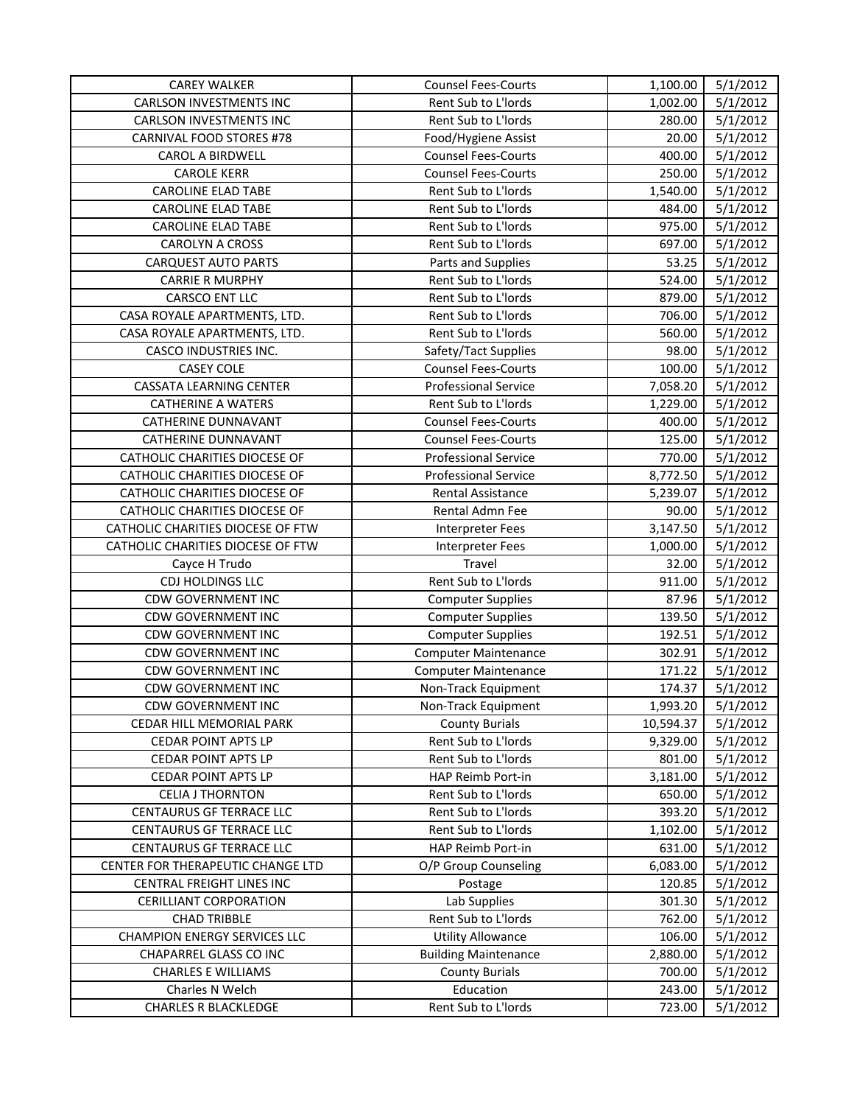| <b>CAREY WALKER</b>                 | <b>Counsel Fees-Courts</b>  | 1,100.00  | 5/1/2012 |
|-------------------------------------|-----------------------------|-----------|----------|
| <b>CARLSON INVESTMENTS INC</b>      | Rent Sub to L'Iords         | 1,002.00  | 5/1/2012 |
| <b>CARLSON INVESTMENTS INC</b>      | Rent Sub to L'Iords         | 280.00    | 5/1/2012 |
| CARNIVAL FOOD STORES #78            | Food/Hygiene Assist         | 20.00     | 5/1/2012 |
| CAROL A BIRDWELL                    | <b>Counsel Fees-Courts</b>  | 400.00    | 5/1/2012 |
| <b>CAROLE KERR</b>                  | <b>Counsel Fees-Courts</b>  | 250.00    | 5/1/2012 |
| <b>CAROLINE ELAD TABE</b>           | Rent Sub to L'Iords         | 1,540.00  | 5/1/2012 |
| <b>CAROLINE ELAD TABE</b>           | Rent Sub to L'Iords         | 484.00    | 5/1/2012 |
| <b>CAROLINE ELAD TABE</b>           | Rent Sub to L'Iords         | 975.00    | 5/1/2012 |
| <b>CAROLYN A CROSS</b>              | Rent Sub to L'Iords         | 697.00    | 5/1/2012 |
| <b>CARQUEST AUTO PARTS</b>          | Parts and Supplies          | 53.25     | 5/1/2012 |
| <b>CARRIE R MURPHY</b>              | Rent Sub to L'Iords         | 524.00    | 5/1/2012 |
| CARSCO ENT LLC                      | Rent Sub to L'Iords         | 879.00    | 5/1/2012 |
| CASA ROYALE APARTMENTS, LTD.        | Rent Sub to L'Iords         | 706.00    | 5/1/2012 |
| CASA ROYALE APARTMENTS, LTD.        | Rent Sub to L'Iords         | 560.00    | 5/1/2012 |
| CASCO INDUSTRIES INC.               | Safety/Tact Supplies        | 98.00     | 5/1/2012 |
| <b>CASEY COLE</b>                   | <b>Counsel Fees-Courts</b>  | 100.00    | 5/1/2012 |
| CASSATA LEARNING CENTER             | <b>Professional Service</b> | 7,058.20  | 5/1/2012 |
| <b>CATHERINE A WATERS</b>           | Rent Sub to L'Iords         | 1,229.00  | 5/1/2012 |
| <b>CATHERINE DUNNAVANT</b>          | <b>Counsel Fees-Courts</b>  | 400.00    | 5/1/2012 |
| CATHERINE DUNNAVANT                 | <b>Counsel Fees-Courts</b>  | 125.00    | 5/1/2012 |
| CATHOLIC CHARITIES DIOCESE OF       | <b>Professional Service</b> | 770.00    | 5/1/2012 |
| CATHOLIC CHARITIES DIOCESE OF       | <b>Professional Service</b> | 8,772.50  | 5/1/2012 |
| CATHOLIC CHARITIES DIOCESE OF       | Rental Assistance           | 5,239.07  | 5/1/2012 |
| CATHOLIC CHARITIES DIOCESE OF       | Rental Admn Fee             | 90.00     | 5/1/2012 |
| CATHOLIC CHARITIES DIOCESE OF FTW   | <b>Interpreter Fees</b>     | 3,147.50  | 5/1/2012 |
| CATHOLIC CHARITIES DIOCESE OF FTW   | Interpreter Fees            | 1,000.00  | 5/1/2012 |
| Cayce H Trudo                       | Travel                      | 32.00     | 5/1/2012 |
| CDJ HOLDINGS LLC                    | Rent Sub to L'Iords         | 911.00    | 5/1/2012 |
| <b>CDW GOVERNMENT INC</b>           | <b>Computer Supplies</b>    | 87.96     | 5/1/2012 |
| <b>CDW GOVERNMENT INC</b>           | <b>Computer Supplies</b>    | 139.50    | 5/1/2012 |
| CDW GOVERNMENT INC                  | <b>Computer Supplies</b>    | 192.51    | 5/1/2012 |
| <b>CDW GOVERNMENT INC</b>           | <b>Computer Maintenance</b> | 302.91    | 5/1/2012 |
| CDW GOVERNMENT INC                  | <b>Computer Maintenance</b> | 171.22    | 5/1/2012 |
| <b>CDW GOVERNMENT INC</b>           | Non-Track Equipment         | 174.37    | 5/1/2012 |
| <b>CDW GOVERNMENT INC</b>           | Non-Track Equipment         | 1,993.20  | 5/1/2012 |
| CEDAR HILL MEMORIAL PARK            | <b>County Burials</b>       | 10,594.37 | 5/1/2012 |
| <b>CEDAR POINT APTS LP</b>          | Rent Sub to L'Iords         | 9,329.00  | 5/1/2012 |
| <b>CEDAR POINT APTS LP</b>          | Rent Sub to L'Iords         | 801.00    | 5/1/2012 |
| <b>CEDAR POINT APTS LP</b>          | HAP Reimb Port-in           | 3,181.00  | 5/1/2012 |
| <b>CELIA J THORNTON</b>             | Rent Sub to L'Iords         | 650.00    | 5/1/2012 |
| CENTAURUS GF TERRACE LLC            | Rent Sub to L'Iords         | 393.20    | 5/1/2012 |
| CENTAURUS GF TERRACE LLC            | Rent Sub to L'Iords         | 1,102.00  | 5/1/2012 |
| CENTAURUS GF TERRACE LLC            | HAP Reimb Port-in           | 631.00    | 5/1/2012 |
| CENTER FOR THERAPEUTIC CHANGE LTD   | O/P Group Counseling        | 6,083.00  | 5/1/2012 |
| CENTRAL FREIGHT LINES INC           | Postage                     | 120.85    | 5/1/2012 |
| CERILLIANT CORPORATION              | Lab Supplies                | 301.30    | 5/1/2012 |
| <b>CHAD TRIBBLE</b>                 | Rent Sub to L'Iords         | 762.00    | 5/1/2012 |
| <b>CHAMPION ENERGY SERVICES LLC</b> | <b>Utility Allowance</b>    | 106.00    | 5/1/2012 |
| CHAPARREL GLASS CO INC              | <b>Building Maintenance</b> | 2,880.00  | 5/1/2012 |
| <b>CHARLES E WILLIAMS</b>           | <b>County Burials</b>       | 700.00    | 5/1/2012 |
| Charles N Welch                     | Education                   | 243.00    | 5/1/2012 |
| <b>CHARLES R BLACKLEDGE</b>         | Rent Sub to L'Iords         | 723.00    | 5/1/2012 |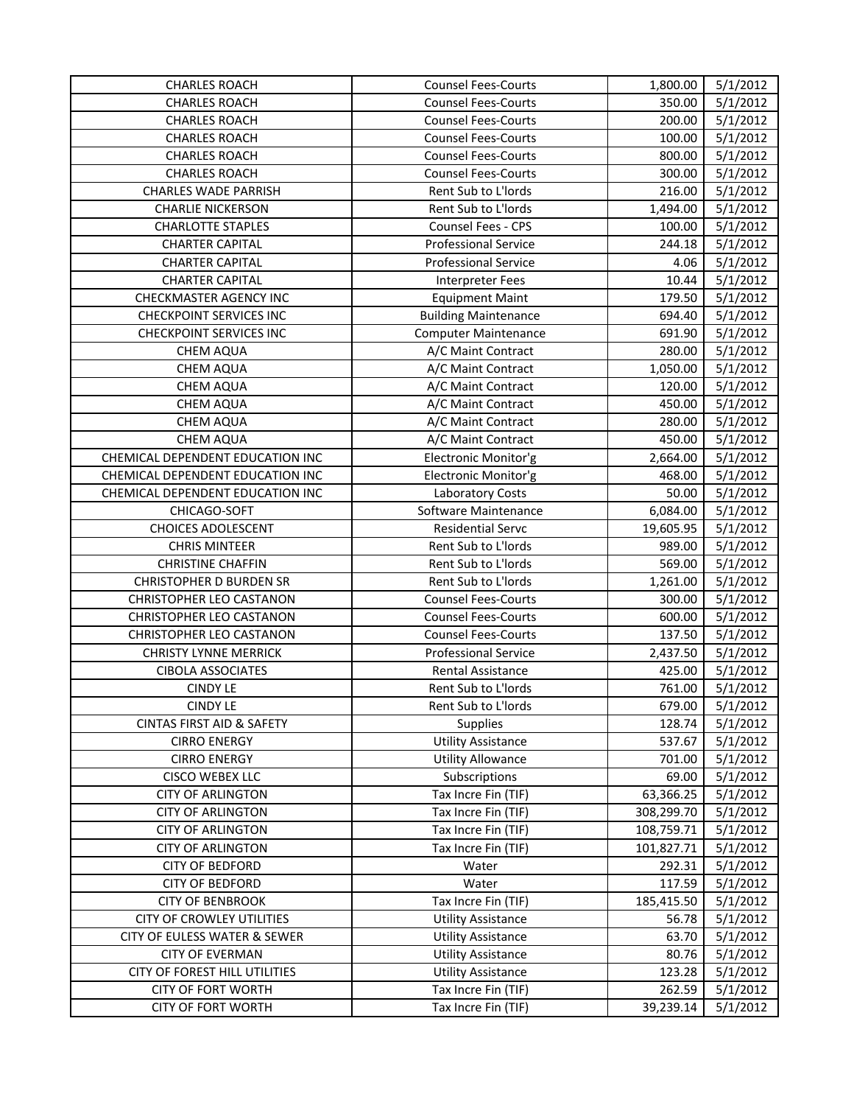| 5/1/2012<br><b>CHARLES ROACH</b><br><b>Counsel Fees-Courts</b><br>350.00<br><b>CHARLES ROACH</b><br><b>Counsel Fees-Courts</b><br>200.00<br>5/1/2012<br><b>Counsel Fees-Courts</b><br>5/1/2012<br><b>CHARLES ROACH</b><br>100.00<br>5/1/2012<br><b>CHARLES ROACH</b><br><b>Counsel Fees-Courts</b><br>800.00<br><b>Counsel Fees-Courts</b><br>300.00<br>5/1/2012<br><b>CHARLES ROACH</b><br><b>CHARLES WADE PARRISH</b><br>Rent Sub to L'Iords<br>216.00<br>5/1/2012<br>5/1/2012<br><b>CHARLIE NICKERSON</b><br>Rent Sub to L'Iords<br>1,494.00<br><b>CHARLOTTE STAPLES</b><br>Counsel Fees - CPS<br>5/1/2012<br>100.00<br>5/1/2012<br><b>CHARTER CAPITAL</b><br><b>Professional Service</b><br>244.18<br><b>CHARTER CAPITAL</b><br><b>Professional Service</b><br>4.06<br>5/1/2012<br>5/1/2012<br><b>CHARTER CAPITAL</b><br>10.44<br><b>Interpreter Fees</b><br>179.50<br>5/1/2012<br>CHECKMASTER AGENCY INC<br><b>Equipment Maint</b><br><b>CHECKPOINT SERVICES INC</b><br>694.40<br>5/1/2012<br><b>Building Maintenance</b><br><b>CHECKPOINT SERVICES INC</b><br>691.90<br>5/1/2012<br><b>Computer Maintenance</b><br>280.00<br>5/1/2012<br><b>CHEM AQUA</b><br>A/C Maint Contract<br>1,050.00<br>5/1/2012<br><b>CHEM AQUA</b><br>A/C Maint Contract<br>5/1/2012<br><b>CHEM AQUA</b><br>A/C Maint Contract<br>120.00<br>450.00<br>5/1/2012<br>CHEM AQUA<br>A/C Maint Contract<br>CHEM AQUA<br>280.00<br>5/1/2012<br>A/C Maint Contract<br><b>CHEM AQUA</b><br>450.00<br>5/1/2012<br>A/C Maint Contract<br>CHEMICAL DEPENDENT EDUCATION INC<br>Electronic Monitor'g<br>2,664.00<br>5/1/2012<br>CHEMICAL DEPENDENT EDUCATION INC<br>Electronic Monitor'g<br>468.00<br>5/1/2012<br>CHEMICAL DEPENDENT EDUCATION INC<br>50.00<br>5/1/2012<br>Laboratory Costs<br>CHICAGO-SOFT<br>Software Maintenance<br>6,084.00<br>5/1/2012<br><b>CHOICES ADOLESCENT</b><br>5/1/2012<br><b>Residential Servc</b><br>19,605.95<br><b>CHRIS MINTEER</b><br>Rent Sub to L'Iords<br>989.00<br>5/1/2012<br><b>CHRISTINE CHAFFIN</b><br>Rent Sub to L'Iords<br>569.00<br>5/1/2012<br>5/1/2012<br><b>CHRISTOPHER D BURDEN SR</b><br>Rent Sub to L'Iords<br>1,261.00<br><b>CHRISTOPHER LEO CASTANON</b><br><b>Counsel Fees-Courts</b><br>300.00<br>5/1/2012<br>600.00<br>5/1/2012<br><b>CHRISTOPHER LEO CASTANON</b><br><b>Counsel Fees-Courts</b><br>137.50<br>5/1/2012<br><b>CHRISTOPHER LEO CASTANON</b><br><b>Counsel Fees-Courts</b><br>5/1/2012<br><b>CHRISTY LYNNE MERRICK</b><br><b>Professional Service</b><br>2,437.50<br><b>CIBOLA ASSOCIATES</b><br>425.00<br>5/1/2012<br><b>Rental Assistance</b><br>5/1/2012<br><b>CINDY LE</b><br>Rent Sub to L'Iords<br>761.00<br><b>CINDY LE</b><br>Rent Sub to L'Iords<br>679.00<br>5/1/2012<br><b>CINTAS FIRST AID &amp; SAFETY</b><br>128.74<br>5/1/2012<br><b>Supplies</b><br><b>CIRRO ENERGY</b><br>537.67<br>5/1/2012<br><b>Utility Assistance</b><br>5/1/2012<br><b>CIRRO ENERGY</b><br><b>Utility Allowance</b><br>701.00<br>5/1/2012<br>CISCO WEBEX LLC<br>Subscriptions<br>69.00<br><b>CITY OF ARLINGTON</b><br>63,366.25<br>5/1/2012<br>Tax Incre Fin (TIF)<br>Tax Incre Fin (TIF)<br>5/1/2012<br><b>CITY OF ARLINGTON</b><br>308,299.70<br><b>CITY OF ARLINGTON</b><br>Tax Incre Fin (TIF)<br>108,759.71<br>5/1/2012<br><b>CITY OF ARLINGTON</b><br>Tax Incre Fin (TIF)<br>101,827.71<br>5/1/2012<br><b>CITY OF BEDFORD</b><br>5/1/2012<br>Water<br>292.31<br>5/1/2012<br><b>CITY OF BEDFORD</b><br>Water<br>117.59<br><b>CITY OF BENBROOK</b><br>Tax Incre Fin (TIF)<br>185,415.50<br>5/1/2012<br>CITY OF CROWLEY UTILITIES<br><b>Utility Assistance</b><br>56.78<br>5/1/2012<br>CITY OF EULESS WATER & SEWER<br><b>Utility Assistance</b><br>63.70<br>5/1/2012<br>5/1/2012<br><b>CITY OF EVERMAN</b><br><b>Utility Assistance</b><br>80.76<br>CITY OF FOREST HILL UTILITIES<br><b>Utility Assistance</b><br>123.28<br>5/1/2012<br><b>CITY OF FORT WORTH</b><br>Tax Incre Fin (TIF)<br>262.59<br>5/1/2012<br><b>CITY OF FORT WORTH</b><br>Tax Incre Fin (TIF)<br>39,239.14<br>5/1/2012 | <b>CHARLES ROACH</b> | <b>Counsel Fees-Courts</b> | 1,800.00 | 5/1/2012 |
|-------------------------------------------------------------------------------------------------------------------------------------------------------------------------------------------------------------------------------------------------------------------------------------------------------------------------------------------------------------------------------------------------------------------------------------------------------------------------------------------------------------------------------------------------------------------------------------------------------------------------------------------------------------------------------------------------------------------------------------------------------------------------------------------------------------------------------------------------------------------------------------------------------------------------------------------------------------------------------------------------------------------------------------------------------------------------------------------------------------------------------------------------------------------------------------------------------------------------------------------------------------------------------------------------------------------------------------------------------------------------------------------------------------------------------------------------------------------------------------------------------------------------------------------------------------------------------------------------------------------------------------------------------------------------------------------------------------------------------------------------------------------------------------------------------------------------------------------------------------------------------------------------------------------------------------------------------------------------------------------------------------------------------------------------------------------------------------------------------------------------------------------------------------------------------------------------------------------------------------------------------------------------------------------------------------------------------------------------------------------------------------------------------------------------------------------------------------------------------------------------------------------------------------------------------------------------------------------------------------------------------------------------------------------------------------------------------------------------------------------------------------------------------------------------------------------------------------------------------------------------------------------------------------------------------------------------------------------------------------------------------------------------------------------------------------------------------------------------------------------------------------------------------------------------------------------------------------------------------------------------------------------------------------------------------------------------------------------------------------------------------------------------------------------------------------------------------------------------------------------------------------------------------------------------------------------------------------------------------------------------------------------------------------------------------------------------------------------------------------------------------------------------------------------------------------------------------------------------------------------------------------------------------------------------------------------------------------------------------------------------------------------------------|----------------------|----------------------------|----------|----------|
|                                                                                                                                                                                                                                                                                                                                                                                                                                                                                                                                                                                                                                                                                                                                                                                                                                                                                                                                                                                                                                                                                                                                                                                                                                                                                                                                                                                                                                                                                                                                                                                                                                                                                                                                                                                                                                                                                                                                                                                                                                                                                                                                                                                                                                                                                                                                                                                                                                                                                                                                                                                                                                                                                                                                                                                                                                                                                                                                                                                                                                                                                                                                                                                                                                                                                                                                                                                                                                                                                                                                                                                                                                                                                                                                                                                                                                                                                                                                                                                                                               |                      |                            |          |          |
|                                                                                                                                                                                                                                                                                                                                                                                                                                                                                                                                                                                                                                                                                                                                                                                                                                                                                                                                                                                                                                                                                                                                                                                                                                                                                                                                                                                                                                                                                                                                                                                                                                                                                                                                                                                                                                                                                                                                                                                                                                                                                                                                                                                                                                                                                                                                                                                                                                                                                                                                                                                                                                                                                                                                                                                                                                                                                                                                                                                                                                                                                                                                                                                                                                                                                                                                                                                                                                                                                                                                                                                                                                                                                                                                                                                                                                                                                                                                                                                                                               |                      |                            |          |          |
|                                                                                                                                                                                                                                                                                                                                                                                                                                                                                                                                                                                                                                                                                                                                                                                                                                                                                                                                                                                                                                                                                                                                                                                                                                                                                                                                                                                                                                                                                                                                                                                                                                                                                                                                                                                                                                                                                                                                                                                                                                                                                                                                                                                                                                                                                                                                                                                                                                                                                                                                                                                                                                                                                                                                                                                                                                                                                                                                                                                                                                                                                                                                                                                                                                                                                                                                                                                                                                                                                                                                                                                                                                                                                                                                                                                                                                                                                                                                                                                                                               |                      |                            |          |          |
|                                                                                                                                                                                                                                                                                                                                                                                                                                                                                                                                                                                                                                                                                                                                                                                                                                                                                                                                                                                                                                                                                                                                                                                                                                                                                                                                                                                                                                                                                                                                                                                                                                                                                                                                                                                                                                                                                                                                                                                                                                                                                                                                                                                                                                                                                                                                                                                                                                                                                                                                                                                                                                                                                                                                                                                                                                                                                                                                                                                                                                                                                                                                                                                                                                                                                                                                                                                                                                                                                                                                                                                                                                                                                                                                                                                                                                                                                                                                                                                                                               |                      |                            |          |          |
|                                                                                                                                                                                                                                                                                                                                                                                                                                                                                                                                                                                                                                                                                                                                                                                                                                                                                                                                                                                                                                                                                                                                                                                                                                                                                                                                                                                                                                                                                                                                                                                                                                                                                                                                                                                                                                                                                                                                                                                                                                                                                                                                                                                                                                                                                                                                                                                                                                                                                                                                                                                                                                                                                                                                                                                                                                                                                                                                                                                                                                                                                                                                                                                                                                                                                                                                                                                                                                                                                                                                                                                                                                                                                                                                                                                                                                                                                                                                                                                                                               |                      |                            |          |          |
|                                                                                                                                                                                                                                                                                                                                                                                                                                                                                                                                                                                                                                                                                                                                                                                                                                                                                                                                                                                                                                                                                                                                                                                                                                                                                                                                                                                                                                                                                                                                                                                                                                                                                                                                                                                                                                                                                                                                                                                                                                                                                                                                                                                                                                                                                                                                                                                                                                                                                                                                                                                                                                                                                                                                                                                                                                                                                                                                                                                                                                                                                                                                                                                                                                                                                                                                                                                                                                                                                                                                                                                                                                                                                                                                                                                                                                                                                                                                                                                                                               |                      |                            |          |          |
|                                                                                                                                                                                                                                                                                                                                                                                                                                                                                                                                                                                                                                                                                                                                                                                                                                                                                                                                                                                                                                                                                                                                                                                                                                                                                                                                                                                                                                                                                                                                                                                                                                                                                                                                                                                                                                                                                                                                                                                                                                                                                                                                                                                                                                                                                                                                                                                                                                                                                                                                                                                                                                                                                                                                                                                                                                                                                                                                                                                                                                                                                                                                                                                                                                                                                                                                                                                                                                                                                                                                                                                                                                                                                                                                                                                                                                                                                                                                                                                                                               |                      |                            |          |          |
|                                                                                                                                                                                                                                                                                                                                                                                                                                                                                                                                                                                                                                                                                                                                                                                                                                                                                                                                                                                                                                                                                                                                                                                                                                                                                                                                                                                                                                                                                                                                                                                                                                                                                                                                                                                                                                                                                                                                                                                                                                                                                                                                                                                                                                                                                                                                                                                                                                                                                                                                                                                                                                                                                                                                                                                                                                                                                                                                                                                                                                                                                                                                                                                                                                                                                                                                                                                                                                                                                                                                                                                                                                                                                                                                                                                                                                                                                                                                                                                                                               |                      |                            |          |          |
|                                                                                                                                                                                                                                                                                                                                                                                                                                                                                                                                                                                                                                                                                                                                                                                                                                                                                                                                                                                                                                                                                                                                                                                                                                                                                                                                                                                                                                                                                                                                                                                                                                                                                                                                                                                                                                                                                                                                                                                                                                                                                                                                                                                                                                                                                                                                                                                                                                                                                                                                                                                                                                                                                                                                                                                                                                                                                                                                                                                                                                                                                                                                                                                                                                                                                                                                                                                                                                                                                                                                                                                                                                                                                                                                                                                                                                                                                                                                                                                                                               |                      |                            |          |          |
|                                                                                                                                                                                                                                                                                                                                                                                                                                                                                                                                                                                                                                                                                                                                                                                                                                                                                                                                                                                                                                                                                                                                                                                                                                                                                                                                                                                                                                                                                                                                                                                                                                                                                                                                                                                                                                                                                                                                                                                                                                                                                                                                                                                                                                                                                                                                                                                                                                                                                                                                                                                                                                                                                                                                                                                                                                                                                                                                                                                                                                                                                                                                                                                                                                                                                                                                                                                                                                                                                                                                                                                                                                                                                                                                                                                                                                                                                                                                                                                                                               |                      |                            |          |          |
|                                                                                                                                                                                                                                                                                                                                                                                                                                                                                                                                                                                                                                                                                                                                                                                                                                                                                                                                                                                                                                                                                                                                                                                                                                                                                                                                                                                                                                                                                                                                                                                                                                                                                                                                                                                                                                                                                                                                                                                                                                                                                                                                                                                                                                                                                                                                                                                                                                                                                                                                                                                                                                                                                                                                                                                                                                                                                                                                                                                                                                                                                                                                                                                                                                                                                                                                                                                                                                                                                                                                                                                                                                                                                                                                                                                                                                                                                                                                                                                                                               |                      |                            |          |          |
|                                                                                                                                                                                                                                                                                                                                                                                                                                                                                                                                                                                                                                                                                                                                                                                                                                                                                                                                                                                                                                                                                                                                                                                                                                                                                                                                                                                                                                                                                                                                                                                                                                                                                                                                                                                                                                                                                                                                                                                                                                                                                                                                                                                                                                                                                                                                                                                                                                                                                                                                                                                                                                                                                                                                                                                                                                                                                                                                                                                                                                                                                                                                                                                                                                                                                                                                                                                                                                                                                                                                                                                                                                                                                                                                                                                                                                                                                                                                                                                                                               |                      |                            |          |          |
|                                                                                                                                                                                                                                                                                                                                                                                                                                                                                                                                                                                                                                                                                                                                                                                                                                                                                                                                                                                                                                                                                                                                                                                                                                                                                                                                                                                                                                                                                                                                                                                                                                                                                                                                                                                                                                                                                                                                                                                                                                                                                                                                                                                                                                                                                                                                                                                                                                                                                                                                                                                                                                                                                                                                                                                                                                                                                                                                                                                                                                                                                                                                                                                                                                                                                                                                                                                                                                                                                                                                                                                                                                                                                                                                                                                                                                                                                                                                                                                                                               |                      |                            |          |          |
|                                                                                                                                                                                                                                                                                                                                                                                                                                                                                                                                                                                                                                                                                                                                                                                                                                                                                                                                                                                                                                                                                                                                                                                                                                                                                                                                                                                                                                                                                                                                                                                                                                                                                                                                                                                                                                                                                                                                                                                                                                                                                                                                                                                                                                                                                                                                                                                                                                                                                                                                                                                                                                                                                                                                                                                                                                                                                                                                                                                                                                                                                                                                                                                                                                                                                                                                                                                                                                                                                                                                                                                                                                                                                                                                                                                                                                                                                                                                                                                                                               |                      |                            |          |          |
|                                                                                                                                                                                                                                                                                                                                                                                                                                                                                                                                                                                                                                                                                                                                                                                                                                                                                                                                                                                                                                                                                                                                                                                                                                                                                                                                                                                                                                                                                                                                                                                                                                                                                                                                                                                                                                                                                                                                                                                                                                                                                                                                                                                                                                                                                                                                                                                                                                                                                                                                                                                                                                                                                                                                                                                                                                                                                                                                                                                                                                                                                                                                                                                                                                                                                                                                                                                                                                                                                                                                                                                                                                                                                                                                                                                                                                                                                                                                                                                                                               |                      |                            |          |          |
|                                                                                                                                                                                                                                                                                                                                                                                                                                                                                                                                                                                                                                                                                                                                                                                                                                                                                                                                                                                                                                                                                                                                                                                                                                                                                                                                                                                                                                                                                                                                                                                                                                                                                                                                                                                                                                                                                                                                                                                                                                                                                                                                                                                                                                                                                                                                                                                                                                                                                                                                                                                                                                                                                                                                                                                                                                                                                                                                                                                                                                                                                                                                                                                                                                                                                                                                                                                                                                                                                                                                                                                                                                                                                                                                                                                                                                                                                                                                                                                                                               |                      |                            |          |          |
|                                                                                                                                                                                                                                                                                                                                                                                                                                                                                                                                                                                                                                                                                                                                                                                                                                                                                                                                                                                                                                                                                                                                                                                                                                                                                                                                                                                                                                                                                                                                                                                                                                                                                                                                                                                                                                                                                                                                                                                                                                                                                                                                                                                                                                                                                                                                                                                                                                                                                                                                                                                                                                                                                                                                                                                                                                                                                                                                                                                                                                                                                                                                                                                                                                                                                                                                                                                                                                                                                                                                                                                                                                                                                                                                                                                                                                                                                                                                                                                                                               |                      |                            |          |          |
|                                                                                                                                                                                                                                                                                                                                                                                                                                                                                                                                                                                                                                                                                                                                                                                                                                                                                                                                                                                                                                                                                                                                                                                                                                                                                                                                                                                                                                                                                                                                                                                                                                                                                                                                                                                                                                                                                                                                                                                                                                                                                                                                                                                                                                                                                                                                                                                                                                                                                                                                                                                                                                                                                                                                                                                                                                                                                                                                                                                                                                                                                                                                                                                                                                                                                                                                                                                                                                                                                                                                                                                                                                                                                                                                                                                                                                                                                                                                                                                                                               |                      |                            |          |          |
|                                                                                                                                                                                                                                                                                                                                                                                                                                                                                                                                                                                                                                                                                                                                                                                                                                                                                                                                                                                                                                                                                                                                                                                                                                                                                                                                                                                                                                                                                                                                                                                                                                                                                                                                                                                                                                                                                                                                                                                                                                                                                                                                                                                                                                                                                                                                                                                                                                                                                                                                                                                                                                                                                                                                                                                                                                                                                                                                                                                                                                                                                                                                                                                                                                                                                                                                                                                                                                                                                                                                                                                                                                                                                                                                                                                                                                                                                                                                                                                                                               |                      |                            |          |          |
|                                                                                                                                                                                                                                                                                                                                                                                                                                                                                                                                                                                                                                                                                                                                                                                                                                                                                                                                                                                                                                                                                                                                                                                                                                                                                                                                                                                                                                                                                                                                                                                                                                                                                                                                                                                                                                                                                                                                                                                                                                                                                                                                                                                                                                                                                                                                                                                                                                                                                                                                                                                                                                                                                                                                                                                                                                                                                                                                                                                                                                                                                                                                                                                                                                                                                                                                                                                                                                                                                                                                                                                                                                                                                                                                                                                                                                                                                                                                                                                                                               |                      |                            |          |          |
|                                                                                                                                                                                                                                                                                                                                                                                                                                                                                                                                                                                                                                                                                                                                                                                                                                                                                                                                                                                                                                                                                                                                                                                                                                                                                                                                                                                                                                                                                                                                                                                                                                                                                                                                                                                                                                                                                                                                                                                                                                                                                                                                                                                                                                                                                                                                                                                                                                                                                                                                                                                                                                                                                                                                                                                                                                                                                                                                                                                                                                                                                                                                                                                                                                                                                                                                                                                                                                                                                                                                                                                                                                                                                                                                                                                                                                                                                                                                                                                                                               |                      |                            |          |          |
|                                                                                                                                                                                                                                                                                                                                                                                                                                                                                                                                                                                                                                                                                                                                                                                                                                                                                                                                                                                                                                                                                                                                                                                                                                                                                                                                                                                                                                                                                                                                                                                                                                                                                                                                                                                                                                                                                                                                                                                                                                                                                                                                                                                                                                                                                                                                                                                                                                                                                                                                                                                                                                                                                                                                                                                                                                                                                                                                                                                                                                                                                                                                                                                                                                                                                                                                                                                                                                                                                                                                                                                                                                                                                                                                                                                                                                                                                                                                                                                                                               |                      |                            |          |          |
|                                                                                                                                                                                                                                                                                                                                                                                                                                                                                                                                                                                                                                                                                                                                                                                                                                                                                                                                                                                                                                                                                                                                                                                                                                                                                                                                                                                                                                                                                                                                                                                                                                                                                                                                                                                                                                                                                                                                                                                                                                                                                                                                                                                                                                                                                                                                                                                                                                                                                                                                                                                                                                                                                                                                                                                                                                                                                                                                                                                                                                                                                                                                                                                                                                                                                                                                                                                                                                                                                                                                                                                                                                                                                                                                                                                                                                                                                                                                                                                                                               |                      |                            |          |          |
|                                                                                                                                                                                                                                                                                                                                                                                                                                                                                                                                                                                                                                                                                                                                                                                                                                                                                                                                                                                                                                                                                                                                                                                                                                                                                                                                                                                                                                                                                                                                                                                                                                                                                                                                                                                                                                                                                                                                                                                                                                                                                                                                                                                                                                                                                                                                                                                                                                                                                                                                                                                                                                                                                                                                                                                                                                                                                                                                                                                                                                                                                                                                                                                                                                                                                                                                                                                                                                                                                                                                                                                                                                                                                                                                                                                                                                                                                                                                                                                                                               |                      |                            |          |          |
|                                                                                                                                                                                                                                                                                                                                                                                                                                                                                                                                                                                                                                                                                                                                                                                                                                                                                                                                                                                                                                                                                                                                                                                                                                                                                                                                                                                                                                                                                                                                                                                                                                                                                                                                                                                                                                                                                                                                                                                                                                                                                                                                                                                                                                                                                                                                                                                                                                                                                                                                                                                                                                                                                                                                                                                                                                                                                                                                                                                                                                                                                                                                                                                                                                                                                                                                                                                                                                                                                                                                                                                                                                                                                                                                                                                                                                                                                                                                                                                                                               |                      |                            |          |          |
|                                                                                                                                                                                                                                                                                                                                                                                                                                                                                                                                                                                                                                                                                                                                                                                                                                                                                                                                                                                                                                                                                                                                                                                                                                                                                                                                                                                                                                                                                                                                                                                                                                                                                                                                                                                                                                                                                                                                                                                                                                                                                                                                                                                                                                                                                                                                                                                                                                                                                                                                                                                                                                                                                                                                                                                                                                                                                                                                                                                                                                                                                                                                                                                                                                                                                                                                                                                                                                                                                                                                                                                                                                                                                                                                                                                                                                                                                                                                                                                                                               |                      |                            |          |          |
|                                                                                                                                                                                                                                                                                                                                                                                                                                                                                                                                                                                                                                                                                                                                                                                                                                                                                                                                                                                                                                                                                                                                                                                                                                                                                                                                                                                                                                                                                                                                                                                                                                                                                                                                                                                                                                                                                                                                                                                                                                                                                                                                                                                                                                                                                                                                                                                                                                                                                                                                                                                                                                                                                                                                                                                                                                                                                                                                                                                                                                                                                                                                                                                                                                                                                                                                                                                                                                                                                                                                                                                                                                                                                                                                                                                                                                                                                                                                                                                                                               |                      |                            |          |          |
|                                                                                                                                                                                                                                                                                                                                                                                                                                                                                                                                                                                                                                                                                                                                                                                                                                                                                                                                                                                                                                                                                                                                                                                                                                                                                                                                                                                                                                                                                                                                                                                                                                                                                                                                                                                                                                                                                                                                                                                                                                                                                                                                                                                                                                                                                                                                                                                                                                                                                                                                                                                                                                                                                                                                                                                                                                                                                                                                                                                                                                                                                                                                                                                                                                                                                                                                                                                                                                                                                                                                                                                                                                                                                                                                                                                                                                                                                                                                                                                                                               |                      |                            |          |          |
|                                                                                                                                                                                                                                                                                                                                                                                                                                                                                                                                                                                                                                                                                                                                                                                                                                                                                                                                                                                                                                                                                                                                                                                                                                                                                                                                                                                                                                                                                                                                                                                                                                                                                                                                                                                                                                                                                                                                                                                                                                                                                                                                                                                                                                                                                                                                                                                                                                                                                                                                                                                                                                                                                                                                                                                                                                                                                                                                                                                                                                                                                                                                                                                                                                                                                                                                                                                                                                                                                                                                                                                                                                                                                                                                                                                                                                                                                                                                                                                                                               |                      |                            |          |          |
|                                                                                                                                                                                                                                                                                                                                                                                                                                                                                                                                                                                                                                                                                                                                                                                                                                                                                                                                                                                                                                                                                                                                                                                                                                                                                                                                                                                                                                                                                                                                                                                                                                                                                                                                                                                                                                                                                                                                                                                                                                                                                                                                                                                                                                                                                                                                                                                                                                                                                                                                                                                                                                                                                                                                                                                                                                                                                                                                                                                                                                                                                                                                                                                                                                                                                                                                                                                                                                                                                                                                                                                                                                                                                                                                                                                                                                                                                                                                                                                                                               |                      |                            |          |          |
|                                                                                                                                                                                                                                                                                                                                                                                                                                                                                                                                                                                                                                                                                                                                                                                                                                                                                                                                                                                                                                                                                                                                                                                                                                                                                                                                                                                                                                                                                                                                                                                                                                                                                                                                                                                                                                                                                                                                                                                                                                                                                                                                                                                                                                                                                                                                                                                                                                                                                                                                                                                                                                                                                                                                                                                                                                                                                                                                                                                                                                                                                                                                                                                                                                                                                                                                                                                                                                                                                                                                                                                                                                                                                                                                                                                                                                                                                                                                                                                                                               |                      |                            |          |          |
|                                                                                                                                                                                                                                                                                                                                                                                                                                                                                                                                                                                                                                                                                                                                                                                                                                                                                                                                                                                                                                                                                                                                                                                                                                                                                                                                                                                                                                                                                                                                                                                                                                                                                                                                                                                                                                                                                                                                                                                                                                                                                                                                                                                                                                                                                                                                                                                                                                                                                                                                                                                                                                                                                                                                                                                                                                                                                                                                                                                                                                                                                                                                                                                                                                                                                                                                                                                                                                                                                                                                                                                                                                                                                                                                                                                                                                                                                                                                                                                                                               |                      |                            |          |          |
|                                                                                                                                                                                                                                                                                                                                                                                                                                                                                                                                                                                                                                                                                                                                                                                                                                                                                                                                                                                                                                                                                                                                                                                                                                                                                                                                                                                                                                                                                                                                                                                                                                                                                                                                                                                                                                                                                                                                                                                                                                                                                                                                                                                                                                                                                                                                                                                                                                                                                                                                                                                                                                                                                                                                                                                                                                                                                                                                                                                                                                                                                                                                                                                                                                                                                                                                                                                                                                                                                                                                                                                                                                                                                                                                                                                                                                                                                                                                                                                                                               |                      |                            |          |          |
|                                                                                                                                                                                                                                                                                                                                                                                                                                                                                                                                                                                                                                                                                                                                                                                                                                                                                                                                                                                                                                                                                                                                                                                                                                                                                                                                                                                                                                                                                                                                                                                                                                                                                                                                                                                                                                                                                                                                                                                                                                                                                                                                                                                                                                                                                                                                                                                                                                                                                                                                                                                                                                                                                                                                                                                                                                                                                                                                                                                                                                                                                                                                                                                                                                                                                                                                                                                                                                                                                                                                                                                                                                                                                                                                                                                                                                                                                                                                                                                                                               |                      |                            |          |          |
|                                                                                                                                                                                                                                                                                                                                                                                                                                                                                                                                                                                                                                                                                                                                                                                                                                                                                                                                                                                                                                                                                                                                                                                                                                                                                                                                                                                                                                                                                                                                                                                                                                                                                                                                                                                                                                                                                                                                                                                                                                                                                                                                                                                                                                                                                                                                                                                                                                                                                                                                                                                                                                                                                                                                                                                                                                                                                                                                                                                                                                                                                                                                                                                                                                                                                                                                                                                                                                                                                                                                                                                                                                                                                                                                                                                                                                                                                                                                                                                                                               |                      |                            |          |          |
|                                                                                                                                                                                                                                                                                                                                                                                                                                                                                                                                                                                                                                                                                                                                                                                                                                                                                                                                                                                                                                                                                                                                                                                                                                                                                                                                                                                                                                                                                                                                                                                                                                                                                                                                                                                                                                                                                                                                                                                                                                                                                                                                                                                                                                                                                                                                                                                                                                                                                                                                                                                                                                                                                                                                                                                                                                                                                                                                                                                                                                                                                                                                                                                                                                                                                                                                                                                                                                                                                                                                                                                                                                                                                                                                                                                                                                                                                                                                                                                                                               |                      |                            |          |          |
|                                                                                                                                                                                                                                                                                                                                                                                                                                                                                                                                                                                                                                                                                                                                                                                                                                                                                                                                                                                                                                                                                                                                                                                                                                                                                                                                                                                                                                                                                                                                                                                                                                                                                                                                                                                                                                                                                                                                                                                                                                                                                                                                                                                                                                                                                                                                                                                                                                                                                                                                                                                                                                                                                                                                                                                                                                                                                                                                                                                                                                                                                                                                                                                                                                                                                                                                                                                                                                                                                                                                                                                                                                                                                                                                                                                                                                                                                                                                                                                                                               |                      |                            |          |          |
|                                                                                                                                                                                                                                                                                                                                                                                                                                                                                                                                                                                                                                                                                                                                                                                                                                                                                                                                                                                                                                                                                                                                                                                                                                                                                                                                                                                                                                                                                                                                                                                                                                                                                                                                                                                                                                                                                                                                                                                                                                                                                                                                                                                                                                                                                                                                                                                                                                                                                                                                                                                                                                                                                                                                                                                                                                                                                                                                                                                                                                                                                                                                                                                                                                                                                                                                                                                                                                                                                                                                                                                                                                                                                                                                                                                                                                                                                                                                                                                                                               |                      |                            |          |          |
|                                                                                                                                                                                                                                                                                                                                                                                                                                                                                                                                                                                                                                                                                                                                                                                                                                                                                                                                                                                                                                                                                                                                                                                                                                                                                                                                                                                                                                                                                                                                                                                                                                                                                                                                                                                                                                                                                                                                                                                                                                                                                                                                                                                                                                                                                                                                                                                                                                                                                                                                                                                                                                                                                                                                                                                                                                                                                                                                                                                                                                                                                                                                                                                                                                                                                                                                                                                                                                                                                                                                                                                                                                                                                                                                                                                                                                                                                                                                                                                                                               |                      |                            |          |          |
|                                                                                                                                                                                                                                                                                                                                                                                                                                                                                                                                                                                                                                                                                                                                                                                                                                                                                                                                                                                                                                                                                                                                                                                                                                                                                                                                                                                                                                                                                                                                                                                                                                                                                                                                                                                                                                                                                                                                                                                                                                                                                                                                                                                                                                                                                                                                                                                                                                                                                                                                                                                                                                                                                                                                                                                                                                                                                                                                                                                                                                                                                                                                                                                                                                                                                                                                                                                                                                                                                                                                                                                                                                                                                                                                                                                                                                                                                                                                                                                                                               |                      |                            |          |          |
|                                                                                                                                                                                                                                                                                                                                                                                                                                                                                                                                                                                                                                                                                                                                                                                                                                                                                                                                                                                                                                                                                                                                                                                                                                                                                                                                                                                                                                                                                                                                                                                                                                                                                                                                                                                                                                                                                                                                                                                                                                                                                                                                                                                                                                                                                                                                                                                                                                                                                                                                                                                                                                                                                                                                                                                                                                                                                                                                                                                                                                                                                                                                                                                                                                                                                                                                                                                                                                                                                                                                                                                                                                                                                                                                                                                                                                                                                                                                                                                                                               |                      |                            |          |          |
|                                                                                                                                                                                                                                                                                                                                                                                                                                                                                                                                                                                                                                                                                                                                                                                                                                                                                                                                                                                                                                                                                                                                                                                                                                                                                                                                                                                                                                                                                                                                                                                                                                                                                                                                                                                                                                                                                                                                                                                                                                                                                                                                                                                                                                                                                                                                                                                                                                                                                                                                                                                                                                                                                                                                                                                                                                                                                                                                                                                                                                                                                                                                                                                                                                                                                                                                                                                                                                                                                                                                                                                                                                                                                                                                                                                                                                                                                                                                                                                                                               |                      |                            |          |          |
|                                                                                                                                                                                                                                                                                                                                                                                                                                                                                                                                                                                                                                                                                                                                                                                                                                                                                                                                                                                                                                                                                                                                                                                                                                                                                                                                                                                                                                                                                                                                                                                                                                                                                                                                                                                                                                                                                                                                                                                                                                                                                                                                                                                                                                                                                                                                                                                                                                                                                                                                                                                                                                                                                                                                                                                                                                                                                                                                                                                                                                                                                                                                                                                                                                                                                                                                                                                                                                                                                                                                                                                                                                                                                                                                                                                                                                                                                                                                                                                                                               |                      |                            |          |          |
|                                                                                                                                                                                                                                                                                                                                                                                                                                                                                                                                                                                                                                                                                                                                                                                                                                                                                                                                                                                                                                                                                                                                                                                                                                                                                                                                                                                                                                                                                                                                                                                                                                                                                                                                                                                                                                                                                                                                                                                                                                                                                                                                                                                                                                                                                                                                                                                                                                                                                                                                                                                                                                                                                                                                                                                                                                                                                                                                                                                                                                                                                                                                                                                                                                                                                                                                                                                                                                                                                                                                                                                                                                                                                                                                                                                                                                                                                                                                                                                                                               |                      |                            |          |          |
|                                                                                                                                                                                                                                                                                                                                                                                                                                                                                                                                                                                                                                                                                                                                                                                                                                                                                                                                                                                                                                                                                                                                                                                                                                                                                                                                                                                                                                                                                                                                                                                                                                                                                                                                                                                                                                                                                                                                                                                                                                                                                                                                                                                                                                                                                                                                                                                                                                                                                                                                                                                                                                                                                                                                                                                                                                                                                                                                                                                                                                                                                                                                                                                                                                                                                                                                                                                                                                                                                                                                                                                                                                                                                                                                                                                                                                                                                                                                                                                                                               |                      |                            |          |          |
|                                                                                                                                                                                                                                                                                                                                                                                                                                                                                                                                                                                                                                                                                                                                                                                                                                                                                                                                                                                                                                                                                                                                                                                                                                                                                                                                                                                                                                                                                                                                                                                                                                                                                                                                                                                                                                                                                                                                                                                                                                                                                                                                                                                                                                                                                                                                                                                                                                                                                                                                                                                                                                                                                                                                                                                                                                                                                                                                                                                                                                                                                                                                                                                                                                                                                                                                                                                                                                                                                                                                                                                                                                                                                                                                                                                                                                                                                                                                                                                                                               |                      |                            |          |          |
|                                                                                                                                                                                                                                                                                                                                                                                                                                                                                                                                                                                                                                                                                                                                                                                                                                                                                                                                                                                                                                                                                                                                                                                                                                                                                                                                                                                                                                                                                                                                                                                                                                                                                                                                                                                                                                                                                                                                                                                                                                                                                                                                                                                                                                                                                                                                                                                                                                                                                                                                                                                                                                                                                                                                                                                                                                                                                                                                                                                                                                                                                                                                                                                                                                                                                                                                                                                                                                                                                                                                                                                                                                                                                                                                                                                                                                                                                                                                                                                                                               |                      |                            |          |          |
|                                                                                                                                                                                                                                                                                                                                                                                                                                                                                                                                                                                                                                                                                                                                                                                                                                                                                                                                                                                                                                                                                                                                                                                                                                                                                                                                                                                                                                                                                                                                                                                                                                                                                                                                                                                                                                                                                                                                                                                                                                                                                                                                                                                                                                                                                                                                                                                                                                                                                                                                                                                                                                                                                                                                                                                                                                                                                                                                                                                                                                                                                                                                                                                                                                                                                                                                                                                                                                                                                                                                                                                                                                                                                                                                                                                                                                                                                                                                                                                                                               |                      |                            |          |          |
|                                                                                                                                                                                                                                                                                                                                                                                                                                                                                                                                                                                                                                                                                                                                                                                                                                                                                                                                                                                                                                                                                                                                                                                                                                                                                                                                                                                                                                                                                                                                                                                                                                                                                                                                                                                                                                                                                                                                                                                                                                                                                                                                                                                                                                                                                                                                                                                                                                                                                                                                                                                                                                                                                                                                                                                                                                                                                                                                                                                                                                                                                                                                                                                                                                                                                                                                                                                                                                                                                                                                                                                                                                                                                                                                                                                                                                                                                                                                                                                                                               |                      |                            |          |          |
|                                                                                                                                                                                                                                                                                                                                                                                                                                                                                                                                                                                                                                                                                                                                                                                                                                                                                                                                                                                                                                                                                                                                                                                                                                                                                                                                                                                                                                                                                                                                                                                                                                                                                                                                                                                                                                                                                                                                                                                                                                                                                                                                                                                                                                                                                                                                                                                                                                                                                                                                                                                                                                                                                                                                                                                                                                                                                                                                                                                                                                                                                                                                                                                                                                                                                                                                                                                                                                                                                                                                                                                                                                                                                                                                                                                                                                                                                                                                                                                                                               |                      |                            |          |          |
|                                                                                                                                                                                                                                                                                                                                                                                                                                                                                                                                                                                                                                                                                                                                                                                                                                                                                                                                                                                                                                                                                                                                                                                                                                                                                                                                                                                                                                                                                                                                                                                                                                                                                                                                                                                                                                                                                                                                                                                                                                                                                                                                                                                                                                                                                                                                                                                                                                                                                                                                                                                                                                                                                                                                                                                                                                                                                                                                                                                                                                                                                                                                                                                                                                                                                                                                                                                                                                                                                                                                                                                                                                                                                                                                                                                                                                                                                                                                                                                                                               |                      |                            |          |          |
|                                                                                                                                                                                                                                                                                                                                                                                                                                                                                                                                                                                                                                                                                                                                                                                                                                                                                                                                                                                                                                                                                                                                                                                                                                                                                                                                                                                                                                                                                                                                                                                                                                                                                                                                                                                                                                                                                                                                                                                                                                                                                                                                                                                                                                                                                                                                                                                                                                                                                                                                                                                                                                                                                                                                                                                                                                                                                                                                                                                                                                                                                                                                                                                                                                                                                                                                                                                                                                                                                                                                                                                                                                                                                                                                                                                                                                                                                                                                                                                                                               |                      |                            |          |          |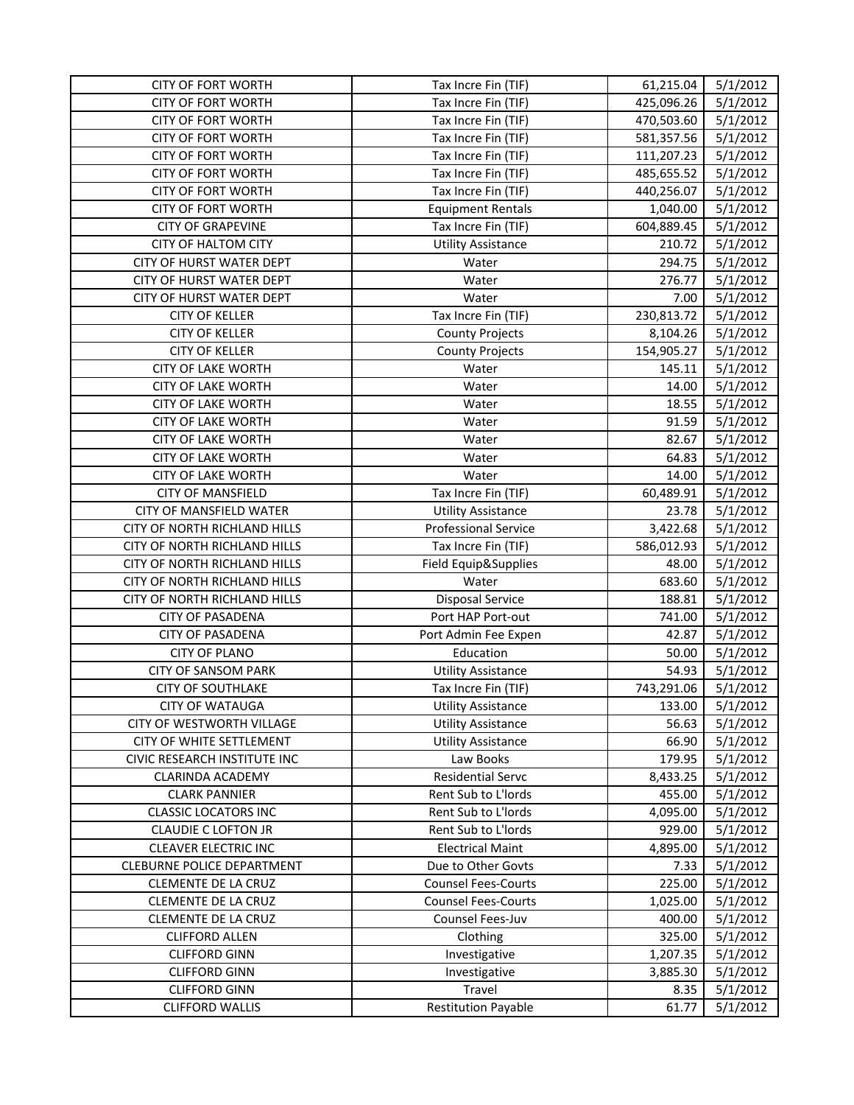| <b>CITY OF FORT WORTH</b>                              | Tax Incre Fin (TIF)                              | 61,215.04       | 5/1/2012             |
|--------------------------------------------------------|--------------------------------------------------|-----------------|----------------------|
| <b>CITY OF FORT WORTH</b>                              | Tax Incre Fin (TIF)                              | 425,096.26      | 5/1/2012             |
| <b>CITY OF FORT WORTH</b>                              | Tax Incre Fin (TIF)                              | 470,503.60      | 5/1/2012             |
| <b>CITY OF FORT WORTH</b>                              | Tax Incre Fin (TIF)                              | 581,357.56      | 5/1/2012             |
| <b>CITY OF FORT WORTH</b>                              | Tax Incre Fin (TIF)                              | 111,207.23      | 5/1/2012             |
| <b>CITY OF FORT WORTH</b>                              | Tax Incre Fin (TIF)                              | 485,655.52      | 5/1/2012             |
| <b>CITY OF FORT WORTH</b>                              | Tax Incre Fin (TIF)                              | 440,256.07      | 5/1/2012             |
| <b>CITY OF FORT WORTH</b>                              | <b>Equipment Rentals</b>                         | 1,040.00        | 5/1/2012             |
| <b>CITY OF GRAPEVINE</b>                               | Tax Incre Fin (TIF)                              | 604,889.45      | 5/1/2012             |
| CITY OF HALTOM CITY                                    | <b>Utility Assistance</b>                        | 210.72          | 5/1/2012             |
| CITY OF HURST WATER DEPT                               | Water                                            | 294.75          | 5/1/2012             |
| CITY OF HURST WATER DEPT                               | Water                                            | 276.77          | 5/1/2012             |
| CITY OF HURST WATER DEPT                               | Water                                            | 7.00            | 5/1/2012             |
| <b>CITY OF KELLER</b>                                  | Tax Incre Fin (TIF)                              | 230,813.72      | 5/1/2012             |
| <b>CITY OF KELLER</b>                                  |                                                  | 8,104.26        | 5/1/2012             |
| <b>CITY OF KELLER</b>                                  | <b>County Projects</b><br><b>County Projects</b> | 154,905.27      | 5/1/2012             |
|                                                        |                                                  |                 |                      |
| <b>CITY OF LAKE WORTH</b><br><b>CITY OF LAKE WORTH</b> | Water                                            | 145.11<br>14.00 | 5/1/2012             |
| <b>CITY OF LAKE WORTH</b>                              | Water                                            | 18.55           | 5/1/2012             |
| <b>CITY OF LAKE WORTH</b>                              | Water                                            | 91.59           | 5/1/2012<br>5/1/2012 |
|                                                        | Water                                            |                 |                      |
| <b>CITY OF LAKE WORTH</b>                              | Water                                            | 82.67           | 5/1/2012             |
| <b>CITY OF LAKE WORTH</b>                              | Water                                            | 64.83           | 5/1/2012             |
| <b>CITY OF LAKE WORTH</b>                              | Water                                            | 14.00           | 5/1/2012             |
| <b>CITY OF MANSFIELD</b>                               | Tax Incre Fin (TIF)                              | 60,489.91       | 5/1/2012             |
| CITY OF MANSFIELD WATER                                | <b>Utility Assistance</b>                        | 23.78           | 5/1/2012             |
| CITY OF NORTH RICHLAND HILLS                           | <b>Professional Service</b>                      | 3,422.68        | 5/1/2012             |
| CITY OF NORTH RICHLAND HILLS                           | Tax Incre Fin (TIF)                              | 586,012.93      | 5/1/2012             |
| CITY OF NORTH RICHLAND HILLS                           | Field Equip&Supplies                             | 48.00           | 5/1/2012             |
| CITY OF NORTH RICHLAND HILLS                           | Water                                            | 683.60          | 5/1/2012             |
| CITY OF NORTH RICHLAND HILLS                           | <b>Disposal Service</b>                          | 188.81          | 5/1/2012             |
| <b>CITY OF PASADENA</b>                                | Port HAP Port-out                                | 741.00          | 5/1/2012             |
| <b>CITY OF PASADENA</b>                                | Port Admin Fee Expen                             | 42.87           | 5/1/2012             |
| <b>CITY OF PLANO</b>                                   | Education                                        | 50.00           | 5/1/2012             |
| <b>CITY OF SANSOM PARK</b>                             | <b>Utility Assistance</b>                        | 54.93           | 5/1/2012             |
| <b>CITY OF SOUTHLAKE</b>                               | Tax Incre Fin (TIF)                              | 743,291.06      | 5/1/2012             |
| <b>CITY OF WATAUGA</b>                                 | <b>Utility Assistance</b>                        | 133.00          | 5/1/2012             |
| CITY OF WESTWORTH VILLAGE                              | <b>Utility Assistance</b>                        | 56.63           | 5/1/2012             |
| CITY OF WHITE SETTLEMENT                               | <b>Utility Assistance</b>                        | 66.90           | 5/1/2012             |
| CIVIC RESEARCH INSTITUTE INC                           | Law Books                                        | 179.95          | 5/1/2012             |
| <b>CLARINDA ACADEMY</b>                                | <b>Residential Servc</b>                         | 8,433.25        | 5/1/2012             |
| <b>CLARK PANNIER</b>                                   | Rent Sub to L'Iords                              | 455.00          | 5/1/2012             |
| <b>CLASSIC LOCATORS INC</b>                            | Rent Sub to L'Iords                              | 4,095.00        | 5/1/2012             |
| <b>CLAUDIE C LOFTON JR</b>                             | Rent Sub to L'Iords                              | 929.00          | 5/1/2012             |
| <b>CLEAVER ELECTRIC INC</b>                            | <b>Electrical Maint</b>                          | 4,895.00        | 5/1/2012             |
| CLEBURNE POLICE DEPARTMENT                             | Due to Other Govts                               | 7.33            | 5/1/2012             |
| <b>CLEMENTE DE LA CRUZ</b>                             | <b>Counsel Fees-Courts</b>                       | 225.00          | 5/1/2012             |
| CLEMENTE DE LA CRUZ                                    | <b>Counsel Fees-Courts</b>                       | 1,025.00        | 5/1/2012             |
| CLEMENTE DE LA CRUZ                                    | Counsel Fees-Juv                                 | 400.00          | 5/1/2012             |
| <b>CLIFFORD ALLEN</b>                                  | Clothing                                         | 325.00          | 5/1/2012             |
| <b>CLIFFORD GINN</b>                                   | Investigative                                    | 1,207.35        | 5/1/2012             |
| <b>CLIFFORD GINN</b>                                   | Investigative                                    | 3,885.30        | 5/1/2012             |
| <b>CLIFFORD GINN</b>                                   | Travel                                           | 8.35            | 5/1/2012             |
| <b>CLIFFORD WALLIS</b>                                 | <b>Restitution Payable</b>                       | 61.77           | 5/1/2012             |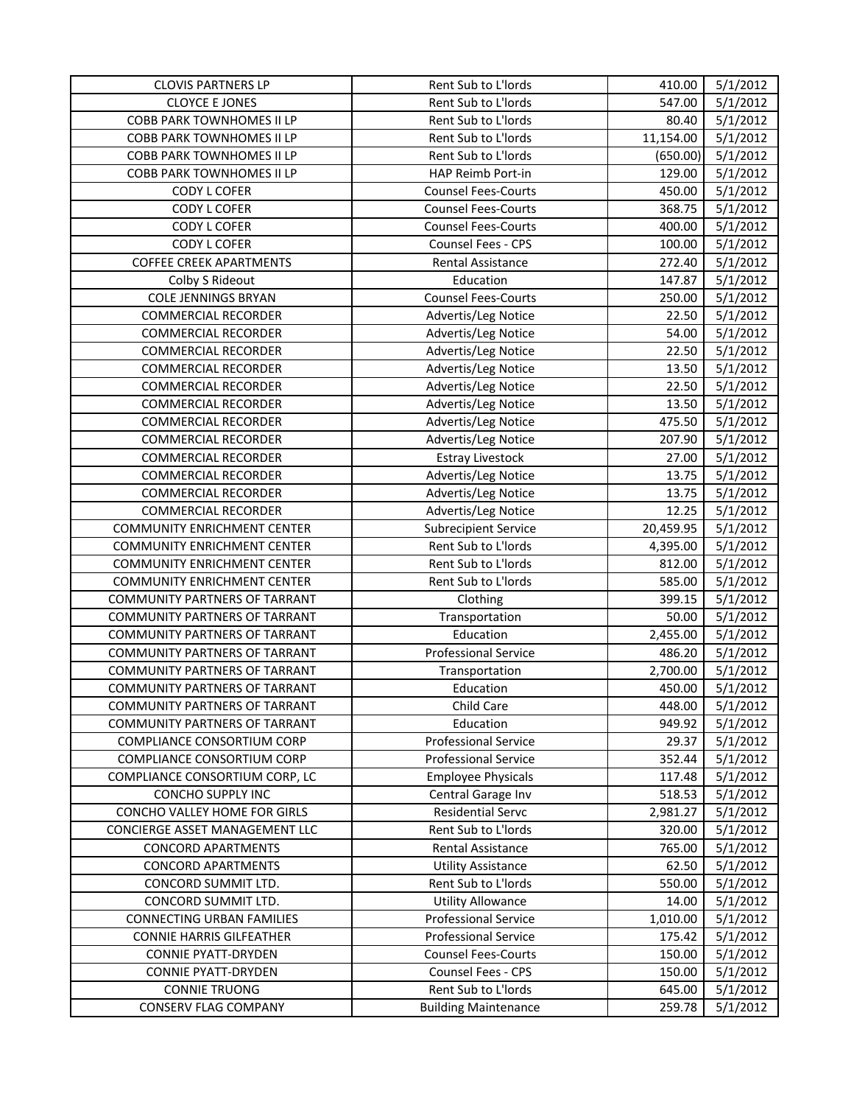| <b>CLOVIS PARTNERS LP</b>            | Rent Sub to L'Iords         | 410.00    | 5/1/2012 |
|--------------------------------------|-----------------------------|-----------|----------|
| <b>CLOYCE E JONES</b>                | Rent Sub to L'Iords         | 547.00    | 5/1/2012 |
| COBB PARK TOWNHOMES II LP            | Rent Sub to L'Iords         | 80.40     | 5/1/2012 |
| COBB PARK TOWNHOMES II LP            | Rent Sub to L'Iords         | 11,154.00 | 5/1/2012 |
| COBB PARK TOWNHOMES II LP            | Rent Sub to L'Iords         | (650.00)  | 5/1/2012 |
| <b>COBB PARK TOWNHOMES II LP</b>     | HAP Reimb Port-in           | 129.00    | 5/1/2012 |
| <b>CODY L COFER</b>                  | <b>Counsel Fees-Courts</b>  | 450.00    | 5/1/2012 |
| <b>CODY L COFER</b>                  | <b>Counsel Fees-Courts</b>  | 368.75    | 5/1/2012 |
| <b>CODY L COFER</b>                  | <b>Counsel Fees-Courts</b>  | 400.00    | 5/1/2012 |
| <b>CODY L COFER</b>                  | Counsel Fees - CPS          | 100.00    | 5/1/2012 |
| <b>COFFEE CREEK APARTMENTS</b>       | Rental Assistance           | 272.40    | 5/1/2012 |
| Colby S Rideout                      | Education                   | 147.87    | 5/1/2012 |
| <b>COLE JENNINGS BRYAN</b>           | <b>Counsel Fees-Courts</b>  | 250.00    | 5/1/2012 |
| <b>COMMERCIAL RECORDER</b>           | Advertis/Leg Notice         | 22.50     | 5/1/2012 |
| <b>COMMERCIAL RECORDER</b>           | Advertis/Leg Notice         | 54.00     | 5/1/2012 |
| <b>COMMERCIAL RECORDER</b>           | Advertis/Leg Notice         | 22.50     | 5/1/2012 |
| <b>COMMERCIAL RECORDER</b>           | Advertis/Leg Notice         | 13.50     | 5/1/2012 |
| <b>COMMERCIAL RECORDER</b>           | Advertis/Leg Notice         | 22.50     | 5/1/2012 |
| <b>COMMERCIAL RECORDER</b>           | Advertis/Leg Notice         | 13.50     | 5/1/2012 |
| <b>COMMERCIAL RECORDER</b>           | Advertis/Leg Notice         | 475.50    | 5/1/2012 |
| <b>COMMERCIAL RECORDER</b>           | Advertis/Leg Notice         | 207.90    | 5/1/2012 |
| <b>COMMERCIAL RECORDER</b>           | <b>Estray Livestock</b>     | 27.00     | 5/1/2012 |
| <b>COMMERCIAL RECORDER</b>           | Advertis/Leg Notice         | 13.75     | 5/1/2012 |
| <b>COMMERCIAL RECORDER</b>           | Advertis/Leg Notice         | 13.75     | 5/1/2012 |
| <b>COMMERCIAL RECORDER</b>           | Advertis/Leg Notice         | 12.25     | 5/1/2012 |
| <b>COMMUNITY ENRICHMENT CENTER</b>   | <b>Subrecipient Service</b> | 20,459.95 | 5/1/2012 |
| <b>COMMUNITY ENRICHMENT CENTER</b>   | Rent Sub to L'Iords         | 4,395.00  | 5/1/2012 |
| <b>COMMUNITY ENRICHMENT CENTER</b>   | Rent Sub to L'Iords         | 812.00    | 5/1/2012 |
| <b>COMMUNITY ENRICHMENT CENTER</b>   | Rent Sub to L'Iords         | 585.00    | 5/1/2012 |
| COMMUNITY PARTNERS OF TARRANT        | Clothing                    | 399.15    | 5/1/2012 |
| COMMUNITY PARTNERS OF TARRANT        | Transportation              | 50.00     | 5/1/2012 |
| COMMUNITY PARTNERS OF TARRANT        | Education                   | 2,455.00  | 5/1/2012 |
| COMMUNITY PARTNERS OF TARRANT        | <b>Professional Service</b> | 486.20    | 5/1/2012 |
| COMMUNITY PARTNERS OF TARRANT        | Transportation              | 2,700.00  | 5/1/2012 |
| COMMUNITY PARTNERS OF TARRANT        | Education                   | 450.00    | 5/1/2012 |
| <b>COMMUNITY PARTNERS OF TARRANT</b> | Child Care                  | 448.00    | 5/1/2012 |
| COMMUNITY PARTNERS OF TARRANT        | Education                   | 949.92    | 5/1/2012 |
| COMPLIANCE CONSORTIUM CORP           | <b>Professional Service</b> | 29.37     | 5/1/2012 |
| COMPLIANCE CONSORTIUM CORP           | <b>Professional Service</b> | 352.44    | 5/1/2012 |
| COMPLIANCE CONSORTIUM CORP, LC       | <b>Employee Physicals</b>   | 117.48    | 5/1/2012 |
| CONCHO SUPPLY INC                    | Central Garage Inv          | 518.53    | 5/1/2012 |
| CONCHO VALLEY HOME FOR GIRLS         | <b>Residential Servc</b>    | 2,981.27  | 5/1/2012 |
| CONCIERGE ASSET MANAGEMENT LLC       | Rent Sub to L'Iords         | 320.00    | 5/1/2012 |
| <b>CONCORD APARTMENTS</b>            | Rental Assistance           | 765.00    | 5/1/2012 |
| <b>CONCORD APARTMENTS</b>            | <b>Utility Assistance</b>   | 62.50     | 5/1/2012 |
| CONCORD SUMMIT LTD.                  | Rent Sub to L'Iords         | 550.00    | 5/1/2012 |
| CONCORD SUMMIT LTD.                  | <b>Utility Allowance</b>    | 14.00     | 5/1/2012 |
| <b>CONNECTING URBAN FAMILIES</b>     | <b>Professional Service</b> | 1,010.00  | 5/1/2012 |
| <b>CONNIE HARRIS GILFEATHER</b>      | <b>Professional Service</b> | 175.42    | 5/1/2012 |
| <b>CONNIE PYATT-DRYDEN</b>           | <b>Counsel Fees-Courts</b>  | 150.00    | 5/1/2012 |
| <b>CONNIE PYATT-DRYDEN</b>           | <b>Counsel Fees - CPS</b>   | 150.00    | 5/1/2012 |
| <b>CONNIE TRUONG</b>                 | Rent Sub to L'Iords         | 645.00    | 5/1/2012 |
| CONSERV FLAG COMPANY                 | <b>Building Maintenance</b> | 259.78    | 5/1/2012 |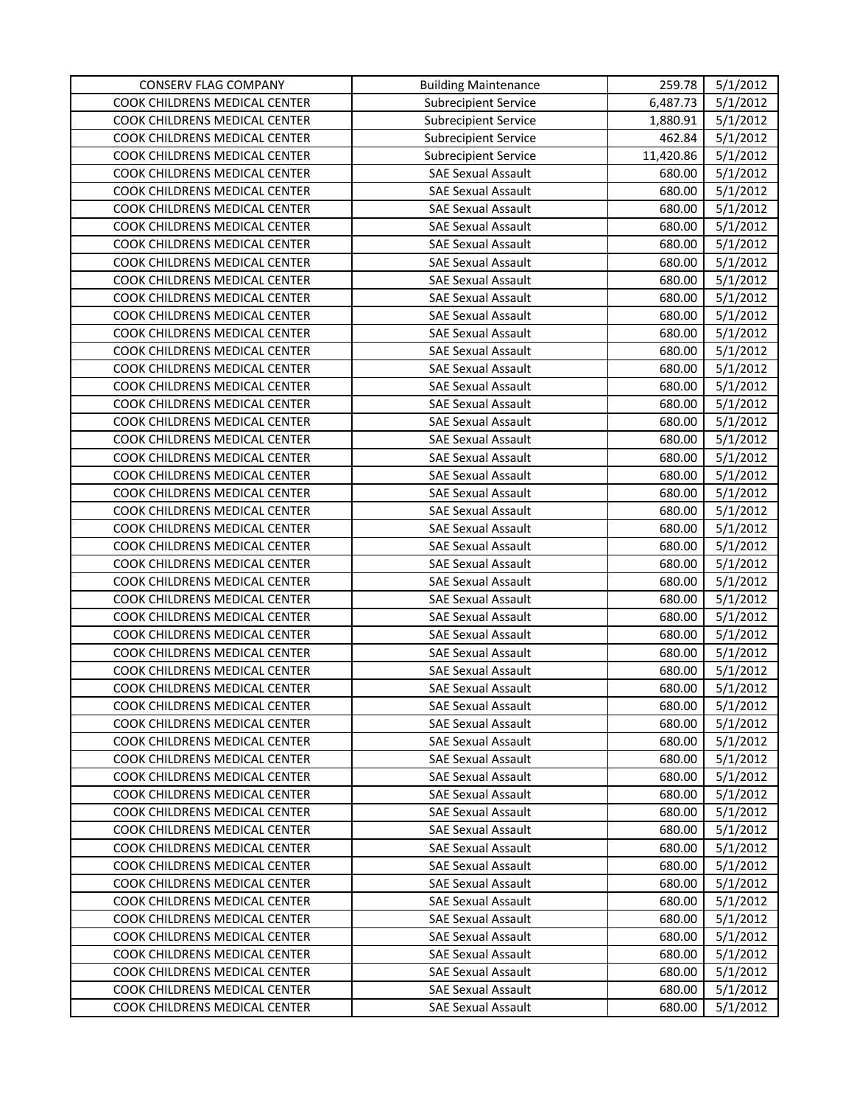| CONSERV FLAG COMPANY                 | <b>Building Maintenance</b> | 259.78    | 5/1/2012 |
|--------------------------------------|-----------------------------|-----------|----------|
| COOK CHILDRENS MEDICAL CENTER        | <b>Subrecipient Service</b> | 6,487.73  | 5/1/2012 |
| COOK CHILDRENS MEDICAL CENTER        | <b>Subrecipient Service</b> | 1,880.91  | 5/1/2012 |
| COOK CHILDRENS MEDICAL CENTER        | <b>Subrecipient Service</b> | 462.84    | 5/1/2012 |
| COOK CHILDRENS MEDICAL CENTER        | <b>Subrecipient Service</b> | 11,420.86 | 5/1/2012 |
| COOK CHILDRENS MEDICAL CENTER        | <b>SAE Sexual Assault</b>   | 680.00    | 5/1/2012 |
| COOK CHILDRENS MEDICAL CENTER        | <b>SAE Sexual Assault</b>   | 680.00    | 5/1/2012 |
| COOK CHILDRENS MEDICAL CENTER        | <b>SAE Sexual Assault</b>   | 680.00    | 5/1/2012 |
| COOK CHILDRENS MEDICAL CENTER        | <b>SAE Sexual Assault</b>   | 680.00    | 5/1/2012 |
| COOK CHILDRENS MEDICAL CENTER        | <b>SAE Sexual Assault</b>   | 680.00    | 5/1/2012 |
| COOK CHILDRENS MEDICAL CENTER        | <b>SAE Sexual Assault</b>   | 680.00    | 5/1/2012 |
| COOK CHILDRENS MEDICAL CENTER        | <b>SAE Sexual Assault</b>   | 680.00    | 5/1/2012 |
| COOK CHILDRENS MEDICAL CENTER        | <b>SAE Sexual Assault</b>   | 680.00    | 5/1/2012 |
| COOK CHILDRENS MEDICAL CENTER        | <b>SAE Sexual Assault</b>   | 680.00    | 5/1/2012 |
| COOK CHILDRENS MEDICAL CENTER        | <b>SAE Sexual Assault</b>   | 680.00    | 5/1/2012 |
| COOK CHILDRENS MEDICAL CENTER        | <b>SAE Sexual Assault</b>   | 680.00    | 5/1/2012 |
| COOK CHILDRENS MEDICAL CENTER        | <b>SAE Sexual Assault</b>   | 680.00    | 5/1/2012 |
| COOK CHILDRENS MEDICAL CENTER        | <b>SAE Sexual Assault</b>   | 680.00    | 5/1/2012 |
| COOK CHILDRENS MEDICAL CENTER        | <b>SAE Sexual Assault</b>   | 680.00    | 5/1/2012 |
| COOK CHILDRENS MEDICAL CENTER        | <b>SAE Sexual Assault</b>   | 680.00    | 5/1/2012 |
| COOK CHILDRENS MEDICAL CENTER        | <b>SAE Sexual Assault</b>   | 680.00    | 5/1/2012 |
| COOK CHILDRENS MEDICAL CENTER        | <b>SAE Sexual Assault</b>   | 680.00    | 5/1/2012 |
| COOK CHILDRENS MEDICAL CENTER        | <b>SAE Sexual Assault</b>   | 680.00    | 5/1/2012 |
| COOK CHILDRENS MEDICAL CENTER        | <b>SAE Sexual Assault</b>   | 680.00    | 5/1/2012 |
| COOK CHILDRENS MEDICAL CENTER        | <b>SAE Sexual Assault</b>   | 680.00    | 5/1/2012 |
| COOK CHILDRENS MEDICAL CENTER        | <b>SAE Sexual Assault</b>   | 680.00    | 5/1/2012 |
| COOK CHILDRENS MEDICAL CENTER        | <b>SAE Sexual Assault</b>   | 680.00    | 5/1/2012 |
| COOK CHILDRENS MEDICAL CENTER        | <b>SAE Sexual Assault</b>   | 680.00    | 5/1/2012 |
| COOK CHILDRENS MEDICAL CENTER        | <b>SAE Sexual Assault</b>   | 680.00    | 5/1/2012 |
| COOK CHILDRENS MEDICAL CENTER        | <b>SAE Sexual Assault</b>   | 680.00    | 5/1/2012 |
| COOK CHILDRENS MEDICAL CENTER        | <b>SAE Sexual Assault</b>   | 680.00    | 5/1/2012 |
| COOK CHILDRENS MEDICAL CENTER        | <b>SAE Sexual Assault</b>   | 680.00    | 5/1/2012 |
| COOK CHILDRENS MEDICAL CENTER        | <b>SAE Sexual Assault</b>   | 680.00    | 5/1/2012 |
| COOK CHILDRENS MEDICAL CENTER        | <b>SAE Sexual Assault</b>   | 680.00    | 5/1/2012 |
| COOK CHILDRENS MEDICAL CENTER        | <b>SAE Sexual Assault</b>   | 680.00    | 5/1/2012 |
| COOK CHILDRENS MEDICAL CENTER        | <b>SAE Sexual Assault</b>   | 680.00    | 5/1/2012 |
| COOK CHILDRENS MEDICAL CENTER        | <b>SAE Sexual Assault</b>   | 680.00    | 5/1/2012 |
| COOK CHILDRENS MEDICAL CENTER        | <b>SAE Sexual Assault</b>   | 680.00    | 5/1/2012 |
| COOK CHILDRENS MEDICAL CENTER        | <b>SAE Sexual Assault</b>   | 680.00    | 5/1/2012 |
| COOK CHILDRENS MEDICAL CENTER        | <b>SAE Sexual Assault</b>   | 680.00    | 5/1/2012 |
| COOK CHILDRENS MEDICAL CENTER        | <b>SAE Sexual Assault</b>   | 680.00    | 5/1/2012 |
| <b>COOK CHILDRENS MEDICAL CENTER</b> | <b>SAE Sexual Assault</b>   | 680.00    | 5/1/2012 |
| COOK CHILDRENS MEDICAL CENTER        | <b>SAE Sexual Assault</b>   | 680.00    | 5/1/2012 |
| COOK CHILDRENS MEDICAL CENTER        | <b>SAE Sexual Assault</b>   | 680.00    | 5/1/2012 |
| COOK CHILDRENS MEDICAL CENTER        | <b>SAE Sexual Assault</b>   | 680.00    | 5/1/2012 |
| COOK CHILDRENS MEDICAL CENTER        | <b>SAE Sexual Assault</b>   | 680.00    | 5/1/2012 |
| COOK CHILDRENS MEDICAL CENTER        | <b>SAE Sexual Assault</b>   | 680.00    | 5/1/2012 |
| COOK CHILDRENS MEDICAL CENTER        | <b>SAE Sexual Assault</b>   | 680.00    | 5/1/2012 |
| COOK CHILDRENS MEDICAL CENTER        | <b>SAE Sexual Assault</b>   | 680.00    | 5/1/2012 |
| COOK CHILDRENS MEDICAL CENTER        | <b>SAE Sexual Assault</b>   | 680.00    | 5/1/2012 |
| COOK CHILDRENS MEDICAL CENTER        | <b>SAE Sexual Assault</b>   | 680.00    | 5/1/2012 |
| COOK CHILDRENS MEDICAL CENTER        | <b>SAE Sexual Assault</b>   | 680.00    | 5/1/2012 |
| COOK CHILDRENS MEDICAL CENTER        | <b>SAE Sexual Assault</b>   | 680.00    | 5/1/2012 |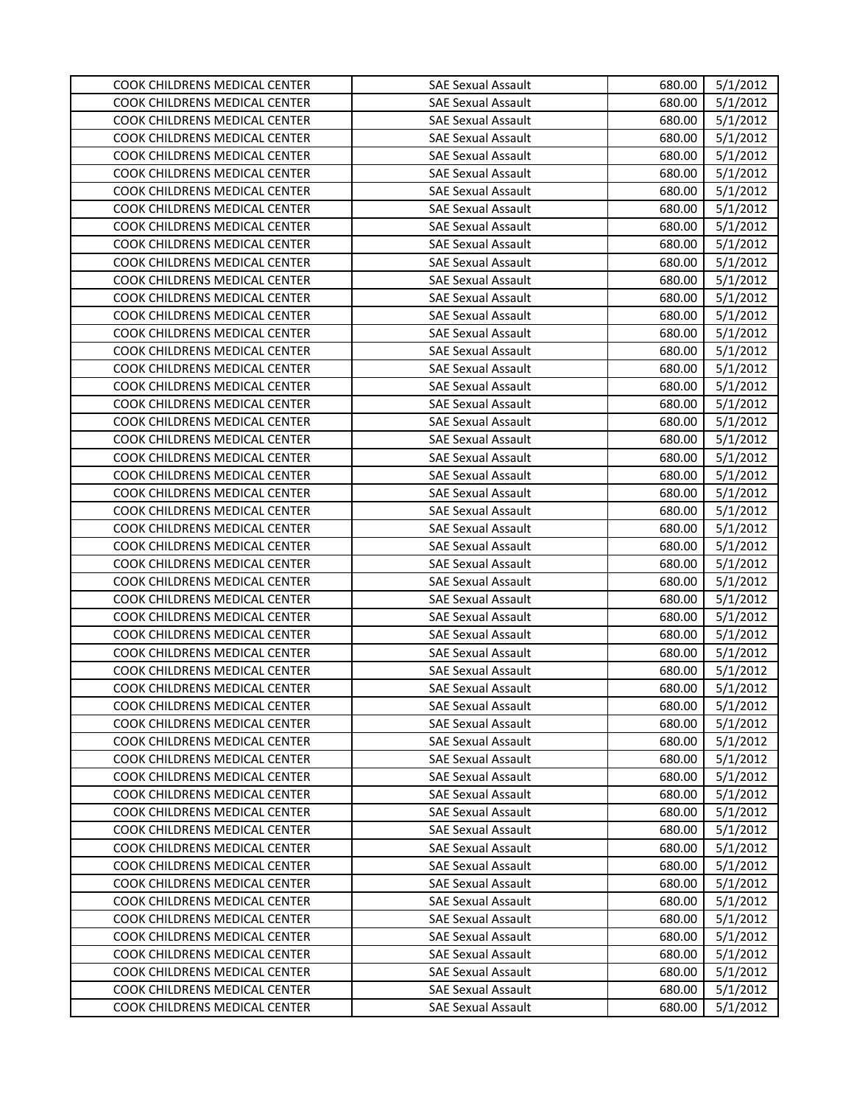| COOK CHILDRENS MEDICAL CENTER<br><b>SAE Sexual Assault</b><br>680.00<br>5/1/2012<br>COOK CHILDRENS MEDICAL CENTER<br><b>SAE Sexual Assault</b><br>680.00<br>5/1/2012<br>COOK CHILDRENS MEDICAL CENTER<br>5/1/2012<br><b>SAE Sexual Assault</b><br>680.00<br>COOK CHILDRENS MEDICAL CENTER<br>5/1/2012<br><b>SAE Sexual Assault</b><br>680.00<br>COOK CHILDRENS MEDICAL CENTER<br><b>SAE Sexual Assault</b><br>680.00<br>5/1/2012<br>COOK CHILDRENS MEDICAL CENTER<br><b>SAE Sexual Assault</b><br>680.00<br>5/1/2012<br>5/1/2012<br>COOK CHILDRENS MEDICAL CENTER<br><b>SAE Sexual Assault</b><br>680.00<br>COOK CHILDRENS MEDICAL CENTER<br>680.00<br>5/1/2012<br><b>SAE Sexual Assault</b><br>COOK CHILDRENS MEDICAL CENTER<br><b>SAE Sexual Assault</b><br>680.00<br>5/1/2012<br>COOK CHILDRENS MEDICAL CENTER<br><b>SAE Sexual Assault</b><br>680.00<br>5/1/2012<br>COOK CHILDRENS MEDICAL CENTER<br>5/1/2012<br><b>SAE Sexual Assault</b><br>680.00<br>COOK CHILDRENS MEDICAL CENTER<br>5/1/2012<br><b>SAE Sexual Assault</b><br>680.00<br>5/1/2012<br>COOK CHILDRENS MEDICAL CENTER<br><b>SAE Sexual Assault</b><br>680.00<br>COOK CHILDRENS MEDICAL CENTER<br>680.00<br>5/1/2012<br><b>SAE Sexual Assault</b><br>COOK CHILDRENS MEDICAL CENTER<br><b>SAE Sexual Assault</b><br>680.00<br>5/1/2012<br>COOK CHILDRENS MEDICAL CENTER<br><b>SAE Sexual Assault</b><br>680.00<br>5/1/2012<br>COOK CHILDRENS MEDICAL CENTER<br><b>SAE Sexual Assault</b><br>680.00<br>5/1/2012<br>COOK CHILDRENS MEDICAL CENTER<br><b>SAE Sexual Assault</b><br>680.00<br>5/1/2012<br>COOK CHILDRENS MEDICAL CENTER<br><b>SAE Sexual Assault</b><br>680.00<br>5/1/2012<br>COOK CHILDRENS MEDICAL CENTER<br>5/1/2012<br><b>SAE Sexual Assault</b><br>680.00<br>COOK CHILDRENS MEDICAL CENTER<br><b>SAE Sexual Assault</b><br>680.00<br>5/1/2012<br>COOK CHILDRENS MEDICAL CENTER<br><b>SAE Sexual Assault</b><br>680.00<br>5/1/2012<br>COOK CHILDRENS MEDICAL CENTER<br><b>SAE Sexual Assault</b><br>680.00<br>5/1/2012<br>COOK CHILDRENS MEDICAL CENTER<br><b>SAE Sexual Assault</b><br>680.00<br>5/1/2012<br>COOK CHILDRENS MEDICAL CENTER<br><b>SAE Sexual Assault</b><br>680.00<br>5/1/2012<br>COOK CHILDRENS MEDICAL CENTER<br>680.00<br>5/1/2012<br><b>SAE Sexual Assault</b><br>COOK CHILDRENS MEDICAL CENTER<br>680.00<br>5/1/2012<br><b>SAE Sexual Assault</b><br>COOK CHILDRENS MEDICAL CENTER<br>5/1/2012<br><b>SAE Sexual Assault</b><br>680.00<br>5/1/2012<br>COOK CHILDRENS MEDICAL CENTER<br>680.00<br><b>SAE Sexual Assault</b><br>COOK CHILDRENS MEDICAL CENTER<br><b>SAE Sexual Assault</b><br>680.00<br>5/1/2012<br>COOK CHILDRENS MEDICAL CENTER<br><b>SAE Sexual Assault</b><br>680.00<br>5/1/2012<br>5/1/2012<br>COOK CHILDRENS MEDICAL CENTER<br><b>SAE Sexual Assault</b><br>680.00<br>COOK CHILDRENS MEDICAL CENTER<br><b>SAE Sexual Assault</b><br>680.00<br>5/1/2012<br>COOK CHILDRENS MEDICAL CENTER<br><b>SAE Sexual Assault</b><br>680.00<br>5/1/2012<br>COOK CHILDRENS MEDICAL CENTER<br><b>SAE Sexual Assault</b><br>680.00<br>5/1/2012<br>COOK CHILDRENS MEDICAL CENTER<br>680.00<br>5/1/2012<br><b>SAE Sexual Assault</b><br>COOK CHILDRENS MEDICAL CENTER<br>5/1/2012<br><b>SAE Sexual Assault</b><br>680.00<br>COOK CHILDRENS MEDICAL CENTER<br><b>SAE Sexual Assault</b><br>680.00<br>5/1/2012<br>COOK CHILDRENS MEDICAL CENTER<br><b>SAE Sexual Assault</b><br>680.00<br>5/1/2012<br>COOK CHILDRENS MEDICAL CENTER<br><b>SAE Sexual Assault</b><br>680.00<br>5/1/2012<br>COOK CHILDRENS MEDICAL CENTER<br><b>SAE Sexual Assault</b><br>680.00<br>5/1/2012<br><b>COOK CHILDRENS MEDICAL CENTER</b><br><b>SAE Sexual Assault</b><br>5/1/2012<br>680.00<br>COOK CHILDRENS MEDICAL CENTER<br><b>SAE Sexual Assault</b><br>680.00<br>5/1/2012 | COOK CHILDRENS MEDICAL CENTER | <b>SAE Sexual Assault</b> | 680.00 | 5/1/2012 |
|-----------------------------------------------------------------------------------------------------------------------------------------------------------------------------------------------------------------------------------------------------------------------------------------------------------------------------------------------------------------------------------------------------------------------------------------------------------------------------------------------------------------------------------------------------------------------------------------------------------------------------------------------------------------------------------------------------------------------------------------------------------------------------------------------------------------------------------------------------------------------------------------------------------------------------------------------------------------------------------------------------------------------------------------------------------------------------------------------------------------------------------------------------------------------------------------------------------------------------------------------------------------------------------------------------------------------------------------------------------------------------------------------------------------------------------------------------------------------------------------------------------------------------------------------------------------------------------------------------------------------------------------------------------------------------------------------------------------------------------------------------------------------------------------------------------------------------------------------------------------------------------------------------------------------------------------------------------------------------------------------------------------------------------------------------------------------------------------------------------------------------------------------------------------------------------------------------------------------------------------------------------------------------------------------------------------------------------------------------------------------------------------------------------------------------------------------------------------------------------------------------------------------------------------------------------------------------------------------------------------------------------------------------------------------------------------------------------------------------------------------------------------------------------------------------------------------------------------------------------------------------------------------------------------------------------------------------------------------------------------------------------------------------------------------------------------------------------------------------------------------------------------------------------------------------------------------------------------------------------------------------------------------------------------------------------------------------------------------------------------------------------------------------------------------------------------------------------------------------------------------------------------------------------------------------------------------------------------------------------------------------------------------------------------------------------------------------------------------------------------------------------------|-------------------------------|---------------------------|--------|----------|
|                                                                                                                                                                                                                                                                                                                                                                                                                                                                                                                                                                                                                                                                                                                                                                                                                                                                                                                                                                                                                                                                                                                                                                                                                                                                                                                                                                                                                                                                                                                                                                                                                                                                                                                                                                                                                                                                                                                                                                                                                                                                                                                                                                                                                                                                                                                                                                                                                                                                                                                                                                                                                                                                                                                                                                                                                                                                                                                                                                                                                                                                                                                                                                                                                                                                                                                                                                                                                                                                                                                                                                                                                                                                                                                                                                 |                               |                           |        |          |
|                                                                                                                                                                                                                                                                                                                                                                                                                                                                                                                                                                                                                                                                                                                                                                                                                                                                                                                                                                                                                                                                                                                                                                                                                                                                                                                                                                                                                                                                                                                                                                                                                                                                                                                                                                                                                                                                                                                                                                                                                                                                                                                                                                                                                                                                                                                                                                                                                                                                                                                                                                                                                                                                                                                                                                                                                                                                                                                                                                                                                                                                                                                                                                                                                                                                                                                                                                                                                                                                                                                                                                                                                                                                                                                                                                 |                               |                           |        |          |
|                                                                                                                                                                                                                                                                                                                                                                                                                                                                                                                                                                                                                                                                                                                                                                                                                                                                                                                                                                                                                                                                                                                                                                                                                                                                                                                                                                                                                                                                                                                                                                                                                                                                                                                                                                                                                                                                                                                                                                                                                                                                                                                                                                                                                                                                                                                                                                                                                                                                                                                                                                                                                                                                                                                                                                                                                                                                                                                                                                                                                                                                                                                                                                                                                                                                                                                                                                                                                                                                                                                                                                                                                                                                                                                                                                 |                               |                           |        |          |
|                                                                                                                                                                                                                                                                                                                                                                                                                                                                                                                                                                                                                                                                                                                                                                                                                                                                                                                                                                                                                                                                                                                                                                                                                                                                                                                                                                                                                                                                                                                                                                                                                                                                                                                                                                                                                                                                                                                                                                                                                                                                                                                                                                                                                                                                                                                                                                                                                                                                                                                                                                                                                                                                                                                                                                                                                                                                                                                                                                                                                                                                                                                                                                                                                                                                                                                                                                                                                                                                                                                                                                                                                                                                                                                                                                 |                               |                           |        |          |
|                                                                                                                                                                                                                                                                                                                                                                                                                                                                                                                                                                                                                                                                                                                                                                                                                                                                                                                                                                                                                                                                                                                                                                                                                                                                                                                                                                                                                                                                                                                                                                                                                                                                                                                                                                                                                                                                                                                                                                                                                                                                                                                                                                                                                                                                                                                                                                                                                                                                                                                                                                                                                                                                                                                                                                                                                                                                                                                                                                                                                                                                                                                                                                                                                                                                                                                                                                                                                                                                                                                                                                                                                                                                                                                                                                 |                               |                           |        |          |
|                                                                                                                                                                                                                                                                                                                                                                                                                                                                                                                                                                                                                                                                                                                                                                                                                                                                                                                                                                                                                                                                                                                                                                                                                                                                                                                                                                                                                                                                                                                                                                                                                                                                                                                                                                                                                                                                                                                                                                                                                                                                                                                                                                                                                                                                                                                                                                                                                                                                                                                                                                                                                                                                                                                                                                                                                                                                                                                                                                                                                                                                                                                                                                                                                                                                                                                                                                                                                                                                                                                                                                                                                                                                                                                                                                 |                               |                           |        |          |
|                                                                                                                                                                                                                                                                                                                                                                                                                                                                                                                                                                                                                                                                                                                                                                                                                                                                                                                                                                                                                                                                                                                                                                                                                                                                                                                                                                                                                                                                                                                                                                                                                                                                                                                                                                                                                                                                                                                                                                                                                                                                                                                                                                                                                                                                                                                                                                                                                                                                                                                                                                                                                                                                                                                                                                                                                                                                                                                                                                                                                                                                                                                                                                                                                                                                                                                                                                                                                                                                                                                                                                                                                                                                                                                                                                 |                               |                           |        |          |
|                                                                                                                                                                                                                                                                                                                                                                                                                                                                                                                                                                                                                                                                                                                                                                                                                                                                                                                                                                                                                                                                                                                                                                                                                                                                                                                                                                                                                                                                                                                                                                                                                                                                                                                                                                                                                                                                                                                                                                                                                                                                                                                                                                                                                                                                                                                                                                                                                                                                                                                                                                                                                                                                                                                                                                                                                                                                                                                                                                                                                                                                                                                                                                                                                                                                                                                                                                                                                                                                                                                                                                                                                                                                                                                                                                 |                               |                           |        |          |
|                                                                                                                                                                                                                                                                                                                                                                                                                                                                                                                                                                                                                                                                                                                                                                                                                                                                                                                                                                                                                                                                                                                                                                                                                                                                                                                                                                                                                                                                                                                                                                                                                                                                                                                                                                                                                                                                                                                                                                                                                                                                                                                                                                                                                                                                                                                                                                                                                                                                                                                                                                                                                                                                                                                                                                                                                                                                                                                                                                                                                                                                                                                                                                                                                                                                                                                                                                                                                                                                                                                                                                                                                                                                                                                                                                 |                               |                           |        |          |
|                                                                                                                                                                                                                                                                                                                                                                                                                                                                                                                                                                                                                                                                                                                                                                                                                                                                                                                                                                                                                                                                                                                                                                                                                                                                                                                                                                                                                                                                                                                                                                                                                                                                                                                                                                                                                                                                                                                                                                                                                                                                                                                                                                                                                                                                                                                                                                                                                                                                                                                                                                                                                                                                                                                                                                                                                                                                                                                                                                                                                                                                                                                                                                                                                                                                                                                                                                                                                                                                                                                                                                                                                                                                                                                                                                 |                               |                           |        |          |
|                                                                                                                                                                                                                                                                                                                                                                                                                                                                                                                                                                                                                                                                                                                                                                                                                                                                                                                                                                                                                                                                                                                                                                                                                                                                                                                                                                                                                                                                                                                                                                                                                                                                                                                                                                                                                                                                                                                                                                                                                                                                                                                                                                                                                                                                                                                                                                                                                                                                                                                                                                                                                                                                                                                                                                                                                                                                                                                                                                                                                                                                                                                                                                                                                                                                                                                                                                                                                                                                                                                                                                                                                                                                                                                                                                 |                               |                           |        |          |
|                                                                                                                                                                                                                                                                                                                                                                                                                                                                                                                                                                                                                                                                                                                                                                                                                                                                                                                                                                                                                                                                                                                                                                                                                                                                                                                                                                                                                                                                                                                                                                                                                                                                                                                                                                                                                                                                                                                                                                                                                                                                                                                                                                                                                                                                                                                                                                                                                                                                                                                                                                                                                                                                                                                                                                                                                                                                                                                                                                                                                                                                                                                                                                                                                                                                                                                                                                                                                                                                                                                                                                                                                                                                                                                                                                 |                               |                           |        |          |
|                                                                                                                                                                                                                                                                                                                                                                                                                                                                                                                                                                                                                                                                                                                                                                                                                                                                                                                                                                                                                                                                                                                                                                                                                                                                                                                                                                                                                                                                                                                                                                                                                                                                                                                                                                                                                                                                                                                                                                                                                                                                                                                                                                                                                                                                                                                                                                                                                                                                                                                                                                                                                                                                                                                                                                                                                                                                                                                                                                                                                                                                                                                                                                                                                                                                                                                                                                                                                                                                                                                                                                                                                                                                                                                                                                 |                               |                           |        |          |
|                                                                                                                                                                                                                                                                                                                                                                                                                                                                                                                                                                                                                                                                                                                                                                                                                                                                                                                                                                                                                                                                                                                                                                                                                                                                                                                                                                                                                                                                                                                                                                                                                                                                                                                                                                                                                                                                                                                                                                                                                                                                                                                                                                                                                                                                                                                                                                                                                                                                                                                                                                                                                                                                                                                                                                                                                                                                                                                                                                                                                                                                                                                                                                                                                                                                                                                                                                                                                                                                                                                                                                                                                                                                                                                                                                 |                               |                           |        |          |
|                                                                                                                                                                                                                                                                                                                                                                                                                                                                                                                                                                                                                                                                                                                                                                                                                                                                                                                                                                                                                                                                                                                                                                                                                                                                                                                                                                                                                                                                                                                                                                                                                                                                                                                                                                                                                                                                                                                                                                                                                                                                                                                                                                                                                                                                                                                                                                                                                                                                                                                                                                                                                                                                                                                                                                                                                                                                                                                                                                                                                                                                                                                                                                                                                                                                                                                                                                                                                                                                                                                                                                                                                                                                                                                                                                 |                               |                           |        |          |
|                                                                                                                                                                                                                                                                                                                                                                                                                                                                                                                                                                                                                                                                                                                                                                                                                                                                                                                                                                                                                                                                                                                                                                                                                                                                                                                                                                                                                                                                                                                                                                                                                                                                                                                                                                                                                                                                                                                                                                                                                                                                                                                                                                                                                                                                                                                                                                                                                                                                                                                                                                                                                                                                                                                                                                                                                                                                                                                                                                                                                                                                                                                                                                                                                                                                                                                                                                                                                                                                                                                                                                                                                                                                                                                                                                 |                               |                           |        |          |
|                                                                                                                                                                                                                                                                                                                                                                                                                                                                                                                                                                                                                                                                                                                                                                                                                                                                                                                                                                                                                                                                                                                                                                                                                                                                                                                                                                                                                                                                                                                                                                                                                                                                                                                                                                                                                                                                                                                                                                                                                                                                                                                                                                                                                                                                                                                                                                                                                                                                                                                                                                                                                                                                                                                                                                                                                                                                                                                                                                                                                                                                                                                                                                                                                                                                                                                                                                                                                                                                                                                                                                                                                                                                                                                                                                 |                               |                           |        |          |
|                                                                                                                                                                                                                                                                                                                                                                                                                                                                                                                                                                                                                                                                                                                                                                                                                                                                                                                                                                                                                                                                                                                                                                                                                                                                                                                                                                                                                                                                                                                                                                                                                                                                                                                                                                                                                                                                                                                                                                                                                                                                                                                                                                                                                                                                                                                                                                                                                                                                                                                                                                                                                                                                                                                                                                                                                                                                                                                                                                                                                                                                                                                                                                                                                                                                                                                                                                                                                                                                                                                                                                                                                                                                                                                                                                 |                               |                           |        |          |
|                                                                                                                                                                                                                                                                                                                                                                                                                                                                                                                                                                                                                                                                                                                                                                                                                                                                                                                                                                                                                                                                                                                                                                                                                                                                                                                                                                                                                                                                                                                                                                                                                                                                                                                                                                                                                                                                                                                                                                                                                                                                                                                                                                                                                                                                                                                                                                                                                                                                                                                                                                                                                                                                                                                                                                                                                                                                                                                                                                                                                                                                                                                                                                                                                                                                                                                                                                                                                                                                                                                                                                                                                                                                                                                                                                 |                               |                           |        |          |
|                                                                                                                                                                                                                                                                                                                                                                                                                                                                                                                                                                                                                                                                                                                                                                                                                                                                                                                                                                                                                                                                                                                                                                                                                                                                                                                                                                                                                                                                                                                                                                                                                                                                                                                                                                                                                                                                                                                                                                                                                                                                                                                                                                                                                                                                                                                                                                                                                                                                                                                                                                                                                                                                                                                                                                                                                                                                                                                                                                                                                                                                                                                                                                                                                                                                                                                                                                                                                                                                                                                                                                                                                                                                                                                                                                 |                               |                           |        |          |
|                                                                                                                                                                                                                                                                                                                                                                                                                                                                                                                                                                                                                                                                                                                                                                                                                                                                                                                                                                                                                                                                                                                                                                                                                                                                                                                                                                                                                                                                                                                                                                                                                                                                                                                                                                                                                                                                                                                                                                                                                                                                                                                                                                                                                                                                                                                                                                                                                                                                                                                                                                                                                                                                                                                                                                                                                                                                                                                                                                                                                                                                                                                                                                                                                                                                                                                                                                                                                                                                                                                                                                                                                                                                                                                                                                 |                               |                           |        |          |
|                                                                                                                                                                                                                                                                                                                                                                                                                                                                                                                                                                                                                                                                                                                                                                                                                                                                                                                                                                                                                                                                                                                                                                                                                                                                                                                                                                                                                                                                                                                                                                                                                                                                                                                                                                                                                                                                                                                                                                                                                                                                                                                                                                                                                                                                                                                                                                                                                                                                                                                                                                                                                                                                                                                                                                                                                                                                                                                                                                                                                                                                                                                                                                                                                                                                                                                                                                                                                                                                                                                                                                                                                                                                                                                                                                 |                               |                           |        |          |
|                                                                                                                                                                                                                                                                                                                                                                                                                                                                                                                                                                                                                                                                                                                                                                                                                                                                                                                                                                                                                                                                                                                                                                                                                                                                                                                                                                                                                                                                                                                                                                                                                                                                                                                                                                                                                                                                                                                                                                                                                                                                                                                                                                                                                                                                                                                                                                                                                                                                                                                                                                                                                                                                                                                                                                                                                                                                                                                                                                                                                                                                                                                                                                                                                                                                                                                                                                                                                                                                                                                                                                                                                                                                                                                                                                 |                               |                           |        |          |
|                                                                                                                                                                                                                                                                                                                                                                                                                                                                                                                                                                                                                                                                                                                                                                                                                                                                                                                                                                                                                                                                                                                                                                                                                                                                                                                                                                                                                                                                                                                                                                                                                                                                                                                                                                                                                                                                                                                                                                                                                                                                                                                                                                                                                                                                                                                                                                                                                                                                                                                                                                                                                                                                                                                                                                                                                                                                                                                                                                                                                                                                                                                                                                                                                                                                                                                                                                                                                                                                                                                                                                                                                                                                                                                                                                 |                               |                           |        |          |
|                                                                                                                                                                                                                                                                                                                                                                                                                                                                                                                                                                                                                                                                                                                                                                                                                                                                                                                                                                                                                                                                                                                                                                                                                                                                                                                                                                                                                                                                                                                                                                                                                                                                                                                                                                                                                                                                                                                                                                                                                                                                                                                                                                                                                                                                                                                                                                                                                                                                                                                                                                                                                                                                                                                                                                                                                                                                                                                                                                                                                                                                                                                                                                                                                                                                                                                                                                                                                                                                                                                                                                                                                                                                                                                                                                 |                               |                           |        |          |
|                                                                                                                                                                                                                                                                                                                                                                                                                                                                                                                                                                                                                                                                                                                                                                                                                                                                                                                                                                                                                                                                                                                                                                                                                                                                                                                                                                                                                                                                                                                                                                                                                                                                                                                                                                                                                                                                                                                                                                                                                                                                                                                                                                                                                                                                                                                                                                                                                                                                                                                                                                                                                                                                                                                                                                                                                                                                                                                                                                                                                                                                                                                                                                                                                                                                                                                                                                                                                                                                                                                                                                                                                                                                                                                                                                 |                               |                           |        |          |
|                                                                                                                                                                                                                                                                                                                                                                                                                                                                                                                                                                                                                                                                                                                                                                                                                                                                                                                                                                                                                                                                                                                                                                                                                                                                                                                                                                                                                                                                                                                                                                                                                                                                                                                                                                                                                                                                                                                                                                                                                                                                                                                                                                                                                                                                                                                                                                                                                                                                                                                                                                                                                                                                                                                                                                                                                                                                                                                                                                                                                                                                                                                                                                                                                                                                                                                                                                                                                                                                                                                                                                                                                                                                                                                                                                 |                               |                           |        |          |
|                                                                                                                                                                                                                                                                                                                                                                                                                                                                                                                                                                                                                                                                                                                                                                                                                                                                                                                                                                                                                                                                                                                                                                                                                                                                                                                                                                                                                                                                                                                                                                                                                                                                                                                                                                                                                                                                                                                                                                                                                                                                                                                                                                                                                                                                                                                                                                                                                                                                                                                                                                                                                                                                                                                                                                                                                                                                                                                                                                                                                                                                                                                                                                                                                                                                                                                                                                                                                                                                                                                                                                                                                                                                                                                                                                 |                               |                           |        |          |
|                                                                                                                                                                                                                                                                                                                                                                                                                                                                                                                                                                                                                                                                                                                                                                                                                                                                                                                                                                                                                                                                                                                                                                                                                                                                                                                                                                                                                                                                                                                                                                                                                                                                                                                                                                                                                                                                                                                                                                                                                                                                                                                                                                                                                                                                                                                                                                                                                                                                                                                                                                                                                                                                                                                                                                                                                                                                                                                                                                                                                                                                                                                                                                                                                                                                                                                                                                                                                                                                                                                                                                                                                                                                                                                                                                 |                               |                           |        |          |
|                                                                                                                                                                                                                                                                                                                                                                                                                                                                                                                                                                                                                                                                                                                                                                                                                                                                                                                                                                                                                                                                                                                                                                                                                                                                                                                                                                                                                                                                                                                                                                                                                                                                                                                                                                                                                                                                                                                                                                                                                                                                                                                                                                                                                                                                                                                                                                                                                                                                                                                                                                                                                                                                                                                                                                                                                                                                                                                                                                                                                                                                                                                                                                                                                                                                                                                                                                                                                                                                                                                                                                                                                                                                                                                                                                 |                               |                           |        |          |
|                                                                                                                                                                                                                                                                                                                                                                                                                                                                                                                                                                                                                                                                                                                                                                                                                                                                                                                                                                                                                                                                                                                                                                                                                                                                                                                                                                                                                                                                                                                                                                                                                                                                                                                                                                                                                                                                                                                                                                                                                                                                                                                                                                                                                                                                                                                                                                                                                                                                                                                                                                                                                                                                                                                                                                                                                                                                                                                                                                                                                                                                                                                                                                                                                                                                                                                                                                                                                                                                                                                                                                                                                                                                                                                                                                 |                               |                           |        |          |
|                                                                                                                                                                                                                                                                                                                                                                                                                                                                                                                                                                                                                                                                                                                                                                                                                                                                                                                                                                                                                                                                                                                                                                                                                                                                                                                                                                                                                                                                                                                                                                                                                                                                                                                                                                                                                                                                                                                                                                                                                                                                                                                                                                                                                                                                                                                                                                                                                                                                                                                                                                                                                                                                                                                                                                                                                                                                                                                                                                                                                                                                                                                                                                                                                                                                                                                                                                                                                                                                                                                                                                                                                                                                                                                                                                 |                               |                           |        |          |
|                                                                                                                                                                                                                                                                                                                                                                                                                                                                                                                                                                                                                                                                                                                                                                                                                                                                                                                                                                                                                                                                                                                                                                                                                                                                                                                                                                                                                                                                                                                                                                                                                                                                                                                                                                                                                                                                                                                                                                                                                                                                                                                                                                                                                                                                                                                                                                                                                                                                                                                                                                                                                                                                                                                                                                                                                                                                                                                                                                                                                                                                                                                                                                                                                                                                                                                                                                                                                                                                                                                                                                                                                                                                                                                                                                 |                               |                           |        |          |
|                                                                                                                                                                                                                                                                                                                                                                                                                                                                                                                                                                                                                                                                                                                                                                                                                                                                                                                                                                                                                                                                                                                                                                                                                                                                                                                                                                                                                                                                                                                                                                                                                                                                                                                                                                                                                                                                                                                                                                                                                                                                                                                                                                                                                                                                                                                                                                                                                                                                                                                                                                                                                                                                                                                                                                                                                                                                                                                                                                                                                                                                                                                                                                                                                                                                                                                                                                                                                                                                                                                                                                                                                                                                                                                                                                 |                               |                           |        |          |
|                                                                                                                                                                                                                                                                                                                                                                                                                                                                                                                                                                                                                                                                                                                                                                                                                                                                                                                                                                                                                                                                                                                                                                                                                                                                                                                                                                                                                                                                                                                                                                                                                                                                                                                                                                                                                                                                                                                                                                                                                                                                                                                                                                                                                                                                                                                                                                                                                                                                                                                                                                                                                                                                                                                                                                                                                                                                                                                                                                                                                                                                                                                                                                                                                                                                                                                                                                                                                                                                                                                                                                                                                                                                                                                                                                 |                               |                           |        |          |
|                                                                                                                                                                                                                                                                                                                                                                                                                                                                                                                                                                                                                                                                                                                                                                                                                                                                                                                                                                                                                                                                                                                                                                                                                                                                                                                                                                                                                                                                                                                                                                                                                                                                                                                                                                                                                                                                                                                                                                                                                                                                                                                                                                                                                                                                                                                                                                                                                                                                                                                                                                                                                                                                                                                                                                                                                                                                                                                                                                                                                                                                                                                                                                                                                                                                                                                                                                                                                                                                                                                                                                                                                                                                                                                                                                 |                               |                           |        |          |
|                                                                                                                                                                                                                                                                                                                                                                                                                                                                                                                                                                                                                                                                                                                                                                                                                                                                                                                                                                                                                                                                                                                                                                                                                                                                                                                                                                                                                                                                                                                                                                                                                                                                                                                                                                                                                                                                                                                                                                                                                                                                                                                                                                                                                                                                                                                                                                                                                                                                                                                                                                                                                                                                                                                                                                                                                                                                                                                                                                                                                                                                                                                                                                                                                                                                                                                                                                                                                                                                                                                                                                                                                                                                                                                                                                 |                               |                           |        |          |
|                                                                                                                                                                                                                                                                                                                                                                                                                                                                                                                                                                                                                                                                                                                                                                                                                                                                                                                                                                                                                                                                                                                                                                                                                                                                                                                                                                                                                                                                                                                                                                                                                                                                                                                                                                                                                                                                                                                                                                                                                                                                                                                                                                                                                                                                                                                                                                                                                                                                                                                                                                                                                                                                                                                                                                                                                                                                                                                                                                                                                                                                                                                                                                                                                                                                                                                                                                                                                                                                                                                                                                                                                                                                                                                                                                 |                               |                           |        |          |
|                                                                                                                                                                                                                                                                                                                                                                                                                                                                                                                                                                                                                                                                                                                                                                                                                                                                                                                                                                                                                                                                                                                                                                                                                                                                                                                                                                                                                                                                                                                                                                                                                                                                                                                                                                                                                                                                                                                                                                                                                                                                                                                                                                                                                                                                                                                                                                                                                                                                                                                                                                                                                                                                                                                                                                                                                                                                                                                                                                                                                                                                                                                                                                                                                                                                                                                                                                                                                                                                                                                                                                                                                                                                                                                                                                 |                               |                           |        |          |
|                                                                                                                                                                                                                                                                                                                                                                                                                                                                                                                                                                                                                                                                                                                                                                                                                                                                                                                                                                                                                                                                                                                                                                                                                                                                                                                                                                                                                                                                                                                                                                                                                                                                                                                                                                                                                                                                                                                                                                                                                                                                                                                                                                                                                                                                                                                                                                                                                                                                                                                                                                                                                                                                                                                                                                                                                                                                                                                                                                                                                                                                                                                                                                                                                                                                                                                                                                                                                                                                                                                                                                                                                                                                                                                                                                 |                               |                           |        |          |
|                                                                                                                                                                                                                                                                                                                                                                                                                                                                                                                                                                                                                                                                                                                                                                                                                                                                                                                                                                                                                                                                                                                                                                                                                                                                                                                                                                                                                                                                                                                                                                                                                                                                                                                                                                                                                                                                                                                                                                                                                                                                                                                                                                                                                                                                                                                                                                                                                                                                                                                                                                                                                                                                                                                                                                                                                                                                                                                                                                                                                                                                                                                                                                                                                                                                                                                                                                                                                                                                                                                                                                                                                                                                                                                                                                 |                               |                           |        |          |
|                                                                                                                                                                                                                                                                                                                                                                                                                                                                                                                                                                                                                                                                                                                                                                                                                                                                                                                                                                                                                                                                                                                                                                                                                                                                                                                                                                                                                                                                                                                                                                                                                                                                                                                                                                                                                                                                                                                                                                                                                                                                                                                                                                                                                                                                                                                                                                                                                                                                                                                                                                                                                                                                                                                                                                                                                                                                                                                                                                                                                                                                                                                                                                                                                                                                                                                                                                                                                                                                                                                                                                                                                                                                                                                                                                 |                               |                           |        |          |
|                                                                                                                                                                                                                                                                                                                                                                                                                                                                                                                                                                                                                                                                                                                                                                                                                                                                                                                                                                                                                                                                                                                                                                                                                                                                                                                                                                                                                                                                                                                                                                                                                                                                                                                                                                                                                                                                                                                                                                                                                                                                                                                                                                                                                                                                                                                                                                                                                                                                                                                                                                                                                                                                                                                                                                                                                                                                                                                                                                                                                                                                                                                                                                                                                                                                                                                                                                                                                                                                                                                                                                                                                                                                                                                                                                 |                               |                           |        |          |
| COOK CHILDRENS MEDICAL CENTER<br><b>SAE Sexual Assault</b><br>680.00<br>5/1/2012                                                                                                                                                                                                                                                                                                                                                                                                                                                                                                                                                                                                                                                                                                                                                                                                                                                                                                                                                                                                                                                                                                                                                                                                                                                                                                                                                                                                                                                                                                                                                                                                                                                                                                                                                                                                                                                                                                                                                                                                                                                                                                                                                                                                                                                                                                                                                                                                                                                                                                                                                                                                                                                                                                                                                                                                                                                                                                                                                                                                                                                                                                                                                                                                                                                                                                                                                                                                                                                                                                                                                                                                                                                                                |                               |                           |        |          |
| COOK CHILDRENS MEDICAL CENTER<br><b>SAE Sexual Assault</b><br>680.00<br>5/1/2012                                                                                                                                                                                                                                                                                                                                                                                                                                                                                                                                                                                                                                                                                                                                                                                                                                                                                                                                                                                                                                                                                                                                                                                                                                                                                                                                                                                                                                                                                                                                                                                                                                                                                                                                                                                                                                                                                                                                                                                                                                                                                                                                                                                                                                                                                                                                                                                                                                                                                                                                                                                                                                                                                                                                                                                                                                                                                                                                                                                                                                                                                                                                                                                                                                                                                                                                                                                                                                                                                                                                                                                                                                                                                |                               |                           |        |          |
| COOK CHILDRENS MEDICAL CENTER<br><b>SAE Sexual Assault</b><br>680.00<br>5/1/2012                                                                                                                                                                                                                                                                                                                                                                                                                                                                                                                                                                                                                                                                                                                                                                                                                                                                                                                                                                                                                                                                                                                                                                                                                                                                                                                                                                                                                                                                                                                                                                                                                                                                                                                                                                                                                                                                                                                                                                                                                                                                                                                                                                                                                                                                                                                                                                                                                                                                                                                                                                                                                                                                                                                                                                                                                                                                                                                                                                                                                                                                                                                                                                                                                                                                                                                                                                                                                                                                                                                                                                                                                                                                                |                               |                           |        |          |
| COOK CHILDRENS MEDICAL CENTER<br><b>SAE Sexual Assault</b><br>680.00<br>5/1/2012                                                                                                                                                                                                                                                                                                                                                                                                                                                                                                                                                                                                                                                                                                                                                                                                                                                                                                                                                                                                                                                                                                                                                                                                                                                                                                                                                                                                                                                                                                                                                                                                                                                                                                                                                                                                                                                                                                                                                                                                                                                                                                                                                                                                                                                                                                                                                                                                                                                                                                                                                                                                                                                                                                                                                                                                                                                                                                                                                                                                                                                                                                                                                                                                                                                                                                                                                                                                                                                                                                                                                                                                                                                                                |                               |                           |        |          |
| COOK CHILDRENS MEDICAL CENTER<br><b>SAE Sexual Assault</b><br>680.00<br>5/1/2012                                                                                                                                                                                                                                                                                                                                                                                                                                                                                                                                                                                                                                                                                                                                                                                                                                                                                                                                                                                                                                                                                                                                                                                                                                                                                                                                                                                                                                                                                                                                                                                                                                                                                                                                                                                                                                                                                                                                                                                                                                                                                                                                                                                                                                                                                                                                                                                                                                                                                                                                                                                                                                                                                                                                                                                                                                                                                                                                                                                                                                                                                                                                                                                                                                                                                                                                                                                                                                                                                                                                                                                                                                                                                |                               |                           |        |          |
| COOK CHILDRENS MEDICAL CENTER<br><b>SAE Sexual Assault</b><br>680.00<br>5/1/2012                                                                                                                                                                                                                                                                                                                                                                                                                                                                                                                                                                                                                                                                                                                                                                                                                                                                                                                                                                                                                                                                                                                                                                                                                                                                                                                                                                                                                                                                                                                                                                                                                                                                                                                                                                                                                                                                                                                                                                                                                                                                                                                                                                                                                                                                                                                                                                                                                                                                                                                                                                                                                                                                                                                                                                                                                                                                                                                                                                                                                                                                                                                                                                                                                                                                                                                                                                                                                                                                                                                                                                                                                                                                                |                               |                           |        |          |
| COOK CHILDRENS MEDICAL CENTER<br><b>SAE Sexual Assault</b><br>5/1/2012<br>680.00                                                                                                                                                                                                                                                                                                                                                                                                                                                                                                                                                                                                                                                                                                                                                                                                                                                                                                                                                                                                                                                                                                                                                                                                                                                                                                                                                                                                                                                                                                                                                                                                                                                                                                                                                                                                                                                                                                                                                                                                                                                                                                                                                                                                                                                                                                                                                                                                                                                                                                                                                                                                                                                                                                                                                                                                                                                                                                                                                                                                                                                                                                                                                                                                                                                                                                                                                                                                                                                                                                                                                                                                                                                                                |                               |                           |        |          |
| COOK CHILDRENS MEDICAL CENTER<br><b>SAE Sexual Assault</b><br>680.00<br>5/1/2012                                                                                                                                                                                                                                                                                                                                                                                                                                                                                                                                                                                                                                                                                                                                                                                                                                                                                                                                                                                                                                                                                                                                                                                                                                                                                                                                                                                                                                                                                                                                                                                                                                                                                                                                                                                                                                                                                                                                                                                                                                                                                                                                                                                                                                                                                                                                                                                                                                                                                                                                                                                                                                                                                                                                                                                                                                                                                                                                                                                                                                                                                                                                                                                                                                                                                                                                                                                                                                                                                                                                                                                                                                                                                |                               |                           |        |          |
| COOK CHILDRENS MEDICAL CENTER<br><b>SAE Sexual Assault</b><br>680.00<br>5/1/2012                                                                                                                                                                                                                                                                                                                                                                                                                                                                                                                                                                                                                                                                                                                                                                                                                                                                                                                                                                                                                                                                                                                                                                                                                                                                                                                                                                                                                                                                                                                                                                                                                                                                                                                                                                                                                                                                                                                                                                                                                                                                                                                                                                                                                                                                                                                                                                                                                                                                                                                                                                                                                                                                                                                                                                                                                                                                                                                                                                                                                                                                                                                                                                                                                                                                                                                                                                                                                                                                                                                                                                                                                                                                                |                               |                           |        |          |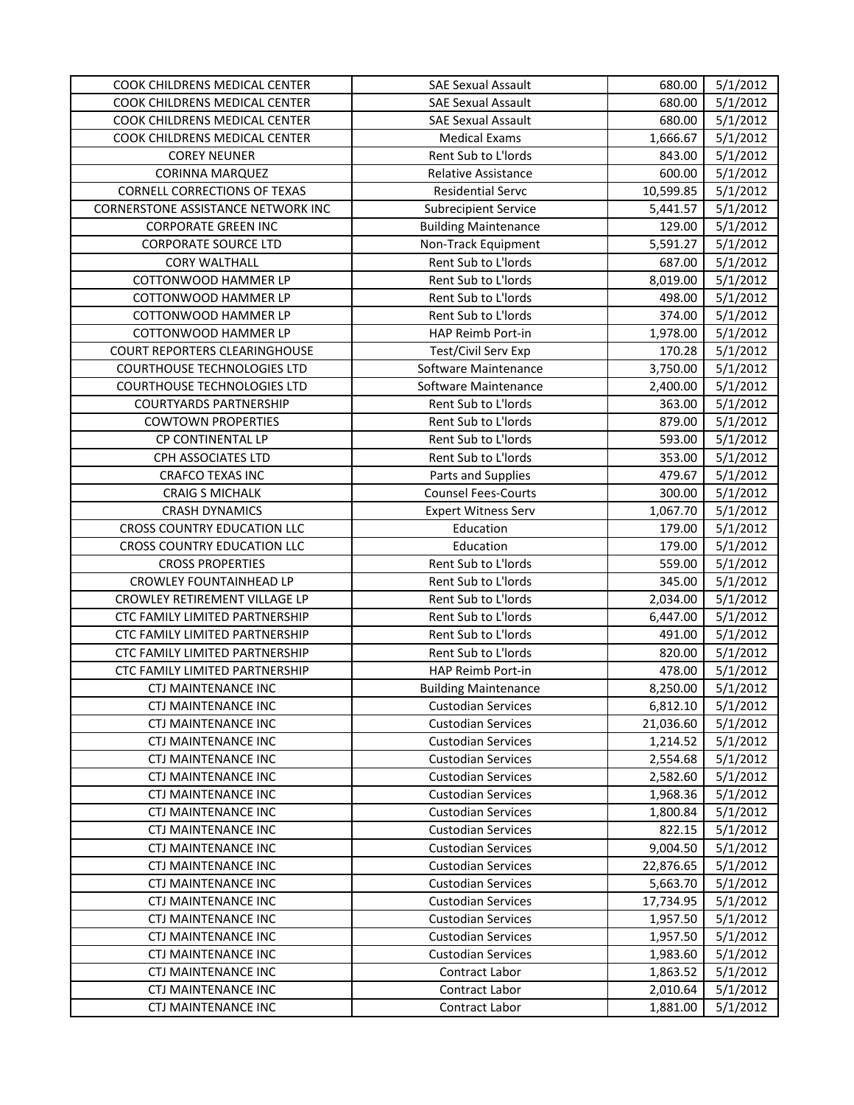| <b>SAE Sexual Assault</b><br>5/1/2012<br>COOK CHILDRENS MEDICAL CENTER<br>680.00<br>COOK CHILDRENS MEDICAL CENTER<br><b>SAE Sexual Assault</b><br>680.00<br>5/1/2012<br>COOK CHILDRENS MEDICAL CENTER<br>5/1/2012<br><b>Medical Exams</b><br>1,666.67<br>Rent Sub to L'Iords<br>5/1/2012<br><b>COREY NEUNER</b><br>843.00<br>600.00<br>5/1/2012<br><b>CORINNA MARQUEZ</b><br><b>Relative Assistance</b><br><b>CORNELL CORRECTIONS OF TEXAS</b><br><b>Residential Servc</b><br>10,599.85<br>5/1/2012<br>CORNERSTONE ASSISTANCE NETWORK INC<br>5/1/2012<br><b>Subrecipient Service</b><br>5,441.57<br><b>CORPORATE GREEN INC</b><br>129.00<br>5/1/2012<br><b>Building Maintenance</b><br><b>CORPORATE SOURCE LTD</b><br>Non-Track Equipment<br>5,591.27<br>5/1/2012<br>Rent Sub to L'Iords<br>687.00<br>5/1/2012<br><b>CORY WALTHALL</b><br>COTTONWOOD HAMMER LP<br>Rent Sub to L'Iords<br>8,019.00<br>5/1/2012<br>5/1/2012<br>COTTONWOOD HAMMER LP<br>Rent Sub to L'Iords<br>498.00<br>374.00<br>5/1/2012<br>COTTONWOOD HAMMER LP<br>Rent Sub to L'Iords<br>5/1/2012<br>COTTONWOOD HAMMER LP<br>HAP Reimb Port-in<br>1,978.00<br>170.28<br>5/1/2012<br><b>COURT REPORTERS CLEARINGHOUSE</b><br>Test/Civil Serv Exp<br>5/1/2012<br><b>COURTHOUSE TECHNOLOGIES LTD</b><br>Software Maintenance<br>3,750.00<br>Software Maintenance<br>5/1/2012<br><b>COURTHOUSE TECHNOLOGIES LTD</b><br>2,400.00<br>Rent Sub to L'Iords<br>363.00<br>5/1/2012<br><b>COURTYARDS PARTNERSHIP</b><br><b>COWTOWN PROPERTIES</b><br>Rent Sub to L'Iords<br>879.00<br>5/1/2012<br>Rent Sub to L'Iords<br>5/1/2012<br>CP CONTINENTAL LP<br>593.00<br>5/1/2012<br>CPH ASSOCIATES LTD<br>Rent Sub to L'Iords<br>353.00<br>Parts and Supplies<br>479.67<br>5/1/2012<br><b>CRAFCO TEXAS INC</b><br><b>CRAIG S MICHALK</b><br><b>Counsel Fees-Courts</b><br>300.00<br>5/1/2012<br>5/1/2012<br><b>CRASH DYNAMICS</b><br><b>Expert Witness Serv</b><br>1,067.70<br>CROSS COUNTRY EDUCATION LLC<br>Education<br>179.00<br>5/1/2012<br>Education<br>5/1/2012<br>CROSS COUNTRY EDUCATION LLC<br>179.00<br>Rent Sub to L'Iords<br>559.00<br>5/1/2012<br><b>CROSS PROPERTIES</b><br>CROWLEY FOUNTAINHEAD LP<br>Rent Sub to L'Iords<br>345.00<br>5/1/2012<br>CROWLEY RETIREMENT VILLAGE LP<br>Rent Sub to L'Iords<br>2,034.00<br>5/1/2012<br>CTC FAMILY LIMITED PARTNERSHIP<br>Rent Sub to L'Iords<br>5/1/2012<br>6,447.00<br>Rent Sub to L'Iords<br>491.00<br>5/1/2012<br><b>CTC FAMILY LIMITED PARTNERSHIP</b><br>CTC FAMILY LIMITED PARTNERSHIP<br>Rent Sub to L'Iords<br>820.00<br>5/1/2012<br>CTC FAMILY LIMITED PARTNERSHIP<br>478.00<br>5/1/2012<br><b>HAP Reimb Port-in</b><br>5/1/2012<br><b>CTJ MAINTENANCE INC</b><br>8,250.00<br><b>Building Maintenance</b><br><b>CTJ MAINTENANCE INC</b><br><b>Custodian Services</b><br>6,812.10<br>5/1/2012<br><b>CTJ MAINTENANCE INC</b><br><b>Custodian Services</b><br>21,036.60<br>5/1/2012<br><b>CTJ MAINTENANCE INC</b><br>5/1/2012<br><b>Custodian Services</b><br>1,214.52<br>5/1/2012<br><b>CTJ MAINTENANCE INC</b><br><b>Custodian Services</b><br>2,554.68<br><b>CTJ MAINTENANCE INC</b><br><b>Custodian Services</b><br>2,582.60<br>5/1/2012<br><b>CTJ MAINTENANCE INC</b><br><b>Custodian Services</b><br>1,968.36<br>5/1/2012<br><b>CTJ MAINTENANCE INC</b><br>5/1/2012<br><b>Custodian Services</b><br>1,800.84 |
|-----------------------------------------------------------------------------------------------------------------------------------------------------------------------------------------------------------------------------------------------------------------------------------------------------------------------------------------------------------------------------------------------------------------------------------------------------------------------------------------------------------------------------------------------------------------------------------------------------------------------------------------------------------------------------------------------------------------------------------------------------------------------------------------------------------------------------------------------------------------------------------------------------------------------------------------------------------------------------------------------------------------------------------------------------------------------------------------------------------------------------------------------------------------------------------------------------------------------------------------------------------------------------------------------------------------------------------------------------------------------------------------------------------------------------------------------------------------------------------------------------------------------------------------------------------------------------------------------------------------------------------------------------------------------------------------------------------------------------------------------------------------------------------------------------------------------------------------------------------------------------------------------------------------------------------------------------------------------------------------------------------------------------------------------------------------------------------------------------------------------------------------------------------------------------------------------------------------------------------------------------------------------------------------------------------------------------------------------------------------------------------------------------------------------------------------------------------------------------------------------------------------------------------------------------------------------------------------------------------------------------------------------------------------------------------------------------------------------------------------------------------------------------------------------------------------------------------------------------------------------------------------------------------------------------------------------------------------------------------------------------------------------------------------------------------------------------------------------------------------------------------------------------------------------------------------------------------------------------------------------------------------------------------------------------------------------------------------|
|                                                                                                                                                                                                                                                                                                                                                                                                                                                                                                                                                                                                                                                                                                                                                                                                                                                                                                                                                                                                                                                                                                                                                                                                                                                                                                                                                                                                                                                                                                                                                                                                                                                                                                                                                                                                                                                                                                                                                                                                                                                                                                                                                                                                                                                                                                                                                                                                                                                                                                                                                                                                                                                                                                                                                                                                                                                                                                                                                                                                                                                                                                                                                                                                                                                                                                                                         |
|                                                                                                                                                                                                                                                                                                                                                                                                                                                                                                                                                                                                                                                                                                                                                                                                                                                                                                                                                                                                                                                                                                                                                                                                                                                                                                                                                                                                                                                                                                                                                                                                                                                                                                                                                                                                                                                                                                                                                                                                                                                                                                                                                                                                                                                                                                                                                                                                                                                                                                                                                                                                                                                                                                                                                                                                                                                                                                                                                                                                                                                                                                                                                                                                                                                                                                                                         |
|                                                                                                                                                                                                                                                                                                                                                                                                                                                                                                                                                                                                                                                                                                                                                                                                                                                                                                                                                                                                                                                                                                                                                                                                                                                                                                                                                                                                                                                                                                                                                                                                                                                                                                                                                                                                                                                                                                                                                                                                                                                                                                                                                                                                                                                                                                                                                                                                                                                                                                                                                                                                                                                                                                                                                                                                                                                                                                                                                                                                                                                                                                                                                                                                                                                                                                                                         |
|                                                                                                                                                                                                                                                                                                                                                                                                                                                                                                                                                                                                                                                                                                                                                                                                                                                                                                                                                                                                                                                                                                                                                                                                                                                                                                                                                                                                                                                                                                                                                                                                                                                                                                                                                                                                                                                                                                                                                                                                                                                                                                                                                                                                                                                                                                                                                                                                                                                                                                                                                                                                                                                                                                                                                                                                                                                                                                                                                                                                                                                                                                                                                                                                                                                                                                                                         |
|                                                                                                                                                                                                                                                                                                                                                                                                                                                                                                                                                                                                                                                                                                                                                                                                                                                                                                                                                                                                                                                                                                                                                                                                                                                                                                                                                                                                                                                                                                                                                                                                                                                                                                                                                                                                                                                                                                                                                                                                                                                                                                                                                                                                                                                                                                                                                                                                                                                                                                                                                                                                                                                                                                                                                                                                                                                                                                                                                                                                                                                                                                                                                                                                                                                                                                                                         |
|                                                                                                                                                                                                                                                                                                                                                                                                                                                                                                                                                                                                                                                                                                                                                                                                                                                                                                                                                                                                                                                                                                                                                                                                                                                                                                                                                                                                                                                                                                                                                                                                                                                                                                                                                                                                                                                                                                                                                                                                                                                                                                                                                                                                                                                                                                                                                                                                                                                                                                                                                                                                                                                                                                                                                                                                                                                                                                                                                                                                                                                                                                                                                                                                                                                                                                                                         |
|                                                                                                                                                                                                                                                                                                                                                                                                                                                                                                                                                                                                                                                                                                                                                                                                                                                                                                                                                                                                                                                                                                                                                                                                                                                                                                                                                                                                                                                                                                                                                                                                                                                                                                                                                                                                                                                                                                                                                                                                                                                                                                                                                                                                                                                                                                                                                                                                                                                                                                                                                                                                                                                                                                                                                                                                                                                                                                                                                                                                                                                                                                                                                                                                                                                                                                                                         |
|                                                                                                                                                                                                                                                                                                                                                                                                                                                                                                                                                                                                                                                                                                                                                                                                                                                                                                                                                                                                                                                                                                                                                                                                                                                                                                                                                                                                                                                                                                                                                                                                                                                                                                                                                                                                                                                                                                                                                                                                                                                                                                                                                                                                                                                                                                                                                                                                                                                                                                                                                                                                                                                                                                                                                                                                                                                                                                                                                                                                                                                                                                                                                                                                                                                                                                                                         |
|                                                                                                                                                                                                                                                                                                                                                                                                                                                                                                                                                                                                                                                                                                                                                                                                                                                                                                                                                                                                                                                                                                                                                                                                                                                                                                                                                                                                                                                                                                                                                                                                                                                                                                                                                                                                                                                                                                                                                                                                                                                                                                                                                                                                                                                                                                                                                                                                                                                                                                                                                                                                                                                                                                                                                                                                                                                                                                                                                                                                                                                                                                                                                                                                                                                                                                                                         |
|                                                                                                                                                                                                                                                                                                                                                                                                                                                                                                                                                                                                                                                                                                                                                                                                                                                                                                                                                                                                                                                                                                                                                                                                                                                                                                                                                                                                                                                                                                                                                                                                                                                                                                                                                                                                                                                                                                                                                                                                                                                                                                                                                                                                                                                                                                                                                                                                                                                                                                                                                                                                                                                                                                                                                                                                                                                                                                                                                                                                                                                                                                                                                                                                                                                                                                                                         |
|                                                                                                                                                                                                                                                                                                                                                                                                                                                                                                                                                                                                                                                                                                                                                                                                                                                                                                                                                                                                                                                                                                                                                                                                                                                                                                                                                                                                                                                                                                                                                                                                                                                                                                                                                                                                                                                                                                                                                                                                                                                                                                                                                                                                                                                                                                                                                                                                                                                                                                                                                                                                                                                                                                                                                                                                                                                                                                                                                                                                                                                                                                                                                                                                                                                                                                                                         |
|                                                                                                                                                                                                                                                                                                                                                                                                                                                                                                                                                                                                                                                                                                                                                                                                                                                                                                                                                                                                                                                                                                                                                                                                                                                                                                                                                                                                                                                                                                                                                                                                                                                                                                                                                                                                                                                                                                                                                                                                                                                                                                                                                                                                                                                                                                                                                                                                                                                                                                                                                                                                                                                                                                                                                                                                                                                                                                                                                                                                                                                                                                                                                                                                                                                                                                                                         |
|                                                                                                                                                                                                                                                                                                                                                                                                                                                                                                                                                                                                                                                                                                                                                                                                                                                                                                                                                                                                                                                                                                                                                                                                                                                                                                                                                                                                                                                                                                                                                                                                                                                                                                                                                                                                                                                                                                                                                                                                                                                                                                                                                                                                                                                                                                                                                                                                                                                                                                                                                                                                                                                                                                                                                                                                                                                                                                                                                                                                                                                                                                                                                                                                                                                                                                                                         |
|                                                                                                                                                                                                                                                                                                                                                                                                                                                                                                                                                                                                                                                                                                                                                                                                                                                                                                                                                                                                                                                                                                                                                                                                                                                                                                                                                                                                                                                                                                                                                                                                                                                                                                                                                                                                                                                                                                                                                                                                                                                                                                                                                                                                                                                                                                                                                                                                                                                                                                                                                                                                                                                                                                                                                                                                                                                                                                                                                                                                                                                                                                                                                                                                                                                                                                                                         |
|                                                                                                                                                                                                                                                                                                                                                                                                                                                                                                                                                                                                                                                                                                                                                                                                                                                                                                                                                                                                                                                                                                                                                                                                                                                                                                                                                                                                                                                                                                                                                                                                                                                                                                                                                                                                                                                                                                                                                                                                                                                                                                                                                                                                                                                                                                                                                                                                                                                                                                                                                                                                                                                                                                                                                                                                                                                                                                                                                                                                                                                                                                                                                                                                                                                                                                                                         |
|                                                                                                                                                                                                                                                                                                                                                                                                                                                                                                                                                                                                                                                                                                                                                                                                                                                                                                                                                                                                                                                                                                                                                                                                                                                                                                                                                                                                                                                                                                                                                                                                                                                                                                                                                                                                                                                                                                                                                                                                                                                                                                                                                                                                                                                                                                                                                                                                                                                                                                                                                                                                                                                                                                                                                                                                                                                                                                                                                                                                                                                                                                                                                                                                                                                                                                                                         |
|                                                                                                                                                                                                                                                                                                                                                                                                                                                                                                                                                                                                                                                                                                                                                                                                                                                                                                                                                                                                                                                                                                                                                                                                                                                                                                                                                                                                                                                                                                                                                                                                                                                                                                                                                                                                                                                                                                                                                                                                                                                                                                                                                                                                                                                                                                                                                                                                                                                                                                                                                                                                                                                                                                                                                                                                                                                                                                                                                                                                                                                                                                                                                                                                                                                                                                                                         |
|                                                                                                                                                                                                                                                                                                                                                                                                                                                                                                                                                                                                                                                                                                                                                                                                                                                                                                                                                                                                                                                                                                                                                                                                                                                                                                                                                                                                                                                                                                                                                                                                                                                                                                                                                                                                                                                                                                                                                                                                                                                                                                                                                                                                                                                                                                                                                                                                                                                                                                                                                                                                                                                                                                                                                                                                                                                                                                                                                                                                                                                                                                                                                                                                                                                                                                                                         |
|                                                                                                                                                                                                                                                                                                                                                                                                                                                                                                                                                                                                                                                                                                                                                                                                                                                                                                                                                                                                                                                                                                                                                                                                                                                                                                                                                                                                                                                                                                                                                                                                                                                                                                                                                                                                                                                                                                                                                                                                                                                                                                                                                                                                                                                                                                                                                                                                                                                                                                                                                                                                                                                                                                                                                                                                                                                                                                                                                                                                                                                                                                                                                                                                                                                                                                                                         |
|                                                                                                                                                                                                                                                                                                                                                                                                                                                                                                                                                                                                                                                                                                                                                                                                                                                                                                                                                                                                                                                                                                                                                                                                                                                                                                                                                                                                                                                                                                                                                                                                                                                                                                                                                                                                                                                                                                                                                                                                                                                                                                                                                                                                                                                                                                                                                                                                                                                                                                                                                                                                                                                                                                                                                                                                                                                                                                                                                                                                                                                                                                                                                                                                                                                                                                                                         |
|                                                                                                                                                                                                                                                                                                                                                                                                                                                                                                                                                                                                                                                                                                                                                                                                                                                                                                                                                                                                                                                                                                                                                                                                                                                                                                                                                                                                                                                                                                                                                                                                                                                                                                                                                                                                                                                                                                                                                                                                                                                                                                                                                                                                                                                                                                                                                                                                                                                                                                                                                                                                                                                                                                                                                                                                                                                                                                                                                                                                                                                                                                                                                                                                                                                                                                                                         |
|                                                                                                                                                                                                                                                                                                                                                                                                                                                                                                                                                                                                                                                                                                                                                                                                                                                                                                                                                                                                                                                                                                                                                                                                                                                                                                                                                                                                                                                                                                                                                                                                                                                                                                                                                                                                                                                                                                                                                                                                                                                                                                                                                                                                                                                                                                                                                                                                                                                                                                                                                                                                                                                                                                                                                                                                                                                                                                                                                                                                                                                                                                                                                                                                                                                                                                                                         |
|                                                                                                                                                                                                                                                                                                                                                                                                                                                                                                                                                                                                                                                                                                                                                                                                                                                                                                                                                                                                                                                                                                                                                                                                                                                                                                                                                                                                                                                                                                                                                                                                                                                                                                                                                                                                                                                                                                                                                                                                                                                                                                                                                                                                                                                                                                                                                                                                                                                                                                                                                                                                                                                                                                                                                                                                                                                                                                                                                                                                                                                                                                                                                                                                                                                                                                                                         |
|                                                                                                                                                                                                                                                                                                                                                                                                                                                                                                                                                                                                                                                                                                                                                                                                                                                                                                                                                                                                                                                                                                                                                                                                                                                                                                                                                                                                                                                                                                                                                                                                                                                                                                                                                                                                                                                                                                                                                                                                                                                                                                                                                                                                                                                                                                                                                                                                                                                                                                                                                                                                                                                                                                                                                                                                                                                                                                                                                                                                                                                                                                                                                                                                                                                                                                                                         |
|                                                                                                                                                                                                                                                                                                                                                                                                                                                                                                                                                                                                                                                                                                                                                                                                                                                                                                                                                                                                                                                                                                                                                                                                                                                                                                                                                                                                                                                                                                                                                                                                                                                                                                                                                                                                                                                                                                                                                                                                                                                                                                                                                                                                                                                                                                                                                                                                                                                                                                                                                                                                                                                                                                                                                                                                                                                                                                                                                                                                                                                                                                                                                                                                                                                                                                                                         |
|                                                                                                                                                                                                                                                                                                                                                                                                                                                                                                                                                                                                                                                                                                                                                                                                                                                                                                                                                                                                                                                                                                                                                                                                                                                                                                                                                                                                                                                                                                                                                                                                                                                                                                                                                                                                                                                                                                                                                                                                                                                                                                                                                                                                                                                                                                                                                                                                                                                                                                                                                                                                                                                                                                                                                                                                                                                                                                                                                                                                                                                                                                                                                                                                                                                                                                                                         |
|                                                                                                                                                                                                                                                                                                                                                                                                                                                                                                                                                                                                                                                                                                                                                                                                                                                                                                                                                                                                                                                                                                                                                                                                                                                                                                                                                                                                                                                                                                                                                                                                                                                                                                                                                                                                                                                                                                                                                                                                                                                                                                                                                                                                                                                                                                                                                                                                                                                                                                                                                                                                                                                                                                                                                                                                                                                                                                                                                                                                                                                                                                                                                                                                                                                                                                                                         |
|                                                                                                                                                                                                                                                                                                                                                                                                                                                                                                                                                                                                                                                                                                                                                                                                                                                                                                                                                                                                                                                                                                                                                                                                                                                                                                                                                                                                                                                                                                                                                                                                                                                                                                                                                                                                                                                                                                                                                                                                                                                                                                                                                                                                                                                                                                                                                                                                                                                                                                                                                                                                                                                                                                                                                                                                                                                                                                                                                                                                                                                                                                                                                                                                                                                                                                                                         |
|                                                                                                                                                                                                                                                                                                                                                                                                                                                                                                                                                                                                                                                                                                                                                                                                                                                                                                                                                                                                                                                                                                                                                                                                                                                                                                                                                                                                                                                                                                                                                                                                                                                                                                                                                                                                                                                                                                                                                                                                                                                                                                                                                                                                                                                                                                                                                                                                                                                                                                                                                                                                                                                                                                                                                                                                                                                                                                                                                                                                                                                                                                                                                                                                                                                                                                                                         |
|                                                                                                                                                                                                                                                                                                                                                                                                                                                                                                                                                                                                                                                                                                                                                                                                                                                                                                                                                                                                                                                                                                                                                                                                                                                                                                                                                                                                                                                                                                                                                                                                                                                                                                                                                                                                                                                                                                                                                                                                                                                                                                                                                                                                                                                                                                                                                                                                                                                                                                                                                                                                                                                                                                                                                                                                                                                                                                                                                                                                                                                                                                                                                                                                                                                                                                                                         |
|                                                                                                                                                                                                                                                                                                                                                                                                                                                                                                                                                                                                                                                                                                                                                                                                                                                                                                                                                                                                                                                                                                                                                                                                                                                                                                                                                                                                                                                                                                                                                                                                                                                                                                                                                                                                                                                                                                                                                                                                                                                                                                                                                                                                                                                                                                                                                                                                                                                                                                                                                                                                                                                                                                                                                                                                                                                                                                                                                                                                                                                                                                                                                                                                                                                                                                                                         |
|                                                                                                                                                                                                                                                                                                                                                                                                                                                                                                                                                                                                                                                                                                                                                                                                                                                                                                                                                                                                                                                                                                                                                                                                                                                                                                                                                                                                                                                                                                                                                                                                                                                                                                                                                                                                                                                                                                                                                                                                                                                                                                                                                                                                                                                                                                                                                                                                                                                                                                                                                                                                                                                                                                                                                                                                                                                                                                                                                                                                                                                                                                                                                                                                                                                                                                                                         |
|                                                                                                                                                                                                                                                                                                                                                                                                                                                                                                                                                                                                                                                                                                                                                                                                                                                                                                                                                                                                                                                                                                                                                                                                                                                                                                                                                                                                                                                                                                                                                                                                                                                                                                                                                                                                                                                                                                                                                                                                                                                                                                                                                                                                                                                                                                                                                                                                                                                                                                                                                                                                                                                                                                                                                                                                                                                                                                                                                                                                                                                                                                                                                                                                                                                                                                                                         |
|                                                                                                                                                                                                                                                                                                                                                                                                                                                                                                                                                                                                                                                                                                                                                                                                                                                                                                                                                                                                                                                                                                                                                                                                                                                                                                                                                                                                                                                                                                                                                                                                                                                                                                                                                                                                                                                                                                                                                                                                                                                                                                                                                                                                                                                                                                                                                                                                                                                                                                                                                                                                                                                                                                                                                                                                                                                                                                                                                                                                                                                                                                                                                                                                                                                                                                                                         |
|                                                                                                                                                                                                                                                                                                                                                                                                                                                                                                                                                                                                                                                                                                                                                                                                                                                                                                                                                                                                                                                                                                                                                                                                                                                                                                                                                                                                                                                                                                                                                                                                                                                                                                                                                                                                                                                                                                                                                                                                                                                                                                                                                                                                                                                                                                                                                                                                                                                                                                                                                                                                                                                                                                                                                                                                                                                                                                                                                                                                                                                                                                                                                                                                                                                                                                                                         |
|                                                                                                                                                                                                                                                                                                                                                                                                                                                                                                                                                                                                                                                                                                                                                                                                                                                                                                                                                                                                                                                                                                                                                                                                                                                                                                                                                                                                                                                                                                                                                                                                                                                                                                                                                                                                                                                                                                                                                                                                                                                                                                                                                                                                                                                                                                                                                                                                                                                                                                                                                                                                                                                                                                                                                                                                                                                                                                                                                                                                                                                                                                                                                                                                                                                                                                                                         |
|                                                                                                                                                                                                                                                                                                                                                                                                                                                                                                                                                                                                                                                                                                                                                                                                                                                                                                                                                                                                                                                                                                                                                                                                                                                                                                                                                                                                                                                                                                                                                                                                                                                                                                                                                                                                                                                                                                                                                                                                                                                                                                                                                                                                                                                                                                                                                                                                                                                                                                                                                                                                                                                                                                                                                                                                                                                                                                                                                                                                                                                                                                                                                                                                                                                                                                                                         |
|                                                                                                                                                                                                                                                                                                                                                                                                                                                                                                                                                                                                                                                                                                                                                                                                                                                                                                                                                                                                                                                                                                                                                                                                                                                                                                                                                                                                                                                                                                                                                                                                                                                                                                                                                                                                                                                                                                                                                                                                                                                                                                                                                                                                                                                                                                                                                                                                                                                                                                                                                                                                                                                                                                                                                                                                                                                                                                                                                                                                                                                                                                                                                                                                                                                                                                                                         |
|                                                                                                                                                                                                                                                                                                                                                                                                                                                                                                                                                                                                                                                                                                                                                                                                                                                                                                                                                                                                                                                                                                                                                                                                                                                                                                                                                                                                                                                                                                                                                                                                                                                                                                                                                                                                                                                                                                                                                                                                                                                                                                                                                                                                                                                                                                                                                                                                                                                                                                                                                                                                                                                                                                                                                                                                                                                                                                                                                                                                                                                                                                                                                                                                                                                                                                                                         |
|                                                                                                                                                                                                                                                                                                                                                                                                                                                                                                                                                                                                                                                                                                                                                                                                                                                                                                                                                                                                                                                                                                                                                                                                                                                                                                                                                                                                                                                                                                                                                                                                                                                                                                                                                                                                                                                                                                                                                                                                                                                                                                                                                                                                                                                                                                                                                                                                                                                                                                                                                                                                                                                                                                                                                                                                                                                                                                                                                                                                                                                                                                                                                                                                                                                                                                                                         |
|                                                                                                                                                                                                                                                                                                                                                                                                                                                                                                                                                                                                                                                                                                                                                                                                                                                                                                                                                                                                                                                                                                                                                                                                                                                                                                                                                                                                                                                                                                                                                                                                                                                                                                                                                                                                                                                                                                                                                                                                                                                                                                                                                                                                                                                                                                                                                                                                                                                                                                                                                                                                                                                                                                                                                                                                                                                                                                                                                                                                                                                                                                                                                                                                                                                                                                                                         |
| CTJ MAINTENANCE INC<br><b>Custodian Services</b><br>822.15<br>5/1/2012                                                                                                                                                                                                                                                                                                                                                                                                                                                                                                                                                                                                                                                                                                                                                                                                                                                                                                                                                                                                                                                                                                                                                                                                                                                                                                                                                                                                                                                                                                                                                                                                                                                                                                                                                                                                                                                                                                                                                                                                                                                                                                                                                                                                                                                                                                                                                                                                                                                                                                                                                                                                                                                                                                                                                                                                                                                                                                                                                                                                                                                                                                                                                                                                                                                                  |
| CTJ MAINTENANCE INC<br><b>Custodian Services</b><br>9,004.50<br>5/1/2012                                                                                                                                                                                                                                                                                                                                                                                                                                                                                                                                                                                                                                                                                                                                                                                                                                                                                                                                                                                                                                                                                                                                                                                                                                                                                                                                                                                                                                                                                                                                                                                                                                                                                                                                                                                                                                                                                                                                                                                                                                                                                                                                                                                                                                                                                                                                                                                                                                                                                                                                                                                                                                                                                                                                                                                                                                                                                                                                                                                                                                                                                                                                                                                                                                                                |
| CTJ MAINTENANCE INC<br><b>Custodian Services</b><br>22,876.65<br>5/1/2012                                                                                                                                                                                                                                                                                                                                                                                                                                                                                                                                                                                                                                                                                                                                                                                                                                                                                                                                                                                                                                                                                                                                                                                                                                                                                                                                                                                                                                                                                                                                                                                                                                                                                                                                                                                                                                                                                                                                                                                                                                                                                                                                                                                                                                                                                                                                                                                                                                                                                                                                                                                                                                                                                                                                                                                                                                                                                                                                                                                                                                                                                                                                                                                                                                                               |
| <b>CTJ MAINTENANCE INC</b><br><b>Custodian Services</b><br>5/1/2012<br>5,663.70                                                                                                                                                                                                                                                                                                                                                                                                                                                                                                                                                                                                                                                                                                                                                                                                                                                                                                                                                                                                                                                                                                                                                                                                                                                                                                                                                                                                                                                                                                                                                                                                                                                                                                                                                                                                                                                                                                                                                                                                                                                                                                                                                                                                                                                                                                                                                                                                                                                                                                                                                                                                                                                                                                                                                                                                                                                                                                                                                                                                                                                                                                                                                                                                                                                         |
| 5/1/2012<br>CTJ MAINTENANCE INC<br><b>Custodian Services</b><br>17,734.95                                                                                                                                                                                                                                                                                                                                                                                                                                                                                                                                                                                                                                                                                                                                                                                                                                                                                                                                                                                                                                                                                                                                                                                                                                                                                                                                                                                                                                                                                                                                                                                                                                                                                                                                                                                                                                                                                                                                                                                                                                                                                                                                                                                                                                                                                                                                                                                                                                                                                                                                                                                                                                                                                                                                                                                                                                                                                                                                                                                                                                                                                                                                                                                                                                                               |
| <b>CTJ MAINTENANCE INC</b><br><b>Custodian Services</b><br>1,957.50<br>5/1/2012                                                                                                                                                                                                                                                                                                                                                                                                                                                                                                                                                                                                                                                                                                                                                                                                                                                                                                                                                                                                                                                                                                                                                                                                                                                                                                                                                                                                                                                                                                                                                                                                                                                                                                                                                                                                                                                                                                                                                                                                                                                                                                                                                                                                                                                                                                                                                                                                                                                                                                                                                                                                                                                                                                                                                                                                                                                                                                                                                                                                                                                                                                                                                                                                                                                         |
| <b>CTJ MAINTENANCE INC</b><br><b>Custodian Services</b><br>1,957.50<br>5/1/2012                                                                                                                                                                                                                                                                                                                                                                                                                                                                                                                                                                                                                                                                                                                                                                                                                                                                                                                                                                                                                                                                                                                                                                                                                                                                                                                                                                                                                                                                                                                                                                                                                                                                                                                                                                                                                                                                                                                                                                                                                                                                                                                                                                                                                                                                                                                                                                                                                                                                                                                                                                                                                                                                                                                                                                                                                                                                                                                                                                                                                                                                                                                                                                                                                                                         |
| <b>CTJ MAINTENANCE INC</b><br>5/1/2012<br><b>Custodian Services</b><br>1,983.60                                                                                                                                                                                                                                                                                                                                                                                                                                                                                                                                                                                                                                                                                                                                                                                                                                                                                                                                                                                                                                                                                                                                                                                                                                                                                                                                                                                                                                                                                                                                                                                                                                                                                                                                                                                                                                                                                                                                                                                                                                                                                                                                                                                                                                                                                                                                                                                                                                                                                                                                                                                                                                                                                                                                                                                                                                                                                                                                                                                                                                                                                                                                                                                                                                                         |
| <b>CTJ MAINTENANCE INC</b><br>Contract Labor<br>5/1/2012<br>1,863.52                                                                                                                                                                                                                                                                                                                                                                                                                                                                                                                                                                                                                                                                                                                                                                                                                                                                                                                                                                                                                                                                                                                                                                                                                                                                                                                                                                                                                                                                                                                                                                                                                                                                                                                                                                                                                                                                                                                                                                                                                                                                                                                                                                                                                                                                                                                                                                                                                                                                                                                                                                                                                                                                                                                                                                                                                                                                                                                                                                                                                                                                                                                                                                                                                                                                    |
| CTJ MAINTENANCE INC<br>Contract Labor<br>5/1/2012<br>2,010.64                                                                                                                                                                                                                                                                                                                                                                                                                                                                                                                                                                                                                                                                                                                                                                                                                                                                                                                                                                                                                                                                                                                                                                                                                                                                                                                                                                                                                                                                                                                                                                                                                                                                                                                                                                                                                                                                                                                                                                                                                                                                                                                                                                                                                                                                                                                                                                                                                                                                                                                                                                                                                                                                                                                                                                                                                                                                                                                                                                                                                                                                                                                                                                                                                                                                           |
| CTJ MAINTENANCE INC<br>Contract Labor<br>1,881.00<br>5/1/2012                                                                                                                                                                                                                                                                                                                                                                                                                                                                                                                                                                                                                                                                                                                                                                                                                                                                                                                                                                                                                                                                                                                                                                                                                                                                                                                                                                                                                                                                                                                                                                                                                                                                                                                                                                                                                                                                                                                                                                                                                                                                                                                                                                                                                                                                                                                                                                                                                                                                                                                                                                                                                                                                                                                                                                                                                                                                                                                                                                                                                                                                                                                                                                                                                                                                           |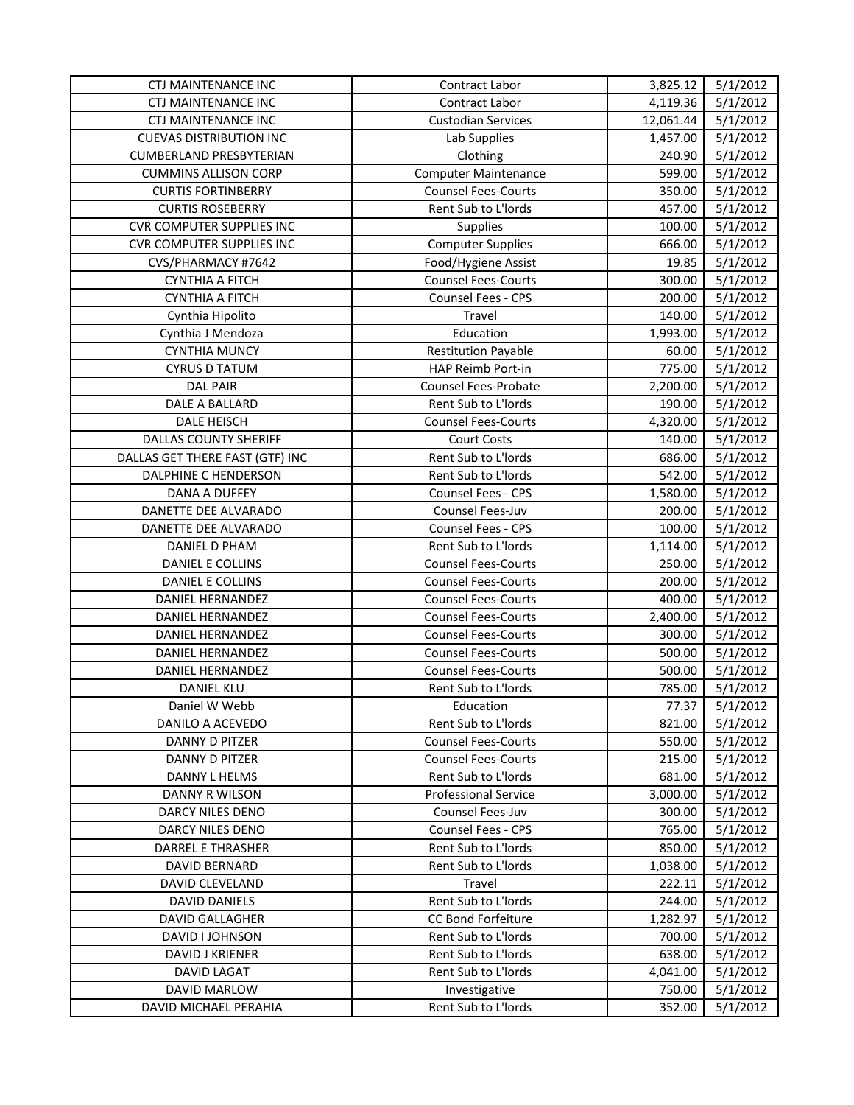| <b>CTJ MAINTENANCE INC</b>       | Contract Labor              | 3,825.12  | 5/1/2012 |
|----------------------------------|-----------------------------|-----------|----------|
| CTJ MAINTENANCE INC              | Contract Labor              | 4,119.36  | 5/1/2012 |
| <b>CTJ MAINTENANCE INC</b>       | <b>Custodian Services</b>   | 12,061.44 | 5/1/2012 |
| <b>CUEVAS DISTRIBUTION INC</b>   | Lab Supplies                | 1,457.00  | 5/1/2012 |
| <b>CUMBERLAND PRESBYTERIAN</b>   | Clothing                    | 240.90    | 5/1/2012 |
| <b>CUMMINS ALLISON CORP</b>      | <b>Computer Maintenance</b> | 599.00    | 5/1/2012 |
| <b>CURTIS FORTINBERRY</b>        | <b>Counsel Fees-Courts</b>  | 350.00    | 5/1/2012 |
| <b>CURTIS ROSEBERRY</b>          | Rent Sub to L'Iords         | 457.00    | 5/1/2012 |
| <b>CVR COMPUTER SUPPLIES INC</b> | Supplies                    | 100.00    | 5/1/2012 |
| <b>CVR COMPUTER SUPPLIES INC</b> | <b>Computer Supplies</b>    | 666.00    | 5/1/2012 |
| CVS/PHARMACY #7642               | Food/Hygiene Assist         | 19.85     | 5/1/2012 |
| <b>CYNTHIA A FITCH</b>           | <b>Counsel Fees-Courts</b>  | 300.00    | 5/1/2012 |
| <b>CYNTHIA A FITCH</b>           | Counsel Fees - CPS          | 200.00    | 5/1/2012 |
| Cynthia Hipolito                 | Travel                      | 140.00    | 5/1/2012 |
| Cynthia J Mendoza                | Education                   | 1,993.00  | 5/1/2012 |
| <b>CYNTHIA MUNCY</b>             | <b>Restitution Payable</b>  | 60.00     | 5/1/2012 |
| <b>CYRUS D TATUM</b>             | HAP Reimb Port-in           | 775.00    | 5/1/2012 |
| <b>DAL PAIR</b>                  | Counsel Fees-Probate        | 2,200.00  | 5/1/2012 |
| DALE A BALLARD                   | Rent Sub to L'Iords         | 190.00    | 5/1/2012 |
| DALE HEISCH                      | <b>Counsel Fees-Courts</b>  | 4,320.00  | 5/1/2012 |
| <b>DALLAS COUNTY SHERIFF</b>     | <b>Court Costs</b>          | 140.00    | 5/1/2012 |
| DALLAS GET THERE FAST (GTF) INC  | Rent Sub to L'Iords         | 686.00    | 5/1/2012 |
| DALPHINE C HENDERSON             | Rent Sub to L'Iords         | 542.00    | 5/1/2012 |
| DANA A DUFFEY                    | <b>Counsel Fees - CPS</b>   | 1,580.00  | 5/1/2012 |
| DANETTE DEE ALVARADO             | Counsel Fees-Juv            | 200.00    | 5/1/2012 |
| DANETTE DEE ALVARADO             | <b>Counsel Fees - CPS</b>   | 100.00    | 5/1/2012 |
| DANIEL D PHAM                    | Rent Sub to L'Iords         | 1,114.00  | 5/1/2012 |
| DANIEL E COLLINS                 | <b>Counsel Fees-Courts</b>  | 250.00    | 5/1/2012 |
| DANIEL E COLLINS                 | <b>Counsel Fees-Courts</b>  | 200.00    | 5/1/2012 |
| DANIEL HERNANDEZ                 | <b>Counsel Fees-Courts</b>  | 400.00    | 5/1/2012 |
| <b>DANIEL HERNANDEZ</b>          | <b>Counsel Fees-Courts</b>  | 2,400.00  | 5/1/2012 |
| DANIEL HERNANDEZ                 | <b>Counsel Fees-Courts</b>  | 300.00    | 5/1/2012 |
| DANIEL HERNANDEZ                 | <b>Counsel Fees-Courts</b>  | 500.00    | 5/1/2012 |
| <b>DANIEL HERNANDEZ</b>          | <b>Counsel Fees-Courts</b>  | 500.00    | 5/1/2012 |
| DANIEL KLU                       | Rent Sub to L'Iords         | 785.00    | 5/1/2012 |
| Daniel W Webb                    | Education                   | 77.37     | 5/1/2012 |
| DANILO A ACEVEDO                 | Rent Sub to L'Iords         | 821.00    | 5/1/2012 |
| <b>DANNY D PITZER</b>            | <b>Counsel Fees-Courts</b>  | 550.00    | 5/1/2012 |
| <b>DANNY D PITZER</b>            | <b>Counsel Fees-Courts</b>  | 215.00    | 5/1/2012 |
| DANNY L HELMS                    | Rent Sub to L'Iords         | 681.00    | 5/1/2012 |
| DANNY R WILSON                   | <b>Professional Service</b> | 3,000.00  | 5/1/2012 |
| DARCY NILES DENO                 | Counsel Fees-Juv            | 300.00    | 5/1/2012 |
| DARCY NILES DENO                 | <b>Counsel Fees - CPS</b>   | 765.00    | 5/1/2012 |
| <b>DARREL E THRASHER</b>         | Rent Sub to L'Iords         | 850.00    | 5/1/2012 |
| <b>DAVID BERNARD</b>             | Rent Sub to L'Iords         | 1,038.00  | 5/1/2012 |
| DAVID CLEVELAND                  | Travel                      | 222.11    | 5/1/2012 |
| <b>DAVID DANIELS</b>             | Rent Sub to L'Iords         | 244.00    | 5/1/2012 |
| <b>DAVID GALLAGHER</b>           | <b>CC Bond Forfeiture</b>   | 1,282.97  | 5/1/2012 |
| DAVID I JOHNSON                  | Rent Sub to L'Iords         | 700.00    | 5/1/2012 |
| DAVID J KRIENER                  | Rent Sub to L'Iords         | 638.00    | 5/1/2012 |
| <b>DAVID LAGAT</b>               | <b>Rent Sub to L'Iords</b>  | 4,041.00  | 5/1/2012 |
| <b>DAVID MARLOW</b>              | Investigative               | 750.00    | 5/1/2012 |
| DAVID MICHAEL PERAHIA            | Rent Sub to L'Iords         | 352.00    | 5/1/2012 |
|                                  |                             |           |          |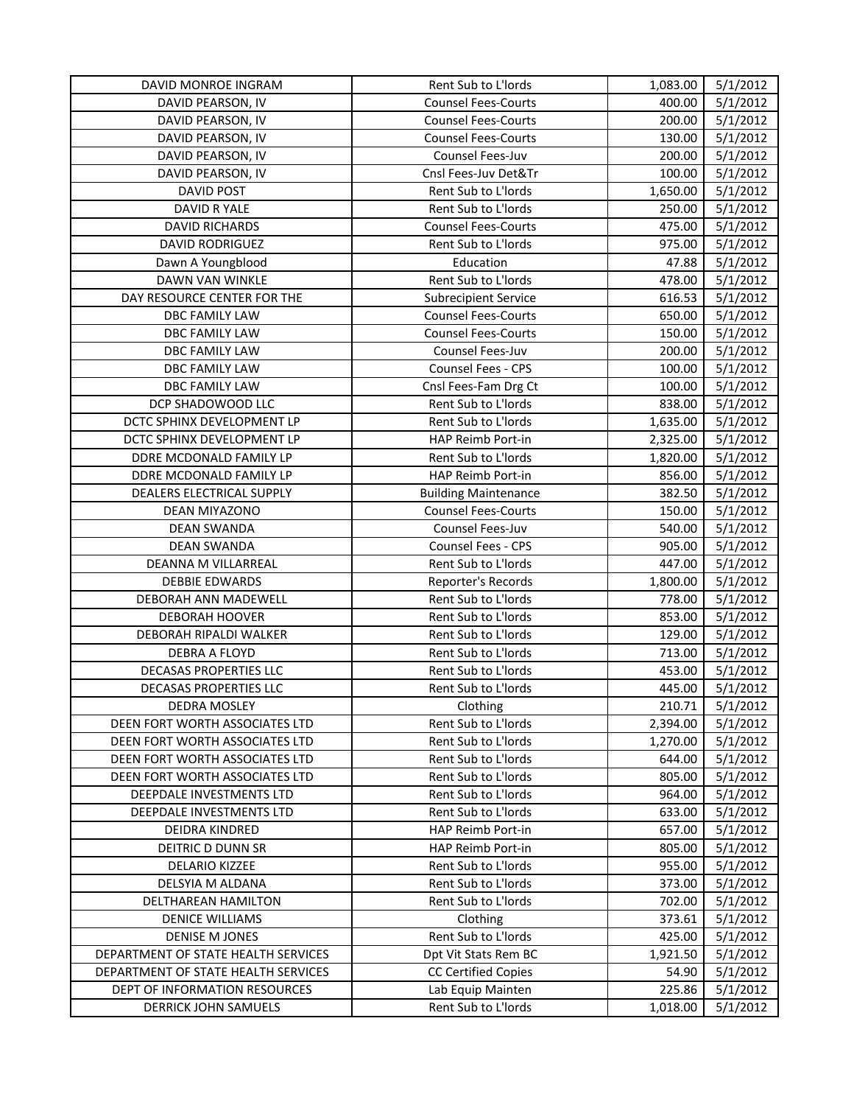| DAVID MONROE INGRAM                 | Rent Sub to L'Iords         | 1,083.00 | 5/1/2012 |
|-------------------------------------|-----------------------------|----------|----------|
| DAVID PEARSON, IV                   | <b>Counsel Fees-Courts</b>  | 400.00   | 5/1/2012 |
| DAVID PEARSON, IV                   | <b>Counsel Fees-Courts</b>  | 200.00   | 5/1/2012 |
| DAVID PEARSON, IV                   | <b>Counsel Fees-Courts</b>  | 130.00   | 5/1/2012 |
| DAVID PEARSON, IV                   | Counsel Fees-Juv            | 200.00   | 5/1/2012 |
| DAVID PEARSON, IV                   | Cnsl Fees-Juv Det&Tr        | 100.00   | 5/1/2012 |
| <b>DAVID POST</b>                   | Rent Sub to L'Iords         | 1,650.00 | 5/1/2012 |
| DAVID R YALE                        | Rent Sub to L'Iords         | 250.00   | 5/1/2012 |
| <b>DAVID RICHARDS</b>               | <b>Counsel Fees-Courts</b>  | 475.00   | 5/1/2012 |
| <b>DAVID RODRIGUEZ</b>              | Rent Sub to L'Iords         | 975.00   | 5/1/2012 |
| Dawn A Youngblood                   | Education                   | 47.88    | 5/1/2012 |
| DAWN VAN WINKLE                     | Rent Sub to L'Iords         | 478.00   | 5/1/2012 |
| DAY RESOURCE CENTER FOR THE         | <b>Subrecipient Service</b> | 616.53   | 5/1/2012 |
| DBC FAMILY LAW                      | <b>Counsel Fees-Courts</b>  | 650.00   | 5/1/2012 |
| DBC FAMILY LAW                      | <b>Counsel Fees-Courts</b>  | 150.00   | 5/1/2012 |
| DBC FAMILY LAW                      | Counsel Fees-Juv            | 200.00   | 5/1/2012 |
| DBC FAMILY LAW                      | Counsel Fees - CPS          | 100.00   | 5/1/2012 |
| DBC FAMILY LAW                      | Cnsl Fees-Fam Drg Ct        | 100.00   | 5/1/2012 |
| DCP SHADOWOOD LLC                   | Rent Sub to L'Iords         | 838.00   | 5/1/2012 |
| DCTC SPHINX DEVELOPMENT LP          | Rent Sub to L'Iords         | 1,635.00 | 5/1/2012 |
| DCTC SPHINX DEVELOPMENT LP          | HAP Reimb Port-in           | 2,325.00 | 5/1/2012 |
| DDRE MCDONALD FAMILY LP             | Rent Sub to L'Iords         | 1,820.00 | 5/1/2012 |
| DDRE MCDONALD FAMILY LP             | HAP Reimb Port-in           | 856.00   | 5/1/2012 |
| DEALERS ELECTRICAL SUPPLY           | <b>Building Maintenance</b> | 382.50   | 5/1/2012 |
| DEAN MIYAZONO                       | <b>Counsel Fees-Courts</b>  | 150.00   | 5/1/2012 |
| <b>DEAN SWANDA</b>                  | Counsel Fees-Juv            | 540.00   | 5/1/2012 |
| <b>DEAN SWANDA</b>                  | Counsel Fees - CPS          | 905.00   | 5/1/2012 |
| DEANNA M VILLARREAL                 | Rent Sub to L'Iords         | 447.00   | 5/1/2012 |
| <b>DEBBIE EDWARDS</b>               | Reporter's Records          | 1,800.00 | 5/1/2012 |
| DEBORAH ANN MADEWELL                | Rent Sub to L'Iords         | 778.00   | 5/1/2012 |
| <b>DEBORAH HOOVER</b>               | Rent Sub to L'Iords         | 853.00   | 5/1/2012 |
| DEBORAH RIPALDI WALKER              | Rent Sub to L'Iords         | 129.00   | 5/1/2012 |
| DEBRA A FLOYD                       | Rent Sub to L'Iords         | 713.00   | 5/1/2012 |
| DECASAS PROPERTIES LLC              | Rent Sub to L'Iords         | 453.00   | 5/1/2012 |
| DECASAS PROPERTIES LLC              | Rent Sub to L'Iords         | 445.00   | 5/1/2012 |
| DEDRA MOSLEY                        | Clothing                    | 210.71   | 5/1/2012 |
| DEEN FORT WORTH ASSOCIATES LTD      | Rent Sub to L'Iords         | 2,394.00 | 5/1/2012 |
| DEEN FORT WORTH ASSOCIATES LTD      | Rent Sub to L'Iords         | 1,270.00 | 5/1/2012 |
| DEEN FORT WORTH ASSOCIATES LTD      | Rent Sub to L'Iords         | 644.00   | 5/1/2012 |
| DEEN FORT WORTH ASSOCIATES LTD      | Rent Sub to L'Iords         | 805.00   | 5/1/2012 |
| DEEPDALE INVESTMENTS LTD            | Rent Sub to L'Iords         | 964.00   | 5/1/2012 |
| DEEPDALE INVESTMENTS LTD            | Rent Sub to L'Iords         | 633.00   | 5/1/2012 |
| DEIDRA KINDRED                      | HAP Reimb Port-in           | 657.00   | 5/1/2012 |
| DEITRIC D DUNN SR                   | HAP Reimb Port-in           | 805.00   | 5/1/2012 |
| <b>DELARIO KIZZEE</b>               | Rent Sub to L'Iords         | 955.00   | 5/1/2012 |
| DELSYIA M ALDANA                    | Rent Sub to L'Iords         | 373.00   | 5/1/2012 |
| DELTHAREAN HAMILTON                 | Rent Sub to L'Iords         | 702.00   | 5/1/2012 |
| <b>DENICE WILLIAMS</b>              | Clothing                    | 373.61   | 5/1/2012 |
| DENISE M JONES                      | Rent Sub to L'Iords         | 425.00   | 5/1/2012 |
| DEPARTMENT OF STATE HEALTH SERVICES | Dpt Vit Stats Rem BC        | 1,921.50 | 5/1/2012 |
| DEPARTMENT OF STATE HEALTH SERVICES | <b>CC Certified Copies</b>  | 54.90    | 5/1/2012 |
| DEPT OF INFORMATION RESOURCES       | Lab Equip Mainten           | 225.86   | 5/1/2012 |
| <b>DERRICK JOHN SAMUELS</b>         | Rent Sub to L'Iords         | 1,018.00 | 5/1/2012 |
|                                     |                             |          |          |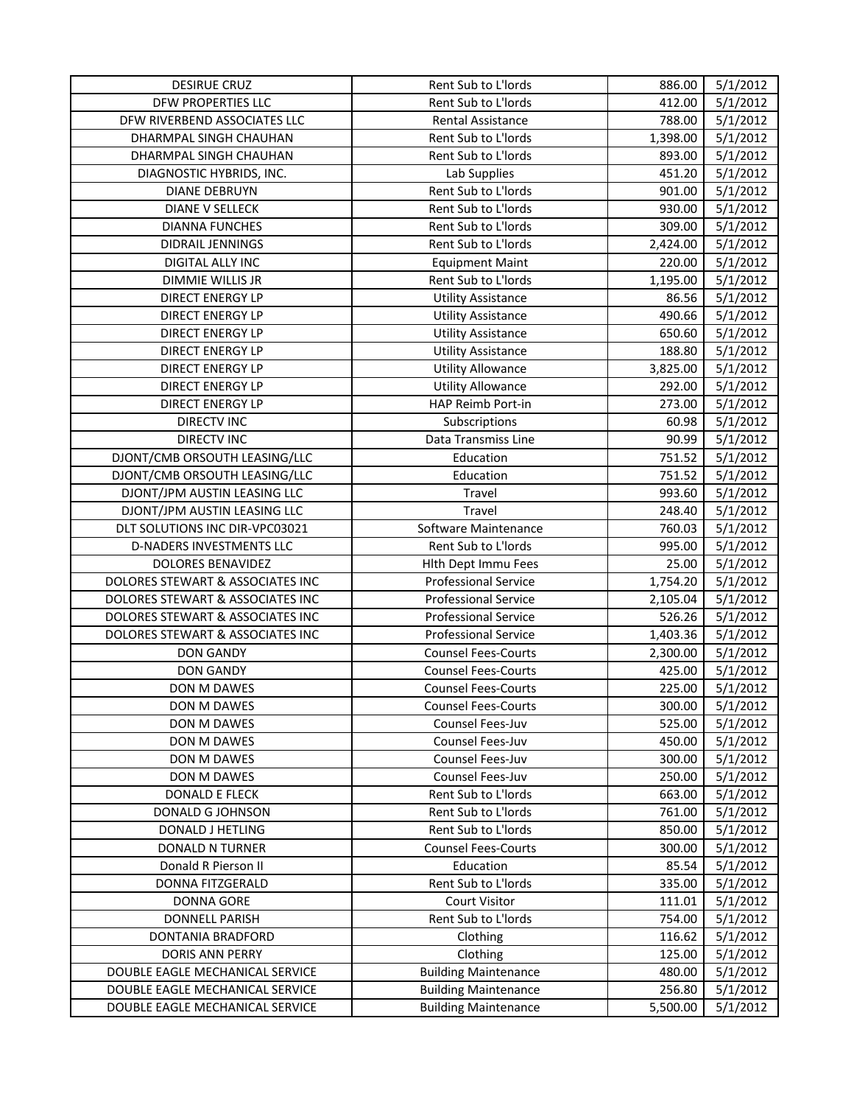| Rent Sub to L'Iords<br>5/1/2012<br>DFW PROPERTIES LLC<br>412.00<br>DFW RIVERBEND ASSOCIATES LLC<br>Rental Assistance<br>788.00<br>5/1/2012<br>Rent Sub to L'Iords<br>5/1/2012<br>DHARMPAL SINGH CHAUHAN<br>1,398.00<br>Rent Sub to L'Iords<br>5/1/2012<br>DHARMPAL SINGH CHAUHAN<br>893.00<br>DIAGNOSTIC HYBRIDS, INC.<br>Lab Supplies<br>451.20<br>5/1/2012<br>Rent Sub to L'Iords<br><b>DIANE DEBRUYN</b><br>901.00<br>5/1/2012<br>Rent Sub to L'Iords<br><b>DIANE V SELLECK</b><br>930.00<br>5/1/2012<br><b>DIANNA FUNCHES</b><br>Rent Sub to L'Iords<br>309.00<br>5/1/2012<br>Rent Sub to L'Iords<br>5/1/2012<br><b>DIDRAIL JENNINGS</b><br>2,424.00<br>DIGITAL ALLY INC<br><b>Equipment Maint</b><br>220.00<br>5/1/2012<br>Rent Sub to L'Iords<br>5/1/2012<br>DIMMIE WILLIS JR<br>1,195.00<br>5/1/2012<br>DIRECT ENERGY LP<br>86.56<br><b>Utility Assistance</b><br>490.66<br>5/1/2012<br>DIRECT ENERGY LP<br><b>Utility Assistance</b><br>650.60<br>5/1/2012<br>DIRECT ENERGY LP<br><b>Utility Assistance</b><br><b>Utility Assistance</b><br>188.80<br>5/1/2012<br>DIRECT ENERGY LP<br>5/1/2012<br><b>Utility Allowance</b><br>3,825.00<br>DIRECT ENERGY LP<br>DIRECT ENERGY LP<br><b>Utility Allowance</b><br>292.00<br>5/1/2012<br>HAP Reimb Port-in<br>5/1/2012<br>DIRECT ENERGY LP<br>273.00<br><b>DIRECTV INC</b><br>60.98<br>5/1/2012<br>Subscriptions<br>90.99<br>5/1/2012<br><b>DIRECTV INC</b><br>Data Transmiss Line<br>DJONT/CMB ORSOUTH LEASING/LLC<br>751.52<br>5/1/2012<br>Education<br>DJONT/CMB ORSOUTH LEASING/LLC<br>751.52<br>5/1/2012<br>Education<br>DJONT/JPM AUSTIN LEASING LLC<br>Travel<br>993.60<br>5/1/2012<br>DJONT/JPM AUSTIN LEASING LLC<br>5/1/2012<br>Travel<br>248.40<br>DLT SOLUTIONS INC DIR-VPC03021<br>Software Maintenance<br>760.03<br>5/1/2012<br>Rent Sub to L'Iords<br>5/1/2012<br>D-NADERS INVESTMENTS LLC<br>995.00<br>5/1/2012<br>DOLORES BENAVIDEZ<br>Hlth Dept Immu Fees<br>25.00<br>DOLORES STEWART & ASSOCIATES INC<br><b>Professional Service</b><br>5/1/2012<br>1,754.20<br>DOLORES STEWART & ASSOCIATES INC<br><b>Professional Service</b><br>2,105.04<br>5/1/2012<br>526.26<br>DOLORES STEWART & ASSOCIATES INC<br><b>Professional Service</b><br>5/1/2012<br>DOLORES STEWART & ASSOCIATES INC<br><b>Professional Service</b><br>5/1/2012<br>1,403.36<br><b>DON GANDY</b><br><b>Counsel Fees-Courts</b><br>2,300.00<br>5/1/2012<br><b>DON GANDY</b><br><b>Counsel Fees-Courts</b><br>425.00<br>5/1/2012<br>225.00<br>5/1/2012<br>DON M DAWES<br><b>Counsel Fees-Courts</b><br>DON M DAWES<br><b>Counsel Fees-Courts</b><br>300.00<br>5/1/2012<br>525.00<br>5/1/2012<br>DON M DAWES<br>Counsel Fees-Juv<br>DON M DAWES<br>Counsel Fees-Juv<br>450.00<br>5/1/2012<br>300.00<br>5/1/2012<br>DON M DAWES<br><b>Counsel Fees-Juv</b><br>5/1/2012<br>DON M DAWES<br>Counsel Fees-Juv<br>250.00<br><b>DONALD E FLECK</b><br>Rent Sub to L'Iords<br>663.00<br>5/1/2012<br>Rent Sub to L'Iords<br>5/1/2012<br>DONALD G JOHNSON<br>761.00<br>Rent Sub to L'Iords<br>850.00<br>5/1/2012<br>DONALD J HETLING<br><b>Counsel Fees-Courts</b><br>5/1/2012<br><b>DONALD N TURNER</b><br>300.00<br>Donald R Pierson II<br>Education<br>85.54<br>5/1/2012<br>Rent Sub to L'Iords<br>5/1/2012<br><b>DONNA FITZGERALD</b><br>335.00<br><b>Court Visitor</b><br>5/1/2012<br>DONNA GORE<br>111.01<br>Rent Sub to L'Iords<br>5/1/2012<br><b>DONNELL PARISH</b><br>754.00<br>5/1/2012<br>DONTANIA BRADFORD<br>Clothing<br>116.62<br>5/1/2012<br><b>DORIS ANN PERRY</b><br>Clothing<br>125.00<br>5/1/2012<br>DOUBLE EAGLE MECHANICAL SERVICE<br><b>Building Maintenance</b><br>480.00<br>5/1/2012<br>DOUBLE EAGLE MECHANICAL SERVICE<br><b>Building Maintenance</b><br>256.80<br>5/1/2012<br>DOUBLE EAGLE MECHANICAL SERVICE<br><b>Building Maintenance</b><br>5,500.00 | <b>DESIRUE CRUZ</b> | Rent Sub to L'Iords | 886.00 | 5/1/2012 |
|------------------------------------------------------------------------------------------------------------------------------------------------------------------------------------------------------------------------------------------------------------------------------------------------------------------------------------------------------------------------------------------------------------------------------------------------------------------------------------------------------------------------------------------------------------------------------------------------------------------------------------------------------------------------------------------------------------------------------------------------------------------------------------------------------------------------------------------------------------------------------------------------------------------------------------------------------------------------------------------------------------------------------------------------------------------------------------------------------------------------------------------------------------------------------------------------------------------------------------------------------------------------------------------------------------------------------------------------------------------------------------------------------------------------------------------------------------------------------------------------------------------------------------------------------------------------------------------------------------------------------------------------------------------------------------------------------------------------------------------------------------------------------------------------------------------------------------------------------------------------------------------------------------------------------------------------------------------------------------------------------------------------------------------------------------------------------------------------------------------------------------------------------------------------------------------------------------------------------------------------------------------------------------------------------------------------------------------------------------------------------------------------------------------------------------------------------------------------------------------------------------------------------------------------------------------------------------------------------------------------------------------------------------------------------------------------------------------------------------------------------------------------------------------------------------------------------------------------------------------------------------------------------------------------------------------------------------------------------------------------------------------------------------------------------------------------------------------------------------------------------------------------------------------------------------------------------------------------------------------------------------------------------------------------------------------------------------------------------------------------------------------------------------------------------------------------------------------------------------------------------------------------------------------------------------------------------------------------------------------------------------------------------------------------------------------------------------------------------------------------------------------------------------------------------------|---------------------|---------------------|--------|----------|
|                                                                                                                                                                                                                                                                                                                                                                                                                                                                                                                                                                                                                                                                                                                                                                                                                                                                                                                                                                                                                                                                                                                                                                                                                                                                                                                                                                                                                                                                                                                                                                                                                                                                                                                                                                                                                                                                                                                                                                                                                                                                                                                                                                                                                                                                                                                                                                                                                                                                                                                                                                                                                                                                                                                                                                                                                                                                                                                                                                                                                                                                                                                                                                                                                                                                                                                                                                                                                                                                                                                                                                                                                                                                                                                                                                                                            |                     |                     |        |          |
|                                                                                                                                                                                                                                                                                                                                                                                                                                                                                                                                                                                                                                                                                                                                                                                                                                                                                                                                                                                                                                                                                                                                                                                                                                                                                                                                                                                                                                                                                                                                                                                                                                                                                                                                                                                                                                                                                                                                                                                                                                                                                                                                                                                                                                                                                                                                                                                                                                                                                                                                                                                                                                                                                                                                                                                                                                                                                                                                                                                                                                                                                                                                                                                                                                                                                                                                                                                                                                                                                                                                                                                                                                                                                                                                                                                                            |                     |                     |        |          |
|                                                                                                                                                                                                                                                                                                                                                                                                                                                                                                                                                                                                                                                                                                                                                                                                                                                                                                                                                                                                                                                                                                                                                                                                                                                                                                                                                                                                                                                                                                                                                                                                                                                                                                                                                                                                                                                                                                                                                                                                                                                                                                                                                                                                                                                                                                                                                                                                                                                                                                                                                                                                                                                                                                                                                                                                                                                                                                                                                                                                                                                                                                                                                                                                                                                                                                                                                                                                                                                                                                                                                                                                                                                                                                                                                                                                            |                     |                     |        |          |
|                                                                                                                                                                                                                                                                                                                                                                                                                                                                                                                                                                                                                                                                                                                                                                                                                                                                                                                                                                                                                                                                                                                                                                                                                                                                                                                                                                                                                                                                                                                                                                                                                                                                                                                                                                                                                                                                                                                                                                                                                                                                                                                                                                                                                                                                                                                                                                                                                                                                                                                                                                                                                                                                                                                                                                                                                                                                                                                                                                                                                                                                                                                                                                                                                                                                                                                                                                                                                                                                                                                                                                                                                                                                                                                                                                                                            |                     |                     |        |          |
|                                                                                                                                                                                                                                                                                                                                                                                                                                                                                                                                                                                                                                                                                                                                                                                                                                                                                                                                                                                                                                                                                                                                                                                                                                                                                                                                                                                                                                                                                                                                                                                                                                                                                                                                                                                                                                                                                                                                                                                                                                                                                                                                                                                                                                                                                                                                                                                                                                                                                                                                                                                                                                                                                                                                                                                                                                                                                                                                                                                                                                                                                                                                                                                                                                                                                                                                                                                                                                                                                                                                                                                                                                                                                                                                                                                                            |                     |                     |        |          |
|                                                                                                                                                                                                                                                                                                                                                                                                                                                                                                                                                                                                                                                                                                                                                                                                                                                                                                                                                                                                                                                                                                                                                                                                                                                                                                                                                                                                                                                                                                                                                                                                                                                                                                                                                                                                                                                                                                                                                                                                                                                                                                                                                                                                                                                                                                                                                                                                                                                                                                                                                                                                                                                                                                                                                                                                                                                                                                                                                                                                                                                                                                                                                                                                                                                                                                                                                                                                                                                                                                                                                                                                                                                                                                                                                                                                            |                     |                     |        |          |
|                                                                                                                                                                                                                                                                                                                                                                                                                                                                                                                                                                                                                                                                                                                                                                                                                                                                                                                                                                                                                                                                                                                                                                                                                                                                                                                                                                                                                                                                                                                                                                                                                                                                                                                                                                                                                                                                                                                                                                                                                                                                                                                                                                                                                                                                                                                                                                                                                                                                                                                                                                                                                                                                                                                                                                                                                                                                                                                                                                                                                                                                                                                                                                                                                                                                                                                                                                                                                                                                                                                                                                                                                                                                                                                                                                                                            |                     |                     |        |          |
|                                                                                                                                                                                                                                                                                                                                                                                                                                                                                                                                                                                                                                                                                                                                                                                                                                                                                                                                                                                                                                                                                                                                                                                                                                                                                                                                                                                                                                                                                                                                                                                                                                                                                                                                                                                                                                                                                                                                                                                                                                                                                                                                                                                                                                                                                                                                                                                                                                                                                                                                                                                                                                                                                                                                                                                                                                                                                                                                                                                                                                                                                                                                                                                                                                                                                                                                                                                                                                                                                                                                                                                                                                                                                                                                                                                                            |                     |                     |        |          |
|                                                                                                                                                                                                                                                                                                                                                                                                                                                                                                                                                                                                                                                                                                                                                                                                                                                                                                                                                                                                                                                                                                                                                                                                                                                                                                                                                                                                                                                                                                                                                                                                                                                                                                                                                                                                                                                                                                                                                                                                                                                                                                                                                                                                                                                                                                                                                                                                                                                                                                                                                                                                                                                                                                                                                                                                                                                                                                                                                                                                                                                                                                                                                                                                                                                                                                                                                                                                                                                                                                                                                                                                                                                                                                                                                                                                            |                     |                     |        |          |
|                                                                                                                                                                                                                                                                                                                                                                                                                                                                                                                                                                                                                                                                                                                                                                                                                                                                                                                                                                                                                                                                                                                                                                                                                                                                                                                                                                                                                                                                                                                                                                                                                                                                                                                                                                                                                                                                                                                                                                                                                                                                                                                                                                                                                                                                                                                                                                                                                                                                                                                                                                                                                                                                                                                                                                                                                                                                                                                                                                                                                                                                                                                                                                                                                                                                                                                                                                                                                                                                                                                                                                                                                                                                                                                                                                                                            |                     |                     |        |          |
|                                                                                                                                                                                                                                                                                                                                                                                                                                                                                                                                                                                                                                                                                                                                                                                                                                                                                                                                                                                                                                                                                                                                                                                                                                                                                                                                                                                                                                                                                                                                                                                                                                                                                                                                                                                                                                                                                                                                                                                                                                                                                                                                                                                                                                                                                                                                                                                                                                                                                                                                                                                                                                                                                                                                                                                                                                                                                                                                                                                                                                                                                                                                                                                                                                                                                                                                                                                                                                                                                                                                                                                                                                                                                                                                                                                                            |                     |                     |        |          |
|                                                                                                                                                                                                                                                                                                                                                                                                                                                                                                                                                                                                                                                                                                                                                                                                                                                                                                                                                                                                                                                                                                                                                                                                                                                                                                                                                                                                                                                                                                                                                                                                                                                                                                                                                                                                                                                                                                                                                                                                                                                                                                                                                                                                                                                                                                                                                                                                                                                                                                                                                                                                                                                                                                                                                                                                                                                                                                                                                                                                                                                                                                                                                                                                                                                                                                                                                                                                                                                                                                                                                                                                                                                                                                                                                                                                            |                     |                     |        |          |
|                                                                                                                                                                                                                                                                                                                                                                                                                                                                                                                                                                                                                                                                                                                                                                                                                                                                                                                                                                                                                                                                                                                                                                                                                                                                                                                                                                                                                                                                                                                                                                                                                                                                                                                                                                                                                                                                                                                                                                                                                                                                                                                                                                                                                                                                                                                                                                                                                                                                                                                                                                                                                                                                                                                                                                                                                                                                                                                                                                                                                                                                                                                                                                                                                                                                                                                                                                                                                                                                                                                                                                                                                                                                                                                                                                                                            |                     |                     |        |          |
|                                                                                                                                                                                                                                                                                                                                                                                                                                                                                                                                                                                                                                                                                                                                                                                                                                                                                                                                                                                                                                                                                                                                                                                                                                                                                                                                                                                                                                                                                                                                                                                                                                                                                                                                                                                                                                                                                                                                                                                                                                                                                                                                                                                                                                                                                                                                                                                                                                                                                                                                                                                                                                                                                                                                                                                                                                                                                                                                                                                                                                                                                                                                                                                                                                                                                                                                                                                                                                                                                                                                                                                                                                                                                                                                                                                                            |                     |                     |        |          |
|                                                                                                                                                                                                                                                                                                                                                                                                                                                                                                                                                                                                                                                                                                                                                                                                                                                                                                                                                                                                                                                                                                                                                                                                                                                                                                                                                                                                                                                                                                                                                                                                                                                                                                                                                                                                                                                                                                                                                                                                                                                                                                                                                                                                                                                                                                                                                                                                                                                                                                                                                                                                                                                                                                                                                                                                                                                                                                                                                                                                                                                                                                                                                                                                                                                                                                                                                                                                                                                                                                                                                                                                                                                                                                                                                                                                            |                     |                     |        |          |
|                                                                                                                                                                                                                                                                                                                                                                                                                                                                                                                                                                                                                                                                                                                                                                                                                                                                                                                                                                                                                                                                                                                                                                                                                                                                                                                                                                                                                                                                                                                                                                                                                                                                                                                                                                                                                                                                                                                                                                                                                                                                                                                                                                                                                                                                                                                                                                                                                                                                                                                                                                                                                                                                                                                                                                                                                                                                                                                                                                                                                                                                                                                                                                                                                                                                                                                                                                                                                                                                                                                                                                                                                                                                                                                                                                                                            |                     |                     |        |          |
|                                                                                                                                                                                                                                                                                                                                                                                                                                                                                                                                                                                                                                                                                                                                                                                                                                                                                                                                                                                                                                                                                                                                                                                                                                                                                                                                                                                                                                                                                                                                                                                                                                                                                                                                                                                                                                                                                                                                                                                                                                                                                                                                                                                                                                                                                                                                                                                                                                                                                                                                                                                                                                                                                                                                                                                                                                                                                                                                                                                                                                                                                                                                                                                                                                                                                                                                                                                                                                                                                                                                                                                                                                                                                                                                                                                                            |                     |                     |        |          |
|                                                                                                                                                                                                                                                                                                                                                                                                                                                                                                                                                                                                                                                                                                                                                                                                                                                                                                                                                                                                                                                                                                                                                                                                                                                                                                                                                                                                                                                                                                                                                                                                                                                                                                                                                                                                                                                                                                                                                                                                                                                                                                                                                                                                                                                                                                                                                                                                                                                                                                                                                                                                                                                                                                                                                                                                                                                                                                                                                                                                                                                                                                                                                                                                                                                                                                                                                                                                                                                                                                                                                                                                                                                                                                                                                                                                            |                     |                     |        |          |
|                                                                                                                                                                                                                                                                                                                                                                                                                                                                                                                                                                                                                                                                                                                                                                                                                                                                                                                                                                                                                                                                                                                                                                                                                                                                                                                                                                                                                                                                                                                                                                                                                                                                                                                                                                                                                                                                                                                                                                                                                                                                                                                                                                                                                                                                                                                                                                                                                                                                                                                                                                                                                                                                                                                                                                                                                                                                                                                                                                                                                                                                                                                                                                                                                                                                                                                                                                                                                                                                                                                                                                                                                                                                                                                                                                                                            |                     |                     |        |          |
|                                                                                                                                                                                                                                                                                                                                                                                                                                                                                                                                                                                                                                                                                                                                                                                                                                                                                                                                                                                                                                                                                                                                                                                                                                                                                                                                                                                                                                                                                                                                                                                                                                                                                                                                                                                                                                                                                                                                                                                                                                                                                                                                                                                                                                                                                                                                                                                                                                                                                                                                                                                                                                                                                                                                                                                                                                                                                                                                                                                                                                                                                                                                                                                                                                                                                                                                                                                                                                                                                                                                                                                                                                                                                                                                                                                                            |                     |                     |        |          |
|                                                                                                                                                                                                                                                                                                                                                                                                                                                                                                                                                                                                                                                                                                                                                                                                                                                                                                                                                                                                                                                                                                                                                                                                                                                                                                                                                                                                                                                                                                                                                                                                                                                                                                                                                                                                                                                                                                                                                                                                                                                                                                                                                                                                                                                                                                                                                                                                                                                                                                                                                                                                                                                                                                                                                                                                                                                                                                                                                                                                                                                                                                                                                                                                                                                                                                                                                                                                                                                                                                                                                                                                                                                                                                                                                                                                            |                     |                     |        |          |
|                                                                                                                                                                                                                                                                                                                                                                                                                                                                                                                                                                                                                                                                                                                                                                                                                                                                                                                                                                                                                                                                                                                                                                                                                                                                                                                                                                                                                                                                                                                                                                                                                                                                                                                                                                                                                                                                                                                                                                                                                                                                                                                                                                                                                                                                                                                                                                                                                                                                                                                                                                                                                                                                                                                                                                                                                                                                                                                                                                                                                                                                                                                                                                                                                                                                                                                                                                                                                                                                                                                                                                                                                                                                                                                                                                                                            |                     |                     |        |          |
|                                                                                                                                                                                                                                                                                                                                                                                                                                                                                                                                                                                                                                                                                                                                                                                                                                                                                                                                                                                                                                                                                                                                                                                                                                                                                                                                                                                                                                                                                                                                                                                                                                                                                                                                                                                                                                                                                                                                                                                                                                                                                                                                                                                                                                                                                                                                                                                                                                                                                                                                                                                                                                                                                                                                                                                                                                                                                                                                                                                                                                                                                                                                                                                                                                                                                                                                                                                                                                                                                                                                                                                                                                                                                                                                                                                                            |                     |                     |        |          |
|                                                                                                                                                                                                                                                                                                                                                                                                                                                                                                                                                                                                                                                                                                                                                                                                                                                                                                                                                                                                                                                                                                                                                                                                                                                                                                                                                                                                                                                                                                                                                                                                                                                                                                                                                                                                                                                                                                                                                                                                                                                                                                                                                                                                                                                                                                                                                                                                                                                                                                                                                                                                                                                                                                                                                                                                                                                                                                                                                                                                                                                                                                                                                                                                                                                                                                                                                                                                                                                                                                                                                                                                                                                                                                                                                                                                            |                     |                     |        |          |
|                                                                                                                                                                                                                                                                                                                                                                                                                                                                                                                                                                                                                                                                                                                                                                                                                                                                                                                                                                                                                                                                                                                                                                                                                                                                                                                                                                                                                                                                                                                                                                                                                                                                                                                                                                                                                                                                                                                                                                                                                                                                                                                                                                                                                                                                                                                                                                                                                                                                                                                                                                                                                                                                                                                                                                                                                                                                                                                                                                                                                                                                                                                                                                                                                                                                                                                                                                                                                                                                                                                                                                                                                                                                                                                                                                                                            |                     |                     |        |          |
|                                                                                                                                                                                                                                                                                                                                                                                                                                                                                                                                                                                                                                                                                                                                                                                                                                                                                                                                                                                                                                                                                                                                                                                                                                                                                                                                                                                                                                                                                                                                                                                                                                                                                                                                                                                                                                                                                                                                                                                                                                                                                                                                                                                                                                                                                                                                                                                                                                                                                                                                                                                                                                                                                                                                                                                                                                                                                                                                                                                                                                                                                                                                                                                                                                                                                                                                                                                                                                                                                                                                                                                                                                                                                                                                                                                                            |                     |                     |        |          |
|                                                                                                                                                                                                                                                                                                                                                                                                                                                                                                                                                                                                                                                                                                                                                                                                                                                                                                                                                                                                                                                                                                                                                                                                                                                                                                                                                                                                                                                                                                                                                                                                                                                                                                                                                                                                                                                                                                                                                                                                                                                                                                                                                                                                                                                                                                                                                                                                                                                                                                                                                                                                                                                                                                                                                                                                                                                                                                                                                                                                                                                                                                                                                                                                                                                                                                                                                                                                                                                                                                                                                                                                                                                                                                                                                                                                            |                     |                     |        |          |
|                                                                                                                                                                                                                                                                                                                                                                                                                                                                                                                                                                                                                                                                                                                                                                                                                                                                                                                                                                                                                                                                                                                                                                                                                                                                                                                                                                                                                                                                                                                                                                                                                                                                                                                                                                                                                                                                                                                                                                                                                                                                                                                                                                                                                                                                                                                                                                                                                                                                                                                                                                                                                                                                                                                                                                                                                                                                                                                                                                                                                                                                                                                                                                                                                                                                                                                                                                                                                                                                                                                                                                                                                                                                                                                                                                                                            |                     |                     |        |          |
|                                                                                                                                                                                                                                                                                                                                                                                                                                                                                                                                                                                                                                                                                                                                                                                                                                                                                                                                                                                                                                                                                                                                                                                                                                                                                                                                                                                                                                                                                                                                                                                                                                                                                                                                                                                                                                                                                                                                                                                                                                                                                                                                                                                                                                                                                                                                                                                                                                                                                                                                                                                                                                                                                                                                                                                                                                                                                                                                                                                                                                                                                                                                                                                                                                                                                                                                                                                                                                                                                                                                                                                                                                                                                                                                                                                                            |                     |                     |        |          |
|                                                                                                                                                                                                                                                                                                                                                                                                                                                                                                                                                                                                                                                                                                                                                                                                                                                                                                                                                                                                                                                                                                                                                                                                                                                                                                                                                                                                                                                                                                                                                                                                                                                                                                                                                                                                                                                                                                                                                                                                                                                                                                                                                                                                                                                                                                                                                                                                                                                                                                                                                                                                                                                                                                                                                                                                                                                                                                                                                                                                                                                                                                                                                                                                                                                                                                                                                                                                                                                                                                                                                                                                                                                                                                                                                                                                            |                     |                     |        |          |
|                                                                                                                                                                                                                                                                                                                                                                                                                                                                                                                                                                                                                                                                                                                                                                                                                                                                                                                                                                                                                                                                                                                                                                                                                                                                                                                                                                                                                                                                                                                                                                                                                                                                                                                                                                                                                                                                                                                                                                                                                                                                                                                                                                                                                                                                                                                                                                                                                                                                                                                                                                                                                                                                                                                                                                                                                                                                                                                                                                                                                                                                                                                                                                                                                                                                                                                                                                                                                                                                                                                                                                                                                                                                                                                                                                                                            |                     |                     |        |          |
|                                                                                                                                                                                                                                                                                                                                                                                                                                                                                                                                                                                                                                                                                                                                                                                                                                                                                                                                                                                                                                                                                                                                                                                                                                                                                                                                                                                                                                                                                                                                                                                                                                                                                                                                                                                                                                                                                                                                                                                                                                                                                                                                                                                                                                                                                                                                                                                                                                                                                                                                                                                                                                                                                                                                                                                                                                                                                                                                                                                                                                                                                                                                                                                                                                                                                                                                                                                                                                                                                                                                                                                                                                                                                                                                                                                                            |                     |                     |        |          |
|                                                                                                                                                                                                                                                                                                                                                                                                                                                                                                                                                                                                                                                                                                                                                                                                                                                                                                                                                                                                                                                                                                                                                                                                                                                                                                                                                                                                                                                                                                                                                                                                                                                                                                                                                                                                                                                                                                                                                                                                                                                                                                                                                                                                                                                                                                                                                                                                                                                                                                                                                                                                                                                                                                                                                                                                                                                                                                                                                                                                                                                                                                                                                                                                                                                                                                                                                                                                                                                                                                                                                                                                                                                                                                                                                                                                            |                     |                     |        |          |
|                                                                                                                                                                                                                                                                                                                                                                                                                                                                                                                                                                                                                                                                                                                                                                                                                                                                                                                                                                                                                                                                                                                                                                                                                                                                                                                                                                                                                                                                                                                                                                                                                                                                                                                                                                                                                                                                                                                                                                                                                                                                                                                                                                                                                                                                                                                                                                                                                                                                                                                                                                                                                                                                                                                                                                                                                                                                                                                                                                                                                                                                                                                                                                                                                                                                                                                                                                                                                                                                                                                                                                                                                                                                                                                                                                                                            |                     |                     |        |          |
|                                                                                                                                                                                                                                                                                                                                                                                                                                                                                                                                                                                                                                                                                                                                                                                                                                                                                                                                                                                                                                                                                                                                                                                                                                                                                                                                                                                                                                                                                                                                                                                                                                                                                                                                                                                                                                                                                                                                                                                                                                                                                                                                                                                                                                                                                                                                                                                                                                                                                                                                                                                                                                                                                                                                                                                                                                                                                                                                                                                                                                                                                                                                                                                                                                                                                                                                                                                                                                                                                                                                                                                                                                                                                                                                                                                                            |                     |                     |        |          |
|                                                                                                                                                                                                                                                                                                                                                                                                                                                                                                                                                                                                                                                                                                                                                                                                                                                                                                                                                                                                                                                                                                                                                                                                                                                                                                                                                                                                                                                                                                                                                                                                                                                                                                                                                                                                                                                                                                                                                                                                                                                                                                                                                                                                                                                                                                                                                                                                                                                                                                                                                                                                                                                                                                                                                                                                                                                                                                                                                                                                                                                                                                                                                                                                                                                                                                                                                                                                                                                                                                                                                                                                                                                                                                                                                                                                            |                     |                     |        |          |
|                                                                                                                                                                                                                                                                                                                                                                                                                                                                                                                                                                                                                                                                                                                                                                                                                                                                                                                                                                                                                                                                                                                                                                                                                                                                                                                                                                                                                                                                                                                                                                                                                                                                                                                                                                                                                                                                                                                                                                                                                                                                                                                                                                                                                                                                                                                                                                                                                                                                                                                                                                                                                                                                                                                                                                                                                                                                                                                                                                                                                                                                                                                                                                                                                                                                                                                                                                                                                                                                                                                                                                                                                                                                                                                                                                                                            |                     |                     |        |          |
|                                                                                                                                                                                                                                                                                                                                                                                                                                                                                                                                                                                                                                                                                                                                                                                                                                                                                                                                                                                                                                                                                                                                                                                                                                                                                                                                                                                                                                                                                                                                                                                                                                                                                                                                                                                                                                                                                                                                                                                                                                                                                                                                                                                                                                                                                                                                                                                                                                                                                                                                                                                                                                                                                                                                                                                                                                                                                                                                                                                                                                                                                                                                                                                                                                                                                                                                                                                                                                                                                                                                                                                                                                                                                                                                                                                                            |                     |                     |        |          |
|                                                                                                                                                                                                                                                                                                                                                                                                                                                                                                                                                                                                                                                                                                                                                                                                                                                                                                                                                                                                                                                                                                                                                                                                                                                                                                                                                                                                                                                                                                                                                                                                                                                                                                                                                                                                                                                                                                                                                                                                                                                                                                                                                                                                                                                                                                                                                                                                                                                                                                                                                                                                                                                                                                                                                                                                                                                                                                                                                                                                                                                                                                                                                                                                                                                                                                                                                                                                                                                                                                                                                                                                                                                                                                                                                                                                            |                     |                     |        |          |
|                                                                                                                                                                                                                                                                                                                                                                                                                                                                                                                                                                                                                                                                                                                                                                                                                                                                                                                                                                                                                                                                                                                                                                                                                                                                                                                                                                                                                                                                                                                                                                                                                                                                                                                                                                                                                                                                                                                                                                                                                                                                                                                                                                                                                                                                                                                                                                                                                                                                                                                                                                                                                                                                                                                                                                                                                                                                                                                                                                                                                                                                                                                                                                                                                                                                                                                                                                                                                                                                                                                                                                                                                                                                                                                                                                                                            |                     |                     |        |          |
|                                                                                                                                                                                                                                                                                                                                                                                                                                                                                                                                                                                                                                                                                                                                                                                                                                                                                                                                                                                                                                                                                                                                                                                                                                                                                                                                                                                                                                                                                                                                                                                                                                                                                                                                                                                                                                                                                                                                                                                                                                                                                                                                                                                                                                                                                                                                                                                                                                                                                                                                                                                                                                                                                                                                                                                                                                                                                                                                                                                                                                                                                                                                                                                                                                                                                                                                                                                                                                                                                                                                                                                                                                                                                                                                                                                                            |                     |                     |        |          |
|                                                                                                                                                                                                                                                                                                                                                                                                                                                                                                                                                                                                                                                                                                                                                                                                                                                                                                                                                                                                                                                                                                                                                                                                                                                                                                                                                                                                                                                                                                                                                                                                                                                                                                                                                                                                                                                                                                                                                                                                                                                                                                                                                                                                                                                                                                                                                                                                                                                                                                                                                                                                                                                                                                                                                                                                                                                                                                                                                                                                                                                                                                                                                                                                                                                                                                                                                                                                                                                                                                                                                                                                                                                                                                                                                                                                            |                     |                     |        |          |
|                                                                                                                                                                                                                                                                                                                                                                                                                                                                                                                                                                                                                                                                                                                                                                                                                                                                                                                                                                                                                                                                                                                                                                                                                                                                                                                                                                                                                                                                                                                                                                                                                                                                                                                                                                                                                                                                                                                                                                                                                                                                                                                                                                                                                                                                                                                                                                                                                                                                                                                                                                                                                                                                                                                                                                                                                                                                                                                                                                                                                                                                                                                                                                                                                                                                                                                                                                                                                                                                                                                                                                                                                                                                                                                                                                                                            |                     |                     |        |          |
|                                                                                                                                                                                                                                                                                                                                                                                                                                                                                                                                                                                                                                                                                                                                                                                                                                                                                                                                                                                                                                                                                                                                                                                                                                                                                                                                                                                                                                                                                                                                                                                                                                                                                                                                                                                                                                                                                                                                                                                                                                                                                                                                                                                                                                                                                                                                                                                                                                                                                                                                                                                                                                                                                                                                                                                                                                                                                                                                                                                                                                                                                                                                                                                                                                                                                                                                                                                                                                                                                                                                                                                                                                                                                                                                                                                                            |                     |                     |        |          |
|                                                                                                                                                                                                                                                                                                                                                                                                                                                                                                                                                                                                                                                                                                                                                                                                                                                                                                                                                                                                                                                                                                                                                                                                                                                                                                                                                                                                                                                                                                                                                                                                                                                                                                                                                                                                                                                                                                                                                                                                                                                                                                                                                                                                                                                                                                                                                                                                                                                                                                                                                                                                                                                                                                                                                                                                                                                                                                                                                                                                                                                                                                                                                                                                                                                                                                                                                                                                                                                                                                                                                                                                                                                                                                                                                                                                            |                     |                     |        |          |
|                                                                                                                                                                                                                                                                                                                                                                                                                                                                                                                                                                                                                                                                                                                                                                                                                                                                                                                                                                                                                                                                                                                                                                                                                                                                                                                                                                                                                                                                                                                                                                                                                                                                                                                                                                                                                                                                                                                                                                                                                                                                                                                                                                                                                                                                                                                                                                                                                                                                                                                                                                                                                                                                                                                                                                                                                                                                                                                                                                                                                                                                                                                                                                                                                                                                                                                                                                                                                                                                                                                                                                                                                                                                                                                                                                                                            |                     |                     |        |          |
|                                                                                                                                                                                                                                                                                                                                                                                                                                                                                                                                                                                                                                                                                                                                                                                                                                                                                                                                                                                                                                                                                                                                                                                                                                                                                                                                                                                                                                                                                                                                                                                                                                                                                                                                                                                                                                                                                                                                                                                                                                                                                                                                                                                                                                                                                                                                                                                                                                                                                                                                                                                                                                                                                                                                                                                                                                                                                                                                                                                                                                                                                                                                                                                                                                                                                                                                                                                                                                                                                                                                                                                                                                                                                                                                                                                                            |                     |                     |        |          |
|                                                                                                                                                                                                                                                                                                                                                                                                                                                                                                                                                                                                                                                                                                                                                                                                                                                                                                                                                                                                                                                                                                                                                                                                                                                                                                                                                                                                                                                                                                                                                                                                                                                                                                                                                                                                                                                                                                                                                                                                                                                                                                                                                                                                                                                                                                                                                                                                                                                                                                                                                                                                                                                                                                                                                                                                                                                                                                                                                                                                                                                                                                                                                                                                                                                                                                                                                                                                                                                                                                                                                                                                                                                                                                                                                                                                            |                     |                     |        |          |
|                                                                                                                                                                                                                                                                                                                                                                                                                                                                                                                                                                                                                                                                                                                                                                                                                                                                                                                                                                                                                                                                                                                                                                                                                                                                                                                                                                                                                                                                                                                                                                                                                                                                                                                                                                                                                                                                                                                                                                                                                                                                                                                                                                                                                                                                                                                                                                                                                                                                                                                                                                                                                                                                                                                                                                                                                                                                                                                                                                                                                                                                                                                                                                                                                                                                                                                                                                                                                                                                                                                                                                                                                                                                                                                                                                                                            |                     |                     |        |          |
|                                                                                                                                                                                                                                                                                                                                                                                                                                                                                                                                                                                                                                                                                                                                                                                                                                                                                                                                                                                                                                                                                                                                                                                                                                                                                                                                                                                                                                                                                                                                                                                                                                                                                                                                                                                                                                                                                                                                                                                                                                                                                                                                                                                                                                                                                                                                                                                                                                                                                                                                                                                                                                                                                                                                                                                                                                                                                                                                                                                                                                                                                                                                                                                                                                                                                                                                                                                                                                                                                                                                                                                                                                                                                                                                                                                                            |                     |                     |        |          |
|                                                                                                                                                                                                                                                                                                                                                                                                                                                                                                                                                                                                                                                                                                                                                                                                                                                                                                                                                                                                                                                                                                                                                                                                                                                                                                                                                                                                                                                                                                                                                                                                                                                                                                                                                                                                                                                                                                                                                                                                                                                                                                                                                                                                                                                                                                                                                                                                                                                                                                                                                                                                                                                                                                                                                                                                                                                                                                                                                                                                                                                                                                                                                                                                                                                                                                                                                                                                                                                                                                                                                                                                                                                                                                                                                                                                            |                     |                     |        |          |
|                                                                                                                                                                                                                                                                                                                                                                                                                                                                                                                                                                                                                                                                                                                                                                                                                                                                                                                                                                                                                                                                                                                                                                                                                                                                                                                                                                                                                                                                                                                                                                                                                                                                                                                                                                                                                                                                                                                                                                                                                                                                                                                                                                                                                                                                                                                                                                                                                                                                                                                                                                                                                                                                                                                                                                                                                                                                                                                                                                                                                                                                                                                                                                                                                                                                                                                                                                                                                                                                                                                                                                                                                                                                                                                                                                                                            |                     |                     |        |          |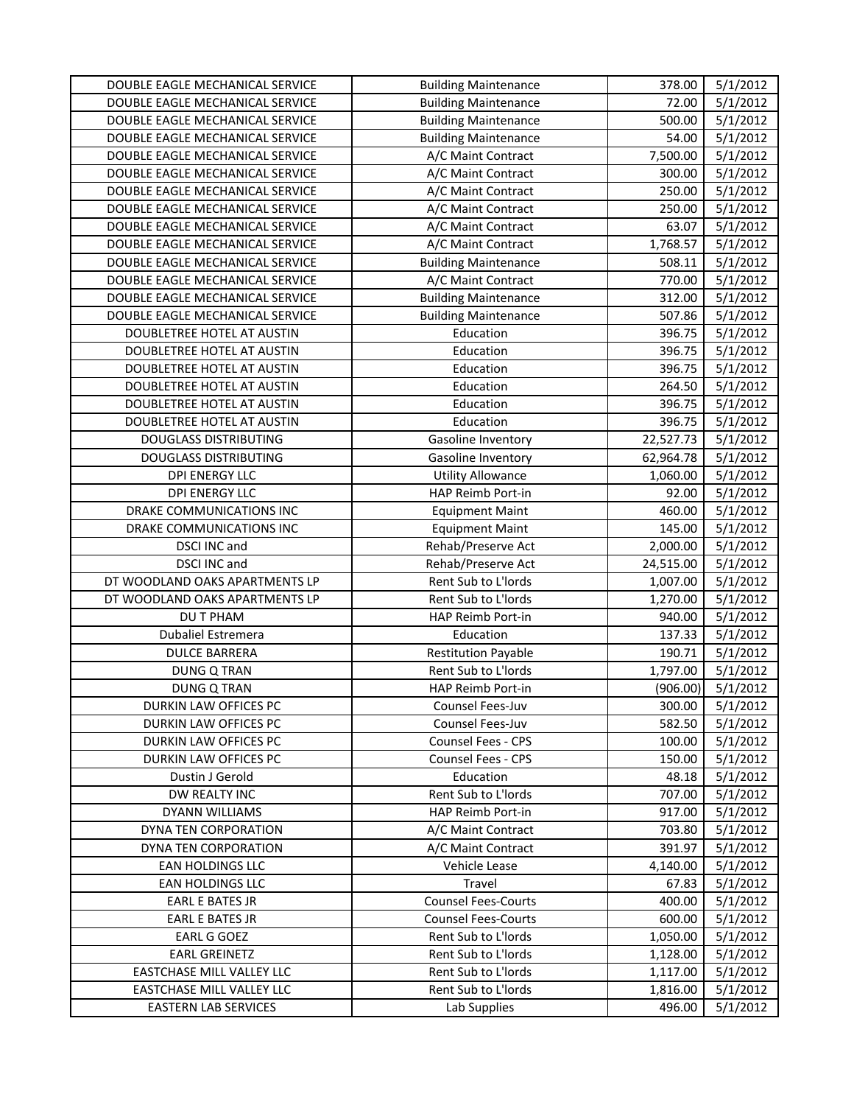| DOUBLE EAGLE MECHANICAL SERVICE | <b>Building Maintenance</b> | 378.00    | 5/1/2012 |
|---------------------------------|-----------------------------|-----------|----------|
| DOUBLE EAGLE MECHANICAL SERVICE | <b>Building Maintenance</b> | 72.00     | 5/1/2012 |
| DOUBLE EAGLE MECHANICAL SERVICE | <b>Building Maintenance</b> | 500.00    | 5/1/2012 |
| DOUBLE EAGLE MECHANICAL SERVICE | <b>Building Maintenance</b> | 54.00     | 5/1/2012 |
| DOUBLE EAGLE MECHANICAL SERVICE | A/C Maint Contract          | 7,500.00  | 5/1/2012 |
| DOUBLE EAGLE MECHANICAL SERVICE | A/C Maint Contract          | 300.00    | 5/1/2012 |
| DOUBLE EAGLE MECHANICAL SERVICE | A/C Maint Contract          | 250.00    | 5/1/2012 |
| DOUBLE EAGLE MECHANICAL SERVICE | A/C Maint Contract          | 250.00    | 5/1/2012 |
| DOUBLE EAGLE MECHANICAL SERVICE | A/C Maint Contract          | 63.07     | 5/1/2012 |
| DOUBLE EAGLE MECHANICAL SERVICE | A/C Maint Contract          | 1,768.57  | 5/1/2012 |
| DOUBLE EAGLE MECHANICAL SERVICE | <b>Building Maintenance</b> | 508.11    | 5/1/2012 |
| DOUBLE EAGLE MECHANICAL SERVICE | A/C Maint Contract          | 770.00    | 5/1/2012 |
| DOUBLE EAGLE MECHANICAL SERVICE | <b>Building Maintenance</b> | 312.00    | 5/1/2012 |
| DOUBLE EAGLE MECHANICAL SERVICE | <b>Building Maintenance</b> | 507.86    | 5/1/2012 |
| DOUBLETREE HOTEL AT AUSTIN      | Education                   | 396.75    | 5/1/2012 |
| DOUBLETREE HOTEL AT AUSTIN      | Education                   | 396.75    | 5/1/2012 |
| DOUBLETREE HOTEL AT AUSTIN      | Education                   | 396.75    | 5/1/2012 |
| DOUBLETREE HOTEL AT AUSTIN      | Education                   | 264.50    | 5/1/2012 |
| DOUBLETREE HOTEL AT AUSTIN      | Education                   | 396.75    | 5/1/2012 |
| DOUBLETREE HOTEL AT AUSTIN      | Education                   | 396.75    | 5/1/2012 |
| <b>DOUGLASS DISTRIBUTING</b>    | Gasoline Inventory          | 22,527.73 | 5/1/2012 |
| <b>DOUGLASS DISTRIBUTING</b>    | Gasoline Inventory          | 62,964.78 | 5/1/2012 |
| <b>DPI ENERGY LLC</b>           | <b>Utility Allowance</b>    | 1,060.00  | 5/1/2012 |
| <b>DPI ENERGY LLC</b>           | HAP Reimb Port-in           | 92.00     | 5/1/2012 |
| DRAKE COMMUNICATIONS INC        | <b>Equipment Maint</b>      | 460.00    | 5/1/2012 |
| DRAKE COMMUNICATIONS INC        | <b>Equipment Maint</b>      | 145.00    | 5/1/2012 |
| <b>DSCI INC and</b>             | Rehab/Preserve Act          | 2,000.00  | 5/1/2012 |
| <b>DSCI INC and</b>             | Rehab/Preserve Act          | 24,515.00 | 5/1/2012 |
| DT WOODLAND OAKS APARTMENTS LP  | Rent Sub to L'Iords         | 1,007.00  | 5/1/2012 |
| DT WOODLAND OAKS APARTMENTS LP  | Rent Sub to L'Iords         | 1,270.00  | 5/1/2012 |
| DU T PHAM                       | HAP Reimb Port-in           | 940.00    | 5/1/2012 |
| Dubaliel Estremera              | Education                   | 137.33    | 5/1/2012 |
| <b>DULCE BARRERA</b>            | <b>Restitution Payable</b>  | 190.71    | 5/1/2012 |
| <b>DUNG Q TRAN</b>              | Rent Sub to L'Iords         | 1,797.00  | 5/1/2012 |
| <b>DUNG Q TRAN</b>              | HAP Reimb Port-in           | (906.00)  | 5/1/2012 |
| DURKIN LAW OFFICES PC           | Counsel Fees-Juv            | 300.00    | 5/1/2012 |
| DURKIN LAW OFFICES PC           | Counsel Fees-Juv            | 582.50    | 5/1/2012 |
| DURKIN LAW OFFICES PC           | <b>Counsel Fees - CPS</b>   | 100.00    | 5/1/2012 |
| DURKIN LAW OFFICES PC           | <b>Counsel Fees - CPS</b>   | 150.00    | 5/1/2012 |
| Dustin J Gerold                 | Education                   | 48.18     | 5/1/2012 |
| DW REALTY INC                   | Rent Sub to L'Iords         | 707.00    | 5/1/2012 |
| DYANN WILLIAMS                  | HAP Reimb Port-in           | 917.00    | 5/1/2012 |
| DYNA TEN CORPORATION            | A/C Maint Contract          | 703.80    | 5/1/2012 |
| DYNA TEN CORPORATION            | A/C Maint Contract          | 391.97    | 5/1/2012 |
| EAN HOLDINGS LLC                | Vehicle Lease               | 4,140.00  | 5/1/2012 |
| EAN HOLDINGS LLC                | Travel                      | 67.83     | 5/1/2012 |
| EARL E BATES JR                 | <b>Counsel Fees-Courts</b>  | 400.00    | 5/1/2012 |
| <b>EARL E BATES JR</b>          | <b>Counsel Fees-Courts</b>  | 600.00    | 5/1/2012 |
| EARL G GOEZ                     | Rent Sub to L'Iords         | 1,050.00  | 5/1/2012 |
| <b>EARL GREINETZ</b>            | Rent Sub to L'Iords         | 1,128.00  | 5/1/2012 |
| EASTCHASE MILL VALLEY LLC       | Rent Sub to L'Iords         | 1,117.00  | 5/1/2012 |
| EASTCHASE MILL VALLEY LLC       | Rent Sub to L'Iords         | 1,816.00  | 5/1/2012 |
| <b>EASTERN LAB SERVICES</b>     | Lab Supplies                | 496.00    | 5/1/2012 |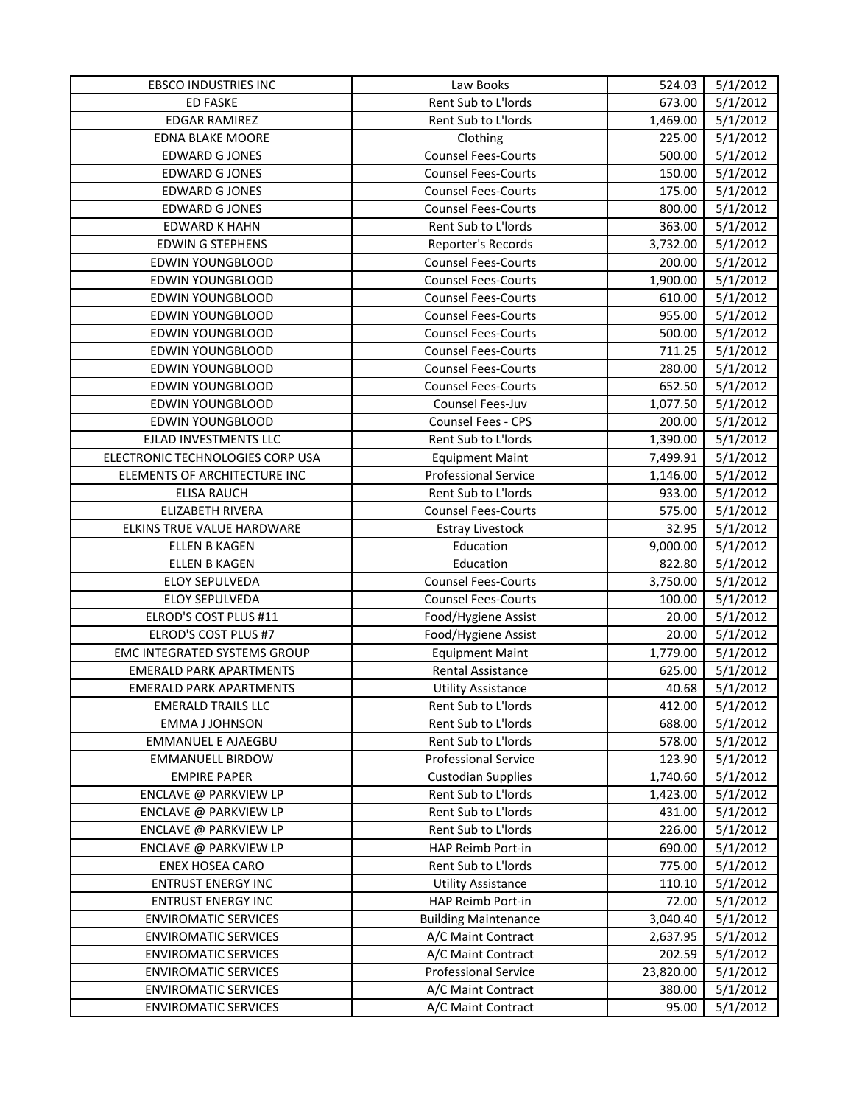| <b>EBSCO INDUSTRIES INC</b>      | Law Books                   | 524.03    | 5/1/2012 |
|----------------------------------|-----------------------------|-----------|----------|
| <b>ED FASKE</b>                  | Rent Sub to L'Iords         | 673.00    | 5/1/2012 |
| <b>EDGAR RAMIREZ</b>             | Rent Sub to L'Iords         | 1,469.00  | 5/1/2012 |
| <b>EDNA BLAKE MOORE</b>          | Clothing                    | 225.00    | 5/1/2012 |
| <b>EDWARD G JONES</b>            | <b>Counsel Fees-Courts</b>  | 500.00    | 5/1/2012 |
| <b>EDWARD G JONES</b>            | <b>Counsel Fees-Courts</b>  | 150.00    | 5/1/2012 |
| <b>EDWARD G JONES</b>            | <b>Counsel Fees-Courts</b>  | 175.00    | 5/1/2012 |
| <b>EDWARD G JONES</b>            | <b>Counsel Fees-Courts</b>  | 800.00    | 5/1/2012 |
| <b>EDWARD K HAHN</b>             | Rent Sub to L'Iords         | 363.00    | 5/1/2012 |
| <b>EDWING STEPHENS</b>           | Reporter's Records          | 3,732.00  | 5/1/2012 |
| <b>EDWIN YOUNGBLOOD</b>          | <b>Counsel Fees-Courts</b>  | 200.00    | 5/1/2012 |
| <b>EDWIN YOUNGBLOOD</b>          | <b>Counsel Fees-Courts</b>  | 1,900.00  | 5/1/2012 |
| <b>EDWIN YOUNGBLOOD</b>          | <b>Counsel Fees-Courts</b>  | 610.00    | 5/1/2012 |
| <b>EDWIN YOUNGBLOOD</b>          | <b>Counsel Fees-Courts</b>  | 955.00    | 5/1/2012 |
| EDWIN YOUNGBLOOD                 | <b>Counsel Fees-Courts</b>  | 500.00    | 5/1/2012 |
| EDWIN YOUNGBLOOD                 | <b>Counsel Fees-Courts</b>  | 711.25    | 5/1/2012 |
| EDWIN YOUNGBLOOD                 | <b>Counsel Fees-Courts</b>  | 280.00    | 5/1/2012 |
| <b>EDWIN YOUNGBLOOD</b>          | <b>Counsel Fees-Courts</b>  | 652.50    | 5/1/2012 |
| <b>EDWIN YOUNGBLOOD</b>          | Counsel Fees-Juv            | 1,077.50  | 5/1/2012 |
| <b>EDWIN YOUNGBLOOD</b>          | Counsel Fees - CPS          | 200.00    | 5/1/2012 |
| EJLAD INVESTMENTS LLC            | Rent Sub to L'Iords         | 1,390.00  | 5/1/2012 |
| ELECTRONIC TECHNOLOGIES CORP USA | <b>Equipment Maint</b>      | 7,499.91  | 5/1/2012 |
| ELEMENTS OF ARCHITECTURE INC     | <b>Professional Service</b> | 1,146.00  | 5/1/2012 |
| <b>ELISA RAUCH</b>               | Rent Sub to L'Iords         | 933.00    | 5/1/2012 |
| ELIZABETH RIVERA                 | <b>Counsel Fees-Courts</b>  | 575.00    | 5/1/2012 |
| ELKINS TRUE VALUE HARDWARE       | <b>Estray Livestock</b>     | 32.95     | 5/1/2012 |
| ELLEN B KAGEN                    | Education                   | 9,000.00  | 5/1/2012 |
| <b>ELLEN B KAGEN</b>             | Education                   | 822.80    | 5/1/2012 |
| ELOY SEPULVEDA                   | <b>Counsel Fees-Courts</b>  | 3,750.00  | 5/1/2012 |
| ELOY SEPULVEDA                   | <b>Counsel Fees-Courts</b>  | 100.00    | 5/1/2012 |
| ELROD'S COST PLUS #11            | Food/Hygiene Assist         | 20.00     | 5/1/2012 |
| ELROD'S COST PLUS #7             | Food/Hygiene Assist         | 20.00     | 5/1/2012 |
| EMC INTEGRATED SYSTEMS GROUP     | <b>Equipment Maint</b>      | 1,779.00  | 5/1/2012 |
| <b>EMERALD PARK APARTMENTS</b>   | Rental Assistance           | 625.00    | 5/1/2012 |
| <b>EMERALD PARK APARTMENTS</b>   | <b>Utility Assistance</b>   | 40.68     | 5/1/2012 |
| <b>EMERALD TRAILS LLC</b>        | Rent Sub to L'Iords         | 412.00    | 5/1/2012 |
| <b>EMMA J JOHNSON</b>            | Rent Sub to L'Iords         | 688.00    | 5/1/2012 |
| <b>EMMANUEL E AJAEGBU</b>        | Rent Sub to L'Iords         | 578.00    | 5/1/2012 |
| <b>EMMANUELL BIRDOW</b>          | <b>Professional Service</b> | 123.90    | 5/1/2012 |
| <b>EMPIRE PAPER</b>              | <b>Custodian Supplies</b>   | 1,740.60  | 5/1/2012 |
| ENCLAVE @ PARKVIEW LP            | Rent Sub to L'Iords         | 1,423.00  | 5/1/2012 |
| ENCLAVE @ PARKVIEW LP            | Rent Sub to L'Iords         | 431.00    | 5/1/2012 |
| ENCLAVE @ PARKVIEW LP            | Rent Sub to L'Iords         | 226.00    | 5/1/2012 |
| ENCLAVE @ PARKVIEW LP            | HAP Reimb Port-in           | 690.00    | 5/1/2012 |
| <b>ENEX HOSEA CARO</b>           | Rent Sub to L'Iords         | 775.00    | 5/1/2012 |
| <b>ENTRUST ENERGY INC</b>        | <b>Utility Assistance</b>   | 110.10    | 5/1/2012 |
| <b>ENTRUST ENERGY INC</b>        | HAP Reimb Port-in           | 72.00     | 5/1/2012 |
| <b>ENVIROMATIC SERVICES</b>      | <b>Building Maintenance</b> | 3,040.40  | 5/1/2012 |
| <b>ENVIROMATIC SERVICES</b>      | A/C Maint Contract          | 2,637.95  | 5/1/2012 |
| <b>ENVIROMATIC SERVICES</b>      | A/C Maint Contract          | 202.59    | 5/1/2012 |
| <b>ENVIROMATIC SERVICES</b>      | <b>Professional Service</b> | 23,820.00 | 5/1/2012 |
| <b>ENVIROMATIC SERVICES</b>      | A/C Maint Contract          | 380.00    | 5/1/2012 |
| <b>ENVIROMATIC SERVICES</b>      | A/C Maint Contract          | 95.00     | 5/1/2012 |
|                                  |                             |           |          |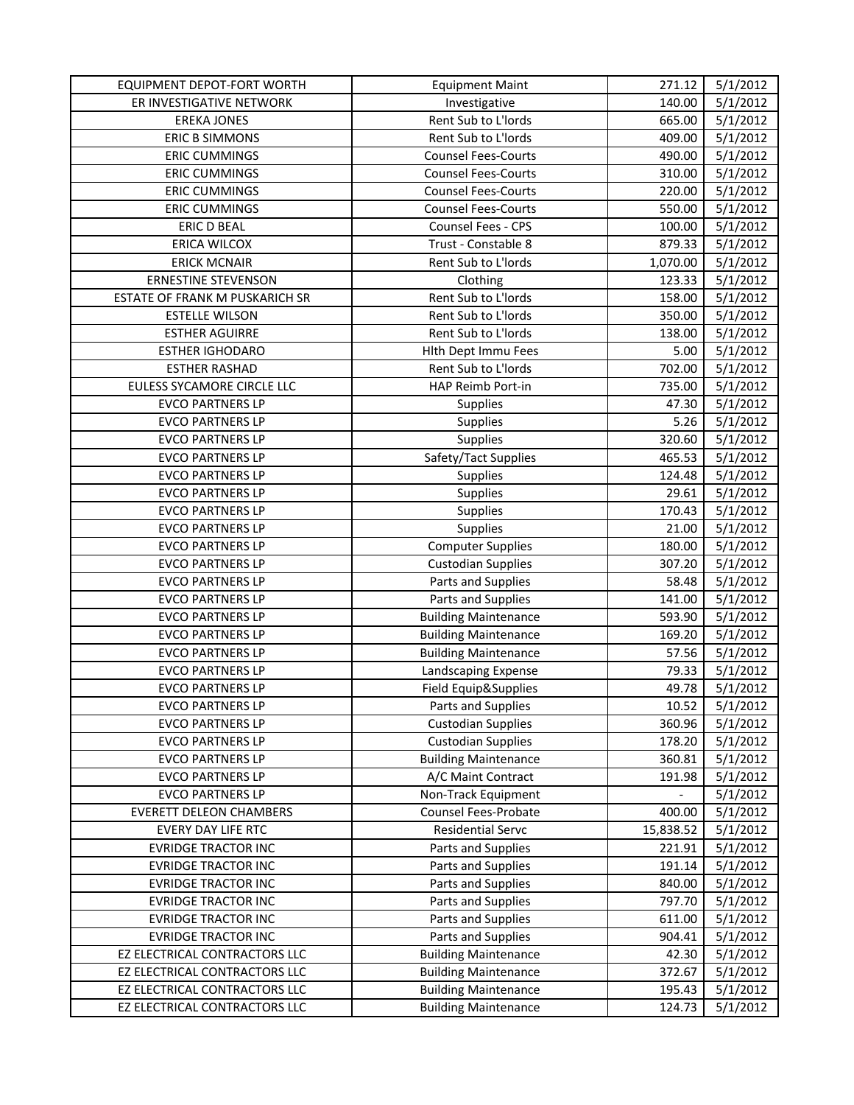| EQUIPMENT DEPOT-FORT WORTH     | <b>Equipment Maint</b>      | 271.12    | 5/1/2012 |
|--------------------------------|-----------------------------|-----------|----------|
| ER INVESTIGATIVE NETWORK       | Investigative               | 140.00    | 5/1/2012 |
| <b>EREKA JONES</b>             | Rent Sub to L'Iords         | 665.00    | 5/1/2012 |
| <b>ERIC B SIMMONS</b>          | Rent Sub to L'Iords         | 409.00    | 5/1/2012 |
| <b>ERIC CUMMINGS</b>           | <b>Counsel Fees-Courts</b>  | 490.00    | 5/1/2012 |
| <b>ERIC CUMMINGS</b>           | <b>Counsel Fees-Courts</b>  | 310.00    | 5/1/2012 |
| <b>ERIC CUMMINGS</b>           | <b>Counsel Fees-Courts</b>  | 220.00    | 5/1/2012 |
| <b>ERIC CUMMINGS</b>           | <b>Counsel Fees-Courts</b>  | 550.00    | 5/1/2012 |
| ERIC D BEAL                    | Counsel Fees - CPS          | 100.00    | 5/1/2012 |
| ERICA WILCOX                   | Trust - Constable 8         | 879.33    | 5/1/2012 |
| <b>ERICK MCNAIR</b>            | Rent Sub to L'Iords         | 1,070.00  | 5/1/2012 |
| <b>ERNESTINE STEVENSON</b>     | Clothing                    | 123.33    | 5/1/2012 |
| ESTATE OF FRANK M PUSKARICH SR | Rent Sub to L'Iords         | 158.00    | 5/1/2012 |
| <b>ESTELLE WILSON</b>          | Rent Sub to L'Iords         | 350.00    | 5/1/2012 |
| <b>ESTHER AGUIRRE</b>          | Rent Sub to L'Iords         | 138.00    | 5/1/2012 |
| <b>ESTHER IGHODARO</b>         | <b>Hith Dept Immu Fees</b>  | 5.00      | 5/1/2012 |
| <b>ESTHER RASHAD</b>           | Rent Sub to L'Iords         | 702.00    | 5/1/2012 |
| EULESS SYCAMORE CIRCLE LLC     | HAP Reimb Port-in           | 735.00    | 5/1/2012 |
| <b>EVCO PARTNERS LP</b>        | <b>Supplies</b>             | 47.30     | 5/1/2012 |
| <b>EVCO PARTNERS LP</b>        | Supplies                    | 5.26      | 5/1/2012 |
| <b>EVCO PARTNERS LP</b>        | Supplies                    | 320.60    | 5/1/2012 |
| <b>EVCO PARTNERS LP</b>        | Safety/Tact Supplies        | 465.53    | 5/1/2012 |
| <b>EVCO PARTNERS LP</b>        | Supplies                    | 124.48    | 5/1/2012 |
| <b>EVCO PARTNERS LP</b>        | Supplies                    | 29.61     | 5/1/2012 |
| <b>EVCO PARTNERS LP</b>        | Supplies                    | 170.43    | 5/1/2012 |
| <b>EVCO PARTNERS LP</b>        | Supplies                    | 21.00     | 5/1/2012 |
| <b>EVCO PARTNERS LP</b>        | <b>Computer Supplies</b>    | 180.00    | 5/1/2012 |
| <b>EVCO PARTNERS LP</b>        | <b>Custodian Supplies</b>   | 307.20    | 5/1/2012 |
| <b>EVCO PARTNERS LP</b>        | Parts and Supplies          | 58.48     | 5/1/2012 |
| <b>EVCO PARTNERS LP</b>        | Parts and Supplies          | 141.00    | 5/1/2012 |
| <b>EVCO PARTNERS LP</b>        | <b>Building Maintenance</b> | 593.90    | 5/1/2012 |
| <b>EVCO PARTNERS LP</b>        | <b>Building Maintenance</b> | 169.20    | 5/1/2012 |
| <b>EVCO PARTNERS LP</b>        | <b>Building Maintenance</b> | 57.56     | 5/1/2012 |
| <b>EVCO PARTNERS LP</b>        | Landscaping Expense         | 79.33     | 5/1/2012 |
| <b>EVCO PARTNERS LP</b>        | Field Equip&Supplies        | 49.78     | 5/1/2012 |
| <b>EVCO PARTNERS LP</b>        | Parts and Supplies          | 10.52     | 5/1/2012 |
| <b>EVCO PARTNERS LP</b>        | <b>Custodian Supplies</b>   | 360.96    | 5/1/2012 |
| <b>EVCO PARTNERS LP</b>        | <b>Custodian Supplies</b>   | 178.20    | 5/1/2012 |
| <b>EVCO PARTNERS LP</b>        | <b>Building Maintenance</b> | 360.81    | 5/1/2012 |
| <b>EVCO PARTNERS LP</b>        | A/C Maint Contract          | 191.98    | 5/1/2012 |
| <b>EVCO PARTNERS LP</b>        | Non-Track Equipment         |           | 5/1/2012 |
| <b>EVERETT DELEON CHAMBERS</b> | Counsel Fees-Probate        | 400.00    | 5/1/2012 |
| EVERY DAY LIFE RTC             | <b>Residential Servc</b>    | 15,838.52 | 5/1/2012 |
| <b>EVRIDGE TRACTOR INC</b>     | Parts and Supplies          | 221.91    | 5/1/2012 |
| <b>EVRIDGE TRACTOR INC</b>     | Parts and Supplies          | 191.14    | 5/1/2012 |
| <b>EVRIDGE TRACTOR INC</b>     | Parts and Supplies          | 840.00    | 5/1/2012 |
| <b>EVRIDGE TRACTOR INC</b>     | Parts and Supplies          | 797.70    | 5/1/2012 |
| <b>EVRIDGE TRACTOR INC</b>     | Parts and Supplies          | 611.00    | 5/1/2012 |
| <b>EVRIDGE TRACTOR INC</b>     | Parts and Supplies          | 904.41    | 5/1/2012 |
| EZ ELECTRICAL CONTRACTORS LLC  | <b>Building Maintenance</b> | 42.30     | 5/1/2012 |
| EZ ELECTRICAL CONTRACTORS LLC  | <b>Building Maintenance</b> | 372.67    | 5/1/2012 |
| EZ ELECTRICAL CONTRACTORS LLC  | <b>Building Maintenance</b> | 195.43    | 5/1/2012 |
| EZ ELECTRICAL CONTRACTORS LLC  | <b>Building Maintenance</b> | 124.73    | 5/1/2012 |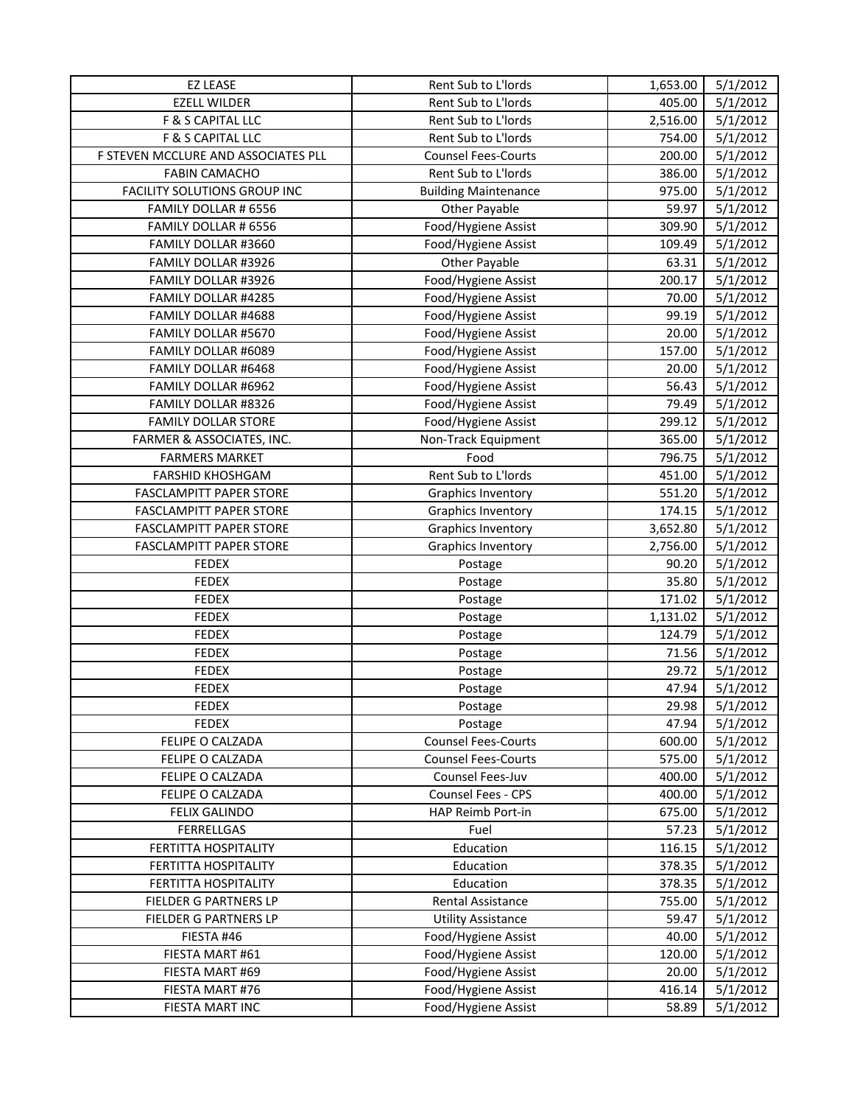| <b>EZ LEASE</b>                     | Rent Sub to L'Iords         | 1,653.00 | 5/1/2012 |
|-------------------------------------|-----------------------------|----------|----------|
| <b>EZELL WILDER</b>                 | Rent Sub to L'Iords         | 405.00   | 5/1/2012 |
| F & S CAPITAL LLC                   | Rent Sub to L'Iords         | 2,516.00 | 5/1/2012 |
| F & S CAPITAL LLC                   | Rent Sub to L'Iords         | 754.00   | 5/1/2012 |
| F STEVEN MCCLURE AND ASSOCIATES PLL | <b>Counsel Fees-Courts</b>  | 200.00   | 5/1/2012 |
| <b>FABIN CAMACHO</b>                | Rent Sub to L'Iords         | 386.00   | 5/1/2012 |
| FACILITY SOLUTIONS GROUP INC        | <b>Building Maintenance</b> | 975.00   | 5/1/2012 |
| FAMILY DOLLAR # 6556                | Other Payable               | 59.97    | 5/1/2012 |
| FAMILY DOLLAR # 6556                | Food/Hygiene Assist         | 309.90   | 5/1/2012 |
| FAMILY DOLLAR #3660                 | Food/Hygiene Assist         | 109.49   | 5/1/2012 |
| FAMILY DOLLAR #3926                 | Other Payable               | 63.31    | 5/1/2012 |
| FAMILY DOLLAR #3926                 | Food/Hygiene Assist         | 200.17   | 5/1/2012 |
| FAMILY DOLLAR #4285                 | Food/Hygiene Assist         | 70.00    | 5/1/2012 |
| FAMILY DOLLAR #4688                 | Food/Hygiene Assist         | 99.19    | 5/1/2012 |
| FAMILY DOLLAR #5670                 | Food/Hygiene Assist         | 20.00    | 5/1/2012 |
| FAMILY DOLLAR #6089                 | Food/Hygiene Assist         | 157.00   | 5/1/2012 |
| FAMILY DOLLAR #6468                 | Food/Hygiene Assist         | 20.00    | 5/1/2012 |
| FAMILY DOLLAR #6962                 | Food/Hygiene Assist         | 56.43    | 5/1/2012 |
| FAMILY DOLLAR #8326                 | Food/Hygiene Assist         | 79.49    | 5/1/2012 |
| <b>FAMILY DOLLAR STORE</b>          | Food/Hygiene Assist         | 299.12   | 5/1/2012 |
| FARMER & ASSOCIATES, INC.           | Non-Track Equipment         | 365.00   | 5/1/2012 |
| <b>FARMERS MARKET</b>               | Food                        | 796.75   | 5/1/2012 |
| FARSHID KHOSHGAM                    | Rent Sub to L'Iords         | 451.00   | 5/1/2012 |
| <b>FASCLAMPITT PAPER STORE</b>      | <b>Graphics Inventory</b>   | 551.20   | 5/1/2012 |
| <b>FASCLAMPITT PAPER STORE</b>      | Graphics Inventory          | 174.15   | 5/1/2012 |
| <b>FASCLAMPITT PAPER STORE</b>      | <b>Graphics Inventory</b>   | 3,652.80 | 5/1/2012 |
| <b>FASCLAMPITT PAPER STORE</b>      | <b>Graphics Inventory</b>   | 2,756.00 | 5/1/2012 |
| <b>FEDEX</b>                        | Postage                     | 90.20    | 5/1/2012 |
| <b>FEDEX</b>                        | Postage                     | 35.80    | 5/1/2012 |
| <b>FEDEX</b>                        | Postage                     | 171.02   | 5/1/2012 |
| <b>FEDEX</b>                        | Postage                     | 1,131.02 | 5/1/2012 |
| <b>FEDEX</b>                        | Postage                     | 124.79   | 5/1/2012 |
| <b>FEDEX</b>                        | Postage                     | 71.56    | 5/1/2012 |
| <b>FEDEX</b>                        | Postage                     | 29.72    | 5/1/2012 |
| <b>FEDEX</b>                        | Postage                     | 47.94    | 5/1/2012 |
| <b>FEDEX</b>                        | Postage                     | 29.98    | 5/1/2012 |
| <b>FEDEX</b>                        | Postage                     | 47.94    | 5/1/2012 |
| FELIPE O CALZADA                    | <b>Counsel Fees-Courts</b>  | 600.00   | 5/1/2012 |
| FELIPE O CALZADA                    | <b>Counsel Fees-Courts</b>  | 575.00   | 5/1/2012 |
| FELIPE O CALZADA                    | Counsel Fees-Juv            | 400.00   | 5/1/2012 |
| FELIPE O CALZADA                    | Counsel Fees - CPS          | 400.00   | 5/1/2012 |
| <b>FELIX GALINDO</b>                | HAP Reimb Port-in           | 675.00   | 5/1/2012 |
| <b>FERRELLGAS</b>                   | Fuel                        | 57.23    | 5/1/2012 |
| FERTITTA HOSPITALITY                | Education                   | 116.15   | 5/1/2012 |
| FERTITTA HOSPITALITY                | Education                   | 378.35   | 5/1/2012 |
| FERTITTA HOSPITALITY                | Education                   | 378.35   | 5/1/2012 |
| FIELDER G PARTNERS LP               | Rental Assistance           | 755.00   | 5/1/2012 |
| FIELDER G PARTNERS LP               | <b>Utility Assistance</b>   | 59.47    | 5/1/2012 |
| FIESTA #46                          | Food/Hygiene Assist         | 40.00    | 5/1/2012 |
| FIESTA MART #61                     | Food/Hygiene Assist         | 120.00   | 5/1/2012 |
| FIESTA MART #69                     | Food/Hygiene Assist         | 20.00    | 5/1/2012 |
| FIESTA MART #76                     | Food/Hygiene Assist         | 416.14   | 5/1/2012 |
| FIESTA MART INC                     | Food/Hygiene Assist         | 58.89    | 5/1/2012 |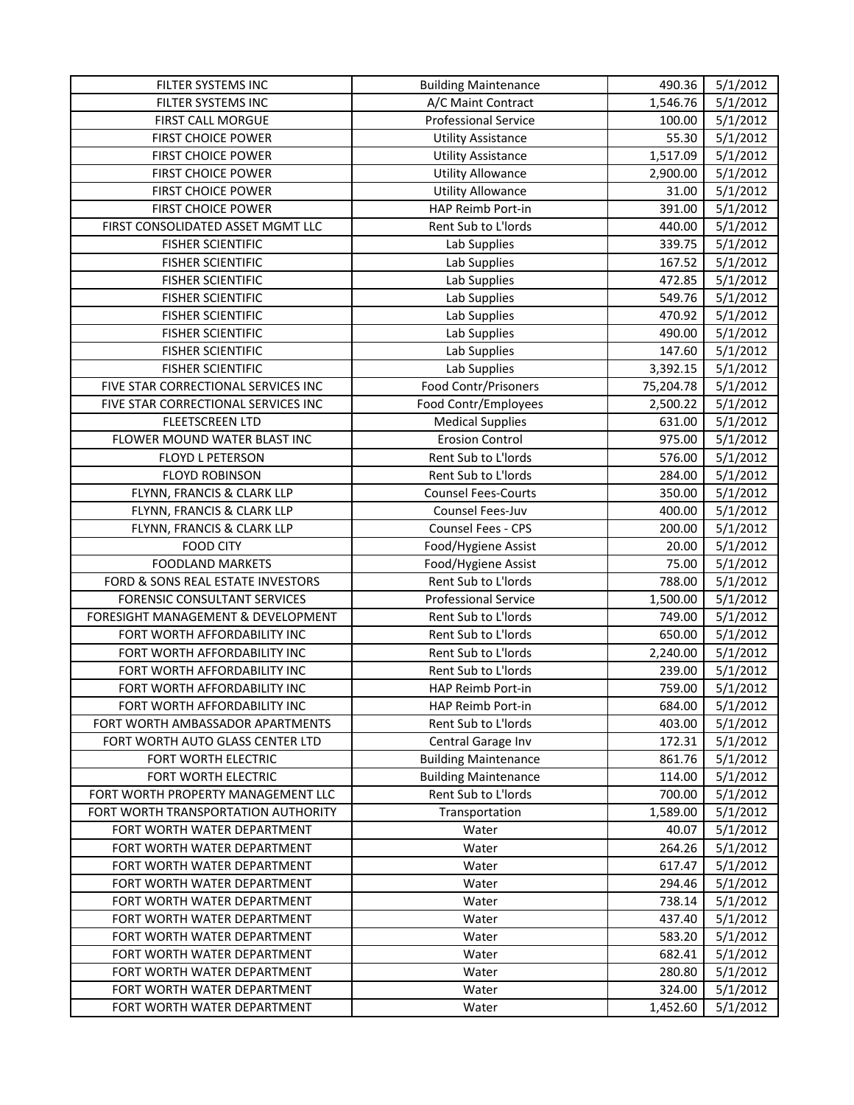| FILTER SYSTEMS INC                  | <b>Building Maintenance</b> | 490.36    | 5/1/2012 |
|-------------------------------------|-----------------------------|-----------|----------|
| FILTER SYSTEMS INC                  | A/C Maint Contract          | 1,546.76  | 5/1/2012 |
| FIRST CALL MORGUE                   | <b>Professional Service</b> | 100.00    | 5/1/2012 |
| FIRST CHOICE POWER                  | <b>Utility Assistance</b>   | 55.30     | 5/1/2012 |
| <b>FIRST CHOICE POWER</b>           | <b>Utility Assistance</b>   | 1,517.09  | 5/1/2012 |
| <b>FIRST CHOICE POWER</b>           | <b>Utility Allowance</b>    | 2,900.00  | 5/1/2012 |
| FIRST CHOICE POWER                  | <b>Utility Allowance</b>    | 31.00     | 5/1/2012 |
| FIRST CHOICE POWER                  | HAP Reimb Port-in           | 391.00    | 5/1/2012 |
| FIRST CONSOLIDATED ASSET MGMT LLC   | Rent Sub to L'Iords         | 440.00    | 5/1/2012 |
| <b>FISHER SCIENTIFIC</b>            | Lab Supplies                | 339.75    | 5/1/2012 |
| <b>FISHER SCIENTIFIC</b>            | Lab Supplies                | 167.52    | 5/1/2012 |
| <b>FISHER SCIENTIFIC</b>            | Lab Supplies                | 472.85    | 5/1/2012 |
| <b>FISHER SCIENTIFIC</b>            | Lab Supplies                | 549.76    | 5/1/2012 |
| <b>FISHER SCIENTIFIC</b>            | Lab Supplies                | 470.92    | 5/1/2012 |
| <b>FISHER SCIENTIFIC</b>            | Lab Supplies                | 490.00    | 5/1/2012 |
| <b>FISHER SCIENTIFIC</b>            | Lab Supplies                | 147.60    | 5/1/2012 |
| <b>FISHER SCIENTIFIC</b>            | Lab Supplies                | 3,392.15  | 5/1/2012 |
| FIVE STAR CORRECTIONAL SERVICES INC | Food Contr/Prisoners        | 75,204.78 | 5/1/2012 |
| FIVE STAR CORRECTIONAL SERVICES INC | Food Contr/Employees        | 2,500.22  | 5/1/2012 |
| <b>FLEETSCREEN LTD</b>              | <b>Medical Supplies</b>     | 631.00    | 5/1/2012 |
| FLOWER MOUND WATER BLAST INC        | <b>Erosion Control</b>      | 975.00    | 5/1/2012 |
| FLOYD L PETERSON                    | Rent Sub to L'Iords         | 576.00    | 5/1/2012 |
| <b>FLOYD ROBINSON</b>               | Rent Sub to L'Iords         | 284.00    | 5/1/2012 |
| FLYNN, FRANCIS & CLARK LLP          | <b>Counsel Fees-Courts</b>  | 350.00    | 5/1/2012 |
| FLYNN, FRANCIS & CLARK LLP          | Counsel Fees-Juv            | 400.00    | 5/1/2012 |
| FLYNN, FRANCIS & CLARK LLP          | Counsel Fees - CPS          | 200.00    | 5/1/2012 |
| <b>FOOD CITY</b>                    | Food/Hygiene Assist         | 20.00     | 5/1/2012 |
| <b>FOODLAND MARKETS</b>             | Food/Hygiene Assist         | 75.00     | 5/1/2012 |
| FORD & SONS REAL ESTATE INVESTORS   | Rent Sub to L'Iords         | 788.00    | 5/1/2012 |
| FORENSIC CONSULTANT SERVICES        | <b>Professional Service</b> | 1,500.00  | 5/1/2012 |
| FORESIGHT MANAGEMENT & DEVELOPMENT  | Rent Sub to L'Iords         | 749.00    | 5/1/2012 |
| FORT WORTH AFFORDABILITY INC        | Rent Sub to L'Iords         | 650.00    | 5/1/2012 |
| FORT WORTH AFFORDABILITY INC        | Rent Sub to L'Iords         | 2,240.00  | 5/1/2012 |
| FORT WORTH AFFORDABILITY INC        | Rent Sub to L'Iords         | 239.00    | 5/1/2012 |
| FORT WORTH AFFORDABILITY INC        | HAP Reimb Port-in           | 759.00    | 5/1/2012 |
| FORT WORTH AFFORDABILITY INC        | HAP Reimb Port-in           | 684.00    | 5/1/2012 |
| FORT WORTH AMBASSADOR APARTMENTS    | Rent Sub to L'Iords         | 403.00    | 5/1/2012 |
| FORT WORTH AUTO GLASS CENTER LTD    | Central Garage Inv          | 172.31    | 5/1/2012 |
| FORT WORTH ELECTRIC                 | <b>Building Maintenance</b> | 861.76    | 5/1/2012 |
| FORT WORTH ELECTRIC                 | <b>Building Maintenance</b> | 114.00    | 5/1/2012 |
| FORT WORTH PROPERTY MANAGEMENT LLC  | Rent Sub to L'Iords         | 700.00    | 5/1/2012 |
| FORT WORTH TRANSPORTATION AUTHORITY | Transportation              | 1,589.00  | 5/1/2012 |
| FORT WORTH WATER DEPARTMENT         | Water                       | 40.07     | 5/1/2012 |
| FORT WORTH WATER DEPARTMENT         | Water                       | 264.26    | 5/1/2012 |
| FORT WORTH WATER DEPARTMENT         | Water                       | 617.47    | 5/1/2012 |
| FORT WORTH WATER DEPARTMENT         | Water                       | 294.46    | 5/1/2012 |
| FORT WORTH WATER DEPARTMENT         | Water                       | 738.14    | 5/1/2012 |
| FORT WORTH WATER DEPARTMENT         | Water                       | 437.40    | 5/1/2012 |
| FORT WORTH WATER DEPARTMENT         | Water                       | 583.20    | 5/1/2012 |
| FORT WORTH WATER DEPARTMENT         | Water                       | 682.41    | 5/1/2012 |
| FORT WORTH WATER DEPARTMENT         | Water                       | 280.80    | 5/1/2012 |
| FORT WORTH WATER DEPARTMENT         | Water                       | 324.00    | 5/1/2012 |
| FORT WORTH WATER DEPARTMENT         | Water                       | 1,452.60  | 5/1/2012 |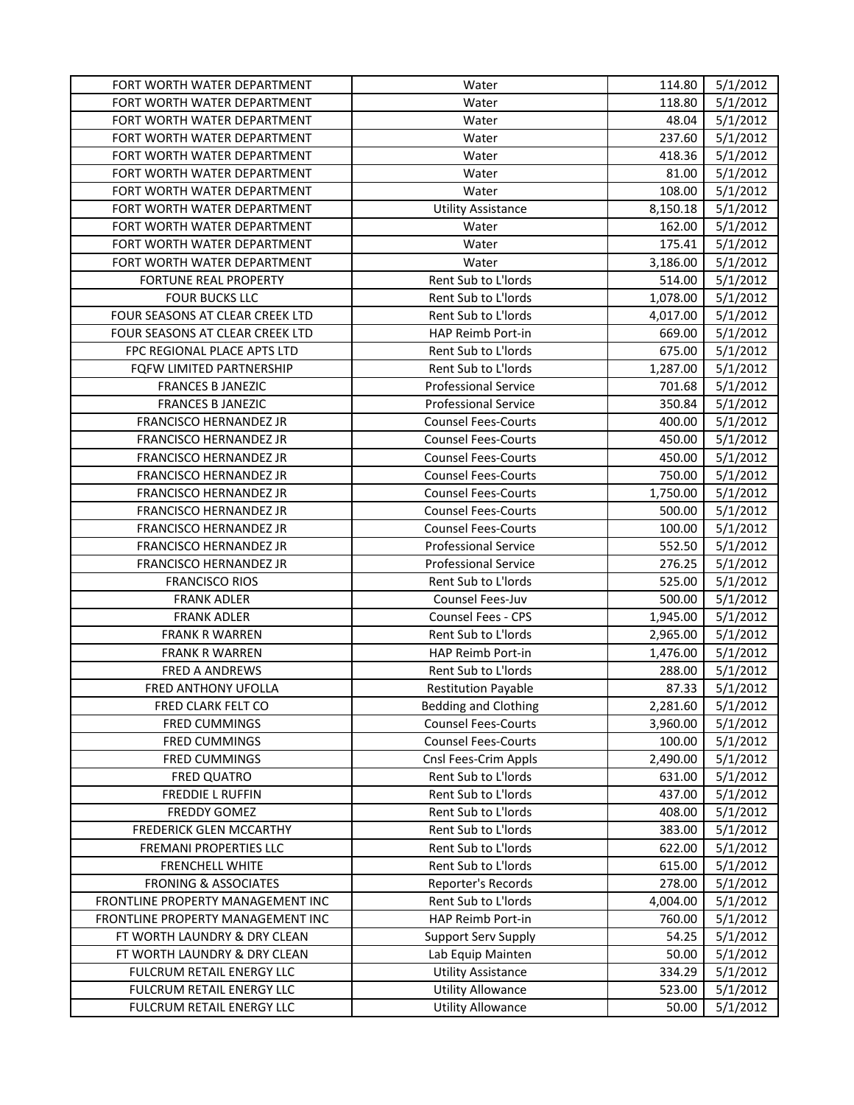| FORT WORTH WATER DEPARTMENT       | Water                       | 114.80   | 5/1/2012 |
|-----------------------------------|-----------------------------|----------|----------|
| FORT WORTH WATER DEPARTMENT       | Water                       | 118.80   | 5/1/2012 |
| FORT WORTH WATER DEPARTMENT       | Water                       | 48.04    | 5/1/2012 |
| FORT WORTH WATER DEPARTMENT       | Water                       | 237.60   | 5/1/2012 |
| FORT WORTH WATER DEPARTMENT       | Water                       | 418.36   | 5/1/2012 |
| FORT WORTH WATER DEPARTMENT       | Water                       | 81.00    | 5/1/2012 |
| FORT WORTH WATER DEPARTMENT       | Water                       | 108.00   | 5/1/2012 |
| FORT WORTH WATER DEPARTMENT       | <b>Utility Assistance</b>   | 8,150.18 | 5/1/2012 |
| FORT WORTH WATER DEPARTMENT       | Water                       | 162.00   | 5/1/2012 |
| FORT WORTH WATER DEPARTMENT       | Water                       | 175.41   | 5/1/2012 |
| FORT WORTH WATER DEPARTMENT       | Water                       | 3,186.00 | 5/1/2012 |
| <b>FORTUNE REAL PROPERTY</b>      | Rent Sub to L'Iords         | 514.00   | 5/1/2012 |
| <b>FOUR BUCKS LLC</b>             | Rent Sub to L'Iords         | 1,078.00 | 5/1/2012 |
| FOUR SEASONS AT CLEAR CREEK LTD   | Rent Sub to L'Iords         | 4,017.00 | 5/1/2012 |
| FOUR SEASONS AT CLEAR CREEK LTD   | HAP Reimb Port-in           | 669.00   | 5/1/2012 |
| FPC REGIONAL PLACE APTS LTD       | Rent Sub to L'Iords         | 675.00   | 5/1/2012 |
| FQFW LIMITED PARTNERSHIP          | <b>Rent Sub to L'Iords</b>  | 1,287.00 | 5/1/2012 |
| <b>FRANCES B JANEZIC</b>          | <b>Professional Service</b> | 701.68   | 5/1/2012 |
| <b>FRANCES B JANEZIC</b>          | <b>Professional Service</b> | 350.84   | 5/1/2012 |
| FRANCISCO HERNANDEZ JR            | <b>Counsel Fees-Courts</b>  | 400.00   | 5/1/2012 |
| FRANCISCO HERNANDEZ JR            | <b>Counsel Fees-Courts</b>  | 450.00   | 5/1/2012 |
| FRANCISCO HERNANDEZ JR            | <b>Counsel Fees-Courts</b>  | 450.00   | 5/1/2012 |
| FRANCISCO HERNANDEZ JR            | <b>Counsel Fees-Courts</b>  | 750.00   | 5/1/2012 |
| FRANCISCO HERNANDEZ JR            | <b>Counsel Fees-Courts</b>  | 1,750.00 | 5/1/2012 |
| FRANCISCO HERNANDEZ JR            | <b>Counsel Fees-Courts</b>  | 500.00   | 5/1/2012 |
| FRANCISCO HERNANDEZ JR            | <b>Counsel Fees-Courts</b>  | 100.00   | 5/1/2012 |
| FRANCISCO HERNANDEZ JR            | <b>Professional Service</b> | 552.50   | 5/1/2012 |
| FRANCISCO HERNANDEZ JR            | <b>Professional Service</b> | 276.25   | 5/1/2012 |
| <b>FRANCISCO RIOS</b>             | Rent Sub to L'Iords         | 525.00   | 5/1/2012 |
| <b>FRANK ADLER</b>                | Counsel Fees-Juv            | 500.00   | 5/1/2012 |
| <b>FRANK ADLER</b>                | Counsel Fees - CPS          | 1,945.00 | 5/1/2012 |
| <b>FRANK R WARREN</b>             | <b>Rent Sub to L'Iords</b>  | 2,965.00 | 5/1/2012 |
| <b>FRANK R WARREN</b>             | HAP Reimb Port-in           | 1,476.00 | 5/1/2012 |
| FRED A ANDREWS                    | Rent Sub to L'Iords         | 288.00   | 5/1/2012 |
| <b>FRED ANTHONY UFOLLA</b>        | <b>Restitution Payable</b>  | 87.33    | 5/1/2012 |
| FRED CLARK FELT CO                | <b>Bedding and Clothing</b> | 2,281.60 | 5/1/2012 |
| FRED CUMMINGS                     | <b>Counsel Fees-Courts</b>  | 3,960.00 | 5/1/2012 |
| FRED CUMMINGS                     | <b>Counsel Fees-Courts</b>  | 100.00   | 5/1/2012 |
| FRED CUMMINGS                     | Cnsl Fees-Crim Appls        | 2,490.00 | 5/1/2012 |
| <b>FRED QUATRO</b>                | Rent Sub to L'Iords         | 631.00   | 5/1/2012 |
| FREDDIE L RUFFIN                  | Rent Sub to L'Iords         | 437.00   | 5/1/2012 |
| FREDDY GOMEZ                      | Rent Sub to L'Iords         | 408.00   | 5/1/2012 |
| FREDERICK GLEN MCCARTHY           | Rent Sub to L'Iords         | 383.00   | 5/1/2012 |
| FREMANI PROPERTIES LLC            | Rent Sub to L'Iords         | 622.00   | 5/1/2012 |
| FRENCHELL WHITE                   | Rent Sub to L'Iords         | 615.00   | 5/1/2012 |
| <b>FRONING &amp; ASSOCIATES</b>   | Reporter's Records          | 278.00   | 5/1/2012 |
| FRONTLINE PROPERTY MANAGEMENT INC | Rent Sub to L'Iords         | 4,004.00 | 5/1/2012 |
| FRONTLINE PROPERTY MANAGEMENT INC | HAP Reimb Port-in           | 760.00   | 5/1/2012 |
| FT WORTH LAUNDRY & DRY CLEAN      | <b>Support Serv Supply</b>  | 54.25    | 5/1/2012 |
| FT WORTH LAUNDRY & DRY CLEAN      | Lab Equip Mainten           | 50.00    | 5/1/2012 |
| FULCRUM RETAIL ENERGY LLC         | <b>Utility Assistance</b>   | 334.29   | 5/1/2012 |
| FULCRUM RETAIL ENERGY LLC         | <b>Utility Allowance</b>    | 523.00   | 5/1/2012 |
| FULCRUM RETAIL ENERGY LLC         | <b>Utility Allowance</b>    | 50.00    | 5/1/2012 |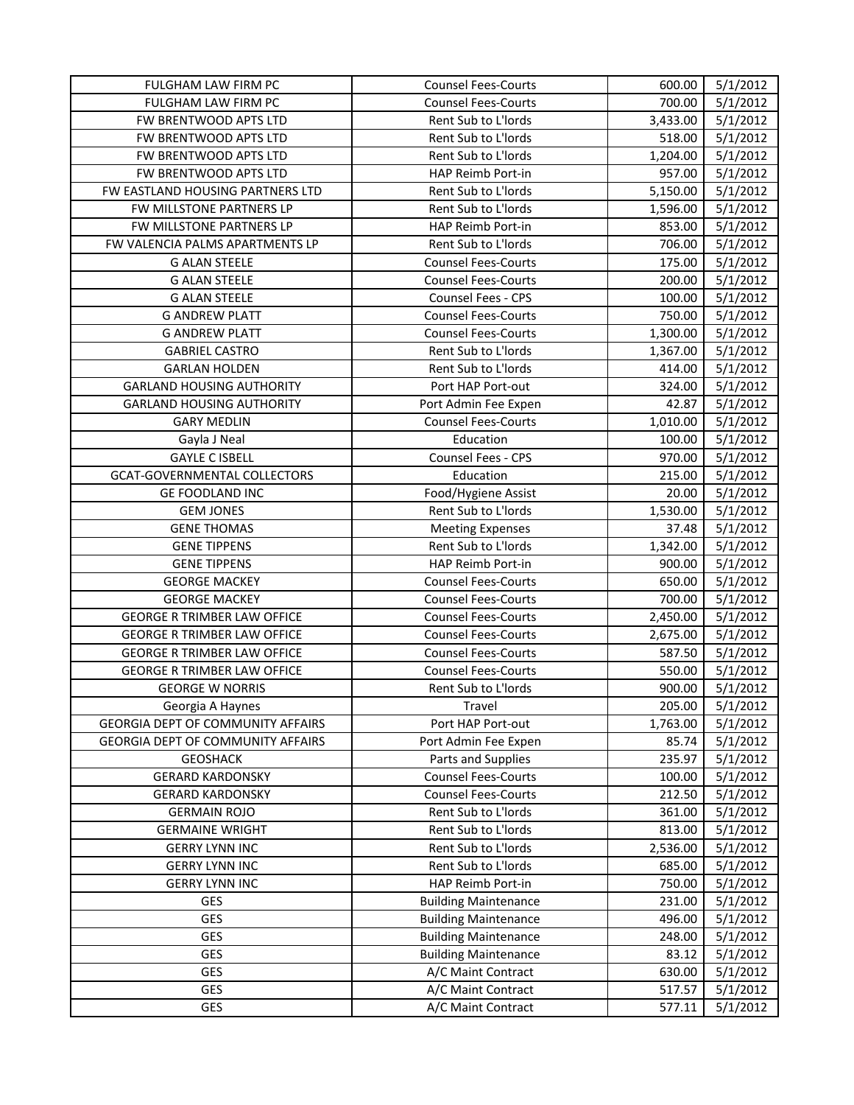| FULGHAM LAW FIRM PC                      | <b>Counsel Fees-Courts</b>  | 600.00   | 5/1/2012 |
|------------------------------------------|-----------------------------|----------|----------|
| FULGHAM LAW FIRM PC                      | <b>Counsel Fees-Courts</b>  | 700.00   | 5/1/2012 |
| FW BRENTWOOD APTS LTD                    | Rent Sub to L'Iords         | 3,433.00 | 5/1/2012 |
| FW BRENTWOOD APTS LTD                    | Rent Sub to L'Iords         | 518.00   | 5/1/2012 |
| FW BRENTWOOD APTS LTD                    | Rent Sub to L'Iords         | 1,204.00 | 5/1/2012 |
| FW BRENTWOOD APTS LTD                    | HAP Reimb Port-in           | 957.00   | 5/1/2012 |
| FW EASTLAND HOUSING PARTNERS LTD         | Rent Sub to L'Iords         | 5,150.00 | 5/1/2012 |
| FW MILLSTONE PARTNERS LP                 | Rent Sub to L'Iords         | 1,596.00 | 5/1/2012 |
| FW MILLSTONE PARTNERS LP                 | HAP Reimb Port-in           | 853.00   | 5/1/2012 |
| FW VALENCIA PALMS APARTMENTS LP          | Rent Sub to L'Iords         | 706.00   | 5/1/2012 |
| <b>G ALAN STEELE</b>                     | <b>Counsel Fees-Courts</b>  | 175.00   | 5/1/2012 |
| <b>G ALAN STEELE</b>                     | <b>Counsel Fees-Courts</b>  | 200.00   | 5/1/2012 |
| <b>G ALAN STEELE</b>                     | Counsel Fees - CPS          | 100.00   | 5/1/2012 |
| <b>G ANDREW PLATT</b>                    | <b>Counsel Fees-Courts</b>  | 750.00   | 5/1/2012 |
| <b>G ANDREW PLATT</b>                    | <b>Counsel Fees-Courts</b>  | 1,300.00 | 5/1/2012 |
| <b>GABRIEL CASTRO</b>                    | Rent Sub to L'Iords         | 1,367.00 | 5/1/2012 |
| <b>GARLAN HOLDEN</b>                     | Rent Sub to L'Iords         | 414.00   | 5/1/2012 |
| <b>GARLAND HOUSING AUTHORITY</b>         | Port HAP Port-out           | 324.00   | 5/1/2012 |
| <b>GARLAND HOUSING AUTHORITY</b>         | Port Admin Fee Expen        | 42.87    | 5/1/2012 |
| <b>GARY MEDLIN</b>                       | <b>Counsel Fees-Courts</b>  | 1,010.00 | 5/1/2012 |
| Gayla J Neal                             | Education                   | 100.00   | 5/1/2012 |
| <b>GAYLE C ISBELL</b>                    | Counsel Fees - CPS          | 970.00   | 5/1/2012 |
| GCAT-GOVERNMENTAL COLLECTORS             | Education                   | 215.00   | 5/1/2012 |
| <b>GE FOODLAND INC</b>                   | Food/Hygiene Assist         | 20.00    | 5/1/2012 |
| <b>GEM JONES</b>                         | Rent Sub to L'Iords         | 1,530.00 | 5/1/2012 |
| <b>GENE THOMAS</b>                       | <b>Meeting Expenses</b>     | 37.48    | 5/1/2012 |
| <b>GENE TIPPENS</b>                      | Rent Sub to L'Iords         | 1,342.00 | 5/1/2012 |
| <b>GENE TIPPENS</b>                      | HAP Reimb Port-in           | 900.00   | 5/1/2012 |
| <b>GEORGE MACKEY</b>                     | <b>Counsel Fees-Courts</b>  | 650.00   | 5/1/2012 |
| <b>GEORGE MACKEY</b>                     | <b>Counsel Fees-Courts</b>  | 700.00   | 5/1/2012 |
| <b>GEORGE R TRIMBER LAW OFFICE</b>       | <b>Counsel Fees-Courts</b>  | 2,450.00 | 5/1/2012 |
| <b>GEORGE R TRIMBER LAW OFFICE</b>       | <b>Counsel Fees-Courts</b>  | 2,675.00 | 5/1/2012 |
| <b>GEORGE R TRIMBER LAW OFFICE</b>       | <b>Counsel Fees-Courts</b>  | 587.50   | 5/1/2012 |
| <b>GEORGE R TRIMBER LAW OFFICE</b>       | <b>Counsel Fees-Courts</b>  | 550.00   | 5/1/2012 |
| <b>GEORGE W NORRIS</b>                   | Rent Sub to L'Iords         | 900.00   | 5/1/2012 |
| Georgia A Haynes                         | Travel                      | 205.00   | 5/1/2012 |
| <b>GEORGIA DEPT OF COMMUNITY AFFAIRS</b> | Port HAP Port-out           | 1,763.00 | 5/1/2012 |
| <b>GEORGIA DEPT OF COMMUNITY AFFAIRS</b> | Port Admin Fee Expen        | 85.74    | 5/1/2012 |
| <b>GEOSHACK</b>                          | Parts and Supplies          | 235.97   | 5/1/2012 |
| <b>GERARD KARDONSKY</b>                  | <b>Counsel Fees-Courts</b>  | 100.00   | 5/1/2012 |
| <b>GERARD KARDONSKY</b>                  | <b>Counsel Fees-Courts</b>  | 212.50   | 5/1/2012 |
| <b>GERMAIN ROJO</b>                      | Rent Sub to L'Iords         | 361.00   | 5/1/2012 |
| <b>GERMAINE WRIGHT</b>                   | Rent Sub to L'Iords         | 813.00   | 5/1/2012 |
| <b>GERRY LYNN INC</b>                    | Rent Sub to L'Iords         | 2,536.00 | 5/1/2012 |
| <b>GERRY LYNN INC</b>                    | Rent Sub to L'Iords         | 685.00   | 5/1/2012 |
| <b>GERRY LYNN INC</b>                    | HAP Reimb Port-in           | 750.00   | 5/1/2012 |
| GES                                      | <b>Building Maintenance</b> | 231.00   | 5/1/2012 |
| <b>GES</b>                               | <b>Building Maintenance</b> | 496.00   | 5/1/2012 |
| <b>GES</b>                               | <b>Building Maintenance</b> | 248.00   | 5/1/2012 |
| GES                                      | <b>Building Maintenance</b> | 83.12    | 5/1/2012 |
| <b>GES</b>                               | A/C Maint Contract          | 630.00   | 5/1/2012 |
| <b>GES</b>                               | A/C Maint Contract          | 517.57   | 5/1/2012 |
| <b>GES</b>                               | A/C Maint Contract          | 577.11   | 5/1/2012 |
|                                          |                             |          |          |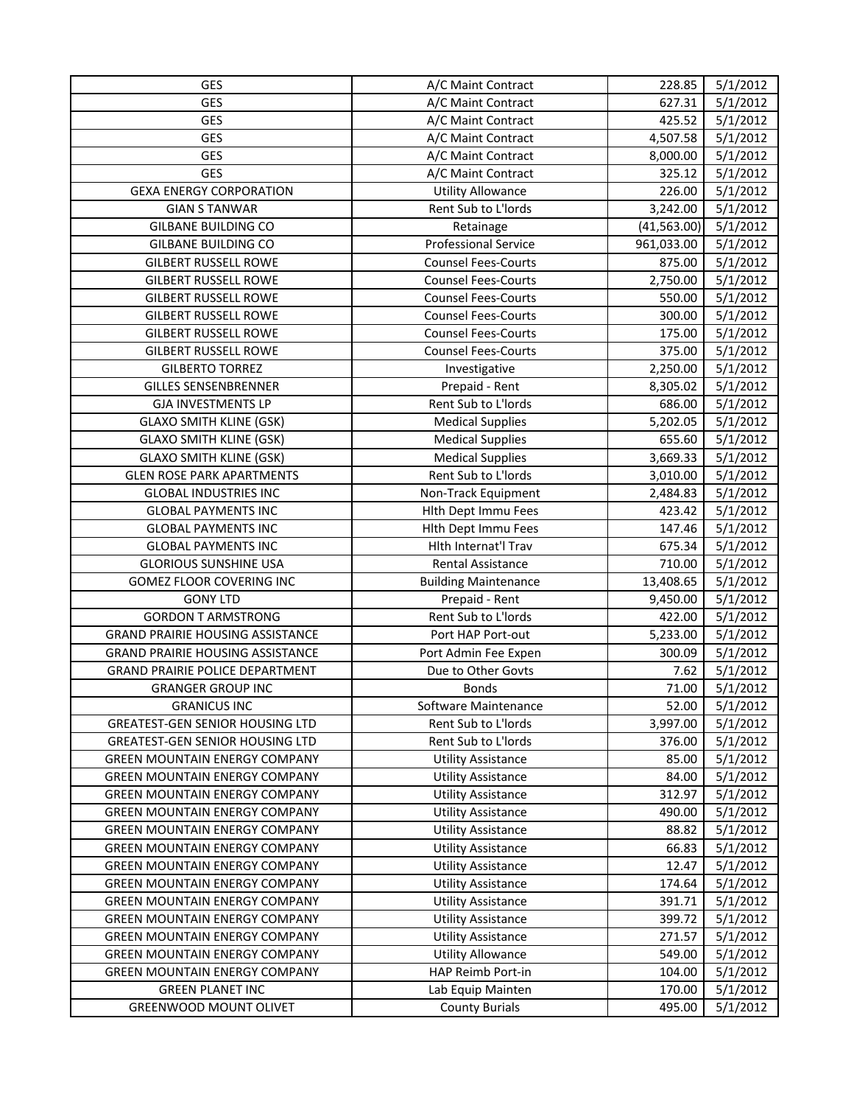| GES                                     | A/C Maint Contract          | 228.85       | 5/1/2012 |
|-----------------------------------------|-----------------------------|--------------|----------|
| GES                                     | A/C Maint Contract          | 627.31       | 5/1/2012 |
| GES                                     | A/C Maint Contract          | 425.52       | 5/1/2012 |
| GES                                     | A/C Maint Contract          | 4,507.58     | 5/1/2012 |
| GES                                     | A/C Maint Contract          | 8,000.00     | 5/1/2012 |
| GES                                     | A/C Maint Contract          | 325.12       | 5/1/2012 |
| <b>GEXA ENERGY CORPORATION</b>          | <b>Utility Allowance</b>    | 226.00       | 5/1/2012 |
| <b>GIAN S TANWAR</b>                    | Rent Sub to L'Iords         | 3,242.00     | 5/1/2012 |
| <b>GILBANE BUILDING CO</b>              | Retainage                   | (41, 563.00) | 5/1/2012 |
| <b>GILBANE BUILDING CO</b>              | <b>Professional Service</b> | 961,033.00   | 5/1/2012 |
| <b>GILBERT RUSSELL ROWE</b>             | <b>Counsel Fees-Courts</b>  | 875.00       | 5/1/2012 |
| <b>GILBERT RUSSELL ROWE</b>             | <b>Counsel Fees-Courts</b>  | 2,750.00     | 5/1/2012 |
| <b>GILBERT RUSSELL ROWE</b>             | <b>Counsel Fees-Courts</b>  | 550.00       | 5/1/2012 |
| <b>GILBERT RUSSELL ROWE</b>             | <b>Counsel Fees-Courts</b>  | 300.00       | 5/1/2012 |
| <b>GILBERT RUSSELL ROWE</b>             | <b>Counsel Fees-Courts</b>  | 175.00       | 5/1/2012 |
| <b>GILBERT RUSSELL ROWE</b>             | <b>Counsel Fees-Courts</b>  | 375.00       | 5/1/2012 |
| <b>GILBERTO TORREZ</b>                  | Investigative               | 2,250.00     | 5/1/2012 |
| <b>GILLES SENSENBRENNER</b>             | Prepaid - Rent              | 8,305.02     | 5/1/2012 |
| <b>GJA INVESTMENTS LP</b>               | Rent Sub to L'Iords         | 686.00       | 5/1/2012 |
| <b>GLAXO SMITH KLINE (GSK)</b>          | <b>Medical Supplies</b>     | 5,202.05     | 5/1/2012 |
| <b>GLAXO SMITH KLINE (GSK)</b>          | <b>Medical Supplies</b>     | 655.60       | 5/1/2012 |
| <b>GLAXO SMITH KLINE (GSK)</b>          | <b>Medical Supplies</b>     | 3,669.33     | 5/1/2012 |
| <b>GLEN ROSE PARK APARTMENTS</b>        | Rent Sub to L'Iords         | 3,010.00     | 5/1/2012 |
| <b>GLOBAL INDUSTRIES INC</b>            | Non-Track Equipment         | 2,484.83     | 5/1/2012 |
| <b>GLOBAL PAYMENTS INC</b>              | Hith Dept Immu Fees         | 423.42       | 5/1/2012 |
| <b>GLOBAL PAYMENTS INC</b>              | Hlth Dept Immu Fees         | 147.46       | 5/1/2012 |
| <b>GLOBAL PAYMENTS INC</b>              | Hith Internat'l Trav        | 675.34       | 5/1/2012 |
| <b>GLORIOUS SUNSHINE USA</b>            | Rental Assistance           | 710.00       | 5/1/2012 |
| <b>GOMEZ FLOOR COVERING INC</b>         | <b>Building Maintenance</b> | 13,408.65    | 5/1/2012 |
| <b>GONY LTD</b>                         | Prepaid - Rent              | 9,450.00     | 5/1/2012 |
| <b>GORDON T ARMSTRONG</b>               | Rent Sub to L'Iords         | 422.00       | 5/1/2012 |
| <b>GRAND PRAIRIE HOUSING ASSISTANCE</b> | Port HAP Port-out           | 5,233.00     | 5/1/2012 |
| <b>GRAND PRAIRIE HOUSING ASSISTANCE</b> | Port Admin Fee Expen        | 300.09       | 5/1/2012 |
| <b>GRAND PRAIRIE POLICE DEPARTMENT</b>  | Due to Other Govts          | 7.62         | 5/1/2012 |
| <b>GRANGER GROUP INC</b>                | <b>Bonds</b>                | 71.00        | 5/1/2012 |
| <b>GRANICUS INC</b>                     | Software Maintenance        | 52.00        | 5/1/2012 |
| <b>GREATEST-GEN SENIOR HOUSING LTD</b>  | Rent Sub to L'Iords         | 3,997.00     | 5/1/2012 |
| <b>GREATEST-GEN SENIOR HOUSING LTD</b>  | Rent Sub to L'Iords         | 376.00       | 5/1/2012 |
| <b>GREEN MOUNTAIN ENERGY COMPANY</b>    | <b>Utility Assistance</b>   | 85.00        | 5/1/2012 |
| <b>GREEN MOUNTAIN ENERGY COMPANY</b>    | <b>Utility Assistance</b>   | 84.00        | 5/1/2012 |
| <b>GREEN MOUNTAIN ENERGY COMPANY</b>    | <b>Utility Assistance</b>   | 312.97       | 5/1/2012 |
| <b>GREEN MOUNTAIN ENERGY COMPANY</b>    | <b>Utility Assistance</b>   | 490.00       | 5/1/2012 |
| <b>GREEN MOUNTAIN ENERGY COMPANY</b>    | <b>Utility Assistance</b>   | 88.82        | 5/1/2012 |
| <b>GREEN MOUNTAIN ENERGY COMPANY</b>    | <b>Utility Assistance</b>   | 66.83        | 5/1/2012 |
| <b>GREEN MOUNTAIN ENERGY COMPANY</b>    | <b>Utility Assistance</b>   | 12.47        | 5/1/2012 |
| <b>GREEN MOUNTAIN ENERGY COMPANY</b>    | <b>Utility Assistance</b>   | 174.64       | 5/1/2012 |
| <b>GREEN MOUNTAIN ENERGY COMPANY</b>    | <b>Utility Assistance</b>   | 391.71       | 5/1/2012 |
| <b>GREEN MOUNTAIN ENERGY COMPANY</b>    | <b>Utility Assistance</b>   | 399.72       | 5/1/2012 |
| <b>GREEN MOUNTAIN ENERGY COMPANY</b>    | <b>Utility Assistance</b>   | 271.57       | 5/1/2012 |
| <b>GREEN MOUNTAIN ENERGY COMPANY</b>    | <b>Utility Allowance</b>    | 549.00       | 5/1/2012 |
| <b>GREEN MOUNTAIN ENERGY COMPANY</b>    | HAP Reimb Port-in           | 104.00       | 5/1/2012 |
| <b>GREEN PLANET INC</b>                 | Lab Equip Mainten           | 170.00       | 5/1/2012 |
| <b>GREENWOOD MOUNT OLIVET</b>           | <b>County Burials</b>       | 495.00       | 5/1/2012 |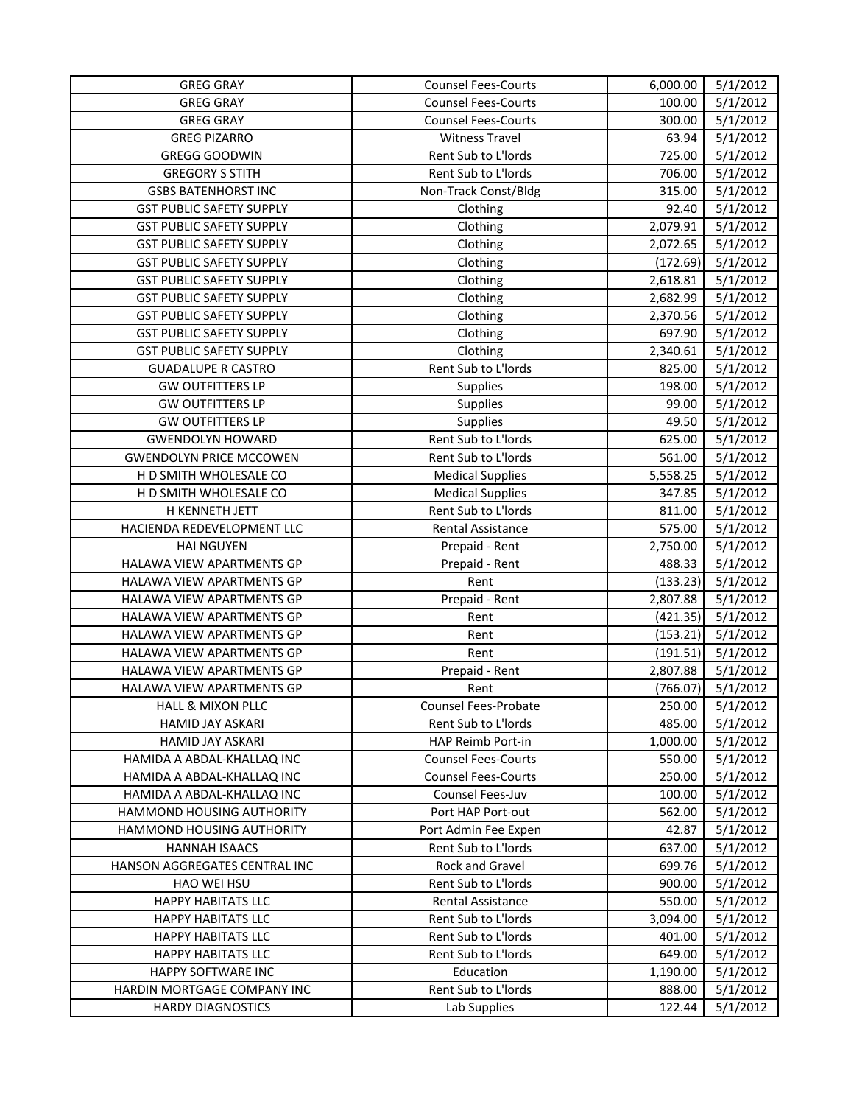| <b>GREG GRAY</b>                | <b>Counsel Fees-Courts</b> | 6,000.00 | 5/1/2012 |
|---------------------------------|----------------------------|----------|----------|
| <b>GREG GRAY</b>                | <b>Counsel Fees-Courts</b> | 100.00   | 5/1/2012 |
| <b>GREG GRAY</b>                | <b>Counsel Fees-Courts</b> | 300.00   | 5/1/2012 |
| <b>GREG PIZARRO</b>             | <b>Witness Travel</b>      | 63.94    | 5/1/2012 |
| <b>GREGG GOODWIN</b>            | Rent Sub to L'Iords        | 725.00   | 5/1/2012 |
| <b>GREGORY S STITH</b>          | Rent Sub to L'Iords        | 706.00   | 5/1/2012 |
| <b>GSBS BATENHORST INC</b>      | Non-Track Const/Bldg       | 315.00   | 5/1/2012 |
| <b>GST PUBLIC SAFETY SUPPLY</b> | Clothing                   | 92.40    | 5/1/2012 |
| <b>GST PUBLIC SAFETY SUPPLY</b> | Clothing                   | 2,079.91 | 5/1/2012 |
| <b>GST PUBLIC SAFETY SUPPLY</b> | Clothing                   | 2,072.65 | 5/1/2012 |
| <b>GST PUBLIC SAFETY SUPPLY</b> | Clothing                   | (172.69) | 5/1/2012 |
| <b>GST PUBLIC SAFETY SUPPLY</b> | Clothing                   | 2,618.81 | 5/1/2012 |
| <b>GST PUBLIC SAFETY SUPPLY</b> | Clothing                   | 2,682.99 | 5/1/2012 |
| <b>GST PUBLIC SAFETY SUPPLY</b> | Clothing                   | 2,370.56 | 5/1/2012 |
| <b>GST PUBLIC SAFETY SUPPLY</b> | Clothing                   | 697.90   | 5/1/2012 |
| <b>GST PUBLIC SAFETY SUPPLY</b> | Clothing                   | 2,340.61 | 5/1/2012 |
| <b>GUADALUPE R CASTRO</b>       | Rent Sub to L'Iords        | 825.00   | 5/1/2012 |
| <b>GW OUTFITTERS LP</b>         | <b>Supplies</b>            | 198.00   | 5/1/2012 |
| <b>GW OUTFITTERS LP</b>         | <b>Supplies</b>            | 99.00    | 5/1/2012 |
| <b>GW OUTFITTERS LP</b>         | <b>Supplies</b>            | 49.50    | 5/1/2012 |
| <b>GWENDOLYN HOWARD</b>         | Rent Sub to L'Iords        | 625.00   | 5/1/2012 |
| <b>GWENDOLYN PRICE MCCOWEN</b>  | Rent Sub to L'Iords        | 561.00   | 5/1/2012 |
| H D SMITH WHOLESALE CO          | <b>Medical Supplies</b>    | 5,558.25 | 5/1/2012 |
| H D SMITH WHOLESALE CO          | <b>Medical Supplies</b>    | 347.85   | 5/1/2012 |
| H KENNETH JETT                  | Rent Sub to L'Iords        | 811.00   | 5/1/2012 |
| HACIENDA REDEVELOPMENT LLC      | Rental Assistance          | 575.00   | 5/1/2012 |
| <b>HAI NGUYEN</b>               | Prepaid - Rent             | 2,750.00 | 5/1/2012 |
| HALAWA VIEW APARTMENTS GP       | Prepaid - Rent             | 488.33   | 5/1/2012 |
| HALAWA VIEW APARTMENTS GP       | Rent                       | (133.23) | 5/1/2012 |
| HALAWA VIEW APARTMENTS GP       | Prepaid - Rent             | 2,807.88 | 5/1/2012 |
| HALAWA VIEW APARTMENTS GP       | Rent                       | (421.35) | 5/1/2012 |
| HALAWA VIEW APARTMENTS GP       | Rent                       | (153.21) | 5/1/2012 |
| HALAWA VIEW APARTMENTS GP       | Rent                       | (191.51) | 5/1/2012 |
| HALAWA VIEW APARTMENTS GP       | Prepaid - Rent             | 2,807.88 | 5/1/2012 |
| HALAWA VIEW APARTMENTS GP       | Rent                       | (766.07) | 5/1/2012 |
| HALL & MIXON PLLC               | Counsel Fees-Probate       | 250.00   | 5/1/2012 |
| HAMID JAY ASKARI                | Rent Sub to L'Iords        | 485.00   | 5/1/2012 |
| <b>HAMID JAY ASKARI</b>         | HAP Reimb Port-in          | 1,000.00 | 5/1/2012 |
| HAMIDA A ABDAL-KHALLAQ INC      | <b>Counsel Fees-Courts</b> | 550.00   | 5/1/2012 |
| HAMIDA A ABDAL-KHALLAQ INC      | <b>Counsel Fees-Courts</b> | 250.00   | 5/1/2012 |
| HAMIDA A ABDAL-KHALLAQ INC      | Counsel Fees-Juv           | 100.00   | 5/1/2012 |
| HAMMOND HOUSING AUTHORITY       | Port HAP Port-out          | 562.00   | 5/1/2012 |
| HAMMOND HOUSING AUTHORITY       | Port Admin Fee Expen       | 42.87    | 5/1/2012 |
| <b>HANNAH ISAACS</b>            | Rent Sub to L'Iords        | 637.00   | 5/1/2012 |
| HANSON AGGREGATES CENTRAL INC   | Rock and Gravel            | 699.76   | 5/1/2012 |
| HAO WEI HSU                     | Rent Sub to L'Iords        | 900.00   | 5/1/2012 |
| <b>HAPPY HABITATS LLC</b>       | Rental Assistance          | 550.00   | 5/1/2012 |
| <b>HAPPY HABITATS LLC</b>       | Rent Sub to L'Iords        | 3,094.00 | 5/1/2012 |
| <b>HAPPY HABITATS LLC</b>       | Rent Sub to L'Iords        | 401.00   | 5/1/2012 |
| <b>HAPPY HABITATS LLC</b>       | Rent Sub to L'Iords        | 649.00   | 5/1/2012 |
| HAPPY SOFTWARE INC              | Education                  | 1,190.00 | 5/1/2012 |
| HARDIN MORTGAGE COMPANY INC     | Rent Sub to L'Iords        | 888.00   | 5/1/2012 |
| <b>HARDY DIAGNOSTICS</b>        | Lab Supplies               | 122.44   | 5/1/2012 |
|                                 |                            |          |          |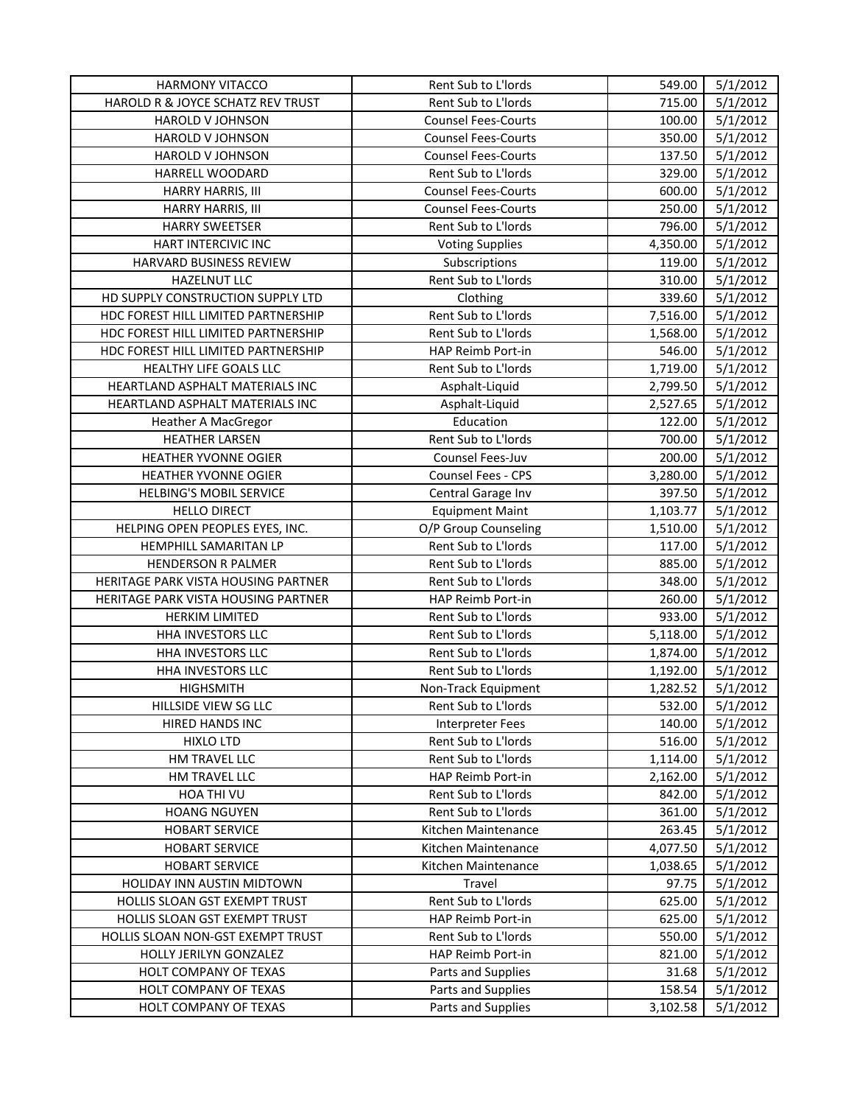| <b>HARMONY VITACCO</b>              | Rent Sub to L'Iords        | 549.00   | 5/1/2012 |
|-------------------------------------|----------------------------|----------|----------|
| HAROLD R & JOYCE SCHATZ REV TRUST   | Rent Sub to L'Iords        | 715.00   | 5/1/2012 |
| <b>HAROLD V JOHNSON</b>             | <b>Counsel Fees-Courts</b> | 100.00   | 5/1/2012 |
| HAROLD V JOHNSON                    | <b>Counsel Fees-Courts</b> | 350.00   | 5/1/2012 |
| HAROLD V JOHNSON                    | <b>Counsel Fees-Courts</b> | 137.50   | 5/1/2012 |
| HARRELL WOODARD                     | Rent Sub to L'Iords        | 329.00   | 5/1/2012 |
| HARRY HARRIS, III                   | <b>Counsel Fees-Courts</b> | 600.00   | 5/1/2012 |
| HARRY HARRIS, III                   | <b>Counsel Fees-Courts</b> | 250.00   | 5/1/2012 |
| <b>HARRY SWEETSER</b>               | Rent Sub to L'Iords        | 796.00   | 5/1/2012 |
| HART INTERCIVIC INC                 | <b>Voting Supplies</b>     | 4,350.00 | 5/1/2012 |
| HARVARD BUSINESS REVIEW             | Subscriptions              | 119.00   | 5/1/2012 |
| <b>HAZELNUT LLC</b>                 | Rent Sub to L'Iords        | 310.00   | 5/1/2012 |
| HD SUPPLY CONSTRUCTION SUPPLY LTD   | Clothing                   | 339.60   | 5/1/2012 |
| HDC FOREST HILL LIMITED PARTNERSHIP | Rent Sub to L'Iords        | 7,516.00 | 5/1/2012 |
| HDC FOREST HILL LIMITED PARTNERSHIP | Rent Sub to L'Iords        | 1,568.00 | 5/1/2012 |
| HDC FOREST HILL LIMITED PARTNERSHIP | HAP Reimb Port-in          | 546.00   | 5/1/2012 |
| HEALTHY LIFE GOALS LLC              | Rent Sub to L'Iords        | 1,719.00 | 5/1/2012 |
| HEARTLAND ASPHALT MATERIALS INC     | Asphalt-Liquid             | 2,799.50 | 5/1/2012 |
| HEARTLAND ASPHALT MATERIALS INC     | Asphalt-Liquid             | 2,527.65 | 5/1/2012 |
| <b>Heather A MacGregor</b>          | Education                  | 122.00   | 5/1/2012 |
| <b>HEATHER LARSEN</b>               | Rent Sub to L'Iords        | 700.00   | 5/1/2012 |
| HEATHER YVONNE OGIER                | Counsel Fees-Juv           | 200.00   | 5/1/2012 |
| HEATHER YVONNE OGIER                | <b>Counsel Fees - CPS</b>  | 3,280.00 | 5/1/2012 |
| <b>HELBING'S MOBIL SERVICE</b>      | Central Garage Inv         | 397.50   | 5/1/2012 |
| <b>HELLO DIRECT</b>                 | <b>Equipment Maint</b>     | 1,103.77 | 5/1/2012 |
| HELPING OPEN PEOPLES EYES, INC.     | O/P Group Counseling       | 1,510.00 | 5/1/2012 |
| HEMPHILL SAMARITAN LP               | Rent Sub to L'Iords        | 117.00   | 5/1/2012 |
| <b>HENDERSON R PALMER</b>           | Rent Sub to L'Iords        | 885.00   | 5/1/2012 |
| HERITAGE PARK VISTA HOUSING PARTNER | Rent Sub to L'Iords        | 348.00   | 5/1/2012 |
| HERITAGE PARK VISTA HOUSING PARTNER | HAP Reimb Port-in          | 260.00   | 5/1/2012 |
| <b>HERKIM LIMITED</b>               | Rent Sub to L'Iords        | 933.00   | 5/1/2012 |
| HHA INVESTORS LLC                   | Rent Sub to L'Iords        | 5,118.00 | 5/1/2012 |
| HHA INVESTORS LLC                   | Rent Sub to L'Iords        | 1,874.00 | 5/1/2012 |
| HHA INVESTORS LLC                   | Rent Sub to L'Iords        | 1,192.00 | 5/1/2012 |
| <b>HIGHSMITH</b>                    | Non-Track Equipment        | 1,282.52 | 5/1/2012 |
| HILLSIDE VIEW SG LLC                | Rent Sub to L'Iords        | 532.00   | 5/1/2012 |
| HIRED HANDS INC                     | <b>Interpreter Fees</b>    | 140.00   | 5/1/2012 |
| <b>HIXLO LTD</b>                    | Rent Sub to L'Iords        | 516.00   | 5/1/2012 |
| <b>HM TRAVEL LLC</b>                | Rent Sub to L'Iords        | 1,114.00 | 5/1/2012 |
| HM TRAVEL LLC                       | HAP Reimb Port-in          | 2,162.00 | 5/1/2012 |
| HOA THI VU                          | Rent Sub to L'Iords        | 842.00   | 5/1/2012 |
| <b>HOANG NGUYEN</b>                 | Rent Sub to L'Iords        | 361.00   | 5/1/2012 |
| <b>HOBART SERVICE</b>               | Kitchen Maintenance        | 263.45   | 5/1/2012 |
| <b>HOBART SERVICE</b>               | Kitchen Maintenance        | 4,077.50 | 5/1/2012 |
| <b>HOBART SERVICE</b>               | Kitchen Maintenance        | 1,038.65 | 5/1/2012 |
| HOLIDAY INN AUSTIN MIDTOWN          | Travel                     | 97.75    | 5/1/2012 |
| HOLLIS SLOAN GST EXEMPT TRUST       | Rent Sub to L'Iords        | 625.00   | 5/1/2012 |
| HOLLIS SLOAN GST EXEMPT TRUST       | HAP Reimb Port-in          | 625.00   | 5/1/2012 |
| HOLLIS SLOAN NON-GST EXEMPT TRUST   | Rent Sub to L'Iords        | 550.00   | 5/1/2012 |
| HOLLY JERILYN GONZALEZ              | HAP Reimb Port-in          | 821.00   | 5/1/2012 |
| HOLT COMPANY OF TEXAS               | Parts and Supplies         | 31.68    | 5/1/2012 |
| HOLT COMPANY OF TEXAS               | Parts and Supplies         | 158.54   | 5/1/2012 |
| HOLT COMPANY OF TEXAS               | Parts and Supplies         | 3,102.58 | 5/1/2012 |
|                                     |                            |          |          |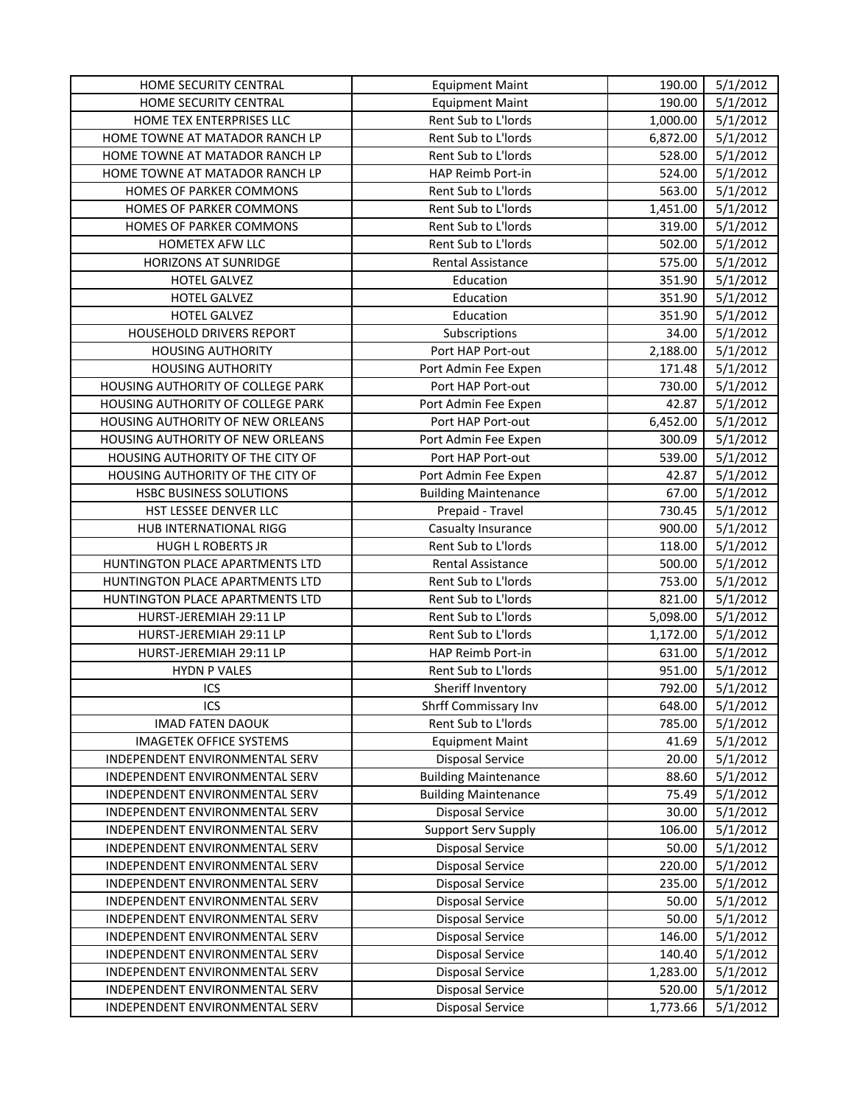| <b>HOME SECURITY CENTRAL</b>      | <b>Equipment Maint</b>      | 190.00   | 5/1/2012 |
|-----------------------------------|-----------------------------|----------|----------|
| HOME SECURITY CENTRAL             | <b>Equipment Maint</b>      | 190.00   | 5/1/2012 |
| HOME TEX ENTERPRISES LLC          | Rent Sub to L'Iords         | 1,000.00 | 5/1/2012 |
| HOME TOWNE AT MATADOR RANCH LP    | Rent Sub to L'Iords         | 6,872.00 | 5/1/2012 |
| HOME TOWNE AT MATADOR RANCH LP    | Rent Sub to L'Iords         | 528.00   | 5/1/2012 |
| HOME TOWNE AT MATADOR RANCH LP    | HAP Reimb Port-in           | 524.00   | 5/1/2012 |
| HOMES OF PARKER COMMONS           | Rent Sub to L'Iords         | 563.00   | 5/1/2012 |
| HOMES OF PARKER COMMONS           | Rent Sub to L'Iords         | 1,451.00 | 5/1/2012 |
| HOMES OF PARKER COMMONS           | Rent Sub to L'Iords         | 319.00   | 5/1/2012 |
| HOMETEX AFW LLC                   | Rent Sub to L'Iords         | 502.00   | 5/1/2012 |
| <b>HORIZONS AT SUNRIDGE</b>       | <b>Rental Assistance</b>    | 575.00   | 5/1/2012 |
| HOTEL GALVEZ                      | Education                   | 351.90   | 5/1/2012 |
| HOTEL GALVEZ                      | Education                   | 351.90   | 5/1/2012 |
| <b>HOTEL GALVEZ</b>               | Education                   | 351.90   | 5/1/2012 |
| HOUSEHOLD DRIVERS REPORT          | Subscriptions               | 34.00    | 5/1/2012 |
| <b>HOUSING AUTHORITY</b>          | Port HAP Port-out           | 2,188.00 | 5/1/2012 |
| <b>HOUSING AUTHORITY</b>          | Port Admin Fee Expen        | 171.48   | 5/1/2012 |
| HOUSING AUTHORITY OF COLLEGE PARK | Port HAP Port-out           | 730.00   | 5/1/2012 |
| HOUSING AUTHORITY OF COLLEGE PARK | Port Admin Fee Expen        | 42.87    | 5/1/2012 |
| HOUSING AUTHORITY OF NEW ORLEANS  | Port HAP Port-out           | 6,452.00 | 5/1/2012 |
| HOUSING AUTHORITY OF NEW ORLEANS  | Port Admin Fee Expen        | 300.09   | 5/1/2012 |
| HOUSING AUTHORITY OF THE CITY OF  | Port HAP Port-out           | 539.00   | 5/1/2012 |
| HOUSING AUTHORITY OF THE CITY OF  | Port Admin Fee Expen        | 42.87    | 5/1/2012 |
| HSBC BUSINESS SOLUTIONS           | <b>Building Maintenance</b> | 67.00    | 5/1/2012 |
| HST LESSEE DENVER LLC             | Prepaid - Travel            | 730.45   | 5/1/2012 |
| HUB INTERNATIONAL RIGG            | Casualty Insurance          | 900.00   | 5/1/2012 |
| HUGH L ROBERTS JR                 | Rent Sub to L'Iords         | 118.00   | 5/1/2012 |
| HUNTINGTON PLACE APARTMENTS LTD   | Rental Assistance           | 500.00   | 5/1/2012 |
| HUNTINGTON PLACE APARTMENTS LTD   | Rent Sub to L'Iords         | 753.00   | 5/1/2012 |
| HUNTINGTON PLACE APARTMENTS LTD   | Rent Sub to L'Iords         | 821.00   | 5/1/2012 |
| HURST-JEREMIAH 29:11 LP           | Rent Sub to L'Iords         | 5,098.00 | 5/1/2012 |
| HURST-JEREMIAH 29:11 LP           | Rent Sub to L'Iords         | 1,172.00 | 5/1/2012 |
| HURST-JEREMIAH 29:11 LP           | HAP Reimb Port-in           | 631.00   | 5/1/2012 |
| <b>HYDN P VALES</b>               | Rent Sub to L'Iords         | 951.00   | 5/1/2012 |
| ICS                               | Sheriff Inventory           | 792.00   | 5/1/2012 |
| ICS                               | Shrff Commissary Inv        | 648.00   | 5/1/2012 |
| <b>IMAD FATEN DAOUK</b>           | Rent Sub to L'Iords         | 785.00   | 5/1/2012 |
| <b>IMAGETEK OFFICE SYSTEMS</b>    | <b>Equipment Maint</b>      | 41.69    | 5/1/2012 |
| INDEPENDENT ENVIRONMENTAL SERV    | <b>Disposal Service</b>     | 20.00    | 5/1/2012 |
| INDEPENDENT ENVIRONMENTAL SERV    | <b>Building Maintenance</b> | 88.60    | 5/1/2012 |
| INDEPENDENT ENVIRONMENTAL SERV    | <b>Building Maintenance</b> | 75.49    | 5/1/2012 |
| INDEPENDENT ENVIRONMENTAL SERV    | <b>Disposal Service</b>     | 30.00    | 5/1/2012 |
| INDEPENDENT ENVIRONMENTAL SERV    | <b>Support Serv Supply</b>  | 106.00   | 5/1/2012 |
| INDEPENDENT ENVIRONMENTAL SERV    | <b>Disposal Service</b>     | 50.00    | 5/1/2012 |
| INDEPENDENT ENVIRONMENTAL SERV    | <b>Disposal Service</b>     | 220.00   | 5/1/2012 |
| INDEPENDENT ENVIRONMENTAL SERV    | <b>Disposal Service</b>     | 235.00   | 5/1/2012 |
| INDEPENDENT ENVIRONMENTAL SERV    | <b>Disposal Service</b>     | 50.00    | 5/1/2012 |
| INDEPENDENT ENVIRONMENTAL SERV    | <b>Disposal Service</b>     | 50.00    | 5/1/2012 |
| INDEPENDENT ENVIRONMENTAL SERV    | <b>Disposal Service</b>     | 146.00   | 5/1/2012 |
| INDEPENDENT ENVIRONMENTAL SERV    | <b>Disposal Service</b>     | 140.40   | 5/1/2012 |
| INDEPENDENT ENVIRONMENTAL SERV    | <b>Disposal Service</b>     | 1,283.00 | 5/1/2012 |
| INDEPENDENT ENVIRONMENTAL SERV    | <b>Disposal Service</b>     | 520.00   | 5/1/2012 |
| INDEPENDENT ENVIRONMENTAL SERV    | <b>Disposal Service</b>     | 1,773.66 | 5/1/2012 |
|                                   |                             |          |          |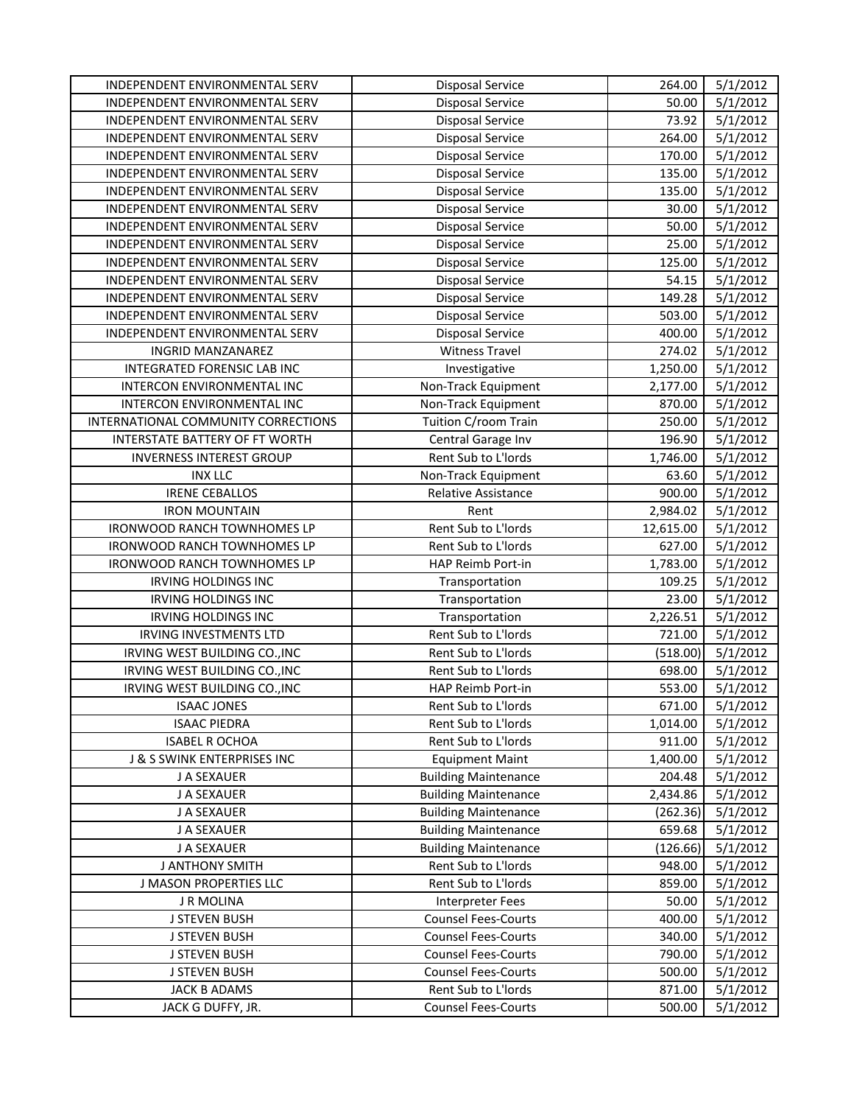| INDEPENDENT ENVIRONMENTAL SERV      | <b>Disposal Service</b>     | 264.00    | 5/1/2012 |
|-------------------------------------|-----------------------------|-----------|----------|
| INDEPENDENT ENVIRONMENTAL SERV      | <b>Disposal Service</b>     | 50.00     | 5/1/2012 |
| INDEPENDENT ENVIRONMENTAL SERV      | <b>Disposal Service</b>     | 73.92     | 5/1/2012 |
| INDEPENDENT ENVIRONMENTAL SERV      | <b>Disposal Service</b>     | 264.00    | 5/1/2012 |
| INDEPENDENT ENVIRONMENTAL SERV      | <b>Disposal Service</b>     | 170.00    | 5/1/2012 |
| INDEPENDENT ENVIRONMENTAL SERV      | <b>Disposal Service</b>     | 135.00    | 5/1/2012 |
| INDEPENDENT ENVIRONMENTAL SERV      | <b>Disposal Service</b>     | 135.00    | 5/1/2012 |
| INDEPENDENT ENVIRONMENTAL SERV      | <b>Disposal Service</b>     | 30.00     | 5/1/2012 |
| INDEPENDENT ENVIRONMENTAL SERV      | <b>Disposal Service</b>     | 50.00     | 5/1/2012 |
| INDEPENDENT ENVIRONMENTAL SERV      | <b>Disposal Service</b>     | 25.00     | 5/1/2012 |
| INDEPENDENT ENVIRONMENTAL SERV      | <b>Disposal Service</b>     | 125.00    | 5/1/2012 |
| INDEPENDENT ENVIRONMENTAL SERV      | <b>Disposal Service</b>     | 54.15     | 5/1/2012 |
| INDEPENDENT ENVIRONMENTAL SERV      | <b>Disposal Service</b>     | 149.28    | 5/1/2012 |
| INDEPENDENT ENVIRONMENTAL SERV      | <b>Disposal Service</b>     | 503.00    | 5/1/2012 |
| INDEPENDENT ENVIRONMENTAL SERV      | <b>Disposal Service</b>     | 400.00    | 5/1/2012 |
| <b>INGRID MANZANAREZ</b>            | <b>Witness Travel</b>       | 274.02    | 5/1/2012 |
| INTEGRATED FORENSIC LAB INC         | Investigative               | 1,250.00  | 5/1/2012 |
| INTERCON ENVIRONMENTAL INC          | Non-Track Equipment         | 2,177.00  | 5/1/2012 |
| INTERCON ENVIRONMENTAL INC          | Non-Track Equipment         | 870.00    | 5/1/2012 |
| INTERNATIONAL COMMUNITY CORRECTIONS | Tuition C/room Train        | 250.00    | 5/1/2012 |
| INTERSTATE BATTERY OF FT WORTH      | Central Garage Inv          | 196.90    | 5/1/2012 |
| <b>INVERNESS INTEREST GROUP</b>     | Rent Sub to L'Iords         | 1,746.00  | 5/1/2012 |
| <b>INX LLC</b>                      | Non-Track Equipment         | 63.60     | 5/1/2012 |
| <b>IRENE CEBALLOS</b>               | <b>Relative Assistance</b>  | 900.00    | 5/1/2012 |
| <b>IRON MOUNTAIN</b>                | Rent                        | 2,984.02  | 5/1/2012 |
| IRONWOOD RANCH TOWNHOMES LP         | Rent Sub to L'Iords         | 12,615.00 | 5/1/2012 |
| IRONWOOD RANCH TOWNHOMES LP         | Rent Sub to L'Iords         | 627.00    | 5/1/2012 |
| IRONWOOD RANCH TOWNHOMES LP         | HAP Reimb Port-in           | 1,783.00  | 5/1/2012 |
| <b>IRVING HOLDINGS INC</b>          | Transportation              | 109.25    | 5/1/2012 |
| IRVING HOLDINGS INC                 | Transportation              | 23.00     | 5/1/2012 |
| <b>IRVING HOLDINGS INC</b>          | Transportation              | 2,226.51  | 5/1/2012 |
| <b>IRVING INVESTMENTS LTD</b>       | Rent Sub to L'Iords         | 721.00    | 5/1/2012 |
| IRVING WEST BUILDING CO., INC       | Rent Sub to L'Iords         | (518.00)  | 5/1/2012 |
| IRVING WEST BUILDING CO., INC       | Rent Sub to L'Iords         | 698.00    | 5/1/2012 |
| IRVING WEST BUILDING CO., INC       | HAP Reimb Port-in           | 553.00    | 5/1/2012 |
| <b>ISAAC JONES</b>                  | Rent Sub to L'Iords         | 671.00    | 5/1/2012 |
| <b>ISAAC PIEDRA</b>                 | Rent Sub to L'Iords         | 1,014.00  | 5/1/2012 |
| <b>ISABEL R OCHOA</b>               | Rent Sub to L'Iords         | 911.00    | 5/1/2012 |
| J & S SWINK ENTERPRISES INC         | <b>Equipment Maint</b>      | 1,400.00  | 5/1/2012 |
| J A SEXAUER                         | <b>Building Maintenance</b> | 204.48    | 5/1/2012 |
| J A SEXAUER                         | <b>Building Maintenance</b> | 2,434.86  | 5/1/2012 |
| J A SEXAUER                         | <b>Building Maintenance</b> | (262.36)  | 5/1/2012 |
| J A SEXAUER                         | <b>Building Maintenance</b> | 659.68    | 5/1/2012 |
| J A SEXAUER                         | <b>Building Maintenance</b> | (126.66)  | 5/1/2012 |
| J ANTHONY SMITH                     | Rent Sub to L'Iords         | 948.00    | 5/1/2012 |
| J MASON PROPERTIES LLC              | Rent Sub to L'Iords         | 859.00    | 5/1/2012 |
| <b>J R MOLINA</b>                   | <b>Interpreter Fees</b>     | 50.00     | 5/1/2012 |
| <b>J STEVEN BUSH</b>                | <b>Counsel Fees-Courts</b>  | 400.00    | 5/1/2012 |
| <b>J STEVEN BUSH</b>                | <b>Counsel Fees-Courts</b>  | 340.00    | 5/1/2012 |
| <b>J STEVEN BUSH</b>                | <b>Counsel Fees-Courts</b>  | 790.00    | 5/1/2012 |
| <b>J STEVEN BUSH</b>                | <b>Counsel Fees-Courts</b>  | 500.00    | 5/1/2012 |
| JACK B ADAMS                        | Rent Sub to L'Iords         | 871.00    | 5/1/2012 |
| JACK G DUFFY, JR.                   | <b>Counsel Fees-Courts</b>  | 500.00    | 5/1/2012 |
|                                     |                             |           |          |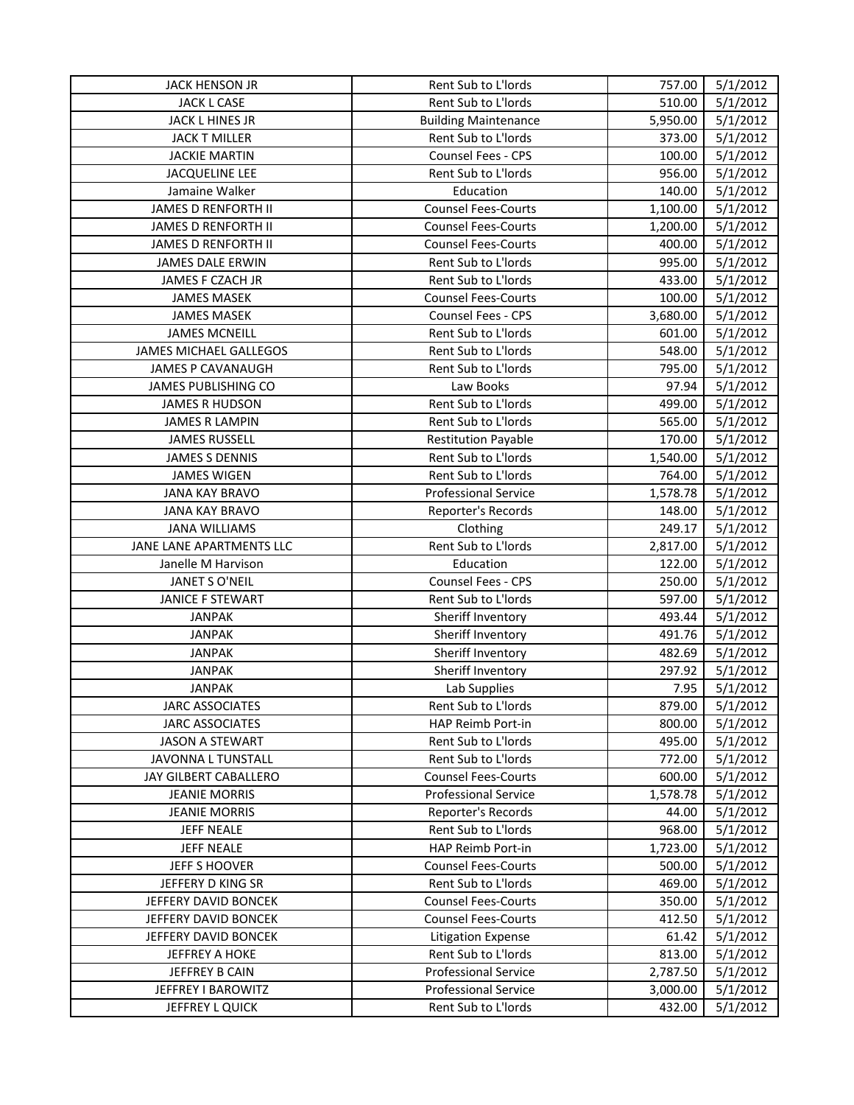| <b>JACK HENSON JR</b>        | Rent Sub to L'Iords         | 757.00   | 5/1/2012 |
|------------------------------|-----------------------------|----------|----------|
| JACK L CASE                  | Rent Sub to L'Iords         | 510.00   | 5/1/2012 |
| JACK L HINES JR              | <b>Building Maintenance</b> | 5,950.00 | 5/1/2012 |
| <b>JACK T MILLER</b>         | Rent Sub to L'Iords         | 373.00   | 5/1/2012 |
| <b>JACKIE MARTIN</b>         | Counsel Fees - CPS          | 100.00   | 5/1/2012 |
| <b>JACQUELINE LEE</b>        | Rent Sub to L'Iords         | 956.00   | 5/1/2012 |
| Jamaine Walker               | Education                   | 140.00   | 5/1/2012 |
| JAMES D RENFORTH II          | <b>Counsel Fees-Courts</b>  | 1,100.00 | 5/1/2012 |
| JAMES D RENFORTH II          | <b>Counsel Fees-Courts</b>  | 1,200.00 | 5/1/2012 |
| JAMES D RENFORTH II          | <b>Counsel Fees-Courts</b>  | 400.00   | 5/1/2012 |
| <b>JAMES DALE ERWIN</b>      | Rent Sub to L'Iords         | 995.00   | 5/1/2012 |
| JAMES F CZACH JR             | Rent Sub to L'Iords         | 433.00   | 5/1/2012 |
| <b>JAMES MASEK</b>           | <b>Counsel Fees-Courts</b>  | 100.00   | 5/1/2012 |
| <b>JAMES MASEK</b>           | Counsel Fees - CPS          | 3,680.00 | 5/1/2012 |
| <b>JAMES MCNEILL</b>         | Rent Sub to L'Iords         | 601.00   | 5/1/2012 |
| JAMES MICHAEL GALLEGOS       | Rent Sub to L'Iords         | 548.00   | 5/1/2012 |
| JAMES P CAVANAUGH            | Rent Sub to L'Iords         | 795.00   | 5/1/2012 |
| JAMES PUBLISHING CO          | Law Books                   | 97.94    | 5/1/2012 |
| <b>JAMES R HUDSON</b>        | Rent Sub to L'Iords         | 499.00   | 5/1/2012 |
| <b>JAMES R LAMPIN</b>        | Rent Sub to L'Iords         | 565.00   | 5/1/2012 |
| <b>JAMES RUSSELL</b>         | <b>Restitution Payable</b>  | 170.00   | 5/1/2012 |
| <b>JAMES S DENNIS</b>        | Rent Sub to L'Iords         | 1,540.00 | 5/1/2012 |
| <b>JAMES WIGEN</b>           | Rent Sub to L'Iords         | 764.00   | 5/1/2012 |
| <b>JANA KAY BRAVO</b>        | <b>Professional Service</b> | 1,578.78 | 5/1/2012 |
| <b>JANA KAY BRAVO</b>        | Reporter's Records          | 148.00   | 5/1/2012 |
| <b>JANA WILLIAMS</b>         | Clothing                    | 249.17   | 5/1/2012 |
| JANE LANE APARTMENTS LLC     | Rent Sub to L'Iords         | 2,817.00 | 5/1/2012 |
| Janelle M Harvison           | Education                   | 122.00   | 5/1/2012 |
| JANET S O'NEIL               | Counsel Fees - CPS          | 250.00   | 5/1/2012 |
| <b>JANICE F STEWART</b>      | Rent Sub to L'Iords         | 597.00   | 5/1/2012 |
| <b>JANPAK</b>                | Sheriff Inventory           | 493.44   | 5/1/2012 |
| <b>JANPAK</b>                | Sheriff Inventory           | 491.76   | 5/1/2012 |
| <b>JANPAK</b>                | Sheriff Inventory           | 482.69   | 5/1/2012 |
| <b>JANPAK</b>                | Sheriff Inventory           | 297.92   | 5/1/2012 |
| <b>JANPAK</b>                | Lab Supplies                | 7.95     | 5/1/2012 |
| <b>JARC ASSOCIATES</b>       | Rent Sub to L'Iords         | 879.00   | 5/1/2012 |
| <b>JARC ASSOCIATES</b>       | HAP Reimb Port-in           | 800.00   | 5/1/2012 |
| <b>JASON A STEWART</b>       | Rent Sub to L'Iords         | 495.00   | 5/1/2012 |
| <b>JAVONNA L TUNSTALL</b>    | Rent Sub to L'Iords         | 772.00   | 5/1/2012 |
| <b>JAY GILBERT CABALLERO</b> | <b>Counsel Fees-Courts</b>  | 600.00   | 5/1/2012 |
| <b>JEANIE MORRIS</b>         | <b>Professional Service</b> | 1,578.78 | 5/1/2012 |
| <b>JEANIE MORRIS</b>         | Reporter's Records          | 44.00    | 5/1/2012 |
| <b>JEFF NEALE</b>            | Rent Sub to L'Iords         | 968.00   | 5/1/2012 |
| <b>JEFF NEALE</b>            | HAP Reimb Port-in           | 1,723.00 | 5/1/2012 |
| JEFF S HOOVER                | <b>Counsel Fees-Courts</b>  | 500.00   | 5/1/2012 |
| JEFFERY D KING SR            | Rent Sub to L'Iords         | 469.00   | 5/1/2012 |
| JEFFERY DAVID BONCEK         | <b>Counsel Fees-Courts</b>  | 350.00   | 5/1/2012 |
| JEFFERY DAVID BONCEK         | <b>Counsel Fees-Courts</b>  | 412.50   | 5/1/2012 |
| JEFFERY DAVID BONCEK         | <b>Litigation Expense</b>   | 61.42    | 5/1/2012 |
| <b>JEFFREY A HOKE</b>        | Rent Sub to L'Iords         | 813.00   | 5/1/2012 |
| JEFFREY B CAIN               | <b>Professional Service</b> | 2,787.50 | 5/1/2012 |
| JEFFREY I BAROWITZ           | <b>Professional Service</b> | 3,000.00 | 5/1/2012 |
| JEFFREY L QUICK              | Rent Sub to L'Iords         | 432.00   | 5/1/2012 |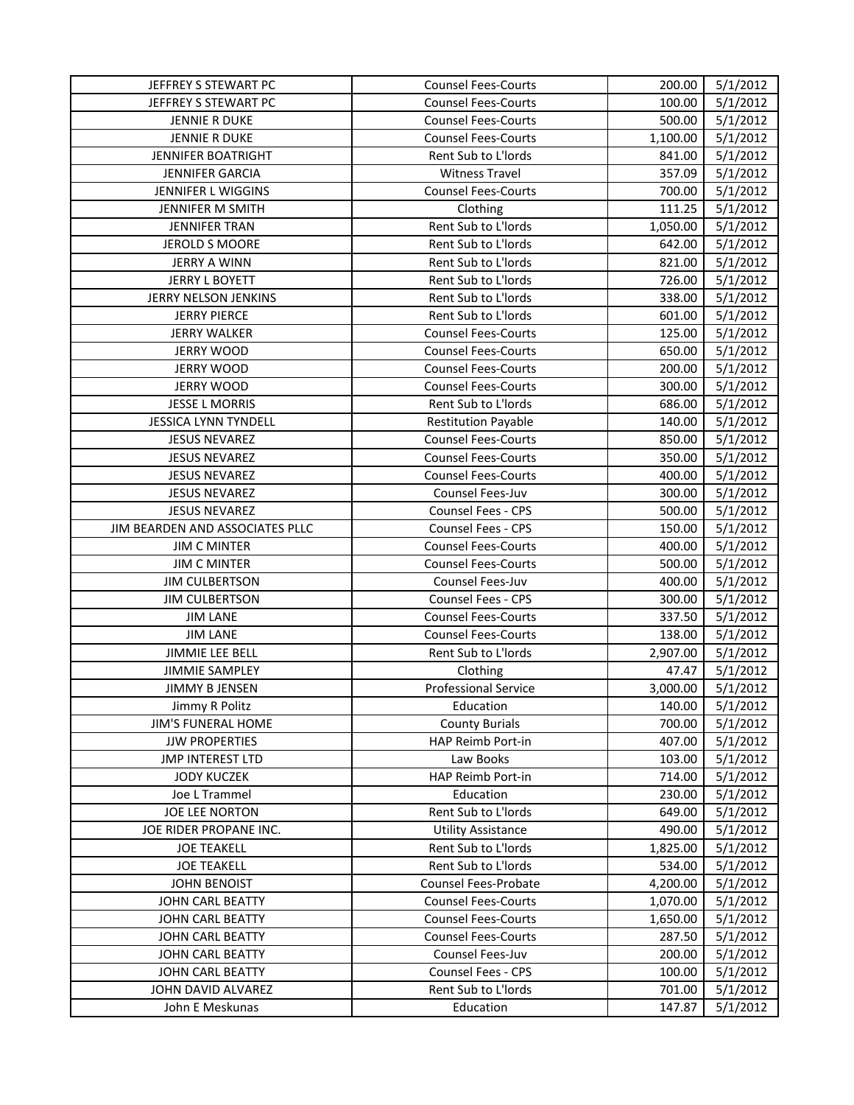| JEFFREY S STEWART PC            | <b>Counsel Fees-Courts</b>  | 200.00   | 5/1/2012 |
|---------------------------------|-----------------------------|----------|----------|
| JEFFREY S STEWART PC            | <b>Counsel Fees-Courts</b>  | 100.00   | 5/1/2012 |
| <b>JENNIE R DUKE</b>            | <b>Counsel Fees-Courts</b>  | 500.00   | 5/1/2012 |
| JENNIE R DUKE                   | <b>Counsel Fees-Courts</b>  | 1,100.00 | 5/1/2012 |
| JENNIFER BOATRIGHT              | Rent Sub to L'Iords         | 841.00   | 5/1/2012 |
| <b>JENNIFER GARCIA</b>          | <b>Witness Travel</b>       | 357.09   | 5/1/2012 |
| JENNIFER L WIGGINS              | <b>Counsel Fees-Courts</b>  | 700.00   | 5/1/2012 |
| JENNIFER M SMITH                | Clothing                    | 111.25   | 5/1/2012 |
| <b>JENNIFER TRAN</b>            | Rent Sub to L'Iords         | 1,050.00 | 5/1/2012 |
| JEROLD S MOORE                  | Rent Sub to L'Iords         | 642.00   | 5/1/2012 |
| <b>JERRY A WINN</b>             | Rent Sub to L'Iords         | 821.00   | 5/1/2012 |
| <b>JERRY L BOYETT</b>           | Rent Sub to L'Iords         | 726.00   | 5/1/2012 |
| JERRY NELSON JENKINS            | Rent Sub to L'Iords         | 338.00   | 5/1/2012 |
| <b>JERRY PIERCE</b>             | Rent Sub to L'Iords         | 601.00   | 5/1/2012 |
| <b>JERRY WALKER</b>             | <b>Counsel Fees-Courts</b>  | 125.00   | 5/1/2012 |
| <b>JERRY WOOD</b>               | <b>Counsel Fees-Courts</b>  | 650.00   | 5/1/2012 |
| <b>JERRY WOOD</b>               | <b>Counsel Fees-Courts</b>  | 200.00   | 5/1/2012 |
| <b>JERRY WOOD</b>               | <b>Counsel Fees-Courts</b>  | 300.00   | 5/1/2012 |
| <b>JESSE L MORRIS</b>           | Rent Sub to L'Iords         | 686.00   | 5/1/2012 |
| <b>JESSICA LYNN TYNDELL</b>     | <b>Restitution Payable</b>  | 140.00   | 5/1/2012 |
| <b>JESUS NEVAREZ</b>            | <b>Counsel Fees-Courts</b>  | 850.00   | 5/1/2012 |
| <b>JESUS NEVAREZ</b>            | <b>Counsel Fees-Courts</b>  | 350.00   | 5/1/2012 |
| <b>JESUS NEVAREZ</b>            | <b>Counsel Fees-Courts</b>  | 400.00   | 5/1/2012 |
| <b>JESUS NEVAREZ</b>            | Counsel Fees-Juv            | 300.00   | 5/1/2012 |
| <b>JESUS NEVAREZ</b>            | Counsel Fees - CPS          | 500.00   | 5/1/2012 |
| JIM BEARDEN AND ASSOCIATES PLLC | <b>Counsel Fees - CPS</b>   | 150.00   | 5/1/2012 |
| <b>JIM C MINTER</b>             | <b>Counsel Fees-Courts</b>  | 400.00   | 5/1/2012 |
| <b>JIM C MINTER</b>             | <b>Counsel Fees-Courts</b>  | 500.00   | 5/1/2012 |
| <b>JIM CULBERTSON</b>           | Counsel Fees-Juv            | 400.00   | 5/1/2012 |
| <b>JIM CULBERTSON</b>           | Counsel Fees - CPS          | 300.00   | 5/1/2012 |
| <b>JIM LANE</b>                 | <b>Counsel Fees-Courts</b>  | 337.50   | 5/1/2012 |
| <b>JIM LANE</b>                 | <b>Counsel Fees-Courts</b>  | 138.00   | 5/1/2012 |
| JIMMIE LEE BELL                 | Rent Sub to L'Iords         | 2,907.00 | 5/1/2012 |
| <b>JIMMIE SAMPLEY</b>           | Clothing                    | 47.47    | 5/1/2012 |
| <b>JIMMY B JENSEN</b>           | <b>Professional Service</b> | 3,000.00 | 5/1/2012 |
| Jimmy R Politz                  | Education                   | 140.00   | 5/1/2012 |
| <b>JIM'S FUNERAL HOME</b>       | <b>County Burials</b>       | 700.00   | 5/1/2012 |
| <b>JJW PROPERTIES</b>           | HAP Reimb Port-in           | 407.00   | 5/1/2012 |
| <b>JMP INTEREST LTD</b>         | Law Books                   | 103.00   | 5/1/2012 |
| <b>JODY KUCZEK</b>              | <b>HAP Reimb Port-in</b>    | 714.00   | 5/1/2012 |
| Joe L Trammel                   | Education                   | 230.00   | 5/1/2012 |
| JOE LEE NORTON                  | Rent Sub to L'Iords         | 649.00   | 5/1/2012 |
| JOE RIDER PROPANE INC.          | <b>Utility Assistance</b>   | 490.00   | 5/1/2012 |
| <b>JOE TEAKELL</b>              | <b>Rent Sub to L'Iords</b>  | 1,825.00 | 5/1/2012 |
| <b>JOE TEAKELL</b>              | Rent Sub to L'Iords         | 534.00   | 5/1/2012 |
| <b>JOHN BENOIST</b>             | <b>Counsel Fees-Probate</b> | 4,200.00 | 5/1/2012 |
| JOHN CARL BEATTY                | <b>Counsel Fees-Courts</b>  | 1,070.00 | 5/1/2012 |
| JOHN CARL BEATTY                | <b>Counsel Fees-Courts</b>  | 1,650.00 | 5/1/2012 |
| JOHN CARL BEATTY                | <b>Counsel Fees-Courts</b>  | 287.50   | 5/1/2012 |
| JOHN CARL BEATTY                | Counsel Fees-Juv            | 200.00   | 5/1/2012 |
| JOHN CARL BEATTY                | <b>Counsel Fees - CPS</b>   | 100.00   | 5/1/2012 |
| JOHN DAVID ALVAREZ              | Rent Sub to L'Iords         | 701.00   | 5/1/2012 |
| John E Meskunas                 | Education                   | 147.87   | 5/1/2012 |
|                                 |                             |          |          |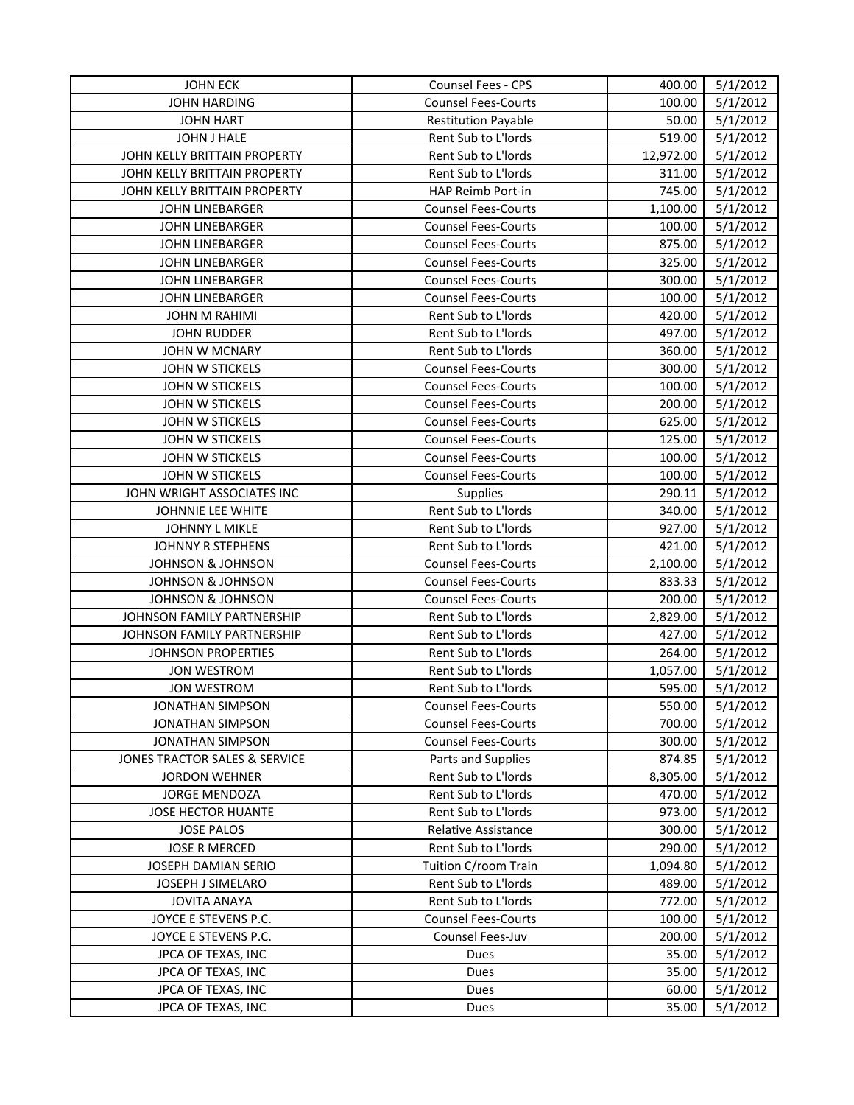| <b>JOHN ECK</b>               | Counsel Fees - CPS         | 400.00    | 5/1/2012 |
|-------------------------------|----------------------------|-----------|----------|
| <b>JOHN HARDING</b>           | <b>Counsel Fees-Courts</b> | 100.00    | 5/1/2012 |
| <b>JOHN HART</b>              | <b>Restitution Payable</b> | 50.00     | 5/1/2012 |
| JOHN J HALE                   | Rent Sub to L'Iords        | 519.00    | 5/1/2012 |
| JOHN KELLY BRITTAIN PROPERTY  | Rent Sub to L'Iords        | 12,972.00 | 5/1/2012 |
| JOHN KELLY BRITTAIN PROPERTY  | Rent Sub to L'Iords        | 311.00    | 5/1/2012 |
| JOHN KELLY BRITTAIN PROPERTY  | HAP Reimb Port-in          | 745.00    | 5/1/2012 |
| <b>JOHN LINEBARGER</b>        | <b>Counsel Fees-Courts</b> | 1,100.00  | 5/1/2012 |
| <b>JOHN LINEBARGER</b>        | <b>Counsel Fees-Courts</b> | 100.00    | 5/1/2012 |
| <b>JOHN LINEBARGER</b>        | <b>Counsel Fees-Courts</b> | 875.00    | 5/1/2012 |
| <b>JOHN LINEBARGER</b>        | <b>Counsel Fees-Courts</b> | 325.00    | 5/1/2012 |
| <b>JOHN LINEBARGER</b>        | <b>Counsel Fees-Courts</b> | 300.00    | 5/1/2012 |
| <b>JOHN LINEBARGER</b>        | <b>Counsel Fees-Courts</b> | 100.00    | 5/1/2012 |
| <b>JOHN M RAHIMI</b>          | Rent Sub to L'Iords        | 420.00    | 5/1/2012 |
| <b>JOHN RUDDER</b>            | Rent Sub to L'Iords        | 497.00    | 5/1/2012 |
| <b>JOHN W MCNARY</b>          | Rent Sub to L'Iords        | 360.00    | 5/1/2012 |
| JOHN W STICKELS               | <b>Counsel Fees-Courts</b> | 300.00    | 5/1/2012 |
| JOHN W STICKELS               | <b>Counsel Fees-Courts</b> | 100.00    | 5/1/2012 |
| JOHN W STICKELS               | <b>Counsel Fees-Courts</b> | 200.00    | 5/1/2012 |
| JOHN W STICKELS               | <b>Counsel Fees-Courts</b> | 625.00    | 5/1/2012 |
| JOHN W STICKELS               | <b>Counsel Fees-Courts</b> | 125.00    | 5/1/2012 |
| JOHN W STICKELS               | <b>Counsel Fees-Courts</b> | 100.00    | 5/1/2012 |
| JOHN W STICKELS               | <b>Counsel Fees-Courts</b> | 100.00    | 5/1/2012 |
| JOHN WRIGHT ASSOCIATES INC    | <b>Supplies</b>            | 290.11    | 5/1/2012 |
| JOHNNIE LEE WHITE             | Rent Sub to L'Iords        | 340.00    | 5/1/2012 |
| JOHNNY L MIKLE                | Rent Sub to L'Iords        | 927.00    | 5/1/2012 |
| JOHNNY R STEPHENS             | Rent Sub to L'Iords        | 421.00    | 5/1/2012 |
| <b>JOHNSON &amp; JOHNSON</b>  | <b>Counsel Fees-Courts</b> | 2,100.00  | 5/1/2012 |
| <b>JOHNSON &amp; JOHNSON</b>  | <b>Counsel Fees-Courts</b> | 833.33    | 5/1/2012 |
| <b>JOHNSON &amp; JOHNSON</b>  | <b>Counsel Fees-Courts</b> | 200.00    | 5/1/2012 |
| JOHNSON FAMILY PARTNERSHIP    | Rent Sub to L'Iords        | 2,829.00  | 5/1/2012 |
| JOHNSON FAMILY PARTNERSHIP    | Rent Sub to L'Iords        | 427.00    | 5/1/2012 |
| <b>JOHNSON PROPERTIES</b>     | Rent Sub to L'Iords        | 264.00    | 5/1/2012 |
| <b>JON WESTROM</b>            | Rent Sub to L'Iords        | 1,057.00  | 5/1/2012 |
| <b>JON WESTROM</b>            | Rent Sub to L'Iords        | 595.00    | 5/1/2012 |
| <b>JONATHAN SIMPSON</b>       | <b>Counsel Fees-Courts</b> | 550.00    | 5/1/2012 |
| <b>JONATHAN SIMPSON</b>       | <b>Counsel Fees-Courts</b> | 700.00    | 5/1/2012 |
| <b>JONATHAN SIMPSON</b>       | <b>Counsel Fees-Courts</b> | 300.00    | 5/1/2012 |
| JONES TRACTOR SALES & SERVICE | Parts and Supplies         | 874.85    | 5/1/2012 |
| <b>JORDON WEHNER</b>          | Rent Sub to L'Iords        | 8,305.00  | 5/1/2012 |
| <b>JORGE MENDOZA</b>          | Rent Sub to L'Iords        | 470.00    | 5/1/2012 |
| <b>JOSE HECTOR HUANTE</b>     | Rent Sub to L'Iords        | 973.00    | 5/1/2012 |
| <b>JOSE PALOS</b>             | <b>Relative Assistance</b> | 300.00    | 5/1/2012 |
| <b>JOSE R MERCED</b>          | <b>Rent Sub to L'Iords</b> | 290.00    | 5/1/2012 |
| <b>JOSEPH DAMIAN SERIO</b>    | Tuition C/room Train       | 1,094.80  | 5/1/2012 |
| JOSEPH J SIMELARO             | Rent Sub to L'Iords        | 489.00    | 5/1/2012 |
| <b>JOVITA ANAYA</b>           | Rent Sub to L'Iords        | 772.00    | 5/1/2012 |
| JOYCE E STEVENS P.C.          | <b>Counsel Fees-Courts</b> | 100.00    | 5/1/2012 |
| JOYCE E STEVENS P.C.          | Counsel Fees-Juv           | 200.00    | 5/1/2012 |
| JPCA OF TEXAS, INC            | Dues                       | 35.00     | 5/1/2012 |
| JPCA OF TEXAS, INC            | Dues                       | 35.00     | 5/1/2012 |
| JPCA OF TEXAS, INC            | Dues                       | 60.00     | 5/1/2012 |
| JPCA OF TEXAS, INC            | Dues                       | 35.00     | 5/1/2012 |
|                               |                            |           |          |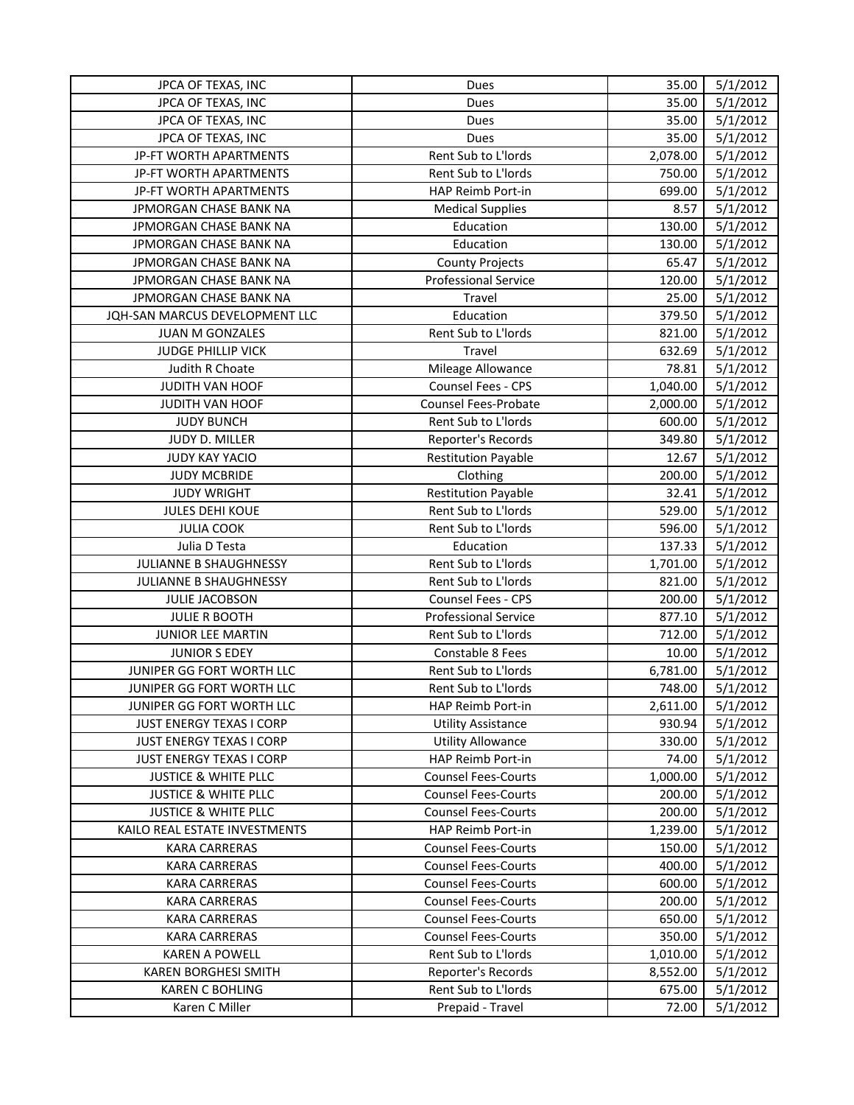| JPCA OF TEXAS, INC              | Dues                        | 35.00    | 5/1/2012 |
|---------------------------------|-----------------------------|----------|----------|
| JPCA OF TEXAS, INC              | Dues                        | 35.00    | 5/1/2012 |
| JPCA OF TEXAS, INC              | Dues                        | 35.00    | 5/1/2012 |
| JPCA OF TEXAS, INC              | Dues                        | 35.00    | 5/1/2012 |
| JP-FT WORTH APARTMENTS          | Rent Sub to L'Iords         | 2,078.00 | 5/1/2012 |
| JP-FT WORTH APARTMENTS          | Rent Sub to L'Iords         | 750.00   | 5/1/2012 |
| JP-FT WORTH APARTMENTS          | HAP Reimb Port-in           | 699.00   | 5/1/2012 |
| JPMORGAN CHASE BANK NA          | <b>Medical Supplies</b>     | 8.57     | 5/1/2012 |
| JPMORGAN CHASE BANK NA          | Education                   | 130.00   | 5/1/2012 |
| JPMORGAN CHASE BANK NA          | Education                   | 130.00   | 5/1/2012 |
| JPMORGAN CHASE BANK NA          | <b>County Projects</b>      | 65.47    | 5/1/2012 |
| JPMORGAN CHASE BANK NA          | <b>Professional Service</b> | 120.00   | 5/1/2012 |
| JPMORGAN CHASE BANK NA          | Travel                      | 25.00    | 5/1/2012 |
| JQH-SAN MARCUS DEVELOPMENT LLC  | Education                   | 379.50   | 5/1/2012 |
| JUAN M GONZALES                 | Rent Sub to L'Iords         | 821.00   | 5/1/2012 |
| <b>JUDGE PHILLIP VICK</b>       | Travel                      | 632.69   | 5/1/2012 |
| Judith R Choate                 | Mileage Allowance           | 78.81    | 5/1/2012 |
| JUDITH VAN HOOF                 | Counsel Fees - CPS          | 1,040.00 | 5/1/2012 |
| JUDITH VAN HOOF                 | <b>Counsel Fees-Probate</b> | 2,000.00 | 5/1/2012 |
| <b>JUDY BUNCH</b>               | Rent Sub to L'Iords         | 600.00   | 5/1/2012 |
| JUDY D. MILLER                  | Reporter's Records          | 349.80   | 5/1/2012 |
| <b>JUDY KAY YACIO</b>           | <b>Restitution Payable</b>  | 12.67    | 5/1/2012 |
| <b>JUDY MCBRIDE</b>             | Clothing                    | 200.00   | 5/1/2012 |
| <b>JUDY WRIGHT</b>              | <b>Restitution Payable</b>  | 32.41    | 5/1/2012 |
| <b>JULES DEHI KOUE</b>          | Rent Sub to L'Iords         | 529.00   | 5/1/2012 |
| <b>JULIA COOK</b>               | Rent Sub to L'Iords         | 596.00   | 5/1/2012 |
| Julia D Testa                   | Education                   | 137.33   | 5/1/2012 |
| JULIANNE B SHAUGHNESSY          | Rent Sub to L'Iords         | 1,701.00 | 5/1/2012 |
| JULIANNE B SHAUGHNESSY          | Rent Sub to L'Iords         | 821.00   | 5/1/2012 |
| JULIE JACOBSON                  | <b>Counsel Fees - CPS</b>   | 200.00   | 5/1/2012 |
| <b>JULIE R BOOTH</b>            | <b>Professional Service</b> | 877.10   | 5/1/2012 |
| JUNIOR LEE MARTIN               | Rent Sub to L'Iords         | 712.00   | 5/1/2012 |
| <b>JUNIOR S EDEY</b>            | Constable 8 Fees            | 10.00    | 5/1/2012 |
| JUNIPER GG FORT WORTH LLC       | Rent Sub to L'Iords         | 6,781.00 | 5/1/2012 |
| JUNIPER GG FORT WORTH LLC       | Rent Sub to L'Iords         | 748.00   | 5/1/2012 |
| JUNIPER GG FORT WORTH LLC       | HAP Reimb Port-in           | 2,611.00 | 5/1/2012 |
| JUST ENERGY TEXAS I CORP        | <b>Utility Assistance</b>   | 930.94   | 5/1/2012 |
| JUST ENERGY TEXAS I CORP        | <b>Utility Allowance</b>    | 330.00   | 5/1/2012 |
| <b>JUST ENERGY TEXAS I CORP</b> | HAP Reimb Port-in           | 74.00    | 5/1/2012 |
| <b>JUSTICE &amp; WHITE PLLC</b> | <b>Counsel Fees-Courts</b>  | 1,000.00 | 5/1/2012 |
| <b>JUSTICE &amp; WHITE PLLC</b> | <b>Counsel Fees-Courts</b>  | 200.00   | 5/1/2012 |
| <b>JUSTICE &amp; WHITE PLLC</b> | <b>Counsel Fees-Courts</b>  | 200.00   | 5/1/2012 |
| KAILO REAL ESTATE INVESTMENTS   | <b>HAP Reimb Port-in</b>    | 1,239.00 | 5/1/2012 |
| <b>KARA CARRERAS</b>            | <b>Counsel Fees-Courts</b>  | 150.00   | 5/1/2012 |
| <b>KARA CARRERAS</b>            | <b>Counsel Fees-Courts</b>  | 400.00   | 5/1/2012 |
| <b>KARA CARRERAS</b>            | <b>Counsel Fees-Courts</b>  | 600.00   | 5/1/2012 |
| <b>KARA CARRERAS</b>            | <b>Counsel Fees-Courts</b>  | 200.00   | 5/1/2012 |
| <b>KARA CARRERAS</b>            | <b>Counsel Fees-Courts</b>  | 650.00   | 5/1/2012 |
| <b>KARA CARRERAS</b>            | <b>Counsel Fees-Courts</b>  | 350.00   | 5/1/2012 |
| <b>KAREN A POWELL</b>           | Rent Sub to L'Iords         | 1,010.00 | 5/1/2012 |
| <b>KAREN BORGHESI SMITH</b>     | Reporter's Records          | 8,552.00 | 5/1/2012 |
| <b>KAREN C BOHLING</b>          | Rent Sub to L'Iords         | 675.00   | 5/1/2012 |
| Karen C Miller                  | Prepaid - Travel            | 72.00    | 5/1/2012 |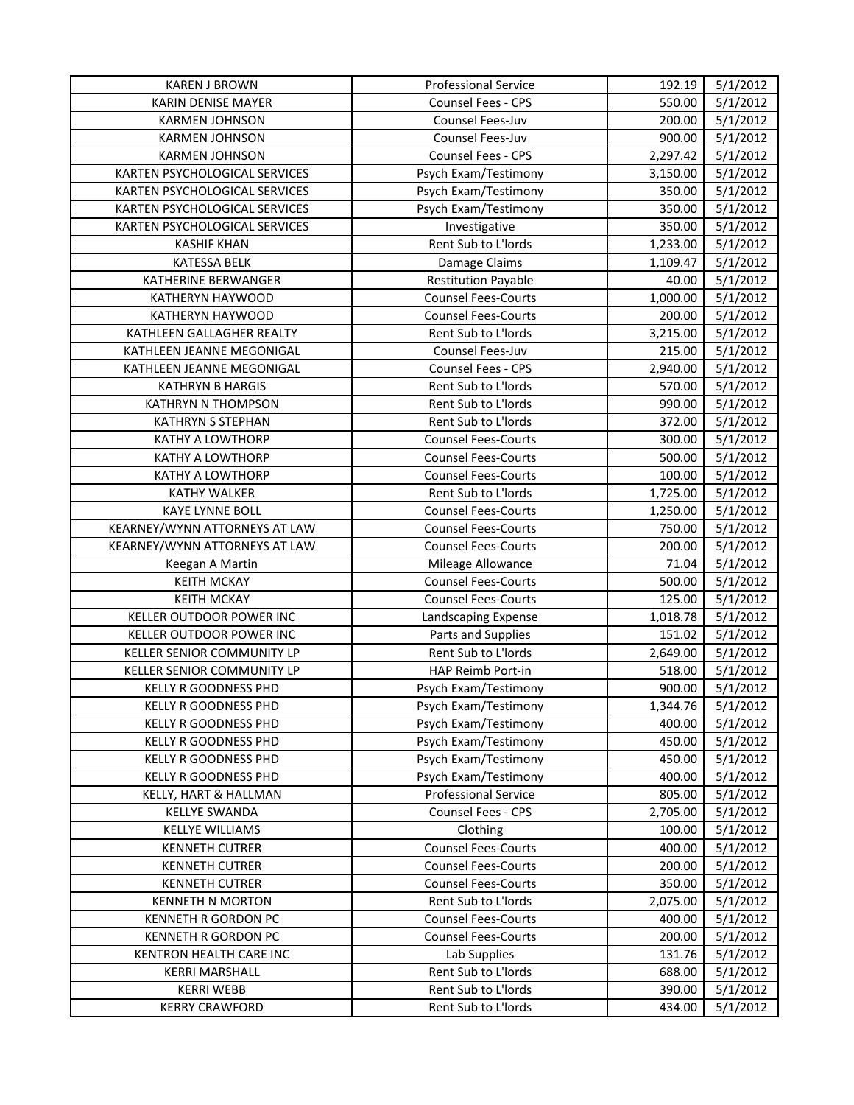| <b>KAREN J BROWN</b>            | <b>Professional Service</b> | 192.19   | 5/1/2012 |
|---------------------------------|-----------------------------|----------|----------|
| <b>KARIN DENISE MAYER</b>       | <b>Counsel Fees - CPS</b>   | 550.00   | 5/1/2012 |
| <b>KARMEN JOHNSON</b>           | Counsel Fees-Juv            | 200.00   | 5/1/2012 |
| <b>KARMEN JOHNSON</b>           | Counsel Fees-Juv            | 900.00   | 5/1/2012 |
| <b>KARMEN JOHNSON</b>           | <b>Counsel Fees - CPS</b>   | 2,297.42 | 5/1/2012 |
| KARTEN PSYCHOLOGICAL SERVICES   | Psych Exam/Testimony        | 3,150.00 | 5/1/2012 |
| KARTEN PSYCHOLOGICAL SERVICES   | Psych Exam/Testimony        | 350.00   | 5/1/2012 |
| KARTEN PSYCHOLOGICAL SERVICES   | Psych Exam/Testimony        | 350.00   | 5/1/2012 |
| KARTEN PSYCHOLOGICAL SERVICES   | Investigative               | 350.00   | 5/1/2012 |
| <b>KASHIF KHAN</b>              | Rent Sub to L'Iords         | 1,233.00 | 5/1/2012 |
| <b>KATESSA BELK</b>             | Damage Claims               | 1,109.47 | 5/1/2012 |
| KATHERINE BERWANGER             | <b>Restitution Payable</b>  | 40.00    | 5/1/2012 |
| KATHERYN HAYWOOD                | <b>Counsel Fees-Courts</b>  | 1,000.00 | 5/1/2012 |
| KATHERYN HAYWOOD                | <b>Counsel Fees-Courts</b>  | 200.00   | 5/1/2012 |
| KATHLEEN GALLAGHER REALTY       | Rent Sub to L'Iords         | 3,215.00 | 5/1/2012 |
| KATHLEEN JEANNE MEGONIGAL       | Counsel Fees-Juv            | 215.00   | 5/1/2012 |
| KATHLEEN JEANNE MEGONIGAL       | <b>Counsel Fees - CPS</b>   | 2,940.00 | 5/1/2012 |
| <b>KATHRYN B HARGIS</b>         | Rent Sub to L'Iords         | 570.00   | 5/1/2012 |
| KATHRYN N THOMPSON              | Rent Sub to L'Iords         | 990.00   | 5/1/2012 |
| KATHRYN S STEPHAN               | Rent Sub to L'Iords         | 372.00   | 5/1/2012 |
| <b>KATHY A LOWTHORP</b>         | <b>Counsel Fees-Courts</b>  | 300.00   | 5/1/2012 |
| <b>KATHY A LOWTHORP</b>         | <b>Counsel Fees-Courts</b>  | 500.00   | 5/1/2012 |
| <b>KATHY A LOWTHORP</b>         | <b>Counsel Fees-Courts</b>  | 100.00   | 5/1/2012 |
| <b>KATHY WALKER</b>             | Rent Sub to L'Iords         | 1,725.00 | 5/1/2012 |
| <b>KAYE LYNNE BOLL</b>          | <b>Counsel Fees-Courts</b>  | 1,250.00 | 5/1/2012 |
| KEARNEY/WYNN ATTORNEYS AT LAW   | <b>Counsel Fees-Courts</b>  | 750.00   | 5/1/2012 |
| KEARNEY/WYNN ATTORNEYS AT LAW   | <b>Counsel Fees-Courts</b>  | 200.00   | 5/1/2012 |
| Keegan A Martin                 | Mileage Allowance           | 71.04    | 5/1/2012 |
| <b>KEITH MCKAY</b>              | <b>Counsel Fees-Courts</b>  | 500.00   | 5/1/2012 |
| <b>KEITH MCKAY</b>              | <b>Counsel Fees-Courts</b>  | 125.00   | 5/1/2012 |
| <b>KELLER OUTDOOR POWER INC</b> | Landscaping Expense         | 1,018.78 | 5/1/2012 |
| <b>KELLER OUTDOOR POWER INC</b> | Parts and Supplies          | 151.02   | 5/1/2012 |
| KELLER SENIOR COMMUNITY LP      | Rent Sub to L'Iords         | 2,649.00 | 5/1/2012 |
| KELLER SENIOR COMMUNITY LP      | HAP Reimb Port-in           | 518.00   | 5/1/2012 |
| KELLY R GOODNESS PHD            | Psych Exam/Testimony        | 900.00   | 5/1/2012 |
| <b>KELLY R GOODNESS PHD</b>     | Psych Exam/Testimony        | 1,344.76 | 5/1/2012 |
| KELLY R GOODNESS PHD            | Psych Exam/Testimony        | 400.00   | 5/1/2012 |
| KELLY R GOODNESS PHD            | Psych Exam/Testimony        | 450.00   | 5/1/2012 |
| <b>KELLY R GOODNESS PHD</b>     | Psych Exam/Testimony        | 450.00   | 5/1/2012 |
| KELLY R GOODNESS PHD            | Psych Exam/Testimony        | 400.00   | 5/1/2012 |
| KELLY, HART & HALLMAN           | <b>Professional Service</b> | 805.00   | 5/1/2012 |
| <b>KELLYE SWANDA</b>            | <b>Counsel Fees - CPS</b>   | 2,705.00 | 5/1/2012 |
| <b>KELLYE WILLIAMS</b>          | Clothing                    | 100.00   | 5/1/2012 |
| <b>KENNETH CUTRER</b>           | <b>Counsel Fees-Courts</b>  | 400.00   | 5/1/2012 |
| <b>KENNETH CUTRER</b>           | <b>Counsel Fees-Courts</b>  | 200.00   | 5/1/2012 |
| <b>KENNETH CUTRER</b>           | <b>Counsel Fees-Courts</b>  | 350.00   | 5/1/2012 |
| <b>KENNETH N MORTON</b>         | Rent Sub to L'Iords         | 2,075.00 | 5/1/2012 |
| <b>KENNETH R GORDON PC</b>      | <b>Counsel Fees-Courts</b>  | 400.00   | 5/1/2012 |
| KENNETH R GORDON PC             | <b>Counsel Fees-Courts</b>  | 200.00   | 5/1/2012 |
| KENTRON HEALTH CARE INC         | Lab Supplies                | 131.76   | 5/1/2012 |
| <b>KERRI MARSHALL</b>           | Rent Sub to L'Iords         | 688.00   | 5/1/2012 |
| <b>KERRI WEBB</b>               | Rent Sub to L'Iords         | 390.00   | 5/1/2012 |
| <b>KERRY CRAWFORD</b>           | Rent Sub to L'Iords         | 434.00   | 5/1/2012 |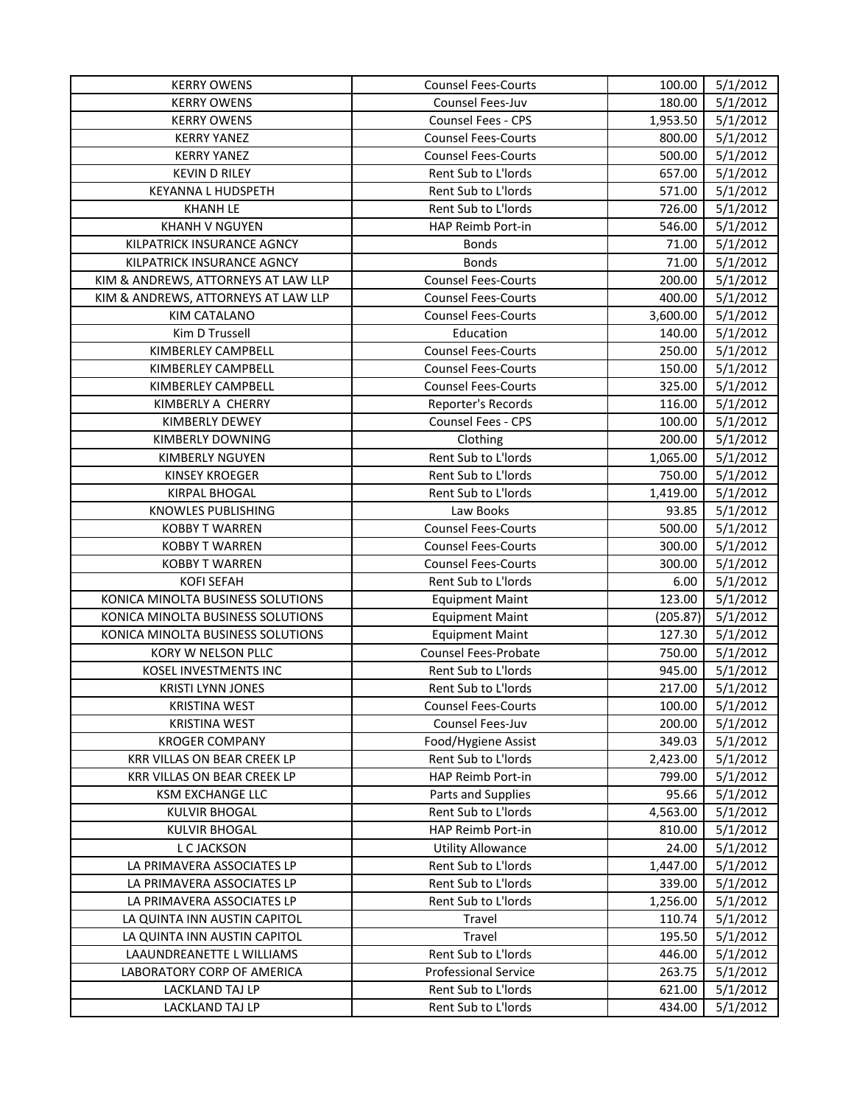| Counsel Fees-Juv<br>180.00<br>5/1/2012<br><b>KERRY OWENS</b><br>5/1/2012<br><b>KERRY OWENS</b><br><b>Counsel Fees - CPS</b><br>1,953.50<br>5/1/2012<br><b>KERRY YANEZ</b><br><b>Counsel Fees-Courts</b><br>800.00<br><b>KERRY YANEZ</b><br>500.00<br>5/1/2012<br><b>Counsel Fees-Courts</b><br><b>KEVIN D RILEY</b><br>Rent Sub to L'Iords<br>657.00<br>5/1/2012<br><b>KEYANNA L HUDSPETH</b><br>Rent Sub to L'Iords<br>571.00<br>5/1/2012<br><b>KHANH LE</b><br>Rent Sub to L'Iords<br>726.00<br>5/1/2012<br><b>KHANH V NGUYEN</b><br>HAP Reimb Port-in<br>546.00<br>5/1/2012<br>KILPATRICK INSURANCE AGNCY<br>5/1/2012<br><b>Bonds</b><br>71.00<br>KILPATRICK INSURANCE AGNCY<br><b>Bonds</b><br>71.00<br>5/1/2012<br>KIM & ANDREWS, ATTORNEYS AT LAW LLP<br><b>Counsel Fees-Courts</b><br>200.00<br>5/1/2012<br>KIM & ANDREWS, ATTORNEYS AT LAW LLP<br>400.00<br>5/1/2012<br><b>Counsel Fees-Courts</b><br><b>Counsel Fees-Courts</b><br>3,600.00<br>5/1/2012<br>KIM CATALANO<br>140.00<br>5/1/2012<br>Kim D Trussell<br>Education<br><b>Counsel Fees-Courts</b><br>250.00<br>5/1/2012<br>KIMBERLEY CAMPBELL<br>KIMBERLEY CAMPBELL<br><b>Counsel Fees-Courts</b><br>150.00<br>5/1/2012<br><b>Counsel Fees-Courts</b><br>325.00<br>5/1/2012<br>KIMBERLEY CAMPBELL<br>KIMBERLY A CHERRY<br>Reporter's Records<br>116.00<br>5/1/2012<br>Counsel Fees - CPS<br>5/1/2012<br>KIMBERLY DEWEY<br>100.00<br>KIMBERLY DOWNING<br>Clothing<br>200.00<br>5/1/2012<br>Rent Sub to L'Iords<br>5/1/2012<br>KIMBERLY NGUYEN<br>1,065.00<br>Rent Sub to L'Iords<br>750.00<br>5/1/2012<br><b>KINSEY KROEGER</b><br><b>KIRPAL BHOGAL</b><br>Rent Sub to L'Iords<br>1,419.00<br>5/1/2012<br>KNOWLES PUBLISHING<br>5/1/2012<br>Law Books<br>93.85<br><b>Counsel Fees-Courts</b><br>5/1/2012<br><b>KOBBY T WARREN</b><br>500.00<br><b>Counsel Fees-Courts</b><br>300.00<br>5/1/2012<br><b>KOBBY T WARREN</b><br><b>KOBBY T WARREN</b><br><b>Counsel Fees-Courts</b><br>300.00<br>5/1/2012<br><b>KOFI SEFAH</b><br>Rent Sub to L'Iords<br>6.00<br>5/1/2012<br>KONICA MINOLTA BUSINESS SOLUTIONS<br>123.00<br>5/1/2012<br><b>Equipment Maint</b><br>KONICA MINOLTA BUSINESS SOLUTIONS<br>(205.87)<br>5/1/2012<br><b>Equipment Maint</b><br>KONICA MINOLTA BUSINESS SOLUTIONS<br>127.30<br>5/1/2012<br><b>Equipment Maint</b><br>KORY W NELSON PLLC<br>Counsel Fees-Probate<br>750.00<br>5/1/2012<br>KOSEL INVESTMENTS INC<br>Rent Sub to L'Iords<br>945.00<br>5/1/2012<br>Rent Sub to L'Iords<br>217.00<br>5/1/2012<br><b>KRISTI LYNN JONES</b><br><b>Counsel Fees-Courts</b><br>100.00<br>5/1/2012<br><b>KRISTINA WEST</b><br>Counsel Fees-Juv<br>200.00<br>5/1/2012<br><b>KRISTINA WEST</b><br>Food/Hygiene Assist<br>349.03<br>5/1/2012<br><b>KROGER COMPANY</b><br>KRR VILLAS ON BEAR CREEK LP<br>Rent Sub to L'Iords<br>2,423.00<br>5/1/2012<br>KRR VILLAS ON BEAR CREEK LP<br>HAP Reimb Port-in<br>799.00<br>5/1/2012<br>Parts and Supplies<br>5/1/2012<br>KSM EXCHANGE LLC<br>95.66<br>Rent Sub to L'Iords<br>5/1/2012<br><b>KULVIR BHOGAL</b><br>4,563.00<br>HAP Reimb Port-in<br><b>KULVIR BHOGAL</b><br>810.00<br>5/1/2012<br>5/1/2012<br>L C JACKSON<br><b>Utility Allowance</b><br>24.00<br>5/1/2012<br>LA PRIMAVERA ASSOCIATES LP<br>Rent Sub to L'Iords<br>1,447.00<br>Rent Sub to L'Iords<br>339.00<br>5/1/2012<br>LA PRIMAVERA ASSOCIATES LP<br>Rent Sub to L'Iords<br>LA PRIMAVERA ASSOCIATES LP<br>1,256.00<br>5/1/2012<br>LA QUINTA INN AUSTIN CAPITOL<br>Travel<br>110.74<br>5/1/2012<br>LA QUINTA INN AUSTIN CAPITOL<br>195.50<br>5/1/2012<br>Travel<br>LAAUNDREANETTE L WILLIAMS<br>Rent Sub to L'Iords<br>446.00<br>5/1/2012<br><b>Professional Service</b><br>5/1/2012<br>LABORATORY CORP OF AMERICA<br>263.75<br>Rent Sub to L'Iords<br>LACKLAND TAJ LP<br>621.00<br>5/1/2012<br>Rent Sub to L'Iords<br>5/1/2012<br>LACKLAND TAJ LP<br>434.00 | <b>KERRY OWENS</b> | <b>Counsel Fees-Courts</b> | 100.00 | 5/1/2012 |
|---------------------------------------------------------------------------------------------------------------------------------------------------------------------------------------------------------------------------------------------------------------------------------------------------------------------------------------------------------------------------------------------------------------------------------------------------------------------------------------------------------------------------------------------------------------------------------------------------------------------------------------------------------------------------------------------------------------------------------------------------------------------------------------------------------------------------------------------------------------------------------------------------------------------------------------------------------------------------------------------------------------------------------------------------------------------------------------------------------------------------------------------------------------------------------------------------------------------------------------------------------------------------------------------------------------------------------------------------------------------------------------------------------------------------------------------------------------------------------------------------------------------------------------------------------------------------------------------------------------------------------------------------------------------------------------------------------------------------------------------------------------------------------------------------------------------------------------------------------------------------------------------------------------------------------------------------------------------------------------------------------------------------------------------------------------------------------------------------------------------------------------------------------------------------------------------------------------------------------------------------------------------------------------------------------------------------------------------------------------------------------------------------------------------------------------------------------------------------------------------------------------------------------------------------------------------------------------------------------------------------------------------------------------------------------------------------------------------------------------------------------------------------------------------------------------------------------------------------------------------------------------------------------------------------------------------------------------------------------------------------------------------------------------------------------------------------------------------------------------------------------------------------------------------------------------------------------------------------------------------------------------------------------------------------------------------------------------------------------------------------------------------------------------------------------------------------------------------------------------------------------------------------------------------------------------------------------------------------------------------------------------------------------------------------------------------------------------------------------------------------------------------------------------------------------------------------------------------------|--------------------|----------------------------|--------|----------|
|                                                                                                                                                                                                                                                                                                                                                                                                                                                                                                                                                                                                                                                                                                                                                                                                                                                                                                                                                                                                                                                                                                                                                                                                                                                                                                                                                                                                                                                                                                                                                                                                                                                                                                                                                                                                                                                                                                                                                                                                                                                                                                                                                                                                                                                                                                                                                                                                                                                                                                                                                                                                                                                                                                                                                                                                                                                                                                                                                                                                                                                                                                                                                                                                                                                                                                                                                                                                                                                                                                                                                                                                                                                                                                                                                                                                                                                   |                    |                            |        |          |
|                                                                                                                                                                                                                                                                                                                                                                                                                                                                                                                                                                                                                                                                                                                                                                                                                                                                                                                                                                                                                                                                                                                                                                                                                                                                                                                                                                                                                                                                                                                                                                                                                                                                                                                                                                                                                                                                                                                                                                                                                                                                                                                                                                                                                                                                                                                                                                                                                                                                                                                                                                                                                                                                                                                                                                                                                                                                                                                                                                                                                                                                                                                                                                                                                                                                                                                                                                                                                                                                                                                                                                                                                                                                                                                                                                                                                                                   |                    |                            |        |          |
|                                                                                                                                                                                                                                                                                                                                                                                                                                                                                                                                                                                                                                                                                                                                                                                                                                                                                                                                                                                                                                                                                                                                                                                                                                                                                                                                                                                                                                                                                                                                                                                                                                                                                                                                                                                                                                                                                                                                                                                                                                                                                                                                                                                                                                                                                                                                                                                                                                                                                                                                                                                                                                                                                                                                                                                                                                                                                                                                                                                                                                                                                                                                                                                                                                                                                                                                                                                                                                                                                                                                                                                                                                                                                                                                                                                                                                                   |                    |                            |        |          |
|                                                                                                                                                                                                                                                                                                                                                                                                                                                                                                                                                                                                                                                                                                                                                                                                                                                                                                                                                                                                                                                                                                                                                                                                                                                                                                                                                                                                                                                                                                                                                                                                                                                                                                                                                                                                                                                                                                                                                                                                                                                                                                                                                                                                                                                                                                                                                                                                                                                                                                                                                                                                                                                                                                                                                                                                                                                                                                                                                                                                                                                                                                                                                                                                                                                                                                                                                                                                                                                                                                                                                                                                                                                                                                                                                                                                                                                   |                    |                            |        |          |
|                                                                                                                                                                                                                                                                                                                                                                                                                                                                                                                                                                                                                                                                                                                                                                                                                                                                                                                                                                                                                                                                                                                                                                                                                                                                                                                                                                                                                                                                                                                                                                                                                                                                                                                                                                                                                                                                                                                                                                                                                                                                                                                                                                                                                                                                                                                                                                                                                                                                                                                                                                                                                                                                                                                                                                                                                                                                                                                                                                                                                                                                                                                                                                                                                                                                                                                                                                                                                                                                                                                                                                                                                                                                                                                                                                                                                                                   |                    |                            |        |          |
|                                                                                                                                                                                                                                                                                                                                                                                                                                                                                                                                                                                                                                                                                                                                                                                                                                                                                                                                                                                                                                                                                                                                                                                                                                                                                                                                                                                                                                                                                                                                                                                                                                                                                                                                                                                                                                                                                                                                                                                                                                                                                                                                                                                                                                                                                                                                                                                                                                                                                                                                                                                                                                                                                                                                                                                                                                                                                                                                                                                                                                                                                                                                                                                                                                                                                                                                                                                                                                                                                                                                                                                                                                                                                                                                                                                                                                                   |                    |                            |        |          |
|                                                                                                                                                                                                                                                                                                                                                                                                                                                                                                                                                                                                                                                                                                                                                                                                                                                                                                                                                                                                                                                                                                                                                                                                                                                                                                                                                                                                                                                                                                                                                                                                                                                                                                                                                                                                                                                                                                                                                                                                                                                                                                                                                                                                                                                                                                                                                                                                                                                                                                                                                                                                                                                                                                                                                                                                                                                                                                                                                                                                                                                                                                                                                                                                                                                                                                                                                                                                                                                                                                                                                                                                                                                                                                                                                                                                                                                   |                    |                            |        |          |
|                                                                                                                                                                                                                                                                                                                                                                                                                                                                                                                                                                                                                                                                                                                                                                                                                                                                                                                                                                                                                                                                                                                                                                                                                                                                                                                                                                                                                                                                                                                                                                                                                                                                                                                                                                                                                                                                                                                                                                                                                                                                                                                                                                                                                                                                                                                                                                                                                                                                                                                                                                                                                                                                                                                                                                                                                                                                                                                                                                                                                                                                                                                                                                                                                                                                                                                                                                                                                                                                                                                                                                                                                                                                                                                                                                                                                                                   |                    |                            |        |          |
|                                                                                                                                                                                                                                                                                                                                                                                                                                                                                                                                                                                                                                                                                                                                                                                                                                                                                                                                                                                                                                                                                                                                                                                                                                                                                                                                                                                                                                                                                                                                                                                                                                                                                                                                                                                                                                                                                                                                                                                                                                                                                                                                                                                                                                                                                                                                                                                                                                                                                                                                                                                                                                                                                                                                                                                                                                                                                                                                                                                                                                                                                                                                                                                                                                                                                                                                                                                                                                                                                                                                                                                                                                                                                                                                                                                                                                                   |                    |                            |        |          |
|                                                                                                                                                                                                                                                                                                                                                                                                                                                                                                                                                                                                                                                                                                                                                                                                                                                                                                                                                                                                                                                                                                                                                                                                                                                                                                                                                                                                                                                                                                                                                                                                                                                                                                                                                                                                                                                                                                                                                                                                                                                                                                                                                                                                                                                                                                                                                                                                                                                                                                                                                                                                                                                                                                                                                                                                                                                                                                                                                                                                                                                                                                                                                                                                                                                                                                                                                                                                                                                                                                                                                                                                                                                                                                                                                                                                                                                   |                    |                            |        |          |
|                                                                                                                                                                                                                                                                                                                                                                                                                                                                                                                                                                                                                                                                                                                                                                                                                                                                                                                                                                                                                                                                                                                                                                                                                                                                                                                                                                                                                                                                                                                                                                                                                                                                                                                                                                                                                                                                                                                                                                                                                                                                                                                                                                                                                                                                                                                                                                                                                                                                                                                                                                                                                                                                                                                                                                                                                                                                                                                                                                                                                                                                                                                                                                                                                                                                                                                                                                                                                                                                                                                                                                                                                                                                                                                                                                                                                                                   |                    |                            |        |          |
|                                                                                                                                                                                                                                                                                                                                                                                                                                                                                                                                                                                                                                                                                                                                                                                                                                                                                                                                                                                                                                                                                                                                                                                                                                                                                                                                                                                                                                                                                                                                                                                                                                                                                                                                                                                                                                                                                                                                                                                                                                                                                                                                                                                                                                                                                                                                                                                                                                                                                                                                                                                                                                                                                                                                                                                                                                                                                                                                                                                                                                                                                                                                                                                                                                                                                                                                                                                                                                                                                                                                                                                                                                                                                                                                                                                                                                                   |                    |                            |        |          |
|                                                                                                                                                                                                                                                                                                                                                                                                                                                                                                                                                                                                                                                                                                                                                                                                                                                                                                                                                                                                                                                                                                                                                                                                                                                                                                                                                                                                                                                                                                                                                                                                                                                                                                                                                                                                                                                                                                                                                                                                                                                                                                                                                                                                                                                                                                                                                                                                                                                                                                                                                                                                                                                                                                                                                                                                                                                                                                                                                                                                                                                                                                                                                                                                                                                                                                                                                                                                                                                                                                                                                                                                                                                                                                                                                                                                                                                   |                    |                            |        |          |
|                                                                                                                                                                                                                                                                                                                                                                                                                                                                                                                                                                                                                                                                                                                                                                                                                                                                                                                                                                                                                                                                                                                                                                                                                                                                                                                                                                                                                                                                                                                                                                                                                                                                                                                                                                                                                                                                                                                                                                                                                                                                                                                                                                                                                                                                                                                                                                                                                                                                                                                                                                                                                                                                                                                                                                                                                                                                                                                                                                                                                                                                                                                                                                                                                                                                                                                                                                                                                                                                                                                                                                                                                                                                                                                                                                                                                                                   |                    |                            |        |          |
|                                                                                                                                                                                                                                                                                                                                                                                                                                                                                                                                                                                                                                                                                                                                                                                                                                                                                                                                                                                                                                                                                                                                                                                                                                                                                                                                                                                                                                                                                                                                                                                                                                                                                                                                                                                                                                                                                                                                                                                                                                                                                                                                                                                                                                                                                                                                                                                                                                                                                                                                                                                                                                                                                                                                                                                                                                                                                                                                                                                                                                                                                                                                                                                                                                                                                                                                                                                                                                                                                                                                                                                                                                                                                                                                                                                                                                                   |                    |                            |        |          |
|                                                                                                                                                                                                                                                                                                                                                                                                                                                                                                                                                                                                                                                                                                                                                                                                                                                                                                                                                                                                                                                                                                                                                                                                                                                                                                                                                                                                                                                                                                                                                                                                                                                                                                                                                                                                                                                                                                                                                                                                                                                                                                                                                                                                                                                                                                                                                                                                                                                                                                                                                                                                                                                                                                                                                                                                                                                                                                                                                                                                                                                                                                                                                                                                                                                                                                                                                                                                                                                                                                                                                                                                                                                                                                                                                                                                                                                   |                    |                            |        |          |
|                                                                                                                                                                                                                                                                                                                                                                                                                                                                                                                                                                                                                                                                                                                                                                                                                                                                                                                                                                                                                                                                                                                                                                                                                                                                                                                                                                                                                                                                                                                                                                                                                                                                                                                                                                                                                                                                                                                                                                                                                                                                                                                                                                                                                                                                                                                                                                                                                                                                                                                                                                                                                                                                                                                                                                                                                                                                                                                                                                                                                                                                                                                                                                                                                                                                                                                                                                                                                                                                                                                                                                                                                                                                                                                                                                                                                                                   |                    |                            |        |          |
|                                                                                                                                                                                                                                                                                                                                                                                                                                                                                                                                                                                                                                                                                                                                                                                                                                                                                                                                                                                                                                                                                                                                                                                                                                                                                                                                                                                                                                                                                                                                                                                                                                                                                                                                                                                                                                                                                                                                                                                                                                                                                                                                                                                                                                                                                                                                                                                                                                                                                                                                                                                                                                                                                                                                                                                                                                                                                                                                                                                                                                                                                                                                                                                                                                                                                                                                                                                                                                                                                                                                                                                                                                                                                                                                                                                                                                                   |                    |                            |        |          |
|                                                                                                                                                                                                                                                                                                                                                                                                                                                                                                                                                                                                                                                                                                                                                                                                                                                                                                                                                                                                                                                                                                                                                                                                                                                                                                                                                                                                                                                                                                                                                                                                                                                                                                                                                                                                                                                                                                                                                                                                                                                                                                                                                                                                                                                                                                                                                                                                                                                                                                                                                                                                                                                                                                                                                                                                                                                                                                                                                                                                                                                                                                                                                                                                                                                                                                                                                                                                                                                                                                                                                                                                                                                                                                                                                                                                                                                   |                    |                            |        |          |
|                                                                                                                                                                                                                                                                                                                                                                                                                                                                                                                                                                                                                                                                                                                                                                                                                                                                                                                                                                                                                                                                                                                                                                                                                                                                                                                                                                                                                                                                                                                                                                                                                                                                                                                                                                                                                                                                                                                                                                                                                                                                                                                                                                                                                                                                                                                                                                                                                                                                                                                                                                                                                                                                                                                                                                                                                                                                                                                                                                                                                                                                                                                                                                                                                                                                                                                                                                                                                                                                                                                                                                                                                                                                                                                                                                                                                                                   |                    |                            |        |          |
|                                                                                                                                                                                                                                                                                                                                                                                                                                                                                                                                                                                                                                                                                                                                                                                                                                                                                                                                                                                                                                                                                                                                                                                                                                                                                                                                                                                                                                                                                                                                                                                                                                                                                                                                                                                                                                                                                                                                                                                                                                                                                                                                                                                                                                                                                                                                                                                                                                                                                                                                                                                                                                                                                                                                                                                                                                                                                                                                                                                                                                                                                                                                                                                                                                                                                                                                                                                                                                                                                                                                                                                                                                                                                                                                                                                                                                                   |                    |                            |        |          |
|                                                                                                                                                                                                                                                                                                                                                                                                                                                                                                                                                                                                                                                                                                                                                                                                                                                                                                                                                                                                                                                                                                                                                                                                                                                                                                                                                                                                                                                                                                                                                                                                                                                                                                                                                                                                                                                                                                                                                                                                                                                                                                                                                                                                                                                                                                                                                                                                                                                                                                                                                                                                                                                                                                                                                                                                                                                                                                                                                                                                                                                                                                                                                                                                                                                                                                                                                                                                                                                                                                                                                                                                                                                                                                                                                                                                                                                   |                    |                            |        |          |
|                                                                                                                                                                                                                                                                                                                                                                                                                                                                                                                                                                                                                                                                                                                                                                                                                                                                                                                                                                                                                                                                                                                                                                                                                                                                                                                                                                                                                                                                                                                                                                                                                                                                                                                                                                                                                                                                                                                                                                                                                                                                                                                                                                                                                                                                                                                                                                                                                                                                                                                                                                                                                                                                                                                                                                                                                                                                                                                                                                                                                                                                                                                                                                                                                                                                                                                                                                                                                                                                                                                                                                                                                                                                                                                                                                                                                                                   |                    |                            |        |          |
|                                                                                                                                                                                                                                                                                                                                                                                                                                                                                                                                                                                                                                                                                                                                                                                                                                                                                                                                                                                                                                                                                                                                                                                                                                                                                                                                                                                                                                                                                                                                                                                                                                                                                                                                                                                                                                                                                                                                                                                                                                                                                                                                                                                                                                                                                                                                                                                                                                                                                                                                                                                                                                                                                                                                                                                                                                                                                                                                                                                                                                                                                                                                                                                                                                                                                                                                                                                                                                                                                                                                                                                                                                                                                                                                                                                                                                                   |                    |                            |        |          |
|                                                                                                                                                                                                                                                                                                                                                                                                                                                                                                                                                                                                                                                                                                                                                                                                                                                                                                                                                                                                                                                                                                                                                                                                                                                                                                                                                                                                                                                                                                                                                                                                                                                                                                                                                                                                                                                                                                                                                                                                                                                                                                                                                                                                                                                                                                                                                                                                                                                                                                                                                                                                                                                                                                                                                                                                                                                                                                                                                                                                                                                                                                                                                                                                                                                                                                                                                                                                                                                                                                                                                                                                                                                                                                                                                                                                                                                   |                    |                            |        |          |
|                                                                                                                                                                                                                                                                                                                                                                                                                                                                                                                                                                                                                                                                                                                                                                                                                                                                                                                                                                                                                                                                                                                                                                                                                                                                                                                                                                                                                                                                                                                                                                                                                                                                                                                                                                                                                                                                                                                                                                                                                                                                                                                                                                                                                                                                                                                                                                                                                                                                                                                                                                                                                                                                                                                                                                                                                                                                                                                                                                                                                                                                                                                                                                                                                                                                                                                                                                                                                                                                                                                                                                                                                                                                                                                                                                                                                                                   |                    |                            |        |          |
|                                                                                                                                                                                                                                                                                                                                                                                                                                                                                                                                                                                                                                                                                                                                                                                                                                                                                                                                                                                                                                                                                                                                                                                                                                                                                                                                                                                                                                                                                                                                                                                                                                                                                                                                                                                                                                                                                                                                                                                                                                                                                                                                                                                                                                                                                                                                                                                                                                                                                                                                                                                                                                                                                                                                                                                                                                                                                                                                                                                                                                                                                                                                                                                                                                                                                                                                                                                                                                                                                                                                                                                                                                                                                                                                                                                                                                                   |                    |                            |        |          |
|                                                                                                                                                                                                                                                                                                                                                                                                                                                                                                                                                                                                                                                                                                                                                                                                                                                                                                                                                                                                                                                                                                                                                                                                                                                                                                                                                                                                                                                                                                                                                                                                                                                                                                                                                                                                                                                                                                                                                                                                                                                                                                                                                                                                                                                                                                                                                                                                                                                                                                                                                                                                                                                                                                                                                                                                                                                                                                                                                                                                                                                                                                                                                                                                                                                                                                                                                                                                                                                                                                                                                                                                                                                                                                                                                                                                                                                   |                    |                            |        |          |
|                                                                                                                                                                                                                                                                                                                                                                                                                                                                                                                                                                                                                                                                                                                                                                                                                                                                                                                                                                                                                                                                                                                                                                                                                                                                                                                                                                                                                                                                                                                                                                                                                                                                                                                                                                                                                                                                                                                                                                                                                                                                                                                                                                                                                                                                                                                                                                                                                                                                                                                                                                                                                                                                                                                                                                                                                                                                                                                                                                                                                                                                                                                                                                                                                                                                                                                                                                                                                                                                                                                                                                                                                                                                                                                                                                                                                                                   |                    |                            |        |          |
|                                                                                                                                                                                                                                                                                                                                                                                                                                                                                                                                                                                                                                                                                                                                                                                                                                                                                                                                                                                                                                                                                                                                                                                                                                                                                                                                                                                                                                                                                                                                                                                                                                                                                                                                                                                                                                                                                                                                                                                                                                                                                                                                                                                                                                                                                                                                                                                                                                                                                                                                                                                                                                                                                                                                                                                                                                                                                                                                                                                                                                                                                                                                                                                                                                                                                                                                                                                                                                                                                                                                                                                                                                                                                                                                                                                                                                                   |                    |                            |        |          |
|                                                                                                                                                                                                                                                                                                                                                                                                                                                                                                                                                                                                                                                                                                                                                                                                                                                                                                                                                                                                                                                                                                                                                                                                                                                                                                                                                                                                                                                                                                                                                                                                                                                                                                                                                                                                                                                                                                                                                                                                                                                                                                                                                                                                                                                                                                                                                                                                                                                                                                                                                                                                                                                                                                                                                                                                                                                                                                                                                                                                                                                                                                                                                                                                                                                                                                                                                                                                                                                                                                                                                                                                                                                                                                                                                                                                                                                   |                    |                            |        |          |
|                                                                                                                                                                                                                                                                                                                                                                                                                                                                                                                                                                                                                                                                                                                                                                                                                                                                                                                                                                                                                                                                                                                                                                                                                                                                                                                                                                                                                                                                                                                                                                                                                                                                                                                                                                                                                                                                                                                                                                                                                                                                                                                                                                                                                                                                                                                                                                                                                                                                                                                                                                                                                                                                                                                                                                                                                                                                                                                                                                                                                                                                                                                                                                                                                                                                                                                                                                                                                                                                                                                                                                                                                                                                                                                                                                                                                                                   |                    |                            |        |          |
|                                                                                                                                                                                                                                                                                                                                                                                                                                                                                                                                                                                                                                                                                                                                                                                                                                                                                                                                                                                                                                                                                                                                                                                                                                                                                                                                                                                                                                                                                                                                                                                                                                                                                                                                                                                                                                                                                                                                                                                                                                                                                                                                                                                                                                                                                                                                                                                                                                                                                                                                                                                                                                                                                                                                                                                                                                                                                                                                                                                                                                                                                                                                                                                                                                                                                                                                                                                                                                                                                                                                                                                                                                                                                                                                                                                                                                                   |                    |                            |        |          |
|                                                                                                                                                                                                                                                                                                                                                                                                                                                                                                                                                                                                                                                                                                                                                                                                                                                                                                                                                                                                                                                                                                                                                                                                                                                                                                                                                                                                                                                                                                                                                                                                                                                                                                                                                                                                                                                                                                                                                                                                                                                                                                                                                                                                                                                                                                                                                                                                                                                                                                                                                                                                                                                                                                                                                                                                                                                                                                                                                                                                                                                                                                                                                                                                                                                                                                                                                                                                                                                                                                                                                                                                                                                                                                                                                                                                                                                   |                    |                            |        |          |
|                                                                                                                                                                                                                                                                                                                                                                                                                                                                                                                                                                                                                                                                                                                                                                                                                                                                                                                                                                                                                                                                                                                                                                                                                                                                                                                                                                                                                                                                                                                                                                                                                                                                                                                                                                                                                                                                                                                                                                                                                                                                                                                                                                                                                                                                                                                                                                                                                                                                                                                                                                                                                                                                                                                                                                                                                                                                                                                                                                                                                                                                                                                                                                                                                                                                                                                                                                                                                                                                                                                                                                                                                                                                                                                                                                                                                                                   |                    |                            |        |          |
|                                                                                                                                                                                                                                                                                                                                                                                                                                                                                                                                                                                                                                                                                                                                                                                                                                                                                                                                                                                                                                                                                                                                                                                                                                                                                                                                                                                                                                                                                                                                                                                                                                                                                                                                                                                                                                                                                                                                                                                                                                                                                                                                                                                                                                                                                                                                                                                                                                                                                                                                                                                                                                                                                                                                                                                                                                                                                                                                                                                                                                                                                                                                                                                                                                                                                                                                                                                                                                                                                                                                                                                                                                                                                                                                                                                                                                                   |                    |                            |        |          |
|                                                                                                                                                                                                                                                                                                                                                                                                                                                                                                                                                                                                                                                                                                                                                                                                                                                                                                                                                                                                                                                                                                                                                                                                                                                                                                                                                                                                                                                                                                                                                                                                                                                                                                                                                                                                                                                                                                                                                                                                                                                                                                                                                                                                                                                                                                                                                                                                                                                                                                                                                                                                                                                                                                                                                                                                                                                                                                                                                                                                                                                                                                                                                                                                                                                                                                                                                                                                                                                                                                                                                                                                                                                                                                                                                                                                                                                   |                    |                            |        |          |
|                                                                                                                                                                                                                                                                                                                                                                                                                                                                                                                                                                                                                                                                                                                                                                                                                                                                                                                                                                                                                                                                                                                                                                                                                                                                                                                                                                                                                                                                                                                                                                                                                                                                                                                                                                                                                                                                                                                                                                                                                                                                                                                                                                                                                                                                                                                                                                                                                                                                                                                                                                                                                                                                                                                                                                                                                                                                                                                                                                                                                                                                                                                                                                                                                                                                                                                                                                                                                                                                                                                                                                                                                                                                                                                                                                                                                                                   |                    |                            |        |          |
|                                                                                                                                                                                                                                                                                                                                                                                                                                                                                                                                                                                                                                                                                                                                                                                                                                                                                                                                                                                                                                                                                                                                                                                                                                                                                                                                                                                                                                                                                                                                                                                                                                                                                                                                                                                                                                                                                                                                                                                                                                                                                                                                                                                                                                                                                                                                                                                                                                                                                                                                                                                                                                                                                                                                                                                                                                                                                                                                                                                                                                                                                                                                                                                                                                                                                                                                                                                                                                                                                                                                                                                                                                                                                                                                                                                                                                                   |                    |                            |        |          |
|                                                                                                                                                                                                                                                                                                                                                                                                                                                                                                                                                                                                                                                                                                                                                                                                                                                                                                                                                                                                                                                                                                                                                                                                                                                                                                                                                                                                                                                                                                                                                                                                                                                                                                                                                                                                                                                                                                                                                                                                                                                                                                                                                                                                                                                                                                                                                                                                                                                                                                                                                                                                                                                                                                                                                                                                                                                                                                                                                                                                                                                                                                                                                                                                                                                                                                                                                                                                                                                                                                                                                                                                                                                                                                                                                                                                                                                   |                    |                            |        |          |
|                                                                                                                                                                                                                                                                                                                                                                                                                                                                                                                                                                                                                                                                                                                                                                                                                                                                                                                                                                                                                                                                                                                                                                                                                                                                                                                                                                                                                                                                                                                                                                                                                                                                                                                                                                                                                                                                                                                                                                                                                                                                                                                                                                                                                                                                                                                                                                                                                                                                                                                                                                                                                                                                                                                                                                                                                                                                                                                                                                                                                                                                                                                                                                                                                                                                                                                                                                                                                                                                                                                                                                                                                                                                                                                                                                                                                                                   |                    |                            |        |          |
|                                                                                                                                                                                                                                                                                                                                                                                                                                                                                                                                                                                                                                                                                                                                                                                                                                                                                                                                                                                                                                                                                                                                                                                                                                                                                                                                                                                                                                                                                                                                                                                                                                                                                                                                                                                                                                                                                                                                                                                                                                                                                                                                                                                                                                                                                                                                                                                                                                                                                                                                                                                                                                                                                                                                                                                                                                                                                                                                                                                                                                                                                                                                                                                                                                                                                                                                                                                                                                                                                                                                                                                                                                                                                                                                                                                                                                                   |                    |                            |        |          |
|                                                                                                                                                                                                                                                                                                                                                                                                                                                                                                                                                                                                                                                                                                                                                                                                                                                                                                                                                                                                                                                                                                                                                                                                                                                                                                                                                                                                                                                                                                                                                                                                                                                                                                                                                                                                                                                                                                                                                                                                                                                                                                                                                                                                                                                                                                                                                                                                                                                                                                                                                                                                                                                                                                                                                                                                                                                                                                                                                                                                                                                                                                                                                                                                                                                                                                                                                                                                                                                                                                                                                                                                                                                                                                                                                                                                                                                   |                    |                            |        |          |
|                                                                                                                                                                                                                                                                                                                                                                                                                                                                                                                                                                                                                                                                                                                                                                                                                                                                                                                                                                                                                                                                                                                                                                                                                                                                                                                                                                                                                                                                                                                                                                                                                                                                                                                                                                                                                                                                                                                                                                                                                                                                                                                                                                                                                                                                                                                                                                                                                                                                                                                                                                                                                                                                                                                                                                                                                                                                                                                                                                                                                                                                                                                                                                                                                                                                                                                                                                                                                                                                                                                                                                                                                                                                                                                                                                                                                                                   |                    |                            |        |          |
|                                                                                                                                                                                                                                                                                                                                                                                                                                                                                                                                                                                                                                                                                                                                                                                                                                                                                                                                                                                                                                                                                                                                                                                                                                                                                                                                                                                                                                                                                                                                                                                                                                                                                                                                                                                                                                                                                                                                                                                                                                                                                                                                                                                                                                                                                                                                                                                                                                                                                                                                                                                                                                                                                                                                                                                                                                                                                                                                                                                                                                                                                                                                                                                                                                                                                                                                                                                                                                                                                                                                                                                                                                                                                                                                                                                                                                                   |                    |                            |        |          |
|                                                                                                                                                                                                                                                                                                                                                                                                                                                                                                                                                                                                                                                                                                                                                                                                                                                                                                                                                                                                                                                                                                                                                                                                                                                                                                                                                                                                                                                                                                                                                                                                                                                                                                                                                                                                                                                                                                                                                                                                                                                                                                                                                                                                                                                                                                                                                                                                                                                                                                                                                                                                                                                                                                                                                                                                                                                                                                                                                                                                                                                                                                                                                                                                                                                                                                                                                                                                                                                                                                                                                                                                                                                                                                                                                                                                                                                   |                    |                            |        |          |
|                                                                                                                                                                                                                                                                                                                                                                                                                                                                                                                                                                                                                                                                                                                                                                                                                                                                                                                                                                                                                                                                                                                                                                                                                                                                                                                                                                                                                                                                                                                                                                                                                                                                                                                                                                                                                                                                                                                                                                                                                                                                                                                                                                                                                                                                                                                                                                                                                                                                                                                                                                                                                                                                                                                                                                                                                                                                                                                                                                                                                                                                                                                                                                                                                                                                                                                                                                                                                                                                                                                                                                                                                                                                                                                                                                                                                                                   |                    |                            |        |          |
|                                                                                                                                                                                                                                                                                                                                                                                                                                                                                                                                                                                                                                                                                                                                                                                                                                                                                                                                                                                                                                                                                                                                                                                                                                                                                                                                                                                                                                                                                                                                                                                                                                                                                                                                                                                                                                                                                                                                                                                                                                                                                                                                                                                                                                                                                                                                                                                                                                                                                                                                                                                                                                                                                                                                                                                                                                                                                                                                                                                                                                                                                                                                                                                                                                                                                                                                                                                                                                                                                                                                                                                                                                                                                                                                                                                                                                                   |                    |                            |        |          |
|                                                                                                                                                                                                                                                                                                                                                                                                                                                                                                                                                                                                                                                                                                                                                                                                                                                                                                                                                                                                                                                                                                                                                                                                                                                                                                                                                                                                                                                                                                                                                                                                                                                                                                                                                                                                                                                                                                                                                                                                                                                                                                                                                                                                                                                                                                                                                                                                                                                                                                                                                                                                                                                                                                                                                                                                                                                                                                                                                                                                                                                                                                                                                                                                                                                                                                                                                                                                                                                                                                                                                                                                                                                                                                                                                                                                                                                   |                    |                            |        |          |
|                                                                                                                                                                                                                                                                                                                                                                                                                                                                                                                                                                                                                                                                                                                                                                                                                                                                                                                                                                                                                                                                                                                                                                                                                                                                                                                                                                                                                                                                                                                                                                                                                                                                                                                                                                                                                                                                                                                                                                                                                                                                                                                                                                                                                                                                                                                                                                                                                                                                                                                                                                                                                                                                                                                                                                                                                                                                                                                                                                                                                                                                                                                                                                                                                                                                                                                                                                                                                                                                                                                                                                                                                                                                                                                                                                                                                                                   |                    |                            |        |          |
|                                                                                                                                                                                                                                                                                                                                                                                                                                                                                                                                                                                                                                                                                                                                                                                                                                                                                                                                                                                                                                                                                                                                                                                                                                                                                                                                                                                                                                                                                                                                                                                                                                                                                                                                                                                                                                                                                                                                                                                                                                                                                                                                                                                                                                                                                                                                                                                                                                                                                                                                                                                                                                                                                                                                                                                                                                                                                                                                                                                                                                                                                                                                                                                                                                                                                                                                                                                                                                                                                                                                                                                                                                                                                                                                                                                                                                                   |                    |                            |        |          |
|                                                                                                                                                                                                                                                                                                                                                                                                                                                                                                                                                                                                                                                                                                                                                                                                                                                                                                                                                                                                                                                                                                                                                                                                                                                                                                                                                                                                                                                                                                                                                                                                                                                                                                                                                                                                                                                                                                                                                                                                                                                                                                                                                                                                                                                                                                                                                                                                                                                                                                                                                                                                                                                                                                                                                                                                                                                                                                                                                                                                                                                                                                                                                                                                                                                                                                                                                                                                                                                                                                                                                                                                                                                                                                                                                                                                                                                   |                    |                            |        |          |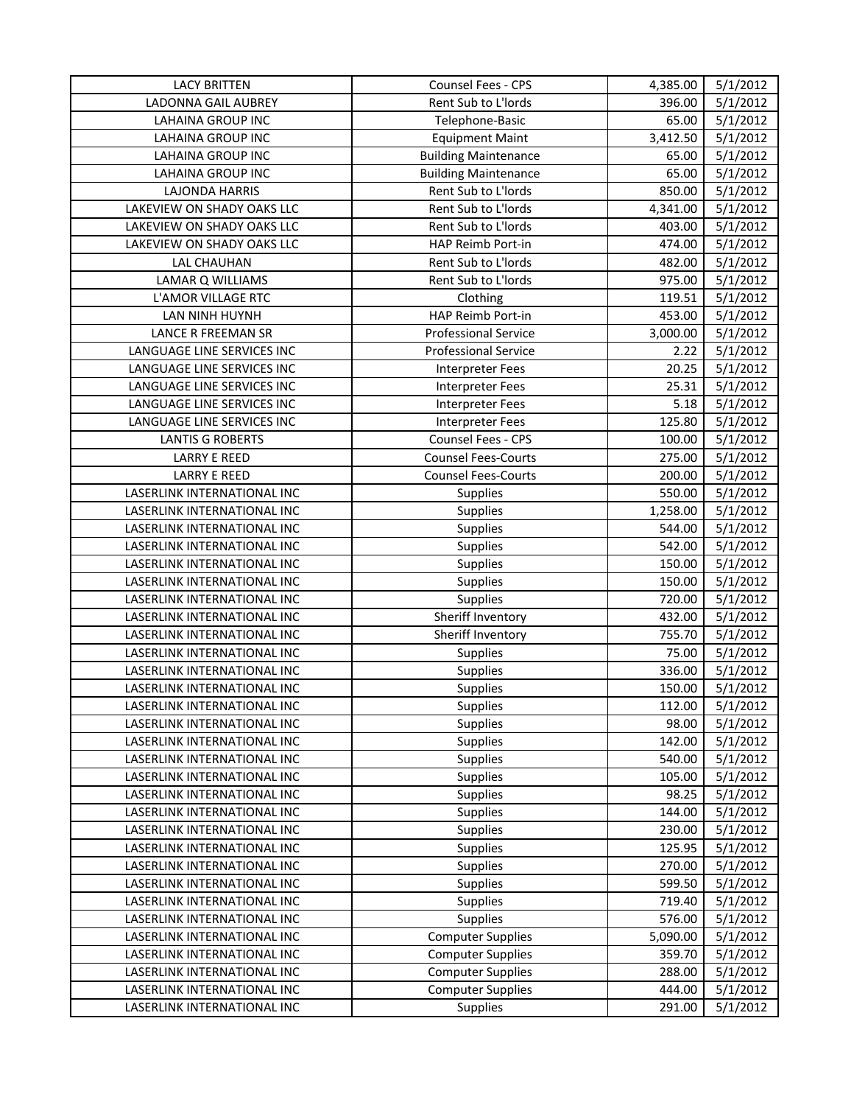| Rent Sub to L'Iords<br>5/1/2012<br>LADONNA GAIL AUBREY<br>396.00<br>65.00<br>5/1/2012<br>LAHAINA GROUP INC<br>Telephone-Basic<br>5/1/2012<br>LAHAINA GROUP INC<br><b>Equipment Maint</b><br>3,412.50<br>5/1/2012<br><b>LAHAINA GROUP INC</b><br><b>Building Maintenance</b><br>65.00<br>5/1/2012<br>LAHAINA GROUP INC<br>65.00<br><b>Building Maintenance</b><br>Rent Sub to L'Iords<br>5/1/2012<br><b>LAJONDA HARRIS</b><br>850.00<br>Rent Sub to L'Iords<br>5/1/2012<br>LAKEVIEW ON SHADY OAKS LLC<br>4,341.00<br>5/1/2012<br>LAKEVIEW ON SHADY OAKS LLC<br>Rent Sub to L'Iords<br>403.00<br>LAKEVIEW ON SHADY OAKS LLC<br>HAP Reimb Port-in<br>5/1/2012<br>474.00<br><b>LAL CHAUHAN</b><br>Rent Sub to L'Iords<br>482.00<br>5/1/2012<br>Rent Sub to L'Iords<br>975.00<br>5/1/2012<br>LAMAR Q WILLIAMS<br>119.51<br>5/1/2012<br>L'AMOR VILLAGE RTC<br>Clothing<br>5/1/2012<br>LAN NINH HUYNH<br>HAP Reimb Port-in<br>453.00<br><b>Professional Service</b><br>3,000.00<br>5/1/2012<br>LANCE R FREEMAN SR<br><b>Professional Service</b><br>2.22<br>5/1/2012<br>LANGUAGE LINE SERVICES INC<br>LANGUAGE LINE SERVICES INC<br>20.25<br>5/1/2012<br><b>Interpreter Fees</b><br>LANGUAGE LINE SERVICES INC<br>5/1/2012<br><b>Interpreter Fees</b><br>25.31<br>LANGUAGE LINE SERVICES INC<br>5.18<br>5/1/2012<br><b>Interpreter Fees</b><br>125.80<br>5/1/2012<br>LANGUAGE LINE SERVICES INC<br><b>Interpreter Fees</b><br>Counsel Fees - CPS<br>5/1/2012<br><b>LANTIS G ROBERTS</b><br>100.00<br>275.00<br><b>LARRY E REED</b><br><b>Counsel Fees-Courts</b><br>5/1/2012<br><b>LARRY E REED</b><br><b>Counsel Fees-Courts</b><br>200.00<br>5/1/2012<br>550.00<br>5/1/2012<br>LASERLINK INTERNATIONAL INC<br>Supplies<br>5/1/2012<br>LASERLINK INTERNATIONAL INC<br>Supplies<br>1,258.00<br>LASERLINK INTERNATIONAL INC<br>Supplies<br>5/1/2012<br>544.00<br>5/1/2012<br>LASERLINK INTERNATIONAL INC<br>Supplies<br>542.00<br>LASERLINK INTERNATIONAL INC<br>150.00<br>5/1/2012<br><b>Supplies</b><br>5/1/2012<br>LASERLINK INTERNATIONAL INC<br>Supplies<br>150.00<br>720.00<br>5/1/2012<br>LASERLINK INTERNATIONAL INC<br>Supplies<br>Sheriff Inventory<br>LASERLINK INTERNATIONAL INC<br>432.00<br>5/1/2012<br>Sheriff Inventory<br>755.70<br>LASERLINK INTERNATIONAL INC<br>5/1/2012<br>5/1/2012<br>LASERLINK INTERNATIONAL INC<br>Supplies<br>75.00<br>5/1/2012<br>LASERLINK INTERNATIONAL INC<br>Supplies<br>336.00<br>Supplies<br>5/1/2012<br>LASERLINK INTERNATIONAL INC<br>150.00<br>LASERLINK INTERNATIONAL INC<br>Supplies<br>112.00<br>5/1/2012<br>98.00<br>5/1/2012<br>LASERLINK INTERNATIONAL INC<br>Supplies<br>LASERLINK INTERNATIONAL INC<br>5/1/2012<br>Supplies<br>142.00<br>5/1/2012<br>540.00<br>LASERLINK INTERNATIONAL INC<br><b>Supplies</b><br>LASERLINK INTERNATIONAL INC<br>Supplies<br>105.00<br>5/1/2012<br>LASERLINK INTERNATIONAL INC<br>Supplies<br>98.25<br>5/1/2012<br>5/1/2012<br>LASERLINK INTERNATIONAL INC<br>144.00<br><b>Supplies</b><br>Supplies<br>5/1/2012<br>LASERLINK INTERNATIONAL INC<br>230.00<br>LASERLINK INTERNATIONAL INC<br>5/1/2012<br><b>Supplies</b><br>125.95<br>270.00<br>5/1/2012<br>LASERLINK INTERNATIONAL INC<br>Supplies<br>599.50<br>5/1/2012<br>LASERLINK INTERNATIONAL INC<br>Supplies<br>LASERLINK INTERNATIONAL INC<br>719.40<br>5/1/2012<br><b>Supplies</b><br>Supplies<br>576.00<br>5/1/2012<br>LASERLINK INTERNATIONAL INC<br>LASERLINK INTERNATIONAL INC<br><b>Computer Supplies</b><br>5,090.00<br>5/1/2012<br>LASERLINK INTERNATIONAL INC<br><b>Computer Supplies</b><br>359.70<br>5/1/2012<br><b>Computer Supplies</b><br>5/1/2012<br>LASERLINK INTERNATIONAL INC<br>288.00<br><b>Computer Supplies</b><br>5/1/2012<br>LASERLINK INTERNATIONAL INC<br>444.00<br>LASERLINK INTERNATIONAL INC<br>Supplies<br>291.00<br>5/1/2012 | <b>LACY BRITTEN</b> | Counsel Fees - CPS | 4,385.00 | 5/1/2012 |
|------------------------------------------------------------------------------------------------------------------------------------------------------------------------------------------------------------------------------------------------------------------------------------------------------------------------------------------------------------------------------------------------------------------------------------------------------------------------------------------------------------------------------------------------------------------------------------------------------------------------------------------------------------------------------------------------------------------------------------------------------------------------------------------------------------------------------------------------------------------------------------------------------------------------------------------------------------------------------------------------------------------------------------------------------------------------------------------------------------------------------------------------------------------------------------------------------------------------------------------------------------------------------------------------------------------------------------------------------------------------------------------------------------------------------------------------------------------------------------------------------------------------------------------------------------------------------------------------------------------------------------------------------------------------------------------------------------------------------------------------------------------------------------------------------------------------------------------------------------------------------------------------------------------------------------------------------------------------------------------------------------------------------------------------------------------------------------------------------------------------------------------------------------------------------------------------------------------------------------------------------------------------------------------------------------------------------------------------------------------------------------------------------------------------------------------------------------------------------------------------------------------------------------------------------------------------------------------------------------------------------------------------------------------------------------------------------------------------------------------------------------------------------------------------------------------------------------------------------------------------------------------------------------------------------------------------------------------------------------------------------------------------------------------------------------------------------------------------------------------------------------------------------------------------------------------------------------------------------------------------------------------------------------------------------------------------------------------------------------------------------------------------------------------------------------------------------------------------------------------------------------------------------------------------------------------------------------------------------------------------------------------------------------------------------------------------------------------------------------------------------------------------------------------------------|---------------------|--------------------|----------|----------|
|                                                                                                                                                                                                                                                                                                                                                                                                                                                                                                                                                                                                                                                                                                                                                                                                                                                                                                                                                                                                                                                                                                                                                                                                                                                                                                                                                                                                                                                                                                                                                                                                                                                                                                                                                                                                                                                                                                                                                                                                                                                                                                                                                                                                                                                                                                                                                                                                                                                                                                                                                                                                                                                                                                                                                                                                                                                                                                                                                                                                                                                                                                                                                                                                                                                                                                                                                                                                                                                                                                                                                                                                                                                                                                                                                                                                      |                     |                    |          |          |
|                                                                                                                                                                                                                                                                                                                                                                                                                                                                                                                                                                                                                                                                                                                                                                                                                                                                                                                                                                                                                                                                                                                                                                                                                                                                                                                                                                                                                                                                                                                                                                                                                                                                                                                                                                                                                                                                                                                                                                                                                                                                                                                                                                                                                                                                                                                                                                                                                                                                                                                                                                                                                                                                                                                                                                                                                                                                                                                                                                                                                                                                                                                                                                                                                                                                                                                                                                                                                                                                                                                                                                                                                                                                                                                                                                                                      |                     |                    |          |          |
|                                                                                                                                                                                                                                                                                                                                                                                                                                                                                                                                                                                                                                                                                                                                                                                                                                                                                                                                                                                                                                                                                                                                                                                                                                                                                                                                                                                                                                                                                                                                                                                                                                                                                                                                                                                                                                                                                                                                                                                                                                                                                                                                                                                                                                                                                                                                                                                                                                                                                                                                                                                                                                                                                                                                                                                                                                                                                                                                                                                                                                                                                                                                                                                                                                                                                                                                                                                                                                                                                                                                                                                                                                                                                                                                                                                                      |                     |                    |          |          |
|                                                                                                                                                                                                                                                                                                                                                                                                                                                                                                                                                                                                                                                                                                                                                                                                                                                                                                                                                                                                                                                                                                                                                                                                                                                                                                                                                                                                                                                                                                                                                                                                                                                                                                                                                                                                                                                                                                                                                                                                                                                                                                                                                                                                                                                                                                                                                                                                                                                                                                                                                                                                                                                                                                                                                                                                                                                                                                                                                                                                                                                                                                                                                                                                                                                                                                                                                                                                                                                                                                                                                                                                                                                                                                                                                                                                      |                     |                    |          |          |
|                                                                                                                                                                                                                                                                                                                                                                                                                                                                                                                                                                                                                                                                                                                                                                                                                                                                                                                                                                                                                                                                                                                                                                                                                                                                                                                                                                                                                                                                                                                                                                                                                                                                                                                                                                                                                                                                                                                                                                                                                                                                                                                                                                                                                                                                                                                                                                                                                                                                                                                                                                                                                                                                                                                                                                                                                                                                                                                                                                                                                                                                                                                                                                                                                                                                                                                                                                                                                                                                                                                                                                                                                                                                                                                                                                                                      |                     |                    |          |          |
|                                                                                                                                                                                                                                                                                                                                                                                                                                                                                                                                                                                                                                                                                                                                                                                                                                                                                                                                                                                                                                                                                                                                                                                                                                                                                                                                                                                                                                                                                                                                                                                                                                                                                                                                                                                                                                                                                                                                                                                                                                                                                                                                                                                                                                                                                                                                                                                                                                                                                                                                                                                                                                                                                                                                                                                                                                                                                                                                                                                                                                                                                                                                                                                                                                                                                                                                                                                                                                                                                                                                                                                                                                                                                                                                                                                                      |                     |                    |          |          |
|                                                                                                                                                                                                                                                                                                                                                                                                                                                                                                                                                                                                                                                                                                                                                                                                                                                                                                                                                                                                                                                                                                                                                                                                                                                                                                                                                                                                                                                                                                                                                                                                                                                                                                                                                                                                                                                                                                                                                                                                                                                                                                                                                                                                                                                                                                                                                                                                                                                                                                                                                                                                                                                                                                                                                                                                                                                                                                                                                                                                                                                                                                                                                                                                                                                                                                                                                                                                                                                                                                                                                                                                                                                                                                                                                                                                      |                     |                    |          |          |
|                                                                                                                                                                                                                                                                                                                                                                                                                                                                                                                                                                                                                                                                                                                                                                                                                                                                                                                                                                                                                                                                                                                                                                                                                                                                                                                                                                                                                                                                                                                                                                                                                                                                                                                                                                                                                                                                                                                                                                                                                                                                                                                                                                                                                                                                                                                                                                                                                                                                                                                                                                                                                                                                                                                                                                                                                                                                                                                                                                                                                                                                                                                                                                                                                                                                                                                                                                                                                                                                                                                                                                                                                                                                                                                                                                                                      |                     |                    |          |          |
|                                                                                                                                                                                                                                                                                                                                                                                                                                                                                                                                                                                                                                                                                                                                                                                                                                                                                                                                                                                                                                                                                                                                                                                                                                                                                                                                                                                                                                                                                                                                                                                                                                                                                                                                                                                                                                                                                                                                                                                                                                                                                                                                                                                                                                                                                                                                                                                                                                                                                                                                                                                                                                                                                                                                                                                                                                                                                                                                                                                                                                                                                                                                                                                                                                                                                                                                                                                                                                                                                                                                                                                                                                                                                                                                                                                                      |                     |                    |          |          |
|                                                                                                                                                                                                                                                                                                                                                                                                                                                                                                                                                                                                                                                                                                                                                                                                                                                                                                                                                                                                                                                                                                                                                                                                                                                                                                                                                                                                                                                                                                                                                                                                                                                                                                                                                                                                                                                                                                                                                                                                                                                                                                                                                                                                                                                                                                                                                                                                                                                                                                                                                                                                                                                                                                                                                                                                                                                                                                                                                                                                                                                                                                                                                                                                                                                                                                                                                                                                                                                                                                                                                                                                                                                                                                                                                                                                      |                     |                    |          |          |
|                                                                                                                                                                                                                                                                                                                                                                                                                                                                                                                                                                                                                                                                                                                                                                                                                                                                                                                                                                                                                                                                                                                                                                                                                                                                                                                                                                                                                                                                                                                                                                                                                                                                                                                                                                                                                                                                                                                                                                                                                                                                                                                                                                                                                                                                                                                                                                                                                                                                                                                                                                                                                                                                                                                                                                                                                                                                                                                                                                                                                                                                                                                                                                                                                                                                                                                                                                                                                                                                                                                                                                                                                                                                                                                                                                                                      |                     |                    |          |          |
|                                                                                                                                                                                                                                                                                                                                                                                                                                                                                                                                                                                                                                                                                                                                                                                                                                                                                                                                                                                                                                                                                                                                                                                                                                                                                                                                                                                                                                                                                                                                                                                                                                                                                                                                                                                                                                                                                                                                                                                                                                                                                                                                                                                                                                                                                                                                                                                                                                                                                                                                                                                                                                                                                                                                                                                                                                                                                                                                                                                                                                                                                                                                                                                                                                                                                                                                                                                                                                                                                                                                                                                                                                                                                                                                                                                                      |                     |                    |          |          |
|                                                                                                                                                                                                                                                                                                                                                                                                                                                                                                                                                                                                                                                                                                                                                                                                                                                                                                                                                                                                                                                                                                                                                                                                                                                                                                                                                                                                                                                                                                                                                                                                                                                                                                                                                                                                                                                                                                                                                                                                                                                                                                                                                                                                                                                                                                                                                                                                                                                                                                                                                                                                                                                                                                                                                                                                                                                                                                                                                                                                                                                                                                                                                                                                                                                                                                                                                                                                                                                                                                                                                                                                                                                                                                                                                                                                      |                     |                    |          |          |
|                                                                                                                                                                                                                                                                                                                                                                                                                                                                                                                                                                                                                                                                                                                                                                                                                                                                                                                                                                                                                                                                                                                                                                                                                                                                                                                                                                                                                                                                                                                                                                                                                                                                                                                                                                                                                                                                                                                                                                                                                                                                                                                                                                                                                                                                                                                                                                                                                                                                                                                                                                                                                                                                                                                                                                                                                                                                                                                                                                                                                                                                                                                                                                                                                                                                                                                                                                                                                                                                                                                                                                                                                                                                                                                                                                                                      |                     |                    |          |          |
|                                                                                                                                                                                                                                                                                                                                                                                                                                                                                                                                                                                                                                                                                                                                                                                                                                                                                                                                                                                                                                                                                                                                                                                                                                                                                                                                                                                                                                                                                                                                                                                                                                                                                                                                                                                                                                                                                                                                                                                                                                                                                                                                                                                                                                                                                                                                                                                                                                                                                                                                                                                                                                                                                                                                                                                                                                                                                                                                                                                                                                                                                                                                                                                                                                                                                                                                                                                                                                                                                                                                                                                                                                                                                                                                                                                                      |                     |                    |          |          |
|                                                                                                                                                                                                                                                                                                                                                                                                                                                                                                                                                                                                                                                                                                                                                                                                                                                                                                                                                                                                                                                                                                                                                                                                                                                                                                                                                                                                                                                                                                                                                                                                                                                                                                                                                                                                                                                                                                                                                                                                                                                                                                                                                                                                                                                                                                                                                                                                                                                                                                                                                                                                                                                                                                                                                                                                                                                                                                                                                                                                                                                                                                                                                                                                                                                                                                                                                                                                                                                                                                                                                                                                                                                                                                                                                                                                      |                     |                    |          |          |
|                                                                                                                                                                                                                                                                                                                                                                                                                                                                                                                                                                                                                                                                                                                                                                                                                                                                                                                                                                                                                                                                                                                                                                                                                                                                                                                                                                                                                                                                                                                                                                                                                                                                                                                                                                                                                                                                                                                                                                                                                                                                                                                                                                                                                                                                                                                                                                                                                                                                                                                                                                                                                                                                                                                                                                                                                                                                                                                                                                                                                                                                                                                                                                                                                                                                                                                                                                                                                                                                                                                                                                                                                                                                                                                                                                                                      |                     |                    |          |          |
|                                                                                                                                                                                                                                                                                                                                                                                                                                                                                                                                                                                                                                                                                                                                                                                                                                                                                                                                                                                                                                                                                                                                                                                                                                                                                                                                                                                                                                                                                                                                                                                                                                                                                                                                                                                                                                                                                                                                                                                                                                                                                                                                                                                                                                                                                                                                                                                                                                                                                                                                                                                                                                                                                                                                                                                                                                                                                                                                                                                                                                                                                                                                                                                                                                                                                                                                                                                                                                                                                                                                                                                                                                                                                                                                                                                                      |                     |                    |          |          |
|                                                                                                                                                                                                                                                                                                                                                                                                                                                                                                                                                                                                                                                                                                                                                                                                                                                                                                                                                                                                                                                                                                                                                                                                                                                                                                                                                                                                                                                                                                                                                                                                                                                                                                                                                                                                                                                                                                                                                                                                                                                                                                                                                                                                                                                                                                                                                                                                                                                                                                                                                                                                                                                                                                                                                                                                                                                                                                                                                                                                                                                                                                                                                                                                                                                                                                                                                                                                                                                                                                                                                                                                                                                                                                                                                                                                      |                     |                    |          |          |
|                                                                                                                                                                                                                                                                                                                                                                                                                                                                                                                                                                                                                                                                                                                                                                                                                                                                                                                                                                                                                                                                                                                                                                                                                                                                                                                                                                                                                                                                                                                                                                                                                                                                                                                                                                                                                                                                                                                                                                                                                                                                                                                                                                                                                                                                                                                                                                                                                                                                                                                                                                                                                                                                                                                                                                                                                                                                                                                                                                                                                                                                                                                                                                                                                                                                                                                                                                                                                                                                                                                                                                                                                                                                                                                                                                                                      |                     |                    |          |          |
|                                                                                                                                                                                                                                                                                                                                                                                                                                                                                                                                                                                                                                                                                                                                                                                                                                                                                                                                                                                                                                                                                                                                                                                                                                                                                                                                                                                                                                                                                                                                                                                                                                                                                                                                                                                                                                                                                                                                                                                                                                                                                                                                                                                                                                                                                                                                                                                                                                                                                                                                                                                                                                                                                                                                                                                                                                                                                                                                                                                                                                                                                                                                                                                                                                                                                                                                                                                                                                                                                                                                                                                                                                                                                                                                                                                                      |                     |                    |          |          |
|                                                                                                                                                                                                                                                                                                                                                                                                                                                                                                                                                                                                                                                                                                                                                                                                                                                                                                                                                                                                                                                                                                                                                                                                                                                                                                                                                                                                                                                                                                                                                                                                                                                                                                                                                                                                                                                                                                                                                                                                                                                                                                                                                                                                                                                                                                                                                                                                                                                                                                                                                                                                                                                                                                                                                                                                                                                                                                                                                                                                                                                                                                                                                                                                                                                                                                                                                                                                                                                                                                                                                                                                                                                                                                                                                                                                      |                     |                    |          |          |
|                                                                                                                                                                                                                                                                                                                                                                                                                                                                                                                                                                                                                                                                                                                                                                                                                                                                                                                                                                                                                                                                                                                                                                                                                                                                                                                                                                                                                                                                                                                                                                                                                                                                                                                                                                                                                                                                                                                                                                                                                                                                                                                                                                                                                                                                                                                                                                                                                                                                                                                                                                                                                                                                                                                                                                                                                                                                                                                                                                                                                                                                                                                                                                                                                                                                                                                                                                                                                                                                                                                                                                                                                                                                                                                                                                                                      |                     |                    |          |          |
|                                                                                                                                                                                                                                                                                                                                                                                                                                                                                                                                                                                                                                                                                                                                                                                                                                                                                                                                                                                                                                                                                                                                                                                                                                                                                                                                                                                                                                                                                                                                                                                                                                                                                                                                                                                                                                                                                                                                                                                                                                                                                                                                                                                                                                                                                                                                                                                                                                                                                                                                                                                                                                                                                                                                                                                                                                                                                                                                                                                                                                                                                                                                                                                                                                                                                                                                                                                                                                                                                                                                                                                                                                                                                                                                                                                                      |                     |                    |          |          |
|                                                                                                                                                                                                                                                                                                                                                                                                                                                                                                                                                                                                                                                                                                                                                                                                                                                                                                                                                                                                                                                                                                                                                                                                                                                                                                                                                                                                                                                                                                                                                                                                                                                                                                                                                                                                                                                                                                                                                                                                                                                                                                                                                                                                                                                                                                                                                                                                                                                                                                                                                                                                                                                                                                                                                                                                                                                                                                                                                                                                                                                                                                                                                                                                                                                                                                                                                                                                                                                                                                                                                                                                                                                                                                                                                                                                      |                     |                    |          |          |
|                                                                                                                                                                                                                                                                                                                                                                                                                                                                                                                                                                                                                                                                                                                                                                                                                                                                                                                                                                                                                                                                                                                                                                                                                                                                                                                                                                                                                                                                                                                                                                                                                                                                                                                                                                                                                                                                                                                                                                                                                                                                                                                                                                                                                                                                                                                                                                                                                                                                                                                                                                                                                                                                                                                                                                                                                                                                                                                                                                                                                                                                                                                                                                                                                                                                                                                                                                                                                                                                                                                                                                                                                                                                                                                                                                                                      |                     |                    |          |          |
|                                                                                                                                                                                                                                                                                                                                                                                                                                                                                                                                                                                                                                                                                                                                                                                                                                                                                                                                                                                                                                                                                                                                                                                                                                                                                                                                                                                                                                                                                                                                                                                                                                                                                                                                                                                                                                                                                                                                                                                                                                                                                                                                                                                                                                                                                                                                                                                                                                                                                                                                                                                                                                                                                                                                                                                                                                                                                                                                                                                                                                                                                                                                                                                                                                                                                                                                                                                                                                                                                                                                                                                                                                                                                                                                                                                                      |                     |                    |          |          |
|                                                                                                                                                                                                                                                                                                                                                                                                                                                                                                                                                                                                                                                                                                                                                                                                                                                                                                                                                                                                                                                                                                                                                                                                                                                                                                                                                                                                                                                                                                                                                                                                                                                                                                                                                                                                                                                                                                                                                                                                                                                                                                                                                                                                                                                                                                                                                                                                                                                                                                                                                                                                                                                                                                                                                                                                                                                                                                                                                                                                                                                                                                                                                                                                                                                                                                                                                                                                                                                                                                                                                                                                                                                                                                                                                                                                      |                     |                    |          |          |
|                                                                                                                                                                                                                                                                                                                                                                                                                                                                                                                                                                                                                                                                                                                                                                                                                                                                                                                                                                                                                                                                                                                                                                                                                                                                                                                                                                                                                                                                                                                                                                                                                                                                                                                                                                                                                                                                                                                                                                                                                                                                                                                                                                                                                                                                                                                                                                                                                                                                                                                                                                                                                                                                                                                                                                                                                                                                                                                                                                                                                                                                                                                                                                                                                                                                                                                                                                                                                                                                                                                                                                                                                                                                                                                                                                                                      |                     |                    |          |          |
|                                                                                                                                                                                                                                                                                                                                                                                                                                                                                                                                                                                                                                                                                                                                                                                                                                                                                                                                                                                                                                                                                                                                                                                                                                                                                                                                                                                                                                                                                                                                                                                                                                                                                                                                                                                                                                                                                                                                                                                                                                                                                                                                                                                                                                                                                                                                                                                                                                                                                                                                                                                                                                                                                                                                                                                                                                                                                                                                                                                                                                                                                                                                                                                                                                                                                                                                                                                                                                                                                                                                                                                                                                                                                                                                                                                                      |                     |                    |          |          |
|                                                                                                                                                                                                                                                                                                                                                                                                                                                                                                                                                                                                                                                                                                                                                                                                                                                                                                                                                                                                                                                                                                                                                                                                                                                                                                                                                                                                                                                                                                                                                                                                                                                                                                                                                                                                                                                                                                                                                                                                                                                                                                                                                                                                                                                                                                                                                                                                                                                                                                                                                                                                                                                                                                                                                                                                                                                                                                                                                                                                                                                                                                                                                                                                                                                                                                                                                                                                                                                                                                                                                                                                                                                                                                                                                                                                      |                     |                    |          |          |
|                                                                                                                                                                                                                                                                                                                                                                                                                                                                                                                                                                                                                                                                                                                                                                                                                                                                                                                                                                                                                                                                                                                                                                                                                                                                                                                                                                                                                                                                                                                                                                                                                                                                                                                                                                                                                                                                                                                                                                                                                                                                                                                                                                                                                                                                                                                                                                                                                                                                                                                                                                                                                                                                                                                                                                                                                                                                                                                                                                                                                                                                                                                                                                                                                                                                                                                                                                                                                                                                                                                                                                                                                                                                                                                                                                                                      |                     |                    |          |          |
|                                                                                                                                                                                                                                                                                                                                                                                                                                                                                                                                                                                                                                                                                                                                                                                                                                                                                                                                                                                                                                                                                                                                                                                                                                                                                                                                                                                                                                                                                                                                                                                                                                                                                                                                                                                                                                                                                                                                                                                                                                                                                                                                                                                                                                                                                                                                                                                                                                                                                                                                                                                                                                                                                                                                                                                                                                                                                                                                                                                                                                                                                                                                                                                                                                                                                                                                                                                                                                                                                                                                                                                                                                                                                                                                                                                                      |                     |                    |          |          |
|                                                                                                                                                                                                                                                                                                                                                                                                                                                                                                                                                                                                                                                                                                                                                                                                                                                                                                                                                                                                                                                                                                                                                                                                                                                                                                                                                                                                                                                                                                                                                                                                                                                                                                                                                                                                                                                                                                                                                                                                                                                                                                                                                                                                                                                                                                                                                                                                                                                                                                                                                                                                                                                                                                                                                                                                                                                                                                                                                                                                                                                                                                                                                                                                                                                                                                                                                                                                                                                                                                                                                                                                                                                                                                                                                                                                      |                     |                    |          |          |
|                                                                                                                                                                                                                                                                                                                                                                                                                                                                                                                                                                                                                                                                                                                                                                                                                                                                                                                                                                                                                                                                                                                                                                                                                                                                                                                                                                                                                                                                                                                                                                                                                                                                                                                                                                                                                                                                                                                                                                                                                                                                                                                                                                                                                                                                                                                                                                                                                                                                                                                                                                                                                                                                                                                                                                                                                                                                                                                                                                                                                                                                                                                                                                                                                                                                                                                                                                                                                                                                                                                                                                                                                                                                                                                                                                                                      |                     |                    |          |          |
|                                                                                                                                                                                                                                                                                                                                                                                                                                                                                                                                                                                                                                                                                                                                                                                                                                                                                                                                                                                                                                                                                                                                                                                                                                                                                                                                                                                                                                                                                                                                                                                                                                                                                                                                                                                                                                                                                                                                                                                                                                                                                                                                                                                                                                                                                                                                                                                                                                                                                                                                                                                                                                                                                                                                                                                                                                                                                                                                                                                                                                                                                                                                                                                                                                                                                                                                                                                                                                                                                                                                                                                                                                                                                                                                                                                                      |                     |                    |          |          |
|                                                                                                                                                                                                                                                                                                                                                                                                                                                                                                                                                                                                                                                                                                                                                                                                                                                                                                                                                                                                                                                                                                                                                                                                                                                                                                                                                                                                                                                                                                                                                                                                                                                                                                                                                                                                                                                                                                                                                                                                                                                                                                                                                                                                                                                                                                                                                                                                                                                                                                                                                                                                                                                                                                                                                                                                                                                                                                                                                                                                                                                                                                                                                                                                                                                                                                                                                                                                                                                                                                                                                                                                                                                                                                                                                                                                      |                     |                    |          |          |
|                                                                                                                                                                                                                                                                                                                                                                                                                                                                                                                                                                                                                                                                                                                                                                                                                                                                                                                                                                                                                                                                                                                                                                                                                                                                                                                                                                                                                                                                                                                                                                                                                                                                                                                                                                                                                                                                                                                                                                                                                                                                                                                                                                                                                                                                                                                                                                                                                                                                                                                                                                                                                                                                                                                                                                                                                                                                                                                                                                                                                                                                                                                                                                                                                                                                                                                                                                                                                                                                                                                                                                                                                                                                                                                                                                                                      |                     |                    |          |          |
|                                                                                                                                                                                                                                                                                                                                                                                                                                                                                                                                                                                                                                                                                                                                                                                                                                                                                                                                                                                                                                                                                                                                                                                                                                                                                                                                                                                                                                                                                                                                                                                                                                                                                                                                                                                                                                                                                                                                                                                                                                                                                                                                                                                                                                                                                                                                                                                                                                                                                                                                                                                                                                                                                                                                                                                                                                                                                                                                                                                                                                                                                                                                                                                                                                                                                                                                                                                                                                                                                                                                                                                                                                                                                                                                                                                                      |                     |                    |          |          |
|                                                                                                                                                                                                                                                                                                                                                                                                                                                                                                                                                                                                                                                                                                                                                                                                                                                                                                                                                                                                                                                                                                                                                                                                                                                                                                                                                                                                                                                                                                                                                                                                                                                                                                                                                                                                                                                                                                                                                                                                                                                                                                                                                                                                                                                                                                                                                                                                                                                                                                                                                                                                                                                                                                                                                                                                                                                                                                                                                                                                                                                                                                                                                                                                                                                                                                                                                                                                                                                                                                                                                                                                                                                                                                                                                                                                      |                     |                    |          |          |
|                                                                                                                                                                                                                                                                                                                                                                                                                                                                                                                                                                                                                                                                                                                                                                                                                                                                                                                                                                                                                                                                                                                                                                                                                                                                                                                                                                                                                                                                                                                                                                                                                                                                                                                                                                                                                                                                                                                                                                                                                                                                                                                                                                                                                                                                                                                                                                                                                                                                                                                                                                                                                                                                                                                                                                                                                                                                                                                                                                                                                                                                                                                                                                                                                                                                                                                                                                                                                                                                                                                                                                                                                                                                                                                                                                                                      |                     |                    |          |          |
|                                                                                                                                                                                                                                                                                                                                                                                                                                                                                                                                                                                                                                                                                                                                                                                                                                                                                                                                                                                                                                                                                                                                                                                                                                                                                                                                                                                                                                                                                                                                                                                                                                                                                                                                                                                                                                                                                                                                                                                                                                                                                                                                                                                                                                                                                                                                                                                                                                                                                                                                                                                                                                                                                                                                                                                                                                                                                                                                                                                                                                                                                                                                                                                                                                                                                                                                                                                                                                                                                                                                                                                                                                                                                                                                                                                                      |                     |                    |          |          |
|                                                                                                                                                                                                                                                                                                                                                                                                                                                                                                                                                                                                                                                                                                                                                                                                                                                                                                                                                                                                                                                                                                                                                                                                                                                                                                                                                                                                                                                                                                                                                                                                                                                                                                                                                                                                                                                                                                                                                                                                                                                                                                                                                                                                                                                                                                                                                                                                                                                                                                                                                                                                                                                                                                                                                                                                                                                                                                                                                                                                                                                                                                                                                                                                                                                                                                                                                                                                                                                                                                                                                                                                                                                                                                                                                                                                      |                     |                    |          |          |
|                                                                                                                                                                                                                                                                                                                                                                                                                                                                                                                                                                                                                                                                                                                                                                                                                                                                                                                                                                                                                                                                                                                                                                                                                                                                                                                                                                                                                                                                                                                                                                                                                                                                                                                                                                                                                                                                                                                                                                                                                                                                                                                                                                                                                                                                                                                                                                                                                                                                                                                                                                                                                                                                                                                                                                                                                                                                                                                                                                                                                                                                                                                                                                                                                                                                                                                                                                                                                                                                                                                                                                                                                                                                                                                                                                                                      |                     |                    |          |          |
|                                                                                                                                                                                                                                                                                                                                                                                                                                                                                                                                                                                                                                                                                                                                                                                                                                                                                                                                                                                                                                                                                                                                                                                                                                                                                                                                                                                                                                                                                                                                                                                                                                                                                                                                                                                                                                                                                                                                                                                                                                                                                                                                                                                                                                                                                                                                                                                                                                                                                                                                                                                                                                                                                                                                                                                                                                                                                                                                                                                                                                                                                                                                                                                                                                                                                                                                                                                                                                                                                                                                                                                                                                                                                                                                                                                                      |                     |                    |          |          |
|                                                                                                                                                                                                                                                                                                                                                                                                                                                                                                                                                                                                                                                                                                                                                                                                                                                                                                                                                                                                                                                                                                                                                                                                                                                                                                                                                                                                                                                                                                                                                                                                                                                                                                                                                                                                                                                                                                                                                                                                                                                                                                                                                                                                                                                                                                                                                                                                                                                                                                                                                                                                                                                                                                                                                                                                                                                                                                                                                                                                                                                                                                                                                                                                                                                                                                                                                                                                                                                                                                                                                                                                                                                                                                                                                                                                      |                     |                    |          |          |
|                                                                                                                                                                                                                                                                                                                                                                                                                                                                                                                                                                                                                                                                                                                                                                                                                                                                                                                                                                                                                                                                                                                                                                                                                                                                                                                                                                                                                                                                                                                                                                                                                                                                                                                                                                                                                                                                                                                                                                                                                                                                                                                                                                                                                                                                                                                                                                                                                                                                                                                                                                                                                                                                                                                                                                                                                                                                                                                                                                                                                                                                                                                                                                                                                                                                                                                                                                                                                                                                                                                                                                                                                                                                                                                                                                                                      |                     |                    |          |          |
|                                                                                                                                                                                                                                                                                                                                                                                                                                                                                                                                                                                                                                                                                                                                                                                                                                                                                                                                                                                                                                                                                                                                                                                                                                                                                                                                                                                                                                                                                                                                                                                                                                                                                                                                                                                                                                                                                                                                                                                                                                                                                                                                                                                                                                                                                                                                                                                                                                                                                                                                                                                                                                                                                                                                                                                                                                                                                                                                                                                                                                                                                                                                                                                                                                                                                                                                                                                                                                                                                                                                                                                                                                                                                                                                                                                                      |                     |                    |          |          |
|                                                                                                                                                                                                                                                                                                                                                                                                                                                                                                                                                                                                                                                                                                                                                                                                                                                                                                                                                                                                                                                                                                                                                                                                                                                                                                                                                                                                                                                                                                                                                                                                                                                                                                                                                                                                                                                                                                                                                                                                                                                                                                                                                                                                                                                                                                                                                                                                                                                                                                                                                                                                                                                                                                                                                                                                                                                                                                                                                                                                                                                                                                                                                                                                                                                                                                                                                                                                                                                                                                                                                                                                                                                                                                                                                                                                      |                     |                    |          |          |
|                                                                                                                                                                                                                                                                                                                                                                                                                                                                                                                                                                                                                                                                                                                                                                                                                                                                                                                                                                                                                                                                                                                                                                                                                                                                                                                                                                                                                                                                                                                                                                                                                                                                                                                                                                                                                                                                                                                                                                                                                                                                                                                                                                                                                                                                                                                                                                                                                                                                                                                                                                                                                                                                                                                                                                                                                                                                                                                                                                                                                                                                                                                                                                                                                                                                                                                                                                                                                                                                                                                                                                                                                                                                                                                                                                                                      |                     |                    |          |          |
|                                                                                                                                                                                                                                                                                                                                                                                                                                                                                                                                                                                                                                                                                                                                                                                                                                                                                                                                                                                                                                                                                                                                                                                                                                                                                                                                                                                                                                                                                                                                                                                                                                                                                                                                                                                                                                                                                                                                                                                                                                                                                                                                                                                                                                                                                                                                                                                                                                                                                                                                                                                                                                                                                                                                                                                                                                                                                                                                                                                                                                                                                                                                                                                                                                                                                                                                                                                                                                                                                                                                                                                                                                                                                                                                                                                                      |                     |                    |          |          |
|                                                                                                                                                                                                                                                                                                                                                                                                                                                                                                                                                                                                                                                                                                                                                                                                                                                                                                                                                                                                                                                                                                                                                                                                                                                                                                                                                                                                                                                                                                                                                                                                                                                                                                                                                                                                                                                                                                                                                                                                                                                                                                                                                                                                                                                                                                                                                                                                                                                                                                                                                                                                                                                                                                                                                                                                                                                                                                                                                                                                                                                                                                                                                                                                                                                                                                                                                                                                                                                                                                                                                                                                                                                                                                                                                                                                      |                     |                    |          |          |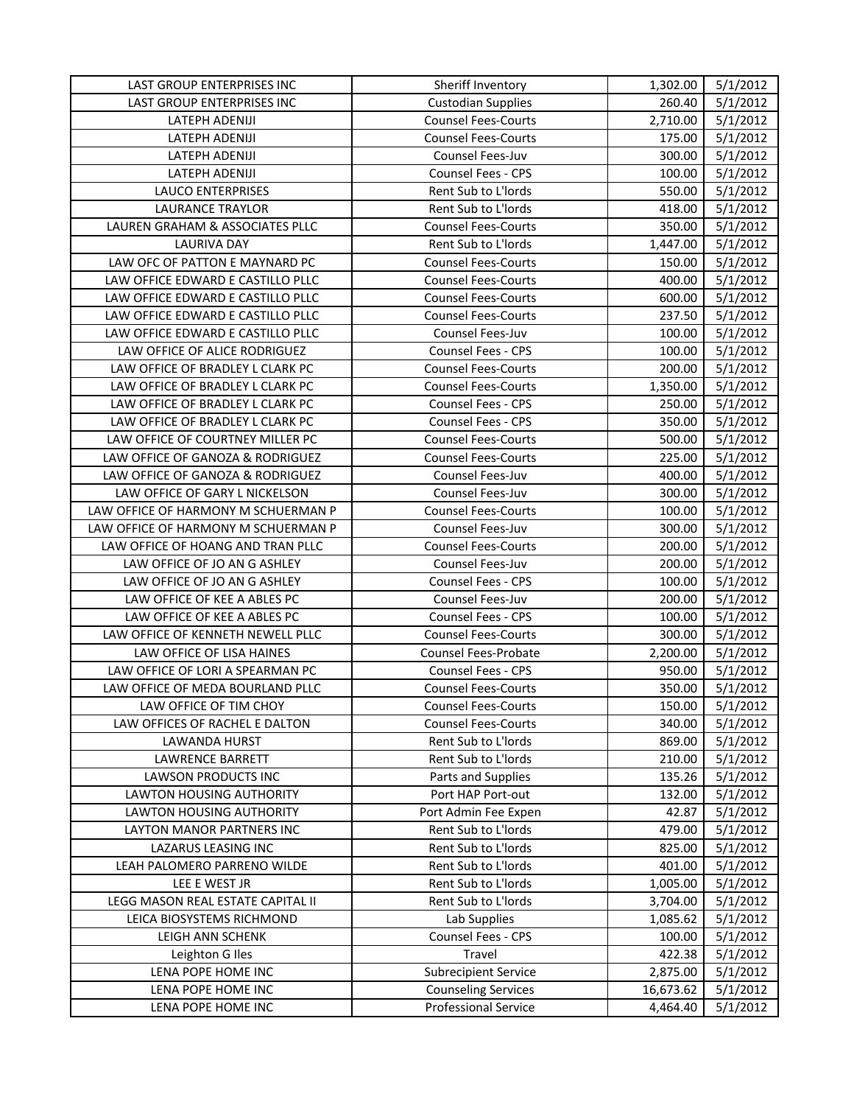| LAST GROUP ENTERPRISES INC<br><b>Custodian Supplies</b><br>260.40<br>5/1/2012<br>5/1/2012<br>LATEPH ADENIJI<br><b>Counsel Fees-Courts</b><br>2,710.00<br>LATEPH ADENIJI<br><b>Counsel Fees-Courts</b><br>175.00<br>5/1/2012<br>Counsel Fees-Juv<br>5/1/2012<br>LATEPH ADENIJI<br>300.00<br>LATEPH ADENIJI<br><b>Counsel Fees - CPS</b><br>100.00<br>5/1/2012<br>550.00<br>5/1/2012<br><b>LAUCO ENTERPRISES</b><br>Rent Sub to L'Iords<br>LAURANCE TRAYLOR<br>Rent Sub to L'Iords<br>418.00<br>5/1/2012<br>LAUREN GRAHAM & ASSOCIATES PLLC<br>5/1/2012<br><b>Counsel Fees-Courts</b><br>350.00<br>LAURIVA DAY<br>Rent Sub to L'Iords<br>1,447.00<br>5/1/2012<br>LAW OFC OF PATTON E MAYNARD PC<br><b>Counsel Fees-Courts</b><br>150.00<br>5/1/2012<br>LAW OFFICE EDWARD E CASTILLO PLLC<br>5/1/2012<br><b>Counsel Fees-Courts</b><br>400.00<br>LAW OFFICE EDWARD E CASTILLO PLLC<br>600.00<br>5/1/2012<br><b>Counsel Fees-Courts</b><br>237.50<br>LAW OFFICE EDWARD E CASTILLO PLLC<br>5/1/2012<br><b>Counsel Fees-Courts</b><br>LAW OFFICE EDWARD E CASTILLO PLLC<br>100.00<br>5/1/2012<br>Counsel Fees-Juv<br>100.00<br>LAW OFFICE OF ALICE RODRIGUEZ<br>5/1/2012<br><b>Counsel Fees - CPS</b><br>5/1/2012<br>LAW OFFICE OF BRADLEY L CLARK PC<br><b>Counsel Fees-Courts</b><br>200.00<br>LAW OFFICE OF BRADLEY L CLARK PC<br><b>Counsel Fees-Courts</b><br>1,350.00<br>5/1/2012<br>LAW OFFICE OF BRADLEY L CLARK PC<br><b>Counsel Fees - CPS</b><br>250.00<br>5/1/2012<br>LAW OFFICE OF BRADLEY L CLARK PC<br>Counsel Fees - CPS<br>350.00<br>5/1/2012<br>5/1/2012<br>LAW OFFICE OF COURTNEY MILLER PC<br><b>Counsel Fees-Courts</b><br>500.00<br>LAW OFFICE OF GANOZA & RODRIGUEZ<br>225.00<br>5/1/2012<br><b>Counsel Fees-Courts</b><br>5/1/2012<br>LAW OFFICE OF GANOZA & RODRIGUEZ<br>Counsel Fees-Juv<br>400.00<br>300.00<br>LAW OFFICE OF GARY L NICKELSON<br>5/1/2012<br>Counsel Fees-Juv<br>LAW OFFICE OF HARMONY M SCHUERMAN P<br>5/1/2012<br><b>Counsel Fees-Courts</b><br>100.00<br>5/1/2012<br>LAW OFFICE OF HARMONY M SCHUERMAN P<br>Counsel Fees-Juv<br>300.00<br>LAW OFFICE OF HOANG AND TRAN PLLC<br><b>Counsel Fees-Courts</b><br>200.00<br>5/1/2012<br>LAW OFFICE OF JO AN G ASHLEY<br>Counsel Fees-Juv<br>200.00<br>5/1/2012<br>5/1/2012<br>LAW OFFICE OF JO AN G ASHLEY<br>Counsel Fees - CPS<br>100.00<br>LAW OFFICE OF KEE A ABLES PC<br>5/1/2012<br>Counsel Fees-Juv<br>200.00<br>LAW OFFICE OF KEE A ABLES PC<br>100.00<br>5/1/2012<br>Counsel Fees - CPS<br>LAW OFFICE OF KENNETH NEWELL PLLC<br><b>Counsel Fees-Courts</b><br>300.00<br>5/1/2012<br>LAW OFFICE OF LISA HAINES<br>Counsel Fees-Probate<br>2,200.00<br>5/1/2012<br>5/1/2012<br>LAW OFFICE OF LORI A SPEARMAN PC<br><b>Counsel Fees - CPS</b><br>950.00<br>LAW OFFICE OF MEDA BOURLAND PLLC<br><b>Counsel Fees-Courts</b><br>350.00<br>5/1/2012<br>LAW OFFICE OF TIM CHOY<br><b>Counsel Fees-Courts</b><br>150.00<br>5/1/2012<br>LAW OFFICES OF RACHEL E DALTON<br>340.00<br>5/1/2012<br><b>Counsel Fees-Courts</b><br>LAWANDA HURST<br>Rent Sub to L'Iords<br>869.00<br>5/1/2012<br><b>LAWRENCE BARRETT</b><br>Rent Sub to L'Iords<br>5/1/2012<br>210.00<br>Parts and Supplies<br>135.26<br>5/1/2012<br>LAWSON PRODUCTS INC<br>LAWTON HOUSING AUTHORITY<br>Port HAP Port-out<br>132.00<br>5/1/2012<br>5/1/2012<br><b>LAWTON HOUSING AUTHORITY</b><br>Port Admin Fee Expen<br>42.87<br>Rent Sub to L'Iords<br>479.00<br>5/1/2012<br>LAYTON MANOR PARTNERS INC<br>Rent Sub to L'Iords<br>5/1/2012<br>LAZARUS LEASING INC<br>825.00<br>LEAH PALOMERO PARRENO WILDE<br>Rent Sub to L'Iords<br>5/1/2012<br>401.00<br>Rent Sub to L'Iords<br>5/1/2012<br>LEE E WEST JR<br>1,005.00<br>LEGG MASON REAL ESTATE CAPITAL II<br>Rent Sub to L'Iords<br>3,704.00<br>5/1/2012<br>Lab Supplies<br>5/1/2012<br>LEICA BIOSYSTEMS RICHMOND<br>1,085.62<br>Counsel Fees - CPS<br>5/1/2012<br>LEIGH ANN SCHENK<br>100.00<br>5/1/2012<br>Leighton G Iles<br>Travel<br>422.38<br>LENA POPE HOME INC<br>5/1/2012<br><b>Subrecipient Service</b><br>2,875.00<br><b>Counseling Services</b><br>5/1/2012<br>LENA POPE HOME INC<br>16,673.62<br><b>Professional Service</b><br>5/1/2012<br>LENA POPE HOME INC<br>4,464.40 | LAST GROUP ENTERPRISES INC | Sheriff Inventory | 1,302.00 | 5/1/2012 |
|-------------------------------------------------------------------------------------------------------------------------------------------------------------------------------------------------------------------------------------------------------------------------------------------------------------------------------------------------------------------------------------------------------------------------------------------------------------------------------------------------------------------------------------------------------------------------------------------------------------------------------------------------------------------------------------------------------------------------------------------------------------------------------------------------------------------------------------------------------------------------------------------------------------------------------------------------------------------------------------------------------------------------------------------------------------------------------------------------------------------------------------------------------------------------------------------------------------------------------------------------------------------------------------------------------------------------------------------------------------------------------------------------------------------------------------------------------------------------------------------------------------------------------------------------------------------------------------------------------------------------------------------------------------------------------------------------------------------------------------------------------------------------------------------------------------------------------------------------------------------------------------------------------------------------------------------------------------------------------------------------------------------------------------------------------------------------------------------------------------------------------------------------------------------------------------------------------------------------------------------------------------------------------------------------------------------------------------------------------------------------------------------------------------------------------------------------------------------------------------------------------------------------------------------------------------------------------------------------------------------------------------------------------------------------------------------------------------------------------------------------------------------------------------------------------------------------------------------------------------------------------------------------------------------------------------------------------------------------------------------------------------------------------------------------------------------------------------------------------------------------------------------------------------------------------------------------------------------------------------------------------------------------------------------------------------------------------------------------------------------------------------------------------------------------------------------------------------------------------------------------------------------------------------------------------------------------------------------------------------------------------------------------------------------------------------------------------------------------------------------------------------------------------------------------------------------------------------------------------------------------------------------------------------------------------------------------------------------------------------------------------------------------------------------------------------------------------------------------------------------------------------------------------------------------------------------|----------------------------|-------------------|----------|----------|
|                                                                                                                                                                                                                                                                                                                                                                                                                                                                                                                                                                                                                                                                                                                                                                                                                                                                                                                                                                                                                                                                                                                                                                                                                                                                                                                                                                                                                                                                                                                                                                                                                                                                                                                                                                                                                                                                                                                                                                                                                                                                                                                                                                                                                                                                                                                                                                                                                                                                                                                                                                                                                                                                                                                                                                                                                                                                                                                                                                                                                                                                                                                                                                                                                                                                                                                                                                                                                                                                                                                                                                                                                                                                                                                                                                                                                                                                                                                                                                                                                                                                                                                                                                                           |                            |                   |          |          |
|                                                                                                                                                                                                                                                                                                                                                                                                                                                                                                                                                                                                                                                                                                                                                                                                                                                                                                                                                                                                                                                                                                                                                                                                                                                                                                                                                                                                                                                                                                                                                                                                                                                                                                                                                                                                                                                                                                                                                                                                                                                                                                                                                                                                                                                                                                                                                                                                                                                                                                                                                                                                                                                                                                                                                                                                                                                                                                                                                                                                                                                                                                                                                                                                                                                                                                                                                                                                                                                                                                                                                                                                                                                                                                                                                                                                                                                                                                                                                                                                                                                                                                                                                                                           |                            |                   |          |          |
|                                                                                                                                                                                                                                                                                                                                                                                                                                                                                                                                                                                                                                                                                                                                                                                                                                                                                                                                                                                                                                                                                                                                                                                                                                                                                                                                                                                                                                                                                                                                                                                                                                                                                                                                                                                                                                                                                                                                                                                                                                                                                                                                                                                                                                                                                                                                                                                                                                                                                                                                                                                                                                                                                                                                                                                                                                                                                                                                                                                                                                                                                                                                                                                                                                                                                                                                                                                                                                                                                                                                                                                                                                                                                                                                                                                                                                                                                                                                                                                                                                                                                                                                                                                           |                            |                   |          |          |
|                                                                                                                                                                                                                                                                                                                                                                                                                                                                                                                                                                                                                                                                                                                                                                                                                                                                                                                                                                                                                                                                                                                                                                                                                                                                                                                                                                                                                                                                                                                                                                                                                                                                                                                                                                                                                                                                                                                                                                                                                                                                                                                                                                                                                                                                                                                                                                                                                                                                                                                                                                                                                                                                                                                                                                                                                                                                                                                                                                                                                                                                                                                                                                                                                                                                                                                                                                                                                                                                                                                                                                                                                                                                                                                                                                                                                                                                                                                                                                                                                                                                                                                                                                                           |                            |                   |          |          |
|                                                                                                                                                                                                                                                                                                                                                                                                                                                                                                                                                                                                                                                                                                                                                                                                                                                                                                                                                                                                                                                                                                                                                                                                                                                                                                                                                                                                                                                                                                                                                                                                                                                                                                                                                                                                                                                                                                                                                                                                                                                                                                                                                                                                                                                                                                                                                                                                                                                                                                                                                                                                                                                                                                                                                                                                                                                                                                                                                                                                                                                                                                                                                                                                                                                                                                                                                                                                                                                                                                                                                                                                                                                                                                                                                                                                                                                                                                                                                                                                                                                                                                                                                                                           |                            |                   |          |          |
|                                                                                                                                                                                                                                                                                                                                                                                                                                                                                                                                                                                                                                                                                                                                                                                                                                                                                                                                                                                                                                                                                                                                                                                                                                                                                                                                                                                                                                                                                                                                                                                                                                                                                                                                                                                                                                                                                                                                                                                                                                                                                                                                                                                                                                                                                                                                                                                                                                                                                                                                                                                                                                                                                                                                                                                                                                                                                                                                                                                                                                                                                                                                                                                                                                                                                                                                                                                                                                                                                                                                                                                                                                                                                                                                                                                                                                                                                                                                                                                                                                                                                                                                                                                           |                            |                   |          |          |
|                                                                                                                                                                                                                                                                                                                                                                                                                                                                                                                                                                                                                                                                                                                                                                                                                                                                                                                                                                                                                                                                                                                                                                                                                                                                                                                                                                                                                                                                                                                                                                                                                                                                                                                                                                                                                                                                                                                                                                                                                                                                                                                                                                                                                                                                                                                                                                                                                                                                                                                                                                                                                                                                                                                                                                                                                                                                                                                                                                                                                                                                                                                                                                                                                                                                                                                                                                                                                                                                                                                                                                                                                                                                                                                                                                                                                                                                                                                                                                                                                                                                                                                                                                                           |                            |                   |          |          |
|                                                                                                                                                                                                                                                                                                                                                                                                                                                                                                                                                                                                                                                                                                                                                                                                                                                                                                                                                                                                                                                                                                                                                                                                                                                                                                                                                                                                                                                                                                                                                                                                                                                                                                                                                                                                                                                                                                                                                                                                                                                                                                                                                                                                                                                                                                                                                                                                                                                                                                                                                                                                                                                                                                                                                                                                                                                                                                                                                                                                                                                                                                                                                                                                                                                                                                                                                                                                                                                                                                                                                                                                                                                                                                                                                                                                                                                                                                                                                                                                                                                                                                                                                                                           |                            |                   |          |          |
|                                                                                                                                                                                                                                                                                                                                                                                                                                                                                                                                                                                                                                                                                                                                                                                                                                                                                                                                                                                                                                                                                                                                                                                                                                                                                                                                                                                                                                                                                                                                                                                                                                                                                                                                                                                                                                                                                                                                                                                                                                                                                                                                                                                                                                                                                                                                                                                                                                                                                                                                                                                                                                                                                                                                                                                                                                                                                                                                                                                                                                                                                                                                                                                                                                                                                                                                                                                                                                                                                                                                                                                                                                                                                                                                                                                                                                                                                                                                                                                                                                                                                                                                                                                           |                            |                   |          |          |
|                                                                                                                                                                                                                                                                                                                                                                                                                                                                                                                                                                                                                                                                                                                                                                                                                                                                                                                                                                                                                                                                                                                                                                                                                                                                                                                                                                                                                                                                                                                                                                                                                                                                                                                                                                                                                                                                                                                                                                                                                                                                                                                                                                                                                                                                                                                                                                                                                                                                                                                                                                                                                                                                                                                                                                                                                                                                                                                                                                                                                                                                                                                                                                                                                                                                                                                                                                                                                                                                                                                                                                                                                                                                                                                                                                                                                                                                                                                                                                                                                                                                                                                                                                                           |                            |                   |          |          |
|                                                                                                                                                                                                                                                                                                                                                                                                                                                                                                                                                                                                                                                                                                                                                                                                                                                                                                                                                                                                                                                                                                                                                                                                                                                                                                                                                                                                                                                                                                                                                                                                                                                                                                                                                                                                                                                                                                                                                                                                                                                                                                                                                                                                                                                                                                                                                                                                                                                                                                                                                                                                                                                                                                                                                                                                                                                                                                                                                                                                                                                                                                                                                                                                                                                                                                                                                                                                                                                                                                                                                                                                                                                                                                                                                                                                                                                                                                                                                                                                                                                                                                                                                                                           |                            |                   |          |          |
|                                                                                                                                                                                                                                                                                                                                                                                                                                                                                                                                                                                                                                                                                                                                                                                                                                                                                                                                                                                                                                                                                                                                                                                                                                                                                                                                                                                                                                                                                                                                                                                                                                                                                                                                                                                                                                                                                                                                                                                                                                                                                                                                                                                                                                                                                                                                                                                                                                                                                                                                                                                                                                                                                                                                                                                                                                                                                                                                                                                                                                                                                                                                                                                                                                                                                                                                                                                                                                                                                                                                                                                                                                                                                                                                                                                                                                                                                                                                                                                                                                                                                                                                                                                           |                            |                   |          |          |
|                                                                                                                                                                                                                                                                                                                                                                                                                                                                                                                                                                                                                                                                                                                                                                                                                                                                                                                                                                                                                                                                                                                                                                                                                                                                                                                                                                                                                                                                                                                                                                                                                                                                                                                                                                                                                                                                                                                                                                                                                                                                                                                                                                                                                                                                                                                                                                                                                                                                                                                                                                                                                                                                                                                                                                                                                                                                                                                                                                                                                                                                                                                                                                                                                                                                                                                                                                                                                                                                                                                                                                                                                                                                                                                                                                                                                                                                                                                                                                                                                                                                                                                                                                                           |                            |                   |          |          |
|                                                                                                                                                                                                                                                                                                                                                                                                                                                                                                                                                                                                                                                                                                                                                                                                                                                                                                                                                                                                                                                                                                                                                                                                                                                                                                                                                                                                                                                                                                                                                                                                                                                                                                                                                                                                                                                                                                                                                                                                                                                                                                                                                                                                                                                                                                                                                                                                                                                                                                                                                                                                                                                                                                                                                                                                                                                                                                                                                                                                                                                                                                                                                                                                                                                                                                                                                                                                                                                                                                                                                                                                                                                                                                                                                                                                                                                                                                                                                                                                                                                                                                                                                                                           |                            |                   |          |          |
|                                                                                                                                                                                                                                                                                                                                                                                                                                                                                                                                                                                                                                                                                                                                                                                                                                                                                                                                                                                                                                                                                                                                                                                                                                                                                                                                                                                                                                                                                                                                                                                                                                                                                                                                                                                                                                                                                                                                                                                                                                                                                                                                                                                                                                                                                                                                                                                                                                                                                                                                                                                                                                                                                                                                                                                                                                                                                                                                                                                                                                                                                                                                                                                                                                                                                                                                                                                                                                                                                                                                                                                                                                                                                                                                                                                                                                                                                                                                                                                                                                                                                                                                                                                           |                            |                   |          |          |
|                                                                                                                                                                                                                                                                                                                                                                                                                                                                                                                                                                                                                                                                                                                                                                                                                                                                                                                                                                                                                                                                                                                                                                                                                                                                                                                                                                                                                                                                                                                                                                                                                                                                                                                                                                                                                                                                                                                                                                                                                                                                                                                                                                                                                                                                                                                                                                                                                                                                                                                                                                                                                                                                                                                                                                                                                                                                                                                                                                                                                                                                                                                                                                                                                                                                                                                                                                                                                                                                                                                                                                                                                                                                                                                                                                                                                                                                                                                                                                                                                                                                                                                                                                                           |                            |                   |          |          |
|                                                                                                                                                                                                                                                                                                                                                                                                                                                                                                                                                                                                                                                                                                                                                                                                                                                                                                                                                                                                                                                                                                                                                                                                                                                                                                                                                                                                                                                                                                                                                                                                                                                                                                                                                                                                                                                                                                                                                                                                                                                                                                                                                                                                                                                                                                                                                                                                                                                                                                                                                                                                                                                                                                                                                                                                                                                                                                                                                                                                                                                                                                                                                                                                                                                                                                                                                                                                                                                                                                                                                                                                                                                                                                                                                                                                                                                                                                                                                                                                                                                                                                                                                                                           |                            |                   |          |          |
|                                                                                                                                                                                                                                                                                                                                                                                                                                                                                                                                                                                                                                                                                                                                                                                                                                                                                                                                                                                                                                                                                                                                                                                                                                                                                                                                                                                                                                                                                                                                                                                                                                                                                                                                                                                                                                                                                                                                                                                                                                                                                                                                                                                                                                                                                                                                                                                                                                                                                                                                                                                                                                                                                                                                                                                                                                                                                                                                                                                                                                                                                                                                                                                                                                                                                                                                                                                                                                                                                                                                                                                                                                                                                                                                                                                                                                                                                                                                                                                                                                                                                                                                                                                           |                            |                   |          |          |
|                                                                                                                                                                                                                                                                                                                                                                                                                                                                                                                                                                                                                                                                                                                                                                                                                                                                                                                                                                                                                                                                                                                                                                                                                                                                                                                                                                                                                                                                                                                                                                                                                                                                                                                                                                                                                                                                                                                                                                                                                                                                                                                                                                                                                                                                                                                                                                                                                                                                                                                                                                                                                                                                                                                                                                                                                                                                                                                                                                                                                                                                                                                                                                                                                                                                                                                                                                                                                                                                                                                                                                                                                                                                                                                                                                                                                                                                                                                                                                                                                                                                                                                                                                                           |                            |                   |          |          |
|                                                                                                                                                                                                                                                                                                                                                                                                                                                                                                                                                                                                                                                                                                                                                                                                                                                                                                                                                                                                                                                                                                                                                                                                                                                                                                                                                                                                                                                                                                                                                                                                                                                                                                                                                                                                                                                                                                                                                                                                                                                                                                                                                                                                                                                                                                                                                                                                                                                                                                                                                                                                                                                                                                                                                                                                                                                                                                                                                                                                                                                                                                                                                                                                                                                                                                                                                                                                                                                                                                                                                                                                                                                                                                                                                                                                                                                                                                                                                                                                                                                                                                                                                                                           |                            |                   |          |          |
|                                                                                                                                                                                                                                                                                                                                                                                                                                                                                                                                                                                                                                                                                                                                                                                                                                                                                                                                                                                                                                                                                                                                                                                                                                                                                                                                                                                                                                                                                                                                                                                                                                                                                                                                                                                                                                                                                                                                                                                                                                                                                                                                                                                                                                                                                                                                                                                                                                                                                                                                                                                                                                                                                                                                                                                                                                                                                                                                                                                                                                                                                                                                                                                                                                                                                                                                                                                                                                                                                                                                                                                                                                                                                                                                                                                                                                                                                                                                                                                                                                                                                                                                                                                           |                            |                   |          |          |
|                                                                                                                                                                                                                                                                                                                                                                                                                                                                                                                                                                                                                                                                                                                                                                                                                                                                                                                                                                                                                                                                                                                                                                                                                                                                                                                                                                                                                                                                                                                                                                                                                                                                                                                                                                                                                                                                                                                                                                                                                                                                                                                                                                                                                                                                                                                                                                                                                                                                                                                                                                                                                                                                                                                                                                                                                                                                                                                                                                                                                                                                                                                                                                                                                                                                                                                                                                                                                                                                                                                                                                                                                                                                                                                                                                                                                                                                                                                                                                                                                                                                                                                                                                                           |                            |                   |          |          |
|                                                                                                                                                                                                                                                                                                                                                                                                                                                                                                                                                                                                                                                                                                                                                                                                                                                                                                                                                                                                                                                                                                                                                                                                                                                                                                                                                                                                                                                                                                                                                                                                                                                                                                                                                                                                                                                                                                                                                                                                                                                                                                                                                                                                                                                                                                                                                                                                                                                                                                                                                                                                                                                                                                                                                                                                                                                                                                                                                                                                                                                                                                                                                                                                                                                                                                                                                                                                                                                                                                                                                                                                                                                                                                                                                                                                                                                                                                                                                                                                                                                                                                                                                                                           |                            |                   |          |          |
|                                                                                                                                                                                                                                                                                                                                                                                                                                                                                                                                                                                                                                                                                                                                                                                                                                                                                                                                                                                                                                                                                                                                                                                                                                                                                                                                                                                                                                                                                                                                                                                                                                                                                                                                                                                                                                                                                                                                                                                                                                                                                                                                                                                                                                                                                                                                                                                                                                                                                                                                                                                                                                                                                                                                                                                                                                                                                                                                                                                                                                                                                                                                                                                                                                                                                                                                                                                                                                                                                                                                                                                                                                                                                                                                                                                                                                                                                                                                                                                                                                                                                                                                                                                           |                            |                   |          |          |
|                                                                                                                                                                                                                                                                                                                                                                                                                                                                                                                                                                                                                                                                                                                                                                                                                                                                                                                                                                                                                                                                                                                                                                                                                                                                                                                                                                                                                                                                                                                                                                                                                                                                                                                                                                                                                                                                                                                                                                                                                                                                                                                                                                                                                                                                                                                                                                                                                                                                                                                                                                                                                                                                                                                                                                                                                                                                                                                                                                                                                                                                                                                                                                                                                                                                                                                                                                                                                                                                                                                                                                                                                                                                                                                                                                                                                                                                                                                                                                                                                                                                                                                                                                                           |                            |                   |          |          |
|                                                                                                                                                                                                                                                                                                                                                                                                                                                                                                                                                                                                                                                                                                                                                                                                                                                                                                                                                                                                                                                                                                                                                                                                                                                                                                                                                                                                                                                                                                                                                                                                                                                                                                                                                                                                                                                                                                                                                                                                                                                                                                                                                                                                                                                                                                                                                                                                                                                                                                                                                                                                                                                                                                                                                                                                                                                                                                                                                                                                                                                                                                                                                                                                                                                                                                                                                                                                                                                                                                                                                                                                                                                                                                                                                                                                                                                                                                                                                                                                                                                                                                                                                                                           |                            |                   |          |          |
|                                                                                                                                                                                                                                                                                                                                                                                                                                                                                                                                                                                                                                                                                                                                                                                                                                                                                                                                                                                                                                                                                                                                                                                                                                                                                                                                                                                                                                                                                                                                                                                                                                                                                                                                                                                                                                                                                                                                                                                                                                                                                                                                                                                                                                                                                                                                                                                                                                                                                                                                                                                                                                                                                                                                                                                                                                                                                                                                                                                                                                                                                                                                                                                                                                                                                                                                                                                                                                                                                                                                                                                                                                                                                                                                                                                                                                                                                                                                                                                                                                                                                                                                                                                           |                            |                   |          |          |
|                                                                                                                                                                                                                                                                                                                                                                                                                                                                                                                                                                                                                                                                                                                                                                                                                                                                                                                                                                                                                                                                                                                                                                                                                                                                                                                                                                                                                                                                                                                                                                                                                                                                                                                                                                                                                                                                                                                                                                                                                                                                                                                                                                                                                                                                                                                                                                                                                                                                                                                                                                                                                                                                                                                                                                                                                                                                                                                                                                                                                                                                                                                                                                                                                                                                                                                                                                                                                                                                                                                                                                                                                                                                                                                                                                                                                                                                                                                                                                                                                                                                                                                                                                                           |                            |                   |          |          |
|                                                                                                                                                                                                                                                                                                                                                                                                                                                                                                                                                                                                                                                                                                                                                                                                                                                                                                                                                                                                                                                                                                                                                                                                                                                                                                                                                                                                                                                                                                                                                                                                                                                                                                                                                                                                                                                                                                                                                                                                                                                                                                                                                                                                                                                                                                                                                                                                                                                                                                                                                                                                                                                                                                                                                                                                                                                                                                                                                                                                                                                                                                                                                                                                                                                                                                                                                                                                                                                                                                                                                                                                                                                                                                                                                                                                                                                                                                                                                                                                                                                                                                                                                                                           |                            |                   |          |          |
|                                                                                                                                                                                                                                                                                                                                                                                                                                                                                                                                                                                                                                                                                                                                                                                                                                                                                                                                                                                                                                                                                                                                                                                                                                                                                                                                                                                                                                                                                                                                                                                                                                                                                                                                                                                                                                                                                                                                                                                                                                                                                                                                                                                                                                                                                                                                                                                                                                                                                                                                                                                                                                                                                                                                                                                                                                                                                                                                                                                                                                                                                                                                                                                                                                                                                                                                                                                                                                                                                                                                                                                                                                                                                                                                                                                                                                                                                                                                                                                                                                                                                                                                                                                           |                            |                   |          |          |
|                                                                                                                                                                                                                                                                                                                                                                                                                                                                                                                                                                                                                                                                                                                                                                                                                                                                                                                                                                                                                                                                                                                                                                                                                                                                                                                                                                                                                                                                                                                                                                                                                                                                                                                                                                                                                                                                                                                                                                                                                                                                                                                                                                                                                                                                                                                                                                                                                                                                                                                                                                                                                                                                                                                                                                                                                                                                                                                                                                                                                                                                                                                                                                                                                                                                                                                                                                                                                                                                                                                                                                                                                                                                                                                                                                                                                                                                                                                                                                                                                                                                                                                                                                                           |                            |                   |          |          |
|                                                                                                                                                                                                                                                                                                                                                                                                                                                                                                                                                                                                                                                                                                                                                                                                                                                                                                                                                                                                                                                                                                                                                                                                                                                                                                                                                                                                                                                                                                                                                                                                                                                                                                                                                                                                                                                                                                                                                                                                                                                                                                                                                                                                                                                                                                                                                                                                                                                                                                                                                                                                                                                                                                                                                                                                                                                                                                                                                                                                                                                                                                                                                                                                                                                                                                                                                                                                                                                                                                                                                                                                                                                                                                                                                                                                                                                                                                                                                                                                                                                                                                                                                                                           |                            |                   |          |          |
|                                                                                                                                                                                                                                                                                                                                                                                                                                                                                                                                                                                                                                                                                                                                                                                                                                                                                                                                                                                                                                                                                                                                                                                                                                                                                                                                                                                                                                                                                                                                                                                                                                                                                                                                                                                                                                                                                                                                                                                                                                                                                                                                                                                                                                                                                                                                                                                                                                                                                                                                                                                                                                                                                                                                                                                                                                                                                                                                                                                                                                                                                                                                                                                                                                                                                                                                                                                                                                                                                                                                                                                                                                                                                                                                                                                                                                                                                                                                                                                                                                                                                                                                                                                           |                            |                   |          |          |
|                                                                                                                                                                                                                                                                                                                                                                                                                                                                                                                                                                                                                                                                                                                                                                                                                                                                                                                                                                                                                                                                                                                                                                                                                                                                                                                                                                                                                                                                                                                                                                                                                                                                                                                                                                                                                                                                                                                                                                                                                                                                                                                                                                                                                                                                                                                                                                                                                                                                                                                                                                                                                                                                                                                                                                                                                                                                                                                                                                                                                                                                                                                                                                                                                                                                                                                                                                                                                                                                                                                                                                                                                                                                                                                                                                                                                                                                                                                                                                                                                                                                                                                                                                                           |                            |                   |          |          |
|                                                                                                                                                                                                                                                                                                                                                                                                                                                                                                                                                                                                                                                                                                                                                                                                                                                                                                                                                                                                                                                                                                                                                                                                                                                                                                                                                                                                                                                                                                                                                                                                                                                                                                                                                                                                                                                                                                                                                                                                                                                                                                                                                                                                                                                                                                                                                                                                                                                                                                                                                                                                                                                                                                                                                                                                                                                                                                                                                                                                                                                                                                                                                                                                                                                                                                                                                                                                                                                                                                                                                                                                                                                                                                                                                                                                                                                                                                                                                                                                                                                                                                                                                                                           |                            |                   |          |          |
|                                                                                                                                                                                                                                                                                                                                                                                                                                                                                                                                                                                                                                                                                                                                                                                                                                                                                                                                                                                                                                                                                                                                                                                                                                                                                                                                                                                                                                                                                                                                                                                                                                                                                                                                                                                                                                                                                                                                                                                                                                                                                                                                                                                                                                                                                                                                                                                                                                                                                                                                                                                                                                                                                                                                                                                                                                                                                                                                                                                                                                                                                                                                                                                                                                                                                                                                                                                                                                                                                                                                                                                                                                                                                                                                                                                                                                                                                                                                                                                                                                                                                                                                                                                           |                            |                   |          |          |
|                                                                                                                                                                                                                                                                                                                                                                                                                                                                                                                                                                                                                                                                                                                                                                                                                                                                                                                                                                                                                                                                                                                                                                                                                                                                                                                                                                                                                                                                                                                                                                                                                                                                                                                                                                                                                                                                                                                                                                                                                                                                                                                                                                                                                                                                                                                                                                                                                                                                                                                                                                                                                                                                                                                                                                                                                                                                                                                                                                                                                                                                                                                                                                                                                                                                                                                                                                                                                                                                                                                                                                                                                                                                                                                                                                                                                                                                                                                                                                                                                                                                                                                                                                                           |                            |                   |          |          |
|                                                                                                                                                                                                                                                                                                                                                                                                                                                                                                                                                                                                                                                                                                                                                                                                                                                                                                                                                                                                                                                                                                                                                                                                                                                                                                                                                                                                                                                                                                                                                                                                                                                                                                                                                                                                                                                                                                                                                                                                                                                                                                                                                                                                                                                                                                                                                                                                                                                                                                                                                                                                                                                                                                                                                                                                                                                                                                                                                                                                                                                                                                                                                                                                                                                                                                                                                                                                                                                                                                                                                                                                                                                                                                                                                                                                                                                                                                                                                                                                                                                                                                                                                                                           |                            |                   |          |          |
|                                                                                                                                                                                                                                                                                                                                                                                                                                                                                                                                                                                                                                                                                                                                                                                                                                                                                                                                                                                                                                                                                                                                                                                                                                                                                                                                                                                                                                                                                                                                                                                                                                                                                                                                                                                                                                                                                                                                                                                                                                                                                                                                                                                                                                                                                                                                                                                                                                                                                                                                                                                                                                                                                                                                                                                                                                                                                                                                                                                                                                                                                                                                                                                                                                                                                                                                                                                                                                                                                                                                                                                                                                                                                                                                                                                                                                                                                                                                                                                                                                                                                                                                                                                           |                            |                   |          |          |
|                                                                                                                                                                                                                                                                                                                                                                                                                                                                                                                                                                                                                                                                                                                                                                                                                                                                                                                                                                                                                                                                                                                                                                                                                                                                                                                                                                                                                                                                                                                                                                                                                                                                                                                                                                                                                                                                                                                                                                                                                                                                                                                                                                                                                                                                                                                                                                                                                                                                                                                                                                                                                                                                                                                                                                                                                                                                                                                                                                                                                                                                                                                                                                                                                                                                                                                                                                                                                                                                                                                                                                                                                                                                                                                                                                                                                                                                                                                                                                                                                                                                                                                                                                                           |                            |                   |          |          |
|                                                                                                                                                                                                                                                                                                                                                                                                                                                                                                                                                                                                                                                                                                                                                                                                                                                                                                                                                                                                                                                                                                                                                                                                                                                                                                                                                                                                                                                                                                                                                                                                                                                                                                                                                                                                                                                                                                                                                                                                                                                                                                                                                                                                                                                                                                                                                                                                                                                                                                                                                                                                                                                                                                                                                                                                                                                                                                                                                                                                                                                                                                                                                                                                                                                                                                                                                                                                                                                                                                                                                                                                                                                                                                                                                                                                                                                                                                                                                                                                                                                                                                                                                                                           |                            |                   |          |          |
|                                                                                                                                                                                                                                                                                                                                                                                                                                                                                                                                                                                                                                                                                                                                                                                                                                                                                                                                                                                                                                                                                                                                                                                                                                                                                                                                                                                                                                                                                                                                                                                                                                                                                                                                                                                                                                                                                                                                                                                                                                                                                                                                                                                                                                                                                                                                                                                                                                                                                                                                                                                                                                                                                                                                                                                                                                                                                                                                                                                                                                                                                                                                                                                                                                                                                                                                                                                                                                                                                                                                                                                                                                                                                                                                                                                                                                                                                                                                                                                                                                                                                                                                                                                           |                            |                   |          |          |
|                                                                                                                                                                                                                                                                                                                                                                                                                                                                                                                                                                                                                                                                                                                                                                                                                                                                                                                                                                                                                                                                                                                                                                                                                                                                                                                                                                                                                                                                                                                                                                                                                                                                                                                                                                                                                                                                                                                                                                                                                                                                                                                                                                                                                                                                                                                                                                                                                                                                                                                                                                                                                                                                                                                                                                                                                                                                                                                                                                                                                                                                                                                                                                                                                                                                                                                                                                                                                                                                                                                                                                                                                                                                                                                                                                                                                                                                                                                                                                                                                                                                                                                                                                                           |                            |                   |          |          |
|                                                                                                                                                                                                                                                                                                                                                                                                                                                                                                                                                                                                                                                                                                                                                                                                                                                                                                                                                                                                                                                                                                                                                                                                                                                                                                                                                                                                                                                                                                                                                                                                                                                                                                                                                                                                                                                                                                                                                                                                                                                                                                                                                                                                                                                                                                                                                                                                                                                                                                                                                                                                                                                                                                                                                                                                                                                                                                                                                                                                                                                                                                                                                                                                                                                                                                                                                                                                                                                                                                                                                                                                                                                                                                                                                                                                                                                                                                                                                                                                                                                                                                                                                                                           |                            |                   |          |          |
|                                                                                                                                                                                                                                                                                                                                                                                                                                                                                                                                                                                                                                                                                                                                                                                                                                                                                                                                                                                                                                                                                                                                                                                                                                                                                                                                                                                                                                                                                                                                                                                                                                                                                                                                                                                                                                                                                                                                                                                                                                                                                                                                                                                                                                                                                                                                                                                                                                                                                                                                                                                                                                                                                                                                                                                                                                                                                                                                                                                                                                                                                                                                                                                                                                                                                                                                                                                                                                                                                                                                                                                                                                                                                                                                                                                                                                                                                                                                                                                                                                                                                                                                                                                           |                            |                   |          |          |
|                                                                                                                                                                                                                                                                                                                                                                                                                                                                                                                                                                                                                                                                                                                                                                                                                                                                                                                                                                                                                                                                                                                                                                                                                                                                                                                                                                                                                                                                                                                                                                                                                                                                                                                                                                                                                                                                                                                                                                                                                                                                                                                                                                                                                                                                                                                                                                                                                                                                                                                                                                                                                                                                                                                                                                                                                                                                                                                                                                                                                                                                                                                                                                                                                                                                                                                                                                                                                                                                                                                                                                                                                                                                                                                                                                                                                                                                                                                                                                                                                                                                                                                                                                                           |                            |                   |          |          |
|                                                                                                                                                                                                                                                                                                                                                                                                                                                                                                                                                                                                                                                                                                                                                                                                                                                                                                                                                                                                                                                                                                                                                                                                                                                                                                                                                                                                                                                                                                                                                                                                                                                                                                                                                                                                                                                                                                                                                                                                                                                                                                                                                                                                                                                                                                                                                                                                                                                                                                                                                                                                                                                                                                                                                                                                                                                                                                                                                                                                                                                                                                                                                                                                                                                                                                                                                                                                                                                                                                                                                                                                                                                                                                                                                                                                                                                                                                                                                                                                                                                                                                                                                                                           |                            |                   |          |          |
|                                                                                                                                                                                                                                                                                                                                                                                                                                                                                                                                                                                                                                                                                                                                                                                                                                                                                                                                                                                                                                                                                                                                                                                                                                                                                                                                                                                                                                                                                                                                                                                                                                                                                                                                                                                                                                                                                                                                                                                                                                                                                                                                                                                                                                                                                                                                                                                                                                                                                                                                                                                                                                                                                                                                                                                                                                                                                                                                                                                                                                                                                                                                                                                                                                                                                                                                                                                                                                                                                                                                                                                                                                                                                                                                                                                                                                                                                                                                                                                                                                                                                                                                                                                           |                            |                   |          |          |
|                                                                                                                                                                                                                                                                                                                                                                                                                                                                                                                                                                                                                                                                                                                                                                                                                                                                                                                                                                                                                                                                                                                                                                                                                                                                                                                                                                                                                                                                                                                                                                                                                                                                                                                                                                                                                                                                                                                                                                                                                                                                                                                                                                                                                                                                                                                                                                                                                                                                                                                                                                                                                                                                                                                                                                                                                                                                                                                                                                                                                                                                                                                                                                                                                                                                                                                                                                                                                                                                                                                                                                                                                                                                                                                                                                                                                                                                                                                                                                                                                                                                                                                                                                                           |                            |                   |          |          |
|                                                                                                                                                                                                                                                                                                                                                                                                                                                                                                                                                                                                                                                                                                                                                                                                                                                                                                                                                                                                                                                                                                                                                                                                                                                                                                                                                                                                                                                                                                                                                                                                                                                                                                                                                                                                                                                                                                                                                                                                                                                                                                                                                                                                                                                                                                                                                                                                                                                                                                                                                                                                                                                                                                                                                                                                                                                                                                                                                                                                                                                                                                                                                                                                                                                                                                                                                                                                                                                                                                                                                                                                                                                                                                                                                                                                                                                                                                                                                                                                                                                                                                                                                                                           |                            |                   |          |          |
|                                                                                                                                                                                                                                                                                                                                                                                                                                                                                                                                                                                                                                                                                                                                                                                                                                                                                                                                                                                                                                                                                                                                                                                                                                                                                                                                                                                                                                                                                                                                                                                                                                                                                                                                                                                                                                                                                                                                                                                                                                                                                                                                                                                                                                                                                                                                                                                                                                                                                                                                                                                                                                                                                                                                                                                                                                                                                                                                                                                                                                                                                                                                                                                                                                                                                                                                                                                                                                                                                                                                                                                                                                                                                                                                                                                                                                                                                                                                                                                                                                                                                                                                                                                           |                            |                   |          |          |
|                                                                                                                                                                                                                                                                                                                                                                                                                                                                                                                                                                                                                                                                                                                                                                                                                                                                                                                                                                                                                                                                                                                                                                                                                                                                                                                                                                                                                                                                                                                                                                                                                                                                                                                                                                                                                                                                                                                                                                                                                                                                                                                                                                                                                                                                                                                                                                                                                                                                                                                                                                                                                                                                                                                                                                                                                                                                                                                                                                                                                                                                                                                                                                                                                                                                                                                                                                                                                                                                                                                                                                                                                                                                                                                                                                                                                                                                                                                                                                                                                                                                                                                                                                                           |                            |                   |          |          |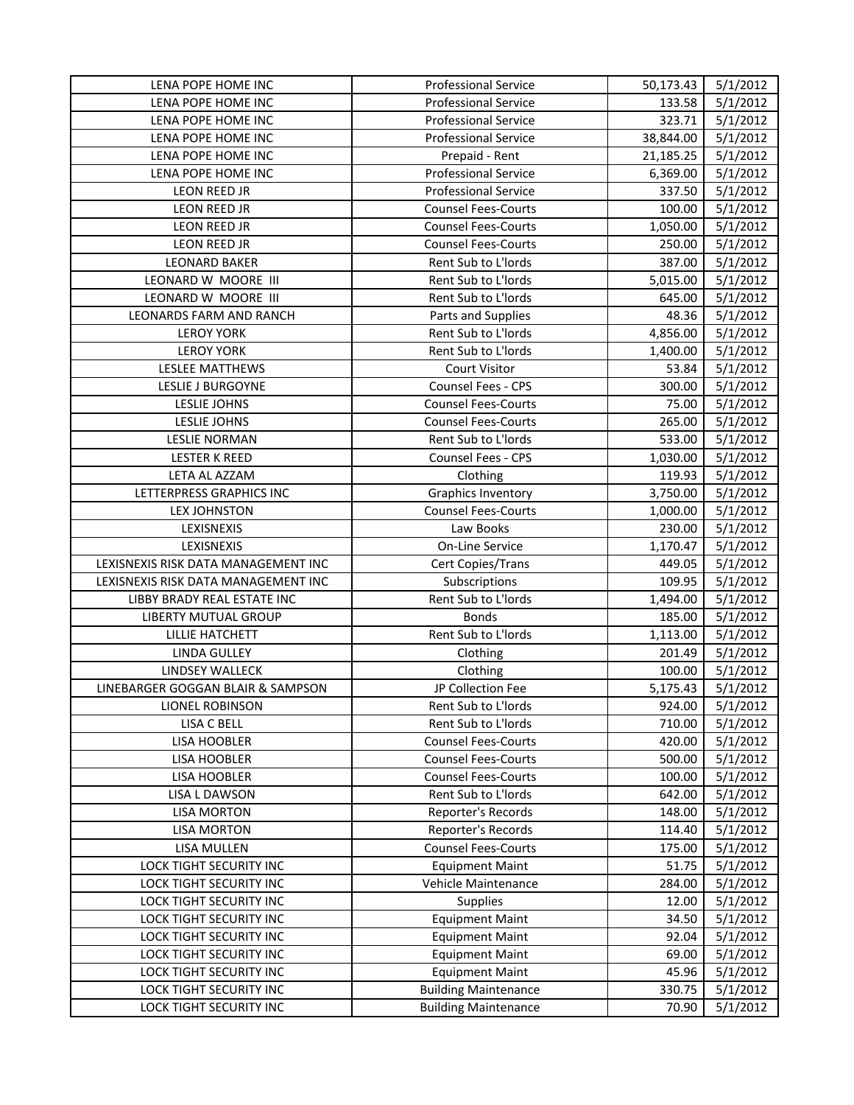| LENA POPE HOME INC                  | <b>Professional Service</b> | 50,173.43 | 5/1/2012 |
|-------------------------------------|-----------------------------|-----------|----------|
| LENA POPE HOME INC                  | <b>Professional Service</b> | 133.58    | 5/1/2012 |
| LENA POPE HOME INC                  | <b>Professional Service</b> | 323.71    | 5/1/2012 |
| LENA POPE HOME INC                  | <b>Professional Service</b> | 38,844.00 | 5/1/2012 |
| LENA POPE HOME INC                  | Prepaid - Rent              | 21,185.25 | 5/1/2012 |
| LENA POPE HOME INC                  | <b>Professional Service</b> | 6,369.00  | 5/1/2012 |
| LEON REED JR                        | <b>Professional Service</b> | 337.50    | 5/1/2012 |
| LEON REED JR                        | <b>Counsel Fees-Courts</b>  | 100.00    | 5/1/2012 |
| LEON REED JR                        | <b>Counsel Fees-Courts</b>  | 1,050.00  | 5/1/2012 |
| LEON REED JR                        | <b>Counsel Fees-Courts</b>  | 250.00    | 5/1/2012 |
| <b>LEONARD BAKER</b>                | Rent Sub to L'Iords         | 387.00    | 5/1/2012 |
| LEONARD W MOORE III                 | Rent Sub to L'Iords         | 5,015.00  | 5/1/2012 |
| LEONARD W MOORE III                 | Rent Sub to L'Iords         | 645.00    | 5/1/2012 |
| LEONARDS FARM AND RANCH             | Parts and Supplies          | 48.36     | 5/1/2012 |
| <b>LEROY YORK</b>                   | Rent Sub to L'Iords         | 4,856.00  | 5/1/2012 |
| <b>LEROY YORK</b>                   | Rent Sub to L'Iords         | 1,400.00  | 5/1/2012 |
| LESLEE MATTHEWS                     | <b>Court Visitor</b>        | 53.84     | 5/1/2012 |
| LESLIE J BURGOYNE                   | <b>Counsel Fees - CPS</b>   | 300.00    | 5/1/2012 |
| LESLIE JOHNS                        | <b>Counsel Fees-Courts</b>  | 75.00     | 5/1/2012 |
| LESLIE JOHNS                        | <b>Counsel Fees-Courts</b>  | 265.00    | 5/1/2012 |
| <b>LESLIE NORMAN</b>                | Rent Sub to L'Iords         | 533.00    | 5/1/2012 |
| <b>LESTER K REED</b>                | Counsel Fees - CPS          | 1,030.00  | 5/1/2012 |
| LETA AL AZZAM                       | Clothing                    | 119.93    | 5/1/2012 |
| LETTERPRESS GRAPHICS INC            | <b>Graphics Inventory</b>   | 3,750.00  | 5/1/2012 |
| LEX JOHNSTON                        | <b>Counsel Fees-Courts</b>  | 1,000.00  | 5/1/2012 |
| LEXISNEXIS                          | Law Books                   | 230.00    | 5/1/2012 |
| LEXISNEXIS                          | On-Line Service             | 1,170.47  | 5/1/2012 |
| LEXISNEXIS RISK DATA MANAGEMENT INC | Cert Copies/Trans           | 449.05    | 5/1/2012 |
| LEXISNEXIS RISK DATA MANAGEMENT INC | Subscriptions               | 109.95    | 5/1/2012 |
| LIBBY BRADY REAL ESTATE INC         | Rent Sub to L'Iords         | 1,494.00  | 5/1/2012 |
| LIBERTY MUTUAL GROUP                | <b>Bonds</b>                | 185.00    | 5/1/2012 |
| <b>LILLIE HATCHETT</b>              | Rent Sub to L'Iords         | 1,113.00  | 5/1/2012 |
| <b>LINDA GULLEY</b>                 | Clothing                    | 201.49    | 5/1/2012 |
| LINDSEY WALLECK                     | Clothing                    | 100.00    | 5/1/2012 |
| LINEBARGER GOGGAN BLAIR & SAMPSON   | JP Collection Fee           | 5,175.43  | 5/1/2012 |
| LIONEL ROBINSON                     | Rent Sub to L'Iords         | 924.00    | 5/1/2012 |
| <b>LISA C BELL</b>                  | Rent Sub to L'Iords         | 710.00    | 5/1/2012 |
| LISA HOOBLER                        | <b>Counsel Fees-Courts</b>  | 420.00    | 5/1/2012 |
| LISA HOOBLER                        | <b>Counsel Fees-Courts</b>  | 500.00    | 5/1/2012 |
| <b>LISA HOOBLER</b>                 | <b>Counsel Fees-Courts</b>  | 100.00    | 5/1/2012 |
| LISA L DAWSON                       | Rent Sub to L'Iords         | 642.00    | 5/1/2012 |
| <b>LISA MORTON</b>                  | Reporter's Records          | 148.00    | 5/1/2012 |
| <b>LISA MORTON</b>                  | Reporter's Records          | 114.40    | 5/1/2012 |
| LISA MULLEN                         | <b>Counsel Fees-Courts</b>  | 175.00    | 5/1/2012 |
| <b>LOCK TIGHT SECURITY INC</b>      | <b>Equipment Maint</b>      | 51.75     | 5/1/2012 |
| LOCK TIGHT SECURITY INC             | Vehicle Maintenance         | 284.00    | 5/1/2012 |
| LOCK TIGHT SECURITY INC             | <b>Supplies</b>             | 12.00     | 5/1/2012 |
| LOCK TIGHT SECURITY INC             | <b>Equipment Maint</b>      | 34.50     | 5/1/2012 |
| LOCK TIGHT SECURITY INC             | <b>Equipment Maint</b>      | 92.04     | 5/1/2012 |
| LOCK TIGHT SECURITY INC             | <b>Equipment Maint</b>      | 69.00     | 5/1/2012 |
| LOCK TIGHT SECURITY INC             | <b>Equipment Maint</b>      | 45.96     | 5/1/2012 |
| LOCK TIGHT SECURITY INC             | <b>Building Maintenance</b> | 330.75    | 5/1/2012 |
| LOCK TIGHT SECURITY INC             | <b>Building Maintenance</b> | 70.90     | 5/1/2012 |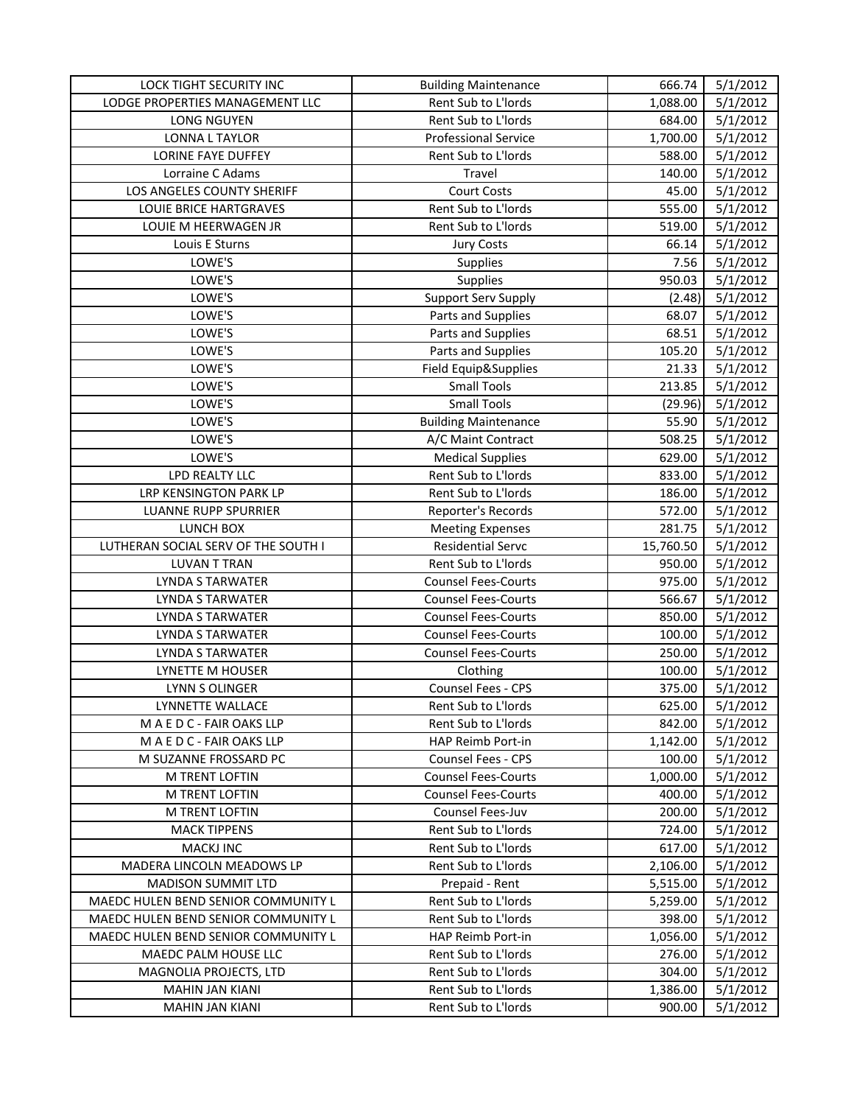| Rent Sub to L'Iords<br>LODGE PROPERTIES MANAGEMENT LLC<br>5/1/2012<br>1,088.00<br>Rent Sub to L'Iords<br>5/1/2012<br>LONG NGUYEN<br>684.00<br><b>LONNA L TAYLOR</b><br><b>Professional Service</b><br>1,700.00<br>5/1/2012<br><b>LORINE FAYE DUFFEY</b><br>Rent Sub to L'Iords<br>5/1/2012<br>588.00<br>5/1/2012<br>Lorraine C Adams<br>Travel<br>140.00<br>LOS ANGELES COUNTY SHERIFF<br><b>Court Costs</b><br>45.00<br>5/1/2012<br>Rent Sub to L'Iords<br>5/1/2012<br>LOUIE BRICE HARTGRAVES<br>555.00<br>Rent Sub to L'Iords<br>5/1/2012<br>LOUIE M HEERWAGEN JR<br>519.00<br>Louis E Sturns<br>5/1/2012<br><b>Jury Costs</b><br>66.14<br>LOWE'S<br>5/1/2012<br><b>Supplies</b><br>7.56<br>LOWE'S<br>950.03<br>5/1/2012<br><b>Supplies</b><br>LOWE'S<br>Support Serv Supply<br>5/1/2012<br>(2.48)<br>LOWE'S<br>5/1/2012<br>Parts and Supplies<br>68.07<br>LOWE'S<br>5/1/2012<br>Parts and Supplies<br>68.51<br>LOWE'S<br>105.20<br>Parts and Supplies<br>5/1/2012<br>LOWE'S<br>Field Equip&Supplies<br>5/1/2012<br>21.33<br>LOWE'S<br><b>Small Tools</b><br>213.85<br>5/1/2012<br>LOWE'S<br><b>Small Tools</b><br>(29.96)<br>5/1/2012<br>LOWE'S<br>55.90<br>5/1/2012<br><b>Building Maintenance</b><br>LOWE'S<br>508.25<br>5/1/2012<br>A/C Maint Contract<br>LOWE'S<br>629.00<br>5/1/2012<br><b>Medical Supplies</b><br>LPD REALTY LLC<br>Rent Sub to L'Iords<br>833.00<br>5/1/2012<br>LRP KENSINGTON PARK LP<br>Rent Sub to L'Iords<br>186.00<br>5/1/2012<br>5/1/2012<br><b>LUANNE RUPP SPURRIER</b><br>Reporter's Records<br>572.00<br>LUNCH BOX<br>281.75<br>5/1/2012<br><b>Meeting Expenses</b><br><b>Residential Servc</b><br>LUTHERAN SOCIAL SERV OF THE SOUTH I<br>15,760.50<br>5/1/2012<br><b>LUVAN T TRAN</b><br>Rent Sub to L'Iords<br>950.00<br>5/1/2012<br><b>Counsel Fees-Courts</b><br>975.00<br>5/1/2012<br><b>LYNDA S TARWATER</b><br>566.67<br>5/1/2012<br><b>LYNDA S TARWATER</b><br><b>Counsel Fees-Courts</b><br>5/1/2012<br><b>Counsel Fees-Courts</b><br>850.00<br>LYNDA S TARWATER<br>100.00<br><b>LYNDA S TARWATER</b><br><b>Counsel Fees-Courts</b><br>5/1/2012<br>5/1/2012<br><b>LYNDA S TARWATER</b><br><b>Counsel Fees-Courts</b><br>250.00<br>5/1/2012<br>LYNETTE M HOUSER<br>Clothing<br>100.00<br>Counsel Fees - CPS<br>375.00<br>5/1/2012<br>LYNN S OLINGER<br>LYNNETTE WALLACE<br>Rent Sub to L'Iords<br>625.00<br>5/1/2012<br>MAEDC-FAIR OAKS LLP<br>Rent Sub to L'Iords<br>842.00<br>5/1/2012<br>MAEDC-FAIR OAKS LLP<br>HAP Reimb Port-in<br>5/1/2012<br>1,142.00<br><b>Counsel Fees - CPS</b><br>5/1/2012<br>M SUZANNE FROSSARD PC<br>100.00<br><b>Counsel Fees-Courts</b><br>M TRENT LOFTIN<br>1,000.00<br>5/1/2012<br>M TRENT LOFTIN<br><b>Counsel Fees-Courts</b><br>400.00<br>5/1/2012<br>Counsel Fees-Juv<br>5/1/2012<br>M TRENT LOFTIN<br>200.00<br>Rent Sub to L'Iords<br><b>MACK TIPPENS</b><br>724.00<br>5/1/2012<br><b>MACKJ INC</b><br>Rent Sub to L'Iords<br>617.00<br>5/1/2012<br>MADERA LINCOLN MEADOWS LP<br>Rent Sub to L'Iords<br>5/1/2012<br>2,106.00<br>MADISON SUMMIT LTD<br>5/1/2012<br>Prepaid - Rent<br>5,515.00<br>MAEDC HULEN BEND SENIOR COMMUNITY L<br>Rent Sub to L'Iords<br>5,259.00<br>5/1/2012<br>Rent Sub to L'Iords<br>MAEDC HULEN BEND SENIOR COMMUNITY L<br>398.00<br>5/1/2012<br>MAEDC HULEN BEND SENIOR COMMUNITY L<br>HAP Reimb Port-in<br>1,056.00<br>5/1/2012<br>Rent Sub to L'Iords<br>MAEDC PALM HOUSE LLC<br>276.00<br>5/1/2012<br>Rent Sub to L'Iords<br>MAGNOLIA PROJECTS, LTD<br>5/1/2012<br>304.00<br><b>MAHIN JAN KIANI</b><br>Rent Sub to L'Iords<br>1,386.00<br>5/1/2012 | LOCK TIGHT SECURITY INC | <b>Building Maintenance</b> | 666.74 | 5/1/2012 |
|-------------------------------------------------------------------------------------------------------------------------------------------------------------------------------------------------------------------------------------------------------------------------------------------------------------------------------------------------------------------------------------------------------------------------------------------------------------------------------------------------------------------------------------------------------------------------------------------------------------------------------------------------------------------------------------------------------------------------------------------------------------------------------------------------------------------------------------------------------------------------------------------------------------------------------------------------------------------------------------------------------------------------------------------------------------------------------------------------------------------------------------------------------------------------------------------------------------------------------------------------------------------------------------------------------------------------------------------------------------------------------------------------------------------------------------------------------------------------------------------------------------------------------------------------------------------------------------------------------------------------------------------------------------------------------------------------------------------------------------------------------------------------------------------------------------------------------------------------------------------------------------------------------------------------------------------------------------------------------------------------------------------------------------------------------------------------------------------------------------------------------------------------------------------------------------------------------------------------------------------------------------------------------------------------------------------------------------------------------------------------------------------------------------------------------------------------------------------------------------------------------------------------------------------------------------------------------------------------------------------------------------------------------------------------------------------------------------------------------------------------------------------------------------------------------------------------------------------------------------------------------------------------------------------------------------------------------------------------------------------------------------------------------------------------------------------------------------------------------------------------------------------------------------------------------------------------------------------------------------------------------------------------------------------------------------------------------------------------------------------------------------------------------------------------------------------------------------------------------------------------------------------------------------------------------------------|-------------------------|-----------------------------|--------|----------|
|                                                                                                                                                                                                                                                                                                                                                                                                                                                                                                                                                                                                                                                                                                                                                                                                                                                                                                                                                                                                                                                                                                                                                                                                                                                                                                                                                                                                                                                                                                                                                                                                                                                                                                                                                                                                                                                                                                                                                                                                                                                                                                                                                                                                                                                                                                                                                                                                                                                                                                                                                                                                                                                                                                                                                                                                                                                                                                                                                                                                                                                                                                                                                                                                                                                                                                                                                                                                                                                                                                                                                                   |                         |                             |        |          |
|                                                                                                                                                                                                                                                                                                                                                                                                                                                                                                                                                                                                                                                                                                                                                                                                                                                                                                                                                                                                                                                                                                                                                                                                                                                                                                                                                                                                                                                                                                                                                                                                                                                                                                                                                                                                                                                                                                                                                                                                                                                                                                                                                                                                                                                                                                                                                                                                                                                                                                                                                                                                                                                                                                                                                                                                                                                                                                                                                                                                                                                                                                                                                                                                                                                                                                                                                                                                                                                                                                                                                                   |                         |                             |        |          |
|                                                                                                                                                                                                                                                                                                                                                                                                                                                                                                                                                                                                                                                                                                                                                                                                                                                                                                                                                                                                                                                                                                                                                                                                                                                                                                                                                                                                                                                                                                                                                                                                                                                                                                                                                                                                                                                                                                                                                                                                                                                                                                                                                                                                                                                                                                                                                                                                                                                                                                                                                                                                                                                                                                                                                                                                                                                                                                                                                                                                                                                                                                                                                                                                                                                                                                                                                                                                                                                                                                                                                                   |                         |                             |        |          |
|                                                                                                                                                                                                                                                                                                                                                                                                                                                                                                                                                                                                                                                                                                                                                                                                                                                                                                                                                                                                                                                                                                                                                                                                                                                                                                                                                                                                                                                                                                                                                                                                                                                                                                                                                                                                                                                                                                                                                                                                                                                                                                                                                                                                                                                                                                                                                                                                                                                                                                                                                                                                                                                                                                                                                                                                                                                                                                                                                                                                                                                                                                                                                                                                                                                                                                                                                                                                                                                                                                                                                                   |                         |                             |        |          |
|                                                                                                                                                                                                                                                                                                                                                                                                                                                                                                                                                                                                                                                                                                                                                                                                                                                                                                                                                                                                                                                                                                                                                                                                                                                                                                                                                                                                                                                                                                                                                                                                                                                                                                                                                                                                                                                                                                                                                                                                                                                                                                                                                                                                                                                                                                                                                                                                                                                                                                                                                                                                                                                                                                                                                                                                                                                                                                                                                                                                                                                                                                                                                                                                                                                                                                                                                                                                                                                                                                                                                                   |                         |                             |        |          |
|                                                                                                                                                                                                                                                                                                                                                                                                                                                                                                                                                                                                                                                                                                                                                                                                                                                                                                                                                                                                                                                                                                                                                                                                                                                                                                                                                                                                                                                                                                                                                                                                                                                                                                                                                                                                                                                                                                                                                                                                                                                                                                                                                                                                                                                                                                                                                                                                                                                                                                                                                                                                                                                                                                                                                                                                                                                                                                                                                                                                                                                                                                                                                                                                                                                                                                                                                                                                                                                                                                                                                                   |                         |                             |        |          |
|                                                                                                                                                                                                                                                                                                                                                                                                                                                                                                                                                                                                                                                                                                                                                                                                                                                                                                                                                                                                                                                                                                                                                                                                                                                                                                                                                                                                                                                                                                                                                                                                                                                                                                                                                                                                                                                                                                                                                                                                                                                                                                                                                                                                                                                                                                                                                                                                                                                                                                                                                                                                                                                                                                                                                                                                                                                                                                                                                                                                                                                                                                                                                                                                                                                                                                                                                                                                                                                                                                                                                                   |                         |                             |        |          |
|                                                                                                                                                                                                                                                                                                                                                                                                                                                                                                                                                                                                                                                                                                                                                                                                                                                                                                                                                                                                                                                                                                                                                                                                                                                                                                                                                                                                                                                                                                                                                                                                                                                                                                                                                                                                                                                                                                                                                                                                                                                                                                                                                                                                                                                                                                                                                                                                                                                                                                                                                                                                                                                                                                                                                                                                                                                                                                                                                                                                                                                                                                                                                                                                                                                                                                                                                                                                                                                                                                                                                                   |                         |                             |        |          |
|                                                                                                                                                                                                                                                                                                                                                                                                                                                                                                                                                                                                                                                                                                                                                                                                                                                                                                                                                                                                                                                                                                                                                                                                                                                                                                                                                                                                                                                                                                                                                                                                                                                                                                                                                                                                                                                                                                                                                                                                                                                                                                                                                                                                                                                                                                                                                                                                                                                                                                                                                                                                                                                                                                                                                                                                                                                                                                                                                                                                                                                                                                                                                                                                                                                                                                                                                                                                                                                                                                                                                                   |                         |                             |        |          |
|                                                                                                                                                                                                                                                                                                                                                                                                                                                                                                                                                                                                                                                                                                                                                                                                                                                                                                                                                                                                                                                                                                                                                                                                                                                                                                                                                                                                                                                                                                                                                                                                                                                                                                                                                                                                                                                                                                                                                                                                                                                                                                                                                                                                                                                                                                                                                                                                                                                                                                                                                                                                                                                                                                                                                                                                                                                                                                                                                                                                                                                                                                                                                                                                                                                                                                                                                                                                                                                                                                                                                                   |                         |                             |        |          |
|                                                                                                                                                                                                                                                                                                                                                                                                                                                                                                                                                                                                                                                                                                                                                                                                                                                                                                                                                                                                                                                                                                                                                                                                                                                                                                                                                                                                                                                                                                                                                                                                                                                                                                                                                                                                                                                                                                                                                                                                                                                                                                                                                                                                                                                                                                                                                                                                                                                                                                                                                                                                                                                                                                                                                                                                                                                                                                                                                                                                                                                                                                                                                                                                                                                                                                                                                                                                                                                                                                                                                                   |                         |                             |        |          |
|                                                                                                                                                                                                                                                                                                                                                                                                                                                                                                                                                                                                                                                                                                                                                                                                                                                                                                                                                                                                                                                                                                                                                                                                                                                                                                                                                                                                                                                                                                                                                                                                                                                                                                                                                                                                                                                                                                                                                                                                                                                                                                                                                                                                                                                                                                                                                                                                                                                                                                                                                                                                                                                                                                                                                                                                                                                                                                                                                                                                                                                                                                                                                                                                                                                                                                                                                                                                                                                                                                                                                                   |                         |                             |        |          |
|                                                                                                                                                                                                                                                                                                                                                                                                                                                                                                                                                                                                                                                                                                                                                                                                                                                                                                                                                                                                                                                                                                                                                                                                                                                                                                                                                                                                                                                                                                                                                                                                                                                                                                                                                                                                                                                                                                                                                                                                                                                                                                                                                                                                                                                                                                                                                                                                                                                                                                                                                                                                                                                                                                                                                                                                                                                                                                                                                                                                                                                                                                                                                                                                                                                                                                                                                                                                                                                                                                                                                                   |                         |                             |        |          |
|                                                                                                                                                                                                                                                                                                                                                                                                                                                                                                                                                                                                                                                                                                                                                                                                                                                                                                                                                                                                                                                                                                                                                                                                                                                                                                                                                                                                                                                                                                                                                                                                                                                                                                                                                                                                                                                                                                                                                                                                                                                                                                                                                                                                                                                                                                                                                                                                                                                                                                                                                                                                                                                                                                                                                                                                                                                                                                                                                                                                                                                                                                                                                                                                                                                                                                                                                                                                                                                                                                                                                                   |                         |                             |        |          |
|                                                                                                                                                                                                                                                                                                                                                                                                                                                                                                                                                                                                                                                                                                                                                                                                                                                                                                                                                                                                                                                                                                                                                                                                                                                                                                                                                                                                                                                                                                                                                                                                                                                                                                                                                                                                                                                                                                                                                                                                                                                                                                                                                                                                                                                                                                                                                                                                                                                                                                                                                                                                                                                                                                                                                                                                                                                                                                                                                                                                                                                                                                                                                                                                                                                                                                                                                                                                                                                                                                                                                                   |                         |                             |        |          |
|                                                                                                                                                                                                                                                                                                                                                                                                                                                                                                                                                                                                                                                                                                                                                                                                                                                                                                                                                                                                                                                                                                                                                                                                                                                                                                                                                                                                                                                                                                                                                                                                                                                                                                                                                                                                                                                                                                                                                                                                                                                                                                                                                                                                                                                                                                                                                                                                                                                                                                                                                                                                                                                                                                                                                                                                                                                                                                                                                                                                                                                                                                                                                                                                                                                                                                                                                                                                                                                                                                                                                                   |                         |                             |        |          |
|                                                                                                                                                                                                                                                                                                                                                                                                                                                                                                                                                                                                                                                                                                                                                                                                                                                                                                                                                                                                                                                                                                                                                                                                                                                                                                                                                                                                                                                                                                                                                                                                                                                                                                                                                                                                                                                                                                                                                                                                                                                                                                                                                                                                                                                                                                                                                                                                                                                                                                                                                                                                                                                                                                                                                                                                                                                                                                                                                                                                                                                                                                                                                                                                                                                                                                                                                                                                                                                                                                                                                                   |                         |                             |        |          |
|                                                                                                                                                                                                                                                                                                                                                                                                                                                                                                                                                                                                                                                                                                                                                                                                                                                                                                                                                                                                                                                                                                                                                                                                                                                                                                                                                                                                                                                                                                                                                                                                                                                                                                                                                                                                                                                                                                                                                                                                                                                                                                                                                                                                                                                                                                                                                                                                                                                                                                                                                                                                                                                                                                                                                                                                                                                                                                                                                                                                                                                                                                                                                                                                                                                                                                                                                                                                                                                                                                                                                                   |                         |                             |        |          |
|                                                                                                                                                                                                                                                                                                                                                                                                                                                                                                                                                                                                                                                                                                                                                                                                                                                                                                                                                                                                                                                                                                                                                                                                                                                                                                                                                                                                                                                                                                                                                                                                                                                                                                                                                                                                                                                                                                                                                                                                                                                                                                                                                                                                                                                                                                                                                                                                                                                                                                                                                                                                                                                                                                                                                                                                                                                                                                                                                                                                                                                                                                                                                                                                                                                                                                                                                                                                                                                                                                                                                                   |                         |                             |        |          |
|                                                                                                                                                                                                                                                                                                                                                                                                                                                                                                                                                                                                                                                                                                                                                                                                                                                                                                                                                                                                                                                                                                                                                                                                                                                                                                                                                                                                                                                                                                                                                                                                                                                                                                                                                                                                                                                                                                                                                                                                                                                                                                                                                                                                                                                                                                                                                                                                                                                                                                                                                                                                                                                                                                                                                                                                                                                                                                                                                                                                                                                                                                                                                                                                                                                                                                                                                                                                                                                                                                                                                                   |                         |                             |        |          |
|                                                                                                                                                                                                                                                                                                                                                                                                                                                                                                                                                                                                                                                                                                                                                                                                                                                                                                                                                                                                                                                                                                                                                                                                                                                                                                                                                                                                                                                                                                                                                                                                                                                                                                                                                                                                                                                                                                                                                                                                                                                                                                                                                                                                                                                                                                                                                                                                                                                                                                                                                                                                                                                                                                                                                                                                                                                                                                                                                                                                                                                                                                                                                                                                                                                                                                                                                                                                                                                                                                                                                                   |                         |                             |        |          |
|                                                                                                                                                                                                                                                                                                                                                                                                                                                                                                                                                                                                                                                                                                                                                                                                                                                                                                                                                                                                                                                                                                                                                                                                                                                                                                                                                                                                                                                                                                                                                                                                                                                                                                                                                                                                                                                                                                                                                                                                                                                                                                                                                                                                                                                                                                                                                                                                                                                                                                                                                                                                                                                                                                                                                                                                                                                                                                                                                                                                                                                                                                                                                                                                                                                                                                                                                                                                                                                                                                                                                                   |                         |                             |        |          |
|                                                                                                                                                                                                                                                                                                                                                                                                                                                                                                                                                                                                                                                                                                                                                                                                                                                                                                                                                                                                                                                                                                                                                                                                                                                                                                                                                                                                                                                                                                                                                                                                                                                                                                                                                                                                                                                                                                                                                                                                                                                                                                                                                                                                                                                                                                                                                                                                                                                                                                                                                                                                                                                                                                                                                                                                                                                                                                                                                                                                                                                                                                                                                                                                                                                                                                                                                                                                                                                                                                                                                                   |                         |                             |        |          |
|                                                                                                                                                                                                                                                                                                                                                                                                                                                                                                                                                                                                                                                                                                                                                                                                                                                                                                                                                                                                                                                                                                                                                                                                                                                                                                                                                                                                                                                                                                                                                                                                                                                                                                                                                                                                                                                                                                                                                                                                                                                                                                                                                                                                                                                                                                                                                                                                                                                                                                                                                                                                                                                                                                                                                                                                                                                                                                                                                                                                                                                                                                                                                                                                                                                                                                                                                                                                                                                                                                                                                                   |                         |                             |        |          |
|                                                                                                                                                                                                                                                                                                                                                                                                                                                                                                                                                                                                                                                                                                                                                                                                                                                                                                                                                                                                                                                                                                                                                                                                                                                                                                                                                                                                                                                                                                                                                                                                                                                                                                                                                                                                                                                                                                                                                                                                                                                                                                                                                                                                                                                                                                                                                                                                                                                                                                                                                                                                                                                                                                                                                                                                                                                                                                                                                                                                                                                                                                                                                                                                                                                                                                                                                                                                                                                                                                                                                                   |                         |                             |        |          |
|                                                                                                                                                                                                                                                                                                                                                                                                                                                                                                                                                                                                                                                                                                                                                                                                                                                                                                                                                                                                                                                                                                                                                                                                                                                                                                                                                                                                                                                                                                                                                                                                                                                                                                                                                                                                                                                                                                                                                                                                                                                                                                                                                                                                                                                                                                                                                                                                                                                                                                                                                                                                                                                                                                                                                                                                                                                                                                                                                                                                                                                                                                                                                                                                                                                                                                                                                                                                                                                                                                                                                                   |                         |                             |        |          |
|                                                                                                                                                                                                                                                                                                                                                                                                                                                                                                                                                                                                                                                                                                                                                                                                                                                                                                                                                                                                                                                                                                                                                                                                                                                                                                                                                                                                                                                                                                                                                                                                                                                                                                                                                                                                                                                                                                                                                                                                                                                                                                                                                                                                                                                                                                                                                                                                                                                                                                                                                                                                                                                                                                                                                                                                                                                                                                                                                                                                                                                                                                                                                                                                                                                                                                                                                                                                                                                                                                                                                                   |                         |                             |        |          |
|                                                                                                                                                                                                                                                                                                                                                                                                                                                                                                                                                                                                                                                                                                                                                                                                                                                                                                                                                                                                                                                                                                                                                                                                                                                                                                                                                                                                                                                                                                                                                                                                                                                                                                                                                                                                                                                                                                                                                                                                                                                                                                                                                                                                                                                                                                                                                                                                                                                                                                                                                                                                                                                                                                                                                                                                                                                                                                                                                                                                                                                                                                                                                                                                                                                                                                                                                                                                                                                                                                                                                                   |                         |                             |        |          |
|                                                                                                                                                                                                                                                                                                                                                                                                                                                                                                                                                                                                                                                                                                                                                                                                                                                                                                                                                                                                                                                                                                                                                                                                                                                                                                                                                                                                                                                                                                                                                                                                                                                                                                                                                                                                                                                                                                                                                                                                                                                                                                                                                                                                                                                                                                                                                                                                                                                                                                                                                                                                                                                                                                                                                                                                                                                                                                                                                                                                                                                                                                                                                                                                                                                                                                                                                                                                                                                                                                                                                                   |                         |                             |        |          |
|                                                                                                                                                                                                                                                                                                                                                                                                                                                                                                                                                                                                                                                                                                                                                                                                                                                                                                                                                                                                                                                                                                                                                                                                                                                                                                                                                                                                                                                                                                                                                                                                                                                                                                                                                                                                                                                                                                                                                                                                                                                                                                                                                                                                                                                                                                                                                                                                                                                                                                                                                                                                                                                                                                                                                                                                                                                                                                                                                                                                                                                                                                                                                                                                                                                                                                                                                                                                                                                                                                                                                                   |                         |                             |        |          |
|                                                                                                                                                                                                                                                                                                                                                                                                                                                                                                                                                                                                                                                                                                                                                                                                                                                                                                                                                                                                                                                                                                                                                                                                                                                                                                                                                                                                                                                                                                                                                                                                                                                                                                                                                                                                                                                                                                                                                                                                                                                                                                                                                                                                                                                                                                                                                                                                                                                                                                                                                                                                                                                                                                                                                                                                                                                                                                                                                                                                                                                                                                                                                                                                                                                                                                                                                                                                                                                                                                                                                                   |                         |                             |        |          |
|                                                                                                                                                                                                                                                                                                                                                                                                                                                                                                                                                                                                                                                                                                                                                                                                                                                                                                                                                                                                                                                                                                                                                                                                                                                                                                                                                                                                                                                                                                                                                                                                                                                                                                                                                                                                                                                                                                                                                                                                                                                                                                                                                                                                                                                                                                                                                                                                                                                                                                                                                                                                                                                                                                                                                                                                                                                                                                                                                                                                                                                                                                                                                                                                                                                                                                                                                                                                                                                                                                                                                                   |                         |                             |        |          |
|                                                                                                                                                                                                                                                                                                                                                                                                                                                                                                                                                                                                                                                                                                                                                                                                                                                                                                                                                                                                                                                                                                                                                                                                                                                                                                                                                                                                                                                                                                                                                                                                                                                                                                                                                                                                                                                                                                                                                                                                                                                                                                                                                                                                                                                                                                                                                                                                                                                                                                                                                                                                                                                                                                                                                                                                                                                                                                                                                                                                                                                                                                                                                                                                                                                                                                                                                                                                                                                                                                                                                                   |                         |                             |        |          |
|                                                                                                                                                                                                                                                                                                                                                                                                                                                                                                                                                                                                                                                                                                                                                                                                                                                                                                                                                                                                                                                                                                                                                                                                                                                                                                                                                                                                                                                                                                                                                                                                                                                                                                                                                                                                                                                                                                                                                                                                                                                                                                                                                                                                                                                                                                                                                                                                                                                                                                                                                                                                                                                                                                                                                                                                                                                                                                                                                                                                                                                                                                                                                                                                                                                                                                                                                                                                                                                                                                                                                                   |                         |                             |        |          |
|                                                                                                                                                                                                                                                                                                                                                                                                                                                                                                                                                                                                                                                                                                                                                                                                                                                                                                                                                                                                                                                                                                                                                                                                                                                                                                                                                                                                                                                                                                                                                                                                                                                                                                                                                                                                                                                                                                                                                                                                                                                                                                                                                                                                                                                                                                                                                                                                                                                                                                                                                                                                                                                                                                                                                                                                                                                                                                                                                                                                                                                                                                                                                                                                                                                                                                                                                                                                                                                                                                                                                                   |                         |                             |        |          |
|                                                                                                                                                                                                                                                                                                                                                                                                                                                                                                                                                                                                                                                                                                                                                                                                                                                                                                                                                                                                                                                                                                                                                                                                                                                                                                                                                                                                                                                                                                                                                                                                                                                                                                                                                                                                                                                                                                                                                                                                                                                                                                                                                                                                                                                                                                                                                                                                                                                                                                                                                                                                                                                                                                                                                                                                                                                                                                                                                                                                                                                                                                                                                                                                                                                                                                                                                                                                                                                                                                                                                                   |                         |                             |        |          |
|                                                                                                                                                                                                                                                                                                                                                                                                                                                                                                                                                                                                                                                                                                                                                                                                                                                                                                                                                                                                                                                                                                                                                                                                                                                                                                                                                                                                                                                                                                                                                                                                                                                                                                                                                                                                                                                                                                                                                                                                                                                                                                                                                                                                                                                                                                                                                                                                                                                                                                                                                                                                                                                                                                                                                                                                                                                                                                                                                                                                                                                                                                                                                                                                                                                                                                                                                                                                                                                                                                                                                                   |                         |                             |        |          |
|                                                                                                                                                                                                                                                                                                                                                                                                                                                                                                                                                                                                                                                                                                                                                                                                                                                                                                                                                                                                                                                                                                                                                                                                                                                                                                                                                                                                                                                                                                                                                                                                                                                                                                                                                                                                                                                                                                                                                                                                                                                                                                                                                                                                                                                                                                                                                                                                                                                                                                                                                                                                                                                                                                                                                                                                                                                                                                                                                                                                                                                                                                                                                                                                                                                                                                                                                                                                                                                                                                                                                                   |                         |                             |        |          |
|                                                                                                                                                                                                                                                                                                                                                                                                                                                                                                                                                                                                                                                                                                                                                                                                                                                                                                                                                                                                                                                                                                                                                                                                                                                                                                                                                                                                                                                                                                                                                                                                                                                                                                                                                                                                                                                                                                                                                                                                                                                                                                                                                                                                                                                                                                                                                                                                                                                                                                                                                                                                                                                                                                                                                                                                                                                                                                                                                                                                                                                                                                                                                                                                                                                                                                                                                                                                                                                                                                                                                                   |                         |                             |        |          |
|                                                                                                                                                                                                                                                                                                                                                                                                                                                                                                                                                                                                                                                                                                                                                                                                                                                                                                                                                                                                                                                                                                                                                                                                                                                                                                                                                                                                                                                                                                                                                                                                                                                                                                                                                                                                                                                                                                                                                                                                                                                                                                                                                                                                                                                                                                                                                                                                                                                                                                                                                                                                                                                                                                                                                                                                                                                                                                                                                                                                                                                                                                                                                                                                                                                                                                                                                                                                                                                                                                                                                                   |                         |                             |        |          |
|                                                                                                                                                                                                                                                                                                                                                                                                                                                                                                                                                                                                                                                                                                                                                                                                                                                                                                                                                                                                                                                                                                                                                                                                                                                                                                                                                                                                                                                                                                                                                                                                                                                                                                                                                                                                                                                                                                                                                                                                                                                                                                                                                                                                                                                                                                                                                                                                                                                                                                                                                                                                                                                                                                                                                                                                                                                                                                                                                                                                                                                                                                                                                                                                                                                                                                                                                                                                                                                                                                                                                                   |                         |                             |        |          |
|                                                                                                                                                                                                                                                                                                                                                                                                                                                                                                                                                                                                                                                                                                                                                                                                                                                                                                                                                                                                                                                                                                                                                                                                                                                                                                                                                                                                                                                                                                                                                                                                                                                                                                                                                                                                                                                                                                                                                                                                                                                                                                                                                                                                                                                                                                                                                                                                                                                                                                                                                                                                                                                                                                                                                                                                                                                                                                                                                                                                                                                                                                                                                                                                                                                                                                                                                                                                                                                                                                                                                                   |                         |                             |        |          |
|                                                                                                                                                                                                                                                                                                                                                                                                                                                                                                                                                                                                                                                                                                                                                                                                                                                                                                                                                                                                                                                                                                                                                                                                                                                                                                                                                                                                                                                                                                                                                                                                                                                                                                                                                                                                                                                                                                                                                                                                                                                                                                                                                                                                                                                                                                                                                                                                                                                                                                                                                                                                                                                                                                                                                                                                                                                                                                                                                                                                                                                                                                                                                                                                                                                                                                                                                                                                                                                                                                                                                                   |                         |                             |        |          |
|                                                                                                                                                                                                                                                                                                                                                                                                                                                                                                                                                                                                                                                                                                                                                                                                                                                                                                                                                                                                                                                                                                                                                                                                                                                                                                                                                                                                                                                                                                                                                                                                                                                                                                                                                                                                                                                                                                                                                                                                                                                                                                                                                                                                                                                                                                                                                                                                                                                                                                                                                                                                                                                                                                                                                                                                                                                                                                                                                                                                                                                                                                                                                                                                                                                                                                                                                                                                                                                                                                                                                                   |                         |                             |        |          |
|                                                                                                                                                                                                                                                                                                                                                                                                                                                                                                                                                                                                                                                                                                                                                                                                                                                                                                                                                                                                                                                                                                                                                                                                                                                                                                                                                                                                                                                                                                                                                                                                                                                                                                                                                                                                                                                                                                                                                                                                                                                                                                                                                                                                                                                                                                                                                                                                                                                                                                                                                                                                                                                                                                                                                                                                                                                                                                                                                                                                                                                                                                                                                                                                                                                                                                                                                                                                                                                                                                                                                                   |                         |                             |        |          |
|                                                                                                                                                                                                                                                                                                                                                                                                                                                                                                                                                                                                                                                                                                                                                                                                                                                                                                                                                                                                                                                                                                                                                                                                                                                                                                                                                                                                                                                                                                                                                                                                                                                                                                                                                                                                                                                                                                                                                                                                                                                                                                                                                                                                                                                                                                                                                                                                                                                                                                                                                                                                                                                                                                                                                                                                                                                                                                                                                                                                                                                                                                                                                                                                                                                                                                                                                                                                                                                                                                                                                                   |                         |                             |        |          |
|                                                                                                                                                                                                                                                                                                                                                                                                                                                                                                                                                                                                                                                                                                                                                                                                                                                                                                                                                                                                                                                                                                                                                                                                                                                                                                                                                                                                                                                                                                                                                                                                                                                                                                                                                                                                                                                                                                                                                                                                                                                                                                                                                                                                                                                                                                                                                                                                                                                                                                                                                                                                                                                                                                                                                                                                                                                                                                                                                                                                                                                                                                                                                                                                                                                                                                                                                                                                                                                                                                                                                                   |                         |                             |        |          |
|                                                                                                                                                                                                                                                                                                                                                                                                                                                                                                                                                                                                                                                                                                                                                                                                                                                                                                                                                                                                                                                                                                                                                                                                                                                                                                                                                                                                                                                                                                                                                                                                                                                                                                                                                                                                                                                                                                                                                                                                                                                                                                                                                                                                                                                                                                                                                                                                                                                                                                                                                                                                                                                                                                                                                                                                                                                                                                                                                                                                                                                                                                                                                                                                                                                                                                                                                                                                                                                                                                                                                                   |                         |                             |        |          |
|                                                                                                                                                                                                                                                                                                                                                                                                                                                                                                                                                                                                                                                                                                                                                                                                                                                                                                                                                                                                                                                                                                                                                                                                                                                                                                                                                                                                                                                                                                                                                                                                                                                                                                                                                                                                                                                                                                                                                                                                                                                                                                                                                                                                                                                                                                                                                                                                                                                                                                                                                                                                                                                                                                                                                                                                                                                                                                                                                                                                                                                                                                                                                                                                                                                                                                                                                                                                                                                                                                                                                                   |                         |                             |        |          |
|                                                                                                                                                                                                                                                                                                                                                                                                                                                                                                                                                                                                                                                                                                                                                                                                                                                                                                                                                                                                                                                                                                                                                                                                                                                                                                                                                                                                                                                                                                                                                                                                                                                                                                                                                                                                                                                                                                                                                                                                                                                                                                                                                                                                                                                                                                                                                                                                                                                                                                                                                                                                                                                                                                                                                                                                                                                                                                                                                                                                                                                                                                                                                                                                                                                                                                                                                                                                                                                                                                                                                                   |                         |                             |        |          |
|                                                                                                                                                                                                                                                                                                                                                                                                                                                                                                                                                                                                                                                                                                                                                                                                                                                                                                                                                                                                                                                                                                                                                                                                                                                                                                                                                                                                                                                                                                                                                                                                                                                                                                                                                                                                                                                                                                                                                                                                                                                                                                                                                                                                                                                                                                                                                                                                                                                                                                                                                                                                                                                                                                                                                                                                                                                                                                                                                                                                                                                                                                                                                                                                                                                                                                                                                                                                                                                                                                                                                                   |                         |                             |        |          |
|                                                                                                                                                                                                                                                                                                                                                                                                                                                                                                                                                                                                                                                                                                                                                                                                                                                                                                                                                                                                                                                                                                                                                                                                                                                                                                                                                                                                                                                                                                                                                                                                                                                                                                                                                                                                                                                                                                                                                                                                                                                                                                                                                                                                                                                                                                                                                                                                                                                                                                                                                                                                                                                                                                                                                                                                                                                                                                                                                                                                                                                                                                                                                                                                                                                                                                                                                                                                                                                                                                                                                                   | <b>MAHIN JAN KIANI</b>  | Rent Sub to L'Iords         | 900.00 | 5/1/2012 |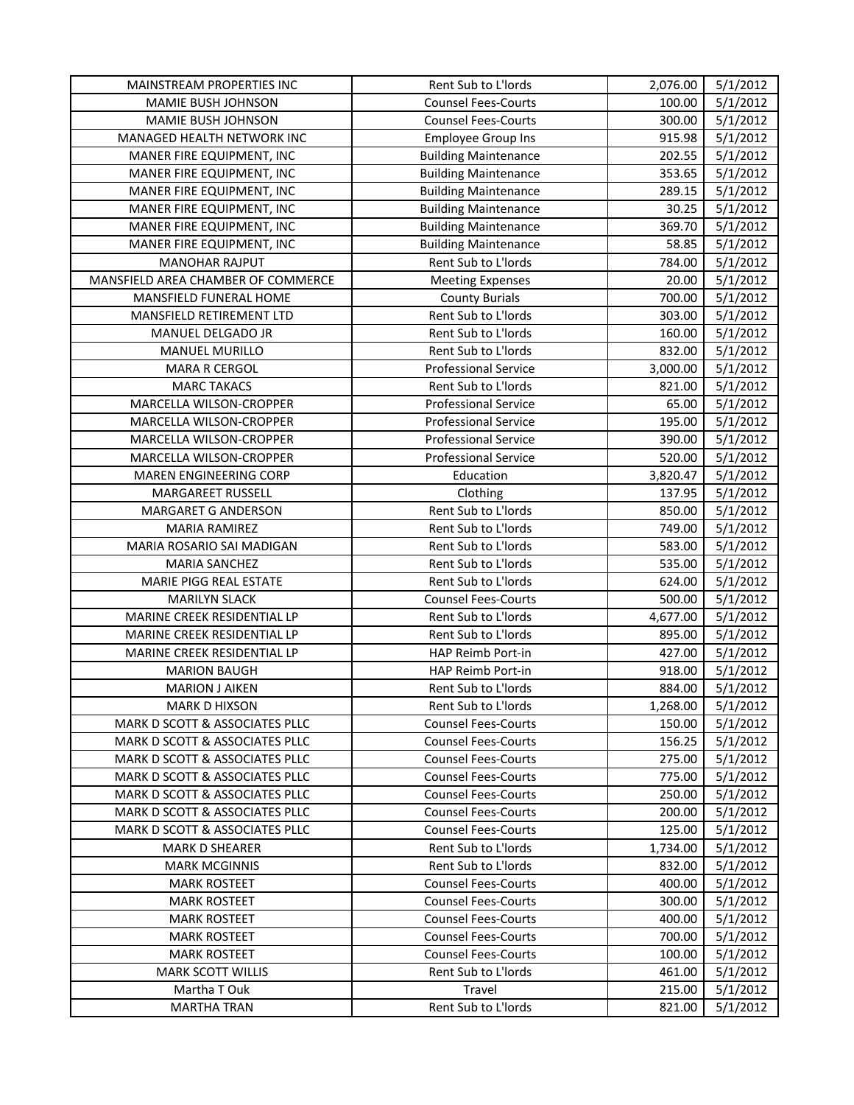| MAINSTREAM PROPERTIES INC          | Rent Sub to L'Iords         | 2,076.00 | 5/1/2012 |
|------------------------------------|-----------------------------|----------|----------|
| MAMIE BUSH JOHNSON                 | <b>Counsel Fees-Courts</b>  | 100.00   | 5/1/2012 |
| MAMIE BUSH JOHNSON                 | <b>Counsel Fees-Courts</b>  | 300.00   | 5/1/2012 |
| MANAGED HEALTH NETWORK INC         | <b>Employee Group Ins</b>   | 915.98   | 5/1/2012 |
| MANER FIRE EQUIPMENT, INC          | <b>Building Maintenance</b> | 202.55   | 5/1/2012 |
| MANER FIRE EQUIPMENT, INC          | <b>Building Maintenance</b> | 353.65   | 5/1/2012 |
| MANER FIRE EQUIPMENT, INC          | <b>Building Maintenance</b> | 289.15   | 5/1/2012 |
| MANER FIRE EQUIPMENT, INC          | <b>Building Maintenance</b> | 30.25    | 5/1/2012 |
| MANER FIRE EQUIPMENT, INC          | <b>Building Maintenance</b> | 369.70   | 5/1/2012 |
| MANER FIRE EQUIPMENT, INC          | <b>Building Maintenance</b> | 58.85    | 5/1/2012 |
| <b>MANOHAR RAJPUT</b>              | Rent Sub to L'Iords         | 784.00   | 5/1/2012 |
| MANSFIELD AREA CHAMBER OF COMMERCE | <b>Meeting Expenses</b>     | 20.00    | 5/1/2012 |
| MANSFIELD FUNERAL HOME             | <b>County Burials</b>       | 700.00   | 5/1/2012 |
| MANSFIELD RETIREMENT LTD           | Rent Sub to L'Iords         | 303.00   | 5/1/2012 |
| MANUEL DELGADO JR                  | Rent Sub to L'Iords         | 160.00   | 5/1/2012 |
| <b>MANUEL MURILLO</b>              | Rent Sub to L'Iords         | 832.00   | 5/1/2012 |
| MARA R CERGOL                      | <b>Professional Service</b> | 3,000.00 | 5/1/2012 |
| <b>MARC TAKACS</b>                 | Rent Sub to L'Iords         | 821.00   | 5/1/2012 |
| MARCELLA WILSON-CROPPER            | <b>Professional Service</b> | 65.00    | 5/1/2012 |
| MARCELLA WILSON-CROPPER            | <b>Professional Service</b> | 195.00   | 5/1/2012 |
| MARCELLA WILSON-CROPPER            | <b>Professional Service</b> | 390.00   | 5/1/2012 |
| MARCELLA WILSON-CROPPER            | <b>Professional Service</b> | 520.00   | 5/1/2012 |
| MAREN ENGINEERING CORP             | Education                   | 3,820.47 | 5/1/2012 |
| MARGAREET RUSSELL                  | Clothing                    | 137.95   | 5/1/2012 |
| MARGARET G ANDERSON                | Rent Sub to L'Iords         | 850.00   | 5/1/2012 |
| MARIA RAMIREZ                      | Rent Sub to L'Iords         | 749.00   | 5/1/2012 |
| MARIA ROSARIO SAI MADIGAN          | Rent Sub to L'Iords         | 583.00   | 5/1/2012 |
| <b>MARIA SANCHEZ</b>               | Rent Sub to L'Iords         | 535.00   | 5/1/2012 |
| MARIE PIGG REAL ESTATE             | Rent Sub to L'Iords         | 624.00   | 5/1/2012 |
| <b>MARILYN SLACK</b>               | <b>Counsel Fees-Courts</b>  | 500.00   | 5/1/2012 |
| MARINE CREEK RESIDENTIAL LP        | Rent Sub to L'Iords         | 4,677.00 | 5/1/2012 |
| MARINE CREEK RESIDENTIAL LP        | Rent Sub to L'Iords         | 895.00   | 5/1/2012 |
| MARINE CREEK RESIDENTIAL LP        | HAP Reimb Port-in           | 427.00   | 5/1/2012 |
| <b>MARION BAUGH</b>                | HAP Reimb Port-in           | 918.00   | 5/1/2012 |
| <b>MARION J AIKEN</b>              | Rent Sub to L'Iords         | 884.00   | 5/1/2012 |
| <b>MARK D HIXSON</b>               | Rent Sub to L'Iords         | 1,268.00 | 5/1/2012 |
| MARK D SCOTT & ASSOCIATES PLLC     | <b>Counsel Fees-Courts</b>  | 150.00   | 5/1/2012 |
| MARK D SCOTT & ASSOCIATES PLLC     | <b>Counsel Fees-Courts</b>  | 156.25   | 5/1/2012 |
| MARK D SCOTT & ASSOCIATES PLLC     | <b>Counsel Fees-Courts</b>  | 275.00   | 5/1/2012 |
| MARK D SCOTT & ASSOCIATES PLLC     | <b>Counsel Fees-Courts</b>  | 775.00   | 5/1/2012 |
| MARK D SCOTT & ASSOCIATES PLLC     | <b>Counsel Fees-Courts</b>  | 250.00   | 5/1/2012 |
| MARK D SCOTT & ASSOCIATES PLLC     | <b>Counsel Fees-Courts</b>  | 200.00   | 5/1/2012 |
| MARK D SCOTT & ASSOCIATES PLLC     | <b>Counsel Fees-Courts</b>  | 125.00   | 5/1/2012 |
| <b>MARK D SHEARER</b>              | Rent Sub to L'Iords         | 1,734.00 | 5/1/2012 |
| <b>MARK MCGINNIS</b>               | Rent Sub to L'Iords         | 832.00   | 5/1/2012 |
| <b>MARK ROSTEET</b>                | <b>Counsel Fees-Courts</b>  | 400.00   | 5/1/2012 |
| <b>MARK ROSTEET</b>                | <b>Counsel Fees-Courts</b>  | 300.00   | 5/1/2012 |
| <b>MARK ROSTEET</b>                | <b>Counsel Fees-Courts</b>  | 400.00   | 5/1/2012 |
| <b>MARK ROSTEET</b>                | <b>Counsel Fees-Courts</b>  | 700.00   | 5/1/2012 |
| <b>MARK ROSTEET</b>                | <b>Counsel Fees-Courts</b>  | 100.00   | 5/1/2012 |
| <b>MARK SCOTT WILLIS</b>           | Rent Sub to L'Iords         | 461.00   | 5/1/2012 |
| Martha T Ouk                       | Travel                      | 215.00   | 5/1/2012 |
| <b>MARTHA TRAN</b>                 | Rent Sub to L'Iords         | 821.00   | 5/1/2012 |
|                                    |                             |          |          |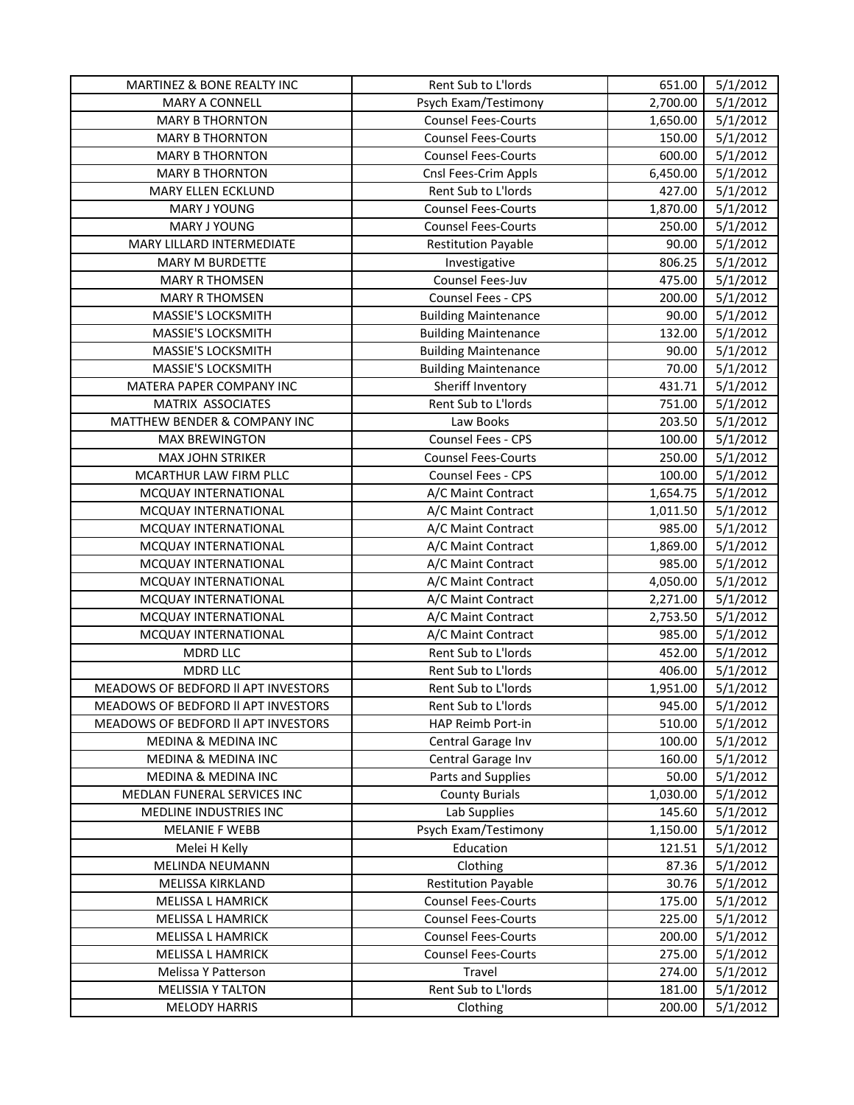| MARTINEZ & BONE REALTY INC          | Rent Sub to L'Iords         | 651.00   | 5/1/2012 |
|-------------------------------------|-----------------------------|----------|----------|
| MARY A CONNELL                      | Psych Exam/Testimony        | 2,700.00 | 5/1/2012 |
| <b>MARY B THORNTON</b>              | <b>Counsel Fees-Courts</b>  | 1,650.00 | 5/1/2012 |
| <b>MARY B THORNTON</b>              | <b>Counsel Fees-Courts</b>  | 150.00   | 5/1/2012 |
| <b>MARY B THORNTON</b>              | <b>Counsel Fees-Courts</b>  | 600.00   | 5/1/2012 |
| <b>MARY B THORNTON</b>              | Cnsl Fees-Crim Appls        | 6,450.00 | 5/1/2012 |
| MARY ELLEN ECKLUND                  | Rent Sub to L'Iords         | 427.00   | 5/1/2012 |
| MARY J YOUNG                        | <b>Counsel Fees-Courts</b>  | 1,870.00 | 5/1/2012 |
| <b>MARY J YOUNG</b>                 | <b>Counsel Fees-Courts</b>  | 250.00   | 5/1/2012 |
| MARY LILLARD INTERMEDIATE           | <b>Restitution Payable</b>  | 90.00    | 5/1/2012 |
| <b>MARY M BURDETTE</b>              | Investigative               | 806.25   | 5/1/2012 |
| <b>MARY R THOMSEN</b>               | Counsel Fees-Juv            | 475.00   | 5/1/2012 |
| <b>MARY R THOMSEN</b>               | Counsel Fees - CPS          | 200.00   | 5/1/2012 |
| MASSIE'S LOCKSMITH                  | <b>Building Maintenance</b> | 90.00    | 5/1/2012 |
| MASSIE'S LOCKSMITH                  | <b>Building Maintenance</b> | 132.00   | 5/1/2012 |
| MASSIE'S LOCKSMITH                  | <b>Building Maintenance</b> | 90.00    | 5/1/2012 |
| MASSIE'S LOCKSMITH                  | <b>Building Maintenance</b> | 70.00    | 5/1/2012 |
| MATERA PAPER COMPANY INC            | Sheriff Inventory           | 431.71   | 5/1/2012 |
| MATRIX ASSOCIATES                   | Rent Sub to L'Iords         | 751.00   | 5/1/2012 |
| MATTHEW BENDER & COMPANY INC        | Law Books                   | 203.50   | 5/1/2012 |
| <b>MAX BREWINGTON</b>               | Counsel Fees - CPS          | 100.00   | 5/1/2012 |
| <b>MAX JOHN STRIKER</b>             | <b>Counsel Fees-Courts</b>  | 250.00   | 5/1/2012 |
| MCARTHUR LAW FIRM PLLC              | Counsel Fees - CPS          | 100.00   | 5/1/2012 |
| MCQUAY INTERNATIONAL                | A/C Maint Contract          | 1,654.75 | 5/1/2012 |
| MCQUAY INTERNATIONAL                | A/C Maint Contract          | 1,011.50 | 5/1/2012 |
| MCQUAY INTERNATIONAL                | A/C Maint Contract          | 985.00   | 5/1/2012 |
| MCQUAY INTERNATIONAL                | A/C Maint Contract          | 1,869.00 | 5/1/2012 |
| MCQUAY INTERNATIONAL                | A/C Maint Contract          | 985.00   | 5/1/2012 |
| MCQUAY INTERNATIONAL                | A/C Maint Contract          | 4,050.00 | 5/1/2012 |
| MCQUAY INTERNATIONAL                | A/C Maint Contract          | 2,271.00 | 5/1/2012 |
| MCQUAY INTERNATIONAL                | A/C Maint Contract          | 2,753.50 | 5/1/2012 |
| MCQUAY INTERNATIONAL                | A/C Maint Contract          | 985.00   | 5/1/2012 |
| <b>MDRD LLC</b>                     | Rent Sub to L'Iords         | 452.00   | 5/1/2012 |
| <b>MDRD LLC</b>                     | Rent Sub to L'Iords         | 406.00   | 5/1/2012 |
| MEADOWS OF BEDFORD II APT INVESTORS | Rent Sub to L'Iords         | 1,951.00 | 5/1/2012 |
| MEADOWS OF BEDFORD II APT INVESTORS | Rent Sub to L'Iords         | 945.00   | 5/1/2012 |
| MEADOWS OF BEDFORD II APT INVESTORS | HAP Reimb Port-in           | 510.00   | 5/1/2012 |
| <b>MEDINA &amp; MEDINA INC</b>      | Central Garage Inv          | 100.00   | 5/1/2012 |
| MEDINA & MEDINA INC                 | Central Garage Inv          | 160.00   | 5/1/2012 |
| MEDINA & MEDINA INC                 | Parts and Supplies          | 50.00    | 5/1/2012 |
| MEDLAN FUNERAL SERVICES INC         | <b>County Burials</b>       | 1,030.00 | 5/1/2012 |
| MEDLINE INDUSTRIES INC              | Lab Supplies                | 145.60   | 5/1/2012 |
| <b>MELANIE F WEBB</b>               | Psych Exam/Testimony        | 1,150.00 | 5/1/2012 |
| Melei H Kelly                       | Education                   | 121.51   | 5/1/2012 |
| MELINDA NEUMANN                     | Clothing                    | 87.36    | 5/1/2012 |
| MELISSA KIRKLAND                    | <b>Restitution Payable</b>  | 30.76    | 5/1/2012 |
| MELISSA L HAMRICK                   | <b>Counsel Fees-Courts</b>  | 175.00   | 5/1/2012 |
| MELISSA L HAMRICK                   | <b>Counsel Fees-Courts</b>  | 225.00   | 5/1/2012 |
| MELISSA L HAMRICK                   | <b>Counsel Fees-Courts</b>  | 200.00   | 5/1/2012 |
| MELISSA L HAMRICK                   | <b>Counsel Fees-Courts</b>  | 275.00   | 5/1/2012 |
| Melissa Y Patterson                 | Travel                      | 274.00   | 5/1/2012 |
| <b>MELISSIA Y TALTON</b>            | Rent Sub to L'Iords         | 181.00   | 5/1/2012 |
| <b>MELODY HARRIS</b>                | Clothing                    | 200.00   | 5/1/2012 |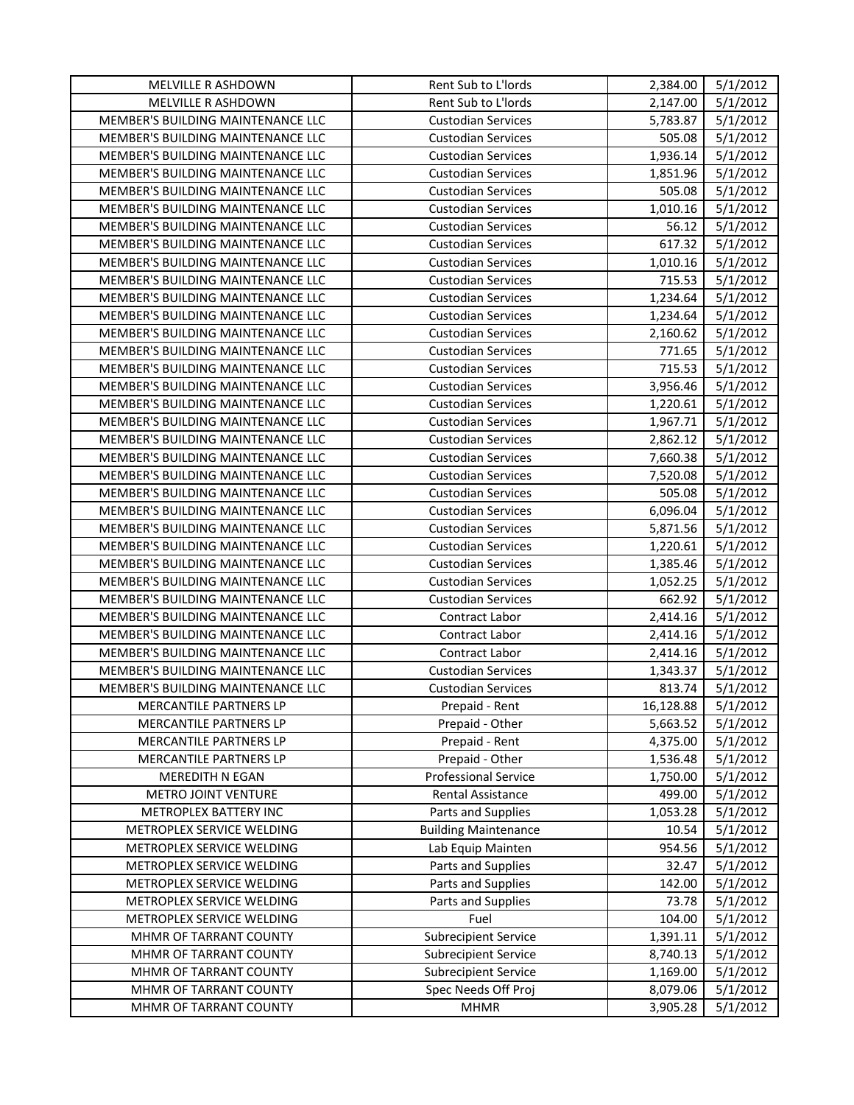| MELVILLE R ASHDOWN                       | Rent Sub to L'Iords         | 2,384.00  | 5/1/2012 |
|------------------------------------------|-----------------------------|-----------|----------|
| MELVILLE R ASHDOWN                       | Rent Sub to L'Iords         | 2,147.00  | 5/1/2012 |
| MEMBER'S BUILDING MAINTENANCE LLC        | <b>Custodian Services</b>   | 5,783.87  | 5/1/2012 |
| MEMBER'S BUILDING MAINTENANCE LLC        | <b>Custodian Services</b>   | 505.08    | 5/1/2012 |
| MEMBER'S BUILDING MAINTENANCE LLC        | <b>Custodian Services</b>   | 1,936.14  | 5/1/2012 |
| MEMBER'S BUILDING MAINTENANCE LLC        | <b>Custodian Services</b>   | 1,851.96  | 5/1/2012 |
| MEMBER'S BUILDING MAINTENANCE LLC        | <b>Custodian Services</b>   | 505.08    | 5/1/2012 |
| MEMBER'S BUILDING MAINTENANCE LLC        | <b>Custodian Services</b>   | 1,010.16  | 5/1/2012 |
| MEMBER'S BUILDING MAINTENANCE LLC        | <b>Custodian Services</b>   | 56.12     | 5/1/2012 |
| MEMBER'S BUILDING MAINTENANCE LLC        | <b>Custodian Services</b>   | 617.32    | 5/1/2012 |
| MEMBER'S BUILDING MAINTENANCE LLC        | <b>Custodian Services</b>   | 1,010.16  | 5/1/2012 |
| MEMBER'S BUILDING MAINTENANCE LLC        | <b>Custodian Services</b>   | 715.53    | 5/1/2012 |
| MEMBER'S BUILDING MAINTENANCE LLC        | <b>Custodian Services</b>   | 1,234.64  | 5/1/2012 |
| MEMBER'S BUILDING MAINTENANCE LLC        | <b>Custodian Services</b>   | 1,234.64  | 5/1/2012 |
| MEMBER'S BUILDING MAINTENANCE LLC        | <b>Custodian Services</b>   | 2,160.62  | 5/1/2012 |
| MEMBER'S BUILDING MAINTENANCE LLC        | <b>Custodian Services</b>   | 771.65    | 5/1/2012 |
| MEMBER'S BUILDING MAINTENANCE LLC        | <b>Custodian Services</b>   | 715.53    | 5/1/2012 |
| MEMBER'S BUILDING MAINTENANCE LLC        | <b>Custodian Services</b>   | 3,956.46  | 5/1/2012 |
| MEMBER'S BUILDING MAINTENANCE LLC        | <b>Custodian Services</b>   | 1,220.61  | 5/1/2012 |
| MEMBER'S BUILDING MAINTENANCE LLC        | <b>Custodian Services</b>   | 1,967.71  | 5/1/2012 |
| MEMBER'S BUILDING MAINTENANCE LLC        | <b>Custodian Services</b>   | 2,862.12  | 5/1/2012 |
| MEMBER'S BUILDING MAINTENANCE LLC        | <b>Custodian Services</b>   | 7,660.38  | 5/1/2012 |
| MEMBER'S BUILDING MAINTENANCE LLC        | <b>Custodian Services</b>   | 7,520.08  | 5/1/2012 |
| MEMBER'S BUILDING MAINTENANCE LLC        | <b>Custodian Services</b>   | 505.08    | 5/1/2012 |
| MEMBER'S BUILDING MAINTENANCE LLC        | <b>Custodian Services</b>   | 6,096.04  | 5/1/2012 |
| MEMBER'S BUILDING MAINTENANCE LLC        | <b>Custodian Services</b>   | 5,871.56  | 5/1/2012 |
| MEMBER'S BUILDING MAINTENANCE LLC        | <b>Custodian Services</b>   | 1,220.61  | 5/1/2012 |
| MEMBER'S BUILDING MAINTENANCE LLC        | <b>Custodian Services</b>   | 1,385.46  | 5/1/2012 |
| MEMBER'S BUILDING MAINTENANCE LLC        | <b>Custodian Services</b>   | 1,052.25  | 5/1/2012 |
| MEMBER'S BUILDING MAINTENANCE LLC        | <b>Custodian Services</b>   | 662.92    | 5/1/2012 |
| MEMBER'S BUILDING MAINTENANCE LLC        | Contract Labor              | 2,414.16  | 5/1/2012 |
| <b>MEMBER'S BUILDING MAINTENANCE LLC</b> | Contract Labor              | 2,414.16  | 5/1/2012 |
| MEMBER'S BUILDING MAINTENANCE LLC        | Contract Labor              | 2,414.16  | 5/1/2012 |
| MEMBER'S BUILDING MAINTENANCE LLC        | <b>Custodian Services</b>   | 1,343.37  | 5/1/2012 |
| <b>MEMBER'S BUILDING MAINTENANCE LLC</b> | <b>Custodian Services</b>   | 813.74    | 5/1/2012 |
| MERCANTILE PARTNERS LP                   | Prepaid - Rent              | 16,128.88 | 5/1/2012 |
| MERCANTILE PARTNERS LP                   | Prepaid - Other             | 5,663.52  | 5/1/2012 |
| MERCANTILE PARTNERS LP                   | Prepaid - Rent              | 4,375.00  | 5/1/2012 |
| MERCANTILE PARTNERS LP                   | Prepaid - Other             | 1,536.48  | 5/1/2012 |
| MEREDITH N EGAN                          | <b>Professional Service</b> | 1,750.00  | 5/1/2012 |
| METRO JOINT VENTURE                      | Rental Assistance           | 499.00    | 5/1/2012 |
| METROPLEX BATTERY INC                    | Parts and Supplies          | 1,053.28  | 5/1/2012 |
| METROPLEX SERVICE WELDING                | <b>Building Maintenance</b> | 10.54     | 5/1/2012 |
| METROPLEX SERVICE WELDING                | Lab Equip Mainten           | 954.56    | 5/1/2012 |
| METROPLEX SERVICE WELDING                | Parts and Supplies          | 32.47     | 5/1/2012 |
| METROPLEX SERVICE WELDING                | Parts and Supplies          | 142.00    | 5/1/2012 |
| METROPLEX SERVICE WELDING                | Parts and Supplies          | 73.78     | 5/1/2012 |
| METROPLEX SERVICE WELDING                | Fuel                        | 104.00    | 5/1/2012 |
| MHMR OF TARRANT COUNTY                   | <b>Subrecipient Service</b> | 1,391.11  | 5/1/2012 |
| MHMR OF TARRANT COUNTY                   | <b>Subrecipient Service</b> | 8,740.13  | 5/1/2012 |
| MHMR OF TARRANT COUNTY                   | <b>Subrecipient Service</b> | 1,169.00  | 5/1/2012 |
| MHMR OF TARRANT COUNTY                   | Spec Needs Off Proj         | 8,079.06  | 5/1/2012 |
| MHMR OF TARRANT COUNTY                   | <b>MHMR</b>                 | 3,905.28  | 5/1/2012 |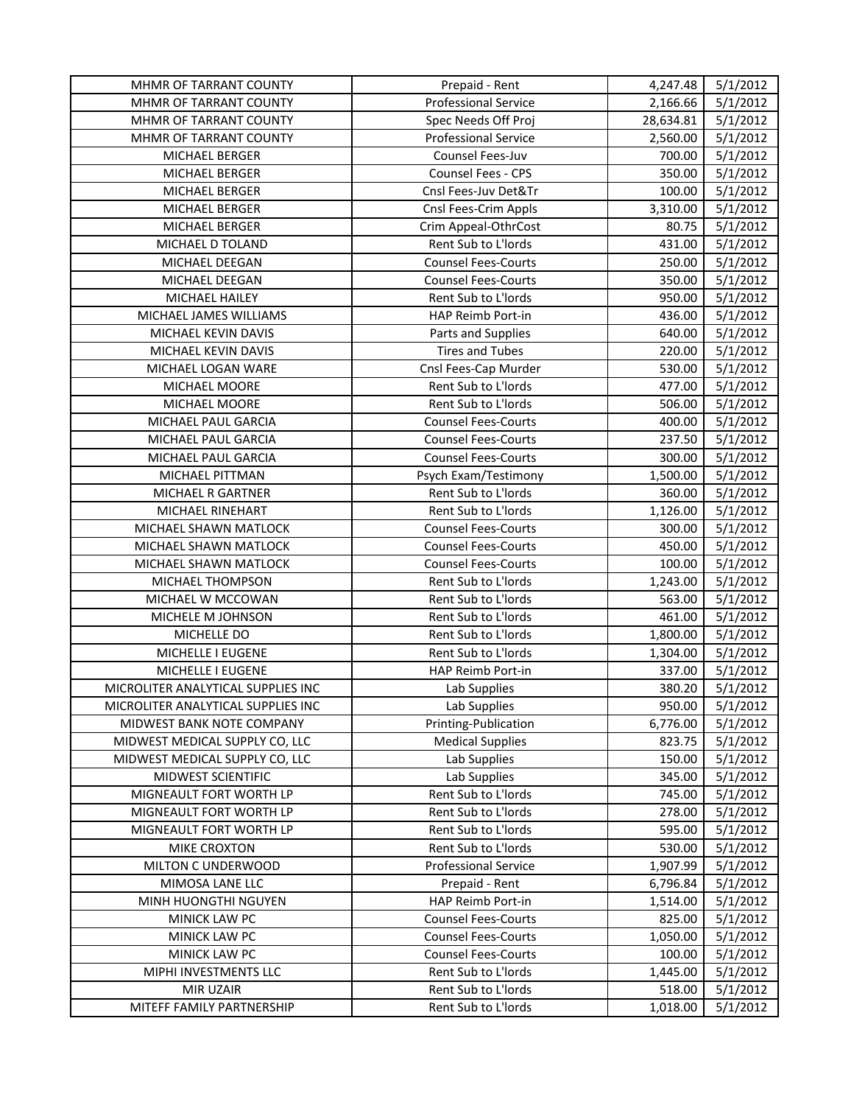| MHMR OF TARRANT COUNTY             | Prepaid - Rent              | 4,247.48  | 5/1/2012 |
|------------------------------------|-----------------------------|-----------|----------|
| MHMR OF TARRANT COUNTY             | <b>Professional Service</b> | 2,166.66  | 5/1/2012 |
| MHMR OF TARRANT COUNTY             | Spec Needs Off Proj         | 28,634.81 | 5/1/2012 |
| MHMR OF TARRANT COUNTY             | <b>Professional Service</b> | 2,560.00  | 5/1/2012 |
| MICHAEL BERGER                     | Counsel Fees-Juv            | 700.00    | 5/1/2012 |
| MICHAEL BERGER                     | Counsel Fees - CPS          | 350.00    | 5/1/2012 |
| MICHAEL BERGER                     | Cnsl Fees-Juv Det&Tr        | 100.00    | 5/1/2012 |
| MICHAEL BERGER                     | Cnsl Fees-Crim Appls        | 3,310.00  | 5/1/2012 |
| MICHAEL BERGER                     | Crim Appeal-OthrCost        | 80.75     | 5/1/2012 |
| MICHAEL D TOLAND                   | Rent Sub to L'Iords         | 431.00    | 5/1/2012 |
| MICHAEL DEEGAN                     | <b>Counsel Fees-Courts</b>  | 250.00    | 5/1/2012 |
| MICHAEL DEEGAN                     | <b>Counsel Fees-Courts</b>  | 350.00    | 5/1/2012 |
| MICHAEL HAILEY                     | Rent Sub to L'Iords         | 950.00    | 5/1/2012 |
| MICHAEL JAMES WILLIAMS             | HAP Reimb Port-in           | 436.00    | 5/1/2012 |
| MICHAEL KEVIN DAVIS                | Parts and Supplies          | 640.00    | 5/1/2012 |
| MICHAEL KEVIN DAVIS                | <b>Tires and Tubes</b>      | 220.00    | 5/1/2012 |
| MICHAEL LOGAN WARE                 | Cnsl Fees-Cap Murder        | 530.00    | 5/1/2012 |
| MICHAEL MOORE                      | Rent Sub to L'Iords         | 477.00    | 5/1/2012 |
| MICHAEL MOORE                      | Rent Sub to L'Iords         | 506.00    | 5/1/2012 |
| MICHAEL PAUL GARCIA                | <b>Counsel Fees-Courts</b>  | 400.00    | 5/1/2012 |
| MICHAEL PAUL GARCIA                | <b>Counsel Fees-Courts</b>  | 237.50    | 5/1/2012 |
| MICHAEL PAUL GARCIA                | <b>Counsel Fees-Courts</b>  | 300.00    | 5/1/2012 |
| MICHAEL PITTMAN                    | Psych Exam/Testimony        | 1,500.00  | 5/1/2012 |
| MICHAEL R GARTNER                  | Rent Sub to L'Iords         | 360.00    | 5/1/2012 |
| MICHAEL RINEHART                   | Rent Sub to L'Iords         | 1,126.00  | 5/1/2012 |
| MICHAEL SHAWN MATLOCK              | <b>Counsel Fees-Courts</b>  | 300.00    | 5/1/2012 |
| MICHAEL SHAWN MATLOCK              | <b>Counsel Fees-Courts</b>  | 450.00    | 5/1/2012 |
| MICHAEL SHAWN MATLOCK              | <b>Counsel Fees-Courts</b>  | 100.00    | 5/1/2012 |
| MICHAEL THOMPSON                   | Rent Sub to L'Iords         | 1,243.00  | 5/1/2012 |
| MICHAEL W MCCOWAN                  | Rent Sub to L'Iords         | 563.00    | 5/1/2012 |
| MICHELE M JOHNSON                  | Rent Sub to L'Iords         | 461.00    | 5/1/2012 |
| MICHELLE DO                        | Rent Sub to L'Iords         | 1,800.00  | 5/1/2012 |
| MICHELLE I EUGENE                  | Rent Sub to L'Iords         | 1,304.00  | 5/1/2012 |
| MICHELLE I EUGENE                  | HAP Reimb Port-in           | 337.00    | 5/1/2012 |
| MICROLITER ANALYTICAL SUPPLIES INC | Lab Supplies                | 380.20    | 5/1/2012 |
| MICROLITER ANALYTICAL SUPPLIES INC | Lab Supplies                | 950.00    | 5/1/2012 |
| MIDWEST BANK NOTE COMPANY          | Printing-Publication        | 6,776.00  | 5/1/2012 |
| MIDWEST MEDICAL SUPPLY CO, LLC     | <b>Medical Supplies</b>     | 823.75    | 5/1/2012 |
| MIDWEST MEDICAL SUPPLY CO, LLC     | Lab Supplies                | 150.00    | 5/1/2012 |
| MIDWEST SCIENTIFIC                 | Lab Supplies                | 345.00    | 5/1/2012 |
| MIGNEAULT FORT WORTH LP            | Rent Sub to L'Iords         | 745.00    | 5/1/2012 |
| MIGNEAULT FORT WORTH LP            | Rent Sub to L'Iords         | 278.00    | 5/1/2012 |
| MIGNEAULT FORT WORTH LP            | Rent Sub to L'Iords         | 595.00    | 5/1/2012 |
| MIKE CROXTON                       | Rent Sub to L'Iords         | 530.00    | 5/1/2012 |
| MILTON C UNDERWOOD                 | <b>Professional Service</b> | 1,907.99  | 5/1/2012 |
| MIMOSA LANE LLC                    | Prepaid - Rent              | 6,796.84  | 5/1/2012 |
| MINH HUONGTHI NGUYEN               | HAP Reimb Port-in           | 1,514.00  | 5/1/2012 |
| MINICK LAW PC                      | <b>Counsel Fees-Courts</b>  | 825.00    | 5/1/2012 |
| MINICK LAW PC                      | <b>Counsel Fees-Courts</b>  | 1,050.00  | 5/1/2012 |
| MINICK LAW PC                      | <b>Counsel Fees-Courts</b>  | 100.00    | 5/1/2012 |
| MIPHI INVESTMENTS LLC              | Rent Sub to L'Iords         | 1,445.00  | 5/1/2012 |
| MIR UZAIR                          | Rent Sub to L'Iords         | 518.00    | 5/1/2012 |
| MITEFF FAMILY PARTNERSHIP          | Rent Sub to L'Iords         | 1,018.00  | 5/1/2012 |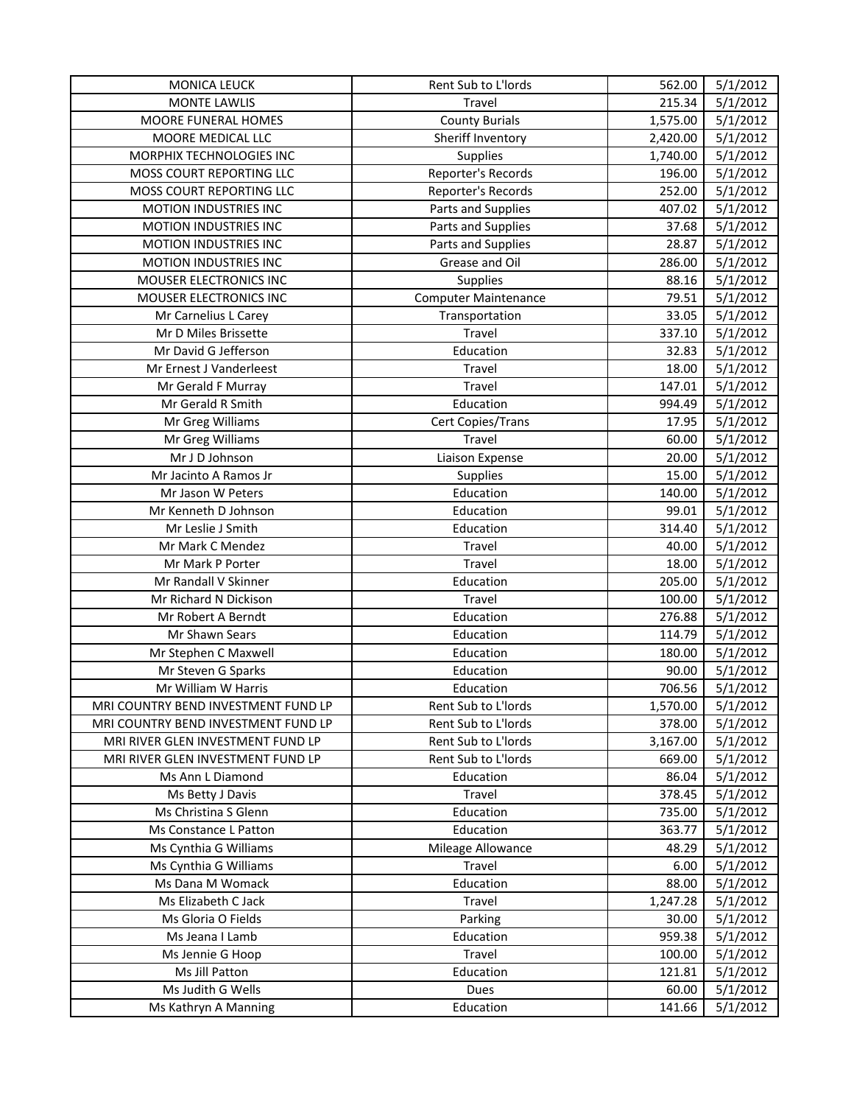| <b>MONICA LEUCK</b>                 | Rent Sub to L'Iords         | 562.00   | 5/1/2012 |
|-------------------------------------|-----------------------------|----------|----------|
| <b>MONTE LAWLIS</b>                 | Travel                      | 215.34   | 5/1/2012 |
| MOORE FUNERAL HOMES                 | <b>County Burials</b>       | 1,575.00 | 5/1/2012 |
| MOORE MEDICAL LLC                   | Sheriff Inventory           | 2,420.00 | 5/1/2012 |
| MORPHIX TECHNOLOGIES INC            | <b>Supplies</b>             | 1,740.00 | 5/1/2012 |
| MOSS COURT REPORTING LLC            | Reporter's Records          | 196.00   | 5/1/2012 |
| MOSS COURT REPORTING LLC            | Reporter's Records          | 252.00   | 5/1/2012 |
| MOTION INDUSTRIES INC               | Parts and Supplies          | 407.02   | 5/1/2012 |
| MOTION INDUSTRIES INC               | Parts and Supplies          | 37.68    | 5/1/2012 |
| MOTION INDUSTRIES INC               | Parts and Supplies          | 28.87    | 5/1/2012 |
| MOTION INDUSTRIES INC               | Grease and Oil              | 286.00   | 5/1/2012 |
| MOUSER ELECTRONICS INC              | Supplies                    | 88.16    | 5/1/2012 |
| MOUSER ELECTRONICS INC              | <b>Computer Maintenance</b> | 79.51    | 5/1/2012 |
| Mr Carnelius L Carey                | Transportation              | 33.05    | 5/1/2012 |
| Mr D Miles Brissette                | Travel                      | 337.10   | 5/1/2012 |
| Mr David G Jefferson                | Education                   | 32.83    | 5/1/2012 |
| Mr Ernest J Vanderleest             | Travel                      | 18.00    | 5/1/2012 |
| Mr Gerald F Murray                  | Travel                      | 147.01   | 5/1/2012 |
| Mr Gerald R Smith                   | Education                   | 994.49   | 5/1/2012 |
| Mr Greg Williams                    | Cert Copies/Trans           | 17.95    | 5/1/2012 |
| Mr Greg Williams                    | Travel                      | 60.00    | 5/1/2012 |
| Mr J D Johnson                      | Liaison Expense             | 20.00    | 5/1/2012 |
| Mr Jacinto A Ramos Jr               | Supplies                    | 15.00    | 5/1/2012 |
| Mr Jason W Peters                   | Education                   | 140.00   | 5/1/2012 |
| Mr Kenneth D Johnson                | Education                   | 99.01    | 5/1/2012 |
| Mr Leslie J Smith                   | Education                   | 314.40   | 5/1/2012 |
| Mr Mark C Mendez                    | Travel                      | 40.00    | 5/1/2012 |
| Mr Mark P Porter                    | Travel                      | 18.00    | 5/1/2012 |
| Mr Randall V Skinner                | Education                   | 205.00   | 5/1/2012 |
| Mr Richard N Dickison               | Travel                      | 100.00   | 5/1/2012 |
| Mr Robert A Berndt                  | Education                   | 276.88   | 5/1/2012 |
| Mr Shawn Sears                      | Education                   | 114.79   | 5/1/2012 |
| Mr Stephen C Maxwell                | Education                   | 180.00   | 5/1/2012 |
| Mr Steven G Sparks                  | Education                   | 90.00    | 5/1/2012 |
| Mr William W Harris                 | Education                   | 706.56   | 5/1/2012 |
| MRI COUNTRY BEND INVESTMENT FUND LP | Rent Sub to L'Iords         | 1,570.00 | 5/1/2012 |
| MRI COUNTRY BEND INVESTMENT FUND LP | Rent Sub to L'Iords         | 378.00   | 5/1/2012 |
| MRI RIVER GLEN INVESTMENT FUND LP   | Rent Sub to L'Iords         | 3,167.00 | 5/1/2012 |
| MRI RIVER GLEN INVESTMENT FUND LP   | Rent Sub to L'Iords         | 669.00   | 5/1/2012 |
| Ms Ann L Diamond                    | Education                   | 86.04    | 5/1/2012 |
| Ms Betty J Davis                    | Travel                      | 378.45   | 5/1/2012 |
| Ms Christina S Glenn                | Education                   | 735.00   | 5/1/2012 |
| Ms Constance L Patton               | Education                   | 363.77   | 5/1/2012 |
| Ms Cynthia G Williams               | Mileage Allowance           | 48.29    | 5/1/2012 |
| Ms Cynthia G Williams               | Travel                      | 6.00     | 5/1/2012 |
| Ms Dana M Womack                    | Education                   | 88.00    | 5/1/2012 |
| Ms Elizabeth C Jack                 | Travel                      | 1,247.28 | 5/1/2012 |
| Ms Gloria O Fields                  | Parking                     | 30.00    | 5/1/2012 |
| Ms Jeana I Lamb                     | Education                   | 959.38   | 5/1/2012 |
| Ms Jennie G Hoop                    | Travel                      | 100.00   | 5/1/2012 |
| Ms Jill Patton                      | Education                   | 121.81   | 5/1/2012 |
| Ms Judith G Wells                   | Dues                        | 60.00    | 5/1/2012 |
| Ms Kathryn A Manning                | Education                   | 141.66   | 5/1/2012 |
|                                     |                             |          |          |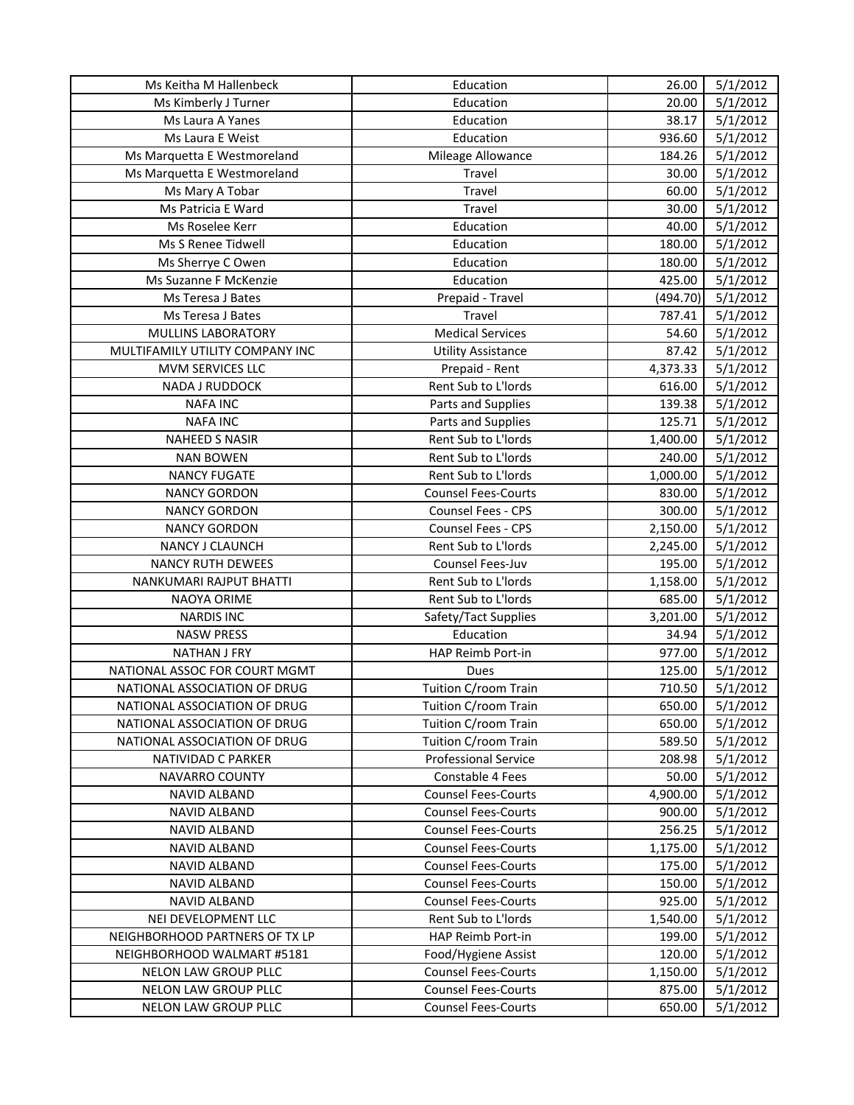| Education<br>5/1/2012<br>Ms Kimberly J Turner<br>20.00<br>38.17<br>5/1/2012<br>Ms Laura A Yanes<br>Education<br>5/1/2012<br>Ms Laura E Weist<br>Education<br>936.60<br>5/1/2012<br>Ms Marquetta E Westmoreland<br>Mileage Allowance<br>184.26<br>5/1/2012<br>Travel<br>30.00<br>Ms Marquetta E Westmoreland<br>5/1/2012<br>Ms Mary A Tobar<br>Travel<br>60.00<br>5/1/2012<br>Ms Patricia E Ward<br>Travel<br>30.00<br>5/1/2012<br>Ms Roselee Kerr<br>Education<br>40.00<br>5/1/2012<br>Ms S Renee Tidwell<br>Education<br>180.00<br>Education<br>180.00<br>5/1/2012<br>Ms Sherrye C Owen<br>5/1/2012<br>Ms Suzanne F McKenzie<br>Education<br>425.00<br>5/1/2012<br>Ms Teresa J Bates<br>(494.70)<br>Prepaid - Travel<br>5/1/2012<br>Ms Teresa J Bates<br>Travel<br>787.41<br><b>Medical Services</b><br>5/1/2012<br><b>MULLINS LABORATORY</b><br>54.60<br>87.42<br>5/1/2012<br>MULTIFAMILY UTILITY COMPANY INC<br><b>Utility Assistance</b><br>5/1/2012<br>MVM SERVICES LLC<br>Prepaid - Rent<br>4,373.33<br>Rent Sub to L'Iords<br>5/1/2012<br><b>NADA J RUDDOCK</b><br>616.00<br><b>NAFA INC</b><br>Parts and Supplies<br>139.38<br>5/1/2012<br><b>NAFA INC</b><br>125.71<br>5/1/2012<br>Parts and Supplies<br>Rent Sub to L'Iords<br>5/1/2012<br><b>NAHEED S NASIR</b><br>1,400.00<br>5/1/2012<br><b>NAN BOWEN</b><br>Rent Sub to L'Iords<br>240.00<br>5/1/2012<br><b>NANCY FUGATE</b><br>Rent Sub to L'Iords<br>1,000.00<br>5/1/2012<br><b>NANCY GORDON</b><br><b>Counsel Fees-Courts</b><br>830.00<br>Counsel Fees - CPS<br>5/1/2012<br><b>NANCY GORDON</b><br>300.00<br><b>NANCY GORDON</b><br><b>Counsel Fees - CPS</b><br>5/1/2012<br>2,150.00<br>Rent Sub to L'Iords<br>5/1/2012<br>NANCY J CLAUNCH<br>2,245.00<br><b>NANCY RUTH DEWEES</b><br>Counsel Fees-Juv<br>195.00<br>5/1/2012<br>5/1/2012<br>NANKUMARI RAJPUT BHATTI<br>Rent Sub to L'Iords<br>1,158.00<br>Rent Sub to L'Iords<br>5/1/2012<br>NAOYA ORIME<br>685.00<br>5/1/2012<br><b>NARDIS INC</b><br>Safety/Tact Supplies<br>3,201.00<br><b>NASW PRESS</b><br>Education<br>34.94<br>5/1/2012<br>5/1/2012<br>HAP Reimb Port-in<br>977.00<br><b>NATHAN J FRY</b><br>125.00<br>5/1/2012<br>NATIONAL ASSOC FOR COURT MGMT<br>Dues<br>Tuition C/room Train<br>710.50<br>5/1/2012<br>NATIONAL ASSOCIATION OF DRUG<br>NATIONAL ASSOCIATION OF DRUG<br>Tuition C/room Train<br>650.00<br>5/1/2012<br>NATIONAL ASSOCIATION OF DRUG<br>Tuition C/room Train<br>650.00<br>5/1/2012<br>NATIONAL ASSOCIATION OF DRUG<br>Tuition C/room Train<br>589.50<br>5/1/2012<br><b>Professional Service</b><br>5/1/2012<br><b>NATIVIDAD C PARKER</b><br>208.98<br><b>NAVARRO COUNTY</b><br>Constable 4 Fees<br>50.00<br>5/1/2012<br><b>Counsel Fees-Courts</b><br>4,900.00<br><b>NAVID ALBAND</b><br>5/1/2012<br><b>Counsel Fees-Courts</b><br>5/1/2012<br><b>NAVID ALBAND</b><br>900.00<br><b>Counsel Fees-Courts</b><br><b>NAVID ALBAND</b><br>256.25<br>5/1/2012<br><b>Counsel Fees-Courts</b><br><b>NAVID ALBAND</b><br>1,175.00<br>5/1/2012<br><b>NAVID ALBAND</b><br><b>Counsel Fees-Courts</b><br>175.00<br>5/1/2012<br><b>Counsel Fees-Courts</b><br>5/1/2012<br><b>NAVID ALBAND</b><br>150.00<br>925.00<br><b>NAVID ALBAND</b><br><b>Counsel Fees-Courts</b><br>5/1/2012<br>NEI DEVELOPMENT LLC<br>Rent Sub to L'Iords<br>1,540.00<br>5/1/2012<br>NEIGHBORHOOD PARTNERS OF TX LP<br>HAP Reimb Port-in<br>199.00<br>5/1/2012<br>NEIGHBORHOOD WALMART #5181<br>Food/Hygiene Assist<br>120.00<br>5/1/2012<br>NELON LAW GROUP PLLC<br><b>Counsel Fees-Courts</b><br>1,150.00<br>5/1/2012<br>NELON LAW GROUP PLLC<br><b>Counsel Fees-Courts</b><br>875.00<br>5/1/2012 | Ms Keitha M Hallenbeck | Education                  | 26.00  | 5/1/2012 |
|-------------------------------------------------------------------------------------------------------------------------------------------------------------------------------------------------------------------------------------------------------------------------------------------------------------------------------------------------------------------------------------------------------------------------------------------------------------------------------------------------------------------------------------------------------------------------------------------------------------------------------------------------------------------------------------------------------------------------------------------------------------------------------------------------------------------------------------------------------------------------------------------------------------------------------------------------------------------------------------------------------------------------------------------------------------------------------------------------------------------------------------------------------------------------------------------------------------------------------------------------------------------------------------------------------------------------------------------------------------------------------------------------------------------------------------------------------------------------------------------------------------------------------------------------------------------------------------------------------------------------------------------------------------------------------------------------------------------------------------------------------------------------------------------------------------------------------------------------------------------------------------------------------------------------------------------------------------------------------------------------------------------------------------------------------------------------------------------------------------------------------------------------------------------------------------------------------------------------------------------------------------------------------------------------------------------------------------------------------------------------------------------------------------------------------------------------------------------------------------------------------------------------------------------------------------------------------------------------------------------------------------------------------------------------------------------------------------------------------------------------------------------------------------------------------------------------------------------------------------------------------------------------------------------------------------------------------------------------------------------------------------------------------------------------------------------------------------------------------------------------------------------------------------------------------------------------------------------------------------------------------------------------------------------------------------------------------------------------------------------------------------------------------------------------------------------------------------------------------------------------------------------------------------------------------------------------------------------------------------------------|------------------------|----------------------------|--------|----------|
|                                                                                                                                                                                                                                                                                                                                                                                                                                                                                                                                                                                                                                                                                                                                                                                                                                                                                                                                                                                                                                                                                                                                                                                                                                                                                                                                                                                                                                                                                                                                                                                                                                                                                                                                                                                                                                                                                                                                                                                                                                                                                                                                                                                                                                                                                                                                                                                                                                                                                                                                                                                                                                                                                                                                                                                                                                                                                                                                                                                                                                                                                                                                                                                                                                                                                                                                                                                                                                                                                                                                                                                                                         |                        |                            |        |          |
|                                                                                                                                                                                                                                                                                                                                                                                                                                                                                                                                                                                                                                                                                                                                                                                                                                                                                                                                                                                                                                                                                                                                                                                                                                                                                                                                                                                                                                                                                                                                                                                                                                                                                                                                                                                                                                                                                                                                                                                                                                                                                                                                                                                                                                                                                                                                                                                                                                                                                                                                                                                                                                                                                                                                                                                                                                                                                                                                                                                                                                                                                                                                                                                                                                                                                                                                                                                                                                                                                                                                                                                                                         |                        |                            |        |          |
|                                                                                                                                                                                                                                                                                                                                                                                                                                                                                                                                                                                                                                                                                                                                                                                                                                                                                                                                                                                                                                                                                                                                                                                                                                                                                                                                                                                                                                                                                                                                                                                                                                                                                                                                                                                                                                                                                                                                                                                                                                                                                                                                                                                                                                                                                                                                                                                                                                                                                                                                                                                                                                                                                                                                                                                                                                                                                                                                                                                                                                                                                                                                                                                                                                                                                                                                                                                                                                                                                                                                                                                                                         |                        |                            |        |          |
|                                                                                                                                                                                                                                                                                                                                                                                                                                                                                                                                                                                                                                                                                                                                                                                                                                                                                                                                                                                                                                                                                                                                                                                                                                                                                                                                                                                                                                                                                                                                                                                                                                                                                                                                                                                                                                                                                                                                                                                                                                                                                                                                                                                                                                                                                                                                                                                                                                                                                                                                                                                                                                                                                                                                                                                                                                                                                                                                                                                                                                                                                                                                                                                                                                                                                                                                                                                                                                                                                                                                                                                                                         |                        |                            |        |          |
|                                                                                                                                                                                                                                                                                                                                                                                                                                                                                                                                                                                                                                                                                                                                                                                                                                                                                                                                                                                                                                                                                                                                                                                                                                                                                                                                                                                                                                                                                                                                                                                                                                                                                                                                                                                                                                                                                                                                                                                                                                                                                                                                                                                                                                                                                                                                                                                                                                                                                                                                                                                                                                                                                                                                                                                                                                                                                                                                                                                                                                                                                                                                                                                                                                                                                                                                                                                                                                                                                                                                                                                                                         |                        |                            |        |          |
|                                                                                                                                                                                                                                                                                                                                                                                                                                                                                                                                                                                                                                                                                                                                                                                                                                                                                                                                                                                                                                                                                                                                                                                                                                                                                                                                                                                                                                                                                                                                                                                                                                                                                                                                                                                                                                                                                                                                                                                                                                                                                                                                                                                                                                                                                                                                                                                                                                                                                                                                                                                                                                                                                                                                                                                                                                                                                                                                                                                                                                                                                                                                                                                                                                                                                                                                                                                                                                                                                                                                                                                                                         |                        |                            |        |          |
|                                                                                                                                                                                                                                                                                                                                                                                                                                                                                                                                                                                                                                                                                                                                                                                                                                                                                                                                                                                                                                                                                                                                                                                                                                                                                                                                                                                                                                                                                                                                                                                                                                                                                                                                                                                                                                                                                                                                                                                                                                                                                                                                                                                                                                                                                                                                                                                                                                                                                                                                                                                                                                                                                                                                                                                                                                                                                                                                                                                                                                                                                                                                                                                                                                                                                                                                                                                                                                                                                                                                                                                                                         |                        |                            |        |          |
|                                                                                                                                                                                                                                                                                                                                                                                                                                                                                                                                                                                                                                                                                                                                                                                                                                                                                                                                                                                                                                                                                                                                                                                                                                                                                                                                                                                                                                                                                                                                                                                                                                                                                                                                                                                                                                                                                                                                                                                                                                                                                                                                                                                                                                                                                                                                                                                                                                                                                                                                                                                                                                                                                                                                                                                                                                                                                                                                                                                                                                                                                                                                                                                                                                                                                                                                                                                                                                                                                                                                                                                                                         |                        |                            |        |          |
|                                                                                                                                                                                                                                                                                                                                                                                                                                                                                                                                                                                                                                                                                                                                                                                                                                                                                                                                                                                                                                                                                                                                                                                                                                                                                                                                                                                                                                                                                                                                                                                                                                                                                                                                                                                                                                                                                                                                                                                                                                                                                                                                                                                                                                                                                                                                                                                                                                                                                                                                                                                                                                                                                                                                                                                                                                                                                                                                                                                                                                                                                                                                                                                                                                                                                                                                                                                                                                                                                                                                                                                                                         |                        |                            |        |          |
|                                                                                                                                                                                                                                                                                                                                                                                                                                                                                                                                                                                                                                                                                                                                                                                                                                                                                                                                                                                                                                                                                                                                                                                                                                                                                                                                                                                                                                                                                                                                                                                                                                                                                                                                                                                                                                                                                                                                                                                                                                                                                                                                                                                                                                                                                                                                                                                                                                                                                                                                                                                                                                                                                                                                                                                                                                                                                                                                                                                                                                                                                                                                                                                                                                                                                                                                                                                                                                                                                                                                                                                                                         |                        |                            |        |          |
|                                                                                                                                                                                                                                                                                                                                                                                                                                                                                                                                                                                                                                                                                                                                                                                                                                                                                                                                                                                                                                                                                                                                                                                                                                                                                                                                                                                                                                                                                                                                                                                                                                                                                                                                                                                                                                                                                                                                                                                                                                                                                                                                                                                                                                                                                                                                                                                                                                                                                                                                                                                                                                                                                                                                                                                                                                                                                                                                                                                                                                                                                                                                                                                                                                                                                                                                                                                                                                                                                                                                                                                                                         |                        |                            |        |          |
|                                                                                                                                                                                                                                                                                                                                                                                                                                                                                                                                                                                                                                                                                                                                                                                                                                                                                                                                                                                                                                                                                                                                                                                                                                                                                                                                                                                                                                                                                                                                                                                                                                                                                                                                                                                                                                                                                                                                                                                                                                                                                                                                                                                                                                                                                                                                                                                                                                                                                                                                                                                                                                                                                                                                                                                                                                                                                                                                                                                                                                                                                                                                                                                                                                                                                                                                                                                                                                                                                                                                                                                                                         |                        |                            |        |          |
|                                                                                                                                                                                                                                                                                                                                                                                                                                                                                                                                                                                                                                                                                                                                                                                                                                                                                                                                                                                                                                                                                                                                                                                                                                                                                                                                                                                                                                                                                                                                                                                                                                                                                                                                                                                                                                                                                                                                                                                                                                                                                                                                                                                                                                                                                                                                                                                                                                                                                                                                                                                                                                                                                                                                                                                                                                                                                                                                                                                                                                                                                                                                                                                                                                                                                                                                                                                                                                                                                                                                                                                                                         |                        |                            |        |          |
|                                                                                                                                                                                                                                                                                                                                                                                                                                                                                                                                                                                                                                                                                                                                                                                                                                                                                                                                                                                                                                                                                                                                                                                                                                                                                                                                                                                                                                                                                                                                                                                                                                                                                                                                                                                                                                                                                                                                                                                                                                                                                                                                                                                                                                                                                                                                                                                                                                                                                                                                                                                                                                                                                                                                                                                                                                                                                                                                                                                                                                                                                                                                                                                                                                                                                                                                                                                                                                                                                                                                                                                                                         |                        |                            |        |          |
|                                                                                                                                                                                                                                                                                                                                                                                                                                                                                                                                                                                                                                                                                                                                                                                                                                                                                                                                                                                                                                                                                                                                                                                                                                                                                                                                                                                                                                                                                                                                                                                                                                                                                                                                                                                                                                                                                                                                                                                                                                                                                                                                                                                                                                                                                                                                                                                                                                                                                                                                                                                                                                                                                                                                                                                                                                                                                                                                                                                                                                                                                                                                                                                                                                                                                                                                                                                                                                                                                                                                                                                                                         |                        |                            |        |          |
|                                                                                                                                                                                                                                                                                                                                                                                                                                                                                                                                                                                                                                                                                                                                                                                                                                                                                                                                                                                                                                                                                                                                                                                                                                                                                                                                                                                                                                                                                                                                                                                                                                                                                                                                                                                                                                                                                                                                                                                                                                                                                                                                                                                                                                                                                                                                                                                                                                                                                                                                                                                                                                                                                                                                                                                                                                                                                                                                                                                                                                                                                                                                                                                                                                                                                                                                                                                                                                                                                                                                                                                                                         |                        |                            |        |          |
|                                                                                                                                                                                                                                                                                                                                                                                                                                                                                                                                                                                                                                                                                                                                                                                                                                                                                                                                                                                                                                                                                                                                                                                                                                                                                                                                                                                                                                                                                                                                                                                                                                                                                                                                                                                                                                                                                                                                                                                                                                                                                                                                                                                                                                                                                                                                                                                                                                                                                                                                                                                                                                                                                                                                                                                                                                                                                                                                                                                                                                                                                                                                                                                                                                                                                                                                                                                                                                                                                                                                                                                                                         |                        |                            |        |          |
|                                                                                                                                                                                                                                                                                                                                                                                                                                                                                                                                                                                                                                                                                                                                                                                                                                                                                                                                                                                                                                                                                                                                                                                                                                                                                                                                                                                                                                                                                                                                                                                                                                                                                                                                                                                                                                                                                                                                                                                                                                                                                                                                                                                                                                                                                                                                                                                                                                                                                                                                                                                                                                                                                                                                                                                                                                                                                                                                                                                                                                                                                                                                                                                                                                                                                                                                                                                                                                                                                                                                                                                                                         |                        |                            |        |          |
|                                                                                                                                                                                                                                                                                                                                                                                                                                                                                                                                                                                                                                                                                                                                                                                                                                                                                                                                                                                                                                                                                                                                                                                                                                                                                                                                                                                                                                                                                                                                                                                                                                                                                                                                                                                                                                                                                                                                                                                                                                                                                                                                                                                                                                                                                                                                                                                                                                                                                                                                                                                                                                                                                                                                                                                                                                                                                                                                                                                                                                                                                                                                                                                                                                                                                                                                                                                                                                                                                                                                                                                                                         |                        |                            |        |          |
|                                                                                                                                                                                                                                                                                                                                                                                                                                                                                                                                                                                                                                                                                                                                                                                                                                                                                                                                                                                                                                                                                                                                                                                                                                                                                                                                                                                                                                                                                                                                                                                                                                                                                                                                                                                                                                                                                                                                                                                                                                                                                                                                                                                                                                                                                                                                                                                                                                                                                                                                                                                                                                                                                                                                                                                                                                                                                                                                                                                                                                                                                                                                                                                                                                                                                                                                                                                                                                                                                                                                                                                                                         |                        |                            |        |          |
|                                                                                                                                                                                                                                                                                                                                                                                                                                                                                                                                                                                                                                                                                                                                                                                                                                                                                                                                                                                                                                                                                                                                                                                                                                                                                                                                                                                                                                                                                                                                                                                                                                                                                                                                                                                                                                                                                                                                                                                                                                                                                                                                                                                                                                                                                                                                                                                                                                                                                                                                                                                                                                                                                                                                                                                                                                                                                                                                                                                                                                                                                                                                                                                                                                                                                                                                                                                                                                                                                                                                                                                                                         |                        |                            |        |          |
|                                                                                                                                                                                                                                                                                                                                                                                                                                                                                                                                                                                                                                                                                                                                                                                                                                                                                                                                                                                                                                                                                                                                                                                                                                                                                                                                                                                                                                                                                                                                                                                                                                                                                                                                                                                                                                                                                                                                                                                                                                                                                                                                                                                                                                                                                                                                                                                                                                                                                                                                                                                                                                                                                                                                                                                                                                                                                                                                                                                                                                                                                                                                                                                                                                                                                                                                                                                                                                                                                                                                                                                                                         |                        |                            |        |          |
|                                                                                                                                                                                                                                                                                                                                                                                                                                                                                                                                                                                                                                                                                                                                                                                                                                                                                                                                                                                                                                                                                                                                                                                                                                                                                                                                                                                                                                                                                                                                                                                                                                                                                                                                                                                                                                                                                                                                                                                                                                                                                                                                                                                                                                                                                                                                                                                                                                                                                                                                                                                                                                                                                                                                                                                                                                                                                                                                                                                                                                                                                                                                                                                                                                                                                                                                                                                                                                                                                                                                                                                                                         |                        |                            |        |          |
|                                                                                                                                                                                                                                                                                                                                                                                                                                                                                                                                                                                                                                                                                                                                                                                                                                                                                                                                                                                                                                                                                                                                                                                                                                                                                                                                                                                                                                                                                                                                                                                                                                                                                                                                                                                                                                                                                                                                                                                                                                                                                                                                                                                                                                                                                                                                                                                                                                                                                                                                                                                                                                                                                                                                                                                                                                                                                                                                                                                                                                                                                                                                                                                                                                                                                                                                                                                                                                                                                                                                                                                                                         |                        |                            |        |          |
|                                                                                                                                                                                                                                                                                                                                                                                                                                                                                                                                                                                                                                                                                                                                                                                                                                                                                                                                                                                                                                                                                                                                                                                                                                                                                                                                                                                                                                                                                                                                                                                                                                                                                                                                                                                                                                                                                                                                                                                                                                                                                                                                                                                                                                                                                                                                                                                                                                                                                                                                                                                                                                                                                                                                                                                                                                                                                                                                                                                                                                                                                                                                                                                                                                                                                                                                                                                                                                                                                                                                                                                                                         |                        |                            |        |          |
|                                                                                                                                                                                                                                                                                                                                                                                                                                                                                                                                                                                                                                                                                                                                                                                                                                                                                                                                                                                                                                                                                                                                                                                                                                                                                                                                                                                                                                                                                                                                                                                                                                                                                                                                                                                                                                                                                                                                                                                                                                                                                                                                                                                                                                                                                                                                                                                                                                                                                                                                                                                                                                                                                                                                                                                                                                                                                                                                                                                                                                                                                                                                                                                                                                                                                                                                                                                                                                                                                                                                                                                                                         |                        |                            |        |          |
|                                                                                                                                                                                                                                                                                                                                                                                                                                                                                                                                                                                                                                                                                                                                                                                                                                                                                                                                                                                                                                                                                                                                                                                                                                                                                                                                                                                                                                                                                                                                                                                                                                                                                                                                                                                                                                                                                                                                                                                                                                                                                                                                                                                                                                                                                                                                                                                                                                                                                                                                                                                                                                                                                                                                                                                                                                                                                                                                                                                                                                                                                                                                                                                                                                                                                                                                                                                                                                                                                                                                                                                                                         |                        |                            |        |          |
|                                                                                                                                                                                                                                                                                                                                                                                                                                                                                                                                                                                                                                                                                                                                                                                                                                                                                                                                                                                                                                                                                                                                                                                                                                                                                                                                                                                                                                                                                                                                                                                                                                                                                                                                                                                                                                                                                                                                                                                                                                                                                                                                                                                                                                                                                                                                                                                                                                                                                                                                                                                                                                                                                                                                                                                                                                                                                                                                                                                                                                                                                                                                                                                                                                                                                                                                                                                                                                                                                                                                                                                                                         |                        |                            |        |          |
|                                                                                                                                                                                                                                                                                                                                                                                                                                                                                                                                                                                                                                                                                                                                                                                                                                                                                                                                                                                                                                                                                                                                                                                                                                                                                                                                                                                                                                                                                                                                                                                                                                                                                                                                                                                                                                                                                                                                                                                                                                                                                                                                                                                                                                                                                                                                                                                                                                                                                                                                                                                                                                                                                                                                                                                                                                                                                                                                                                                                                                                                                                                                                                                                                                                                                                                                                                                                                                                                                                                                                                                                                         |                        |                            |        |          |
|                                                                                                                                                                                                                                                                                                                                                                                                                                                                                                                                                                                                                                                                                                                                                                                                                                                                                                                                                                                                                                                                                                                                                                                                                                                                                                                                                                                                                                                                                                                                                                                                                                                                                                                                                                                                                                                                                                                                                                                                                                                                                                                                                                                                                                                                                                                                                                                                                                                                                                                                                                                                                                                                                                                                                                                                                                                                                                                                                                                                                                                                                                                                                                                                                                                                                                                                                                                                                                                                                                                                                                                                                         |                        |                            |        |          |
|                                                                                                                                                                                                                                                                                                                                                                                                                                                                                                                                                                                                                                                                                                                                                                                                                                                                                                                                                                                                                                                                                                                                                                                                                                                                                                                                                                                                                                                                                                                                                                                                                                                                                                                                                                                                                                                                                                                                                                                                                                                                                                                                                                                                                                                                                                                                                                                                                                                                                                                                                                                                                                                                                                                                                                                                                                                                                                                                                                                                                                                                                                                                                                                                                                                                                                                                                                                                                                                                                                                                                                                                                         |                        |                            |        |          |
|                                                                                                                                                                                                                                                                                                                                                                                                                                                                                                                                                                                                                                                                                                                                                                                                                                                                                                                                                                                                                                                                                                                                                                                                                                                                                                                                                                                                                                                                                                                                                                                                                                                                                                                                                                                                                                                                                                                                                                                                                                                                                                                                                                                                                                                                                                                                                                                                                                                                                                                                                                                                                                                                                                                                                                                                                                                                                                                                                                                                                                                                                                                                                                                                                                                                                                                                                                                                                                                                                                                                                                                                                         |                        |                            |        |          |
|                                                                                                                                                                                                                                                                                                                                                                                                                                                                                                                                                                                                                                                                                                                                                                                                                                                                                                                                                                                                                                                                                                                                                                                                                                                                                                                                                                                                                                                                                                                                                                                                                                                                                                                                                                                                                                                                                                                                                                                                                                                                                                                                                                                                                                                                                                                                                                                                                                                                                                                                                                                                                                                                                                                                                                                                                                                                                                                                                                                                                                                                                                                                                                                                                                                                                                                                                                                                                                                                                                                                                                                                                         |                        |                            |        |          |
|                                                                                                                                                                                                                                                                                                                                                                                                                                                                                                                                                                                                                                                                                                                                                                                                                                                                                                                                                                                                                                                                                                                                                                                                                                                                                                                                                                                                                                                                                                                                                                                                                                                                                                                                                                                                                                                                                                                                                                                                                                                                                                                                                                                                                                                                                                                                                                                                                                                                                                                                                                                                                                                                                                                                                                                                                                                                                                                                                                                                                                                                                                                                                                                                                                                                                                                                                                                                                                                                                                                                                                                                                         |                        |                            |        |          |
|                                                                                                                                                                                                                                                                                                                                                                                                                                                                                                                                                                                                                                                                                                                                                                                                                                                                                                                                                                                                                                                                                                                                                                                                                                                                                                                                                                                                                                                                                                                                                                                                                                                                                                                                                                                                                                                                                                                                                                                                                                                                                                                                                                                                                                                                                                                                                                                                                                                                                                                                                                                                                                                                                                                                                                                                                                                                                                                                                                                                                                                                                                                                                                                                                                                                                                                                                                                                                                                                                                                                                                                                                         |                        |                            |        |          |
|                                                                                                                                                                                                                                                                                                                                                                                                                                                                                                                                                                                                                                                                                                                                                                                                                                                                                                                                                                                                                                                                                                                                                                                                                                                                                                                                                                                                                                                                                                                                                                                                                                                                                                                                                                                                                                                                                                                                                                                                                                                                                                                                                                                                                                                                                                                                                                                                                                                                                                                                                                                                                                                                                                                                                                                                                                                                                                                                                                                                                                                                                                                                                                                                                                                                                                                                                                                                                                                                                                                                                                                                                         |                        |                            |        |          |
|                                                                                                                                                                                                                                                                                                                                                                                                                                                                                                                                                                                                                                                                                                                                                                                                                                                                                                                                                                                                                                                                                                                                                                                                                                                                                                                                                                                                                                                                                                                                                                                                                                                                                                                                                                                                                                                                                                                                                                                                                                                                                                                                                                                                                                                                                                                                                                                                                                                                                                                                                                                                                                                                                                                                                                                                                                                                                                                                                                                                                                                                                                                                                                                                                                                                                                                                                                                                                                                                                                                                                                                                                         |                        |                            |        |          |
|                                                                                                                                                                                                                                                                                                                                                                                                                                                                                                                                                                                                                                                                                                                                                                                                                                                                                                                                                                                                                                                                                                                                                                                                                                                                                                                                                                                                                                                                                                                                                                                                                                                                                                                                                                                                                                                                                                                                                                                                                                                                                                                                                                                                                                                                                                                                                                                                                                                                                                                                                                                                                                                                                                                                                                                                                                                                                                                                                                                                                                                                                                                                                                                                                                                                                                                                                                                                                                                                                                                                                                                                                         |                        |                            |        |          |
|                                                                                                                                                                                                                                                                                                                                                                                                                                                                                                                                                                                                                                                                                                                                                                                                                                                                                                                                                                                                                                                                                                                                                                                                                                                                                                                                                                                                                                                                                                                                                                                                                                                                                                                                                                                                                                                                                                                                                                                                                                                                                                                                                                                                                                                                                                                                                                                                                                                                                                                                                                                                                                                                                                                                                                                                                                                                                                                                                                                                                                                                                                                                                                                                                                                                                                                                                                                                                                                                                                                                                                                                                         |                        |                            |        |          |
|                                                                                                                                                                                                                                                                                                                                                                                                                                                                                                                                                                                                                                                                                                                                                                                                                                                                                                                                                                                                                                                                                                                                                                                                                                                                                                                                                                                                                                                                                                                                                                                                                                                                                                                                                                                                                                                                                                                                                                                                                                                                                                                                                                                                                                                                                                                                                                                                                                                                                                                                                                                                                                                                                                                                                                                                                                                                                                                                                                                                                                                                                                                                                                                                                                                                                                                                                                                                                                                                                                                                                                                                                         |                        |                            |        |          |
|                                                                                                                                                                                                                                                                                                                                                                                                                                                                                                                                                                                                                                                                                                                                                                                                                                                                                                                                                                                                                                                                                                                                                                                                                                                                                                                                                                                                                                                                                                                                                                                                                                                                                                                                                                                                                                                                                                                                                                                                                                                                                                                                                                                                                                                                                                                                                                                                                                                                                                                                                                                                                                                                                                                                                                                                                                                                                                                                                                                                                                                                                                                                                                                                                                                                                                                                                                                                                                                                                                                                                                                                                         |                        |                            |        |          |
|                                                                                                                                                                                                                                                                                                                                                                                                                                                                                                                                                                                                                                                                                                                                                                                                                                                                                                                                                                                                                                                                                                                                                                                                                                                                                                                                                                                                                                                                                                                                                                                                                                                                                                                                                                                                                                                                                                                                                                                                                                                                                                                                                                                                                                                                                                                                                                                                                                                                                                                                                                                                                                                                                                                                                                                                                                                                                                                                                                                                                                                                                                                                                                                                                                                                                                                                                                                                                                                                                                                                                                                                                         |                        |                            |        |          |
|                                                                                                                                                                                                                                                                                                                                                                                                                                                                                                                                                                                                                                                                                                                                                                                                                                                                                                                                                                                                                                                                                                                                                                                                                                                                                                                                                                                                                                                                                                                                                                                                                                                                                                                                                                                                                                                                                                                                                                                                                                                                                                                                                                                                                                                                                                                                                                                                                                                                                                                                                                                                                                                                                                                                                                                                                                                                                                                                                                                                                                                                                                                                                                                                                                                                                                                                                                                                                                                                                                                                                                                                                         |                        |                            |        |          |
|                                                                                                                                                                                                                                                                                                                                                                                                                                                                                                                                                                                                                                                                                                                                                                                                                                                                                                                                                                                                                                                                                                                                                                                                                                                                                                                                                                                                                                                                                                                                                                                                                                                                                                                                                                                                                                                                                                                                                                                                                                                                                                                                                                                                                                                                                                                                                                                                                                                                                                                                                                                                                                                                                                                                                                                                                                                                                                                                                                                                                                                                                                                                                                                                                                                                                                                                                                                                                                                                                                                                                                                                                         |                        |                            |        |          |
|                                                                                                                                                                                                                                                                                                                                                                                                                                                                                                                                                                                                                                                                                                                                                                                                                                                                                                                                                                                                                                                                                                                                                                                                                                                                                                                                                                                                                                                                                                                                                                                                                                                                                                                                                                                                                                                                                                                                                                                                                                                                                                                                                                                                                                                                                                                                                                                                                                                                                                                                                                                                                                                                                                                                                                                                                                                                                                                                                                                                                                                                                                                                                                                                                                                                                                                                                                                                                                                                                                                                                                                                                         |                        |                            |        |          |
|                                                                                                                                                                                                                                                                                                                                                                                                                                                                                                                                                                                                                                                                                                                                                                                                                                                                                                                                                                                                                                                                                                                                                                                                                                                                                                                                                                                                                                                                                                                                                                                                                                                                                                                                                                                                                                                                                                                                                                                                                                                                                                                                                                                                                                                                                                                                                                                                                                                                                                                                                                                                                                                                                                                                                                                                                                                                                                                                                                                                                                                                                                                                                                                                                                                                                                                                                                                                                                                                                                                                                                                                                         |                        |                            |        |          |
|                                                                                                                                                                                                                                                                                                                                                                                                                                                                                                                                                                                                                                                                                                                                                                                                                                                                                                                                                                                                                                                                                                                                                                                                                                                                                                                                                                                                                                                                                                                                                                                                                                                                                                                                                                                                                                                                                                                                                                                                                                                                                                                                                                                                                                                                                                                                                                                                                                                                                                                                                                                                                                                                                                                                                                                                                                                                                                                                                                                                                                                                                                                                                                                                                                                                                                                                                                                                                                                                                                                                                                                                                         |                        |                            |        |          |
|                                                                                                                                                                                                                                                                                                                                                                                                                                                                                                                                                                                                                                                                                                                                                                                                                                                                                                                                                                                                                                                                                                                                                                                                                                                                                                                                                                                                                                                                                                                                                                                                                                                                                                                                                                                                                                                                                                                                                                                                                                                                                                                                                                                                                                                                                                                                                                                                                                                                                                                                                                                                                                                                                                                                                                                                                                                                                                                                                                                                                                                                                                                                                                                                                                                                                                                                                                                                                                                                                                                                                                                                                         |                        |                            |        |          |
|                                                                                                                                                                                                                                                                                                                                                                                                                                                                                                                                                                                                                                                                                                                                                                                                                                                                                                                                                                                                                                                                                                                                                                                                                                                                                                                                                                                                                                                                                                                                                                                                                                                                                                                                                                                                                                                                                                                                                                                                                                                                                                                                                                                                                                                                                                                                                                                                                                                                                                                                                                                                                                                                                                                                                                                                                                                                                                                                                                                                                                                                                                                                                                                                                                                                                                                                                                                                                                                                                                                                                                                                                         |                        |                            |        |          |
|                                                                                                                                                                                                                                                                                                                                                                                                                                                                                                                                                                                                                                                                                                                                                                                                                                                                                                                                                                                                                                                                                                                                                                                                                                                                                                                                                                                                                                                                                                                                                                                                                                                                                                                                                                                                                                                                                                                                                                                                                                                                                                                                                                                                                                                                                                                                                                                                                                                                                                                                                                                                                                                                                                                                                                                                                                                                                                                                                                                                                                                                                                                                                                                                                                                                                                                                                                                                                                                                                                                                                                                                                         |                        |                            |        |          |
|                                                                                                                                                                                                                                                                                                                                                                                                                                                                                                                                                                                                                                                                                                                                                                                                                                                                                                                                                                                                                                                                                                                                                                                                                                                                                                                                                                                                                                                                                                                                                                                                                                                                                                                                                                                                                                                                                                                                                                                                                                                                                                                                                                                                                                                                                                                                                                                                                                                                                                                                                                                                                                                                                                                                                                                                                                                                                                                                                                                                                                                                                                                                                                                                                                                                                                                                                                                                                                                                                                                                                                                                                         |                        |                            |        |          |
|                                                                                                                                                                                                                                                                                                                                                                                                                                                                                                                                                                                                                                                                                                                                                                                                                                                                                                                                                                                                                                                                                                                                                                                                                                                                                                                                                                                                                                                                                                                                                                                                                                                                                                                                                                                                                                                                                                                                                                                                                                                                                                                                                                                                                                                                                                                                                                                                                                                                                                                                                                                                                                                                                                                                                                                                                                                                                                                                                                                                                                                                                                                                                                                                                                                                                                                                                                                                                                                                                                                                                                                                                         | NELON LAW GROUP PLLC   | <b>Counsel Fees-Courts</b> | 650.00 | 5/1/2012 |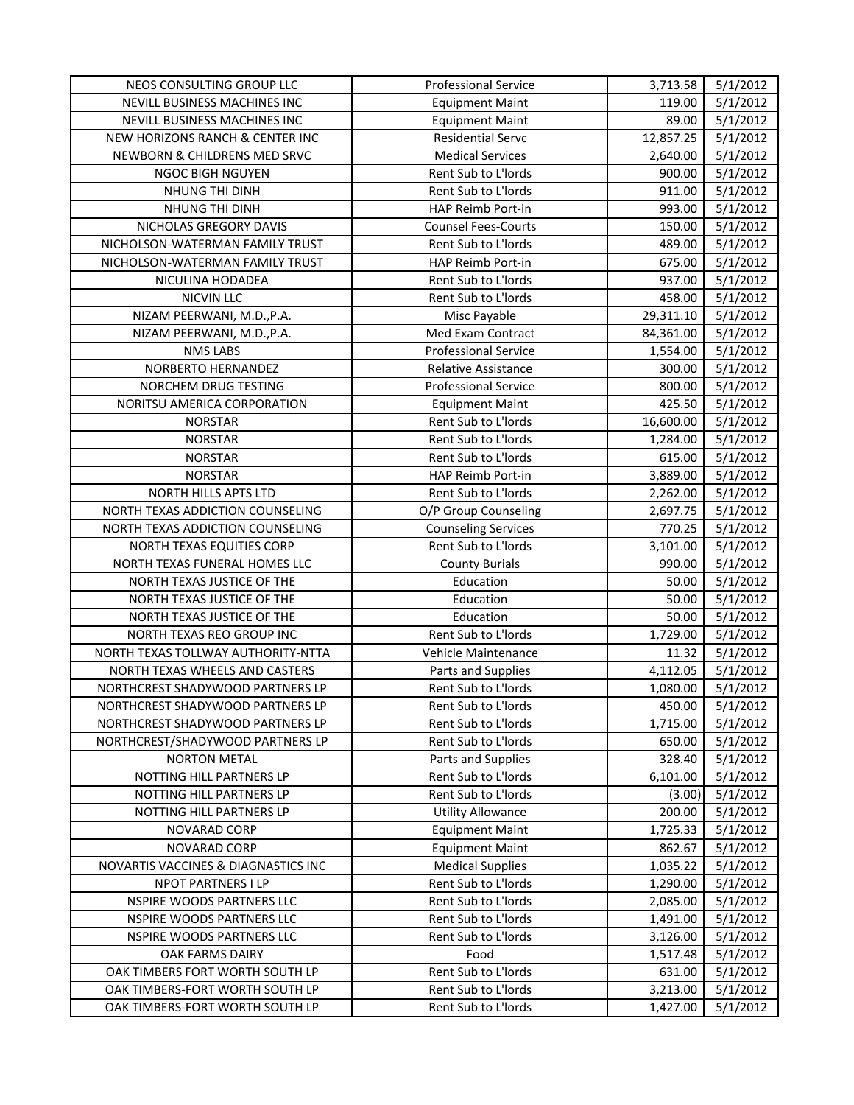| NEOS CONSULTING GROUP LLC           | <b>Professional Service</b> | 3,713.58  | 5/1/2012 |
|-------------------------------------|-----------------------------|-----------|----------|
| NEVILL BUSINESS MACHINES INC        | <b>Equipment Maint</b>      | 119.00    | 5/1/2012 |
| NEVILL BUSINESS MACHINES INC        | <b>Equipment Maint</b>      | 89.00     | 5/1/2012 |
| NEW HORIZONS RANCH & CENTER INC     | <b>Residential Servc</b>    | 12,857.25 | 5/1/2012 |
| NEWBORN & CHILDRENS MED SRVC        | <b>Medical Services</b>     | 2,640.00  | 5/1/2012 |
| NGOC BIGH NGUYEN                    | Rent Sub to L'Iords         | 900.00    | 5/1/2012 |
| NHUNG THI DINH                      | Rent Sub to L'Iords         | 911.00    | 5/1/2012 |
| NHUNG THI DINH                      | HAP Reimb Port-in           | 993.00    | 5/1/2012 |
| NICHOLAS GREGORY DAVIS              | <b>Counsel Fees-Courts</b>  | 150.00    | 5/1/2012 |
| NICHOLSON-WATERMAN FAMILY TRUST     | Rent Sub to L'Iords         | 489.00    | 5/1/2012 |
| NICHOLSON-WATERMAN FAMILY TRUST     | HAP Reimb Port-in           | 675.00    | 5/1/2012 |
| NICULINA HODADEA                    | Rent Sub to L'Iords         | 937.00    | 5/1/2012 |
| <b>NICVIN LLC</b>                   | Rent Sub to L'Iords         | 458.00    | 5/1/2012 |
| NIZAM PEERWANI, M.D., P.A.          | Misc Payable                | 29,311.10 | 5/1/2012 |
| NIZAM PEERWANI, M.D., P.A.          | Med Exam Contract           | 84,361.00 | 5/1/2012 |
| <b>NMS LABS</b>                     | <b>Professional Service</b> | 1,554.00  | 5/1/2012 |
| NORBERTO HERNANDEZ                  | <b>Relative Assistance</b>  | 300.00    | 5/1/2012 |
| NORCHEM DRUG TESTING                | <b>Professional Service</b> | 800.00    | 5/1/2012 |
| NORITSU AMERICA CORPORATION         | <b>Equipment Maint</b>      | 425.50    | 5/1/2012 |
| <b>NORSTAR</b>                      | Rent Sub to L'Iords         | 16,600.00 | 5/1/2012 |
| <b>NORSTAR</b>                      | Rent Sub to L'Iords         | 1,284.00  | 5/1/2012 |
| <b>NORSTAR</b>                      | Rent Sub to L'Iords         | 615.00    | 5/1/2012 |
| <b>NORSTAR</b>                      | HAP Reimb Port-in           | 3,889.00  | 5/1/2012 |
| NORTH HILLS APTS LTD                | Rent Sub to L'Iords         | 2,262.00  | 5/1/2012 |
| NORTH TEXAS ADDICTION COUNSELING    | O/P Group Counseling        | 2,697.75  | 5/1/2012 |
| NORTH TEXAS ADDICTION COUNSELING    | <b>Counseling Services</b>  | 770.25    | 5/1/2012 |
| NORTH TEXAS EQUITIES CORP           | Rent Sub to L'Iords         | 3,101.00  | 5/1/2012 |
| NORTH TEXAS FUNERAL HOMES LLC       | <b>County Burials</b>       | 990.00    | 5/1/2012 |
| NORTH TEXAS JUSTICE OF THE          | Education                   | 50.00     | 5/1/2012 |
| NORTH TEXAS JUSTICE OF THE          | Education                   | 50.00     | 5/1/2012 |
| NORTH TEXAS JUSTICE OF THE          | Education                   | 50.00     | 5/1/2012 |
| NORTH TEXAS REO GROUP INC           | Rent Sub to L'Iords         | 1,729.00  | 5/1/2012 |
| NORTH TEXAS TOLLWAY AUTHORITY-NTTA  | Vehicle Maintenance         | 11.32     | 5/1/2012 |
| NORTH TEXAS WHEELS AND CASTERS      | Parts and Supplies          | 4,112.05  | 5/1/2012 |
| NORTHCREST SHADYWOOD PARTNERS LP    | Rent Sub to L'Iords         | 1,080.00  | 5/1/2012 |
| NORTHCREST SHADYWOOD PARTNERS LP    | Rent Sub to L'Iords         | 450.00    | 5/1/2012 |
| NORTHCREST SHADYWOOD PARTNERS LP    | Rent Sub to L'Iords         | 1,715.00  | 5/1/2012 |
| NORTHCREST/SHADYWOOD PARTNERS LP    | Rent Sub to L'Iords         | 650.00    | 5/1/2012 |
| <b>NORTON METAL</b>                 | Parts and Supplies          | 328.40    | 5/1/2012 |
| NOTTING HILL PARTNERS LP            | Rent Sub to L'Iords         | 6,101.00  | 5/1/2012 |
| NOTTING HILL PARTNERS LP            | Rent Sub to L'Iords         | (3.00)    | 5/1/2012 |
| NOTTING HILL PARTNERS LP            | <b>Utility Allowance</b>    | 200.00    | 5/1/2012 |
| NOVARAD CORP                        | <b>Equipment Maint</b>      | 1,725.33  | 5/1/2012 |
| NOVARAD CORP                        | <b>Equipment Maint</b>      | 862.67    | 5/1/2012 |
| NOVARTIS VACCINES & DIAGNASTICS INC | <b>Medical Supplies</b>     | 1,035.22  | 5/1/2012 |
| NPOT PARTNERS I LP                  | Rent Sub to L'Iords         | 1,290.00  | 5/1/2012 |
| NSPIRE WOODS PARTNERS LLC           | Rent Sub to L'Iords         | 2,085.00  | 5/1/2012 |
| NSPIRE WOODS PARTNERS LLC           | Rent Sub to L'Iords         | 1,491.00  | 5/1/2012 |
| NSPIRE WOODS PARTNERS LLC           | Rent Sub to L'Iords         | 3,126.00  | 5/1/2012 |
| OAK FARMS DAIRY                     | Food                        | 1,517.48  | 5/1/2012 |
| OAK TIMBERS FORT WORTH SOUTH LP     | Rent Sub to L'Iords         | 631.00    | 5/1/2012 |
| OAK TIMBERS-FORT WORTH SOUTH LP     | Rent Sub to L'Iords         | 3,213.00  | 5/1/2012 |
| OAK TIMBERS-FORT WORTH SOUTH LP     | Rent Sub to L'Iords         | 1,427.00  | 5/1/2012 |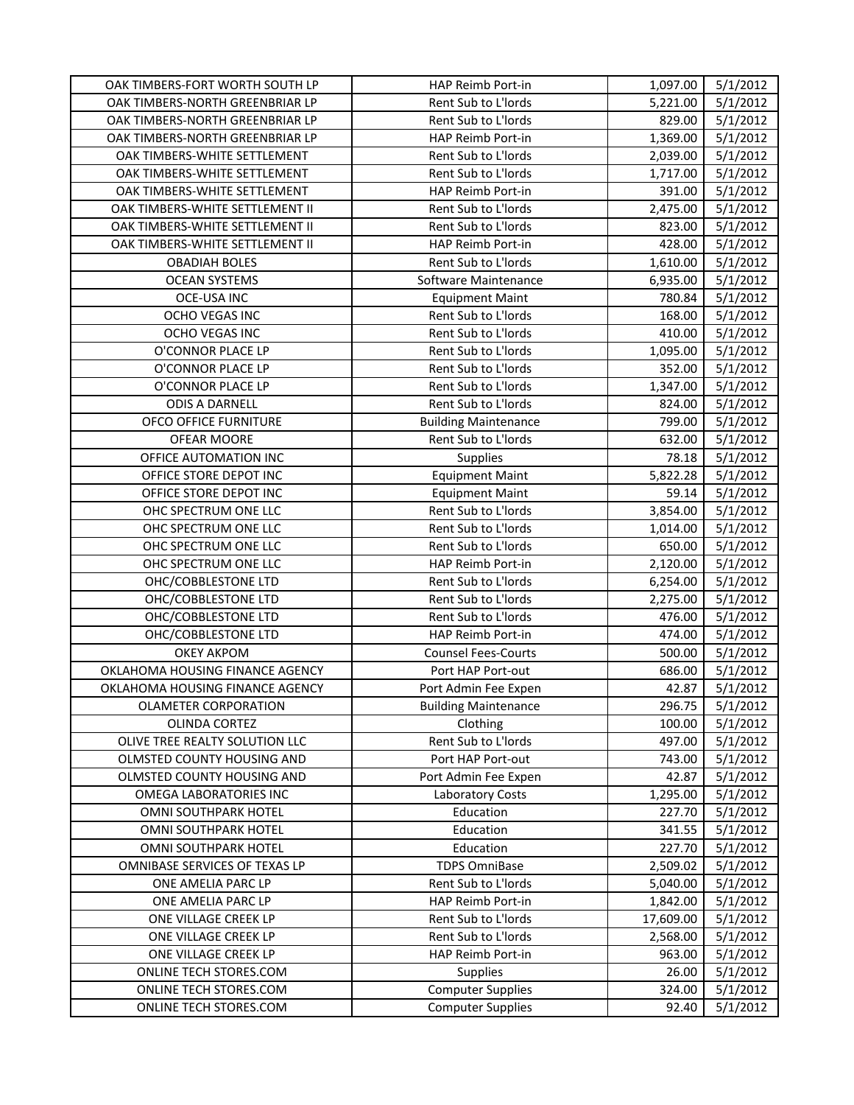| OAK TIMBERS-FORT WORTH SOUTH LP | HAP Reimb Port-in           | 1,097.00  | 5/1/2012 |
|---------------------------------|-----------------------------|-----------|----------|
| OAK TIMBERS-NORTH GREENBRIAR LP | Rent Sub to L'Iords         | 5,221.00  | 5/1/2012 |
| OAK TIMBERS-NORTH GREENBRIAR LP | Rent Sub to L'Iords         | 829.00    | 5/1/2012 |
| OAK TIMBERS-NORTH GREENBRIAR LP | HAP Reimb Port-in           | 1,369.00  | 5/1/2012 |
| OAK TIMBERS-WHITE SETTLEMENT    | Rent Sub to L'Iords         | 2,039.00  | 5/1/2012 |
| OAK TIMBERS-WHITE SETTLEMENT    | Rent Sub to L'Iords         | 1,717.00  | 5/1/2012 |
| OAK TIMBERS-WHITE SETTLEMENT    | HAP Reimb Port-in           | 391.00    | 5/1/2012 |
| OAK TIMBERS-WHITE SETTLEMENT II | Rent Sub to L'Iords         | 2,475.00  | 5/1/2012 |
| OAK TIMBERS-WHITE SETTLEMENT II | Rent Sub to L'Iords         | 823.00    | 5/1/2012 |
| OAK TIMBERS-WHITE SETTLEMENT II | HAP Reimb Port-in           | 428.00    | 5/1/2012 |
| <b>OBADIAH BOLES</b>            | Rent Sub to L'Iords         | 1,610.00  | 5/1/2012 |
| <b>OCEAN SYSTEMS</b>            | Software Maintenance        | 6,935.00  | 5/1/2012 |
| <b>OCE-USA INC</b>              | <b>Equipment Maint</b>      | 780.84    | 5/1/2012 |
| OCHO VEGAS INC                  | Rent Sub to L'Iords         | 168.00    | 5/1/2012 |
| OCHO VEGAS INC                  | Rent Sub to L'Iords         | 410.00    | 5/1/2012 |
| O'CONNOR PLACE LP               | Rent Sub to L'Iords         | 1,095.00  | 5/1/2012 |
| O'CONNOR PLACE LP               | Rent Sub to L'Iords         | 352.00    | 5/1/2012 |
| O'CONNOR PLACE LP               | Rent Sub to L'Iords         | 1,347.00  | 5/1/2012 |
| <b>ODIS A DARNELL</b>           | Rent Sub to L'Iords         | 824.00    | 5/1/2012 |
| OFCO OFFICE FURNITURE           | <b>Building Maintenance</b> | 799.00    | 5/1/2012 |
| OFEAR MOORE                     | Rent Sub to L'Iords         | 632.00    | 5/1/2012 |
| OFFICE AUTOMATION INC           | Supplies                    | 78.18     | 5/1/2012 |
| OFFICE STORE DEPOT INC          | <b>Equipment Maint</b>      | 5,822.28  | 5/1/2012 |
| OFFICE STORE DEPOT INC          | <b>Equipment Maint</b>      | 59.14     | 5/1/2012 |
| OHC SPECTRUM ONE LLC            | Rent Sub to L'Iords         | 3,854.00  | 5/1/2012 |
| OHC SPECTRUM ONE LLC            | Rent Sub to L'Iords         | 1,014.00  | 5/1/2012 |
| OHC SPECTRUM ONE LLC            | Rent Sub to L'Iords         | 650.00    | 5/1/2012 |
| OHC SPECTRUM ONE LLC            | HAP Reimb Port-in           | 2,120.00  | 5/1/2012 |
| OHC/COBBLESTONE LTD             | Rent Sub to L'Iords         | 6,254.00  | 5/1/2012 |
| OHC/COBBLESTONE LTD             | Rent Sub to L'Iords         | 2,275.00  | 5/1/2012 |
| OHC/COBBLESTONE LTD             | Rent Sub to L'Iords         | 476.00    | 5/1/2012 |
| OHC/COBBLESTONE LTD             | HAP Reimb Port-in           | 474.00    | 5/1/2012 |
| <b>OKEY AKPOM</b>               | <b>Counsel Fees-Courts</b>  | 500.00    | 5/1/2012 |
| OKLAHOMA HOUSING FINANCE AGENCY | Port HAP Port-out           | 686.00    | 5/1/2012 |
| OKLAHOMA HOUSING FINANCE AGENCY | Port Admin Fee Expen        | 42.87     | 5/1/2012 |
| <b>OLAMETER CORPORATION</b>     | <b>Building Maintenance</b> | 296.75    | 5/1/2012 |
| <b>OLINDA CORTEZ</b>            | Clothing                    | 100.00    | 5/1/2012 |
| OLIVE TREE REALTY SOLUTION LLC  | Rent Sub to L'Iords         | 497.00    | 5/1/2012 |
| OLMSTED COUNTY HOUSING AND      | Port HAP Port-out           | 743.00    | 5/1/2012 |
| OLMSTED COUNTY HOUSING AND      | Port Admin Fee Expen        | 42.87     | 5/1/2012 |
| OMEGA LABORATORIES INC          | Laboratory Costs            | 1,295.00  | 5/1/2012 |
| OMNI SOUTHPARK HOTEL            | Education                   | 227.70    | 5/1/2012 |
| OMNI SOUTHPARK HOTEL            | Education                   | 341.55    | 5/1/2012 |
| OMNI SOUTHPARK HOTEL            | Education                   | 227.70    | 5/1/2012 |
| OMNIBASE SERVICES OF TEXAS LP   | <b>TDPS OmniBase</b>        | 2,509.02  | 5/1/2012 |
| ONE AMELIA PARC LP              | Rent Sub to L'Iords         | 5,040.00  | 5/1/2012 |
| ONE AMELIA PARC LP              | HAP Reimb Port-in           | 1,842.00  | 5/1/2012 |
| ONE VILLAGE CREEK LP            | Rent Sub to L'Iords         | 17,609.00 | 5/1/2012 |
| ONE VILLAGE CREEK LP            | Rent Sub to L'Iords         | 2,568.00  | 5/1/2012 |
| ONE VILLAGE CREEK LP            | HAP Reimb Port-in           | 963.00    | 5/1/2012 |
| ONLINE TECH STORES.COM          | <b>Supplies</b>             | 26.00     | 5/1/2012 |
| ONLINE TECH STORES.COM          | <b>Computer Supplies</b>    | 324.00    | 5/1/2012 |
| ONLINE TECH STORES.COM          | <b>Computer Supplies</b>    | 92.40     | 5/1/2012 |
|                                 |                             |           |          |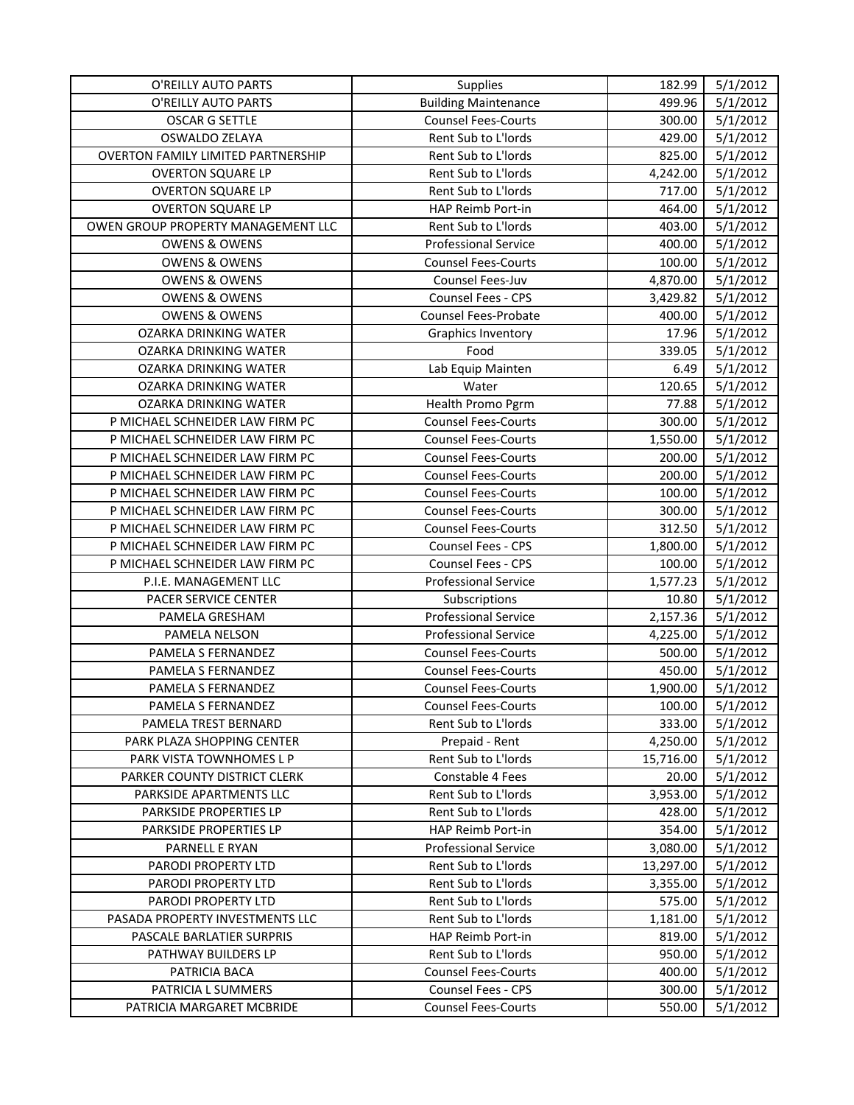| O'REILLY AUTO PARTS                       | <b>Supplies</b>             | 182.99    | 5/1/2012 |
|-------------------------------------------|-----------------------------|-----------|----------|
| O'REILLY AUTO PARTS                       | <b>Building Maintenance</b> | 499.96    | 5/1/2012 |
| <b>OSCAR G SETTLE</b>                     | <b>Counsel Fees-Courts</b>  | 300.00    | 5/1/2012 |
| OSWALDO ZELAYA                            | Rent Sub to L'Iords         | 429.00    | 5/1/2012 |
| <b>OVERTON FAMILY LIMITED PARTNERSHIP</b> | Rent Sub to L'Iords         | 825.00    | 5/1/2012 |
| <b>OVERTON SQUARE LP</b>                  | Rent Sub to L'Iords         | 4,242.00  | 5/1/2012 |
| <b>OVERTON SQUARE LP</b>                  | Rent Sub to L'Iords         | 717.00    | 5/1/2012 |
| <b>OVERTON SQUARE LP</b>                  | HAP Reimb Port-in           | 464.00    | 5/1/2012 |
| OWEN GROUP PROPERTY MANAGEMENT LLC        | Rent Sub to L'Iords         | 403.00    | 5/1/2012 |
| <b>OWENS &amp; OWENS</b>                  | <b>Professional Service</b> | 400.00    | 5/1/2012 |
| <b>OWENS &amp; OWENS</b>                  | <b>Counsel Fees-Courts</b>  | 100.00    | 5/1/2012 |
| <b>OWENS &amp; OWENS</b>                  | Counsel Fees-Juv            | 4,870.00  | 5/1/2012 |
| <b>OWENS &amp; OWENS</b>                  | <b>Counsel Fees - CPS</b>   | 3,429.82  | 5/1/2012 |
| <b>OWENS &amp; OWENS</b>                  | Counsel Fees-Probate        | 400.00    | 5/1/2012 |
| OZARKA DRINKING WATER                     | Graphics Inventory          | 17.96     | 5/1/2012 |
| OZARKA DRINKING WATER                     | Food                        | 339.05    | 5/1/2012 |
| OZARKA DRINKING WATER                     | Lab Equip Mainten           | 6.49      | 5/1/2012 |
| OZARKA DRINKING WATER                     | Water                       | 120.65    | 5/1/2012 |
| OZARKA DRINKING WATER                     | Health Promo Pgrm           | 77.88     | 5/1/2012 |
| P MICHAEL SCHNEIDER LAW FIRM PC           | <b>Counsel Fees-Courts</b>  | 300.00    | 5/1/2012 |
| P MICHAEL SCHNEIDER LAW FIRM PC           | <b>Counsel Fees-Courts</b>  | 1,550.00  | 5/1/2012 |
| P MICHAEL SCHNEIDER LAW FIRM PC           | <b>Counsel Fees-Courts</b>  | 200.00    | 5/1/2012 |
| P MICHAEL SCHNEIDER LAW FIRM PC           | <b>Counsel Fees-Courts</b>  | 200.00    | 5/1/2012 |
| P MICHAEL SCHNEIDER LAW FIRM PC           | <b>Counsel Fees-Courts</b>  | 100.00    | 5/1/2012 |
| P MICHAEL SCHNEIDER LAW FIRM PC           | <b>Counsel Fees-Courts</b>  | 300.00    | 5/1/2012 |
| P MICHAEL SCHNEIDER LAW FIRM PC           | <b>Counsel Fees-Courts</b>  | 312.50    | 5/1/2012 |
| P MICHAEL SCHNEIDER LAW FIRM PC           | Counsel Fees - CPS          | 1,800.00  | 5/1/2012 |
| P MICHAEL SCHNEIDER LAW FIRM PC           | <b>Counsel Fees - CPS</b>   | 100.00    | 5/1/2012 |
| P.I.E. MANAGEMENT LLC                     | <b>Professional Service</b> | 1,577.23  | 5/1/2012 |
| PACER SERVICE CENTER                      | Subscriptions               | 10.80     | 5/1/2012 |
| PAMELA GRESHAM                            | <b>Professional Service</b> | 2,157.36  | 5/1/2012 |
| PAMELA NELSON                             | <b>Professional Service</b> | 4,225.00  | 5/1/2012 |
| PAMELA S FERNANDEZ                        | <b>Counsel Fees-Courts</b>  | 500.00    | 5/1/2012 |
| PAMELA S FERNANDEZ                        | <b>Counsel Fees-Courts</b>  | 450.00    | 5/1/2012 |
| PAMELA S FERNANDEZ                        | <b>Counsel Fees-Courts</b>  | 1,900.00  | 5/1/2012 |
| PAMELA S FERNANDEZ                        | <b>Counsel Fees-Courts</b>  | 100.00    | 5/1/2012 |
| PAMELA TREST BERNARD                      | Rent Sub to L'Iords         | 333.00    | 5/1/2012 |
| PARK PLAZA SHOPPING CENTER                | Prepaid - Rent              | 4,250.00  | 5/1/2012 |
| PARK VISTA TOWNHOMES L P                  | Rent Sub to L'Iords         | 15,716.00 | 5/1/2012 |
| PARKER COUNTY DISTRICT CLERK              | Constable 4 Fees            | 20.00     | 5/1/2012 |
| PARKSIDE APARTMENTS LLC                   | Rent Sub to L'Iords         | 3,953.00  | 5/1/2012 |
| PARKSIDE PROPERTIES LP                    | Rent Sub to L'Iords         | 428.00    | 5/1/2012 |
| PARKSIDE PROPERTIES LP                    | HAP Reimb Port-in           | 354.00    | 5/1/2012 |
| PARNELL E RYAN                            | <b>Professional Service</b> | 3,080.00  | 5/1/2012 |
| PARODI PROPERTY LTD                       | Rent Sub to L'Iords         | 13,297.00 | 5/1/2012 |
| PARODI PROPERTY LTD                       | Rent Sub to L'Iords         | 3,355.00  | 5/1/2012 |
| PARODI PROPERTY LTD                       | Rent Sub to L'Iords         | 575.00    | 5/1/2012 |
| PASADA PROPERTY INVESTMENTS LLC           | Rent Sub to L'Iords         | 1,181.00  | 5/1/2012 |
| PASCALE BARLATIER SURPRIS                 | HAP Reimb Port-in           | 819.00    | 5/1/2012 |
| PATHWAY BUILDERS LP                       | Rent Sub to L'Iords         | 950.00    | 5/1/2012 |
| PATRICIA BACA                             | <b>Counsel Fees-Courts</b>  | 400.00    | 5/1/2012 |
| PATRICIA L SUMMERS                        | <b>Counsel Fees - CPS</b>   | 300.00    | 5/1/2012 |
| PATRICIA MARGARET MCBRIDE                 | <b>Counsel Fees-Courts</b>  | 550.00    | 5/1/2012 |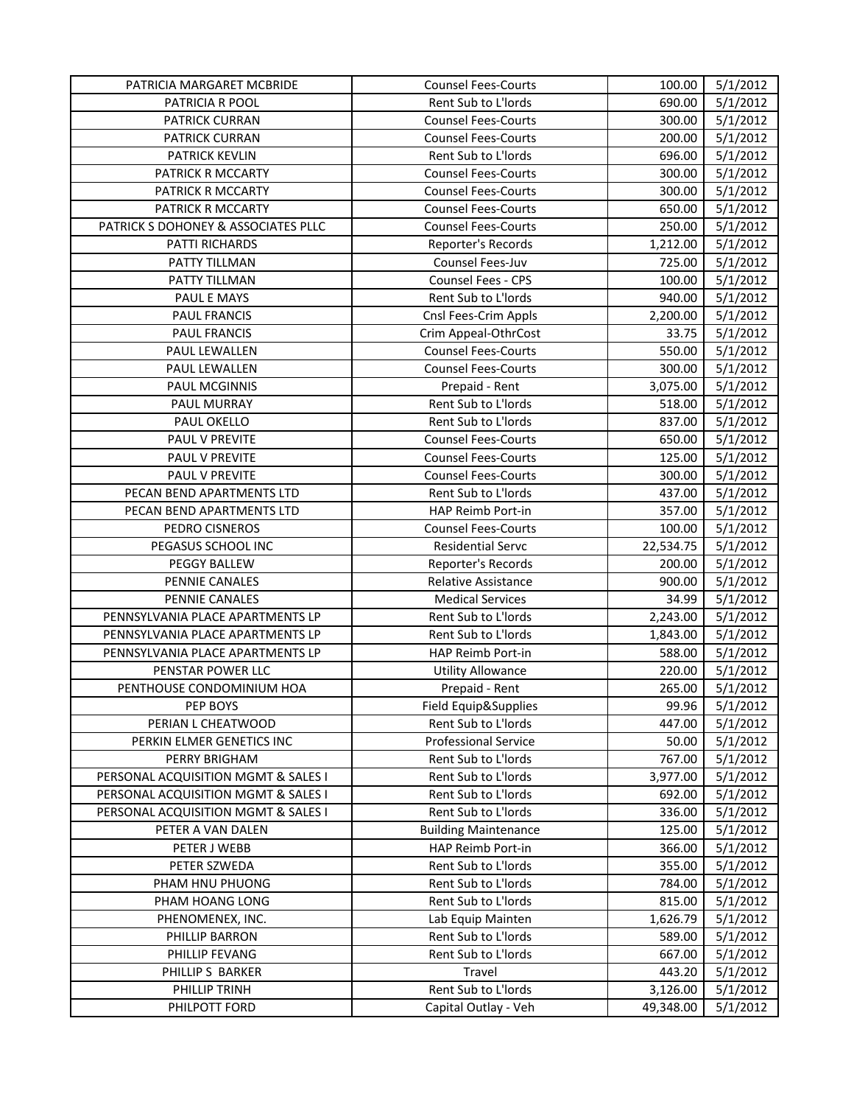| PATRICIA MARGARET MCBRIDE           | <b>Counsel Fees-Courts</b>  | 100.00    | 5/1/2012 |
|-------------------------------------|-----------------------------|-----------|----------|
| PATRICIA R POOL                     | Rent Sub to L'Iords         | 690.00    | 5/1/2012 |
| PATRICK CURRAN                      | <b>Counsel Fees-Courts</b>  | 300.00    | 5/1/2012 |
| PATRICK CURRAN                      | <b>Counsel Fees-Courts</b>  | 200.00    | 5/1/2012 |
| <b>PATRICK KEVLIN</b>               | Rent Sub to L'Iords         | 696.00    | 5/1/2012 |
| PATRICK R MCCARTY                   | <b>Counsel Fees-Courts</b>  | 300.00    | 5/1/2012 |
| PATRICK R MCCARTY                   | <b>Counsel Fees-Courts</b>  | 300.00    | 5/1/2012 |
| PATRICK R MCCARTY                   | <b>Counsel Fees-Courts</b>  | 650.00    | 5/1/2012 |
| PATRICK S DOHONEY & ASSOCIATES PLLC | <b>Counsel Fees-Courts</b>  | 250.00    | 5/1/2012 |
| PATTI RICHARDS                      | Reporter's Records          | 1,212.00  | 5/1/2012 |
| PATTY TILLMAN                       | Counsel Fees-Juv            | 725.00    | 5/1/2012 |
| PATTY TILLMAN                       | Counsel Fees - CPS          | 100.00    | 5/1/2012 |
| PAUL E MAYS                         | Rent Sub to L'Iords         | 940.00    | 5/1/2012 |
| PAUL FRANCIS                        | Cnsl Fees-Crim Appls        | 2,200.00  | 5/1/2012 |
| PAUL FRANCIS                        | Crim Appeal-OthrCost        | 33.75     | 5/1/2012 |
| PAUL LEWALLEN                       | <b>Counsel Fees-Courts</b>  | 550.00    | 5/1/2012 |
| PAUL LEWALLEN                       | <b>Counsel Fees-Courts</b>  | 300.00    | 5/1/2012 |
| PAUL MCGINNIS                       | Prepaid - Rent              | 3,075.00  | 5/1/2012 |
| PAUL MURRAY                         | Rent Sub to L'Iords         | 518.00    | 5/1/2012 |
| PAUL OKELLO                         | Rent Sub to L'Iords         | 837.00    | 5/1/2012 |
| PAUL V PREVITE                      | <b>Counsel Fees-Courts</b>  | 650.00    | 5/1/2012 |
| PAUL V PREVITE                      | <b>Counsel Fees-Courts</b>  | 125.00    | 5/1/2012 |
| PAUL V PREVITE                      | <b>Counsel Fees-Courts</b>  | 300.00    | 5/1/2012 |
| PECAN BEND APARTMENTS LTD           | Rent Sub to L'Iords         | 437.00    | 5/1/2012 |
| PECAN BEND APARTMENTS LTD           | HAP Reimb Port-in           | 357.00    | 5/1/2012 |
| PEDRO CISNEROS                      | <b>Counsel Fees-Courts</b>  | 100.00    | 5/1/2012 |
| PEGASUS SCHOOL INC                  | <b>Residential Servc</b>    | 22,534.75 | 5/1/2012 |
| PEGGY BALLEW                        | Reporter's Records          | 200.00    | 5/1/2012 |
| PENNIE CANALES                      | Relative Assistance         | 900.00    | 5/1/2012 |
| PENNIE CANALES                      | <b>Medical Services</b>     | 34.99     | 5/1/2012 |
| PENNSYLVANIA PLACE APARTMENTS LP    | Rent Sub to L'Iords         | 2,243.00  | 5/1/2012 |
| PENNSYLVANIA PLACE APARTMENTS LP    | Rent Sub to L'Iords         | 1,843.00  | 5/1/2012 |
| PENNSYLVANIA PLACE APARTMENTS LP    | HAP Reimb Port-in           | 588.00    | 5/1/2012 |
| PENSTAR POWER LLC                   | <b>Utility Allowance</b>    | 220.00    | 5/1/2012 |
| PENTHOUSE CONDOMINIUM HOA           | Prepaid - Rent              | 265.00    | 5/1/2012 |
| PEP BOYS                            | Field Equip&Supplies        | 99.96     | 5/1/2012 |
| PERIAN L CHEATWOOD                  | Rent Sub to L'Iords         | 447.00    | 5/1/2012 |
| PERKIN ELMER GENETICS INC           | <b>Professional Service</b> | 50.00     | 5/1/2012 |
| <b>PERRY BRIGHAM</b>                | Rent Sub to L'Iords         | 767.00    | 5/1/2012 |
| PERSONAL ACQUISITION MGMT & SALES I | Rent Sub to L'Iords         | 3,977.00  | 5/1/2012 |
| PERSONAL ACQUISITION MGMT & SALES I | Rent Sub to L'Iords         | 692.00    | 5/1/2012 |
| PERSONAL ACQUISITION MGMT & SALES I | Rent Sub to L'Iords         | 336.00    | 5/1/2012 |
| PETER A VAN DALEN                   | <b>Building Maintenance</b> | 125.00    | 5/1/2012 |
| PETER J WEBB                        | HAP Reimb Port-in           | 366.00    | 5/1/2012 |
| PETER SZWEDA                        | Rent Sub to L'Iords         | 355.00    | 5/1/2012 |
| PHAM HNU PHUONG                     | Rent Sub to L'Iords         | 784.00    | 5/1/2012 |
| PHAM HOANG LONG                     | Rent Sub to L'Iords         | 815.00    | 5/1/2012 |
| PHENOMENEX, INC.                    | Lab Equip Mainten           | 1,626.79  | 5/1/2012 |
| PHILLIP BARRON                      | Rent Sub to L'Iords         | 589.00    | 5/1/2012 |
| PHILLIP FEVANG                      | Rent Sub to L'Iords         | 667.00    | 5/1/2012 |
| PHILLIP S BARKER                    | Travel                      | 443.20    | 5/1/2012 |
| PHILLIP TRINH                       | Rent Sub to L'Iords         | 3,126.00  | 5/1/2012 |
| PHILPOTT FORD                       | Capital Outlay - Veh        | 49,348.00 | 5/1/2012 |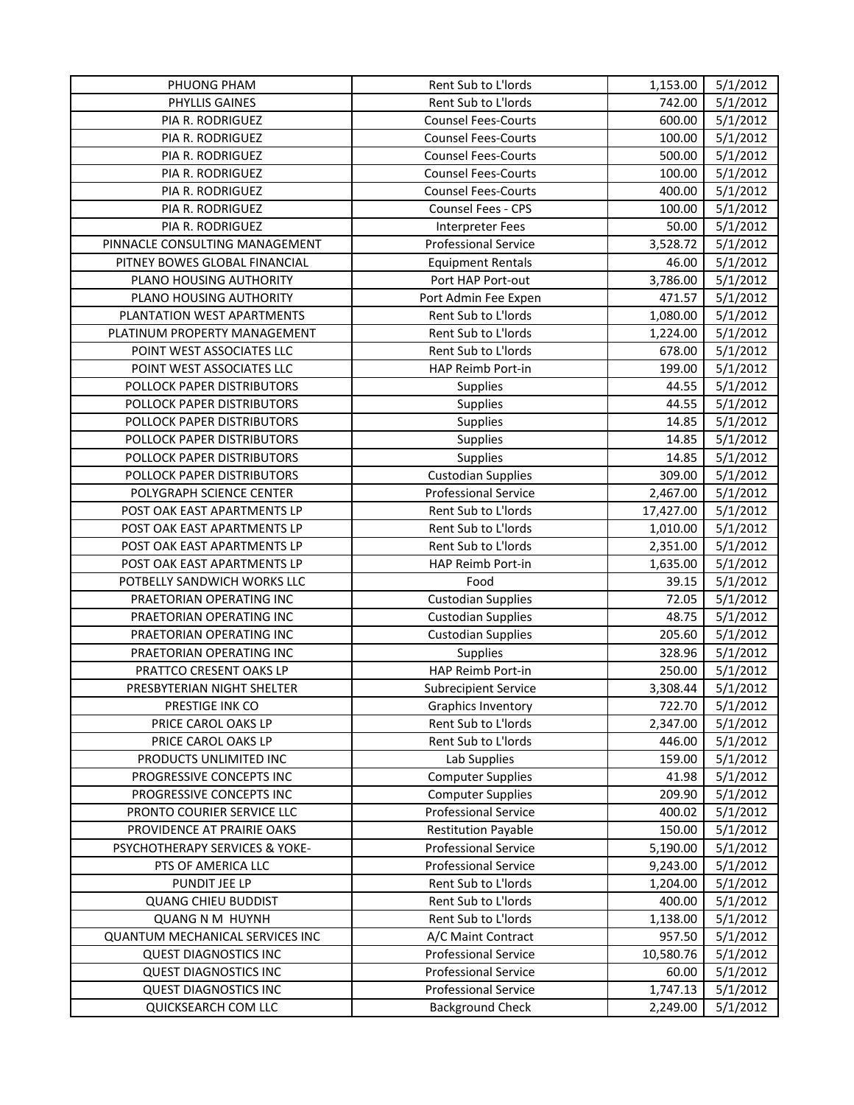| PHYLLIS GAINES<br>Rent Sub to L'Iords<br>742.00<br>5/1/2012<br><b>Counsel Fees-Courts</b><br>5/1/2012<br>PIA R. RODRIGUEZ<br>600.00<br>PIA R. RODRIGUEZ<br><b>Counsel Fees-Courts</b><br>5/1/2012<br>100.00<br>500.00<br>5/1/2012<br>PIA R. RODRIGUEZ<br><b>Counsel Fees-Courts</b><br>5/1/2012<br>PIA R. RODRIGUEZ<br><b>Counsel Fees-Courts</b><br>100.00<br>400.00<br>5/1/2012<br>PIA R. RODRIGUEZ<br><b>Counsel Fees-Courts</b><br>Counsel Fees - CPS<br>5/1/2012<br>PIA R. RODRIGUEZ<br>100.00<br>PIA R. RODRIGUEZ<br>5/1/2012<br><b>Interpreter Fees</b><br>50.00<br><b>Professional Service</b><br>PINNACLE CONSULTING MANAGEMENT<br>3,528.72<br>5/1/2012<br>PITNEY BOWES GLOBAL FINANCIAL<br>5/1/2012<br><b>Equipment Rentals</b><br>46.00<br>PLANO HOUSING AUTHORITY<br>5/1/2012<br>Port HAP Port-out<br>3,786.00<br>PLANO HOUSING AUTHORITY<br>5/1/2012<br>471.57<br>Port Admin Fee Expen<br>Rent Sub to L'Iords<br>1,080.00<br>5/1/2012<br>PLANTATION WEST APARTMENTS<br>Rent Sub to L'Iords<br>5/1/2012<br>PLATINUM PROPERTY MANAGEMENT<br>1,224.00<br>5/1/2012<br>POINT WEST ASSOCIATES LLC<br>Rent Sub to L'Iords<br>678.00<br>POINT WEST ASSOCIATES LLC<br>HAP Reimb Port-in<br>199.00<br>5/1/2012<br>POLLOCK PAPER DISTRIBUTORS<br>5/1/2012<br>Supplies<br>44.55<br>5/1/2012<br>POLLOCK PAPER DISTRIBUTORS<br>44.55<br><b>Supplies</b><br>POLLOCK PAPER DISTRIBUTORS<br>5/1/2012<br><b>Supplies</b><br>14.85<br>POLLOCK PAPER DISTRIBUTORS<br>5/1/2012<br><b>Supplies</b><br>14.85<br>5/1/2012<br>POLLOCK PAPER DISTRIBUTORS<br><b>Supplies</b><br>14.85<br><b>Custodian Supplies</b><br>309.00<br>5/1/2012<br>POLLOCK PAPER DISTRIBUTORS<br><b>Professional Service</b><br>5/1/2012<br>POLYGRAPH SCIENCE CENTER<br>2,467.00<br>Rent Sub to L'Iords<br>5/1/2012<br>POST OAK EAST APARTMENTS LP<br>17,427.00<br>Rent Sub to L'Iords<br>POST OAK EAST APARTMENTS LP<br>5/1/2012<br>1,010.00<br>Rent Sub to L'Iords<br>POST OAK EAST APARTMENTS LP<br>2,351.00<br>5/1/2012<br>5/1/2012<br>POST OAK EAST APARTMENTS LP<br>HAP Reimb Port-in<br>1,635.00<br>5/1/2012<br>POTBELLY SANDWICH WORKS LLC<br>Food<br>39.15<br><b>Custodian Supplies</b><br>72.05<br>5/1/2012<br>PRAETORIAN OPERATING INC<br>5/1/2012<br>PRAETORIAN OPERATING INC<br><b>Custodian Supplies</b><br>48.75<br>205.60<br>5/1/2012<br>PRAETORIAN OPERATING INC<br><b>Custodian Supplies</b><br>5/1/2012<br>PRAETORIAN OPERATING INC<br>Supplies<br>328.96<br>HAP Reimb Port-in<br>PRATTCO CRESENT OAKS LP<br>250.00<br>5/1/2012<br>PRESBYTERIAN NIGHT SHELTER<br>3,308.44<br>5/1/2012<br><b>Subrecipient Service</b><br>PRESTIGE INK CO<br><b>Graphics Inventory</b><br>722.70<br>5/1/2012<br>PRICE CAROL OAKS LP<br>Rent Sub to L'Iords<br>2,347.00<br>5/1/2012<br>PRICE CAROL OAKS LP<br>Rent Sub to L'Iords<br>446.00<br>5/1/2012<br>159.00<br>PRODUCTS UNLIMITED INC<br>Lab Supplies<br>5/1/2012<br>PROGRESSIVE CONCEPTS INC<br><b>Computer Supplies</b><br>41.98<br>5/1/2012<br>5/1/2012<br><b>Computer Supplies</b><br>209.90<br>PROGRESSIVE CONCEPTS INC<br><b>Professional Service</b><br>400.02<br>5/1/2012<br>PRONTO COURIER SERVICE LLC<br><b>Restitution Payable</b><br>5/1/2012<br>PROVIDENCE AT PRAIRIE OAKS<br>150.00<br>PSYCHOTHERAPY SERVICES & YOKE-<br><b>Professional Service</b><br>5,190.00<br>5/1/2012<br><b>Professional Service</b><br>5/1/2012<br>PTS OF AMERICA LLC<br>9,243.00<br>5/1/2012<br>PUNDIT JEE LP<br>Rent Sub to L'Iords<br>1,204.00<br>Rent Sub to L'Iords<br>400.00<br>5/1/2012<br><b>QUANG CHIEU BUDDIST</b><br>Rent Sub to L'Iords<br><b>QUANG N M HUYNH</b><br>5/1/2012<br>1,138.00<br>5/1/2012<br>QUANTUM MECHANICAL SERVICES INC<br>A/C Maint Contract<br>957.50<br><b>Professional Service</b><br>5/1/2012<br><b>QUEST DIAGNOSTICS INC</b><br>10,580.76 | PHUONG PHAM                  | Rent Sub to L'Iords         | 1,153.00 | 5/1/2012 |
|--------------------------------------------------------------------------------------------------------------------------------------------------------------------------------------------------------------------------------------------------------------------------------------------------------------------------------------------------------------------------------------------------------------------------------------------------------------------------------------------------------------------------------------------------------------------------------------------------------------------------------------------------------------------------------------------------------------------------------------------------------------------------------------------------------------------------------------------------------------------------------------------------------------------------------------------------------------------------------------------------------------------------------------------------------------------------------------------------------------------------------------------------------------------------------------------------------------------------------------------------------------------------------------------------------------------------------------------------------------------------------------------------------------------------------------------------------------------------------------------------------------------------------------------------------------------------------------------------------------------------------------------------------------------------------------------------------------------------------------------------------------------------------------------------------------------------------------------------------------------------------------------------------------------------------------------------------------------------------------------------------------------------------------------------------------------------------------------------------------------------------------------------------------------------------------------------------------------------------------------------------------------------------------------------------------------------------------------------------------------------------------------------------------------------------------------------------------------------------------------------------------------------------------------------------------------------------------------------------------------------------------------------------------------------------------------------------------------------------------------------------------------------------------------------------------------------------------------------------------------------------------------------------------------------------------------------------------------------------------------------------------------------------------------------------------------------------------------------------------------------------------------------------------------------------------------------------------------------------------------------------------------------------------------------------------------------------------------------------------------------------------------------------------------------------------------------------------------------------------------------------------------------------------------------------------------------------------------------------------------------------------------------------------------------------------------------------------------------------------------------------------------------------------|------------------------------|-----------------------------|----------|----------|
|                                                                                                                                                                                                                                                                                                                                                                                                                                                                                                                                                                                                                                                                                                                                                                                                                                                                                                                                                                                                                                                                                                                                                                                                                                                                                                                                                                                                                                                                                                                                                                                                                                                                                                                                                                                                                                                                                                                                                                                                                                                                                                                                                                                                                                                                                                                                                                                                                                                                                                                                                                                                                                                                                                                                                                                                                                                                                                                                                                                                                                                                                                                                                                                                                                                                                                                                                                                                                                                                                                                                                                                                                                                                                                                                                                                      |                              |                             |          |          |
|                                                                                                                                                                                                                                                                                                                                                                                                                                                                                                                                                                                                                                                                                                                                                                                                                                                                                                                                                                                                                                                                                                                                                                                                                                                                                                                                                                                                                                                                                                                                                                                                                                                                                                                                                                                                                                                                                                                                                                                                                                                                                                                                                                                                                                                                                                                                                                                                                                                                                                                                                                                                                                                                                                                                                                                                                                                                                                                                                                                                                                                                                                                                                                                                                                                                                                                                                                                                                                                                                                                                                                                                                                                                                                                                                                                      |                              |                             |          |          |
|                                                                                                                                                                                                                                                                                                                                                                                                                                                                                                                                                                                                                                                                                                                                                                                                                                                                                                                                                                                                                                                                                                                                                                                                                                                                                                                                                                                                                                                                                                                                                                                                                                                                                                                                                                                                                                                                                                                                                                                                                                                                                                                                                                                                                                                                                                                                                                                                                                                                                                                                                                                                                                                                                                                                                                                                                                                                                                                                                                                                                                                                                                                                                                                                                                                                                                                                                                                                                                                                                                                                                                                                                                                                                                                                                                                      |                              |                             |          |          |
|                                                                                                                                                                                                                                                                                                                                                                                                                                                                                                                                                                                                                                                                                                                                                                                                                                                                                                                                                                                                                                                                                                                                                                                                                                                                                                                                                                                                                                                                                                                                                                                                                                                                                                                                                                                                                                                                                                                                                                                                                                                                                                                                                                                                                                                                                                                                                                                                                                                                                                                                                                                                                                                                                                                                                                                                                                                                                                                                                                                                                                                                                                                                                                                                                                                                                                                                                                                                                                                                                                                                                                                                                                                                                                                                                                                      |                              |                             |          |          |
|                                                                                                                                                                                                                                                                                                                                                                                                                                                                                                                                                                                                                                                                                                                                                                                                                                                                                                                                                                                                                                                                                                                                                                                                                                                                                                                                                                                                                                                                                                                                                                                                                                                                                                                                                                                                                                                                                                                                                                                                                                                                                                                                                                                                                                                                                                                                                                                                                                                                                                                                                                                                                                                                                                                                                                                                                                                                                                                                                                                                                                                                                                                                                                                                                                                                                                                                                                                                                                                                                                                                                                                                                                                                                                                                                                                      |                              |                             |          |          |
|                                                                                                                                                                                                                                                                                                                                                                                                                                                                                                                                                                                                                                                                                                                                                                                                                                                                                                                                                                                                                                                                                                                                                                                                                                                                                                                                                                                                                                                                                                                                                                                                                                                                                                                                                                                                                                                                                                                                                                                                                                                                                                                                                                                                                                                                                                                                                                                                                                                                                                                                                                                                                                                                                                                                                                                                                                                                                                                                                                                                                                                                                                                                                                                                                                                                                                                                                                                                                                                                                                                                                                                                                                                                                                                                                                                      |                              |                             |          |          |
|                                                                                                                                                                                                                                                                                                                                                                                                                                                                                                                                                                                                                                                                                                                                                                                                                                                                                                                                                                                                                                                                                                                                                                                                                                                                                                                                                                                                                                                                                                                                                                                                                                                                                                                                                                                                                                                                                                                                                                                                                                                                                                                                                                                                                                                                                                                                                                                                                                                                                                                                                                                                                                                                                                                                                                                                                                                                                                                                                                                                                                                                                                                                                                                                                                                                                                                                                                                                                                                                                                                                                                                                                                                                                                                                                                                      |                              |                             |          |          |
|                                                                                                                                                                                                                                                                                                                                                                                                                                                                                                                                                                                                                                                                                                                                                                                                                                                                                                                                                                                                                                                                                                                                                                                                                                                                                                                                                                                                                                                                                                                                                                                                                                                                                                                                                                                                                                                                                                                                                                                                                                                                                                                                                                                                                                                                                                                                                                                                                                                                                                                                                                                                                                                                                                                                                                                                                                                                                                                                                                                                                                                                                                                                                                                                                                                                                                                                                                                                                                                                                                                                                                                                                                                                                                                                                                                      |                              |                             |          |          |
|                                                                                                                                                                                                                                                                                                                                                                                                                                                                                                                                                                                                                                                                                                                                                                                                                                                                                                                                                                                                                                                                                                                                                                                                                                                                                                                                                                                                                                                                                                                                                                                                                                                                                                                                                                                                                                                                                                                                                                                                                                                                                                                                                                                                                                                                                                                                                                                                                                                                                                                                                                                                                                                                                                                                                                                                                                                                                                                                                                                                                                                                                                                                                                                                                                                                                                                                                                                                                                                                                                                                                                                                                                                                                                                                                                                      |                              |                             |          |          |
|                                                                                                                                                                                                                                                                                                                                                                                                                                                                                                                                                                                                                                                                                                                                                                                                                                                                                                                                                                                                                                                                                                                                                                                                                                                                                                                                                                                                                                                                                                                                                                                                                                                                                                                                                                                                                                                                                                                                                                                                                                                                                                                                                                                                                                                                                                                                                                                                                                                                                                                                                                                                                                                                                                                                                                                                                                                                                                                                                                                                                                                                                                                                                                                                                                                                                                                                                                                                                                                                                                                                                                                                                                                                                                                                                                                      |                              |                             |          |          |
|                                                                                                                                                                                                                                                                                                                                                                                                                                                                                                                                                                                                                                                                                                                                                                                                                                                                                                                                                                                                                                                                                                                                                                                                                                                                                                                                                                                                                                                                                                                                                                                                                                                                                                                                                                                                                                                                                                                                                                                                                                                                                                                                                                                                                                                                                                                                                                                                                                                                                                                                                                                                                                                                                                                                                                                                                                                                                                                                                                                                                                                                                                                                                                                                                                                                                                                                                                                                                                                                                                                                                                                                                                                                                                                                                                                      |                              |                             |          |          |
|                                                                                                                                                                                                                                                                                                                                                                                                                                                                                                                                                                                                                                                                                                                                                                                                                                                                                                                                                                                                                                                                                                                                                                                                                                                                                                                                                                                                                                                                                                                                                                                                                                                                                                                                                                                                                                                                                                                                                                                                                                                                                                                                                                                                                                                                                                                                                                                                                                                                                                                                                                                                                                                                                                                                                                                                                                                                                                                                                                                                                                                                                                                                                                                                                                                                                                                                                                                                                                                                                                                                                                                                                                                                                                                                                                                      |                              |                             |          |          |
|                                                                                                                                                                                                                                                                                                                                                                                                                                                                                                                                                                                                                                                                                                                                                                                                                                                                                                                                                                                                                                                                                                                                                                                                                                                                                                                                                                                                                                                                                                                                                                                                                                                                                                                                                                                                                                                                                                                                                                                                                                                                                                                                                                                                                                                                                                                                                                                                                                                                                                                                                                                                                                                                                                                                                                                                                                                                                                                                                                                                                                                                                                                                                                                                                                                                                                                                                                                                                                                                                                                                                                                                                                                                                                                                                                                      |                              |                             |          |          |
|                                                                                                                                                                                                                                                                                                                                                                                                                                                                                                                                                                                                                                                                                                                                                                                                                                                                                                                                                                                                                                                                                                                                                                                                                                                                                                                                                                                                                                                                                                                                                                                                                                                                                                                                                                                                                                                                                                                                                                                                                                                                                                                                                                                                                                                                                                                                                                                                                                                                                                                                                                                                                                                                                                                                                                                                                                                                                                                                                                                                                                                                                                                                                                                                                                                                                                                                                                                                                                                                                                                                                                                                                                                                                                                                                                                      |                              |                             |          |          |
|                                                                                                                                                                                                                                                                                                                                                                                                                                                                                                                                                                                                                                                                                                                                                                                                                                                                                                                                                                                                                                                                                                                                                                                                                                                                                                                                                                                                                                                                                                                                                                                                                                                                                                                                                                                                                                                                                                                                                                                                                                                                                                                                                                                                                                                                                                                                                                                                                                                                                                                                                                                                                                                                                                                                                                                                                                                                                                                                                                                                                                                                                                                                                                                                                                                                                                                                                                                                                                                                                                                                                                                                                                                                                                                                                                                      |                              |                             |          |          |
|                                                                                                                                                                                                                                                                                                                                                                                                                                                                                                                                                                                                                                                                                                                                                                                                                                                                                                                                                                                                                                                                                                                                                                                                                                                                                                                                                                                                                                                                                                                                                                                                                                                                                                                                                                                                                                                                                                                                                                                                                                                                                                                                                                                                                                                                                                                                                                                                                                                                                                                                                                                                                                                                                                                                                                                                                                                                                                                                                                                                                                                                                                                                                                                                                                                                                                                                                                                                                                                                                                                                                                                                                                                                                                                                                                                      |                              |                             |          |          |
|                                                                                                                                                                                                                                                                                                                                                                                                                                                                                                                                                                                                                                                                                                                                                                                                                                                                                                                                                                                                                                                                                                                                                                                                                                                                                                                                                                                                                                                                                                                                                                                                                                                                                                                                                                                                                                                                                                                                                                                                                                                                                                                                                                                                                                                                                                                                                                                                                                                                                                                                                                                                                                                                                                                                                                                                                                                                                                                                                                                                                                                                                                                                                                                                                                                                                                                                                                                                                                                                                                                                                                                                                                                                                                                                                                                      |                              |                             |          |          |
|                                                                                                                                                                                                                                                                                                                                                                                                                                                                                                                                                                                                                                                                                                                                                                                                                                                                                                                                                                                                                                                                                                                                                                                                                                                                                                                                                                                                                                                                                                                                                                                                                                                                                                                                                                                                                                                                                                                                                                                                                                                                                                                                                                                                                                                                                                                                                                                                                                                                                                                                                                                                                                                                                                                                                                                                                                                                                                                                                                                                                                                                                                                                                                                                                                                                                                                                                                                                                                                                                                                                                                                                                                                                                                                                                                                      |                              |                             |          |          |
|                                                                                                                                                                                                                                                                                                                                                                                                                                                                                                                                                                                                                                                                                                                                                                                                                                                                                                                                                                                                                                                                                                                                                                                                                                                                                                                                                                                                                                                                                                                                                                                                                                                                                                                                                                                                                                                                                                                                                                                                                                                                                                                                                                                                                                                                                                                                                                                                                                                                                                                                                                                                                                                                                                                                                                                                                                                                                                                                                                                                                                                                                                                                                                                                                                                                                                                                                                                                                                                                                                                                                                                                                                                                                                                                                                                      |                              |                             |          |          |
|                                                                                                                                                                                                                                                                                                                                                                                                                                                                                                                                                                                                                                                                                                                                                                                                                                                                                                                                                                                                                                                                                                                                                                                                                                                                                                                                                                                                                                                                                                                                                                                                                                                                                                                                                                                                                                                                                                                                                                                                                                                                                                                                                                                                                                                                                                                                                                                                                                                                                                                                                                                                                                                                                                                                                                                                                                                                                                                                                                                                                                                                                                                                                                                                                                                                                                                                                                                                                                                                                                                                                                                                                                                                                                                                                                                      |                              |                             |          |          |
|                                                                                                                                                                                                                                                                                                                                                                                                                                                                                                                                                                                                                                                                                                                                                                                                                                                                                                                                                                                                                                                                                                                                                                                                                                                                                                                                                                                                                                                                                                                                                                                                                                                                                                                                                                                                                                                                                                                                                                                                                                                                                                                                                                                                                                                                                                                                                                                                                                                                                                                                                                                                                                                                                                                                                                                                                                                                                                                                                                                                                                                                                                                                                                                                                                                                                                                                                                                                                                                                                                                                                                                                                                                                                                                                                                                      |                              |                             |          |          |
|                                                                                                                                                                                                                                                                                                                                                                                                                                                                                                                                                                                                                                                                                                                                                                                                                                                                                                                                                                                                                                                                                                                                                                                                                                                                                                                                                                                                                                                                                                                                                                                                                                                                                                                                                                                                                                                                                                                                                                                                                                                                                                                                                                                                                                                                                                                                                                                                                                                                                                                                                                                                                                                                                                                                                                                                                                                                                                                                                                                                                                                                                                                                                                                                                                                                                                                                                                                                                                                                                                                                                                                                                                                                                                                                                                                      |                              |                             |          |          |
|                                                                                                                                                                                                                                                                                                                                                                                                                                                                                                                                                                                                                                                                                                                                                                                                                                                                                                                                                                                                                                                                                                                                                                                                                                                                                                                                                                                                                                                                                                                                                                                                                                                                                                                                                                                                                                                                                                                                                                                                                                                                                                                                                                                                                                                                                                                                                                                                                                                                                                                                                                                                                                                                                                                                                                                                                                                                                                                                                                                                                                                                                                                                                                                                                                                                                                                                                                                                                                                                                                                                                                                                                                                                                                                                                                                      |                              |                             |          |          |
|                                                                                                                                                                                                                                                                                                                                                                                                                                                                                                                                                                                                                                                                                                                                                                                                                                                                                                                                                                                                                                                                                                                                                                                                                                                                                                                                                                                                                                                                                                                                                                                                                                                                                                                                                                                                                                                                                                                                                                                                                                                                                                                                                                                                                                                                                                                                                                                                                                                                                                                                                                                                                                                                                                                                                                                                                                                                                                                                                                                                                                                                                                                                                                                                                                                                                                                                                                                                                                                                                                                                                                                                                                                                                                                                                                                      |                              |                             |          |          |
|                                                                                                                                                                                                                                                                                                                                                                                                                                                                                                                                                                                                                                                                                                                                                                                                                                                                                                                                                                                                                                                                                                                                                                                                                                                                                                                                                                                                                                                                                                                                                                                                                                                                                                                                                                                                                                                                                                                                                                                                                                                                                                                                                                                                                                                                                                                                                                                                                                                                                                                                                                                                                                                                                                                                                                                                                                                                                                                                                                                                                                                                                                                                                                                                                                                                                                                                                                                                                                                                                                                                                                                                                                                                                                                                                                                      |                              |                             |          |          |
|                                                                                                                                                                                                                                                                                                                                                                                                                                                                                                                                                                                                                                                                                                                                                                                                                                                                                                                                                                                                                                                                                                                                                                                                                                                                                                                                                                                                                                                                                                                                                                                                                                                                                                                                                                                                                                                                                                                                                                                                                                                                                                                                                                                                                                                                                                                                                                                                                                                                                                                                                                                                                                                                                                                                                                                                                                                                                                                                                                                                                                                                                                                                                                                                                                                                                                                                                                                                                                                                                                                                                                                                                                                                                                                                                                                      |                              |                             |          |          |
|                                                                                                                                                                                                                                                                                                                                                                                                                                                                                                                                                                                                                                                                                                                                                                                                                                                                                                                                                                                                                                                                                                                                                                                                                                                                                                                                                                                                                                                                                                                                                                                                                                                                                                                                                                                                                                                                                                                                                                                                                                                                                                                                                                                                                                                                                                                                                                                                                                                                                                                                                                                                                                                                                                                                                                                                                                                                                                                                                                                                                                                                                                                                                                                                                                                                                                                                                                                                                                                                                                                                                                                                                                                                                                                                                                                      |                              |                             |          |          |
|                                                                                                                                                                                                                                                                                                                                                                                                                                                                                                                                                                                                                                                                                                                                                                                                                                                                                                                                                                                                                                                                                                                                                                                                                                                                                                                                                                                                                                                                                                                                                                                                                                                                                                                                                                                                                                                                                                                                                                                                                                                                                                                                                                                                                                                                                                                                                                                                                                                                                                                                                                                                                                                                                                                                                                                                                                                                                                                                                                                                                                                                                                                                                                                                                                                                                                                                                                                                                                                                                                                                                                                                                                                                                                                                                                                      |                              |                             |          |          |
|                                                                                                                                                                                                                                                                                                                                                                                                                                                                                                                                                                                                                                                                                                                                                                                                                                                                                                                                                                                                                                                                                                                                                                                                                                                                                                                                                                                                                                                                                                                                                                                                                                                                                                                                                                                                                                                                                                                                                                                                                                                                                                                                                                                                                                                                                                                                                                                                                                                                                                                                                                                                                                                                                                                                                                                                                                                                                                                                                                                                                                                                                                                                                                                                                                                                                                                                                                                                                                                                                                                                                                                                                                                                                                                                                                                      |                              |                             |          |          |
|                                                                                                                                                                                                                                                                                                                                                                                                                                                                                                                                                                                                                                                                                                                                                                                                                                                                                                                                                                                                                                                                                                                                                                                                                                                                                                                                                                                                                                                                                                                                                                                                                                                                                                                                                                                                                                                                                                                                                                                                                                                                                                                                                                                                                                                                                                                                                                                                                                                                                                                                                                                                                                                                                                                                                                                                                                                                                                                                                                                                                                                                                                                                                                                                                                                                                                                                                                                                                                                                                                                                                                                                                                                                                                                                                                                      |                              |                             |          |          |
|                                                                                                                                                                                                                                                                                                                                                                                                                                                                                                                                                                                                                                                                                                                                                                                                                                                                                                                                                                                                                                                                                                                                                                                                                                                                                                                                                                                                                                                                                                                                                                                                                                                                                                                                                                                                                                                                                                                                                                                                                                                                                                                                                                                                                                                                                                                                                                                                                                                                                                                                                                                                                                                                                                                                                                                                                                                                                                                                                                                                                                                                                                                                                                                                                                                                                                                                                                                                                                                                                                                                                                                                                                                                                                                                                                                      |                              |                             |          |          |
|                                                                                                                                                                                                                                                                                                                                                                                                                                                                                                                                                                                                                                                                                                                                                                                                                                                                                                                                                                                                                                                                                                                                                                                                                                                                                                                                                                                                                                                                                                                                                                                                                                                                                                                                                                                                                                                                                                                                                                                                                                                                                                                                                                                                                                                                                                                                                                                                                                                                                                                                                                                                                                                                                                                                                                                                                                                                                                                                                                                                                                                                                                                                                                                                                                                                                                                                                                                                                                                                                                                                                                                                                                                                                                                                                                                      |                              |                             |          |          |
|                                                                                                                                                                                                                                                                                                                                                                                                                                                                                                                                                                                                                                                                                                                                                                                                                                                                                                                                                                                                                                                                                                                                                                                                                                                                                                                                                                                                                                                                                                                                                                                                                                                                                                                                                                                                                                                                                                                                                                                                                                                                                                                                                                                                                                                                                                                                                                                                                                                                                                                                                                                                                                                                                                                                                                                                                                                                                                                                                                                                                                                                                                                                                                                                                                                                                                                                                                                                                                                                                                                                                                                                                                                                                                                                                                                      |                              |                             |          |          |
|                                                                                                                                                                                                                                                                                                                                                                                                                                                                                                                                                                                                                                                                                                                                                                                                                                                                                                                                                                                                                                                                                                                                                                                                                                                                                                                                                                                                                                                                                                                                                                                                                                                                                                                                                                                                                                                                                                                                                                                                                                                                                                                                                                                                                                                                                                                                                                                                                                                                                                                                                                                                                                                                                                                                                                                                                                                                                                                                                                                                                                                                                                                                                                                                                                                                                                                                                                                                                                                                                                                                                                                                                                                                                                                                                                                      |                              |                             |          |          |
|                                                                                                                                                                                                                                                                                                                                                                                                                                                                                                                                                                                                                                                                                                                                                                                                                                                                                                                                                                                                                                                                                                                                                                                                                                                                                                                                                                                                                                                                                                                                                                                                                                                                                                                                                                                                                                                                                                                                                                                                                                                                                                                                                                                                                                                                                                                                                                                                                                                                                                                                                                                                                                                                                                                                                                                                                                                                                                                                                                                                                                                                                                                                                                                                                                                                                                                                                                                                                                                                                                                                                                                                                                                                                                                                                                                      |                              |                             |          |          |
|                                                                                                                                                                                                                                                                                                                                                                                                                                                                                                                                                                                                                                                                                                                                                                                                                                                                                                                                                                                                                                                                                                                                                                                                                                                                                                                                                                                                                                                                                                                                                                                                                                                                                                                                                                                                                                                                                                                                                                                                                                                                                                                                                                                                                                                                                                                                                                                                                                                                                                                                                                                                                                                                                                                                                                                                                                                                                                                                                                                                                                                                                                                                                                                                                                                                                                                                                                                                                                                                                                                                                                                                                                                                                                                                                                                      |                              |                             |          |          |
|                                                                                                                                                                                                                                                                                                                                                                                                                                                                                                                                                                                                                                                                                                                                                                                                                                                                                                                                                                                                                                                                                                                                                                                                                                                                                                                                                                                                                                                                                                                                                                                                                                                                                                                                                                                                                                                                                                                                                                                                                                                                                                                                                                                                                                                                                                                                                                                                                                                                                                                                                                                                                                                                                                                                                                                                                                                                                                                                                                                                                                                                                                                                                                                                                                                                                                                                                                                                                                                                                                                                                                                                                                                                                                                                                                                      |                              |                             |          |          |
|                                                                                                                                                                                                                                                                                                                                                                                                                                                                                                                                                                                                                                                                                                                                                                                                                                                                                                                                                                                                                                                                                                                                                                                                                                                                                                                                                                                                                                                                                                                                                                                                                                                                                                                                                                                                                                                                                                                                                                                                                                                                                                                                                                                                                                                                                                                                                                                                                                                                                                                                                                                                                                                                                                                                                                                                                                                                                                                                                                                                                                                                                                                                                                                                                                                                                                                                                                                                                                                                                                                                                                                                                                                                                                                                                                                      |                              |                             |          |          |
|                                                                                                                                                                                                                                                                                                                                                                                                                                                                                                                                                                                                                                                                                                                                                                                                                                                                                                                                                                                                                                                                                                                                                                                                                                                                                                                                                                                                                                                                                                                                                                                                                                                                                                                                                                                                                                                                                                                                                                                                                                                                                                                                                                                                                                                                                                                                                                                                                                                                                                                                                                                                                                                                                                                                                                                                                                                                                                                                                                                                                                                                                                                                                                                                                                                                                                                                                                                                                                                                                                                                                                                                                                                                                                                                                                                      |                              |                             |          |          |
|                                                                                                                                                                                                                                                                                                                                                                                                                                                                                                                                                                                                                                                                                                                                                                                                                                                                                                                                                                                                                                                                                                                                                                                                                                                                                                                                                                                                                                                                                                                                                                                                                                                                                                                                                                                                                                                                                                                                                                                                                                                                                                                                                                                                                                                                                                                                                                                                                                                                                                                                                                                                                                                                                                                                                                                                                                                                                                                                                                                                                                                                                                                                                                                                                                                                                                                                                                                                                                                                                                                                                                                                                                                                                                                                                                                      |                              |                             |          |          |
|                                                                                                                                                                                                                                                                                                                                                                                                                                                                                                                                                                                                                                                                                                                                                                                                                                                                                                                                                                                                                                                                                                                                                                                                                                                                                                                                                                                                                                                                                                                                                                                                                                                                                                                                                                                                                                                                                                                                                                                                                                                                                                                                                                                                                                                                                                                                                                                                                                                                                                                                                                                                                                                                                                                                                                                                                                                                                                                                                                                                                                                                                                                                                                                                                                                                                                                                                                                                                                                                                                                                                                                                                                                                                                                                                                                      |                              |                             |          |          |
|                                                                                                                                                                                                                                                                                                                                                                                                                                                                                                                                                                                                                                                                                                                                                                                                                                                                                                                                                                                                                                                                                                                                                                                                                                                                                                                                                                                                                                                                                                                                                                                                                                                                                                                                                                                                                                                                                                                                                                                                                                                                                                                                                                                                                                                                                                                                                                                                                                                                                                                                                                                                                                                                                                                                                                                                                                                                                                                                                                                                                                                                                                                                                                                                                                                                                                                                                                                                                                                                                                                                                                                                                                                                                                                                                                                      |                              |                             |          |          |
|                                                                                                                                                                                                                                                                                                                                                                                                                                                                                                                                                                                                                                                                                                                                                                                                                                                                                                                                                                                                                                                                                                                                                                                                                                                                                                                                                                                                                                                                                                                                                                                                                                                                                                                                                                                                                                                                                                                                                                                                                                                                                                                                                                                                                                                                                                                                                                                                                                                                                                                                                                                                                                                                                                                                                                                                                                                                                                                                                                                                                                                                                                                                                                                                                                                                                                                                                                                                                                                                                                                                                                                                                                                                                                                                                                                      |                              |                             |          |          |
|                                                                                                                                                                                                                                                                                                                                                                                                                                                                                                                                                                                                                                                                                                                                                                                                                                                                                                                                                                                                                                                                                                                                                                                                                                                                                                                                                                                                                                                                                                                                                                                                                                                                                                                                                                                                                                                                                                                                                                                                                                                                                                                                                                                                                                                                                                                                                                                                                                                                                                                                                                                                                                                                                                                                                                                                                                                                                                                                                                                                                                                                                                                                                                                                                                                                                                                                                                                                                                                                                                                                                                                                                                                                                                                                                                                      |                              |                             |          |          |
|                                                                                                                                                                                                                                                                                                                                                                                                                                                                                                                                                                                                                                                                                                                                                                                                                                                                                                                                                                                                                                                                                                                                                                                                                                                                                                                                                                                                                                                                                                                                                                                                                                                                                                                                                                                                                                                                                                                                                                                                                                                                                                                                                                                                                                                                                                                                                                                                                                                                                                                                                                                                                                                                                                                                                                                                                                                                                                                                                                                                                                                                                                                                                                                                                                                                                                                                                                                                                                                                                                                                                                                                                                                                                                                                                                                      |                              |                             |          |          |
|                                                                                                                                                                                                                                                                                                                                                                                                                                                                                                                                                                                                                                                                                                                                                                                                                                                                                                                                                                                                                                                                                                                                                                                                                                                                                                                                                                                                                                                                                                                                                                                                                                                                                                                                                                                                                                                                                                                                                                                                                                                                                                                                                                                                                                                                                                                                                                                                                                                                                                                                                                                                                                                                                                                                                                                                                                                                                                                                                                                                                                                                                                                                                                                                                                                                                                                                                                                                                                                                                                                                                                                                                                                                                                                                                                                      |                              |                             |          |          |
|                                                                                                                                                                                                                                                                                                                                                                                                                                                                                                                                                                                                                                                                                                                                                                                                                                                                                                                                                                                                                                                                                                                                                                                                                                                                                                                                                                                                                                                                                                                                                                                                                                                                                                                                                                                                                                                                                                                                                                                                                                                                                                                                                                                                                                                                                                                                                                                                                                                                                                                                                                                                                                                                                                                                                                                                                                                                                                                                                                                                                                                                                                                                                                                                                                                                                                                                                                                                                                                                                                                                                                                                                                                                                                                                                                                      |                              |                             |          |          |
|                                                                                                                                                                                                                                                                                                                                                                                                                                                                                                                                                                                                                                                                                                                                                                                                                                                                                                                                                                                                                                                                                                                                                                                                                                                                                                                                                                                                                                                                                                                                                                                                                                                                                                                                                                                                                                                                                                                                                                                                                                                                                                                                                                                                                                                                                                                                                                                                                                                                                                                                                                                                                                                                                                                                                                                                                                                                                                                                                                                                                                                                                                                                                                                                                                                                                                                                                                                                                                                                                                                                                                                                                                                                                                                                                                                      |                              |                             |          |          |
|                                                                                                                                                                                                                                                                                                                                                                                                                                                                                                                                                                                                                                                                                                                                                                                                                                                                                                                                                                                                                                                                                                                                                                                                                                                                                                                                                                                                                                                                                                                                                                                                                                                                                                                                                                                                                                                                                                                                                                                                                                                                                                                                                                                                                                                                                                                                                                                                                                                                                                                                                                                                                                                                                                                                                                                                                                                                                                                                                                                                                                                                                                                                                                                                                                                                                                                                                                                                                                                                                                                                                                                                                                                                                                                                                                                      |                              |                             |          |          |
|                                                                                                                                                                                                                                                                                                                                                                                                                                                                                                                                                                                                                                                                                                                                                                                                                                                                                                                                                                                                                                                                                                                                                                                                                                                                                                                                                                                                                                                                                                                                                                                                                                                                                                                                                                                                                                                                                                                                                                                                                                                                                                                                                                                                                                                                                                                                                                                                                                                                                                                                                                                                                                                                                                                                                                                                                                                                                                                                                                                                                                                                                                                                                                                                                                                                                                                                                                                                                                                                                                                                                                                                                                                                                                                                                                                      | <b>QUEST DIAGNOSTICS INC</b> | <b>Professional Service</b> | 60.00    | 5/1/2012 |
| <b>QUEST DIAGNOSTICS INC</b><br><b>Professional Service</b><br>5/1/2012<br>1,747.13                                                                                                                                                                                                                                                                                                                                                                                                                                                                                                                                                                                                                                                                                                                                                                                                                                                                                                                                                                                                                                                                                                                                                                                                                                                                                                                                                                                                                                                                                                                                                                                                                                                                                                                                                                                                                                                                                                                                                                                                                                                                                                                                                                                                                                                                                                                                                                                                                                                                                                                                                                                                                                                                                                                                                                                                                                                                                                                                                                                                                                                                                                                                                                                                                                                                                                                                                                                                                                                                                                                                                                                                                                                                                                  |                              |                             |          |          |
| QUICKSEARCH COM LLC<br><b>Background Check</b><br>5/1/2012<br>2,249.00                                                                                                                                                                                                                                                                                                                                                                                                                                                                                                                                                                                                                                                                                                                                                                                                                                                                                                                                                                                                                                                                                                                                                                                                                                                                                                                                                                                                                                                                                                                                                                                                                                                                                                                                                                                                                                                                                                                                                                                                                                                                                                                                                                                                                                                                                                                                                                                                                                                                                                                                                                                                                                                                                                                                                                                                                                                                                                                                                                                                                                                                                                                                                                                                                                                                                                                                                                                                                                                                                                                                                                                                                                                                                                               |                              |                             |          |          |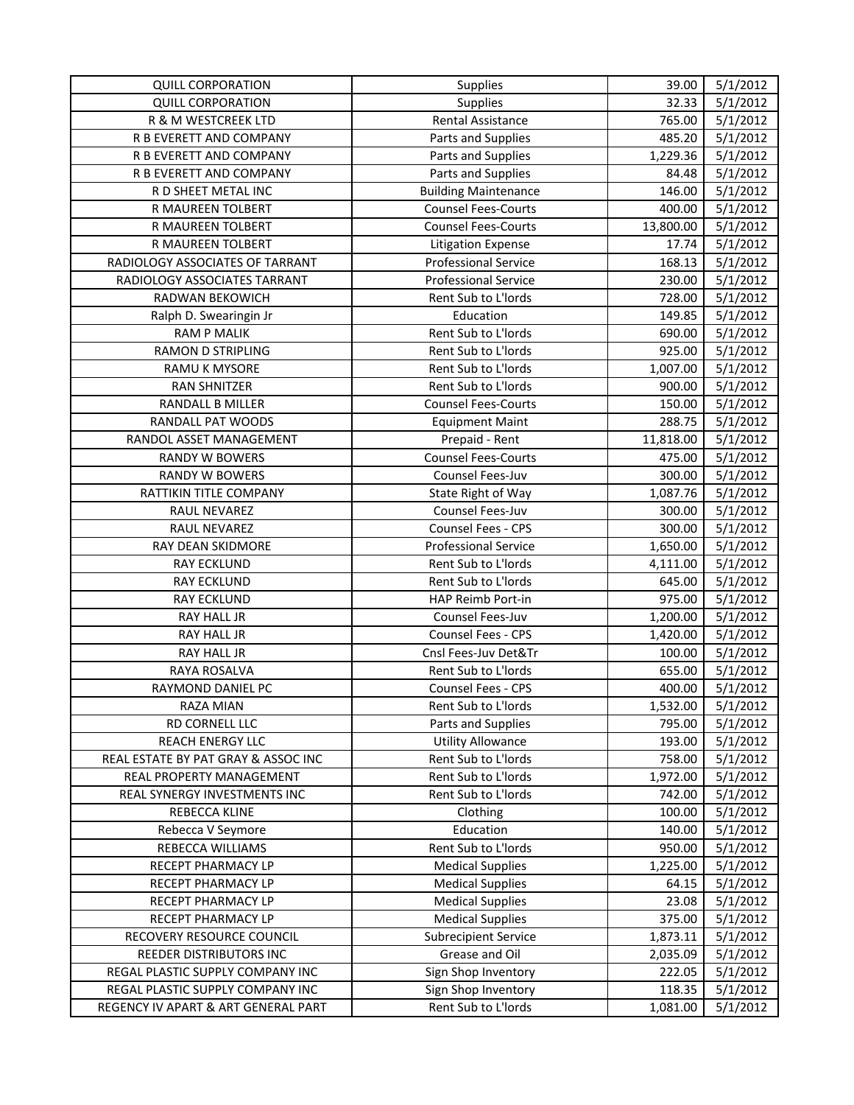| <b>QUILL CORPORATION</b>            | Supplies                    | 39.00     | 5/1/2012 |
|-------------------------------------|-----------------------------|-----------|----------|
| <b>QUILL CORPORATION</b>            | Supplies                    | 32.33     | 5/1/2012 |
| R & M WESTCREEK LTD                 | <b>Rental Assistance</b>    | 765.00    | 5/1/2012 |
| R B EVERETT AND COMPANY             | Parts and Supplies          | 485.20    | 5/1/2012 |
| R B EVERETT AND COMPANY             | Parts and Supplies          | 1,229.36  | 5/1/2012 |
| R B EVERETT AND COMPANY             | Parts and Supplies          | 84.48     | 5/1/2012 |
| R D SHEET METAL INC                 | <b>Building Maintenance</b> | 146.00    | 5/1/2012 |
| R MAUREEN TOLBERT                   | <b>Counsel Fees-Courts</b>  | 400.00    | 5/1/2012 |
| R MAUREEN TOLBERT                   | <b>Counsel Fees-Courts</b>  | 13,800.00 | 5/1/2012 |
| R MAUREEN TOLBERT                   | <b>Litigation Expense</b>   | 17.74     | 5/1/2012 |
| RADIOLOGY ASSOCIATES OF TARRANT     | <b>Professional Service</b> | 168.13    | 5/1/2012 |
| RADIOLOGY ASSOCIATES TARRANT        | <b>Professional Service</b> | 230.00    | 5/1/2012 |
| RADWAN BEKOWICH                     | Rent Sub to L'Iords         | 728.00    | 5/1/2012 |
| Ralph D. Swearingin Jr              | Education                   | 149.85    | 5/1/2012 |
| <b>RAM P MALIK</b>                  | Rent Sub to L'Iords         | 690.00    | 5/1/2012 |
| <b>RAMON D STRIPLING</b>            | Rent Sub to L'Iords         | 925.00    | 5/1/2012 |
| RAMU K MYSORE                       | Rent Sub to L'Iords         | 1,007.00  | 5/1/2012 |
| RAN SHNITZER                        | Rent Sub to L'Iords         | 900.00    | 5/1/2012 |
| RANDALL B MILLER                    | <b>Counsel Fees-Courts</b>  | 150.00    | 5/1/2012 |
| RANDALL PAT WOODS                   | <b>Equipment Maint</b>      | 288.75    | 5/1/2012 |
| RANDOL ASSET MANAGEMENT             | Prepaid - Rent              | 11,818.00 | 5/1/2012 |
| RANDY W BOWERS                      | <b>Counsel Fees-Courts</b>  | 475.00    | 5/1/2012 |
| <b>RANDY W BOWERS</b>               | Counsel Fees-Juv            | 300.00    | 5/1/2012 |
| RATTIKIN TITLE COMPANY              | State Right of Way          | 1,087.76  | 5/1/2012 |
| RAUL NEVAREZ                        | Counsel Fees-Juv            | 300.00    | 5/1/2012 |
| RAUL NEVAREZ                        | Counsel Fees - CPS          | 300.00    | 5/1/2012 |
| RAY DEAN SKIDMORE                   | <b>Professional Service</b> | 1,650.00  | 5/1/2012 |
| <b>RAY ECKLUND</b>                  | Rent Sub to L'Iords         | 4,111.00  | 5/1/2012 |
| <b>RAY ECKLUND</b>                  | Rent Sub to L'Iords         | 645.00    | 5/1/2012 |
| <b>RAY ECKLUND</b>                  | HAP Reimb Port-in           | 975.00    | 5/1/2012 |
| RAY HALL JR                         | Counsel Fees-Juv            | 1,200.00  | 5/1/2012 |
| RAY HALL JR                         | <b>Counsel Fees - CPS</b>   | 1,420.00  | 5/1/2012 |
| RAY HALL JR                         | Cnsl Fees-Juv Det&Tr        | 100.00    | 5/1/2012 |
| RAYA ROSALVA                        | Rent Sub to L'Iords         | 655.00    | 5/1/2012 |
| RAYMOND DANIEL PC                   | Counsel Fees - CPS          | 400.00    | 5/1/2012 |
| <b>RAZA MIAN</b>                    | Rent Sub to L'Iords         | 1,532.00  | 5/1/2012 |
| RD CORNELL LLC                      | Parts and Supplies          | 795.00    | 5/1/2012 |
| <b>REACH ENERGY LLC</b>             | <b>Utility Allowance</b>    | 193.00    | 5/1/2012 |
| REAL ESTATE BY PAT GRAY & ASSOC INC | Rent Sub to L'Iords         | 758.00    | 5/1/2012 |
| REAL PROPERTY MANAGEMENT            | Rent Sub to L'Iords         | 1,972.00  | 5/1/2012 |
| REAL SYNERGY INVESTMENTS INC        | Rent Sub to L'Iords         | 742.00    | 5/1/2012 |
| REBECCA KLINE                       | Clothing                    | 100.00    | 5/1/2012 |
| Rebecca V Seymore                   | Education                   | 140.00    | 5/1/2012 |
| REBECCA WILLIAMS                    | Rent Sub to L'Iords         | 950.00    | 5/1/2012 |
| RECEPT PHARMACY LP                  | <b>Medical Supplies</b>     | 1,225.00  | 5/1/2012 |
| RECEPT PHARMACY LP                  | <b>Medical Supplies</b>     | 64.15     | 5/1/2012 |
| RECEPT PHARMACY LP                  | <b>Medical Supplies</b>     | 23.08     | 5/1/2012 |
| RECEPT PHARMACY LP                  | <b>Medical Supplies</b>     | 375.00    | 5/1/2012 |
| RECOVERY RESOURCE COUNCIL           | <b>Subrecipient Service</b> | 1,873.11  | 5/1/2012 |
| REEDER DISTRIBUTORS INC             | Grease and Oil              | 2,035.09  | 5/1/2012 |
| REGAL PLASTIC SUPPLY COMPANY INC    | Sign Shop Inventory         | 222.05    | 5/1/2012 |
| REGAL PLASTIC SUPPLY COMPANY INC    | Sign Shop Inventory         | 118.35    | 5/1/2012 |
| REGENCY IV APART & ART GENERAL PART | Rent Sub to L'Iords         | 1,081.00  | 5/1/2012 |
|                                     |                             |           |          |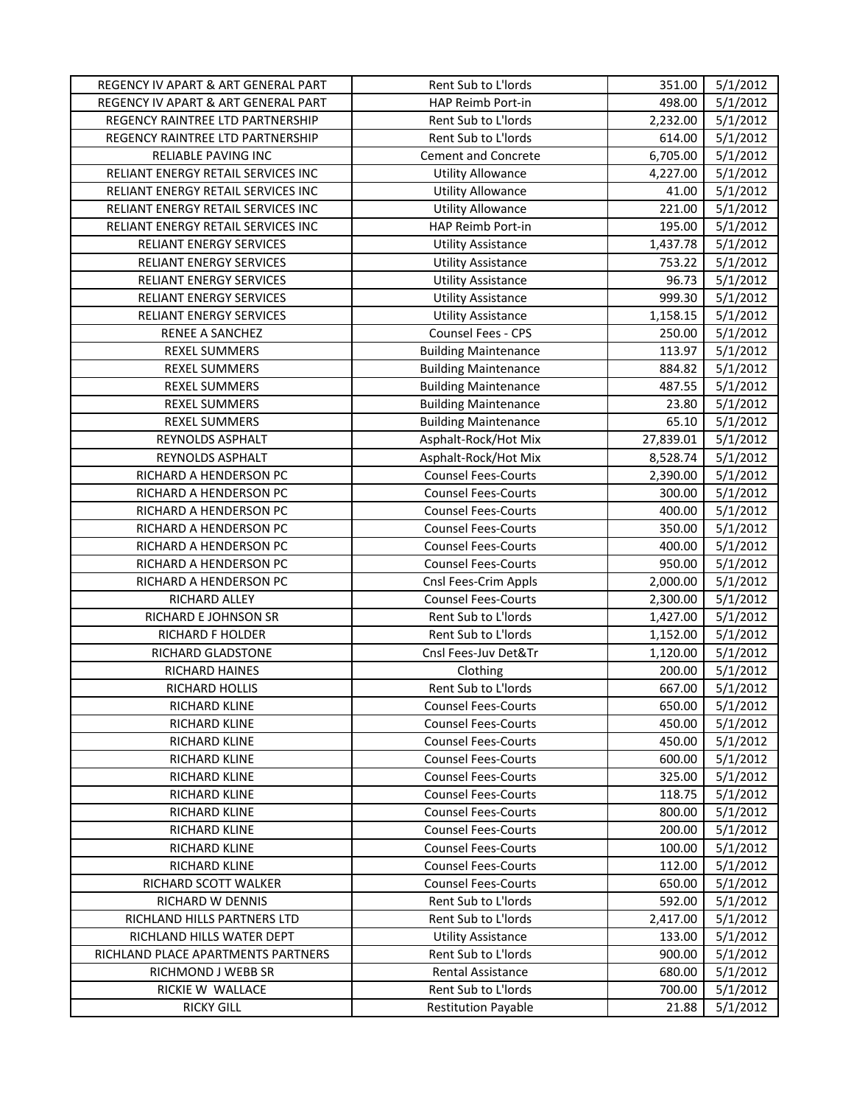| REGENCY IV APART & ART GENERAL PART | Rent Sub to L'Iords         | 351.00    | 5/1/2012 |
|-------------------------------------|-----------------------------|-----------|----------|
| REGENCY IV APART & ART GENERAL PART | HAP Reimb Port-in           | 498.00    | 5/1/2012 |
| REGENCY RAINTREE LTD PARTNERSHIP    | Rent Sub to L'Iords         | 2,232.00  | 5/1/2012 |
| REGENCY RAINTREE LTD PARTNERSHIP    | Rent Sub to L'Iords         | 614.00    | 5/1/2012 |
| RELIABLE PAVING INC                 | <b>Cement and Concrete</b>  | 6,705.00  | 5/1/2012 |
| RELIANT ENERGY RETAIL SERVICES INC  | <b>Utility Allowance</b>    | 4,227.00  | 5/1/2012 |
| RELIANT ENERGY RETAIL SERVICES INC  | <b>Utility Allowance</b>    | 41.00     | 5/1/2012 |
| RELIANT ENERGY RETAIL SERVICES INC  | <b>Utility Allowance</b>    | 221.00    | 5/1/2012 |
| RELIANT ENERGY RETAIL SERVICES INC  | HAP Reimb Port-in           | 195.00    | 5/1/2012 |
| RELIANT ENERGY SERVICES             | <b>Utility Assistance</b>   | 1,437.78  | 5/1/2012 |
| RELIANT ENERGY SERVICES             | <b>Utility Assistance</b>   | 753.22    | 5/1/2012 |
| RELIANT ENERGY SERVICES             | <b>Utility Assistance</b>   | 96.73     | 5/1/2012 |
| RELIANT ENERGY SERVICES             | <b>Utility Assistance</b>   | 999.30    | 5/1/2012 |
| RELIANT ENERGY SERVICES             | <b>Utility Assistance</b>   | 1,158.15  | 5/1/2012 |
| RENEE A SANCHEZ                     | Counsel Fees - CPS          | 250.00    | 5/1/2012 |
| <b>REXEL SUMMERS</b>                | <b>Building Maintenance</b> | 113.97    | 5/1/2012 |
| <b>REXEL SUMMERS</b>                | <b>Building Maintenance</b> | 884.82    | 5/1/2012 |
| <b>REXEL SUMMERS</b>                | <b>Building Maintenance</b> | 487.55    | 5/1/2012 |
| <b>REXEL SUMMERS</b>                | <b>Building Maintenance</b> | 23.80     | 5/1/2012 |
| <b>REXEL SUMMERS</b>                | <b>Building Maintenance</b> | 65.10     | 5/1/2012 |
| REYNOLDS ASPHALT                    | Asphalt-Rock/Hot Mix        | 27,839.01 | 5/1/2012 |
| REYNOLDS ASPHALT                    | Asphalt-Rock/Hot Mix        | 8,528.74  | 5/1/2012 |
| RICHARD A HENDERSON PC              | <b>Counsel Fees-Courts</b>  | 2,390.00  | 5/1/2012 |
| RICHARD A HENDERSON PC              | <b>Counsel Fees-Courts</b>  | 300.00    | 5/1/2012 |
| RICHARD A HENDERSON PC              | <b>Counsel Fees-Courts</b>  | 400.00    | 5/1/2012 |
| RICHARD A HENDERSON PC              | <b>Counsel Fees-Courts</b>  | 350.00    | 5/1/2012 |
| RICHARD A HENDERSON PC              | <b>Counsel Fees-Courts</b>  | 400.00    | 5/1/2012 |
| RICHARD A HENDERSON PC              | <b>Counsel Fees-Courts</b>  | 950.00    | 5/1/2012 |
| RICHARD A HENDERSON PC              | Cnsl Fees-Crim Appls        | 2,000.00  | 5/1/2012 |
| RICHARD ALLEY                       | <b>Counsel Fees-Courts</b>  | 2,300.00  | 5/1/2012 |
| RICHARD E JOHNSON SR                | Rent Sub to L'Iords         | 1,427.00  | 5/1/2012 |
| RICHARD F HOLDER                    | Rent Sub to L'Iords         | 1,152.00  | 5/1/2012 |
| RICHARD GLADSTONE                   | Cnsl Fees-Juv Det&Tr        | 1,120.00  | 5/1/2012 |
| RICHARD HAINES                      | Clothing                    | 200.00    | 5/1/2012 |
| RICHARD HOLLIS                      | Rent Sub to L'Iords         | 667.00    | 5/1/2012 |
| RICHARD KLINE                       | <b>Counsel Fees-Courts</b>  | 650.00    | 5/1/2012 |
| RICHARD KLINE                       | <b>Counsel Fees-Courts</b>  | 450.00    | 5/1/2012 |
| RICHARD KLINE                       | <b>Counsel Fees-Courts</b>  | 450.00    | 5/1/2012 |
| <b>RICHARD KLINE</b>                | <b>Counsel Fees-Courts</b>  | 600.00    | 5/1/2012 |
| RICHARD KLINE                       | <b>Counsel Fees-Courts</b>  | 325.00    | 5/1/2012 |
| <b>RICHARD KLINE</b>                | <b>Counsel Fees-Courts</b>  | 118.75    | 5/1/2012 |
| RICHARD KLINE                       | <b>Counsel Fees-Courts</b>  | 800.00    | 5/1/2012 |
| <b>RICHARD KLINE</b>                | <b>Counsel Fees-Courts</b>  | 200.00    | 5/1/2012 |
| RICHARD KLINE                       | <b>Counsel Fees-Courts</b>  | 100.00    | 5/1/2012 |
| RICHARD KLINE                       | <b>Counsel Fees-Courts</b>  | 112.00    | 5/1/2012 |
| RICHARD SCOTT WALKER                | <b>Counsel Fees-Courts</b>  | 650.00    | 5/1/2012 |
| RICHARD W DENNIS                    | Rent Sub to L'Iords         | 592.00    | 5/1/2012 |
| RICHLAND HILLS PARTNERS LTD         | Rent Sub to L'Iords         | 2,417.00  | 5/1/2012 |
| RICHLAND HILLS WATER DEPT           | <b>Utility Assistance</b>   | 133.00    | 5/1/2012 |
| RICHLAND PLACE APARTMENTS PARTNERS  | Rent Sub to L'Iords         | 900.00    | 5/1/2012 |
| RICHMOND J WEBB SR                  | <b>Rental Assistance</b>    | 680.00    | 5/1/2012 |
| RICKIE W WALLACE                    | Rent Sub to L'Iords         | 700.00    | 5/1/2012 |
| <b>RICKY GILL</b>                   | <b>Restitution Payable</b>  | 21.88     | 5/1/2012 |
|                                     |                             |           |          |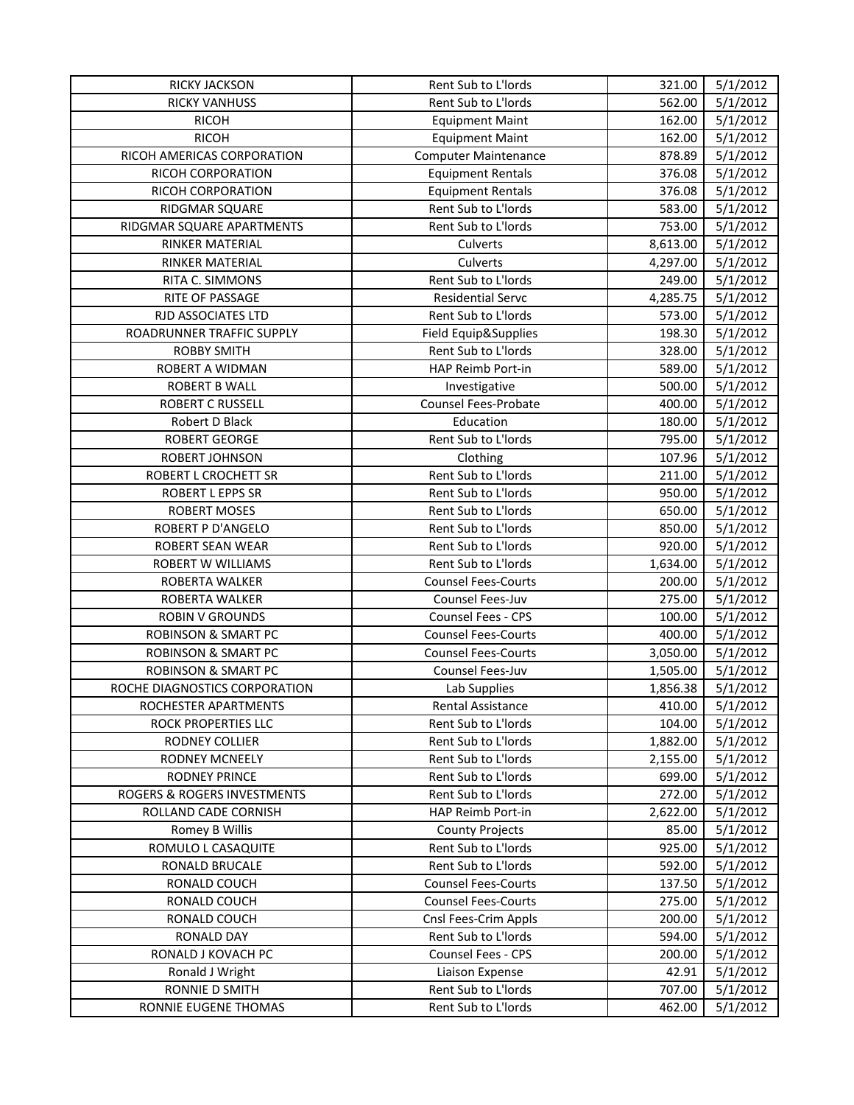| Rent Sub to L'Iords<br>5/1/2012<br><b>RICKY VANHUSS</b><br>562.00<br><b>RICOH</b><br>5/1/2012<br><b>Equipment Maint</b><br>162.00<br><b>RICOH</b><br>5/1/2012<br><b>Equipment Maint</b><br>162.00<br>RICOH AMERICAS CORPORATION<br>5/1/2012<br>878.89<br><b>Computer Maintenance</b><br>RICOH CORPORATION<br>376.08<br>5/1/2012<br><b>Equipment Rentals</b><br>RICOH CORPORATION<br>376.08<br>5/1/2012<br><b>Equipment Rentals</b><br>Rent Sub to L'Iords<br>583.00<br>5/1/2012<br>RIDGMAR SQUARE<br>Rent Sub to L'Iords<br>753.00<br>5/1/2012<br>RIDGMAR SQUARE APARTMENTS<br>5/1/2012<br><b>RINKER MATERIAL</b><br>Culverts<br>8,613.00<br>Culverts<br>5/1/2012<br>RINKER MATERIAL<br>4,297.00<br>Rent Sub to L'Iords<br>5/1/2012<br>RITA C. SIMMONS<br>249.00<br>5/1/2012<br>RITE OF PASSAGE<br><b>Residential Servc</b><br>4,285.75<br>5/1/2012<br>RJD ASSOCIATES LTD<br>Rent Sub to L'Iords<br>573.00<br>ROADRUNNER TRAFFIC SUPPLY<br>198.30<br>5/1/2012<br>Field Equip&Supplies<br>Rent Sub to L'Iords<br>328.00<br>5/1/2012<br><b>ROBBY SMITH</b><br>5/1/2012<br>ROBERT A WIDMAN<br>HAP Reimb Port-in<br>589.00<br>500.00<br>5/1/2012<br>ROBERT B WALL<br>Investigative<br>Counsel Fees-Probate<br>5/1/2012<br><b>ROBERT C RUSSELL</b><br>400.00<br>Education<br>Robert D Black<br>180.00<br>5/1/2012<br>Rent Sub to L'Iords<br>795.00<br>5/1/2012<br>ROBERT GEORGE<br>5/1/2012<br>ROBERT JOHNSON<br>Clothing<br>107.96<br>Rent Sub to L'Iords<br>5/1/2012<br>211.00<br>ROBERT L CROCHETT SR<br>Rent Sub to L'Iords<br>950.00<br>5/1/2012<br>ROBERT L EPPS SR<br>Rent Sub to L'Iords<br>5/1/2012<br>650.00<br><b>ROBERT MOSES</b><br>ROBERT P D'ANGELO<br>850.00<br>5/1/2012 |
|-------------------------------------------------------------------------------------------------------------------------------------------------------------------------------------------------------------------------------------------------------------------------------------------------------------------------------------------------------------------------------------------------------------------------------------------------------------------------------------------------------------------------------------------------------------------------------------------------------------------------------------------------------------------------------------------------------------------------------------------------------------------------------------------------------------------------------------------------------------------------------------------------------------------------------------------------------------------------------------------------------------------------------------------------------------------------------------------------------------------------------------------------------------------------------------------------------------------------------------------------------------------------------------------------------------------------------------------------------------------------------------------------------------------------------------------------------------------------------------------------------------------------------------------------------------------------------------------------------------------------------------------------------------------------------------|
|                                                                                                                                                                                                                                                                                                                                                                                                                                                                                                                                                                                                                                                                                                                                                                                                                                                                                                                                                                                                                                                                                                                                                                                                                                                                                                                                                                                                                                                                                                                                                                                                                                                                                     |
|                                                                                                                                                                                                                                                                                                                                                                                                                                                                                                                                                                                                                                                                                                                                                                                                                                                                                                                                                                                                                                                                                                                                                                                                                                                                                                                                                                                                                                                                                                                                                                                                                                                                                     |
|                                                                                                                                                                                                                                                                                                                                                                                                                                                                                                                                                                                                                                                                                                                                                                                                                                                                                                                                                                                                                                                                                                                                                                                                                                                                                                                                                                                                                                                                                                                                                                                                                                                                                     |
|                                                                                                                                                                                                                                                                                                                                                                                                                                                                                                                                                                                                                                                                                                                                                                                                                                                                                                                                                                                                                                                                                                                                                                                                                                                                                                                                                                                                                                                                                                                                                                                                                                                                                     |
|                                                                                                                                                                                                                                                                                                                                                                                                                                                                                                                                                                                                                                                                                                                                                                                                                                                                                                                                                                                                                                                                                                                                                                                                                                                                                                                                                                                                                                                                                                                                                                                                                                                                                     |
|                                                                                                                                                                                                                                                                                                                                                                                                                                                                                                                                                                                                                                                                                                                                                                                                                                                                                                                                                                                                                                                                                                                                                                                                                                                                                                                                                                                                                                                                                                                                                                                                                                                                                     |
|                                                                                                                                                                                                                                                                                                                                                                                                                                                                                                                                                                                                                                                                                                                                                                                                                                                                                                                                                                                                                                                                                                                                                                                                                                                                                                                                                                                                                                                                                                                                                                                                                                                                                     |
|                                                                                                                                                                                                                                                                                                                                                                                                                                                                                                                                                                                                                                                                                                                                                                                                                                                                                                                                                                                                                                                                                                                                                                                                                                                                                                                                                                                                                                                                                                                                                                                                                                                                                     |
|                                                                                                                                                                                                                                                                                                                                                                                                                                                                                                                                                                                                                                                                                                                                                                                                                                                                                                                                                                                                                                                                                                                                                                                                                                                                                                                                                                                                                                                                                                                                                                                                                                                                                     |
|                                                                                                                                                                                                                                                                                                                                                                                                                                                                                                                                                                                                                                                                                                                                                                                                                                                                                                                                                                                                                                                                                                                                                                                                                                                                                                                                                                                                                                                                                                                                                                                                                                                                                     |
|                                                                                                                                                                                                                                                                                                                                                                                                                                                                                                                                                                                                                                                                                                                                                                                                                                                                                                                                                                                                                                                                                                                                                                                                                                                                                                                                                                                                                                                                                                                                                                                                                                                                                     |
|                                                                                                                                                                                                                                                                                                                                                                                                                                                                                                                                                                                                                                                                                                                                                                                                                                                                                                                                                                                                                                                                                                                                                                                                                                                                                                                                                                                                                                                                                                                                                                                                                                                                                     |
|                                                                                                                                                                                                                                                                                                                                                                                                                                                                                                                                                                                                                                                                                                                                                                                                                                                                                                                                                                                                                                                                                                                                                                                                                                                                                                                                                                                                                                                                                                                                                                                                                                                                                     |
|                                                                                                                                                                                                                                                                                                                                                                                                                                                                                                                                                                                                                                                                                                                                                                                                                                                                                                                                                                                                                                                                                                                                                                                                                                                                                                                                                                                                                                                                                                                                                                                                                                                                                     |
|                                                                                                                                                                                                                                                                                                                                                                                                                                                                                                                                                                                                                                                                                                                                                                                                                                                                                                                                                                                                                                                                                                                                                                                                                                                                                                                                                                                                                                                                                                                                                                                                                                                                                     |
|                                                                                                                                                                                                                                                                                                                                                                                                                                                                                                                                                                                                                                                                                                                                                                                                                                                                                                                                                                                                                                                                                                                                                                                                                                                                                                                                                                                                                                                                                                                                                                                                                                                                                     |
|                                                                                                                                                                                                                                                                                                                                                                                                                                                                                                                                                                                                                                                                                                                                                                                                                                                                                                                                                                                                                                                                                                                                                                                                                                                                                                                                                                                                                                                                                                                                                                                                                                                                                     |
|                                                                                                                                                                                                                                                                                                                                                                                                                                                                                                                                                                                                                                                                                                                                                                                                                                                                                                                                                                                                                                                                                                                                                                                                                                                                                                                                                                                                                                                                                                                                                                                                                                                                                     |
|                                                                                                                                                                                                                                                                                                                                                                                                                                                                                                                                                                                                                                                                                                                                                                                                                                                                                                                                                                                                                                                                                                                                                                                                                                                                                                                                                                                                                                                                                                                                                                                                                                                                                     |
|                                                                                                                                                                                                                                                                                                                                                                                                                                                                                                                                                                                                                                                                                                                                                                                                                                                                                                                                                                                                                                                                                                                                                                                                                                                                                                                                                                                                                                                                                                                                                                                                                                                                                     |
|                                                                                                                                                                                                                                                                                                                                                                                                                                                                                                                                                                                                                                                                                                                                                                                                                                                                                                                                                                                                                                                                                                                                                                                                                                                                                                                                                                                                                                                                                                                                                                                                                                                                                     |
|                                                                                                                                                                                                                                                                                                                                                                                                                                                                                                                                                                                                                                                                                                                                                                                                                                                                                                                                                                                                                                                                                                                                                                                                                                                                                                                                                                                                                                                                                                                                                                                                                                                                                     |
|                                                                                                                                                                                                                                                                                                                                                                                                                                                                                                                                                                                                                                                                                                                                                                                                                                                                                                                                                                                                                                                                                                                                                                                                                                                                                                                                                                                                                                                                                                                                                                                                                                                                                     |
|                                                                                                                                                                                                                                                                                                                                                                                                                                                                                                                                                                                                                                                                                                                                                                                                                                                                                                                                                                                                                                                                                                                                                                                                                                                                                                                                                                                                                                                                                                                                                                                                                                                                                     |
| Rent Sub to L'Iords                                                                                                                                                                                                                                                                                                                                                                                                                                                                                                                                                                                                                                                                                                                                                                                                                                                                                                                                                                                                                                                                                                                                                                                                                                                                                                                                                                                                                                                                                                                                                                                                                                                                 |
| Rent Sub to L'Iords<br>5/1/2012<br>ROBERT SEAN WEAR<br>920.00                                                                                                                                                                                                                                                                                                                                                                                                                                                                                                                                                                                                                                                                                                                                                                                                                                                                                                                                                                                                                                                                                                                                                                                                                                                                                                                                                                                                                                                                                                                                                                                                                       |
| Rent Sub to L'Iords<br>5/1/2012<br>ROBERT W WILLIAMS<br>1,634.00                                                                                                                                                                                                                                                                                                                                                                                                                                                                                                                                                                                                                                                                                                                                                                                                                                                                                                                                                                                                                                                                                                                                                                                                                                                                                                                                                                                                                                                                                                                                                                                                                    |
| 5/1/2012<br>ROBERTA WALKER<br><b>Counsel Fees-Courts</b><br>200.00                                                                                                                                                                                                                                                                                                                                                                                                                                                                                                                                                                                                                                                                                                                                                                                                                                                                                                                                                                                                                                                                                                                                                                                                                                                                                                                                                                                                                                                                                                                                                                                                                  |
| Counsel Fees-Juv<br>275.00<br>5/1/2012<br>ROBERTA WALKER                                                                                                                                                                                                                                                                                                                                                                                                                                                                                                                                                                                                                                                                                                                                                                                                                                                                                                                                                                                                                                                                                                                                                                                                                                                                                                                                                                                                                                                                                                                                                                                                                            |
| 100.00<br>5/1/2012<br><b>ROBIN V GROUNDS</b><br><b>Counsel Fees - CPS</b>                                                                                                                                                                                                                                                                                                                                                                                                                                                                                                                                                                                                                                                                                                                                                                                                                                                                                                                                                                                                                                                                                                                                                                                                                                                                                                                                                                                                                                                                                                                                                                                                           |
| <b>ROBINSON &amp; SMART PC</b><br><b>Counsel Fees-Courts</b><br>400.00<br>5/1/2012                                                                                                                                                                                                                                                                                                                                                                                                                                                                                                                                                                                                                                                                                                                                                                                                                                                                                                                                                                                                                                                                                                                                                                                                                                                                                                                                                                                                                                                                                                                                                                                                  |
| <b>ROBINSON &amp; SMART PC</b><br><b>Counsel Fees-Courts</b><br>3,050.00<br>5/1/2012                                                                                                                                                                                                                                                                                                                                                                                                                                                                                                                                                                                                                                                                                                                                                                                                                                                                                                                                                                                                                                                                                                                                                                                                                                                                                                                                                                                                                                                                                                                                                                                                |
| ROBINSON & SMART PC<br>Counsel Fees-Juv<br>5/1/2012<br>1,505.00                                                                                                                                                                                                                                                                                                                                                                                                                                                                                                                                                                                                                                                                                                                                                                                                                                                                                                                                                                                                                                                                                                                                                                                                                                                                                                                                                                                                                                                                                                                                                                                                                     |
| 5/1/2012<br>ROCHE DIAGNOSTICS CORPORATION<br>Lab Supplies<br>1,856.38                                                                                                                                                                                                                                                                                                                                                                                                                                                                                                                                                                                                                                                                                                                                                                                                                                                                                                                                                                                                                                                                                                                                                                                                                                                                                                                                                                                                                                                                                                                                                                                                               |
| ROCHESTER APARTMENTS<br>Rental Assistance<br>410.00<br>5/1/2012                                                                                                                                                                                                                                                                                                                                                                                                                                                                                                                                                                                                                                                                                                                                                                                                                                                                                                                                                                                                                                                                                                                                                                                                                                                                                                                                                                                                                                                                                                                                                                                                                     |
| ROCK PROPERTIES LLC<br>Rent Sub to L'Iords<br>104.00<br>5/1/2012                                                                                                                                                                                                                                                                                                                                                                                                                                                                                                                                                                                                                                                                                                                                                                                                                                                                                                                                                                                                                                                                                                                                                                                                                                                                                                                                                                                                                                                                                                                                                                                                                    |
| RODNEY COLLIER<br>Rent Sub to L'Iords<br>1,882.00<br>5/1/2012                                                                                                                                                                                                                                                                                                                                                                                                                                                                                                                                                                                                                                                                                                                                                                                                                                                                                                                                                                                                                                                                                                                                                                                                                                                                                                                                                                                                                                                                                                                                                                                                                       |
| <b>RODNEY MCNEELY</b><br>Rent Sub to L'Iords<br>5/1/2012<br>2,155.00                                                                                                                                                                                                                                                                                                                                                                                                                                                                                                                                                                                                                                                                                                                                                                                                                                                                                                                                                                                                                                                                                                                                                                                                                                                                                                                                                                                                                                                                                                                                                                                                                |
| Rent Sub to L'Iords<br>699.00<br>5/1/2012<br><b>RODNEY PRINCE</b>                                                                                                                                                                                                                                                                                                                                                                                                                                                                                                                                                                                                                                                                                                                                                                                                                                                                                                                                                                                                                                                                                                                                                                                                                                                                                                                                                                                                                                                                                                                                                                                                                   |
| ROGERS & ROGERS INVESTMENTS<br>Rent Sub to L'Iords<br>272.00<br>5/1/2012                                                                                                                                                                                                                                                                                                                                                                                                                                                                                                                                                                                                                                                                                                                                                                                                                                                                                                                                                                                                                                                                                                                                                                                                                                                                                                                                                                                                                                                                                                                                                                                                            |
| 5/1/2012<br>ROLLAND CADE CORNISH<br>HAP Reimb Port-in<br>2,622.00                                                                                                                                                                                                                                                                                                                                                                                                                                                                                                                                                                                                                                                                                                                                                                                                                                                                                                                                                                                                                                                                                                                                                                                                                                                                                                                                                                                                                                                                                                                                                                                                                   |
| Romey B Willis<br>5/1/2012<br><b>County Projects</b><br>85.00                                                                                                                                                                                                                                                                                                                                                                                                                                                                                                                                                                                                                                                                                                                                                                                                                                                                                                                                                                                                                                                                                                                                                                                                                                                                                                                                                                                                                                                                                                                                                                                                                       |
| Rent Sub to L'Iords<br>ROMULO L CASAQUITE<br>5/1/2012<br>925.00                                                                                                                                                                                                                                                                                                                                                                                                                                                                                                                                                                                                                                                                                                                                                                                                                                                                                                                                                                                                                                                                                                                                                                                                                                                                                                                                                                                                                                                                                                                                                                                                                     |
| Rent Sub to L'Iords<br>RONALD BRUCALE<br>592.00<br>5/1/2012                                                                                                                                                                                                                                                                                                                                                                                                                                                                                                                                                                                                                                                                                                                                                                                                                                                                                                                                                                                                                                                                                                                                                                                                                                                                                                                                                                                                                                                                                                                                                                                                                         |
| 5/1/2012<br>RONALD COUCH<br><b>Counsel Fees-Courts</b><br>137.50                                                                                                                                                                                                                                                                                                                                                                                                                                                                                                                                                                                                                                                                                                                                                                                                                                                                                                                                                                                                                                                                                                                                                                                                                                                                                                                                                                                                                                                                                                                                                                                                                    |
| 5/1/2012<br>RONALD COUCH<br><b>Counsel Fees-Courts</b><br>275.00                                                                                                                                                                                                                                                                                                                                                                                                                                                                                                                                                                                                                                                                                                                                                                                                                                                                                                                                                                                                                                                                                                                                                                                                                                                                                                                                                                                                                                                                                                                                                                                                                    |
| RONALD COUCH<br>Cnsl Fees-Crim Appls<br>200.00<br>5/1/2012                                                                                                                                                                                                                                                                                                                                                                                                                                                                                                                                                                                                                                                                                                                                                                                                                                                                                                                                                                                                                                                                                                                                                                                                                                                                                                                                                                                                                                                                                                                                                                                                                          |
| Rent Sub to L'Iords<br>RONALD DAY<br>594.00<br>5/1/2012                                                                                                                                                                                                                                                                                                                                                                                                                                                                                                                                                                                                                                                                                                                                                                                                                                                                                                                                                                                                                                                                                                                                                                                                                                                                                                                                                                                                                                                                                                                                                                                                                             |
| Counsel Fees - CPS<br>5/1/2012<br>RONALD J KOVACH PC<br>200.00                                                                                                                                                                                                                                                                                                                                                                                                                                                                                                                                                                                                                                                                                                                                                                                                                                                                                                                                                                                                                                                                                                                                                                                                                                                                                                                                                                                                                                                                                                                                                                                                                      |
| Liaison Expense<br>42.91<br>5/1/2012<br>Ronald J Wright                                                                                                                                                                                                                                                                                                                                                                                                                                                                                                                                                                                                                                                                                                                                                                                                                                                                                                                                                                                                                                                                                                                                                                                                                                                                                                                                                                                                                                                                                                                                                                                                                             |
| Rent Sub to L'Iords<br>RONNIE D SMITH<br>707.00<br>5/1/2012                                                                                                                                                                                                                                                                                                                                                                                                                                                                                                                                                                                                                                                                                                                                                                                                                                                                                                                                                                                                                                                                                                                                                                                                                                                                                                                                                                                                                                                                                                                                                                                                                         |
| RONNIE EUGENE THOMAS<br>Rent Sub to L'Iords<br>462.00<br>5/1/2012                                                                                                                                                                                                                                                                                                                                                                                                                                                                                                                                                                                                                                                                                                                                                                                                                                                                                                                                                                                                                                                                                                                                                                                                                                                                                                                                                                                                                                                                                                                                                                                                                   |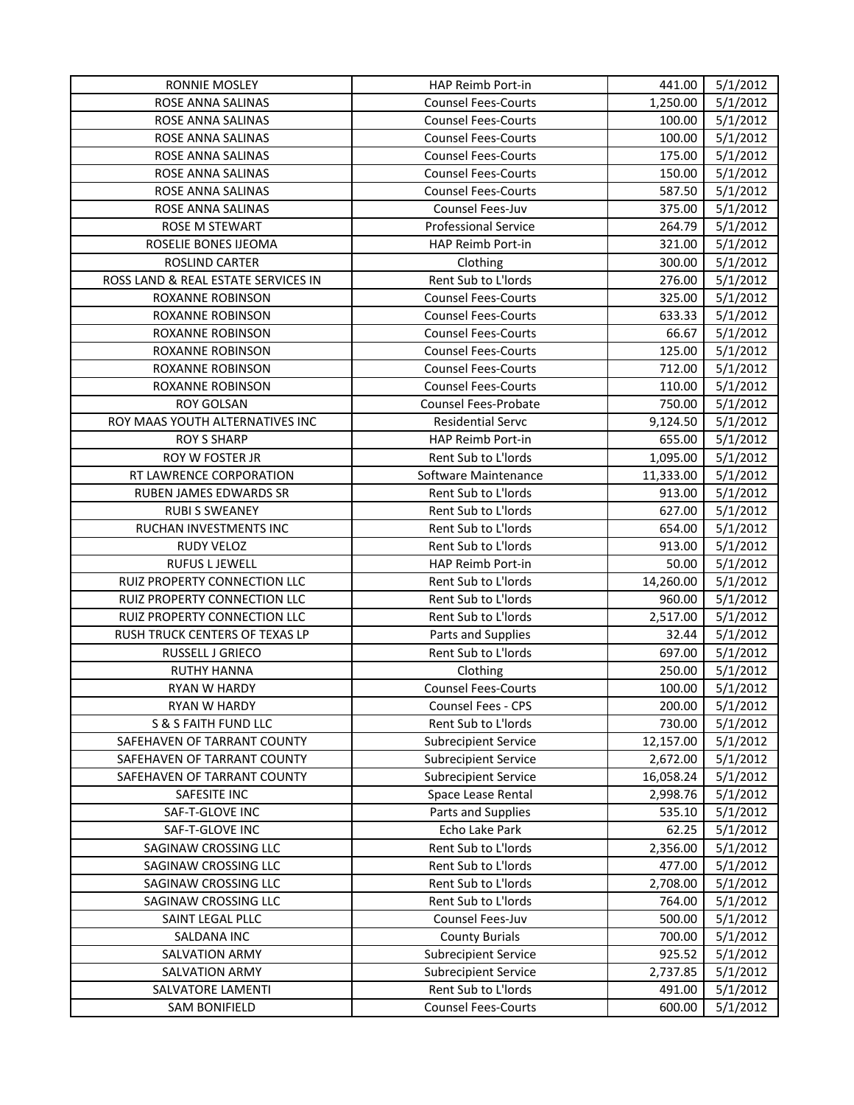| <b>RONNIE MOSLEY</b>                | HAP Reimb Port-in                                          | 441.00           | 5/1/2012             |
|-------------------------------------|------------------------------------------------------------|------------------|----------------------|
| ROSE ANNA SALINAS                   | <b>Counsel Fees-Courts</b>                                 | 1,250.00         | 5/1/2012             |
| ROSE ANNA SALINAS                   | <b>Counsel Fees-Courts</b>                                 | 100.00           | 5/1/2012             |
| ROSE ANNA SALINAS                   | <b>Counsel Fees-Courts</b>                                 | 100.00           | 5/1/2012             |
| ROSE ANNA SALINAS                   | <b>Counsel Fees-Courts</b>                                 | 175.00           | 5/1/2012             |
| ROSE ANNA SALINAS                   | <b>Counsel Fees-Courts</b>                                 | 150.00           | 5/1/2012             |
| ROSE ANNA SALINAS                   | <b>Counsel Fees-Courts</b>                                 | 587.50           | 5/1/2012             |
| ROSE ANNA SALINAS                   | Counsel Fees-Juv                                           | 375.00           | 5/1/2012             |
| ROSE M STEWART                      | <b>Professional Service</b>                                | 264.79           | 5/1/2012             |
| ROSELIE BONES IJEOMA                | HAP Reimb Port-in                                          | 321.00           | 5/1/2012             |
| ROSLIND CARTER                      | Clothing                                                   | 300.00           | 5/1/2012             |
| ROSS LAND & REAL ESTATE SERVICES IN | Rent Sub to L'Iords                                        | 276.00           | 5/1/2012             |
| ROXANNE ROBINSON                    | <b>Counsel Fees-Courts</b>                                 | 325.00           | 5/1/2012             |
| ROXANNE ROBINSON                    | <b>Counsel Fees-Courts</b>                                 | 633.33           | 5/1/2012             |
| ROXANNE ROBINSON                    | <b>Counsel Fees-Courts</b>                                 | 66.67            | 5/1/2012             |
| ROXANNE ROBINSON                    | <b>Counsel Fees-Courts</b>                                 | 125.00           | 5/1/2012             |
| ROXANNE ROBINSON                    | <b>Counsel Fees-Courts</b>                                 | 712.00           | 5/1/2012             |
| ROXANNE ROBINSON                    | <b>Counsel Fees-Courts</b>                                 | 110.00           | 5/1/2012             |
| <b>ROY GOLSAN</b>                   | <b>Counsel Fees-Probate</b>                                | 750.00           | 5/1/2012             |
| ROY MAAS YOUTH ALTERNATIVES INC     | <b>Residential Servc</b>                                   | 9,124.50         | 5/1/2012             |
| <b>ROY S SHARP</b>                  | HAP Reimb Port-in                                          | 655.00           | 5/1/2012             |
| ROY W FOSTER JR                     | Rent Sub to L'Iords                                        | 1,095.00         | 5/1/2012             |
| RT LAWRENCE CORPORATION             | Software Maintenance                                       | 11,333.00        | 5/1/2012             |
| RUBEN JAMES EDWARDS SR              | Rent Sub to L'Iords                                        | 913.00           | 5/1/2012             |
| <b>RUBI S SWEANEY</b>               | Rent Sub to L'Iords                                        | 627.00           | 5/1/2012             |
| RUCHAN INVESTMENTS INC              | Rent Sub to L'Iords                                        | 654.00           | 5/1/2012             |
| RUDY VELOZ                          | Rent Sub to L'Iords                                        | 913.00           | 5/1/2012             |
| <b>RUFUS L JEWELL</b>               | HAP Reimb Port-in                                          | 50.00            | 5/1/2012             |
| RUIZ PROPERTY CONNECTION LLC        | Rent Sub to L'Iords                                        | 14,260.00        | 5/1/2012             |
| RUIZ PROPERTY CONNECTION LLC        | Rent Sub to L'Iords                                        | 960.00           | 5/1/2012             |
| RUIZ PROPERTY CONNECTION LLC        | Rent Sub to L'Iords                                        | 2,517.00         | 5/1/2012             |
| RUSH TRUCK CENTERS OF TEXAS LP      | Parts and Supplies                                         | 32.44            | 5/1/2012             |
| RUSSELL J GRIECO                    | Rent Sub to L'Iords                                        | 697.00           | 5/1/2012             |
| <b>RUTHY HANNA</b>                  | Clothing                                                   | 250.00           | 5/1/2012             |
| <b>RYAN W HARDY</b>                 | <b>Counsel Fees-Courts</b>                                 | 100.00           | 5/1/2012             |
| RYAN W HARDY                        | Counsel Fees - CPS                                         | 200.00           | 5/1/2012             |
| S & S FAITH FUND LLC                | Rent Sub to L'Iords                                        | 730.00           | 5/1/2012             |
| SAFEHAVEN OF TARRANT COUNTY         | <b>Subrecipient Service</b>                                | 12,157.00        | 5/1/2012             |
| SAFEHAVEN OF TARRANT COUNTY         | <b>Subrecipient Service</b>                                | 2,672.00         | 5/1/2012             |
| SAFEHAVEN OF TARRANT COUNTY         | <b>Subrecipient Service</b>                                | 16,058.24        | 5/1/2012             |
| SAFESITE INC                        | Space Lease Rental                                         | 2,998.76         | 5/1/2012             |
| SAF-T-GLOVE INC                     | Parts and Supplies                                         | 535.10           | 5/1/2012             |
| SAF-T-GLOVE INC                     | Echo Lake Park                                             | 62.25            | 5/1/2012             |
| SAGINAW CROSSING LLC                | Rent Sub to L'Iords                                        |                  | 5/1/2012             |
|                                     |                                                            | 2,356.00         |                      |
| SAGINAW CROSSING LLC                | Rent Sub to L'Iords                                        | 477.00           | 5/1/2012             |
| SAGINAW CROSSING LLC                | Rent Sub to L'Iords                                        | 2,708.00         | 5/1/2012             |
| SAGINAW CROSSING LLC                | Rent Sub to L'Iords                                        | 764.00           | 5/1/2012             |
| SAINT LEGAL PLLC                    | Counsel Fees-Juv                                           | 500.00           | 5/1/2012             |
| SALDANA INC                         | <b>County Burials</b>                                      | 700.00<br>925.52 | 5/1/2012             |
| SALVATION ARMY<br>SALVATION ARMY    | <b>Subrecipient Service</b><br><b>Subrecipient Service</b> | 2,737.85         | 5/1/2012<br>5/1/2012 |
| SALVATORE LAMENTI                   | Rent Sub to L'Iords                                        | 491.00           | 5/1/2012             |
| SAM BONIFIELD                       | <b>Counsel Fees-Courts</b>                                 | 600.00           | 5/1/2012             |
|                                     |                                                            |                  |                      |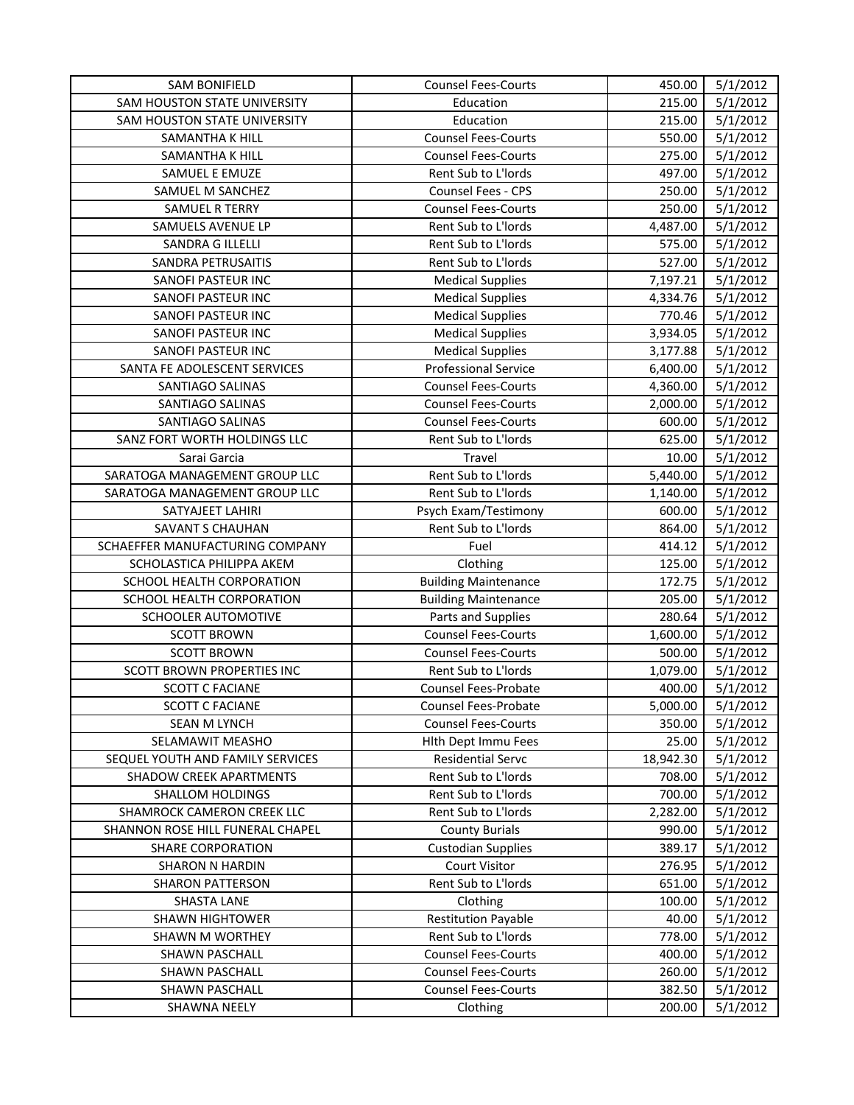| <b>SAM BONIFIELD</b>             | <b>Counsel Fees-Courts</b>  | 450.00    | 5/1/2012 |
|----------------------------------|-----------------------------|-----------|----------|
| SAM HOUSTON STATE UNIVERSITY     | Education                   | 215.00    | 5/1/2012 |
| SAM HOUSTON STATE UNIVERSITY     | Education                   | 215.00    | 5/1/2012 |
| SAMANTHA K HILL                  | <b>Counsel Fees-Courts</b>  | 550.00    | 5/1/2012 |
| SAMANTHA K HILL                  | <b>Counsel Fees-Courts</b>  | 275.00    | 5/1/2012 |
| SAMUEL E EMUZE                   | Rent Sub to L'Iords         | 497.00    | 5/1/2012 |
| SAMUEL M SANCHEZ                 | Counsel Fees - CPS          | 250.00    | 5/1/2012 |
| <b>SAMUEL R TERRY</b>            | <b>Counsel Fees-Courts</b>  | 250.00    | 5/1/2012 |
| SAMUELS AVENUE LP                | Rent Sub to L'Iords         | 4,487.00  | 5/1/2012 |
| SANDRA G ILLELLI                 | Rent Sub to L'Iords         | 575.00    | 5/1/2012 |
| SANDRA PETRUSAITIS               | Rent Sub to L'Iords         | 527.00    | 5/1/2012 |
| SANOFI PASTEUR INC               | <b>Medical Supplies</b>     | 7,197.21  | 5/1/2012 |
| SANOFI PASTEUR INC               | <b>Medical Supplies</b>     | 4,334.76  | 5/1/2012 |
| SANOFI PASTEUR INC               | <b>Medical Supplies</b>     | 770.46    | 5/1/2012 |
| SANOFI PASTEUR INC               | <b>Medical Supplies</b>     | 3,934.05  | 5/1/2012 |
| SANOFI PASTEUR INC               | <b>Medical Supplies</b>     | 3,177.88  | 5/1/2012 |
| SANTA FE ADOLESCENT SERVICES     | <b>Professional Service</b> | 6,400.00  | 5/1/2012 |
| SANTIAGO SALINAS                 | <b>Counsel Fees-Courts</b>  | 4,360.00  | 5/1/2012 |
| SANTIAGO SALINAS                 | <b>Counsel Fees-Courts</b>  | 2,000.00  | 5/1/2012 |
| SANTIAGO SALINAS                 | <b>Counsel Fees-Courts</b>  | 600.00    | 5/1/2012 |
| SANZ FORT WORTH HOLDINGS LLC     | Rent Sub to L'Iords         | 625.00    | 5/1/2012 |
| Sarai Garcia                     | Travel                      | 10.00     | 5/1/2012 |
| SARATOGA MANAGEMENT GROUP LLC    | Rent Sub to L'Iords         | 5,440.00  | 5/1/2012 |
| SARATOGA MANAGEMENT GROUP LLC    | Rent Sub to L'Iords         | 1,140.00  | 5/1/2012 |
| SATYAJEET LAHIRI                 | Psych Exam/Testimony        | 600.00    | 5/1/2012 |
| SAVANT S CHAUHAN                 | Rent Sub to L'Iords         | 864.00    | 5/1/2012 |
| SCHAEFFER MANUFACTURING COMPANY  | Fuel                        | 414.12    | 5/1/2012 |
| SCHOLASTICA PHILIPPA AKEM        | Clothing                    | 125.00    | 5/1/2012 |
| SCHOOL HEALTH CORPORATION        | <b>Building Maintenance</b> | 172.75    | 5/1/2012 |
| SCHOOL HEALTH CORPORATION        | <b>Building Maintenance</b> | 205.00    | 5/1/2012 |
| SCHOOLER AUTOMOTIVE              | Parts and Supplies          | 280.64    | 5/1/2012 |
| <b>SCOTT BROWN</b>               | <b>Counsel Fees-Courts</b>  | 1,600.00  | 5/1/2012 |
| <b>SCOTT BROWN</b>               | <b>Counsel Fees-Courts</b>  | 500.00    | 5/1/2012 |
| SCOTT BROWN PROPERTIES INC       | Rent Sub to L'Iords         | 1,079.00  | 5/1/2012 |
| <b>SCOTT C FACIANE</b>           | Counsel Fees-Probate        | 400.00    | 5/1/2012 |
| <b>SCOTT C FACIANE</b>           | Counsel Fees-Probate        | 5,000.00  | 5/1/2012 |
| <b>SEAN M LYNCH</b>              | <b>Counsel Fees-Courts</b>  | 350.00    | 5/1/2012 |
| SELAMAWIT MEASHO                 | Hith Dept Immu Fees         | 25.00     | 5/1/2012 |
| SEQUEL YOUTH AND FAMILY SERVICES | <b>Residential Servc</b>    | 18,942.30 | 5/1/2012 |
| SHADOW CREEK APARTMENTS          | Rent Sub to L'Iords         | 708.00    | 5/1/2012 |
| <b>SHALLOM HOLDINGS</b>          | Rent Sub to L'Iords         | 700.00    | 5/1/2012 |
| SHAMROCK CAMERON CREEK LLC       | Rent Sub to L'Iords         | 2,282.00  | 5/1/2012 |
| SHANNON ROSE HILL FUNERAL CHAPEL | <b>County Burials</b>       | 990.00    | 5/1/2012 |
| <b>SHARE CORPORATION</b>         | <b>Custodian Supplies</b>   | 389.17    | 5/1/2012 |
| <b>SHARON N HARDIN</b>           | <b>Court Visitor</b>        | 276.95    | 5/1/2012 |
| <b>SHARON PATTERSON</b>          | Rent Sub to L'Iords         | 651.00    | 5/1/2012 |
| <b>SHASTA LANE</b>               | Clothing                    | 100.00    | 5/1/2012 |
| <b>SHAWN HIGHTOWER</b>           | <b>Restitution Payable</b>  | 40.00     | 5/1/2012 |
| <b>SHAWN M WORTHEY</b>           | Rent Sub to L'Iords         | 778.00    | 5/1/2012 |
| SHAWN PASCHALL                   | <b>Counsel Fees-Courts</b>  | 400.00    | 5/1/2012 |
| SHAWN PASCHALL                   | <b>Counsel Fees-Courts</b>  | 260.00    | 5/1/2012 |
| SHAWN PASCHALL                   | <b>Counsel Fees-Courts</b>  | 382.50    | 5/1/2012 |
|                                  |                             |           |          |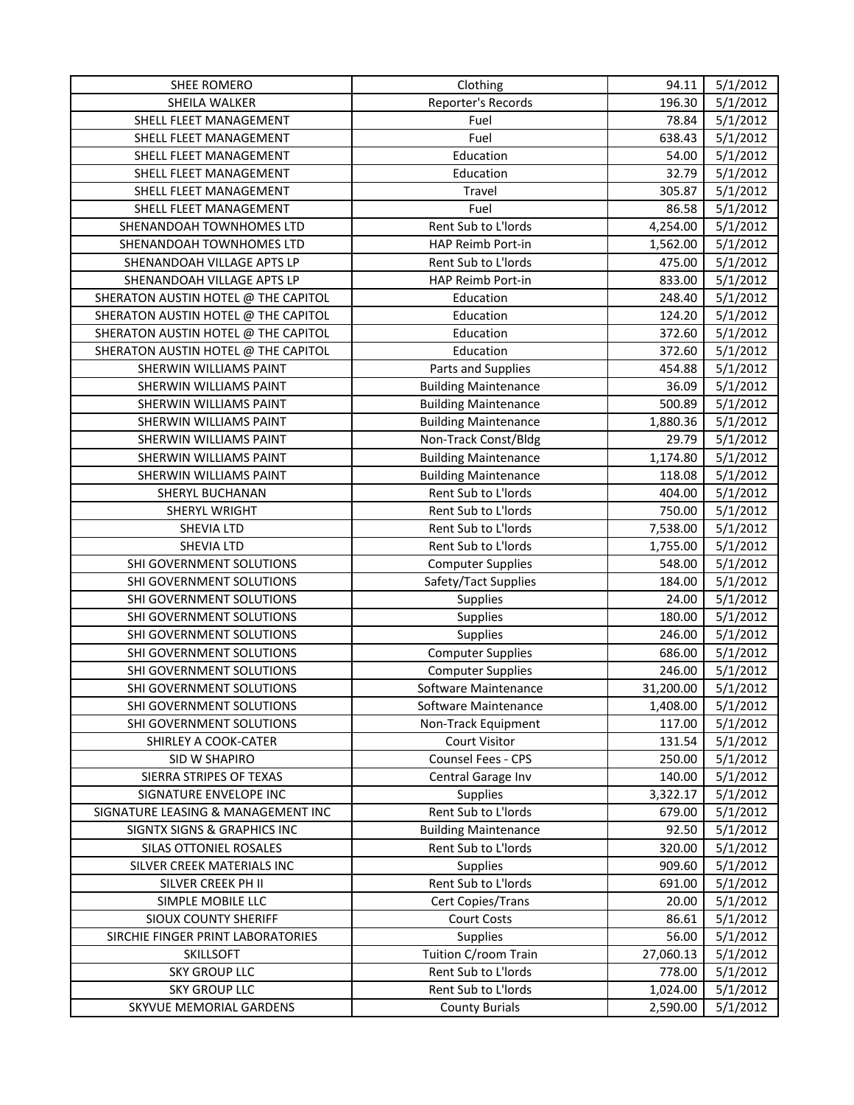| SHEE ROMERO                         | Clothing                    | 94.11     | 5/1/2012 |
|-------------------------------------|-----------------------------|-----------|----------|
| SHEILA WALKER                       | Reporter's Records          | 196.30    | 5/1/2012 |
| SHELL FLEET MANAGEMENT              | Fuel                        | 78.84     | 5/1/2012 |
| SHELL FLEET MANAGEMENT              | Fuel                        | 638.43    | 5/1/2012 |
| SHELL FLEET MANAGEMENT              | Education                   | 54.00     | 5/1/2012 |
| SHELL FLEET MANAGEMENT              | Education                   | 32.79     | 5/1/2012 |
| SHELL FLEET MANAGEMENT              | Travel                      | 305.87    | 5/1/2012 |
| SHELL FLEET MANAGEMENT              | Fuel                        | 86.58     | 5/1/2012 |
| SHENANDOAH TOWNHOMES LTD            | Rent Sub to L'Iords         | 4,254.00  | 5/1/2012 |
| SHENANDOAH TOWNHOMES LTD            | HAP Reimb Port-in           | 1,562.00  | 5/1/2012 |
| SHENANDOAH VILLAGE APTS LP          | Rent Sub to L'Iords         | 475.00    | 5/1/2012 |
| SHENANDOAH VILLAGE APTS LP          | HAP Reimb Port-in           | 833.00    | 5/1/2012 |
| SHERATON AUSTIN HOTEL @ THE CAPITOL | Education                   | 248.40    | 5/1/2012 |
| SHERATON AUSTIN HOTEL @ THE CAPITOL | Education                   | 124.20    | 5/1/2012 |
| SHERATON AUSTIN HOTEL @ THE CAPITOL | Education                   | 372.60    | 5/1/2012 |
| SHERATON AUSTIN HOTEL @ THE CAPITOL | Education                   | 372.60    | 5/1/2012 |
| SHERWIN WILLIAMS PAINT              | Parts and Supplies          | 454.88    | 5/1/2012 |
| SHERWIN WILLIAMS PAINT              | <b>Building Maintenance</b> | 36.09     | 5/1/2012 |
| SHERWIN WILLIAMS PAINT              | <b>Building Maintenance</b> | 500.89    | 5/1/2012 |
| SHERWIN WILLIAMS PAINT              | <b>Building Maintenance</b> | 1,880.36  | 5/1/2012 |
| SHERWIN WILLIAMS PAINT              | Non-Track Const/Bldg        | 29.79     | 5/1/2012 |
| SHERWIN WILLIAMS PAINT              | <b>Building Maintenance</b> | 1,174.80  | 5/1/2012 |
| SHERWIN WILLIAMS PAINT              | <b>Building Maintenance</b> | 118.08    | 5/1/2012 |
| SHERYL BUCHANAN                     | Rent Sub to L'Iords         | 404.00    | 5/1/2012 |
| SHERYL WRIGHT                       | Rent Sub to L'Iords         | 750.00    | 5/1/2012 |
| <b>SHEVIA LTD</b>                   | Rent Sub to L'Iords         | 7,538.00  | 5/1/2012 |
| SHEVIA LTD                          | Rent Sub to L'Iords         | 1,755.00  | 5/1/2012 |
| SHI GOVERNMENT SOLUTIONS            | <b>Computer Supplies</b>    | 548.00    | 5/1/2012 |
| SHI GOVERNMENT SOLUTIONS            | Safety/Tact Supplies        | 184.00    | 5/1/2012 |
| SHI GOVERNMENT SOLUTIONS            | Supplies                    | 24.00     | 5/1/2012 |
| SHI GOVERNMENT SOLUTIONS            | Supplies                    | 180.00    | 5/1/2012 |
| SHI GOVERNMENT SOLUTIONS            | Supplies                    | 246.00    | 5/1/2012 |
| SHI GOVERNMENT SOLUTIONS            | <b>Computer Supplies</b>    | 686.00    | 5/1/2012 |
| SHI GOVERNMENT SOLUTIONS            | <b>Computer Supplies</b>    | 246.00    | 5/1/2012 |
| SHI GOVERNMENT SOLUTIONS            | Software Maintenance        | 31,200.00 | 5/1/2012 |
| SHI GOVERNMENT SOLUTIONS            | Software Maintenance        | 1,408.00  | 5/1/2012 |
| SHI GOVERNMENT SOLUTIONS            | Non-Track Equipment         | 117.00    | 5/1/2012 |
| SHIRLEY A COOK-CATER                | <b>Court Visitor</b>        | 131.54    | 5/1/2012 |
| SID W SHAPIRO                       | Counsel Fees - CPS          | 250.00    | 5/1/2012 |
| SIERRA STRIPES OF TEXAS             | Central Garage Inv          | 140.00    | 5/1/2012 |
| SIGNATURE ENVELOPE INC              | <b>Supplies</b>             | 3,322.17  | 5/1/2012 |
| SIGNATURE LEASING & MANAGEMENT INC  | Rent Sub to L'Iords         | 679.00    | 5/1/2012 |
| SIGNTX SIGNS & GRAPHICS INC         | <b>Building Maintenance</b> | 92.50     | 5/1/2012 |
| SILAS OTTONIEL ROSALES              | Rent Sub to L'Iords         | 320.00    | 5/1/2012 |
| SILVER CREEK MATERIALS INC          | Supplies                    | 909.60    | 5/1/2012 |
| SILVER CREEK PH II                  | Rent Sub to L'Iords         | 691.00    | 5/1/2012 |
| SIMPLE MOBILE LLC                   | Cert Copies/Trans           | 20.00     | 5/1/2012 |
| <b>SIOUX COUNTY SHERIFF</b>         | <b>Court Costs</b>          | 86.61     | 5/1/2012 |
| SIRCHIE FINGER PRINT LABORATORIES   | Supplies                    | 56.00     | 5/1/2012 |
| <b>SKILLSOFT</b>                    | Tuition C/room Train        | 27,060.13 | 5/1/2012 |
| <b>SKY GROUP LLC</b>                | Rent Sub to L'Iords         | 778.00    | 5/1/2012 |
| <b>SKY GROUP LLC</b>                | Rent Sub to L'Iords         | 1,024.00  | 5/1/2012 |
| SKYVUE MEMORIAL GARDENS             | <b>County Burials</b>       | 2,590.00  | 5/1/2012 |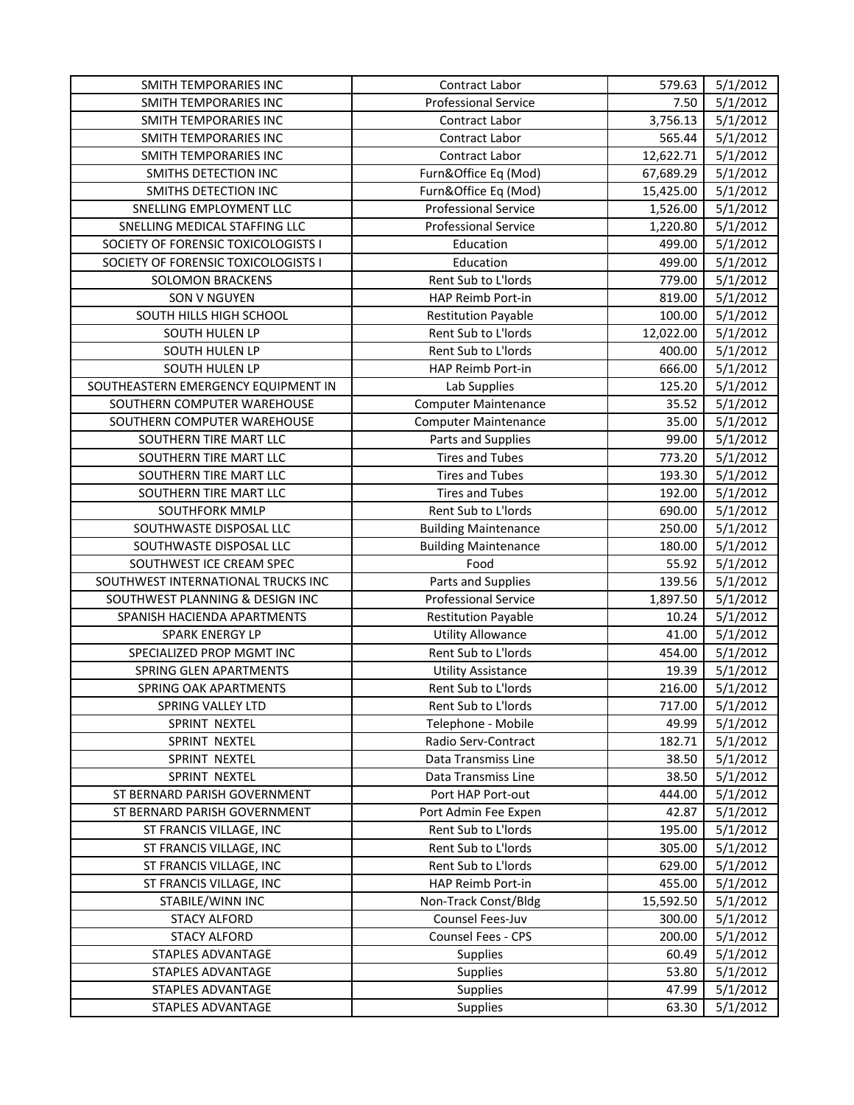| SMITH TEMPORARIES INC               | Contract Labor              | 579.63    | 5/1/2012 |
|-------------------------------------|-----------------------------|-----------|----------|
| SMITH TEMPORARIES INC               | <b>Professional Service</b> | 7.50      | 5/1/2012 |
| SMITH TEMPORARIES INC               | Contract Labor              | 3,756.13  | 5/1/2012 |
| SMITH TEMPORARIES INC               | Contract Labor              | 565.44    | 5/1/2012 |
| SMITH TEMPORARIES INC               | Contract Labor              | 12,622.71 | 5/1/2012 |
| SMITHS DETECTION INC                | Furn&Office Eq (Mod)        | 67,689.29 | 5/1/2012 |
| SMITHS DETECTION INC                | Furn&Office Eq (Mod)        | 15,425.00 | 5/1/2012 |
| SNELLING EMPLOYMENT LLC             | <b>Professional Service</b> | 1,526.00  | 5/1/2012 |
| SNELLING MEDICAL STAFFING LLC       | <b>Professional Service</b> | 1,220.80  | 5/1/2012 |
| SOCIETY OF FORENSIC TOXICOLOGISTS I | Education                   | 499.00    | 5/1/2012 |
| SOCIETY OF FORENSIC TOXICOLOGISTS I | Education                   | 499.00    | 5/1/2012 |
| <b>SOLOMON BRACKENS</b>             | Rent Sub to L'Iords         | 779.00    | 5/1/2012 |
| SON V NGUYEN                        | HAP Reimb Port-in           | 819.00    | 5/1/2012 |
| SOUTH HILLS HIGH SCHOOL             | <b>Restitution Payable</b>  | 100.00    | 5/1/2012 |
| SOUTH HULEN LP                      | Rent Sub to L'Iords         | 12,022.00 | 5/1/2012 |
| SOUTH HULEN LP                      | Rent Sub to L'Iords         | 400.00    | 5/1/2012 |
| SOUTH HULEN LP                      | HAP Reimb Port-in           | 666.00    | 5/1/2012 |
| SOUTHEASTERN EMERGENCY EQUIPMENT IN | Lab Supplies                | 125.20    | 5/1/2012 |
| SOUTHERN COMPUTER WAREHOUSE         | <b>Computer Maintenance</b> | 35.52     | 5/1/2012 |
| SOUTHERN COMPUTER WAREHOUSE         | <b>Computer Maintenance</b> | 35.00     | 5/1/2012 |
| SOUTHERN TIRE MART LLC              | Parts and Supplies          | 99.00     | 5/1/2012 |
| SOUTHERN TIRE MART LLC              | <b>Tires and Tubes</b>      | 773.20    | 5/1/2012 |
| SOUTHERN TIRE MART LLC              | <b>Tires and Tubes</b>      | 193.30    | 5/1/2012 |
| SOUTHERN TIRE MART LLC              | <b>Tires and Tubes</b>      | 192.00    | 5/1/2012 |
| SOUTHFORK MMLP                      | Rent Sub to L'Iords         | 690.00    | 5/1/2012 |
| SOUTHWASTE DISPOSAL LLC             | <b>Building Maintenance</b> | 250.00    | 5/1/2012 |
| SOUTHWASTE DISPOSAL LLC             | <b>Building Maintenance</b> | 180.00    | 5/1/2012 |
| SOUTHWEST ICE CREAM SPEC            | Food                        | 55.92     | 5/1/2012 |
| SOUTHWEST INTERNATIONAL TRUCKS INC  | Parts and Supplies          | 139.56    | 5/1/2012 |
| SOUTHWEST PLANNING & DESIGN INC     | <b>Professional Service</b> | 1,897.50  | 5/1/2012 |
| SPANISH HACIENDA APARTMENTS         | <b>Restitution Payable</b>  | 10.24     | 5/1/2012 |
| <b>SPARK ENERGY LP</b>              | <b>Utility Allowance</b>    | 41.00     | 5/1/2012 |
| SPECIALIZED PROP MGMT INC           | Rent Sub to L'Iords         | 454.00    | 5/1/2012 |
| SPRING GLEN APARTMENTS              | <b>Utility Assistance</b>   | 19.39     | 5/1/2012 |
| SPRING OAK APARTMENTS               | Rent Sub to L'Iords         | 216.00    | 5/1/2012 |
| SPRING VALLEY LTD                   | Rent Sub to L'Iords         | 717.00    | 5/1/2012 |
| SPRINT NEXTEL                       | Telephone - Mobile          | 49.99     | 5/1/2012 |
| SPRINT NEXTEL                       | Radio Serv-Contract         | 182.71    | 5/1/2012 |
| SPRINT NEXTEL                       | Data Transmiss Line         | 38.50     | 5/1/2012 |
| SPRINT NEXTEL                       | Data Transmiss Line         | 38.50     | 5/1/2012 |
| ST BERNARD PARISH GOVERNMENT        | Port HAP Port-out           | 444.00    | 5/1/2012 |
| ST BERNARD PARISH GOVERNMENT        | Port Admin Fee Expen        | 42.87     | 5/1/2012 |
| ST FRANCIS VILLAGE, INC             | Rent Sub to L'Iords         | 195.00    | 5/1/2012 |
| ST FRANCIS VILLAGE, INC             | Rent Sub to L'Iords         | 305.00    | 5/1/2012 |
| ST FRANCIS VILLAGE, INC             | Rent Sub to L'Iords         | 629.00    | 5/1/2012 |
| ST FRANCIS VILLAGE, INC             | HAP Reimb Port-in           | 455.00    | 5/1/2012 |
| STABILE/WINN INC                    | Non-Track Const/Bldg        | 15,592.50 | 5/1/2012 |
| <b>STACY ALFORD</b>                 | Counsel Fees-Juv            | 300.00    | 5/1/2012 |
| <b>STACY ALFORD</b>                 | Counsel Fees - CPS          | 200.00    | 5/1/2012 |
| STAPLES ADVANTAGE                   | <b>Supplies</b>             | 60.49     | 5/1/2012 |
| STAPLES ADVANTAGE                   | <b>Supplies</b>             | 53.80     | 5/1/2012 |
| STAPLES ADVANTAGE                   | <b>Supplies</b>             | 47.99     | 5/1/2012 |
| STAPLES ADVANTAGE                   | <b>Supplies</b>             | 63.30     | 5/1/2012 |
|                                     |                             |           |          |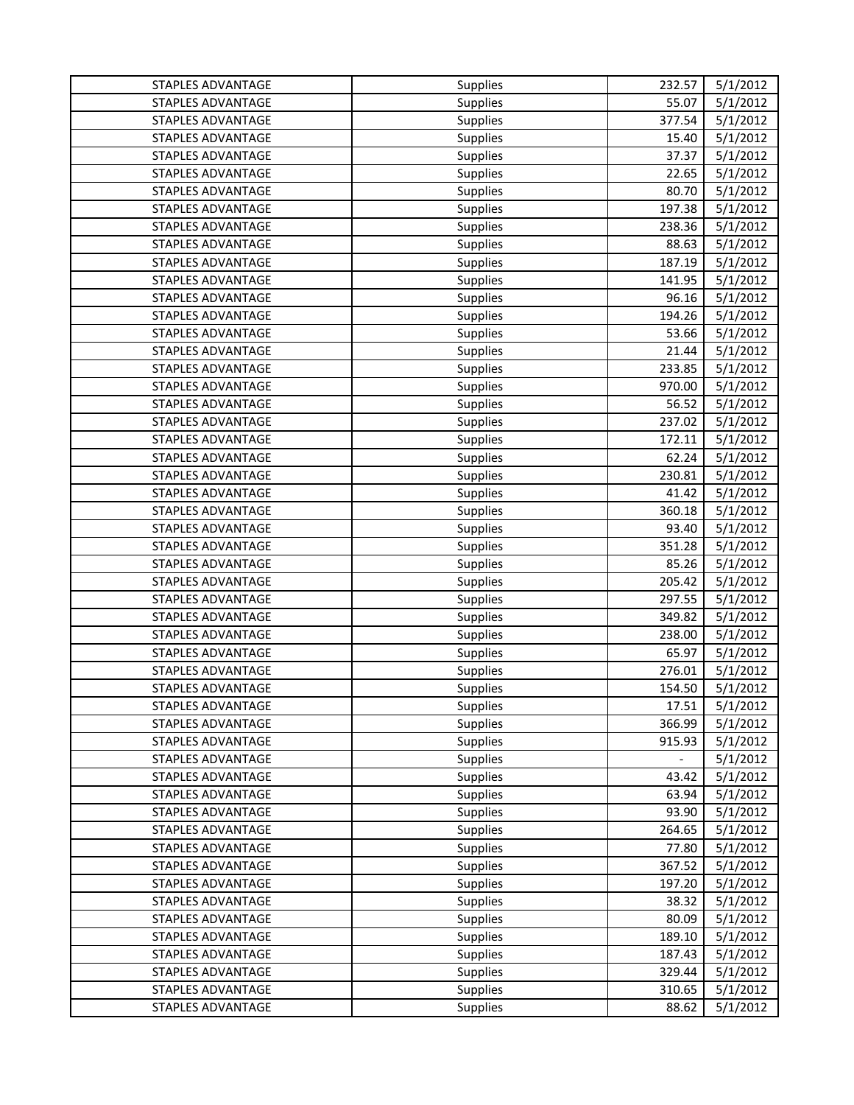| STAPLES ADVANTAGE        | <b>Supplies</b> | 232.57 | 5/1/2012 |
|--------------------------|-----------------|--------|----------|
| STAPLES ADVANTAGE        | Supplies        | 55.07  | 5/1/2012 |
| <b>STAPLES ADVANTAGE</b> | Supplies        | 377.54 | 5/1/2012 |
| STAPLES ADVANTAGE        | Supplies        | 15.40  | 5/1/2012 |
| <b>STAPLES ADVANTAGE</b> | <b>Supplies</b> | 37.37  | 5/1/2012 |
| STAPLES ADVANTAGE        | <b>Supplies</b> | 22.65  | 5/1/2012 |
| STAPLES ADVANTAGE        | Supplies        | 80.70  | 5/1/2012 |
| STAPLES ADVANTAGE        | Supplies        | 197.38 | 5/1/2012 |
| STAPLES ADVANTAGE        | <b>Supplies</b> | 238.36 | 5/1/2012 |
| STAPLES ADVANTAGE        | <b>Supplies</b> | 88.63  | 5/1/2012 |
| STAPLES ADVANTAGE        | <b>Supplies</b> | 187.19 | 5/1/2012 |
| STAPLES ADVANTAGE        | Supplies        | 141.95 | 5/1/2012 |
| STAPLES ADVANTAGE        | <b>Supplies</b> | 96.16  | 5/1/2012 |
| STAPLES ADVANTAGE        | <b>Supplies</b> | 194.26 | 5/1/2012 |
| STAPLES ADVANTAGE        | Supplies        | 53.66  | 5/1/2012 |
| <b>STAPLES ADVANTAGE</b> | Supplies        | 21.44  | 5/1/2012 |
| STAPLES ADVANTAGE        | Supplies        | 233.85 | 5/1/2012 |
| <b>STAPLES ADVANTAGE</b> | Supplies        | 970.00 | 5/1/2012 |
| <b>STAPLES ADVANTAGE</b> | Supplies        | 56.52  | 5/1/2012 |
| STAPLES ADVANTAGE        | <b>Supplies</b> | 237.02 | 5/1/2012 |
| <b>STAPLES ADVANTAGE</b> | Supplies        | 172.11 | 5/1/2012 |
| STAPLES ADVANTAGE        | Supplies        | 62.24  | 5/1/2012 |
| STAPLES ADVANTAGE        | Supplies        | 230.81 | 5/1/2012 |
| STAPLES ADVANTAGE        | Supplies        | 41.42  | 5/1/2012 |
| STAPLES ADVANTAGE        | Supplies        | 360.18 | 5/1/2012 |
| STAPLES ADVANTAGE        | Supplies        | 93.40  | 5/1/2012 |
| STAPLES ADVANTAGE        | Supplies        | 351.28 | 5/1/2012 |
| STAPLES ADVANTAGE        | <b>Supplies</b> | 85.26  | 5/1/2012 |
| STAPLES ADVANTAGE        | Supplies        | 205.42 | 5/1/2012 |
| STAPLES ADVANTAGE        | <b>Supplies</b> | 297.55 | 5/1/2012 |
| STAPLES ADVANTAGE        | <b>Supplies</b> | 349.82 | 5/1/2012 |
| STAPLES ADVANTAGE        | Supplies        | 238.00 | 5/1/2012 |
| STAPLES ADVANTAGE        | Supplies        | 65.97  | 5/1/2012 |
| STAPLES ADVANTAGE        | Supplies        | 276.01 | 5/1/2012 |
| STAPLES ADVANTAGE        | <b>Supplies</b> | 154.50 | 5/1/2012 |
| STAPLES ADVANTAGE        | <b>Supplies</b> | 17.51  | 5/1/2012 |
| STAPLES ADVANTAGE        | <b>Supplies</b> | 366.99 | 5/1/2012 |
| STAPLES ADVANTAGE        | <b>Supplies</b> | 915.93 | 5/1/2012 |
| STAPLES ADVANTAGE        | <b>Supplies</b> |        | 5/1/2012 |
| STAPLES ADVANTAGE        | <b>Supplies</b> | 43.42  | 5/1/2012 |
| STAPLES ADVANTAGE        | Supplies        | 63.94  | 5/1/2012 |
| STAPLES ADVANTAGE        | Supplies        | 93.90  | 5/1/2012 |
| STAPLES ADVANTAGE        | Supplies        | 264.65 | 5/1/2012 |
| STAPLES ADVANTAGE        | <b>Supplies</b> | 77.80  | 5/1/2012 |
| STAPLES ADVANTAGE        | Supplies        | 367.52 | 5/1/2012 |
| STAPLES ADVANTAGE        | <b>Supplies</b> | 197.20 | 5/1/2012 |
| STAPLES ADVANTAGE        | Supplies        | 38.32  | 5/1/2012 |
| STAPLES ADVANTAGE        | <b>Supplies</b> | 80.09  | 5/1/2012 |
| STAPLES ADVANTAGE        | Supplies        | 189.10 | 5/1/2012 |
| STAPLES ADVANTAGE        | Supplies        | 187.43 | 5/1/2012 |
| STAPLES ADVANTAGE        | Supplies        | 329.44 | 5/1/2012 |
| <b>STAPLES ADVANTAGE</b> | Supplies        | 310.65 | 5/1/2012 |
| STAPLES ADVANTAGE        | Supplies        | 88.62  | 5/1/2012 |
|                          |                 |        |          |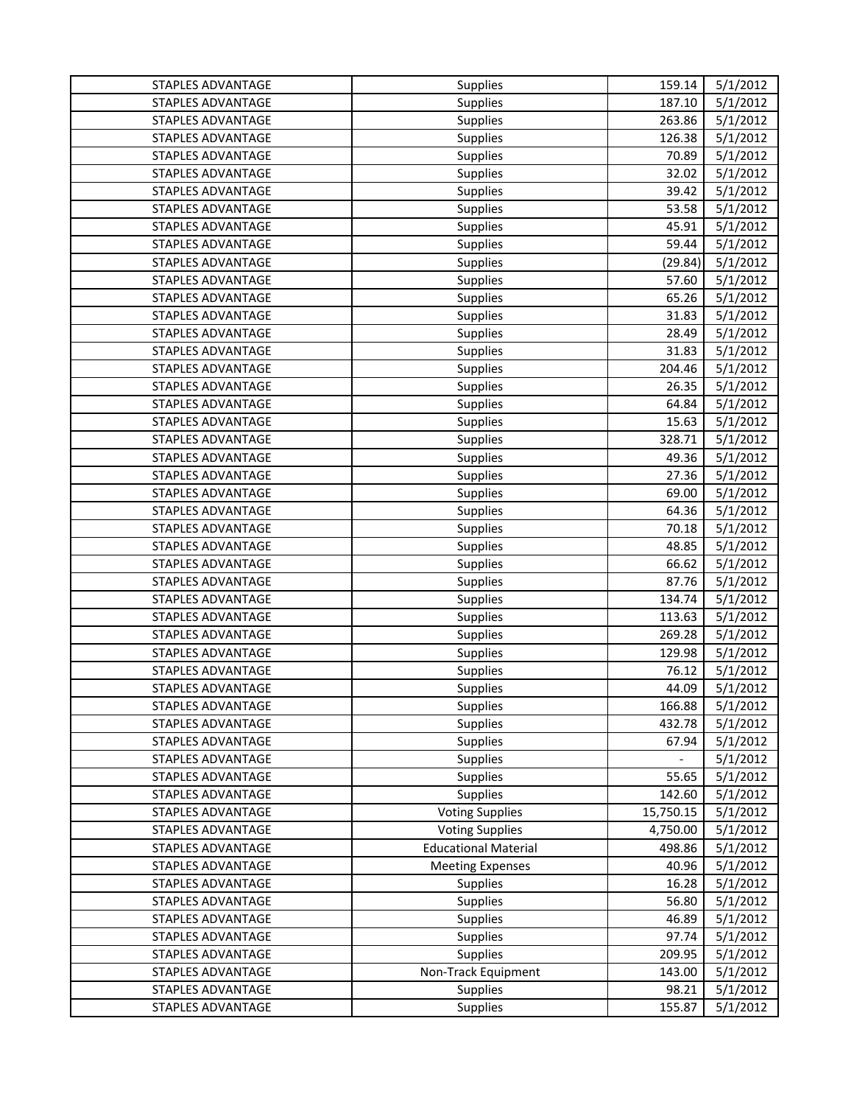| STAPLES ADVANTAGE        | Supplies                    | 159.14    | 5/1/2012 |
|--------------------------|-----------------------------|-----------|----------|
| <b>STAPLES ADVANTAGE</b> | Supplies                    | 187.10    | 5/1/2012 |
| <b>STAPLES ADVANTAGE</b> | <b>Supplies</b>             | 263.86    | 5/1/2012 |
| STAPLES ADVANTAGE        | Supplies                    | 126.38    | 5/1/2012 |
| <b>STAPLES ADVANTAGE</b> | Supplies                    | 70.89     | 5/1/2012 |
| STAPLES ADVANTAGE        | Supplies                    | 32.02     | 5/1/2012 |
| STAPLES ADVANTAGE        | Supplies                    | 39.42     | 5/1/2012 |
| STAPLES ADVANTAGE        | Supplies                    | 53.58     | 5/1/2012 |
| <b>STAPLES ADVANTAGE</b> | Supplies                    | 45.91     | 5/1/2012 |
| STAPLES ADVANTAGE        | Supplies                    | 59.44     | 5/1/2012 |
| <b>STAPLES ADVANTAGE</b> | <b>Supplies</b>             | (29.84)   | 5/1/2012 |
| STAPLES ADVANTAGE        | Supplies                    | 57.60     | 5/1/2012 |
| <b>STAPLES ADVANTAGE</b> | <b>Supplies</b>             | 65.26     | 5/1/2012 |
| STAPLES ADVANTAGE        | <b>Supplies</b>             | 31.83     | 5/1/2012 |
| STAPLES ADVANTAGE        | Supplies                    | 28.49     | 5/1/2012 |
| STAPLES ADVANTAGE        | Supplies                    | 31.83     | 5/1/2012 |
| <b>STAPLES ADVANTAGE</b> | Supplies                    | 204.46    | 5/1/2012 |
| STAPLES ADVANTAGE        | <b>Supplies</b>             | 26.35     | 5/1/2012 |
| <b>STAPLES ADVANTAGE</b> | <b>Supplies</b>             | 64.84     | 5/1/2012 |
| STAPLES ADVANTAGE        | Supplies                    | 15.63     | 5/1/2012 |
| STAPLES ADVANTAGE        | Supplies                    | 328.71    | 5/1/2012 |
| STAPLES ADVANTAGE        | Supplies                    | 49.36     | 5/1/2012 |
| STAPLES ADVANTAGE        | Supplies                    | 27.36     | 5/1/2012 |
| <b>STAPLES ADVANTAGE</b> | Supplies                    | 69.00     | 5/1/2012 |
| STAPLES ADVANTAGE        | Supplies                    | 64.36     | 5/1/2012 |
| STAPLES ADVANTAGE        | Supplies                    | 70.18     | 5/1/2012 |
| STAPLES ADVANTAGE        | Supplies                    | 48.85     | 5/1/2012 |
| STAPLES ADVANTAGE        | <b>Supplies</b>             | 66.62     | 5/1/2012 |
| STAPLES ADVANTAGE        | Supplies                    | 87.76     | 5/1/2012 |
| STAPLES ADVANTAGE        | <b>Supplies</b>             | 134.74    | 5/1/2012 |
| STAPLES ADVANTAGE        | Supplies                    | 113.63    | 5/1/2012 |
| STAPLES ADVANTAGE        | Supplies                    | 269.28    | 5/1/2012 |
| <b>STAPLES ADVANTAGE</b> | Supplies                    | 129.98    | 5/1/2012 |
| STAPLES ADVANTAGE        | Supplies                    | 76.12     | 5/1/2012 |
| STAPLES ADVANTAGE        | Supplies                    | 44.09     | 5/1/2012 |
| STAPLES ADVANTAGE        | <b>Supplies</b>             | 166.88    | 5/1/2012 |
| STAPLES ADVANTAGE        | <b>Supplies</b>             | 432.78    | 5/1/2012 |
| STAPLES ADVANTAGE        | <b>Supplies</b>             | 67.94     | 5/1/2012 |
| STAPLES ADVANTAGE        | <b>Supplies</b>             |           | 5/1/2012 |
| STAPLES ADVANTAGE        | Supplies                    | 55.65     | 5/1/2012 |
| <b>STAPLES ADVANTAGE</b> | Supplies                    | 142.60    | 5/1/2012 |
| STAPLES ADVANTAGE        | <b>Voting Supplies</b>      | 15,750.15 | 5/1/2012 |
| STAPLES ADVANTAGE        | <b>Voting Supplies</b>      | 4,750.00  | 5/1/2012 |
| STAPLES ADVANTAGE        | <b>Educational Material</b> | 498.86    | 5/1/2012 |
| <b>STAPLES ADVANTAGE</b> | <b>Meeting Expenses</b>     | 40.96     | 5/1/2012 |
| STAPLES ADVANTAGE        | Supplies                    | 16.28     | 5/1/2012 |
| STAPLES ADVANTAGE        | Supplies                    | 56.80     | 5/1/2012 |
| <b>STAPLES ADVANTAGE</b> | Supplies                    | 46.89     | 5/1/2012 |
| STAPLES ADVANTAGE        | Supplies                    | 97.74     | 5/1/2012 |
| STAPLES ADVANTAGE        | Supplies                    | 209.95    | 5/1/2012 |
| STAPLES ADVANTAGE        | Non-Track Equipment         | 143.00    | 5/1/2012 |
| STAPLES ADVANTAGE        | Supplies                    | 98.21     | 5/1/2012 |
| STAPLES ADVANTAGE        | Supplies                    | 155.87    | 5/1/2012 |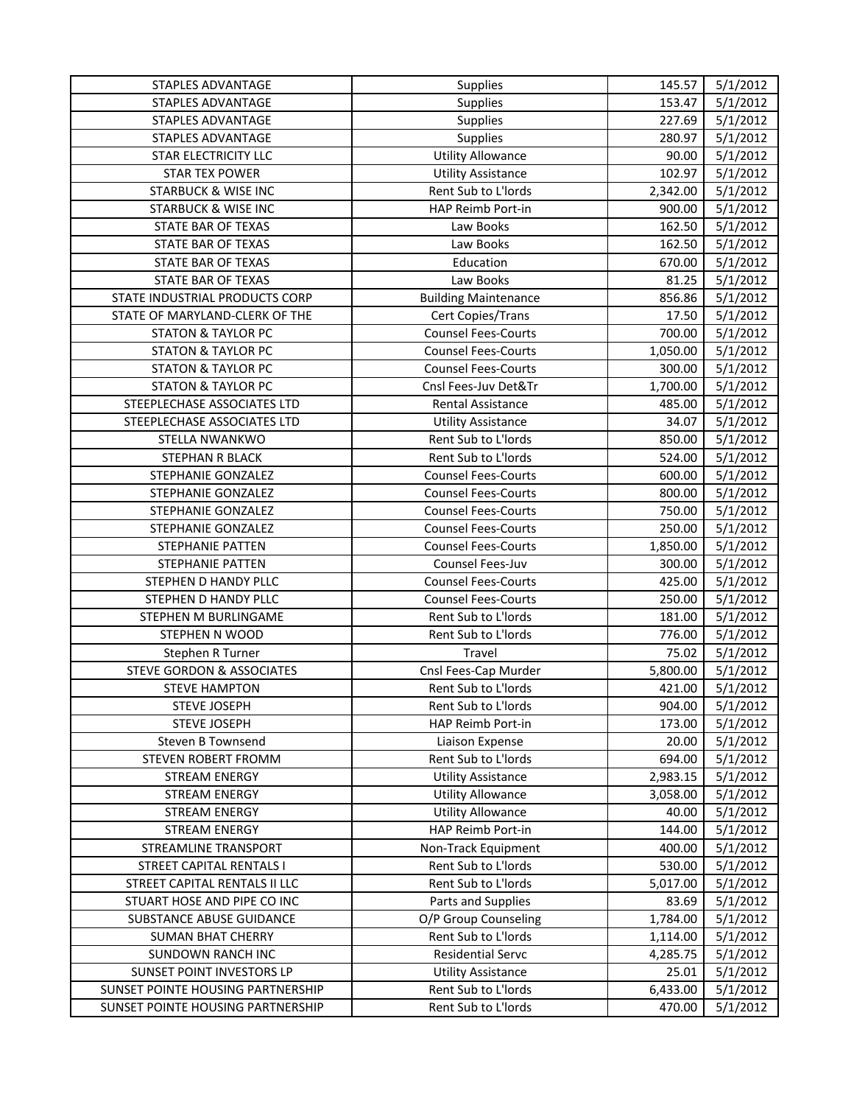| STAPLES ADVANTAGE                    | <b>Supplies</b>             | 145.57   | 5/1/2012 |
|--------------------------------------|-----------------------------|----------|----------|
| STAPLES ADVANTAGE                    | Supplies                    | 153.47   | 5/1/2012 |
| STAPLES ADVANTAGE                    | <b>Supplies</b>             | 227.69   | 5/1/2012 |
| STAPLES ADVANTAGE                    | Supplies                    | 280.97   | 5/1/2012 |
| STAR ELECTRICITY LLC                 | <b>Utility Allowance</b>    | 90.00    | 5/1/2012 |
| <b>STAR TEX POWER</b>                | <b>Utility Assistance</b>   | 102.97   | 5/1/2012 |
| <b>STARBUCK &amp; WISE INC</b>       | Rent Sub to L'Iords         | 2,342.00 | 5/1/2012 |
| <b>STARBUCK &amp; WISE INC</b>       | HAP Reimb Port-in           | 900.00   | 5/1/2012 |
| STATE BAR OF TEXAS                   | Law Books                   | 162.50   | 5/1/2012 |
| STATE BAR OF TEXAS                   | Law Books                   | 162.50   | 5/1/2012 |
| <b>STATE BAR OF TEXAS</b>            | Education                   | 670.00   | 5/1/2012 |
| <b>STATE BAR OF TEXAS</b>            | Law Books                   | 81.25    | 5/1/2012 |
| STATE INDUSTRIAL PRODUCTS CORP       | <b>Building Maintenance</b> | 856.86   | 5/1/2012 |
| STATE OF MARYLAND-CLERK OF THE       | Cert Copies/Trans           | 17.50    | 5/1/2012 |
| <b>STATON &amp; TAYLOR PC</b>        | <b>Counsel Fees-Courts</b>  | 700.00   | 5/1/2012 |
| <b>STATON &amp; TAYLOR PC</b>        | <b>Counsel Fees-Courts</b>  | 1,050.00 | 5/1/2012 |
| <b>STATON &amp; TAYLOR PC</b>        | <b>Counsel Fees-Courts</b>  | 300.00   | 5/1/2012 |
| <b>STATON &amp; TAYLOR PC</b>        | Cnsl Fees-Juv Det&Tr        | 1,700.00 | 5/1/2012 |
| STEEPLECHASE ASSOCIATES LTD          | Rental Assistance           | 485.00   | 5/1/2012 |
| STEEPLECHASE ASSOCIATES LTD          | <b>Utility Assistance</b>   | 34.07    | 5/1/2012 |
| STELLA NWANKWO                       | Rent Sub to L'Iords         | 850.00   | 5/1/2012 |
| STEPHAN R BLACK                      | Rent Sub to L'Iords         | 524.00   | 5/1/2012 |
| STEPHANIE GONZALEZ                   | <b>Counsel Fees-Courts</b>  | 600.00   | 5/1/2012 |
| STEPHANIE GONZALEZ                   | <b>Counsel Fees-Courts</b>  | 800.00   | 5/1/2012 |
| STEPHANIE GONZALEZ                   | <b>Counsel Fees-Courts</b>  | 750.00   | 5/1/2012 |
| STEPHANIE GONZALEZ                   | <b>Counsel Fees-Courts</b>  | 250.00   | 5/1/2012 |
| STEPHANIE PATTEN                     | <b>Counsel Fees-Courts</b>  | 1,850.00 | 5/1/2012 |
| STEPHANIE PATTEN                     | Counsel Fees-Juv            | 300.00   | 5/1/2012 |
| STEPHEN D HANDY PLLC                 | <b>Counsel Fees-Courts</b>  | 425.00   | 5/1/2012 |
| STEPHEN D HANDY PLLC                 | <b>Counsel Fees-Courts</b>  | 250.00   | 5/1/2012 |
| STEPHEN M BURLINGAME                 | Rent Sub to L'Iords         | 181.00   | 5/1/2012 |
| <b>STEPHEN N WOOD</b>                | Rent Sub to L'Iords         | 776.00   | 5/1/2012 |
| Stephen R Turner                     | Travel                      | 75.02    | 5/1/2012 |
| <b>STEVE GORDON &amp; ASSOCIATES</b> | Cnsl Fees-Cap Murder        | 5,800.00 | 5/1/2012 |
| <b>STEVE HAMPTON</b>                 | Rent Sub to L'Iords         | 421.00   | 5/1/2012 |
| <b>STEVE JOSEPH</b>                  | Rent Sub to L'Iords         | 904.00   | 5/1/2012 |
| <b>STEVE JOSEPH</b>                  | HAP Reimb Port-in           | 173.00   | 5/1/2012 |
| Steven B Townsend                    | Liaison Expense             | 20.00    | 5/1/2012 |
| STEVEN ROBERT FROMM                  | Rent Sub to L'Iords         | 694.00   | 5/1/2012 |
| <b>STREAM ENERGY</b>                 | <b>Utility Assistance</b>   | 2,983.15 | 5/1/2012 |
| <b>STREAM ENERGY</b>                 | <b>Utility Allowance</b>    | 3,058.00 | 5/1/2012 |
| <b>STREAM ENERGY</b>                 | <b>Utility Allowance</b>    | 40.00    | 5/1/2012 |
| <b>STREAM ENERGY</b>                 | HAP Reimb Port-in           | 144.00   | 5/1/2012 |
| STREAMLINE TRANSPORT                 | Non-Track Equipment         | 400.00   | 5/1/2012 |
| <b>STREET CAPITAL RENTALS I</b>      | Rent Sub to L'Iords         | 530.00   | 5/1/2012 |
| STREET CAPITAL RENTALS II LLC        | Rent Sub to L'Iords         | 5,017.00 | 5/1/2012 |
| STUART HOSE AND PIPE CO INC          | Parts and Supplies          | 83.69    | 5/1/2012 |
| SUBSTANCE ABUSE GUIDANCE             | O/P Group Counseling        | 1,784.00 | 5/1/2012 |
| <b>SUMAN BHAT CHERRY</b>             | Rent Sub to L'Iords         | 1,114.00 | 5/1/2012 |
| <b>SUNDOWN RANCH INC</b>             | <b>Residential Servc</b>    | 4,285.75 | 5/1/2012 |
| SUNSET POINT INVESTORS LP            | <b>Utility Assistance</b>   | 25.01    | 5/1/2012 |
| SUNSET POINTE HOUSING PARTNERSHIP    | Rent Sub to L'Iords         | 6,433.00 | 5/1/2012 |
| SUNSET POINTE HOUSING PARTNERSHIP    | Rent Sub to L'Iords         | 470.00   | 5/1/2012 |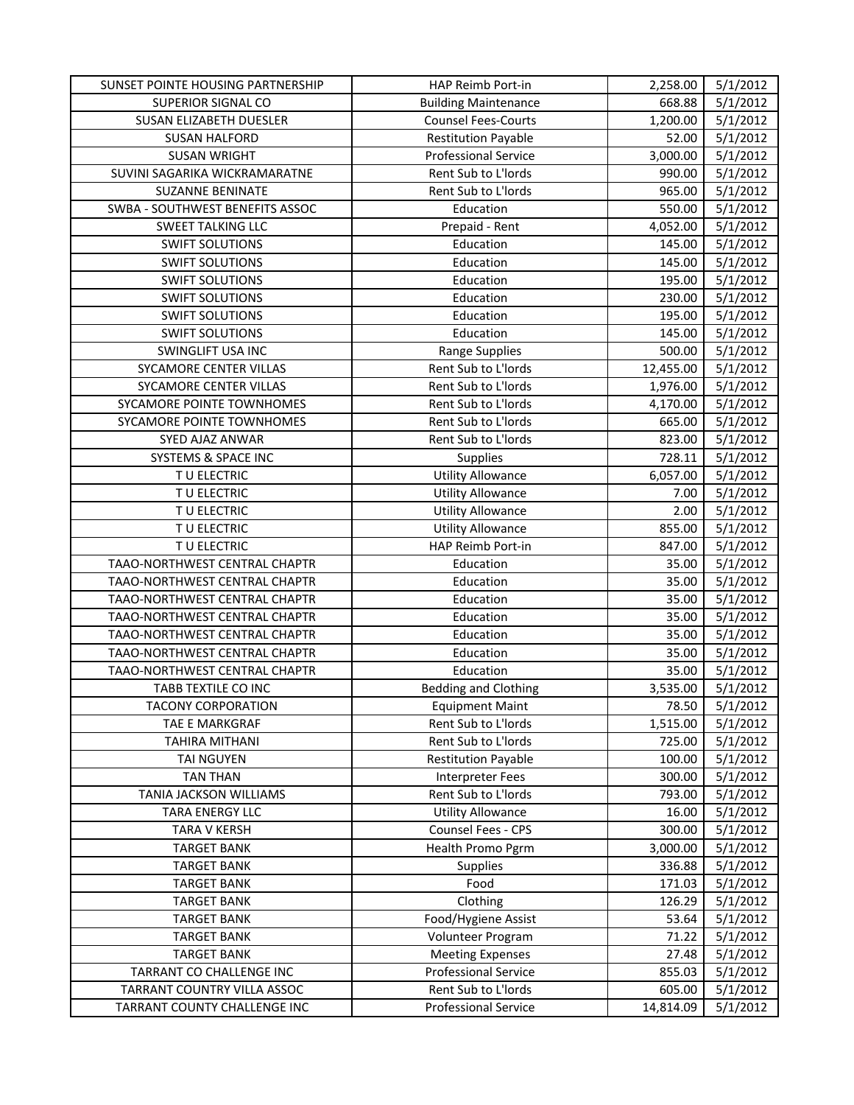| SUNSET POINTE HOUSING PARTNERSHIP | HAP Reimb Port-in           | 2,258.00  | 5/1/2012 |
|-----------------------------------|-----------------------------|-----------|----------|
| SUPERIOR SIGNAL CO                | <b>Building Maintenance</b> | 668.88    | 5/1/2012 |
| SUSAN ELIZABETH DUESLER           | <b>Counsel Fees-Courts</b>  | 1,200.00  | 5/1/2012 |
| <b>SUSAN HALFORD</b>              | <b>Restitution Payable</b>  | 52.00     | 5/1/2012 |
| <b>SUSAN WRIGHT</b>               | <b>Professional Service</b> | 3,000.00  | 5/1/2012 |
| SUVINI SAGARIKA WICKRAMARATNE     | Rent Sub to L'Iords         | 990.00    | 5/1/2012 |
| <b>SUZANNE BENINATE</b>           | Rent Sub to L'Iords         | 965.00    | 5/1/2012 |
| SWBA - SOUTHWEST BENEFITS ASSOC   | Education                   | 550.00    | 5/1/2012 |
| <b>SWEET TALKING LLC</b>          | Prepaid - Rent              | 4,052.00  | 5/1/2012 |
| <b>SWIFT SOLUTIONS</b>            | Education                   | 145.00    | 5/1/2012 |
| <b>SWIFT SOLUTIONS</b>            | Education                   | 145.00    | 5/1/2012 |
| <b>SWIFT SOLUTIONS</b>            | Education                   | 195.00    | 5/1/2012 |
| <b>SWIFT SOLUTIONS</b>            | Education                   | 230.00    | 5/1/2012 |
| <b>SWIFT SOLUTIONS</b>            | Education                   | 195.00    | 5/1/2012 |
| <b>SWIFT SOLUTIONS</b>            | Education                   | 145.00    | 5/1/2012 |
| <b>SWINGLIFT USA INC</b>          | <b>Range Supplies</b>       | 500.00    | 5/1/2012 |
| SYCAMORE CENTER VILLAS            | Rent Sub to L'Iords         | 12,455.00 | 5/1/2012 |
| SYCAMORE CENTER VILLAS            | Rent Sub to L'Iords         | 1,976.00  | 5/1/2012 |
| SYCAMORE POINTE TOWNHOMES         | Rent Sub to L'Iords         | 4,170.00  | 5/1/2012 |
| SYCAMORE POINTE TOWNHOMES         | Rent Sub to L'Iords         | 665.00    | 5/1/2012 |
| SYED AJAZ ANWAR                   | Rent Sub to L'Iords         | 823.00    | 5/1/2012 |
| SYSTEMS & SPACE INC               | Supplies                    | 728.11    | 5/1/2012 |
| T U ELECTRIC                      | <b>Utility Allowance</b>    | 6,057.00  | 5/1/2012 |
| TU ELECTRIC                       | <b>Utility Allowance</b>    | 7.00      | 5/1/2012 |
| TU ELECTRIC                       | <b>Utility Allowance</b>    | 2.00      | 5/1/2012 |
| TU ELECTRIC                       | <b>Utility Allowance</b>    | 855.00    | 5/1/2012 |
| T U ELECTRIC                      | HAP Reimb Port-in           | 847.00    | 5/1/2012 |
| TAAO-NORTHWEST CENTRAL CHAPTR     | Education                   | 35.00     | 5/1/2012 |
| TAAO-NORTHWEST CENTRAL CHAPTR     | Education                   | 35.00     | 5/1/2012 |
| TAAO-NORTHWEST CENTRAL CHAPTR     | Education                   | 35.00     | 5/1/2012 |
| TAAO-NORTHWEST CENTRAL CHAPTR     | Education                   | 35.00     | 5/1/2012 |
| TAAO-NORTHWEST CENTRAL CHAPTR     | Education                   | 35.00     | 5/1/2012 |
| TAAO-NORTHWEST CENTRAL CHAPTR     | Education                   | 35.00     | 5/1/2012 |
| TAAO-NORTHWEST CENTRAL CHAPTR     | Education                   | 35.00     | 5/1/2012 |
| TABB TEXTILE CO INC               | <b>Bedding and Clothing</b> | 3,535.00  | 5/1/2012 |
| <b>TACONY CORPORATION</b>         | <b>Equipment Maint</b>      | 78.50     | 5/1/2012 |
| TAE E MARKGRAF                    | Rent Sub to L'Iords         | 1,515.00  | 5/1/2012 |
| <b>TAHIRA MITHANI</b>             | Rent Sub to L'Iords         | 725.00    | 5/1/2012 |
| TAI NGUYEN                        | <b>Restitution Payable</b>  | 100.00    | 5/1/2012 |
| <b>TAN THAN</b>                   | <b>Interpreter Fees</b>     | 300.00    | 5/1/2012 |
| TANIA JACKSON WILLIAMS            | Rent Sub to L'Iords         | 793.00    | 5/1/2012 |
| TARA ENERGY LLC                   | <b>Utility Allowance</b>    | 16.00     | 5/1/2012 |
| TARA V KERSH                      | Counsel Fees - CPS          | 300.00    | 5/1/2012 |
| <b>TARGET BANK</b>                | Health Promo Pgrm           | 3,000.00  | 5/1/2012 |
| <b>TARGET BANK</b>                | Supplies                    | 336.88    | 5/1/2012 |
| <b>TARGET BANK</b>                | Food                        | 171.03    | 5/1/2012 |
| <b>TARGET BANK</b>                | Clothing                    | 126.29    | 5/1/2012 |
| <b>TARGET BANK</b>                | Food/Hygiene Assist         | 53.64     | 5/1/2012 |
| <b>TARGET BANK</b>                | Volunteer Program           | 71.22     | 5/1/2012 |
| <b>TARGET BANK</b>                | <b>Meeting Expenses</b>     | 27.48     | 5/1/2012 |
| TARRANT CO CHALLENGE INC          | <b>Professional Service</b> | 855.03    | 5/1/2012 |
| TARRANT COUNTRY VILLA ASSOC       | Rent Sub to L'Iords         | 605.00    | 5/1/2012 |
| TARRANT COUNTY CHALLENGE INC      | <b>Professional Service</b> | 14,814.09 | 5/1/2012 |
|                                   |                             |           |          |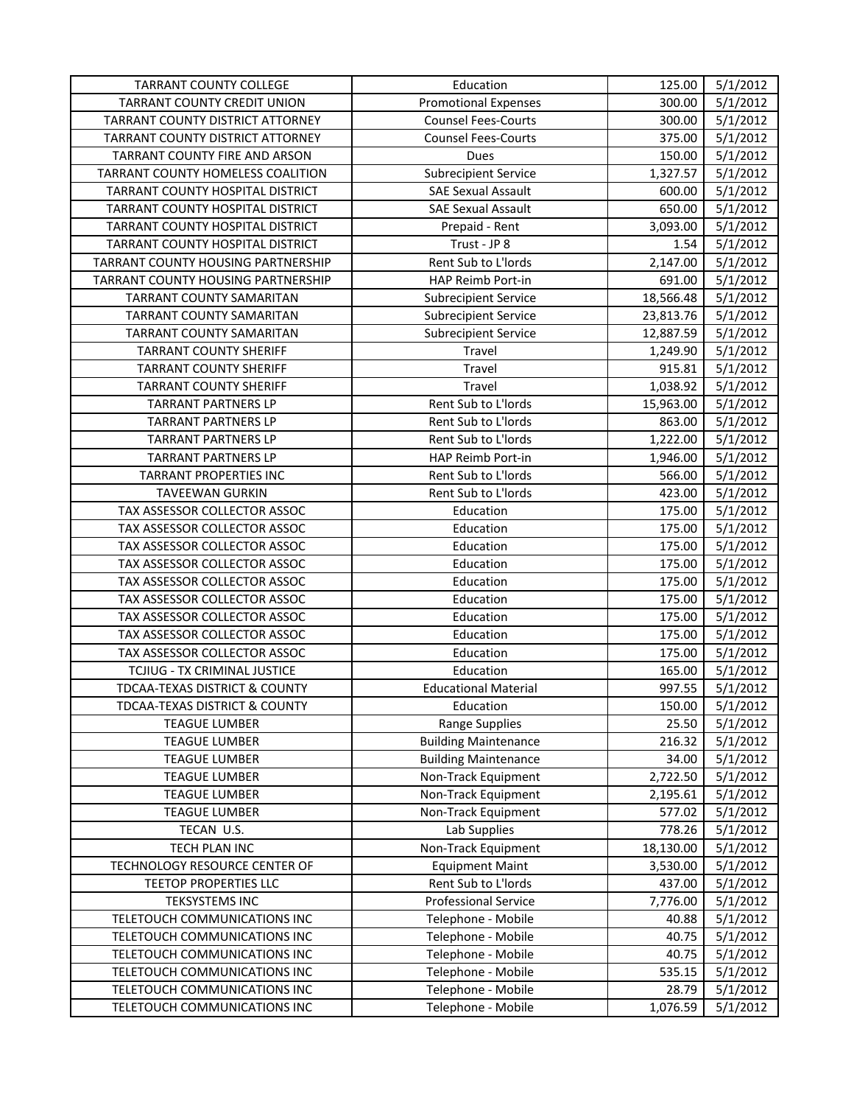| <b>TARRANT COUNTY COLLEGE</b>            | Education                   | 125.00    | 5/1/2012 |
|------------------------------------------|-----------------------------|-----------|----------|
| <b>TARRANT COUNTY CREDIT UNION</b>       | <b>Promotional Expenses</b> | 300.00    | 5/1/2012 |
| TARRANT COUNTY DISTRICT ATTORNEY         | <b>Counsel Fees-Courts</b>  | 300.00    | 5/1/2012 |
| TARRANT COUNTY DISTRICT ATTORNEY         | <b>Counsel Fees-Courts</b>  | 375.00    | 5/1/2012 |
| TARRANT COUNTY FIRE AND ARSON            | Dues                        | 150.00    | 5/1/2012 |
| TARRANT COUNTY HOMELESS COALITION        | <b>Subrecipient Service</b> | 1,327.57  | 5/1/2012 |
| TARRANT COUNTY HOSPITAL DISTRICT         | <b>SAE Sexual Assault</b>   | 600.00    | 5/1/2012 |
| TARRANT COUNTY HOSPITAL DISTRICT         | <b>SAE Sexual Assault</b>   | 650.00    | 5/1/2012 |
| TARRANT COUNTY HOSPITAL DISTRICT         | Prepaid - Rent              | 3,093.00  | 5/1/2012 |
| TARRANT COUNTY HOSPITAL DISTRICT         | Trust - JP 8                | 1.54      | 5/1/2012 |
| TARRANT COUNTY HOUSING PARTNERSHIP       | Rent Sub to L'Iords         | 2,147.00  | 5/1/2012 |
| TARRANT COUNTY HOUSING PARTNERSHIP       | HAP Reimb Port-in           | 691.00    | 5/1/2012 |
| TARRANT COUNTY SAMARITAN                 | <b>Subrecipient Service</b> | 18,566.48 | 5/1/2012 |
| TARRANT COUNTY SAMARITAN                 | <b>Subrecipient Service</b> | 23,813.76 | 5/1/2012 |
| TARRANT COUNTY SAMARITAN                 | <b>Subrecipient Service</b> | 12,887.59 | 5/1/2012 |
| <b>TARRANT COUNTY SHERIFF</b>            | Travel                      | 1,249.90  | 5/1/2012 |
| <b>TARRANT COUNTY SHERIFF</b>            | Travel                      | 915.81    | 5/1/2012 |
| <b>TARRANT COUNTY SHERIFF</b>            | Travel                      | 1,038.92  | 5/1/2012 |
| <b>TARRANT PARTNERS LP</b>               | Rent Sub to L'Iords         | 15,963.00 | 5/1/2012 |
| <b>TARRANT PARTNERS LP</b>               | Rent Sub to L'Iords         | 863.00    | 5/1/2012 |
| <b>TARRANT PARTNERS LP</b>               | Rent Sub to L'Iords         | 1,222.00  | 5/1/2012 |
| <b>TARRANT PARTNERS LP</b>               | HAP Reimb Port-in           | 1,946.00  | 5/1/2012 |
| <b>TARRANT PROPERTIES INC</b>            | Rent Sub to L'Iords         | 566.00    | 5/1/2012 |
| <b>TAVEEWAN GURKIN</b>                   | Rent Sub to L'Iords         | 423.00    | 5/1/2012 |
| TAX ASSESSOR COLLECTOR ASSOC             | Education                   | 175.00    | 5/1/2012 |
| TAX ASSESSOR COLLECTOR ASSOC             | Education                   | 175.00    | 5/1/2012 |
| TAX ASSESSOR COLLECTOR ASSOC             | Education                   | 175.00    | 5/1/2012 |
| TAX ASSESSOR COLLECTOR ASSOC             | Education                   | 175.00    | 5/1/2012 |
| TAX ASSESSOR COLLECTOR ASSOC             | Education                   | 175.00    | 5/1/2012 |
| TAX ASSESSOR COLLECTOR ASSOC             | Education                   | 175.00    | 5/1/2012 |
| TAX ASSESSOR COLLECTOR ASSOC             | Education                   | 175.00    | 5/1/2012 |
| TAX ASSESSOR COLLECTOR ASSOC             | Education                   | 175.00    | 5/1/2012 |
| TAX ASSESSOR COLLECTOR ASSOC             | Education                   | 175.00    | 5/1/2012 |
| TCJIUG - TX CRIMINAL JUSTICE             | Education                   | 165.00    | 5/1/2012 |
| <b>TDCAA-TEXAS DISTRICT &amp; COUNTY</b> | <b>Educational Material</b> | 997.55    | 5/1/2012 |
| TDCAA-TEXAS DISTRICT & COUNTY            | Education                   | 150.00    | 5/1/2012 |
| <b>TEAGUE LUMBER</b>                     | <b>Range Supplies</b>       | 25.50     | 5/1/2012 |
| <b>TEAGUE LUMBER</b>                     | <b>Building Maintenance</b> | 216.32    | 5/1/2012 |
| <b>TEAGUE LUMBER</b>                     | <b>Building Maintenance</b> | 34.00     | 5/1/2012 |
| <b>TEAGUE LUMBER</b>                     | Non-Track Equipment         | 2,722.50  | 5/1/2012 |
| <b>TEAGUE LUMBER</b>                     | Non-Track Equipment         | 2,195.61  | 5/1/2012 |
| <b>TEAGUE LUMBER</b>                     | Non-Track Equipment         | 577.02    | 5/1/2012 |
| TECAN U.S.                               | Lab Supplies                | 778.26    | 5/1/2012 |
| TECH PLAN INC                            | Non-Track Equipment         | 18,130.00 | 5/1/2012 |
| TECHNOLOGY RESOURCE CENTER OF            | <b>Equipment Maint</b>      | 3,530.00  | 5/1/2012 |
| TEETOP PROPERTIES LLC                    | Rent Sub to L'Iords         | 437.00    | 5/1/2012 |
| <b>TEKSYSTEMS INC</b>                    | <b>Professional Service</b> | 7,776.00  | 5/1/2012 |
| TELETOUCH COMMUNICATIONS INC             | Telephone - Mobile          | 40.88     | 5/1/2012 |
| TELETOUCH COMMUNICATIONS INC             | Telephone - Mobile          | 40.75     | 5/1/2012 |
| TELETOUCH COMMUNICATIONS INC             | Telephone - Mobile          | 40.75     | 5/1/2012 |
| TELETOUCH COMMUNICATIONS INC             | Telephone - Mobile          | 535.15    | 5/1/2012 |
| TELETOUCH COMMUNICATIONS INC             | Telephone - Mobile          | 28.79     | 5/1/2012 |
| TELETOUCH COMMUNICATIONS INC             | Telephone - Mobile          | 1,076.59  | 5/1/2012 |
|                                          |                             |           |          |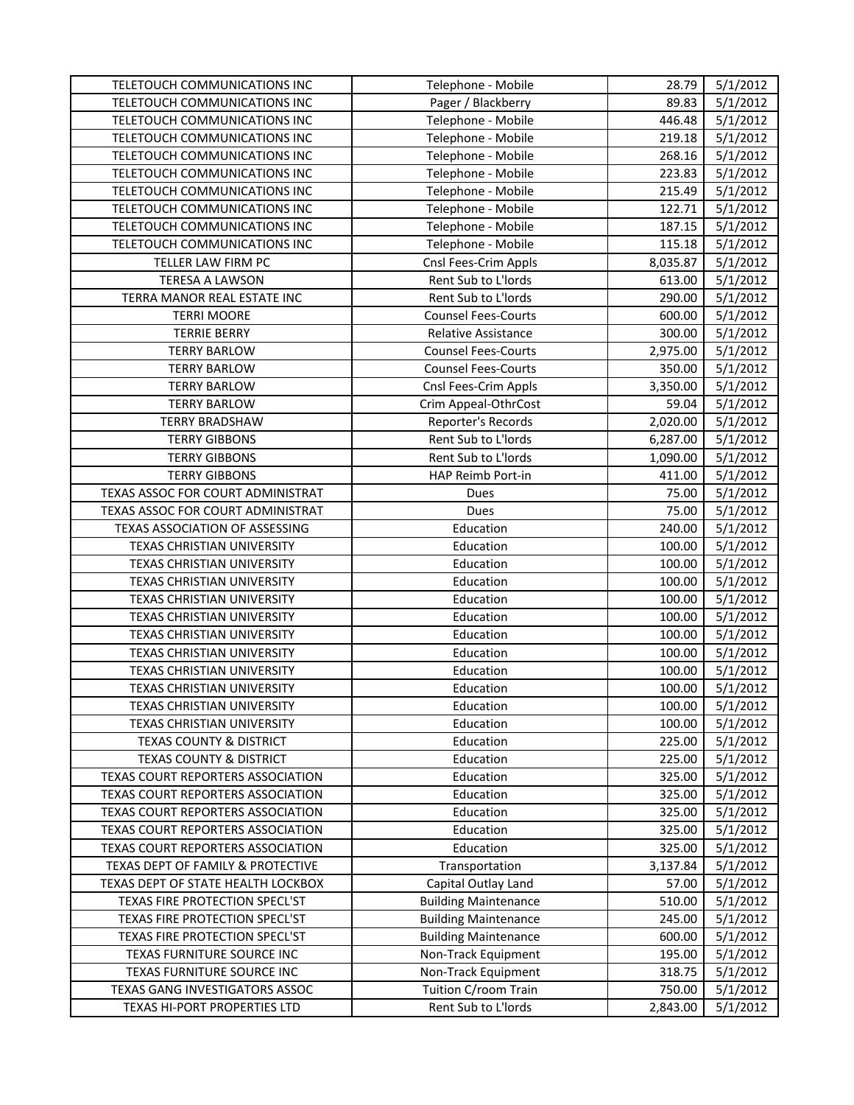| TELETOUCH COMMUNICATIONS INC             | Telephone - Mobile          | 28.79    | 5/1/2012 |
|------------------------------------------|-----------------------------|----------|----------|
| TELETOUCH COMMUNICATIONS INC             | Pager / Blackberry          | 89.83    | 5/1/2012 |
| TELETOUCH COMMUNICATIONS INC             | Telephone - Mobile          | 446.48   | 5/1/2012 |
| TELETOUCH COMMUNICATIONS INC             | Telephone - Mobile          | 219.18   | 5/1/2012 |
| TELETOUCH COMMUNICATIONS INC             | Telephone - Mobile          | 268.16   | 5/1/2012 |
| TELETOUCH COMMUNICATIONS INC             | Telephone - Mobile          | 223.83   | 5/1/2012 |
| TELETOUCH COMMUNICATIONS INC             | Telephone - Mobile          | 215.49   | 5/1/2012 |
| TELETOUCH COMMUNICATIONS INC             | Telephone - Mobile          | 122.71   | 5/1/2012 |
| TELETOUCH COMMUNICATIONS INC             | Telephone - Mobile          | 187.15   | 5/1/2012 |
| TELETOUCH COMMUNICATIONS INC             | Telephone - Mobile          | 115.18   | 5/1/2012 |
| TELLER LAW FIRM PC                       | Cnsl Fees-Crim Appls        | 8,035.87 | 5/1/2012 |
| TERESA A LAWSON                          | Rent Sub to L'Iords         | 613.00   | 5/1/2012 |
| TERRA MANOR REAL ESTATE INC              | Rent Sub to L'Iords         | 290.00   | 5/1/2012 |
| <b>TERRI MOORE</b>                       | <b>Counsel Fees-Courts</b>  | 600.00   | 5/1/2012 |
| <b>TERRIE BERRY</b>                      | Relative Assistance         | 300.00   | 5/1/2012 |
| <b>TERRY BARLOW</b>                      | <b>Counsel Fees-Courts</b>  | 2,975.00 | 5/1/2012 |
| <b>TERRY BARLOW</b>                      | <b>Counsel Fees-Courts</b>  | 350.00   | 5/1/2012 |
| <b>TERRY BARLOW</b>                      | Cnsl Fees-Crim Appls        | 3,350.00 | 5/1/2012 |
| <b>TERRY BARLOW</b>                      | Crim Appeal-OthrCost        | 59.04    | 5/1/2012 |
| <b>TERRY BRADSHAW</b>                    | Reporter's Records          | 2,020.00 | 5/1/2012 |
| <b>TERRY GIBBONS</b>                     | Rent Sub to L'Iords         | 6,287.00 | 5/1/2012 |
| <b>TERRY GIBBONS</b>                     | Rent Sub to L'Iords         | 1,090.00 | 5/1/2012 |
| <b>TERRY GIBBONS</b>                     | HAP Reimb Port-in           | 411.00   | 5/1/2012 |
| TEXAS ASSOC FOR COURT ADMINISTRAT        | Dues                        | 75.00    | 5/1/2012 |
| TEXAS ASSOC FOR COURT ADMINISTRAT        | Dues                        | 75.00    | 5/1/2012 |
| TEXAS ASSOCIATION OF ASSESSING           | Education                   | 240.00   | 5/1/2012 |
| TEXAS CHRISTIAN UNIVERSITY               | Education                   | 100.00   | 5/1/2012 |
| TEXAS CHRISTIAN UNIVERSITY               | Education                   | 100.00   | 5/1/2012 |
| TEXAS CHRISTIAN UNIVERSITY               | Education                   | 100.00   | 5/1/2012 |
| TEXAS CHRISTIAN UNIVERSITY               | Education                   | 100.00   | 5/1/2012 |
| TEXAS CHRISTIAN UNIVERSITY               | Education                   | 100.00   | 5/1/2012 |
| <b>TEXAS CHRISTIAN UNIVERSITY</b>        | Education                   | 100.00   | 5/1/2012 |
| TEXAS CHRISTIAN UNIVERSITY               | Education                   | 100.00   | 5/1/2012 |
| TEXAS CHRISTIAN UNIVERSITY               | Education                   | 100.00   | 5/1/2012 |
| TEXAS CHRISTIAN UNIVERSITY               | Education                   | 100.00   | 5/1/2012 |
| TEXAS CHRISTIAN UNIVERSITY               | Education                   | 100.00   | 5/1/2012 |
| TEXAS CHRISTIAN UNIVERSITY               | Education                   | 100.00   | 5/1/2012 |
| <b>TEXAS COUNTY &amp; DISTRICT</b>       | Education                   | 225.00   | 5/1/2012 |
| <b>TEXAS COUNTY &amp; DISTRICT</b>       | Education                   | 225.00   | 5/1/2012 |
| TEXAS COURT REPORTERS ASSOCIATION        | Education                   | 325.00   | 5/1/2012 |
| TEXAS COURT REPORTERS ASSOCIATION        | Education                   | 325.00   | 5/1/2012 |
| <b>TEXAS COURT REPORTERS ASSOCIATION</b> | Education                   | 325.00   | 5/1/2012 |
| TEXAS COURT REPORTERS ASSOCIATION        | Education                   | 325.00   | 5/1/2012 |
| TEXAS COURT REPORTERS ASSOCIATION        | Education                   | 325.00   | 5/1/2012 |
| TEXAS DEPT OF FAMILY & PROTECTIVE        | Transportation              | 3,137.84 | 5/1/2012 |
| TEXAS DEPT OF STATE HEALTH LOCKBOX       | Capital Outlay Land         | 57.00    | 5/1/2012 |
| TEXAS FIRE PROTECTION SPECL'ST           | <b>Building Maintenance</b> | 510.00   | 5/1/2012 |
| TEXAS FIRE PROTECTION SPECL'ST           | <b>Building Maintenance</b> | 245.00   | 5/1/2012 |
| TEXAS FIRE PROTECTION SPECL'ST           | <b>Building Maintenance</b> | 600.00   | 5/1/2012 |
| TEXAS FURNITURE SOURCE INC               | Non-Track Equipment         | 195.00   | 5/1/2012 |
| TEXAS FURNITURE SOURCE INC               | Non-Track Equipment         | 318.75   | 5/1/2012 |
| TEXAS GANG INVESTIGATORS ASSOC           | Tuition C/room Train        | 750.00   | 5/1/2012 |
| TEXAS HI-PORT PROPERTIES LTD             | Rent Sub to L'Iords         | 2,843.00 | 5/1/2012 |
|                                          |                             |          |          |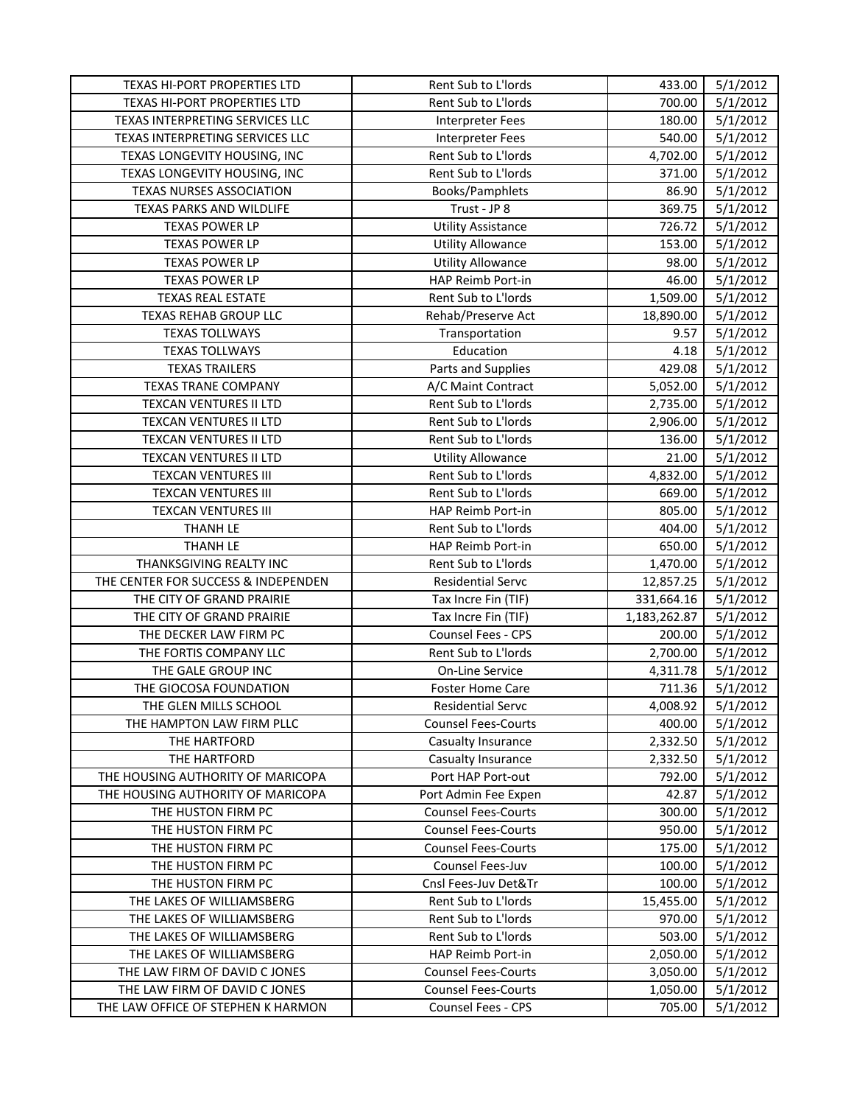| TEXAS HI-PORT PROPERTIES LTD        | Rent Sub to L'Iords        | 433.00       | 5/1/2012 |
|-------------------------------------|----------------------------|--------------|----------|
| TEXAS HI-PORT PROPERTIES LTD        | Rent Sub to L'Iords        | 700.00       | 5/1/2012 |
| TEXAS INTERPRETING SERVICES LLC     | <b>Interpreter Fees</b>    | 180.00       | 5/1/2012 |
| TEXAS INTERPRETING SERVICES LLC     | <b>Interpreter Fees</b>    | 540.00       | 5/1/2012 |
| TEXAS LONGEVITY HOUSING, INC        | Rent Sub to L'Iords        | 4,702.00     | 5/1/2012 |
| TEXAS LONGEVITY HOUSING, INC        | Rent Sub to L'Iords        | 371.00       | 5/1/2012 |
| <b>TEXAS NURSES ASSOCIATION</b>     | Books/Pamphlets            | 86.90        | 5/1/2012 |
| TEXAS PARKS AND WILDLIFE            | Trust - JP 8               | 369.75       | 5/1/2012 |
| <b>TEXAS POWER LP</b>               | <b>Utility Assistance</b>  | 726.72       | 5/1/2012 |
| <b>TEXAS POWER LP</b>               | <b>Utility Allowance</b>   | 153.00       | 5/1/2012 |
| <b>TEXAS POWER LP</b>               | <b>Utility Allowance</b>   | 98.00        | 5/1/2012 |
| <b>TEXAS POWER LP</b>               | HAP Reimb Port-in          | 46.00        | 5/1/2012 |
| <b>TEXAS REAL ESTATE</b>            | Rent Sub to L'Iords        | 1,509.00     | 5/1/2012 |
| <b>TEXAS REHAB GROUP LLC</b>        | Rehab/Preserve Act         | 18,890.00    | 5/1/2012 |
| <b>TEXAS TOLLWAYS</b>               | Transportation             | 9.57         | 5/1/2012 |
| <b>TEXAS TOLLWAYS</b>               | Education                  | 4.18         | 5/1/2012 |
| <b>TEXAS TRAILERS</b>               | Parts and Supplies         | 429.08       | 5/1/2012 |
| <b>TEXAS TRANE COMPANY</b>          | A/C Maint Contract         | 5,052.00     | 5/1/2012 |
| TEXCAN VENTURES II LTD              | Rent Sub to L'Iords        | 2,735.00     | 5/1/2012 |
| TEXCAN VENTURES II LTD              | Rent Sub to L'Iords        | 2,906.00     | 5/1/2012 |
| <b>TEXCAN VENTURES II LTD</b>       | Rent Sub to L'Iords        | 136.00       | 5/1/2012 |
| TEXCAN VENTURES II LTD              | <b>Utility Allowance</b>   | 21.00        | 5/1/2012 |
| <b>TEXCAN VENTURES III</b>          | Rent Sub to L'Iords        | 4,832.00     | 5/1/2012 |
| <b>TEXCAN VENTURES III</b>          | Rent Sub to L'Iords        | 669.00       | 5/1/2012 |
| <b>TEXCAN VENTURES III</b>          | HAP Reimb Port-in          | 805.00       | 5/1/2012 |
| <b>THANH LE</b>                     | Rent Sub to L'Iords        | 404.00       | 5/1/2012 |
| <b>THANH LE</b>                     | HAP Reimb Port-in          | 650.00       | 5/1/2012 |
| THANKSGIVING REALTY INC             | Rent Sub to L'Iords        | 1,470.00     | 5/1/2012 |
| THE CENTER FOR SUCCESS & INDEPENDEN | <b>Residential Servc</b>   | 12,857.25    | 5/1/2012 |
| THE CITY OF GRAND PRAIRIE           | Tax Incre Fin (TIF)        | 331,664.16   | 5/1/2012 |
| THE CITY OF GRAND PRAIRIE           | Tax Incre Fin (TIF)        | 1,183,262.87 | 5/1/2012 |
| THE DECKER LAW FIRM PC              | Counsel Fees - CPS         | 200.00       | 5/1/2012 |
| THE FORTIS COMPANY LLC              | Rent Sub to L'Iords        | 2,700.00     | 5/1/2012 |
| THE GALE GROUP INC                  | On-Line Service            | 4,311.78     | 5/1/2012 |
| THE GIOCOSA FOUNDATION              | <b>Foster Home Care</b>    | 711.36       | 5/1/2012 |
| THE GLEN MILLS SCHOOL               | <b>Residential Servc</b>   | 4,008.92     | 5/1/2012 |
| THE HAMPTON LAW FIRM PLLC           | <b>Counsel Fees-Courts</b> | 400.00       | 5/1/2012 |
| THE HARTFORD                        | Casualty Insurance         | 2,332.50     | 5/1/2012 |
| THE HARTFORD                        | Casualty Insurance         | 2,332.50     | 5/1/2012 |
| THE HOUSING AUTHORITY OF MARICOPA   | Port HAP Port-out          | 792.00       | 5/1/2012 |
| THE HOUSING AUTHORITY OF MARICOPA   | Port Admin Fee Expen       | 42.87        | 5/1/2012 |
| THE HUSTON FIRM PC                  | <b>Counsel Fees-Courts</b> | 300.00       | 5/1/2012 |
| THE HUSTON FIRM PC                  | <b>Counsel Fees-Courts</b> | 950.00       | 5/1/2012 |
| THE HUSTON FIRM PC                  | <b>Counsel Fees-Courts</b> | 175.00       | 5/1/2012 |
| THE HUSTON FIRM PC                  | Counsel Fees-Juv           | 100.00       | 5/1/2012 |
| THE HUSTON FIRM PC                  | Cnsl Fees-Juv Det&Tr       | 100.00       | 5/1/2012 |
| THE LAKES OF WILLIAMSBERG           | Rent Sub to L'Iords        | 15,455.00    | 5/1/2012 |
| THE LAKES OF WILLIAMSBERG           | Rent Sub to L'Iords        | 970.00       | 5/1/2012 |
| THE LAKES OF WILLIAMSBERG           | Rent Sub to L'Iords        | 503.00       | 5/1/2012 |
| THE LAKES OF WILLIAMSBERG           | HAP Reimb Port-in          | 2,050.00     | 5/1/2012 |
| THE LAW FIRM OF DAVID C JONES       | <b>Counsel Fees-Courts</b> | 3,050.00     | 5/1/2012 |
| THE LAW FIRM OF DAVID C JONES       | <b>Counsel Fees-Courts</b> | 1,050.00     | 5/1/2012 |
| THE LAW OFFICE OF STEPHEN K HARMON  | Counsel Fees - CPS         | 705.00       | 5/1/2012 |
|                                     |                            |              |          |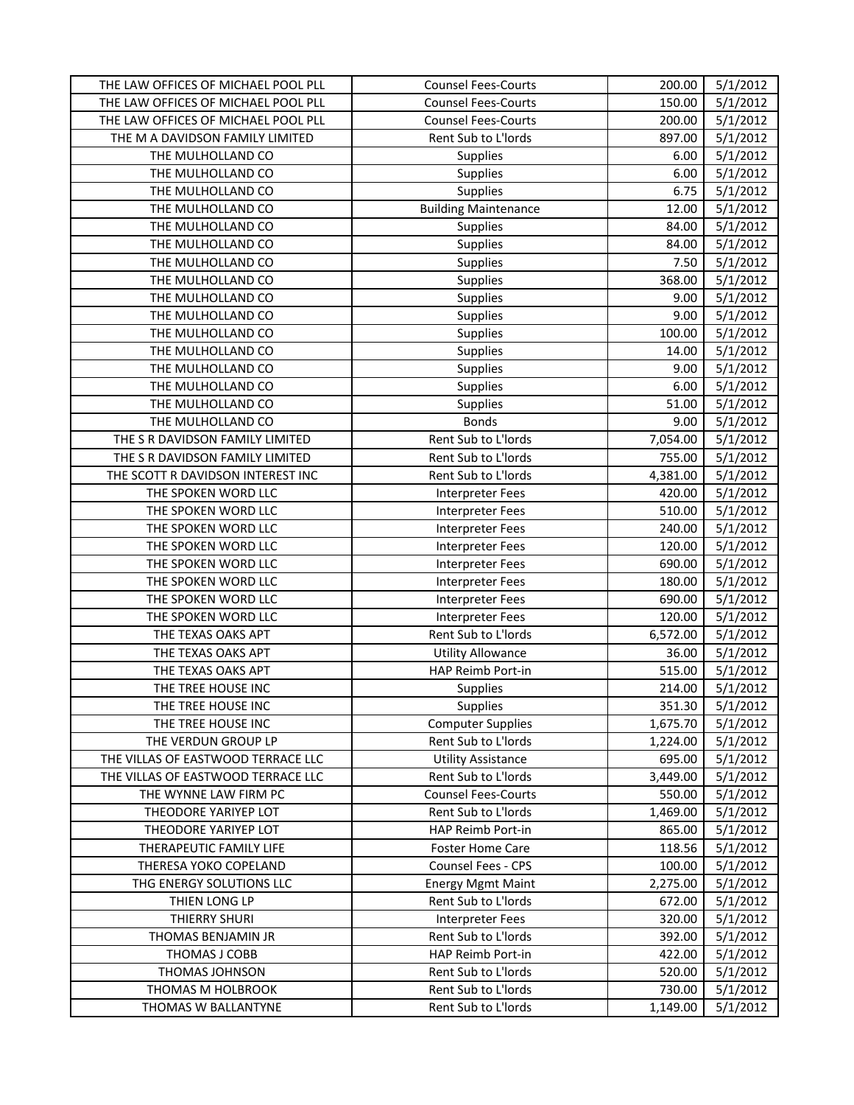| THE LAW OFFICES OF MICHAEL POOL PLL | <b>Counsel Fees-Courts</b>  | 200.00   | 5/1/2012 |
|-------------------------------------|-----------------------------|----------|----------|
| THE LAW OFFICES OF MICHAEL POOL PLL | <b>Counsel Fees-Courts</b>  | 150.00   | 5/1/2012 |
| THE LAW OFFICES OF MICHAEL POOL PLL | <b>Counsel Fees-Courts</b>  | 200.00   | 5/1/2012 |
| THE M A DAVIDSON FAMILY LIMITED     | Rent Sub to L'Iords         | 897.00   | 5/1/2012 |
| THE MULHOLLAND CO                   | Supplies                    | 6.00     | 5/1/2012 |
| THE MULHOLLAND CO                   | Supplies                    | 6.00     | 5/1/2012 |
| THE MULHOLLAND CO                   | <b>Supplies</b>             | 6.75     | 5/1/2012 |
| THE MULHOLLAND CO                   | <b>Building Maintenance</b> | 12.00    | 5/1/2012 |
| THE MULHOLLAND CO                   | Supplies                    | 84.00    | 5/1/2012 |
| THE MULHOLLAND CO                   | Supplies                    | 84.00    | 5/1/2012 |
| THE MULHOLLAND CO                   | Supplies                    | 7.50     | 5/1/2012 |
| THE MULHOLLAND CO                   | Supplies                    | 368.00   | 5/1/2012 |
| THE MULHOLLAND CO                   | Supplies                    | 9.00     | 5/1/2012 |
| THE MULHOLLAND CO                   | Supplies                    | 9.00     | 5/1/2012 |
| THE MULHOLLAND CO                   | Supplies                    | 100.00   | 5/1/2012 |
| THE MULHOLLAND CO                   | Supplies                    | 14.00    | 5/1/2012 |
| THE MULHOLLAND CO                   | Supplies                    | 9.00     | 5/1/2012 |
| THE MULHOLLAND CO                   | Supplies                    | 6.00     | 5/1/2012 |
| THE MULHOLLAND CO                   | Supplies                    | 51.00    | 5/1/2012 |
| THE MULHOLLAND CO                   | <b>Bonds</b>                | 9.00     | 5/1/2012 |
| THE S R DAVIDSON FAMILY LIMITED     | Rent Sub to L'Iords         | 7,054.00 | 5/1/2012 |
| THE S R DAVIDSON FAMILY LIMITED     | Rent Sub to L'Iords         | 755.00   | 5/1/2012 |
| THE SCOTT R DAVIDSON INTEREST INC   | Rent Sub to L'Iords         | 4,381.00 | 5/1/2012 |
| THE SPOKEN WORD LLC                 | <b>Interpreter Fees</b>     | 420.00   | 5/1/2012 |
| THE SPOKEN WORD LLC                 | Interpreter Fees            | 510.00   | 5/1/2012 |
| THE SPOKEN WORD LLC                 | <b>Interpreter Fees</b>     | 240.00   | 5/1/2012 |
| THE SPOKEN WORD LLC                 | Interpreter Fees            | 120.00   | 5/1/2012 |
| THE SPOKEN WORD LLC                 | <b>Interpreter Fees</b>     | 690.00   | 5/1/2012 |
| THE SPOKEN WORD LLC                 | <b>Interpreter Fees</b>     | 180.00   | 5/1/2012 |
| THE SPOKEN WORD LLC                 | Interpreter Fees            | 690.00   | 5/1/2012 |
| THE SPOKEN WORD LLC                 | <b>Interpreter Fees</b>     | 120.00   | 5/1/2012 |
| THE TEXAS OAKS APT                  | Rent Sub to L'Iords         | 6,572.00 | 5/1/2012 |
| THE TEXAS OAKS APT                  | <b>Utility Allowance</b>    | 36.00    | 5/1/2012 |
| THE TEXAS OAKS APT                  | HAP Reimb Port-in           | 515.00   | 5/1/2012 |
| THE TREE HOUSE INC                  | Supplies                    | 214.00   | 5/1/2012 |
| THE TREE HOUSE INC                  | <b>Supplies</b>             | 351.30   | 5/1/2012 |
| THE TREE HOUSE INC                  | <b>Computer Supplies</b>    | 1,675.70 | 5/1/2012 |
| THE VERDUN GROUP LP                 | Rent Sub to L'Iords         | 1,224.00 | 5/1/2012 |
| THE VILLAS OF EASTWOOD TERRACE LLC  | <b>Utility Assistance</b>   | 695.00   | 5/1/2012 |
| THE VILLAS OF EASTWOOD TERRACE LLC  | Rent Sub to L'Iords         | 3,449.00 | 5/1/2012 |
| THE WYNNE LAW FIRM PC               | <b>Counsel Fees-Courts</b>  | 550.00   | 5/1/2012 |
| THEODORE YARIYEP LOT                | Rent Sub to L'Iords         | 1,469.00 | 5/1/2012 |
| THEODORE YARIYEP LOT                | HAP Reimb Port-in           | 865.00   | 5/1/2012 |
| THERAPEUTIC FAMILY LIFE             | <b>Foster Home Care</b>     | 118.56   | 5/1/2012 |
| THERESA YOKO COPELAND               | <b>Counsel Fees - CPS</b>   | 100.00   | 5/1/2012 |
| THG ENERGY SOLUTIONS LLC            | <b>Energy Mgmt Maint</b>    | 2,275.00 | 5/1/2012 |
| THIEN LONG LP                       | Rent Sub to L'Iords         | 672.00   | 5/1/2012 |
| THIERRY SHURI                       | <b>Interpreter Fees</b>     | 320.00   | 5/1/2012 |
| THOMAS BENJAMIN JR                  | Rent Sub to L'Iords         | 392.00   | 5/1/2012 |
| THOMAS J COBB                       | HAP Reimb Port-in           | 422.00   | 5/1/2012 |
| THOMAS JOHNSON                      | Rent Sub to L'Iords         | 520.00   | 5/1/2012 |
| THOMAS M HOLBROOK                   | Rent Sub to L'Iords         | 730.00   | 5/1/2012 |
| THOMAS W BALLANTYNE                 | Rent Sub to L'Iords         | 1,149.00 | 5/1/2012 |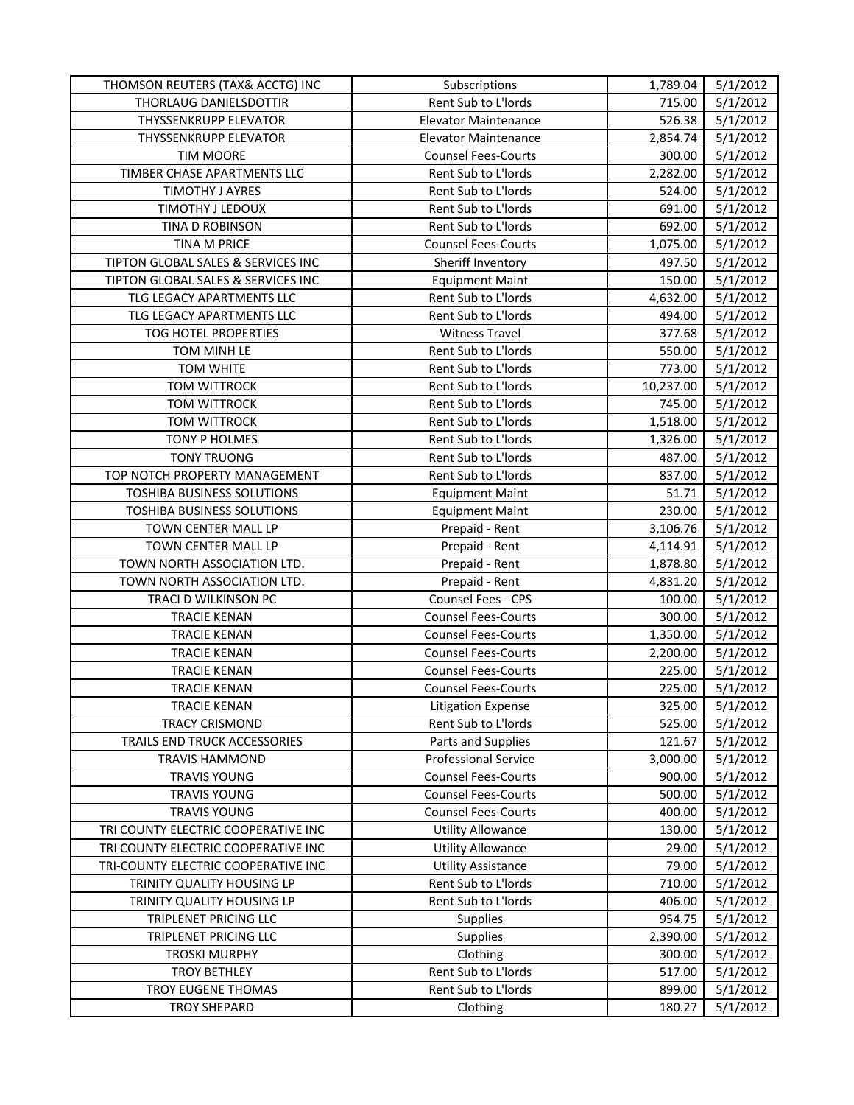| THOMSON REUTERS (TAX& ACCTG) INC    | Subscriptions               | 1,789.04  | 5/1/2012 |
|-------------------------------------|-----------------------------|-----------|----------|
| THORLAUG DANIELSDOTTIR              | Rent Sub to L'Iords         | 715.00    | 5/1/2012 |
| THYSSENKRUPP ELEVATOR               | <b>Elevator Maintenance</b> | 526.38    | 5/1/2012 |
| THYSSENKRUPP ELEVATOR               | <b>Elevator Maintenance</b> | 2,854.74  | 5/1/2012 |
| <b>TIM MOORE</b>                    | <b>Counsel Fees-Courts</b>  | 300.00    | 5/1/2012 |
| TIMBER CHASE APARTMENTS LLC         | Rent Sub to L'Iords         | 2,282.00  | 5/1/2012 |
| TIMOTHY J AYRES                     | Rent Sub to L'Iords         | 524.00    | 5/1/2012 |
| TIMOTHY J LEDOUX                    | Rent Sub to L'Iords         | 691.00    | 5/1/2012 |
| TINA D ROBINSON                     | Rent Sub to L'Iords         | 692.00    | 5/1/2012 |
| TINA M PRICE                        | <b>Counsel Fees-Courts</b>  | 1,075.00  | 5/1/2012 |
| TIPTON GLOBAL SALES & SERVICES INC  | Sheriff Inventory           | 497.50    | 5/1/2012 |
| TIPTON GLOBAL SALES & SERVICES INC  | <b>Equipment Maint</b>      | 150.00    | 5/1/2012 |
| TLG LEGACY APARTMENTS LLC           | Rent Sub to L'Iords         | 4,632.00  | 5/1/2012 |
| TLG LEGACY APARTMENTS LLC           | Rent Sub to L'Iords         | 494.00    | 5/1/2012 |
| TOG HOTEL PROPERTIES                | <b>Witness Travel</b>       | 377.68    | 5/1/2012 |
| TOM MINH LE                         | Rent Sub to L'Iords         | 550.00    | 5/1/2012 |
| <b>TOM WHITE</b>                    | Rent Sub to L'Iords         | 773.00    | 5/1/2012 |
| <b>TOM WITTROCK</b>                 | Rent Sub to L'Iords         | 10,237.00 | 5/1/2012 |
| <b>TOM WITTROCK</b>                 | Rent Sub to L'Iords         | 745.00    | 5/1/2012 |
| <b>TOM WITTROCK</b>                 | Rent Sub to L'Iords         | 1,518.00  | 5/1/2012 |
| TONY P HOLMES                       | Rent Sub to L'Iords         | 1,326.00  | 5/1/2012 |
| <b>TONY TRUONG</b>                  | Rent Sub to L'Iords         | 487.00    | 5/1/2012 |
| TOP NOTCH PROPERTY MANAGEMENT       | Rent Sub to L'Iords         | 837.00    | 5/1/2012 |
| TOSHIBA BUSINESS SOLUTIONS          | <b>Equipment Maint</b>      | 51.71     | 5/1/2012 |
| TOSHIBA BUSINESS SOLUTIONS          | <b>Equipment Maint</b>      | 230.00    | 5/1/2012 |
| TOWN CENTER MALL LP                 | Prepaid - Rent              | 3,106.76  | 5/1/2012 |
| TOWN CENTER MALL LP                 | Prepaid - Rent              | 4,114.91  | 5/1/2012 |
| TOWN NORTH ASSOCIATION LTD.         | Prepaid - Rent              | 1,878.80  | 5/1/2012 |
| TOWN NORTH ASSOCIATION LTD.         | Prepaid - Rent              | 4,831.20  | 5/1/2012 |
| TRACI D WILKINSON PC                | Counsel Fees - CPS          | 100.00    | 5/1/2012 |
| <b>TRACIE KENAN</b>                 | <b>Counsel Fees-Courts</b>  | 300.00    | 5/1/2012 |
| <b>TRACIE KENAN</b>                 | <b>Counsel Fees-Courts</b>  | 1,350.00  | 5/1/2012 |
| <b>TRACIE KENAN</b>                 | <b>Counsel Fees-Courts</b>  | 2,200.00  | 5/1/2012 |
| <b>TRACIE KENAN</b>                 | <b>Counsel Fees-Courts</b>  | 225.00    | 5/1/2012 |
| <b>TRACIE KENAN</b>                 | <b>Counsel Fees-Courts</b>  | 225.00    | 5/1/2012 |
| <b>TRACIE KENAN</b>                 | <b>Litigation Expense</b>   | 325.00    | 5/1/2012 |
| TRACY CRISMOND                      | Rent Sub to L'Iords         | 525.00    | 5/1/2012 |
| TRAILS END TRUCK ACCESSORIES        | Parts and Supplies          | 121.67    | 5/1/2012 |
| <b>TRAVIS HAMMOND</b>               | <b>Professional Service</b> | 3,000.00  | 5/1/2012 |
| <b>TRAVIS YOUNG</b>                 | <b>Counsel Fees-Courts</b>  | 900.00    | 5/1/2012 |
| <b>TRAVIS YOUNG</b>                 | <b>Counsel Fees-Courts</b>  | 500.00    | 5/1/2012 |
| <b>TRAVIS YOUNG</b>                 | <b>Counsel Fees-Courts</b>  | 400.00    | 5/1/2012 |
| TRI COUNTY ELECTRIC COOPERATIVE INC | <b>Utility Allowance</b>    | 130.00    | 5/1/2012 |
| TRI COUNTY ELECTRIC COOPERATIVE INC | <b>Utility Allowance</b>    | 29.00     | 5/1/2012 |
| TRI-COUNTY ELECTRIC COOPERATIVE INC | <b>Utility Assistance</b>   | 79.00     | 5/1/2012 |
| TRINITY QUALITY HOUSING LP          | Rent Sub to L'Iords         | 710.00    | 5/1/2012 |
| TRINITY QUALITY HOUSING LP          | Rent Sub to L'Iords         | 406.00    | 5/1/2012 |
| TRIPLENET PRICING LLC               | <b>Supplies</b>             | 954.75    | 5/1/2012 |
| TRIPLENET PRICING LLC               | <b>Supplies</b>             | 2,390.00  | 5/1/2012 |
| <b>TROSKI MURPHY</b>                | Clothing                    | 300.00    | 5/1/2012 |
| <b>TROY BETHLEY</b>                 | Rent Sub to L'Iords         | 517.00    | 5/1/2012 |
| TROY EUGENE THOMAS                  | Rent Sub to L'Iords         | 899.00    | 5/1/2012 |
| <b>TROY SHEPARD</b>                 | Clothing                    | 180.27    | 5/1/2012 |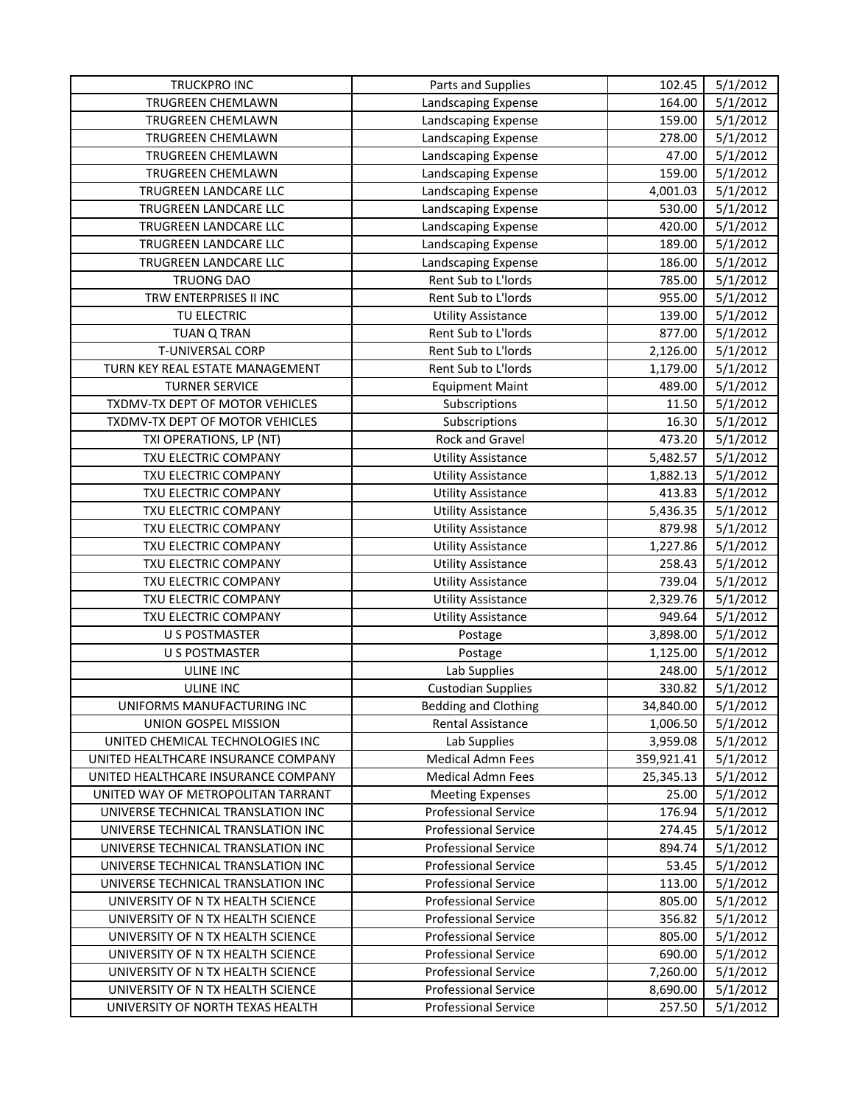| TRUCKPRO INC                        | Parts and Supplies          | 102.45     | 5/1/2012 |
|-------------------------------------|-----------------------------|------------|----------|
| <b>TRUGREEN CHEMLAWN</b>            | Landscaping Expense         | 164.00     | 5/1/2012 |
| TRUGREEN CHEMLAWN                   | Landscaping Expense         | 159.00     | 5/1/2012 |
| TRUGREEN CHEMLAWN                   | Landscaping Expense         | 278.00     | 5/1/2012 |
| TRUGREEN CHEMLAWN                   | Landscaping Expense         | 47.00      | 5/1/2012 |
| TRUGREEN CHEMLAWN                   | Landscaping Expense         | 159.00     | 5/1/2012 |
| TRUGREEN LANDCARE LLC               | Landscaping Expense         | 4,001.03   | 5/1/2012 |
| TRUGREEN LANDCARE LLC               | Landscaping Expense         | 530.00     | 5/1/2012 |
| TRUGREEN LANDCARE LLC               | Landscaping Expense         | 420.00     | 5/1/2012 |
| TRUGREEN LANDCARE LLC               | Landscaping Expense         | 189.00     | 5/1/2012 |
| TRUGREEN LANDCARE LLC               | Landscaping Expense         | 186.00     | 5/1/2012 |
| <b>TRUONG DAO</b>                   | Rent Sub to L'Iords         | 785.00     | 5/1/2012 |
| TRW ENTERPRISES II INC              | Rent Sub to L'Iords         | 955.00     | 5/1/2012 |
| TU ELECTRIC                         | <b>Utility Assistance</b>   | 139.00     | 5/1/2012 |
| <b>TUAN Q TRAN</b>                  | Rent Sub to L'Iords         | 877.00     | 5/1/2012 |
| T-UNIVERSAL CORP                    | Rent Sub to L'Iords         | 2,126.00   | 5/1/2012 |
| TURN KEY REAL ESTATE MANAGEMENT     | Rent Sub to L'Iords         | 1,179.00   | 5/1/2012 |
| <b>TURNER SERVICE</b>               | <b>Equipment Maint</b>      | 489.00     | 5/1/2012 |
| TXDMV-TX DEPT OF MOTOR VEHICLES     | Subscriptions               | 11.50      | 5/1/2012 |
| TXDMV-TX DEPT OF MOTOR VEHICLES     | Subscriptions               | 16.30      | 5/1/2012 |
| TXI OPERATIONS, LP (NT)             | Rock and Gravel             | 473.20     | 5/1/2012 |
| TXU ELECTRIC COMPANY                | <b>Utility Assistance</b>   | 5,482.57   | 5/1/2012 |
| TXU ELECTRIC COMPANY                | <b>Utility Assistance</b>   | 1,882.13   | 5/1/2012 |
| TXU ELECTRIC COMPANY                | <b>Utility Assistance</b>   | 413.83     | 5/1/2012 |
| TXU ELECTRIC COMPANY                | <b>Utility Assistance</b>   | 5,436.35   | 5/1/2012 |
| TXU ELECTRIC COMPANY                | <b>Utility Assistance</b>   | 879.98     | 5/1/2012 |
| TXU ELECTRIC COMPANY                | <b>Utility Assistance</b>   | 1,227.86   | 5/1/2012 |
| TXU ELECTRIC COMPANY                | <b>Utility Assistance</b>   | 258.43     | 5/1/2012 |
| TXU ELECTRIC COMPANY                | <b>Utility Assistance</b>   | 739.04     | 5/1/2012 |
| TXU ELECTRIC COMPANY                | <b>Utility Assistance</b>   | 2,329.76   | 5/1/2012 |
| TXU ELECTRIC COMPANY                | <b>Utility Assistance</b>   | 949.64     | 5/1/2012 |
| <b>U S POSTMASTER</b>               | Postage                     | 3,898.00   | 5/1/2012 |
| <b>U S POSTMASTER</b>               | Postage                     | 1,125.00   | 5/1/2012 |
| <b>ULINE INC</b>                    | Lab Supplies                | 248.00     | 5/1/2012 |
| <b>ULINE INC</b>                    | <b>Custodian Supplies</b>   | 330.82     | 5/1/2012 |
| UNIFORMS MANUFACTURING INC          | <b>Bedding and Clothing</b> | 34,840.00  | 5/1/2012 |
| UNION GOSPEL MISSION                | Rental Assistance           | 1,006.50   | 5/1/2012 |
| UNITED CHEMICAL TECHNOLOGIES INC    | Lab Supplies                | 3,959.08   | 5/1/2012 |
| UNITED HEALTHCARE INSURANCE COMPANY | Medical Admn Fees           | 359,921.41 | 5/1/2012 |
| UNITED HEALTHCARE INSURANCE COMPANY | <b>Medical Admn Fees</b>    | 25,345.13  | 5/1/2012 |
| UNITED WAY OF METROPOLITAN TARRANT  | <b>Meeting Expenses</b>     | 25.00      | 5/1/2012 |
| UNIVERSE TECHNICAL TRANSLATION INC  | <b>Professional Service</b> | 176.94     | 5/1/2012 |
| UNIVERSE TECHNICAL TRANSLATION INC  | <b>Professional Service</b> | 274.45     | 5/1/2012 |
| UNIVERSE TECHNICAL TRANSLATION INC  | <b>Professional Service</b> | 894.74     | 5/1/2012 |
| UNIVERSE TECHNICAL TRANSLATION INC  | <b>Professional Service</b> | 53.45      | 5/1/2012 |
| UNIVERSE TECHNICAL TRANSLATION INC  | <b>Professional Service</b> | 113.00     | 5/1/2012 |
| UNIVERSITY OF N TX HEALTH SCIENCE   | <b>Professional Service</b> | 805.00     | 5/1/2012 |
| UNIVERSITY OF N TX HEALTH SCIENCE   | <b>Professional Service</b> | 356.82     | 5/1/2012 |
| UNIVERSITY OF N TX HEALTH SCIENCE   | <b>Professional Service</b> | 805.00     | 5/1/2012 |
| UNIVERSITY OF N TX HEALTH SCIENCE   | <b>Professional Service</b> | 690.00     | 5/1/2012 |
| UNIVERSITY OF N TX HEALTH SCIENCE   | <b>Professional Service</b> | 7,260.00   | 5/1/2012 |
| UNIVERSITY OF N TX HEALTH SCIENCE   | <b>Professional Service</b> | 8,690.00   | 5/1/2012 |
| UNIVERSITY OF NORTH TEXAS HEALTH    | <b>Professional Service</b> | 257.50     | 5/1/2012 |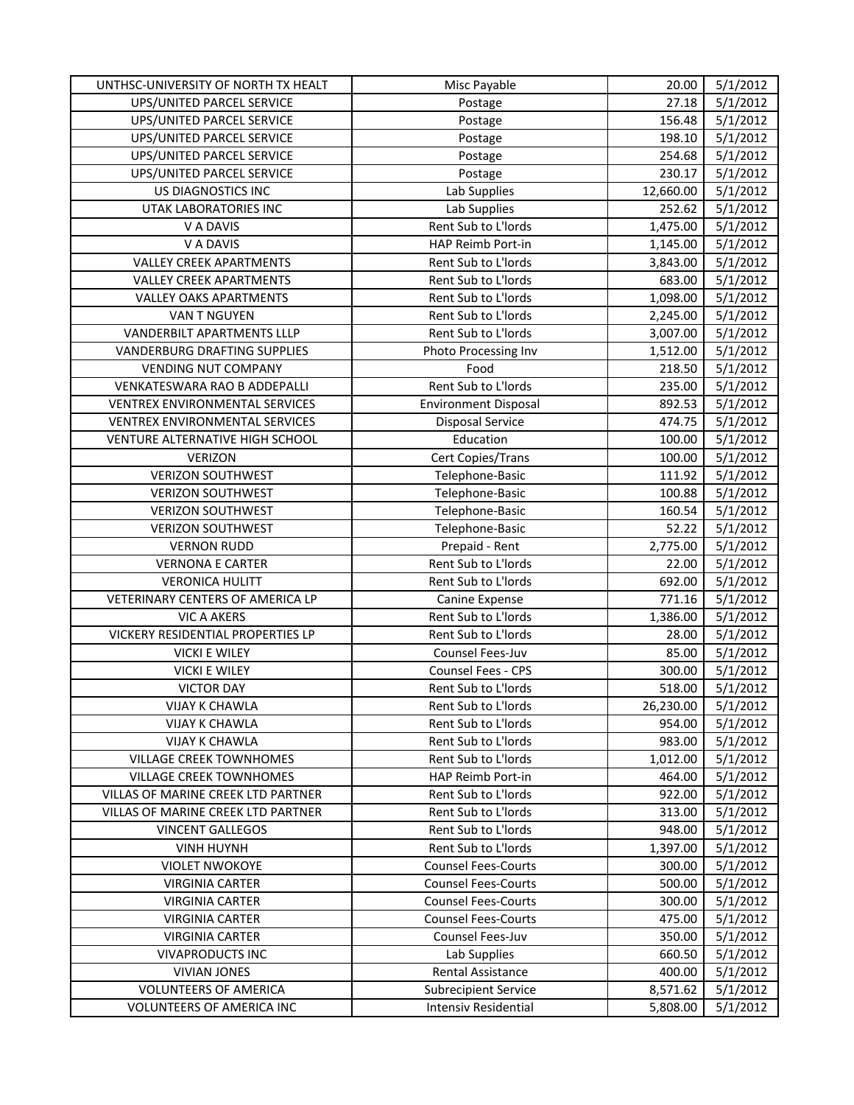| 27.18<br>5/1/2012<br>UPS/UNITED PARCEL SERVICE<br>Postage<br>UPS/UNITED PARCEL SERVICE<br>156.48<br>5/1/2012<br>Postage<br>UPS/UNITED PARCEL SERVICE<br>198.10<br>5/1/2012<br>Postage<br>UPS/UNITED PARCEL SERVICE<br>5/1/2012<br>254.68<br>Postage<br>5/1/2012<br>UPS/UNITED PARCEL SERVICE<br>230.17<br>Postage<br>US DIAGNOSTICS INC<br>Lab Supplies<br>5/1/2012<br>12,660.00<br>5/1/2012<br>UTAK LABORATORIES INC<br>Lab Supplies<br>252.62 |
|-------------------------------------------------------------------------------------------------------------------------------------------------------------------------------------------------------------------------------------------------------------------------------------------------------------------------------------------------------------------------------------------------------------------------------------------------|
|                                                                                                                                                                                                                                                                                                                                                                                                                                                 |
|                                                                                                                                                                                                                                                                                                                                                                                                                                                 |
|                                                                                                                                                                                                                                                                                                                                                                                                                                                 |
|                                                                                                                                                                                                                                                                                                                                                                                                                                                 |
|                                                                                                                                                                                                                                                                                                                                                                                                                                                 |
|                                                                                                                                                                                                                                                                                                                                                                                                                                                 |
|                                                                                                                                                                                                                                                                                                                                                                                                                                                 |
| Rent Sub to L'Iords<br>V A DAVIS<br>1,475.00<br>5/1/2012                                                                                                                                                                                                                                                                                                                                                                                        |
| V A DAVIS<br>HAP Reimb Port-in<br>5/1/2012<br>1,145.00                                                                                                                                                                                                                                                                                                                                                                                          |
| <b>VALLEY CREEK APARTMENTS</b><br>5/1/2012<br>Rent Sub to L'Iords<br>3,843.00                                                                                                                                                                                                                                                                                                                                                                   |
| <b>VALLEY CREEK APARTMENTS</b><br>Rent Sub to L'Iords<br>683.00<br>5/1/2012                                                                                                                                                                                                                                                                                                                                                                     |
| <b>VALLEY OAKS APARTMENTS</b><br>Rent Sub to L'Iords<br>5/1/2012<br>1,098.00                                                                                                                                                                                                                                                                                                                                                                    |
| 5/1/2012<br>VAN T NGUYEN<br>Rent Sub to L'Iords<br>2,245.00                                                                                                                                                                                                                                                                                                                                                                                     |
| VANDERBILT APARTMENTS LLLP<br>Rent Sub to L'Iords<br>3,007.00<br>5/1/2012                                                                                                                                                                                                                                                                                                                                                                       |
| <b>VANDERBURG DRAFTING SUPPLIES</b><br>Photo Processing Inv<br>1,512.00<br>5/1/2012                                                                                                                                                                                                                                                                                                                                                             |
| <b>VENDING NUT COMPANY</b><br>Food<br>218.50<br>5/1/2012                                                                                                                                                                                                                                                                                                                                                                                        |
| Rent Sub to L'Iords<br>235.00<br>5/1/2012<br>VENKATESWARA RAO B ADDEPALLI                                                                                                                                                                                                                                                                                                                                                                       |
| VENTREX ENVIRONMENTAL SERVICES<br><b>Environment Disposal</b><br>892.53<br>5/1/2012                                                                                                                                                                                                                                                                                                                                                             |
| 474.75<br>5/1/2012<br>VENTREX ENVIRONMENTAL SERVICES<br><b>Disposal Service</b>                                                                                                                                                                                                                                                                                                                                                                 |
| Education<br>5/1/2012<br>VENTURE ALTERNATIVE HIGH SCHOOL<br>100.00                                                                                                                                                                                                                                                                                                                                                                              |
| <b>VERIZON</b><br>100.00<br>5/1/2012<br>Cert Copies/Trans                                                                                                                                                                                                                                                                                                                                                                                       |
| <b>VERIZON SOUTHWEST</b><br>Telephone-Basic<br>111.92<br>5/1/2012                                                                                                                                                                                                                                                                                                                                                                               |
| 5/1/2012<br><b>VERIZON SOUTHWEST</b><br>Telephone-Basic<br>100.88                                                                                                                                                                                                                                                                                                                                                                               |
| Telephone-Basic<br><b>VERIZON SOUTHWEST</b><br>160.54<br>5/1/2012                                                                                                                                                                                                                                                                                                                                                                               |
| <b>VERIZON SOUTHWEST</b><br>Telephone-Basic<br>52.22<br>5/1/2012                                                                                                                                                                                                                                                                                                                                                                                |
| Prepaid - Rent<br>2,775.00<br>5/1/2012<br><b>VERNON RUDD</b>                                                                                                                                                                                                                                                                                                                                                                                    |
| Rent Sub to L'Iords<br>5/1/2012<br><b>VERNONA E CARTER</b><br>22.00                                                                                                                                                                                                                                                                                                                                                                             |
| <b>VERONICA HULITT</b><br>Rent Sub to L'Iords<br>692.00<br>5/1/2012                                                                                                                                                                                                                                                                                                                                                                             |
| VETERINARY CENTERS OF AMERICA LP<br>5/1/2012<br>771.16<br>Canine Expense                                                                                                                                                                                                                                                                                                                                                                        |
| Rent Sub to L'Iords<br>5/1/2012<br><b>VIC A AKERS</b><br>1,386.00                                                                                                                                                                                                                                                                                                                                                                               |
| VICKERY RESIDENTIAL PROPERTIES LP<br>Rent Sub to L'Iords<br>5/1/2012<br>28.00                                                                                                                                                                                                                                                                                                                                                                   |
| 5/1/2012<br><b>VICKI E WILEY</b><br>Counsel Fees-Juv<br>85.00                                                                                                                                                                                                                                                                                                                                                                                   |
| Counsel Fees - CPS<br>300.00<br><b>VICKI E WILEY</b><br>5/1/2012                                                                                                                                                                                                                                                                                                                                                                                |
| Rent Sub to L'Iords<br>518.00<br>5/1/2012<br><b>VICTOR DAY</b>                                                                                                                                                                                                                                                                                                                                                                                  |
| <b>VIJAY K CHAWLA</b><br>Rent Sub to L'Iords<br>26,230.00<br>5/1/2012                                                                                                                                                                                                                                                                                                                                                                           |
| <b>VIJAY K CHAWLA</b><br>Rent Sub to L'Iords<br>954.00<br>5/1/2012                                                                                                                                                                                                                                                                                                                                                                              |
| <b>VIJAY K CHAWLA</b><br>Rent Sub to L'Iords<br>983.00<br>5/1/2012                                                                                                                                                                                                                                                                                                                                                                              |
| Rent Sub to L'Iords<br>5/1/2012<br><b>VILLAGE CREEK TOWNHOMES</b><br>1,012.00                                                                                                                                                                                                                                                                                                                                                                   |
| HAP Reimb Port-in<br><b>VILLAGE CREEK TOWNHOMES</b><br>464.00<br>5/1/2012                                                                                                                                                                                                                                                                                                                                                                       |
| VILLAS OF MARINE CREEK LTD PARTNER<br>Rent Sub to L'Iords<br>922.00<br>5/1/2012                                                                                                                                                                                                                                                                                                                                                                 |
| Rent Sub to L'Iords<br>VILLAS OF MARINE CREEK LTD PARTNER<br>313.00<br>5/1/2012                                                                                                                                                                                                                                                                                                                                                                 |
| Rent Sub to L'Iords<br><b>VINCENT GALLEGOS</b><br>948.00<br>5/1/2012                                                                                                                                                                                                                                                                                                                                                                            |
| Rent Sub to L'Iords<br><b>VINH HUYNH</b><br>1,397.00<br>5/1/2012                                                                                                                                                                                                                                                                                                                                                                                |
| <b>VIOLET NWOKOYE</b><br><b>Counsel Fees-Courts</b><br>5/1/2012<br>300.00                                                                                                                                                                                                                                                                                                                                                                       |
| <b>VIRGINIA CARTER</b><br><b>Counsel Fees-Courts</b><br>500.00<br>5/1/2012                                                                                                                                                                                                                                                                                                                                                                      |
| <b>VIRGINIA CARTER</b><br><b>Counsel Fees-Courts</b><br>300.00<br>5/1/2012                                                                                                                                                                                                                                                                                                                                                                      |
| <b>Counsel Fees-Courts</b><br>475.00<br>5/1/2012<br><b>VIRGINIA CARTER</b>                                                                                                                                                                                                                                                                                                                                                                      |
| <b>VIRGINIA CARTER</b><br>Counsel Fees-Juv<br>350.00<br>5/1/2012                                                                                                                                                                                                                                                                                                                                                                                |
| <b>VIVAPRODUCTS INC</b><br>Lab Supplies<br>660.50<br>5/1/2012                                                                                                                                                                                                                                                                                                                                                                                   |
| Rental Assistance<br><b>VIVIAN JONES</b><br>400.00<br>5/1/2012                                                                                                                                                                                                                                                                                                                                                                                  |
| 8,571.62<br><b>VOLUNTEERS OF AMERICA</b><br><b>Subrecipient Service</b><br>5/1/2012                                                                                                                                                                                                                                                                                                                                                             |
| <b>VOLUNTEERS OF AMERICA INC</b><br><b>Intensiv Residential</b><br>5,808.00<br>5/1/2012                                                                                                                                                                                                                                                                                                                                                         |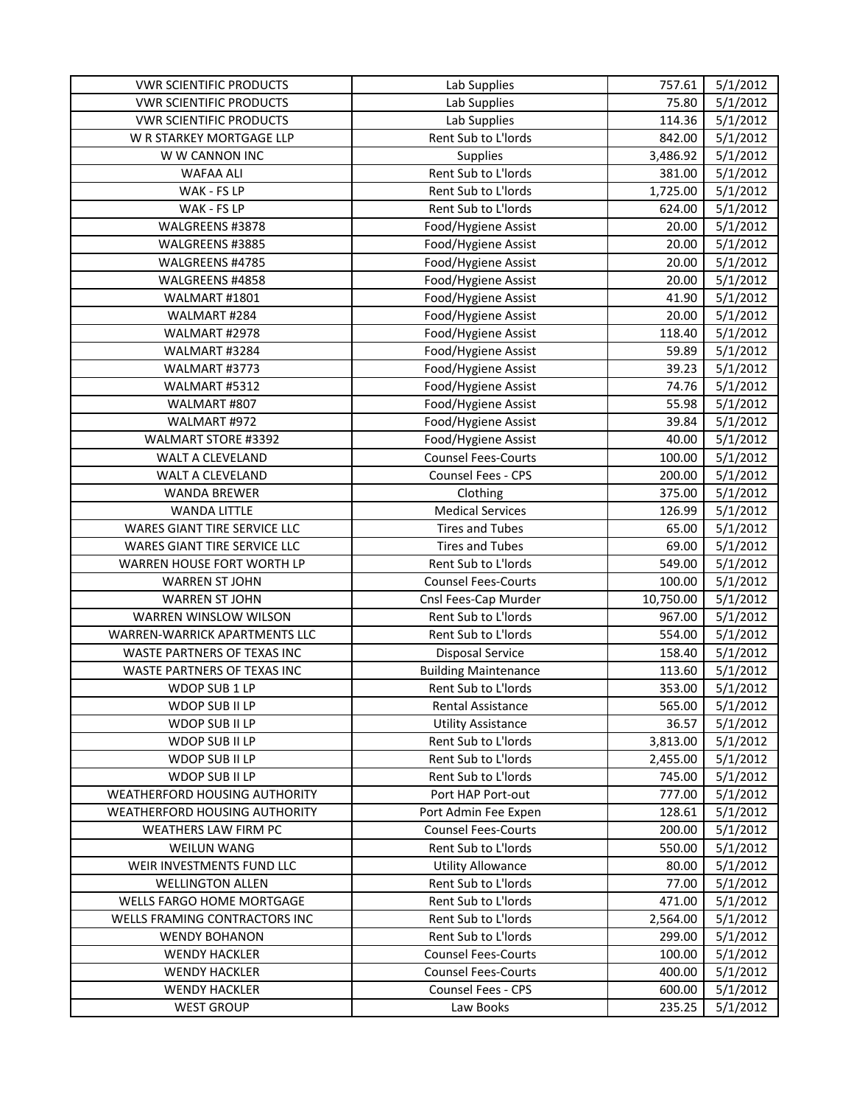| <b>VWR SCIENTIFIC PRODUCTS</b>       | Lab Supplies                | 757.61    | 5/1/2012 |
|--------------------------------------|-----------------------------|-----------|----------|
| <b>VWR SCIENTIFIC PRODUCTS</b>       | Lab Supplies                | 75.80     | 5/1/2012 |
| <b>VWR SCIENTIFIC PRODUCTS</b>       | Lab Supplies                | 114.36    | 5/1/2012 |
| W R STARKEY MORTGAGE LLP             | Rent Sub to L'Iords         | 842.00    | 5/1/2012 |
| W W CANNON INC                       | Supplies                    | 3,486.92  | 5/1/2012 |
| WAFAA ALI                            | Rent Sub to L'Iords         | 381.00    | 5/1/2012 |
| WAK - FS LP                          | Rent Sub to L'Iords         | 1,725.00  | 5/1/2012 |
| WAK - FS LP                          | Rent Sub to L'Iords         | 624.00    | 5/1/2012 |
| WALGREENS #3878                      | Food/Hygiene Assist         | 20.00     | 5/1/2012 |
| WALGREENS #3885                      | Food/Hygiene Assist         | 20.00     | 5/1/2012 |
| WALGREENS #4785                      | Food/Hygiene Assist         | 20.00     | 5/1/2012 |
| WALGREENS #4858                      | Food/Hygiene Assist         | 20.00     | 5/1/2012 |
| WALMART #1801                        | Food/Hygiene Assist         | 41.90     | 5/1/2012 |
| WALMART #284                         | Food/Hygiene Assist         | 20.00     | 5/1/2012 |
| WALMART #2978                        | Food/Hygiene Assist         | 118.40    | 5/1/2012 |
| WALMART #3284                        | Food/Hygiene Assist         | 59.89     | 5/1/2012 |
| WALMART #3773                        | Food/Hygiene Assist         | 39.23     | 5/1/2012 |
| WALMART #5312                        | Food/Hygiene Assist         | 74.76     | 5/1/2012 |
| WALMART #807                         | Food/Hygiene Assist         | 55.98     | 5/1/2012 |
| WALMART #972                         | Food/Hygiene Assist         | 39.84     | 5/1/2012 |
| WALMART STORE #3392                  | Food/Hygiene Assist         | 40.00     | 5/1/2012 |
| WALT A CLEVELAND                     | <b>Counsel Fees-Courts</b>  | 100.00    | 5/1/2012 |
| WALT A CLEVELAND                     | Counsel Fees - CPS          | 200.00    | 5/1/2012 |
| <b>WANDA BREWER</b>                  | Clothing                    | 375.00    | 5/1/2012 |
| <b>WANDA LITTLE</b>                  | <b>Medical Services</b>     | 126.99    | 5/1/2012 |
| WARES GIANT TIRE SERVICE LLC         | <b>Tires and Tubes</b>      | 65.00     | 5/1/2012 |
| WARES GIANT TIRE SERVICE LLC         | <b>Tires and Tubes</b>      | 69.00     | 5/1/2012 |
| WARREN HOUSE FORT WORTH LP           | Rent Sub to L'Iords         | 549.00    | 5/1/2012 |
| <b>WARREN ST JOHN</b>                | <b>Counsel Fees-Courts</b>  | 100.00    | 5/1/2012 |
| <b>WARREN ST JOHN</b>                | Cnsl Fees-Cap Murder        | 10,750.00 | 5/1/2012 |
| <b>WARREN WINSLOW WILSON</b>         | Rent Sub to L'Iords         | 967.00    | 5/1/2012 |
| WARREN-WARRICK APARTMENTS LLC        | Rent Sub to L'Iords         | 554.00    | 5/1/2012 |
| WASTE PARTNERS OF TEXAS INC          | <b>Disposal Service</b>     | 158.40    | 5/1/2012 |
| WASTE PARTNERS OF TEXAS INC          | <b>Building Maintenance</b> | 113.60    | 5/1/2012 |
| WDOP SUB 1 LP                        | Rent Sub to L'Iords         | 353.00    | 5/1/2012 |
| WDOP SUB II LP                       | Rental Assistance           | 565.00    | 5/1/2012 |
| WDOP SUB II LP                       | <b>Utility Assistance</b>   | 36.57     | 5/1/2012 |
| WDOP SUB II LP                       | Rent Sub to L'Iords         | 3,813.00  | 5/1/2012 |
| WDOP SUB II LP                       | Rent Sub to L'Iords         | 2,455.00  | 5/1/2012 |
| WDOP SUB II LP                       | Rent Sub to L'Iords         | 745.00    | 5/1/2012 |
| <b>WEATHERFORD HOUSING AUTHORITY</b> | Port HAP Port-out           | 777.00    | 5/1/2012 |
| <b>WEATHERFORD HOUSING AUTHORITY</b> | Port Admin Fee Expen        | 128.61    | 5/1/2012 |
| WEATHERS LAW FIRM PC                 | <b>Counsel Fees-Courts</b>  | 200.00    | 5/1/2012 |
| <b>WEILUN WANG</b>                   | Rent Sub to L'Iords         | 550.00    | 5/1/2012 |
| WEIR INVESTMENTS FUND LLC            | <b>Utility Allowance</b>    | 80.00     | 5/1/2012 |
| <b>WELLINGTON ALLEN</b>              | Rent Sub to L'Iords         | 77.00     | 5/1/2012 |
| WELLS FARGO HOME MORTGAGE            | Rent Sub to L'Iords         | 471.00    | 5/1/2012 |
| WELLS FRAMING CONTRACTORS INC        | Rent Sub to L'Iords         | 2,564.00  | 5/1/2012 |
| <b>WENDY BOHANON</b>                 | Rent Sub to L'Iords         | 299.00    | 5/1/2012 |
| <b>WENDY HACKLER</b>                 | <b>Counsel Fees-Courts</b>  | 100.00    | 5/1/2012 |
| <b>WENDY HACKLER</b>                 | <b>Counsel Fees-Courts</b>  | 400.00    | 5/1/2012 |
| <b>WENDY HACKLER</b>                 | <b>Counsel Fees - CPS</b>   | 600.00    | 5/1/2012 |
| <b>WEST GROUP</b>                    | Law Books                   | 235.25    | 5/1/2012 |
|                                      |                             |           |          |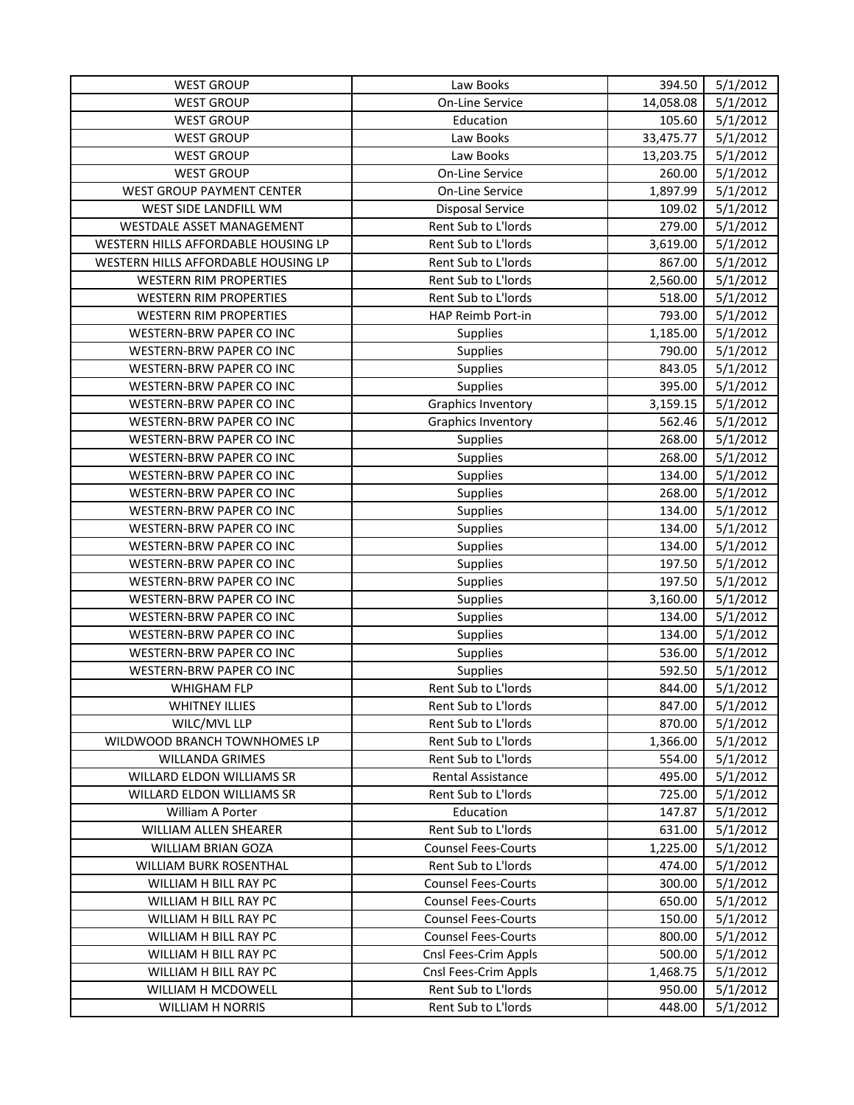| <b>WEST GROUP</b>                   | Law Books                  | 394.50    | 5/1/2012 |
|-------------------------------------|----------------------------|-----------|----------|
| <b>WEST GROUP</b>                   | <b>On-Line Service</b>     | 14,058.08 | 5/1/2012 |
| <b>WEST GROUP</b>                   | Education                  | 105.60    | 5/1/2012 |
| <b>WEST GROUP</b>                   | Law Books                  | 33,475.77 | 5/1/2012 |
| <b>WEST GROUP</b>                   | Law Books                  | 13,203.75 | 5/1/2012 |
| <b>WEST GROUP</b>                   | <b>On-Line Service</b>     | 260.00    | 5/1/2012 |
| WEST GROUP PAYMENT CENTER           | <b>On-Line Service</b>     | 1,897.99  | 5/1/2012 |
| WEST SIDE LANDFILL WM               | <b>Disposal Service</b>    | 109.02    | 5/1/2012 |
| WESTDALE ASSET MANAGEMENT           | Rent Sub to L'Iords        | 279.00    | 5/1/2012 |
| WESTERN HILLS AFFORDABLE HOUSING LP | Rent Sub to L'Iords        | 3,619.00  | 5/1/2012 |
| WESTERN HILLS AFFORDABLE HOUSING LP | Rent Sub to L'Iords        | 867.00    | 5/1/2012 |
| <b>WESTERN RIM PROPERTIES</b>       | Rent Sub to L'Iords        | 2,560.00  | 5/1/2012 |
| <b>WESTERN RIM PROPERTIES</b>       | <b>Rent Sub to L'Iords</b> | 518.00    | 5/1/2012 |
| <b>WESTERN RIM PROPERTIES</b>       | HAP Reimb Port-in          | 793.00    | 5/1/2012 |
| WESTERN-BRW PAPER CO INC            | <b>Supplies</b>            | 1,185.00  | 5/1/2012 |
| WESTERN-BRW PAPER CO INC            | Supplies                   | 790.00    | 5/1/2012 |
| WESTERN-BRW PAPER CO INC            | <b>Supplies</b>            | 843.05    | 5/1/2012 |
| WESTERN-BRW PAPER CO INC            | Supplies                   | 395.00    | 5/1/2012 |
| WESTERN-BRW PAPER CO INC            | <b>Graphics Inventory</b>  | 3,159.15  | 5/1/2012 |
| WESTERN-BRW PAPER CO INC            | <b>Graphics Inventory</b>  | 562.46    | 5/1/2012 |
| WESTERN-BRW PAPER CO INC            | <b>Supplies</b>            | 268.00    | 5/1/2012 |
| WESTERN-BRW PAPER CO INC            | Supplies                   | 268.00    | 5/1/2012 |
| WESTERN-BRW PAPER CO INC            | Supplies                   | 134.00    | 5/1/2012 |
| WESTERN-BRW PAPER CO INC            | Supplies                   | 268.00    | 5/1/2012 |
| WESTERN-BRW PAPER CO INC            | <b>Supplies</b>            | 134.00    | 5/1/2012 |
| WESTERN-BRW PAPER CO INC            | <b>Supplies</b>            | 134.00    | 5/1/2012 |
| WESTERN-BRW PAPER CO INC            | Supplies                   | 134.00    | 5/1/2012 |
| WESTERN-BRW PAPER CO INC            | <b>Supplies</b>            | 197.50    | 5/1/2012 |
| WESTERN-BRW PAPER CO INC            | <b>Supplies</b>            | 197.50    | 5/1/2012 |
| WESTERN-BRW PAPER CO INC            | <b>Supplies</b>            | 3,160.00  | 5/1/2012 |
| WESTERN-BRW PAPER CO INC            | Supplies                   | 134.00    | 5/1/2012 |
| WESTERN-BRW PAPER CO INC            | Supplies                   | 134.00    | 5/1/2012 |
| WESTERN-BRW PAPER CO INC            | Supplies                   | 536.00    | 5/1/2012 |
| WESTERN-BRW PAPER CO INC            | Supplies                   | 592.50    | 5/1/2012 |
| WHIGHAM FLP                         | Rent Sub to L'Iords        | 844.00    | 5/1/2012 |
| <b>WHITNEY ILLIES</b>               | Rent Sub to L'Iords        | 847.00    | 5/1/2012 |
| WILC/MVL LLP                        | Rent Sub to L'Iords        | 870.00    | 5/1/2012 |
| WILDWOOD BRANCH TOWNHOMES LP        | Rent Sub to L'Iords        | 1,366.00  | 5/1/2012 |
| <b>WILLANDA GRIMES</b>              | Rent Sub to L'Iords        | 554.00    | 5/1/2012 |
| WILLARD ELDON WILLIAMS SR           | <b>Rental Assistance</b>   | 495.00    | 5/1/2012 |
| WILLARD ELDON WILLIAMS SR           | Rent Sub to L'Iords        | 725.00    | 5/1/2012 |
| William A Porter                    | Education                  | 147.87    | 5/1/2012 |
| WILLIAM ALLEN SHEARER               | Rent Sub to L'Iords        | 631.00    | 5/1/2012 |
| WILLIAM BRIAN GOZA                  | <b>Counsel Fees-Courts</b> | 1,225.00  | 5/1/2012 |
| WILLIAM BURK ROSENTHAL              | Rent Sub to L'Iords        | 474.00    | 5/1/2012 |
| WILLIAM H BILL RAY PC               | <b>Counsel Fees-Courts</b> | 300.00    | 5/1/2012 |
| WILLIAM H BILL RAY PC               | <b>Counsel Fees-Courts</b> | 650.00    | 5/1/2012 |
| WILLIAM H BILL RAY PC               | <b>Counsel Fees-Courts</b> | 150.00    | 5/1/2012 |
| WILLIAM H BILL RAY PC               | <b>Counsel Fees-Courts</b> | 800.00    | 5/1/2012 |
| WILLIAM H BILL RAY PC               | Cnsl Fees-Crim Appls       | 500.00    | 5/1/2012 |
| WILLIAM H BILL RAY PC               | Cnsl Fees-Crim Appls       | 1,468.75  | 5/1/2012 |
| WILLIAM H MCDOWELL                  | Rent Sub to L'Iords        | 950.00    | 5/1/2012 |
| <b>WILLIAM H NORRIS</b>             | Rent Sub to L'Iords        | 448.00    | 5/1/2012 |
|                                     |                            |           |          |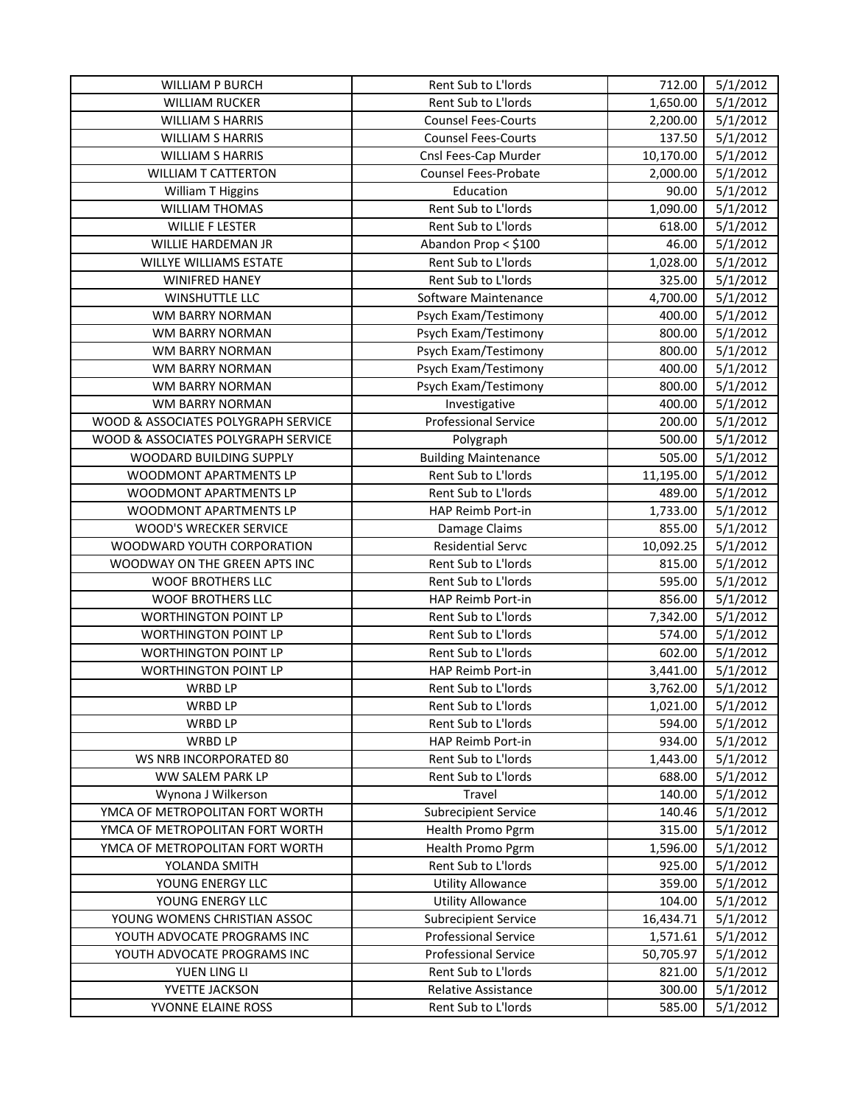| WILLIAM P BURCH                     | Rent Sub to L'Iords         | 712.00    | 5/1/2012 |
|-------------------------------------|-----------------------------|-----------|----------|
| <b>WILLIAM RUCKER</b>               | Rent Sub to L'Iords         | 1,650.00  | 5/1/2012 |
| <b>WILLIAM S HARRIS</b>             | <b>Counsel Fees-Courts</b>  | 2,200.00  | 5/1/2012 |
| <b>WILLIAM S HARRIS</b>             | <b>Counsel Fees-Courts</b>  | 137.50    | 5/1/2012 |
| <b>WILLIAM S HARRIS</b>             | Cnsl Fees-Cap Murder        | 10,170.00 | 5/1/2012 |
| <b>WILLIAM T CATTERTON</b>          | Counsel Fees-Probate        | 2,000.00  | 5/1/2012 |
| William T Higgins                   | Education                   | 90.00     | 5/1/2012 |
| <b>WILLIAM THOMAS</b>               | Rent Sub to L'Iords         | 1,090.00  | 5/1/2012 |
| <b>WILLIE F LESTER</b>              | Rent Sub to L'Iords         | 618.00    | 5/1/2012 |
| WILLIE HARDEMAN JR                  | Abandon Prop < \$100        | 46.00     | 5/1/2012 |
| WILLYE WILLIAMS ESTATE              | Rent Sub to L'Iords         | 1,028.00  | 5/1/2012 |
| <b>WINIFRED HANEY</b>               | Rent Sub to L'Iords         | 325.00    | 5/1/2012 |
| WINSHUTTLE LLC                      | Software Maintenance        | 4,700.00  | 5/1/2012 |
| WM BARRY NORMAN                     | Psych Exam/Testimony        | 400.00    | 5/1/2012 |
| WM BARRY NORMAN                     | Psych Exam/Testimony        | 800.00    | 5/1/2012 |
| WM BARRY NORMAN                     | Psych Exam/Testimony        | 800.00    | 5/1/2012 |
| WM BARRY NORMAN                     | Psych Exam/Testimony        | 400.00    | 5/1/2012 |
| WM BARRY NORMAN                     | Psych Exam/Testimony        | 800.00    | 5/1/2012 |
| WM BARRY NORMAN                     | Investigative               | 400.00    | 5/1/2012 |
| WOOD & ASSOCIATES POLYGRAPH SERVICE | <b>Professional Service</b> | 200.00    | 5/1/2012 |
| WOOD & ASSOCIATES POLYGRAPH SERVICE | Polygraph                   | 500.00    | 5/1/2012 |
| WOODARD BUILDING SUPPLY             | <b>Building Maintenance</b> | 505.00    | 5/1/2012 |
| WOODMONT APARTMENTS LP              | Rent Sub to L'Iords         | 11,195.00 | 5/1/2012 |
| WOODMONT APARTMENTS LP              | Rent Sub to L'Iords         | 489.00    | 5/1/2012 |
| WOODMONT APARTMENTS LP              | HAP Reimb Port-in           | 1,733.00  | 5/1/2012 |
| WOOD'S WRECKER SERVICE              | Damage Claims               | 855.00    | 5/1/2012 |
| WOODWARD YOUTH CORPORATION          | <b>Residential Servc</b>    | 10,092.25 | 5/1/2012 |
| WOODWAY ON THE GREEN APTS INC       | Rent Sub to L'Iords         | 815.00    | 5/1/2012 |
| <b>WOOF BROTHERS LLC</b>            | Rent Sub to L'Iords         | 595.00    | 5/1/2012 |
| WOOF BROTHERS LLC                   | HAP Reimb Port-in           | 856.00    | 5/1/2012 |
| <b>WORTHINGTON POINT LP</b>         | Rent Sub to L'Iords         | 7,342.00  | 5/1/2012 |
| <b>WORTHINGTON POINT LP</b>         | Rent Sub to L'Iords         | 574.00    | 5/1/2012 |
| <b>WORTHINGTON POINT LP</b>         | Rent Sub to L'Iords         | 602.00    | 5/1/2012 |
| <b>WORTHINGTON POINT LP</b>         | HAP Reimb Port-in           | 3,441.00  | 5/1/2012 |
| WRBD LP                             | Rent Sub to L'Iords         | 3,762.00  | 5/1/2012 |
| WRBD LP                             | Rent Sub to L'Iords         | 1,021.00  | 5/1/2012 |
| <b>WRBD LP</b>                      | Rent Sub to L'Iords         | 594.00    | 5/1/2012 |
| WRBD LP                             | HAP Reimb Port-in           | 934.00    | 5/1/2012 |
| WS NRB INCORPORATED 80              | Rent Sub to L'Iords         | 1,443.00  | 5/1/2012 |
| WW SALEM PARK LP                    | Rent Sub to L'Iords         | 688.00    | 5/1/2012 |
| Wynona J Wilkerson                  | Travel                      | 140.00    | 5/1/2012 |
| YMCA OF METROPOLITAN FORT WORTH     | <b>Subrecipient Service</b> | 140.46    | 5/1/2012 |
| YMCA OF METROPOLITAN FORT WORTH     | Health Promo Pgrm           | 315.00    | 5/1/2012 |
| YMCA OF METROPOLITAN FORT WORTH     | Health Promo Pgrm           | 1,596.00  | 5/1/2012 |
| YOLANDA SMITH                       | Rent Sub to L'Iords         | 925.00    | 5/1/2012 |
| YOUNG ENERGY LLC                    | <b>Utility Allowance</b>    | 359.00    | 5/1/2012 |
| YOUNG ENERGY LLC                    | <b>Utility Allowance</b>    | 104.00    | 5/1/2012 |
| YOUNG WOMENS CHRISTIAN ASSOC        | <b>Subrecipient Service</b> | 16,434.71 | 5/1/2012 |
| YOUTH ADVOCATE PROGRAMS INC         | <b>Professional Service</b> | 1,571.61  | 5/1/2012 |
| YOUTH ADVOCATE PROGRAMS INC         | <b>Professional Service</b> | 50,705.97 | 5/1/2012 |
| YUEN LING LI                        | Rent Sub to L'Iords         | 821.00    | 5/1/2012 |
| YVETTE JACKSON                      | Relative Assistance         | 300.00    | 5/1/2012 |
| YVONNE ELAINE ROSS                  | Rent Sub to L'Iords         | 585.00    | 5/1/2012 |
|                                     |                             |           |          |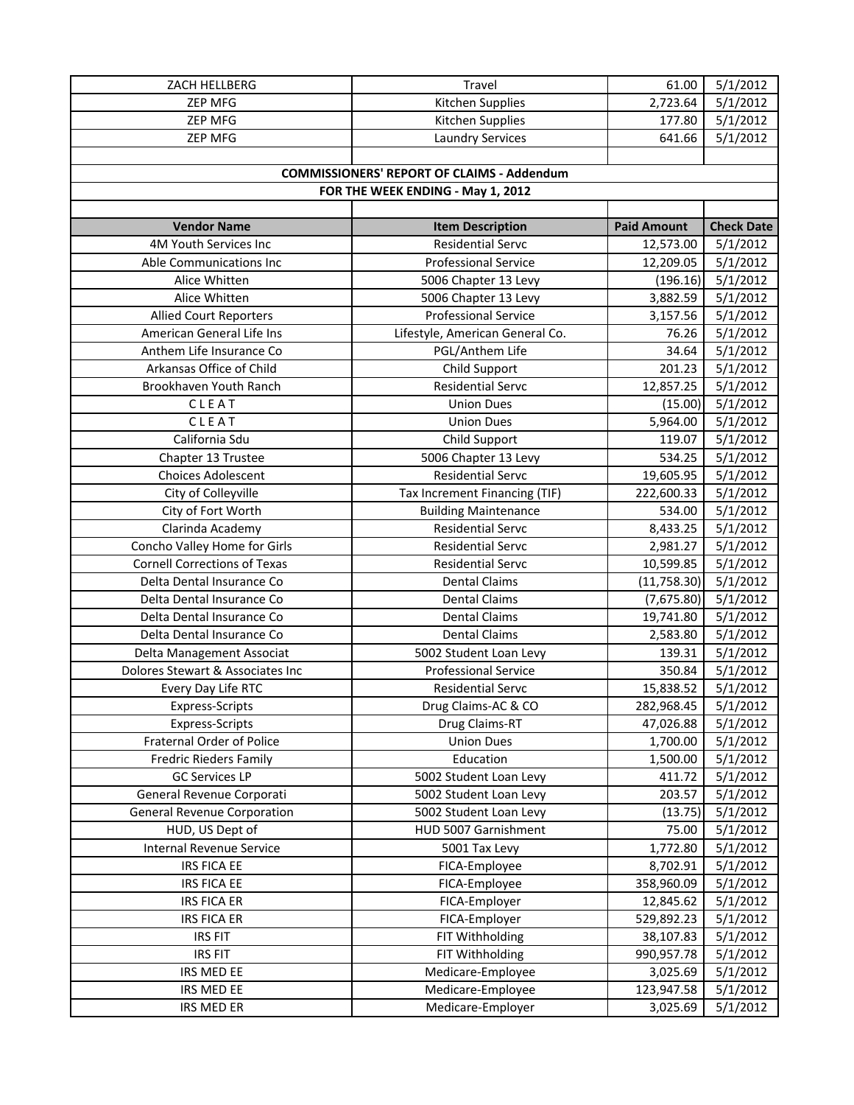| $\frac{1}{5}/1/2012$<br><b>ZEP MFG</b><br>Kitchen Supplies<br>2,723.64<br>ZEP MFG<br>Kitchen Supplies<br>5/1/2012<br>177.80<br>ZEP MFG<br><b>Laundry Services</b><br>641.66<br>5/1/2012<br><b>COMMISSIONERS' REPORT OF CLAIMS - Addendum</b><br>FOR THE WEEK ENDING - May 1, 2012<br><b>Item Description</b><br><b>Paid Amount</b><br><b>Check Date</b><br><b>Vendor Name</b><br>4M Youth Services Inc<br><b>Residential Servc</b><br>5/1/2012<br>12,573.00<br><b>Professional Service</b><br>5/1/2012<br>Able Communications Inc<br>12,209.05<br>Alice Whitten<br>(196.16)<br>5/1/2012<br>5006 Chapter 13 Levy<br>5/1/2012<br>Alice Whitten<br>5006 Chapter 13 Levy<br>3,882.59<br>5/1/2012<br><b>Professional Service</b><br>3,157.56<br><b>Allied Court Reporters</b><br>5/1/2012<br>American General Life Ins<br>Lifestyle, American General Co.<br>76.26<br>Anthem Life Insurance Co<br>PGL/Anthem Life<br>5/1/2012<br>34.64<br>Arkansas Office of Child<br>Child Support<br>201.23<br>5/1/2012<br><b>Residential Servc</b><br>5/1/2012<br>Brookhaven Youth Ranch<br>12,857.25<br>CLEAT<br>5/1/2012<br><b>Union Dues</b><br>(15.00)<br>CLEAT<br>5,964.00<br>5/1/2012<br><b>Union Dues</b><br>California Sdu<br>Child Support<br>5/1/2012<br>119.07<br>534.25<br>5/1/2012<br>Chapter 13 Trustee<br>5006 Chapter 13 Levy<br><b>Residential Servc</b><br><b>Choices Adolescent</b><br>19,605.95<br>5/1/2012<br>5/1/2012<br>City of Colleyville<br>Tax Increment Financing (TIF)<br>222,600.33<br>City of Fort Worth<br>5/1/2012<br><b>Building Maintenance</b><br>534.00<br><b>Residential Servc</b><br>5/1/2012<br>Clarinda Academy<br>8,433.25<br>5/1/2012<br>Concho Valley Home for Girls<br><b>Residential Servc</b><br>2,981.27<br><b>Cornell Corrections of Texas</b><br><b>Residential Servc</b><br>5/1/2012<br>10,599.85<br>5/1/2012<br>Delta Dental Insurance Co<br><b>Dental Claims</b><br>(11,758.30)<br><b>Dental Claims</b><br>(7,675.80)<br>5/1/2012<br>Delta Dental Insurance Co<br>5/1/2012<br>Delta Dental Insurance Co<br><b>Dental Claims</b><br>19,741.80<br>5/1/2012<br>Delta Dental Insurance Co<br><b>Dental Claims</b><br>2,583.80<br>5/1/2012<br>139.31<br>Delta Management Associat<br>5002 Student Loan Levy<br>Dolores Stewart & Associates Inc<br><b>Professional Service</b><br>5/1/2012<br>350.84<br>5/1/2012<br>Every Day Life RTC<br><b>Residential Servc</b><br>15,838.52<br>Express-Scripts<br>Drug Claims-AC & CO<br>282,968.45<br>5/1/2012<br>5/1/2012<br>Drug Claims-RT<br>47,026.88<br><b>Express-Scripts</b><br><b>Fraternal Order of Police</b><br><b>Union Dues</b><br>1,700.00<br>5/1/2012<br>5/1/2012<br>Education<br>1,500.00<br><b>Fredric Rieders Family</b><br><b>GC Services LP</b><br>5002 Student Loan Levy<br>5/1/2012<br>411.72<br>General Revenue Corporati<br>5/1/2012<br>5002 Student Loan Levy<br>203.57<br><b>General Revenue Corporation</b><br>5002 Student Loan Levy<br>5/1/2012<br>(13.75)<br>HUD, US Dept of<br>5/1/2012<br>HUD 5007 Garnishment<br>75.00<br><b>Internal Revenue Service</b><br>5/1/2012<br>5001 Tax Levy<br>1,772.80<br>IRS FICA EE<br>5/1/2012<br>FICA-Employee<br>8,702.91<br>FICA-Employee<br>5/1/2012<br>IRS FICA EE<br>358,960.09<br>5/1/2012<br><b>IRS FICA ER</b><br>FICA-Employer<br>12,845.62<br>5/1/2012<br><b>IRS FICA ER</b><br>FICA-Employer<br>529,892.23<br><b>IRS FIT</b><br>FIT Withholding<br>5/1/2012<br>38,107.83<br><b>IRS FIT</b><br>FIT Withholding<br>5/1/2012<br>990,957.78<br>Medicare-Employee<br>5/1/2012<br>IRS MED EE<br>3,025.69<br>IRS MED EE<br>Medicare-Employee<br>123,947.58<br>5/1/2012 | ZACH HELLBERG | Travel            | 61.00    | 5/1/2012 |
|----------------------------------------------------------------------------------------------------------------------------------------------------------------------------------------------------------------------------------------------------------------------------------------------------------------------------------------------------------------------------------------------------------------------------------------------------------------------------------------------------------------------------------------------------------------------------------------------------------------------------------------------------------------------------------------------------------------------------------------------------------------------------------------------------------------------------------------------------------------------------------------------------------------------------------------------------------------------------------------------------------------------------------------------------------------------------------------------------------------------------------------------------------------------------------------------------------------------------------------------------------------------------------------------------------------------------------------------------------------------------------------------------------------------------------------------------------------------------------------------------------------------------------------------------------------------------------------------------------------------------------------------------------------------------------------------------------------------------------------------------------------------------------------------------------------------------------------------------------------------------------------------------------------------------------------------------------------------------------------------------------------------------------------------------------------------------------------------------------------------------------------------------------------------------------------------------------------------------------------------------------------------------------------------------------------------------------------------------------------------------------------------------------------------------------------------------------------------------------------------------------------------------------------------------------------------------------------------------------------------------------------------------------------------------------------------------------------------------------------------------------------------------------------------------------------------------------------------------------------------------------------------------------------------------------------------------------------------------------------------------------------------------------------------------------------------------------------------------------------------------------------------------------------------------------------------------------------------------------------------------------------------------------------------------------------------------------------------------------------------------------------------------------------------------------------------------------------------------------------------------------------------------------------------------------------------------------------------------------------|---------------|-------------------|----------|----------|
|                                                                                                                                                                                                                                                                                                                                                                                                                                                                                                                                                                                                                                                                                                                                                                                                                                                                                                                                                                                                                                                                                                                                                                                                                                                                                                                                                                                                                                                                                                                                                                                                                                                                                                                                                                                                                                                                                                                                                                                                                                                                                                                                                                                                                                                                                                                                                                                                                                                                                                                                                                                                                                                                                                                                                                                                                                                                                                                                                                                                                                                                                                                                                                                                                                                                                                                                                                                                                                                                                                                                                                                                                |               |                   |          |          |
|                                                                                                                                                                                                                                                                                                                                                                                                                                                                                                                                                                                                                                                                                                                                                                                                                                                                                                                                                                                                                                                                                                                                                                                                                                                                                                                                                                                                                                                                                                                                                                                                                                                                                                                                                                                                                                                                                                                                                                                                                                                                                                                                                                                                                                                                                                                                                                                                                                                                                                                                                                                                                                                                                                                                                                                                                                                                                                                                                                                                                                                                                                                                                                                                                                                                                                                                                                                                                                                                                                                                                                                                                |               |                   |          |          |
|                                                                                                                                                                                                                                                                                                                                                                                                                                                                                                                                                                                                                                                                                                                                                                                                                                                                                                                                                                                                                                                                                                                                                                                                                                                                                                                                                                                                                                                                                                                                                                                                                                                                                                                                                                                                                                                                                                                                                                                                                                                                                                                                                                                                                                                                                                                                                                                                                                                                                                                                                                                                                                                                                                                                                                                                                                                                                                                                                                                                                                                                                                                                                                                                                                                                                                                                                                                                                                                                                                                                                                                                                |               |                   |          |          |
|                                                                                                                                                                                                                                                                                                                                                                                                                                                                                                                                                                                                                                                                                                                                                                                                                                                                                                                                                                                                                                                                                                                                                                                                                                                                                                                                                                                                                                                                                                                                                                                                                                                                                                                                                                                                                                                                                                                                                                                                                                                                                                                                                                                                                                                                                                                                                                                                                                                                                                                                                                                                                                                                                                                                                                                                                                                                                                                                                                                                                                                                                                                                                                                                                                                                                                                                                                                                                                                                                                                                                                                                                |               |                   |          |          |
|                                                                                                                                                                                                                                                                                                                                                                                                                                                                                                                                                                                                                                                                                                                                                                                                                                                                                                                                                                                                                                                                                                                                                                                                                                                                                                                                                                                                                                                                                                                                                                                                                                                                                                                                                                                                                                                                                                                                                                                                                                                                                                                                                                                                                                                                                                                                                                                                                                                                                                                                                                                                                                                                                                                                                                                                                                                                                                                                                                                                                                                                                                                                                                                                                                                                                                                                                                                                                                                                                                                                                                                                                |               |                   |          |          |
|                                                                                                                                                                                                                                                                                                                                                                                                                                                                                                                                                                                                                                                                                                                                                                                                                                                                                                                                                                                                                                                                                                                                                                                                                                                                                                                                                                                                                                                                                                                                                                                                                                                                                                                                                                                                                                                                                                                                                                                                                                                                                                                                                                                                                                                                                                                                                                                                                                                                                                                                                                                                                                                                                                                                                                                                                                                                                                                                                                                                                                                                                                                                                                                                                                                                                                                                                                                                                                                                                                                                                                                                                |               |                   |          |          |
|                                                                                                                                                                                                                                                                                                                                                                                                                                                                                                                                                                                                                                                                                                                                                                                                                                                                                                                                                                                                                                                                                                                                                                                                                                                                                                                                                                                                                                                                                                                                                                                                                                                                                                                                                                                                                                                                                                                                                                                                                                                                                                                                                                                                                                                                                                                                                                                                                                                                                                                                                                                                                                                                                                                                                                                                                                                                                                                                                                                                                                                                                                                                                                                                                                                                                                                                                                                                                                                                                                                                                                                                                |               |                   |          |          |
|                                                                                                                                                                                                                                                                                                                                                                                                                                                                                                                                                                                                                                                                                                                                                                                                                                                                                                                                                                                                                                                                                                                                                                                                                                                                                                                                                                                                                                                                                                                                                                                                                                                                                                                                                                                                                                                                                                                                                                                                                                                                                                                                                                                                                                                                                                                                                                                                                                                                                                                                                                                                                                                                                                                                                                                                                                                                                                                                                                                                                                                                                                                                                                                                                                                                                                                                                                                                                                                                                                                                                                                                                |               |                   |          |          |
|                                                                                                                                                                                                                                                                                                                                                                                                                                                                                                                                                                                                                                                                                                                                                                                                                                                                                                                                                                                                                                                                                                                                                                                                                                                                                                                                                                                                                                                                                                                                                                                                                                                                                                                                                                                                                                                                                                                                                                                                                                                                                                                                                                                                                                                                                                                                                                                                                                                                                                                                                                                                                                                                                                                                                                                                                                                                                                                                                                                                                                                                                                                                                                                                                                                                                                                                                                                                                                                                                                                                                                                                                |               |                   |          |          |
|                                                                                                                                                                                                                                                                                                                                                                                                                                                                                                                                                                                                                                                                                                                                                                                                                                                                                                                                                                                                                                                                                                                                                                                                                                                                                                                                                                                                                                                                                                                                                                                                                                                                                                                                                                                                                                                                                                                                                                                                                                                                                                                                                                                                                                                                                                                                                                                                                                                                                                                                                                                                                                                                                                                                                                                                                                                                                                                                                                                                                                                                                                                                                                                                                                                                                                                                                                                                                                                                                                                                                                                                                |               |                   |          |          |
|                                                                                                                                                                                                                                                                                                                                                                                                                                                                                                                                                                                                                                                                                                                                                                                                                                                                                                                                                                                                                                                                                                                                                                                                                                                                                                                                                                                                                                                                                                                                                                                                                                                                                                                                                                                                                                                                                                                                                                                                                                                                                                                                                                                                                                                                                                                                                                                                                                                                                                                                                                                                                                                                                                                                                                                                                                                                                                                                                                                                                                                                                                                                                                                                                                                                                                                                                                                                                                                                                                                                                                                                                |               |                   |          |          |
|                                                                                                                                                                                                                                                                                                                                                                                                                                                                                                                                                                                                                                                                                                                                                                                                                                                                                                                                                                                                                                                                                                                                                                                                                                                                                                                                                                                                                                                                                                                                                                                                                                                                                                                                                                                                                                                                                                                                                                                                                                                                                                                                                                                                                                                                                                                                                                                                                                                                                                                                                                                                                                                                                                                                                                                                                                                                                                                                                                                                                                                                                                                                                                                                                                                                                                                                                                                                                                                                                                                                                                                                                |               |                   |          |          |
|                                                                                                                                                                                                                                                                                                                                                                                                                                                                                                                                                                                                                                                                                                                                                                                                                                                                                                                                                                                                                                                                                                                                                                                                                                                                                                                                                                                                                                                                                                                                                                                                                                                                                                                                                                                                                                                                                                                                                                                                                                                                                                                                                                                                                                                                                                                                                                                                                                                                                                                                                                                                                                                                                                                                                                                                                                                                                                                                                                                                                                                                                                                                                                                                                                                                                                                                                                                                                                                                                                                                                                                                                |               |                   |          |          |
|                                                                                                                                                                                                                                                                                                                                                                                                                                                                                                                                                                                                                                                                                                                                                                                                                                                                                                                                                                                                                                                                                                                                                                                                                                                                                                                                                                                                                                                                                                                                                                                                                                                                                                                                                                                                                                                                                                                                                                                                                                                                                                                                                                                                                                                                                                                                                                                                                                                                                                                                                                                                                                                                                                                                                                                                                                                                                                                                                                                                                                                                                                                                                                                                                                                                                                                                                                                                                                                                                                                                                                                                                |               |                   |          |          |
|                                                                                                                                                                                                                                                                                                                                                                                                                                                                                                                                                                                                                                                                                                                                                                                                                                                                                                                                                                                                                                                                                                                                                                                                                                                                                                                                                                                                                                                                                                                                                                                                                                                                                                                                                                                                                                                                                                                                                                                                                                                                                                                                                                                                                                                                                                                                                                                                                                                                                                                                                                                                                                                                                                                                                                                                                                                                                                                                                                                                                                                                                                                                                                                                                                                                                                                                                                                                                                                                                                                                                                                                                |               |                   |          |          |
|                                                                                                                                                                                                                                                                                                                                                                                                                                                                                                                                                                                                                                                                                                                                                                                                                                                                                                                                                                                                                                                                                                                                                                                                                                                                                                                                                                                                                                                                                                                                                                                                                                                                                                                                                                                                                                                                                                                                                                                                                                                                                                                                                                                                                                                                                                                                                                                                                                                                                                                                                                                                                                                                                                                                                                                                                                                                                                                                                                                                                                                                                                                                                                                                                                                                                                                                                                                                                                                                                                                                                                                                                |               |                   |          |          |
|                                                                                                                                                                                                                                                                                                                                                                                                                                                                                                                                                                                                                                                                                                                                                                                                                                                                                                                                                                                                                                                                                                                                                                                                                                                                                                                                                                                                                                                                                                                                                                                                                                                                                                                                                                                                                                                                                                                                                                                                                                                                                                                                                                                                                                                                                                                                                                                                                                                                                                                                                                                                                                                                                                                                                                                                                                                                                                                                                                                                                                                                                                                                                                                                                                                                                                                                                                                                                                                                                                                                                                                                                |               |                   |          |          |
|                                                                                                                                                                                                                                                                                                                                                                                                                                                                                                                                                                                                                                                                                                                                                                                                                                                                                                                                                                                                                                                                                                                                                                                                                                                                                                                                                                                                                                                                                                                                                                                                                                                                                                                                                                                                                                                                                                                                                                                                                                                                                                                                                                                                                                                                                                                                                                                                                                                                                                                                                                                                                                                                                                                                                                                                                                                                                                                                                                                                                                                                                                                                                                                                                                                                                                                                                                                                                                                                                                                                                                                                                |               |                   |          |          |
|                                                                                                                                                                                                                                                                                                                                                                                                                                                                                                                                                                                                                                                                                                                                                                                                                                                                                                                                                                                                                                                                                                                                                                                                                                                                                                                                                                                                                                                                                                                                                                                                                                                                                                                                                                                                                                                                                                                                                                                                                                                                                                                                                                                                                                                                                                                                                                                                                                                                                                                                                                                                                                                                                                                                                                                                                                                                                                                                                                                                                                                                                                                                                                                                                                                                                                                                                                                                                                                                                                                                                                                                                |               |                   |          |          |
|                                                                                                                                                                                                                                                                                                                                                                                                                                                                                                                                                                                                                                                                                                                                                                                                                                                                                                                                                                                                                                                                                                                                                                                                                                                                                                                                                                                                                                                                                                                                                                                                                                                                                                                                                                                                                                                                                                                                                                                                                                                                                                                                                                                                                                                                                                                                                                                                                                                                                                                                                                                                                                                                                                                                                                                                                                                                                                                                                                                                                                                                                                                                                                                                                                                                                                                                                                                                                                                                                                                                                                                                                |               |                   |          |          |
|                                                                                                                                                                                                                                                                                                                                                                                                                                                                                                                                                                                                                                                                                                                                                                                                                                                                                                                                                                                                                                                                                                                                                                                                                                                                                                                                                                                                                                                                                                                                                                                                                                                                                                                                                                                                                                                                                                                                                                                                                                                                                                                                                                                                                                                                                                                                                                                                                                                                                                                                                                                                                                                                                                                                                                                                                                                                                                                                                                                                                                                                                                                                                                                                                                                                                                                                                                                                                                                                                                                                                                                                                |               |                   |          |          |
|                                                                                                                                                                                                                                                                                                                                                                                                                                                                                                                                                                                                                                                                                                                                                                                                                                                                                                                                                                                                                                                                                                                                                                                                                                                                                                                                                                                                                                                                                                                                                                                                                                                                                                                                                                                                                                                                                                                                                                                                                                                                                                                                                                                                                                                                                                                                                                                                                                                                                                                                                                                                                                                                                                                                                                                                                                                                                                                                                                                                                                                                                                                                                                                                                                                                                                                                                                                                                                                                                                                                                                                                                |               |                   |          |          |
|                                                                                                                                                                                                                                                                                                                                                                                                                                                                                                                                                                                                                                                                                                                                                                                                                                                                                                                                                                                                                                                                                                                                                                                                                                                                                                                                                                                                                                                                                                                                                                                                                                                                                                                                                                                                                                                                                                                                                                                                                                                                                                                                                                                                                                                                                                                                                                                                                                                                                                                                                                                                                                                                                                                                                                                                                                                                                                                                                                                                                                                                                                                                                                                                                                                                                                                                                                                                                                                                                                                                                                                                                |               |                   |          |          |
|                                                                                                                                                                                                                                                                                                                                                                                                                                                                                                                                                                                                                                                                                                                                                                                                                                                                                                                                                                                                                                                                                                                                                                                                                                                                                                                                                                                                                                                                                                                                                                                                                                                                                                                                                                                                                                                                                                                                                                                                                                                                                                                                                                                                                                                                                                                                                                                                                                                                                                                                                                                                                                                                                                                                                                                                                                                                                                                                                                                                                                                                                                                                                                                                                                                                                                                                                                                                                                                                                                                                                                                                                |               |                   |          |          |
|                                                                                                                                                                                                                                                                                                                                                                                                                                                                                                                                                                                                                                                                                                                                                                                                                                                                                                                                                                                                                                                                                                                                                                                                                                                                                                                                                                                                                                                                                                                                                                                                                                                                                                                                                                                                                                                                                                                                                                                                                                                                                                                                                                                                                                                                                                                                                                                                                                                                                                                                                                                                                                                                                                                                                                                                                                                                                                                                                                                                                                                                                                                                                                                                                                                                                                                                                                                                                                                                                                                                                                                                                |               |                   |          |          |
|                                                                                                                                                                                                                                                                                                                                                                                                                                                                                                                                                                                                                                                                                                                                                                                                                                                                                                                                                                                                                                                                                                                                                                                                                                                                                                                                                                                                                                                                                                                                                                                                                                                                                                                                                                                                                                                                                                                                                                                                                                                                                                                                                                                                                                                                                                                                                                                                                                                                                                                                                                                                                                                                                                                                                                                                                                                                                                                                                                                                                                                                                                                                                                                                                                                                                                                                                                                                                                                                                                                                                                                                                |               |                   |          |          |
|                                                                                                                                                                                                                                                                                                                                                                                                                                                                                                                                                                                                                                                                                                                                                                                                                                                                                                                                                                                                                                                                                                                                                                                                                                                                                                                                                                                                                                                                                                                                                                                                                                                                                                                                                                                                                                                                                                                                                                                                                                                                                                                                                                                                                                                                                                                                                                                                                                                                                                                                                                                                                                                                                                                                                                                                                                                                                                                                                                                                                                                                                                                                                                                                                                                                                                                                                                                                                                                                                                                                                                                                                |               |                   |          |          |
|                                                                                                                                                                                                                                                                                                                                                                                                                                                                                                                                                                                                                                                                                                                                                                                                                                                                                                                                                                                                                                                                                                                                                                                                                                                                                                                                                                                                                                                                                                                                                                                                                                                                                                                                                                                                                                                                                                                                                                                                                                                                                                                                                                                                                                                                                                                                                                                                                                                                                                                                                                                                                                                                                                                                                                                                                                                                                                                                                                                                                                                                                                                                                                                                                                                                                                                                                                                                                                                                                                                                                                                                                |               |                   |          |          |
|                                                                                                                                                                                                                                                                                                                                                                                                                                                                                                                                                                                                                                                                                                                                                                                                                                                                                                                                                                                                                                                                                                                                                                                                                                                                                                                                                                                                                                                                                                                                                                                                                                                                                                                                                                                                                                                                                                                                                                                                                                                                                                                                                                                                                                                                                                                                                                                                                                                                                                                                                                                                                                                                                                                                                                                                                                                                                                                                                                                                                                                                                                                                                                                                                                                                                                                                                                                                                                                                                                                                                                                                                |               |                   |          |          |
|                                                                                                                                                                                                                                                                                                                                                                                                                                                                                                                                                                                                                                                                                                                                                                                                                                                                                                                                                                                                                                                                                                                                                                                                                                                                                                                                                                                                                                                                                                                                                                                                                                                                                                                                                                                                                                                                                                                                                                                                                                                                                                                                                                                                                                                                                                                                                                                                                                                                                                                                                                                                                                                                                                                                                                                                                                                                                                                                                                                                                                                                                                                                                                                                                                                                                                                                                                                                                                                                                                                                                                                                                |               |                   |          |          |
|                                                                                                                                                                                                                                                                                                                                                                                                                                                                                                                                                                                                                                                                                                                                                                                                                                                                                                                                                                                                                                                                                                                                                                                                                                                                                                                                                                                                                                                                                                                                                                                                                                                                                                                                                                                                                                                                                                                                                                                                                                                                                                                                                                                                                                                                                                                                                                                                                                                                                                                                                                                                                                                                                                                                                                                                                                                                                                                                                                                                                                                                                                                                                                                                                                                                                                                                                                                                                                                                                                                                                                                                                |               |                   |          |          |
|                                                                                                                                                                                                                                                                                                                                                                                                                                                                                                                                                                                                                                                                                                                                                                                                                                                                                                                                                                                                                                                                                                                                                                                                                                                                                                                                                                                                                                                                                                                                                                                                                                                                                                                                                                                                                                                                                                                                                                                                                                                                                                                                                                                                                                                                                                                                                                                                                                                                                                                                                                                                                                                                                                                                                                                                                                                                                                                                                                                                                                                                                                                                                                                                                                                                                                                                                                                                                                                                                                                                                                                                                |               |                   |          |          |
|                                                                                                                                                                                                                                                                                                                                                                                                                                                                                                                                                                                                                                                                                                                                                                                                                                                                                                                                                                                                                                                                                                                                                                                                                                                                                                                                                                                                                                                                                                                                                                                                                                                                                                                                                                                                                                                                                                                                                                                                                                                                                                                                                                                                                                                                                                                                                                                                                                                                                                                                                                                                                                                                                                                                                                                                                                                                                                                                                                                                                                                                                                                                                                                                                                                                                                                                                                                                                                                                                                                                                                                                                |               |                   |          |          |
|                                                                                                                                                                                                                                                                                                                                                                                                                                                                                                                                                                                                                                                                                                                                                                                                                                                                                                                                                                                                                                                                                                                                                                                                                                                                                                                                                                                                                                                                                                                                                                                                                                                                                                                                                                                                                                                                                                                                                                                                                                                                                                                                                                                                                                                                                                                                                                                                                                                                                                                                                                                                                                                                                                                                                                                                                                                                                                                                                                                                                                                                                                                                                                                                                                                                                                                                                                                                                                                                                                                                                                                                                |               |                   |          |          |
|                                                                                                                                                                                                                                                                                                                                                                                                                                                                                                                                                                                                                                                                                                                                                                                                                                                                                                                                                                                                                                                                                                                                                                                                                                                                                                                                                                                                                                                                                                                                                                                                                                                                                                                                                                                                                                                                                                                                                                                                                                                                                                                                                                                                                                                                                                                                                                                                                                                                                                                                                                                                                                                                                                                                                                                                                                                                                                                                                                                                                                                                                                                                                                                                                                                                                                                                                                                                                                                                                                                                                                                                                |               |                   |          |          |
|                                                                                                                                                                                                                                                                                                                                                                                                                                                                                                                                                                                                                                                                                                                                                                                                                                                                                                                                                                                                                                                                                                                                                                                                                                                                                                                                                                                                                                                                                                                                                                                                                                                                                                                                                                                                                                                                                                                                                                                                                                                                                                                                                                                                                                                                                                                                                                                                                                                                                                                                                                                                                                                                                                                                                                                                                                                                                                                                                                                                                                                                                                                                                                                                                                                                                                                                                                                                                                                                                                                                                                                                                |               |                   |          |          |
|                                                                                                                                                                                                                                                                                                                                                                                                                                                                                                                                                                                                                                                                                                                                                                                                                                                                                                                                                                                                                                                                                                                                                                                                                                                                                                                                                                                                                                                                                                                                                                                                                                                                                                                                                                                                                                                                                                                                                                                                                                                                                                                                                                                                                                                                                                                                                                                                                                                                                                                                                                                                                                                                                                                                                                                                                                                                                                                                                                                                                                                                                                                                                                                                                                                                                                                                                                                                                                                                                                                                                                                                                |               |                   |          |          |
|                                                                                                                                                                                                                                                                                                                                                                                                                                                                                                                                                                                                                                                                                                                                                                                                                                                                                                                                                                                                                                                                                                                                                                                                                                                                                                                                                                                                                                                                                                                                                                                                                                                                                                                                                                                                                                                                                                                                                                                                                                                                                                                                                                                                                                                                                                                                                                                                                                                                                                                                                                                                                                                                                                                                                                                                                                                                                                                                                                                                                                                                                                                                                                                                                                                                                                                                                                                                                                                                                                                                                                                                                |               |                   |          |          |
|                                                                                                                                                                                                                                                                                                                                                                                                                                                                                                                                                                                                                                                                                                                                                                                                                                                                                                                                                                                                                                                                                                                                                                                                                                                                                                                                                                                                                                                                                                                                                                                                                                                                                                                                                                                                                                                                                                                                                                                                                                                                                                                                                                                                                                                                                                                                                                                                                                                                                                                                                                                                                                                                                                                                                                                                                                                                                                                                                                                                                                                                                                                                                                                                                                                                                                                                                                                                                                                                                                                                                                                                                |               |                   |          |          |
|                                                                                                                                                                                                                                                                                                                                                                                                                                                                                                                                                                                                                                                                                                                                                                                                                                                                                                                                                                                                                                                                                                                                                                                                                                                                                                                                                                                                                                                                                                                                                                                                                                                                                                                                                                                                                                                                                                                                                                                                                                                                                                                                                                                                                                                                                                                                                                                                                                                                                                                                                                                                                                                                                                                                                                                                                                                                                                                                                                                                                                                                                                                                                                                                                                                                                                                                                                                                                                                                                                                                                                                                                |               |                   |          |          |
|                                                                                                                                                                                                                                                                                                                                                                                                                                                                                                                                                                                                                                                                                                                                                                                                                                                                                                                                                                                                                                                                                                                                                                                                                                                                                                                                                                                                                                                                                                                                                                                                                                                                                                                                                                                                                                                                                                                                                                                                                                                                                                                                                                                                                                                                                                                                                                                                                                                                                                                                                                                                                                                                                                                                                                                                                                                                                                                                                                                                                                                                                                                                                                                                                                                                                                                                                                                                                                                                                                                                                                                                                |               |                   |          |          |
|                                                                                                                                                                                                                                                                                                                                                                                                                                                                                                                                                                                                                                                                                                                                                                                                                                                                                                                                                                                                                                                                                                                                                                                                                                                                                                                                                                                                                                                                                                                                                                                                                                                                                                                                                                                                                                                                                                                                                                                                                                                                                                                                                                                                                                                                                                                                                                                                                                                                                                                                                                                                                                                                                                                                                                                                                                                                                                                                                                                                                                                                                                                                                                                                                                                                                                                                                                                                                                                                                                                                                                                                                |               |                   |          |          |
|                                                                                                                                                                                                                                                                                                                                                                                                                                                                                                                                                                                                                                                                                                                                                                                                                                                                                                                                                                                                                                                                                                                                                                                                                                                                                                                                                                                                                                                                                                                                                                                                                                                                                                                                                                                                                                                                                                                                                                                                                                                                                                                                                                                                                                                                                                                                                                                                                                                                                                                                                                                                                                                                                                                                                                                                                                                                                                                                                                                                                                                                                                                                                                                                                                                                                                                                                                                                                                                                                                                                                                                                                |               |                   |          |          |
|                                                                                                                                                                                                                                                                                                                                                                                                                                                                                                                                                                                                                                                                                                                                                                                                                                                                                                                                                                                                                                                                                                                                                                                                                                                                                                                                                                                                                                                                                                                                                                                                                                                                                                                                                                                                                                                                                                                                                                                                                                                                                                                                                                                                                                                                                                                                                                                                                                                                                                                                                                                                                                                                                                                                                                                                                                                                                                                                                                                                                                                                                                                                                                                                                                                                                                                                                                                                                                                                                                                                                                                                                |               |                   |          |          |
|                                                                                                                                                                                                                                                                                                                                                                                                                                                                                                                                                                                                                                                                                                                                                                                                                                                                                                                                                                                                                                                                                                                                                                                                                                                                                                                                                                                                                                                                                                                                                                                                                                                                                                                                                                                                                                                                                                                                                                                                                                                                                                                                                                                                                                                                                                                                                                                                                                                                                                                                                                                                                                                                                                                                                                                                                                                                                                                                                                                                                                                                                                                                                                                                                                                                                                                                                                                                                                                                                                                                                                                                                |               |                   |          |          |
|                                                                                                                                                                                                                                                                                                                                                                                                                                                                                                                                                                                                                                                                                                                                                                                                                                                                                                                                                                                                                                                                                                                                                                                                                                                                                                                                                                                                                                                                                                                                                                                                                                                                                                                                                                                                                                                                                                                                                                                                                                                                                                                                                                                                                                                                                                                                                                                                                                                                                                                                                                                                                                                                                                                                                                                                                                                                                                                                                                                                                                                                                                                                                                                                                                                                                                                                                                                                                                                                                                                                                                                                                |               |                   |          |          |
|                                                                                                                                                                                                                                                                                                                                                                                                                                                                                                                                                                                                                                                                                                                                                                                                                                                                                                                                                                                                                                                                                                                                                                                                                                                                                                                                                                                                                                                                                                                                                                                                                                                                                                                                                                                                                                                                                                                                                                                                                                                                                                                                                                                                                                                                                                                                                                                                                                                                                                                                                                                                                                                                                                                                                                                                                                                                                                                                                                                                                                                                                                                                                                                                                                                                                                                                                                                                                                                                                                                                                                                                                |               |                   |          |          |
|                                                                                                                                                                                                                                                                                                                                                                                                                                                                                                                                                                                                                                                                                                                                                                                                                                                                                                                                                                                                                                                                                                                                                                                                                                                                                                                                                                                                                                                                                                                                                                                                                                                                                                                                                                                                                                                                                                                                                                                                                                                                                                                                                                                                                                                                                                                                                                                                                                                                                                                                                                                                                                                                                                                                                                                                                                                                                                                                                                                                                                                                                                                                                                                                                                                                                                                                                                                                                                                                                                                                                                                                                |               |                   |          |          |
|                                                                                                                                                                                                                                                                                                                                                                                                                                                                                                                                                                                                                                                                                                                                                                                                                                                                                                                                                                                                                                                                                                                                                                                                                                                                                                                                                                                                                                                                                                                                                                                                                                                                                                                                                                                                                                                                                                                                                                                                                                                                                                                                                                                                                                                                                                                                                                                                                                                                                                                                                                                                                                                                                                                                                                                                                                                                                                                                                                                                                                                                                                                                                                                                                                                                                                                                                                                                                                                                                                                                                                                                                |               |                   |          |          |
|                                                                                                                                                                                                                                                                                                                                                                                                                                                                                                                                                                                                                                                                                                                                                                                                                                                                                                                                                                                                                                                                                                                                                                                                                                                                                                                                                                                                                                                                                                                                                                                                                                                                                                                                                                                                                                                                                                                                                                                                                                                                                                                                                                                                                                                                                                                                                                                                                                                                                                                                                                                                                                                                                                                                                                                                                                                                                                                                                                                                                                                                                                                                                                                                                                                                                                                                                                                                                                                                                                                                                                                                                |               |                   |          |          |
|                                                                                                                                                                                                                                                                                                                                                                                                                                                                                                                                                                                                                                                                                                                                                                                                                                                                                                                                                                                                                                                                                                                                                                                                                                                                                                                                                                                                                                                                                                                                                                                                                                                                                                                                                                                                                                                                                                                                                                                                                                                                                                                                                                                                                                                                                                                                                                                                                                                                                                                                                                                                                                                                                                                                                                                                                                                                                                                                                                                                                                                                                                                                                                                                                                                                                                                                                                                                                                                                                                                                                                                                                |               |                   |          |          |
|                                                                                                                                                                                                                                                                                                                                                                                                                                                                                                                                                                                                                                                                                                                                                                                                                                                                                                                                                                                                                                                                                                                                                                                                                                                                                                                                                                                                                                                                                                                                                                                                                                                                                                                                                                                                                                                                                                                                                                                                                                                                                                                                                                                                                                                                                                                                                                                                                                                                                                                                                                                                                                                                                                                                                                                                                                                                                                                                                                                                                                                                                                                                                                                                                                                                                                                                                                                                                                                                                                                                                                                                                | IRS MED ER    | Medicare-Employer | 3,025.69 | 5/1/2012 |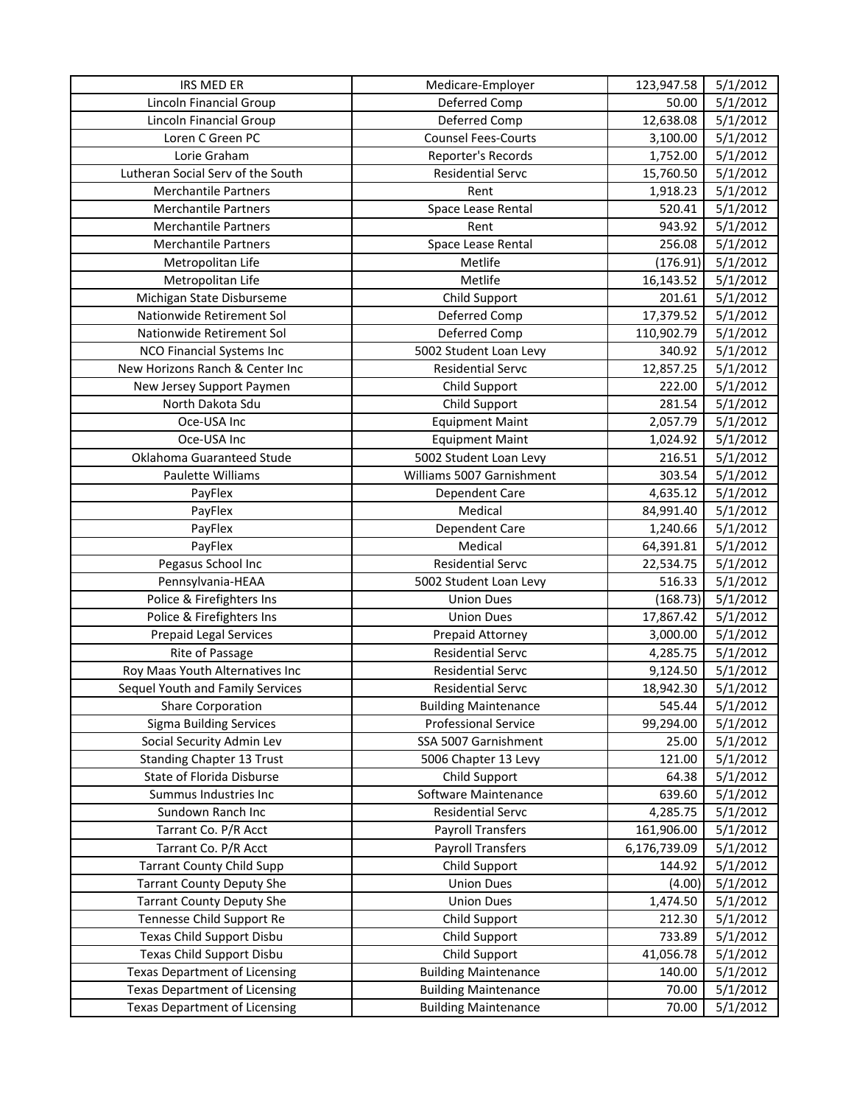| IRS MED ER                           | Medicare-Employer           | 123,947.58   | 5/1/2012             |
|--------------------------------------|-----------------------------|--------------|----------------------|
| Lincoln Financial Group              | Deferred Comp               | 50.00        | 5/1/2012             |
| Lincoln Financial Group              | Deferred Comp               | 12,638.08    | 5/1/2012             |
| Loren C Green PC                     | <b>Counsel Fees-Courts</b>  | 3,100.00     | 5/1/2012             |
| Lorie Graham                         | Reporter's Records          | 1,752.00     | 5/1/2012             |
| Lutheran Social Serv of the South    | <b>Residential Servc</b>    | 15,760.50    | 5/1/2012             |
| <b>Merchantile Partners</b>          | Rent                        | 1,918.23     | 5/1/2012             |
| <b>Merchantile Partners</b>          | Space Lease Rental          | 520.41       | 5/1/2012             |
| <b>Merchantile Partners</b>          | Rent                        | 943.92       | 5/1/2012             |
| <b>Merchantile Partners</b>          | Space Lease Rental          | 256.08       | 5/1/2012             |
| Metropolitan Life                    | Metlife                     | (176.91)     | 5/1/2012             |
| Metropolitan Life                    | Metlife                     | 16,143.52    | 5/1/2012             |
| Michigan State Disburseme            | Child Support               | 201.61       | 5/1/2012             |
| Nationwide Retirement Sol            | Deferred Comp               | 17,379.52    | $\frac{1}{5}/1/2012$ |
| Nationwide Retirement Sol            | Deferred Comp               | 110,902.79   | 5/1/2012             |
| <b>NCO Financial Systems Inc</b>     | 5002 Student Loan Levy      | 340.92       | 5/1/2012             |
| New Horizons Ranch & Center Inc      | <b>Residential Servc</b>    | 12,857.25    | 5/1/2012             |
| New Jersey Support Paymen            | Child Support               | 222.00       | 5/1/2012             |
| North Dakota Sdu                     | Child Support               | 281.54       | 5/1/2012             |
| Oce-USA Inc                          | <b>Equipment Maint</b>      | 2,057.79     | 5/1/2012             |
| Oce-USA Inc                          | <b>Equipment Maint</b>      | 1,024.92     | 5/1/2012             |
| Oklahoma Guaranteed Stude            | 5002 Student Loan Levy      | 216.51       | 5/1/2012             |
| Paulette Williams                    | Williams 5007 Garnishment   | 303.54       | 5/1/2012             |
| PayFlex                              | Dependent Care              | 4,635.12     | 5/1/2012             |
| PayFlex                              | Medical                     | 84,991.40    | 5/1/2012             |
| PayFlex                              | Dependent Care              | 1,240.66     | 5/1/2012             |
| PayFlex                              | Medical                     | 64,391.81    | 5/1/2012             |
| Pegasus School Inc                   | <b>Residential Servc</b>    | 22,534.75    | 5/1/2012             |
| Pennsylvania-HEAA                    | 5002 Student Loan Levy      | 516.33       | 5/1/2012             |
| Police & Firefighters Ins            | <b>Union Dues</b>           | (168.73)     | 5/1/2012             |
| Police & Firefighters Ins            | <b>Union Dues</b>           | 17,867.42    | 5/1/2012             |
| <b>Prepaid Legal Services</b>        | Prepaid Attorney            | 3,000.00     | 5/1/2012             |
| Rite of Passage                      | <b>Residential Servc</b>    | 4,285.75     | 5/1/2012             |
| Roy Maas Youth Alternatives Inc      | <b>Residential Servc</b>    | 9,124.50     | 5/1/2012             |
| Sequel Youth and Family Services     | <b>Residential Servc</b>    | 18,942.30    | 5/1/2012             |
| <b>Share Corporation</b>             | <b>Building Maintenance</b> | 545.44       | 5/1/2012             |
| <b>Sigma Building Services</b>       | <b>Professional Service</b> | 99,294.00    | 5/1/2012             |
| Social Security Admin Lev            | SSA 5007 Garnishment        | 25.00        | 5/1/2012             |
| <b>Standing Chapter 13 Trust</b>     | 5006 Chapter 13 Levy        | 121.00       | 5/1/2012             |
| State of Florida Disburse            | Child Support               | 64.38        | 5/1/2012             |
| Summus Industries Inc                | Software Maintenance        | 639.60       | 5/1/2012             |
| Sundown Ranch Inc                    | <b>Residential Servc</b>    | 4,285.75     | 5/1/2012             |
| Tarrant Co. P/R Acct                 | <b>Payroll Transfers</b>    | 161,906.00   | 5/1/2012             |
| Tarrant Co. P/R Acct                 | <b>Payroll Transfers</b>    | 6,176,739.09 | 5/1/2012             |
| <b>Tarrant County Child Supp</b>     | Child Support               | 144.92       | 5/1/2012             |
| <b>Tarrant County Deputy She</b>     | <b>Union Dues</b>           | (4.00)       | 5/1/2012             |
| <b>Tarrant County Deputy She</b>     | <b>Union Dues</b>           | 1,474.50     | 5/1/2012             |
| Tennesse Child Support Re            | Child Support               | 212.30       | 5/1/2012             |
| Texas Child Support Disbu            | Child Support               | 733.89       | 5/1/2012             |
| Texas Child Support Disbu            | Child Support               | 41,056.78    | 5/1/2012             |
| <b>Texas Department of Licensing</b> | <b>Building Maintenance</b> | 140.00       | 5/1/2012             |
| <b>Texas Department of Licensing</b> | <b>Building Maintenance</b> | 70.00        | 5/1/2012             |
| <b>Texas Department of Licensing</b> | <b>Building Maintenance</b> | 70.00        | 5/1/2012             |